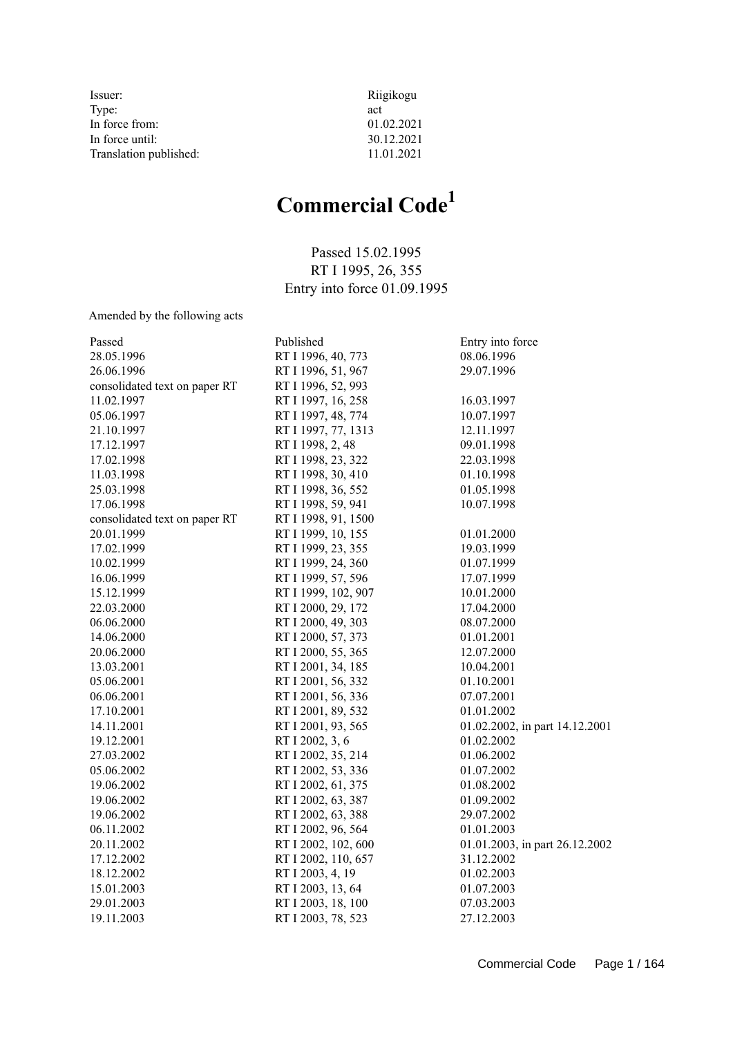| Issuer:                | Riigikogu  |
|------------------------|------------|
| Type:                  | act        |
| In force from:         | 01.02.2021 |
| In force until:        | 30.12.2021 |
| Translation published: | 11.01.2021 |

# **Commercial Code<sup>1</sup>**

Passed 15.02.1995 RT I 1995, 26, 355 Entry into force 01.09.1995

Amended by the following acts

| Passed                        | Published           | Entry into force               |
|-------------------------------|---------------------|--------------------------------|
| 28.05.1996                    | RT I 1996, 40, 773  | 08.06.1996                     |
| 26.06.1996                    | RT I 1996, 51, 967  | 29.07.1996                     |
| consolidated text on paper RT | RT I 1996, 52, 993  |                                |
| 11.02.1997                    | RT I 1997, 16, 258  | 16.03.1997                     |
| 05.06.1997                    | RT I 1997, 48, 774  | 10.07.1997                     |
| 21.10.1997                    | RT I 1997, 77, 1313 | 12.11.1997                     |
| 17.12.1997                    | RT I 1998, 2, 48    | 09.01.1998                     |
| 17.02.1998                    | RT I 1998, 23, 322  | 22.03.1998                     |
| 11.03.1998                    | RT I 1998, 30, 410  | 01.10.1998                     |
| 25.03.1998                    | RT I 1998, 36, 552  | 01.05.1998                     |
| 17.06.1998                    | RT I 1998, 59, 941  | 10.07.1998                     |
| consolidated text on paper RT | RT I 1998, 91, 1500 |                                |
| 20.01.1999                    | RT I 1999, 10, 155  | 01.01.2000                     |
| 17.02.1999                    | RT I 1999, 23, 355  | 19.03.1999                     |
| 10.02.1999                    | RT I 1999, 24, 360  | 01.07.1999                     |
| 16.06.1999                    | RT I 1999, 57, 596  | 17.07.1999                     |
| 15.12.1999                    | RT I 1999, 102, 907 | 10.01.2000                     |
| 22.03.2000                    | RT I 2000, 29, 172  | 17.04.2000                     |
| 06.06.2000                    | RT I 2000, 49, 303  | 08.07.2000                     |
| 14.06.2000                    | RT I 2000, 57, 373  | 01.01.2001                     |
| 20.06.2000                    | RT I 2000, 55, 365  | 12.07.2000                     |
| 13.03.2001                    | RT I 2001, 34, 185  | 10.04.2001                     |
| 05.06.2001                    | RT I 2001, 56, 332  | 01.10.2001                     |
| 06.06.2001                    | RT I 2001, 56, 336  | 07.07.2001                     |
| 17.10.2001                    | RT I 2001, 89, 532  | 01.01.2002                     |
| 14.11.2001                    | RT I 2001, 93, 565  | 01.02.2002, in part 14.12.2001 |
| 19.12.2001                    | RT I 2002, 3, 6     | 01.02.2002                     |
| 27.03.2002                    | RT I 2002, 35, 214  | 01.06.2002                     |
| 05.06.2002                    | RT I 2002, 53, 336  | 01.07.2002                     |
| 19.06.2002                    | RT I 2002, 61, 375  | 01.08.2002                     |
| 19.06.2002                    | RT I 2002, 63, 387  | 01.09.2002                     |
| 19.06.2002                    | RT I 2002, 63, 388  | 29.07.2002                     |
| 06.11.2002                    | RT I 2002, 96, 564  | 01.01.2003                     |
| 20.11.2002                    | RT I 2002, 102, 600 | 01.01.2003, in part 26.12.2002 |
| 17.12.2002                    | RT I 2002, 110, 657 | 31.12.2002                     |
| 18.12.2002                    | RT I 2003, 4, 19    | 01.02.2003                     |
| 15.01.2003                    | RT I 2003, 13, 64   | 01.07.2003                     |
| 29.01.2003                    | RT I 2003, 18, 100  | 07.03.2003                     |
| 19.11.2003                    | RT I 2003, 78, 523  | 27.12.2003                     |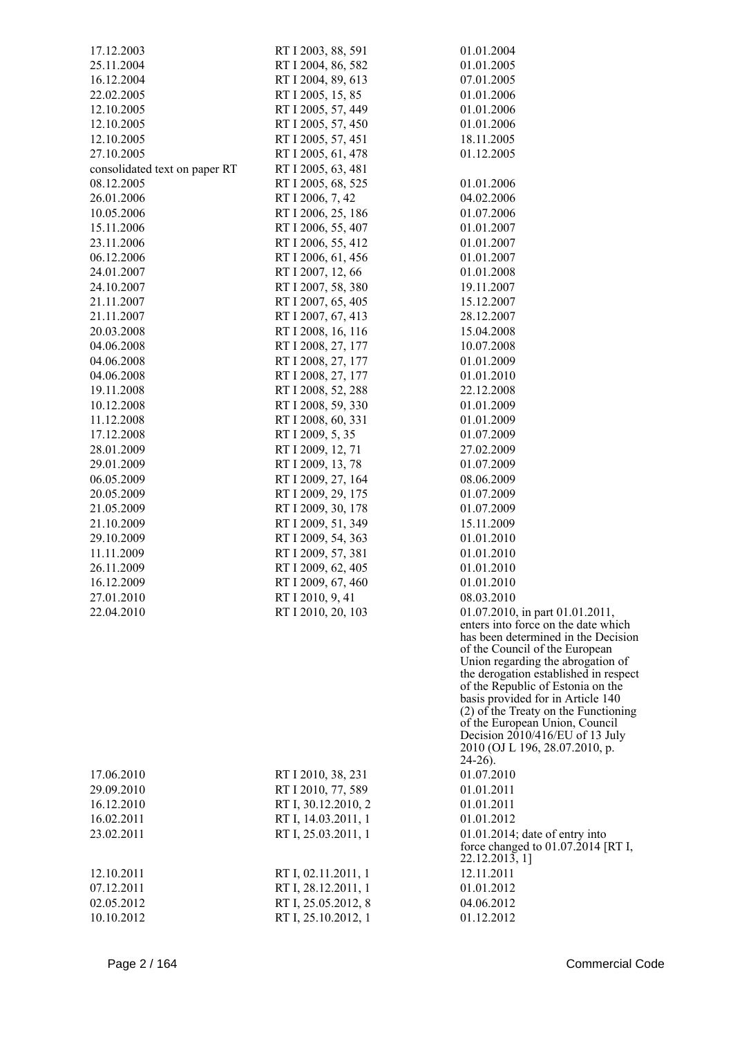| 17.12.2003                    | RT I 2003, 88, 591  | 01.01.2004                                                                   |
|-------------------------------|---------------------|------------------------------------------------------------------------------|
| 25.11.2004                    | RT I 2004, 86, 582  | 01.01.2005                                                                   |
| 16.12.2004                    | RT I 2004, 89, 613  | 07.01.2005                                                                   |
| 22.02.2005                    | RT I 2005, 15, 85   | 01.01.2006                                                                   |
| 12.10.2005                    | RT I 2005, 57, 449  | 01.01.2006                                                                   |
| 12.10.2005                    | RT I 2005, 57, 450  | 01.01.2006                                                                   |
| 12.10.2005                    | RT I 2005, 57, 451  | 18.11.2005                                                                   |
| 27.10.2005                    | RT I 2005, 61, 478  | 01.12.2005                                                                   |
| consolidated text on paper RT | RT I 2005, 63, 481  |                                                                              |
| 08.12.2005                    | RT I 2005, 68, 525  | 01.01.2006                                                                   |
| 26.01.2006                    | RT I 2006, 7, 42    | 04.02.2006                                                                   |
| 10.05.2006                    | RT I 2006, 25, 186  | 01.07.2006                                                                   |
| 15.11.2006                    | RT I 2006, 55, 407  | 01.01.2007                                                                   |
| 23.11.2006                    | RT I 2006, 55, 412  | 01.01.2007                                                                   |
| 06.12.2006                    | RT I 2006, 61, 456  | 01.01.2007                                                                   |
| 24.01.2007                    | RT I 2007, 12, 66   | 01.01.2008                                                                   |
| 24.10.2007                    | RT I 2007, 58, 380  | 19.11.2007                                                                   |
| 21.11.2007                    | RT I 2007, 65, 405  | 15.12.2007                                                                   |
| 21.11.2007                    | RT I 2007, 67, 413  | 28.12.2007                                                                   |
| 20.03.2008                    | RT I 2008, 16, 116  | 15.04.2008                                                                   |
| 04.06.2008                    | RT I 2008, 27, 177  | 10.07.2008                                                                   |
| 04.06.2008                    | RT I 2008, 27, 177  | 01.01.2009                                                                   |
| 04.06.2008                    | RT I 2008, 27, 177  | 01.01.2010                                                                   |
| 19.11.2008                    | RT I 2008, 52, 288  | 22.12.2008                                                                   |
| 10.12.2008                    | RT I 2008, 59, 330  | 01.01.2009                                                                   |
| 11.12.2008                    | RT I 2008, 60, 331  | 01.01.2009                                                                   |
| 17.12.2008                    | RT I 2009, 5, 35    | 01.07.2009                                                                   |
| 28.01.2009                    | RT I 2009, 12, 71   | 27.02.2009                                                                   |
| 29.01.2009                    | RT I 2009, 13, 78   | 01.07.2009                                                                   |
| 06.05.2009                    | RT I 2009, 27, 164  | 08.06.2009                                                                   |
| 20.05.2009                    | RT I 2009, 29, 175  | 01.07.2009                                                                   |
| 21.05.2009                    | RT I 2009, 30, 178  | 01.07.2009                                                                   |
| 21.10.2009                    | RT I 2009, 51, 349  | 15.11.2009                                                                   |
| 29.10.2009                    | RT I 2009, 54, 363  | 01.01.2010                                                                   |
| 11.11.2009                    | RT I 2009, 57, 381  | 01.01.2010                                                                   |
| 26.11.2009                    | RT I 2009, 62, 405  | 01.01.2010                                                                   |
| 16.12.2009                    | RT I 2009, 67, 460  | 01.01.2010                                                                   |
| 27.01.2010                    | RT I 2010, 9, 41    | 08.03.2010                                                                   |
| 22.04.2010                    | RT I 2010, 20, 103  | $01.07.2010$ , in part $01.01.2011$ ,<br>enters into force on the date which |
|                               |                     | has been determined in the Decision                                          |
|                               |                     | of the Council of the European                                               |
|                               |                     | Union regarding the abrogation of<br>the derogation established in respect   |
|                               |                     | of the Republic of Estonia on the                                            |
|                               |                     | basis provided for in Article 140                                            |
|                               |                     | (2) of the Treaty on the Functioning                                         |
|                               |                     | of the European Union, Council<br>Decision 2010/416/EU of 13 July            |
|                               |                     | 2010 (OJ L 196, 28.07.2010, p.                                               |
|                               |                     | $24-26$ ).                                                                   |
| 17.06.2010                    | RT I 2010, 38, 231  | 01.07.2010                                                                   |
| 29.09.2010                    | RT I 2010, 77, 589  | 01.01.2011                                                                   |
| 16.12.2010                    | RT I, 30.12.2010, 2 | 01.01.2011                                                                   |
| 16.02.2011                    | RT I, 14.03.2011, 1 | 01.01.2012                                                                   |
| 23.02.2011                    | RT I, 25.03.2011, 1 | $01.01.2014$ ; date of entry into                                            |
|                               |                     | force changed to $01.07.2014$ [RT I,<br>22.12.2013, 1]                       |
| 12.10.2011                    | RT I, 02.11.2011, 1 | 12.11.2011                                                                   |
| 07.12.2011                    | RT I, 28.12.2011, 1 | 01.01.2012                                                                   |
| 02.05.2012                    | RT I, 25.05.2012, 8 | 04.06.2012                                                                   |
| 10.10.2012                    | RT I, 25.10.2012, 1 | 01.12.2012                                                                   |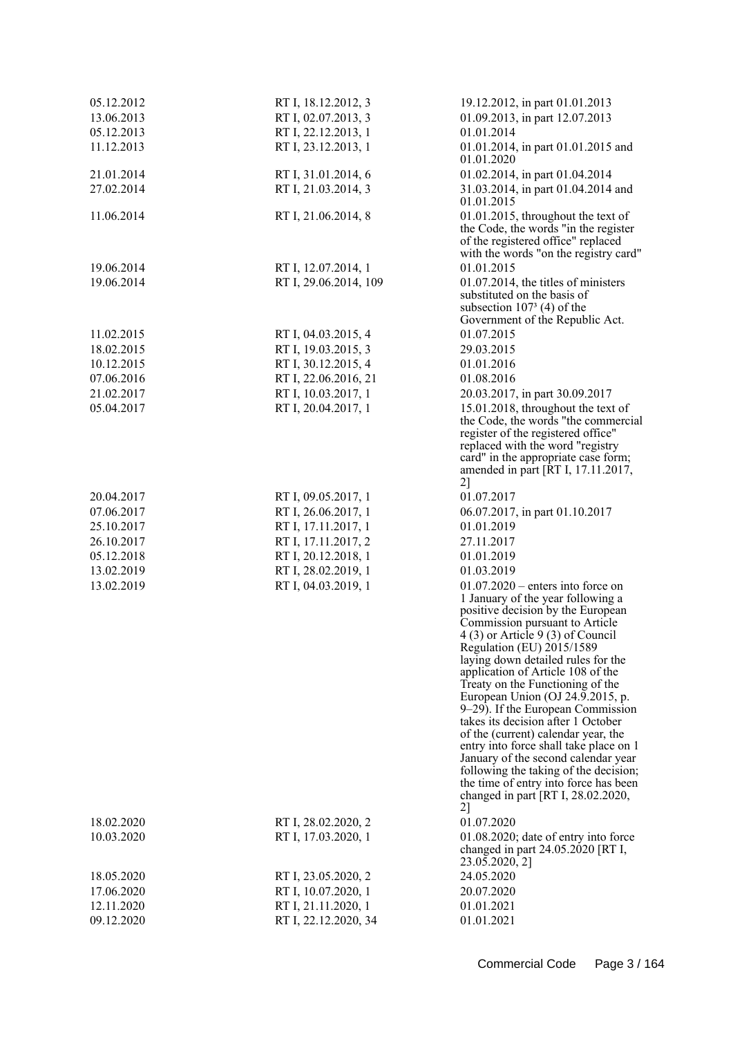| 05.12.2012 | RT I, 18.12.2012, 3   | 19.12.2012, in part 01.01.2013                                          |
|------------|-----------------------|-------------------------------------------------------------------------|
| 13.06.2013 | RT I, 02.07.2013, 3   | 01.09.2013, in part 12.07.2013                                          |
| 05.12.2013 | RT I, 22.12.2013, 1   | 01.01.2014                                                              |
| 11.12.2013 | RT I, 23.12.2013, 1   | 01.01.2014, in part 01.01.2015 and                                      |
|            |                       | 01.01.2020                                                              |
| 21.01.2014 | RT I, 31.01.2014, 6   | 01.02.2014, in part 01.04.2014                                          |
| 27.02.2014 | RT I, 21.03.2014, 3   | 31.03.2014, in part 01.04.2014 and                                      |
|            |                       | 01.01.2015                                                              |
| 11.06.2014 | RT I, 21.06.2014, 8   | 01.01.2015, throughout the text of                                      |
|            |                       | the Code, the words "in the register                                    |
|            |                       | of the registered office" replaced                                      |
|            |                       | with the words "on the registry card"                                   |
| 19.06.2014 | RT I, 12.07.2014, 1   | 01.01.2015                                                              |
| 19.06.2014 | RT I, 29.06.2014, 109 | 01.07.2014, the titles of ministers                                     |
|            |                       | substituted on the basis of                                             |
|            |                       | subsection $1073$ (4) of the                                            |
|            |                       | Government of the Republic Act.                                         |
| 11.02.2015 | RT I, 04.03.2015, 4   | 01.07.2015                                                              |
| 18.02.2015 | RT I, 19.03.2015, 3   | 29.03.2015                                                              |
| 10.12.2015 | RT I, 30.12.2015, 4   | 01.01.2016                                                              |
| 07.06.2016 | RT I, 22.06.2016, 21  | 01.08.2016                                                              |
| 21.02.2017 | RT I, 10.03.2017, 1   | 20.03.2017, in part 30.09.2017                                          |
| 05.04.2017 | RT I, 20.04.2017, 1   | 15.01.2018, throughout the text of                                      |
|            |                       | the Code, the words "the commercial                                     |
|            |                       | register of the registered office"                                      |
|            |                       | replaced with the word "registry                                        |
|            |                       | card" in the appropriate case form;                                     |
|            |                       | amended in part [RT I, 17.11.2017,                                      |
|            |                       | $2$ ]                                                                   |
| 20.04.2017 | RT I, 09.05.2017, 1   | 01.07.2017                                                              |
| 07.06.2017 | RT I, 26.06.2017, 1   | 06.07.2017, in part 01.10.2017                                          |
| 25.10.2017 | RT I, 17.11.2017, 1   | 01.01.2019                                                              |
| 26.10.2017 | RT I, 17.11.2017, 2   | 27.11.2017                                                              |
| 05.12.2018 | RT I, 20.12.2018, 1   | 01.01.2019                                                              |
| 13.02.2019 | RT I, 28.02.2019, 1   | 01.03.2019                                                              |
| 13.02.2019 | RT I, 04.03.2019, 1   | $01.07.2020$ – enters into force on                                     |
|            |                       | 1 January of the year following a                                       |
|            |                       | positive decision by the European<br>Commission pursuant to Article     |
|            |                       | $4(3)$ or Article 9(3) of Council                                       |
|            |                       | Regulation (EU) 2015/1589                                               |
|            |                       | laying down detailed rules for the                                      |
|            |                       | application of Article 108 of the                                       |
|            |                       | Treaty on the Functioning of the                                        |
|            |                       | European Union (OJ 24.9.2015, p.                                        |
|            |                       | 9–29). If the European Commission<br>takes its decision after 1 October |
|            |                       | of the (current) calendar year, the                                     |
|            |                       | entry into force shall take place on 1                                  |
|            |                       | January of the second calendar year                                     |
|            |                       | following the taking of the decision;                                   |
|            |                       | the time of entry into force has been                                   |
|            |                       | changed in part [RT I, $28.02.2020$ ,                                   |
|            |                       | 2]                                                                      |
| 18.02.2020 | RT I, 28.02.2020, 2   | 01.07.2020                                                              |
| 10.03.2020 | RT I, 17.03.2020, 1   | $01.08.2020$ ; date of entry into force                                 |
|            |                       | changed in part 24.05.2020 [RT I,                                       |
| 18.05.2020 | RT I, 23.05.2020, 2   | 23.05.2020, 2]<br>24.05.2020                                            |
| 17.06.2020 | RT I, 10.07.2020, 1   | 20.07.2020                                                              |
| 12.11.2020 | RT I, 21.11.2020, 1   | 01.01.2021                                                              |
| 09.12.2020 |                       |                                                                         |
|            | RT I, 22.12.2020, 34  | 01.01.2021                                                              |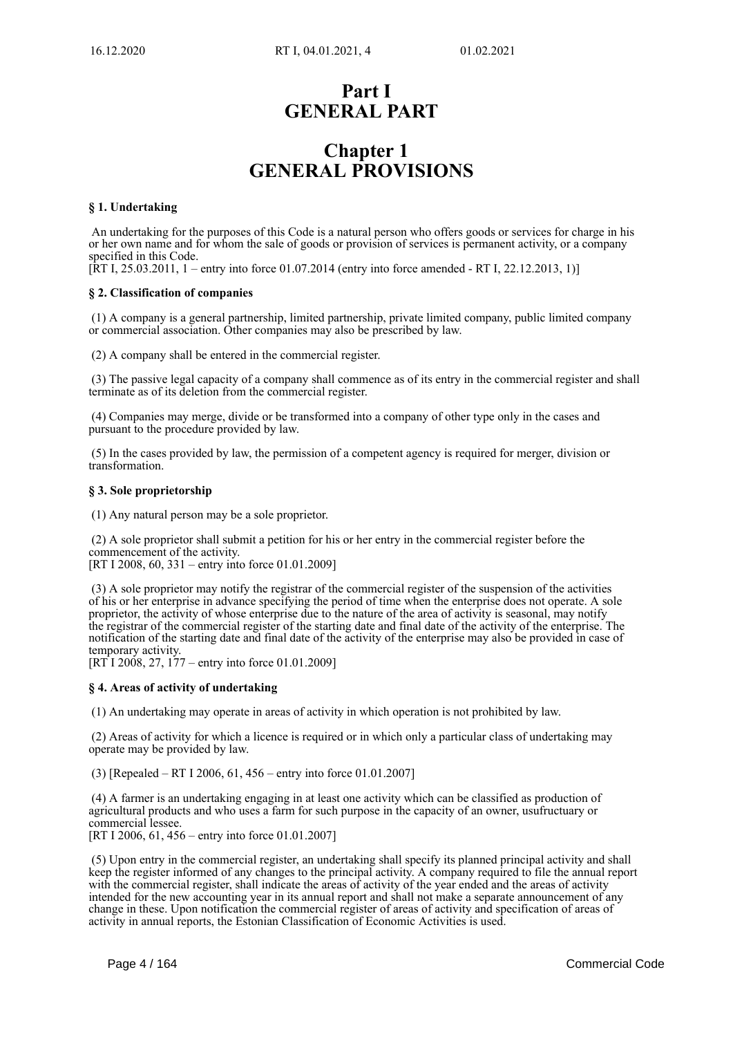# **Part I GENERAL PART**

# **Chapter 1 GENERAL PROVISIONS**

# **§ 1. Undertaking**

 An undertaking for the purposes of this Code is a natural person who offers goods or services for charge in his or her own name and for whom the sale of goods or provision of services is permanent activity, or a company specified in this Code.

[RT I, 25.03.2011, 1 – entry into force 01.07.2014 (entry into force amended - RT I, 22.12.2013, 1)]

# **§ 2. Classification of companies**

 (1) A company is a general partnership, limited partnership, private limited company, public limited company or commercial association. Other companies may also be prescribed by law.

(2) A company shall be entered in the commercial register.

 (3) The passive legal capacity of a company shall commence as of its entry in the commercial register and shall terminate as of its deletion from the commercial register.

 (4) Companies may merge, divide or be transformed into a company of other type only in the cases and pursuant to the procedure provided by law.

 (5) In the cases provided by law, the permission of a competent agency is required for merger, division or transformation.

# **§ 3. Sole proprietorship**

(1) Any natural person may be a sole proprietor.

 (2) A sole proprietor shall submit a petition for his or her entry in the commercial register before the commencement of the activity.

[RT I 2008, 60, 331 – entry into force 01.01.2009]

 (3) A sole proprietor may notify the registrar of the commercial register of the suspension of the activities of his or her enterprise in advance specifying the period of time when the enterprise does not operate. A sole proprietor, the activity of whose enterprise due to the nature of the area of activity is seasonal, may notify the registrar of the commercial register of the starting date and final date of the activity of the enterprise. The notification of the starting date and final date of the activity of the enterprise may also be provided in case of temporary activity.

 $[RT<sup>†</sup>1 2008, 27, 177 - entry into force 01.01.2009]$ 

# **§ 4. Areas of activity of undertaking**

(1) An undertaking may operate in areas of activity in which operation is not prohibited by law.

 (2) Areas of activity for which a licence is required or in which only a particular class of undertaking may operate may be provided by law.

(3) [Repealed – RT I 2006, 61, 456 – entry into force 01.01.2007]

 (4) A farmer is an undertaking engaging in at least one activity which can be classified as production of agricultural products and who uses a farm for such purpose in the capacity of an owner, usufructuary or commercial lessee. [RT I 2006, 61, 456 – entry into force 01.01.2007]

 (5) Upon entry in the commercial register, an undertaking shall specify its planned principal activity and shall keep the register informed of any changes to the principal activity. A company required to file the annual report with the commercial register, shall indicate the areas of activity of the year ended and the areas of activity intended for the new accounting year in its annual report and shall not make a separate announcement of any change in these. Upon notification the commercial register of areas of activity and specification of areas of activity in annual reports, the Estonian Classification of Economic Activities is used.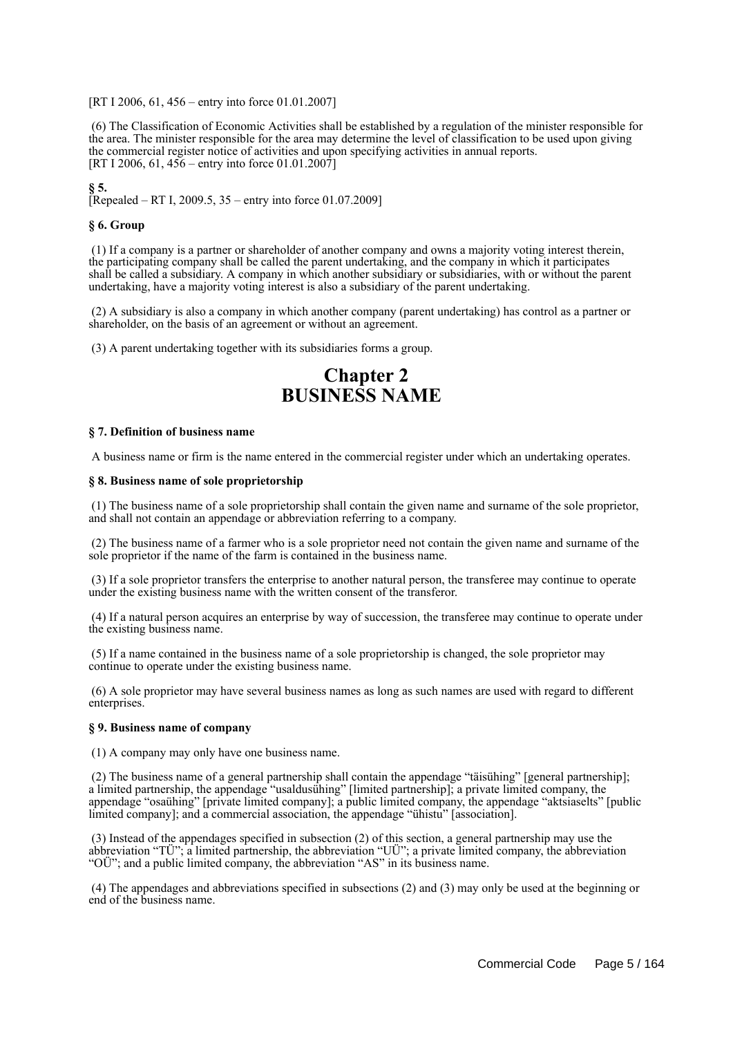[RT I 2006, 61, 456 – entry into force 01.01.2007]

 (6) The Classification of Economic Activities shall be established by a regulation of the minister responsible for the area. The minister responsible for the area may determine the level of classification to be used upon giving the commercial register notice of activities and upon specifying activities in annual reports. [RT I 2006, 61,  $456$  – entry into force 01.01.2007]

**§ 5.**

[Repealed – RT I, 2009.5, 35 – entry into force 01.07.2009]

# **§ 6. Group**

 (1) If a company is a partner or shareholder of another company and owns a majority voting interest therein, the participating company shall be called the parent undertaking, and the company in which it participates shall be called a subsidiary. A company in which another subsidiary or subsidiaries, with or without the parent undertaking, have a majority voting interest is also a subsidiary of the parent undertaking.

 (2) A subsidiary is also a company in which another company (parent undertaking) has control as a partner or shareholder, on the basis of an agreement or without an agreement.

(3) A parent undertaking together with its subsidiaries forms a group.

# **Chapter 2 BUSINESS NAME**

#### **§ 7. Definition of business name**

A business name or firm is the name entered in the commercial register under which an undertaking operates.

#### **§ 8. Business name of sole proprietorship**

 (1) The business name of a sole proprietorship shall contain the given name and surname of the sole proprietor, and shall not contain an appendage or abbreviation referring to a company.

 (2) The business name of a farmer who is a sole proprietor need not contain the given name and surname of the sole proprietor if the name of the farm is contained in the business name.

 (3) If a sole proprietor transfers the enterprise to another natural person, the transferee may continue to operate under the existing business name with the written consent of the transferor.

 (4) If a natural person acquires an enterprise by way of succession, the transferee may continue to operate under the existing business name.

 (5) If a name contained in the business name of a sole proprietorship is changed, the sole proprietor may continue to operate under the existing business name.

 (6) A sole proprietor may have several business names as long as such names are used with regard to different enterprises.

#### **§ 9. Business name of company**

(1) A company may only have one business name.

 (2) The business name of a general partnership shall contain the appendage "täisühing" [general partnership]; a limited partnership, the appendage "usaldusühing" [limited partnership]; a private limited company, the appendage "osaühing" [private limited company]; a public limited company, the appendage "aktsiaselts" [public limited company]; and a commercial association, the appendage "ühistu" [association].

 (3) Instead of the appendages specified in subsection (2) of this section, a general partnership may use the abbreviation "TÜ"; a limited partnership, the abbreviation "UÜ"; a private limited company, the abbreviation "OÜ"; and a public limited company, the abbreviation "AS" in its business name.

 (4) The appendages and abbreviations specified in subsections (2) and (3) may only be used at the beginning or end of the business name.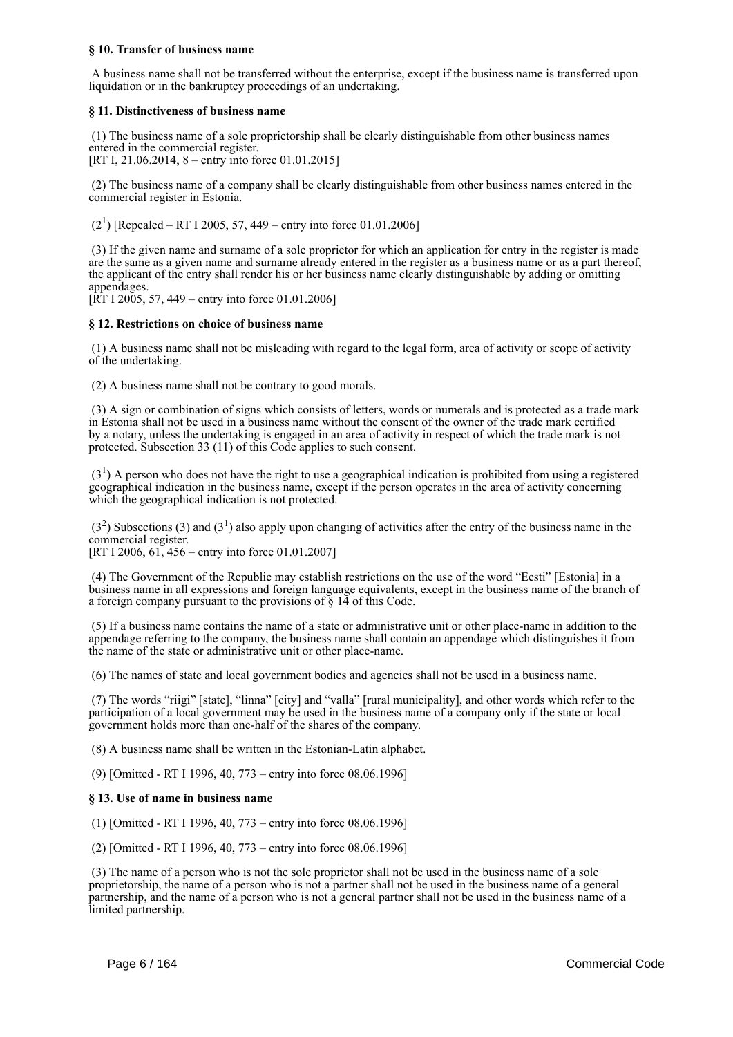# **§ 10. Transfer of business name**

 A business name shall not be transferred without the enterprise, except if the business name is transferred upon liquidation or in the bankruptcy proceedings of an undertaking.

# **§ 11. Distinctiveness of business name**

 (1) The business name of a sole proprietorship shall be clearly distinguishable from other business names entered in the commercial register. [RT I, 21.06.2014, 8 – entry into force 01.01.2015]

 (2) The business name of a company shall be clearly distinguishable from other business names entered in the commercial register in Estonia.

 $(2<sup>1</sup>)$  [Repealed – RT I 2005, 57, 449 – entry into force 01.01.2006]

 (3) If the given name and surname of a sole proprietor for which an application for entry in the register is made are the same as a given name and surname already entered in the register as a business name or as a part thereof, the applicant of the entry shall render his or her business name clearly distinguishable by adding or omitting appendages.

 $[\dot{R}T I 2005, 57, 449 -$  entry into force 01.01.2006]

# **§ 12. Restrictions on choice of business name**

 (1) A business name shall not be misleading with regard to the legal form, area of activity or scope of activity of the undertaking.

(2) A business name shall not be contrary to good morals.

 (3) A sign or combination of signs which consists of letters, words or numerals and is protected as a trade mark in Estonia shall not be used in a business name without the consent of the owner of the trade mark certified by a notary, unless the undertaking is engaged in an area of activity in respect of which the trade mark is not protected. Subsection 33 (11) of this Code applies to such consent.

 $(3<sup>1</sup>)$  A person who does not have the right to use a geographical indication is prohibited from using a registered geographical indication in the business name, except if the person operates in the area of activity concerning which the geographical indication is not protected.

 $(3<sup>2</sup>)$  Subsections (3) and (3<sup>1</sup>) also apply upon changing of activities after the entry of the business name in the commercial register.

[RT I 2006, 61, 456 – entry into force 01.01.2007]

 (4) The Government of the Republic may establish restrictions on the use of the word "Eesti" [Estonia] in a business name in all expressions and foreign language equivalents, except in the business name of the branch of a foreign company pursuant to the provisions of  $\S$  14 of this Code.

 (5) If a business name contains the name of a state or administrative unit or other place-name in addition to the appendage referring to the company, the business name shall contain an appendage which distinguishes it from the name of the state or administrative unit or other place-name.

(6) The names of state and local government bodies and agencies shall not be used in a business name.

 (7) The words "riigi" [state], "linna" [city] and "valla" [rural municipality], and other words which refer to the participation of a local government may be used in the business name of a company only if the state or local government holds more than one-half of the shares of the company.

(8) A business name shall be written in the Estonian-Latin alphabet.

(9) [Omitted - RT I 1996, 40, 773 – entry into force 08.06.1996]

#### **§ 13. Use of name in business name**

(1) [Omitted - RT I 1996, 40, 773 – entry into force 08.06.1996]

(2) [Omitted - RT I 1996, 40, 773 – entry into force 08.06.1996]

 (3) The name of a person who is not the sole proprietor shall not be used in the business name of a sole proprietorship, the name of a person who is not a partner shall not be used in the business name of a general partnership, and the name of a person who is not a general partner shall not be used in the business name of a limited partnership.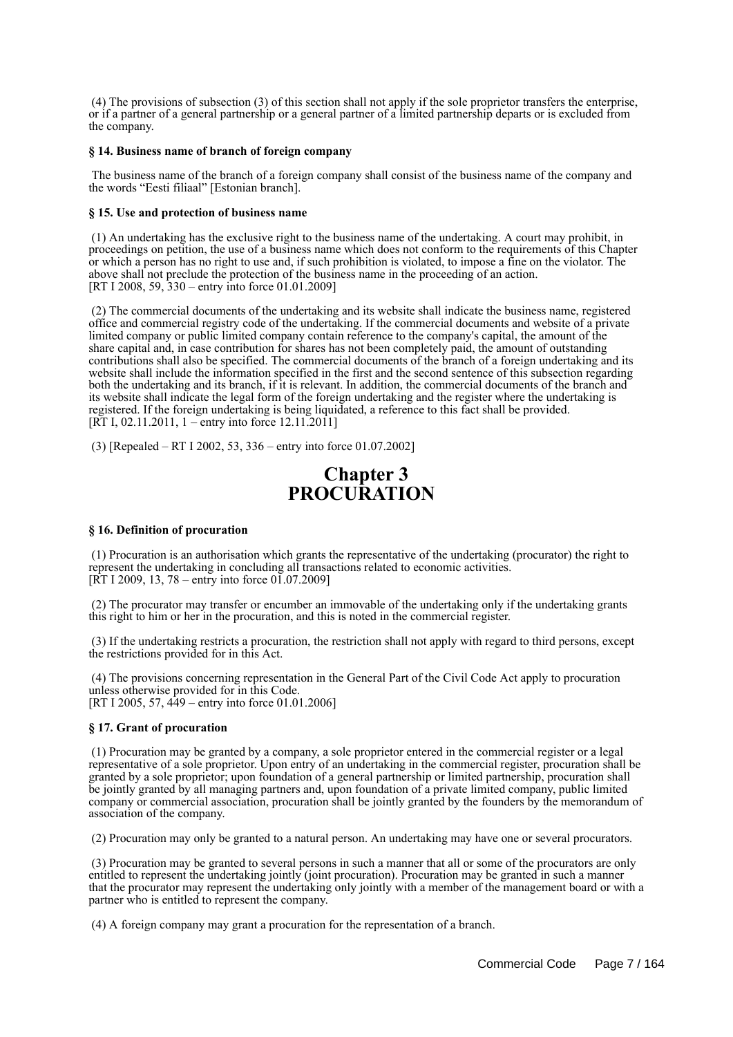(4) The provisions of subsection (3) of this section shall not apply if the sole proprietor transfers the enterprise, or if a partner of a general partnership or a general partner of a limited partnership departs or is excluded from the company.

### **§ 14. Business name of branch of foreign company**

 The business name of the branch of a foreign company shall consist of the business name of the company and the words "Eesti filiaal" [Estonian branch].

# **§ 15. Use and protection of business name**

 (1) An undertaking has the exclusive right to the business name of the undertaking. A court may prohibit, in proceedings on petition, the use of a business name which does not conform to the requirements of this Chapter or which a person has no right to use and, if such prohibition is violated, to impose a fine on the violator. The above shall not preclude the protection of the business name in the proceeding of an action. [RT I 2008, 59, 330 – entry into force 01.01.2009]

 (2) The commercial documents of the undertaking and its website shall indicate the business name, registered office and commercial registry code of the undertaking. If the commercial documents and website of a private limited company or public limited company contain reference to the company's capital, the amount of the share capital and, in case contribution for shares has not been completely paid, the amount of outstanding contributions shall also be specified. The commercial documents of the branch of a foreign undertaking and its website shall include the information specified in the first and the second sentence of this subsection regarding both the undertaking and its branch, if it is relevant. In addition, the commercial documents of the branch and its website shall indicate the legal form of the foreign undertaking and the register where the undertaking is registered. If the foreign undertaking is being liquidated, a reference to this fact shall be provided. [RT I, 02.11.2011, 1 – entry into force 12.11.2011]

(3) [Repealed – RT I 2002, 53, 336 – entry into force 01.07.2002]

# **Chapter 3 PROCURATION**

#### **§ 16. Definition of procuration**

 (1) Procuration is an authorisation which grants the representative of the undertaking (procurator) the right to represent the undertaking in concluding all transactions related to economic activities.  $[\hat{RT} I 2009, 13, 78 -$  entry into force 01.07.2009]

 (2) The procurator may transfer or encumber an immovable of the undertaking only if the undertaking grants this right to him or her in the procuration, and this is noted in the commercial register.

 (3) If the undertaking restricts a procuration, the restriction shall not apply with regard to third persons, except the restrictions provided for in this Act.

 (4) The provisions concerning representation in the General Part of the Civil Code Act apply to procuration unless otherwise provided for in this Code. [RT I 2005, 57, 449 – entry into force 01.01.2006]

# **§ 17. Grant of procuration**

 (1) Procuration may be granted by a company, a sole proprietor entered in the commercial register or a legal representative of a sole proprietor. Upon entry of an undertaking in the commercial register, procuration shall be granted by a sole proprietor; upon foundation of a general partnership or limited partnership, procuration shall be jointly granted by all managing partners and, upon foundation of a private limited company, public limited company or commercial association, procuration shall be jointly granted by the founders by the memorandum of association of the company.

(2) Procuration may only be granted to a natural person. An undertaking may have one or several procurators.

 (3) Procuration may be granted to several persons in such a manner that all or some of the procurators are only entitled to represent the undertaking jointly (joint procuration). Procuration may be granted in such a manner that the procurator may represent the undertaking only jointly with a member of the management board or with a partner who is entitled to represent the company.

(4) A foreign company may grant a procuration for the representation of a branch.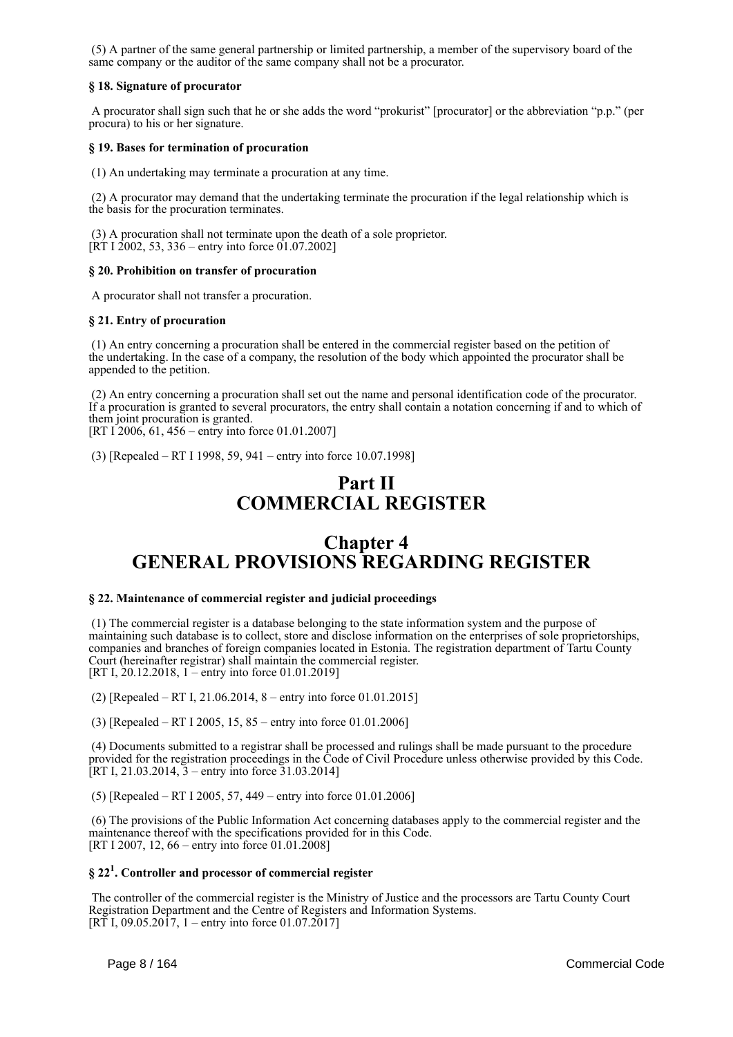(5) A partner of the same general partnership or limited partnership, a member of the supervisory board of the same company or the auditor of the same company shall not be a procurator.

# **§ 18. Signature of procurator**

 A procurator shall sign such that he or she adds the word "prokurist" [procurator] or the abbreviation "p.p." (per procura) to his or her signature.

# **§ 19. Bases for termination of procuration**

(1) An undertaking may terminate a procuration at any time.

 (2) A procurator may demand that the undertaking terminate the procuration if the legal relationship which is the basis for the procuration terminates.

 (3) A procuration shall not terminate upon the death of a sole proprietor. [RT I 2002, 53, 336 – entry into force 01.07.2002]

# **§ 20. Prohibition on transfer of procuration**

A procurator shall not transfer a procuration.

#### **§ 21. Entry of procuration**

 (1) An entry concerning a procuration shall be entered in the commercial register based on the petition of the undertaking. In the case of a company, the resolution of the body which appointed the procurator shall be appended to the petition.

 (2) An entry concerning a procuration shall set out the name and personal identification code of the procurator. If a procuration is granted to several procurators, the entry shall contain a notation concerning if and to which of them joint procuration is granted.

[RT I 2006, 61, 456 – entry into force 01.01.2007]

(3) [Repealed – RT I 1998, 59, 941 – entry into force 10.07.1998]

# **Part II COMMERCIAL REGISTER**

# **Chapter 4 GENERAL PROVISIONS REGARDING REGISTER**

# **§ 22. Maintenance of commercial register and judicial proceedings**

 (1) The commercial register is a database belonging to the state information system and the purpose of maintaining such database is to collect, store and disclose information on the enterprises of sole proprietorships, companies and branches of foreign companies located in Estonia. The registration department of Tartu County Court (hereinafter registrar) shall maintain the commercial register. [RT I, 20.12.2018, 1 – entry into force 01.01.2019]

(2) [Repealed – RT I, 21.06.2014, 8 – entry into force 01.01.2015]

(3) [Repealed – RT I 2005, 15, 85 – entry into force 01.01.2006]

 (4) Documents submitted to a registrar shall be processed and rulings shall be made pursuant to the procedure provided for the registration proceedings in the Code of Civil Procedure unless otherwise provided by this Code. [RT I, 21.03.2014,  $\overline{3}$  – entry into force  $\overline{31.03.2014}$ ]

(5) [Repealed – RT I 2005, 57, 449 – entry into force 01.01.2006]

 (6) The provisions of the Public Information Act concerning databases apply to the commercial register and the maintenance thereof with the specifications provided for in this Code. [RT I 2007, 12, 66 – entry into force 01.01.2008]

# **§ 22<sup>1</sup> . Controller and processor of commercial register**

 The controller of the commercial register is the Ministry of Justice and the processors are Tartu County Court Registration Department and the Centre of Registers and Information Systems. [RT I, 09.05.2017, 1 – entry into force 01.07.2017]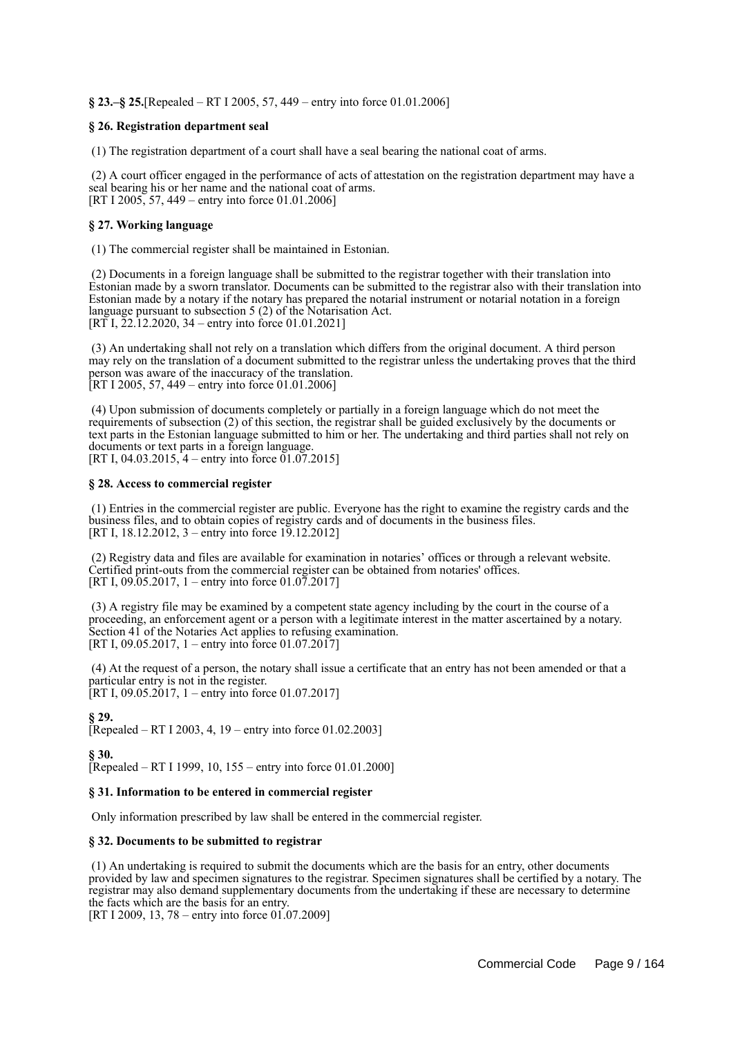**§ 23.–§ 25.**[Repealed – RT I 2005, 57, 449 – entry into force 01.01.2006]

# **§ 26. Registration department seal**

(1) The registration department of a court shall have a seal bearing the national coat of arms.

 (2) A court officer engaged in the performance of acts of attestation on the registration department may have a seal bearing his or her name and the national coat of arms. [RT I 2005, 57, 449 – entry into force 01.01.2006]

### **§ 27. Working language**

(1) The commercial register shall be maintained in Estonian.

 (2) Documents in a foreign language shall be submitted to the registrar together with their translation into Estonian made by a sworn translator. Documents can be submitted to the registrar also with their translation into Estonian made by a notary if the notary has prepared the notarial instrument or notarial notation in a foreign language pursuant to subsection 5 (2) of the Notarisation Act. [RT I, 22.12.2020, 34 – entry into force 01.01.2021]

 (3) An undertaking shall not rely on a translation which differs from the original document. A third person may rely on the translation of a document submitted to the registrar unless the undertaking proves that the third person was aware of the inaccuracy of the translation. [RT I 2005, 57, 449 – entry into force 01.01.2006]

 (4) Upon submission of documents completely or partially in a foreign language which do not meet the requirements of subsection (2) of this section, the registrar shall be guided exclusively by the documents or text parts in the Estonian language submitted to him or her. The undertaking and third parties shall not rely on documents or text parts in a foreign language. [RT I, 04.03.2015,  $4$  – entry into force 01.07.2015]

#### **§ 28. Access to commercial register**

 (1) Entries in the commercial register are public. Everyone has the right to examine the registry cards and the business files, and to obtain copies of registry cards and of documents in the business files. [RT I, 18.12.2012, 3 – entry into force  $19.12.2012$ ]

 (2) Registry data and files are available for examination in notaries' offices or through a relevant website. Certified print-outs from the commercial register can be obtained from notaries' offices. [RT I, 09.05.2017, 1 – entry into force 01.07.2017]

 (3) A registry file may be examined by a competent state agency including by the court in the course of a proceeding, an enforcement agent or a person with a legitimate interest in the matter ascertained by a notary. Section 41 of the Notaries Act applies to refusing examination. [RT I, 09.05.2017, 1 – entry into force 01.07.2017]

 (4) At the request of a person, the notary shall issue a certificate that an entry has not been amended or that a particular entry is not in the register. [RT I, 09.05.2017, 1 – entry into force 01.07.2017]

**§ 29.** [Repealed – RT I 2003, 4, 19 – entry into force 01.02.2003]

**§ 30.** [Repealed – RT I 1999, 10, 155 – entry into force 01.01.2000]

#### **§ 31. Information to be entered in commercial register**

Only information prescribed by law shall be entered in the commercial register.

# **§ 32. Documents to be submitted to registrar**

 (1) An undertaking is required to submit the documents which are the basis for an entry, other documents provided by law and specimen signatures to the registrar. Specimen signatures shall be certified by a notary. The registrar may also demand supplementary documents from the undertaking if these are necessary to determine the facts which are the basis for an entry.

[RT I 2009, 13, 78 – entry into force 01.07.2009]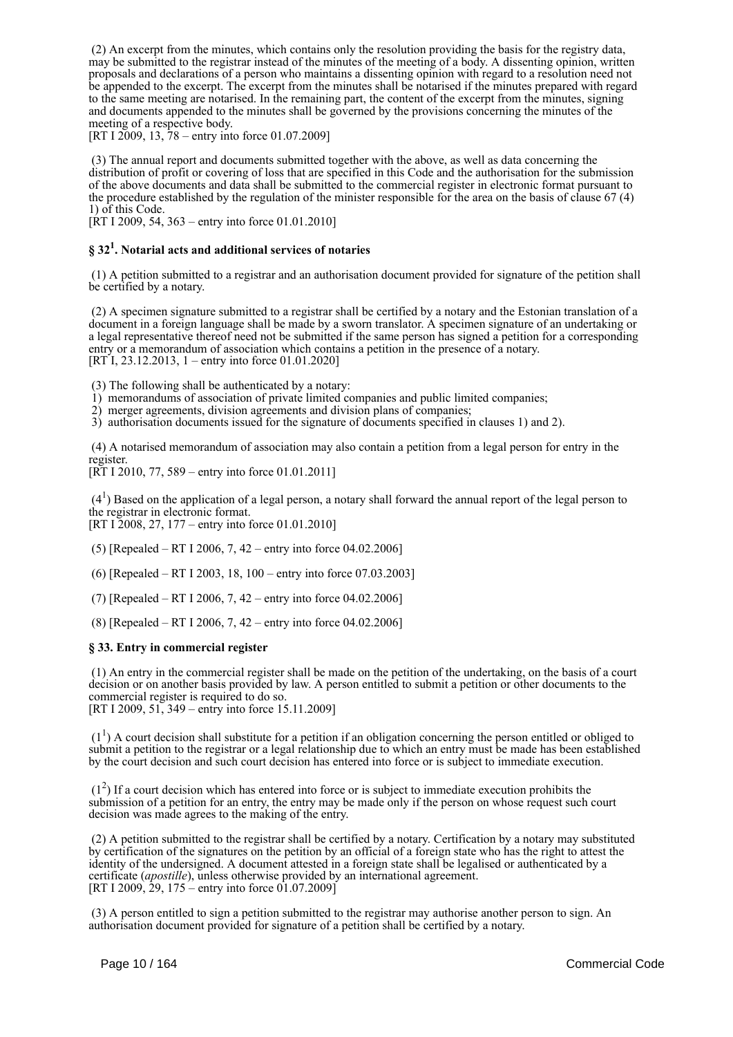(2) An excerpt from the minutes, which contains only the resolution providing the basis for the registry data, may be submitted to the registrar instead of the minutes of the meeting of a body. A dissenting opinion, written proposals and declarations of a person who maintains a dissenting opinion with regard to a resolution need not be appended to the excerpt. The excerpt from the minutes shall be notarised if the minutes prepared with regard to the same meeting are notarised. In the remaining part, the content of the excerpt from the minutes, signing and documents appended to the minutes shall be governed by the provisions concerning the minutes of the meeting of a respective body.

[RT I 2009, 13,  $78 -$  entry into force 01.07.2009]

 (3) The annual report and documents submitted together with the above, as well as data concerning the distribution of profit or covering of loss that are specified in this Code and the authorisation for the submission of the above documents and data shall be submitted to the commercial register in electronic format pursuant to the procedure established by the regulation of the minister responsible for the area on the basis of clause 67 (4) 1) of this Code.

[ $\overline{R}$ T I 2009, 54, 363 – entry into force 01.01.2010]

# **§ 32<sup>1</sup> . Notarial acts and additional services of notaries**

 (1) A petition submitted to a registrar and an authorisation document provided for signature of the petition shall be certified by a notary.

 (2) A specimen signature submitted to a registrar shall be certified by a notary and the Estonian translation of a document in a foreign language shall be made by a sworn translator. A specimen signature of an undertaking or a legal representative thereof need not be submitted if the same person has signed a petition for a corresponding entry or a memorandum of association which contains a petition in the presence of a notary.  $[RT\,I, 23.12.2013, 1 - entry into force 01.01.2020]$ 

(3) The following shall be authenticated by a notary:

1) memorandums of association of private limited companies and public limited companies;

2) merger agreements, division agreements and division plans of companies;

3) authorisation documents issued for the signature of documents specified in clauses 1) and 2).

 (4) A notarised memorandum of association may also contain a petition from a legal person for entry in the register.

[RT I 2010, 77, 589 – entry into force 01.01.2011]

 $(4<sup>1</sup>)$  Based on the application of a legal person, a notary shall forward the annual report of the legal person to the registrar in electronic format. [RT I 2008, 27, 177 – entry into force 01.01.2010]

(5) [Repealed – RT I 2006, 7, 42 – entry into force 04.02.2006]

(6) [Repealed – RT I 2003, 18, 100 – entry into force 07.03.2003]

(7) [Repealed – RT I 2006, 7, 42 – entry into force 04.02.2006]

(8) [Repealed – RT I 2006, 7, 42 – entry into force 04.02.2006]

# **§ 33. Entry in commercial register**

 (1) An entry in the commercial register shall be made on the petition of the undertaking, on the basis of a court decision or on another basis provided by law. A person entitled to submit a petition or other documents to the commercial register is required to do so. [RT I 2009, 51, 349 – entry into force 15.11.2009]

 $(1<sup>1</sup>)$  A court decision shall substitute for a petition if an obligation concerning the person entitled or obliged to submit a petition to the registrar or a legal relationship due to which an entry must be made has been established by the court decision and such court decision has entered into force or is subject to immediate execution.

 $(1<sup>2</sup>)$  If a court decision which has entered into force or is subject to immediate execution prohibits the submission of a petition for an entry, the entry may be made only if the person on whose request such court decision was made agrees to the making of the entry.

 (2) A petition submitted to the registrar shall be certified by a notary. Certification by a notary may substituted by certification of the signatures on the petition by an official of a foreign state who has the right to attest the identity of the undersigned. A document attested in a foreign state shall be legalised or authenticated by a certificate (*apostille*), unless otherwise provided by an international agreement. [RT I 2009, 29, 175 – entry into force 01.07.2009]

 (3) A person entitled to sign a petition submitted to the registrar may authorise another person to sign. An authorisation document provided for signature of a petition shall be certified by a notary.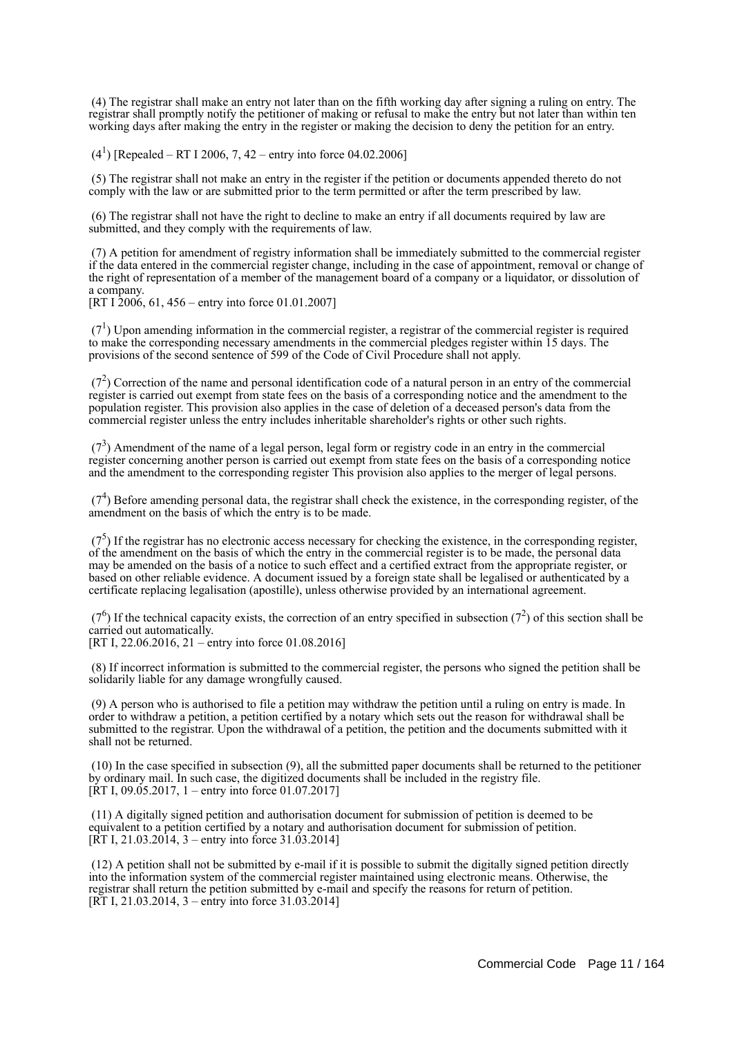(4) The registrar shall make an entry not later than on the fifth working day after signing a ruling on entry. The registrar shall promptly notify the petitioner of making or refusal to make the entry but not later than within ten working days after making the entry in the register or making the decision to deny the petition for an entry.

 $(4^1)$  [Repealed – RT I 2006, 7, 42 – entry into force 04.02.2006]

 (5) The registrar shall not make an entry in the register if the petition or documents appended thereto do not comply with the law or are submitted prior to the term permitted or after the term prescribed by law.

 (6) The registrar shall not have the right to decline to make an entry if all documents required by law are submitted, and they comply with the requirements of law.

 (7) A petition for amendment of registry information shall be immediately submitted to the commercial register if the data entered in the commercial register change, including in the case of appointment, removal or change of the right of representation of a member of the management board of a company or a liquidator, or dissolution of a company.

[RT I  $2006, 61, 456$  – entry into force 01.01.2007]

 $(7<sup>1</sup>)$  Upon amending information in the commercial register, a registrar of the commercial register is required to make the corresponding necessary amendments in the commercial pledges register within 15 days. The provisions of the second sentence of 599 of the Code of Civil Procedure shall not apply.

 $(7<sup>2</sup>)$  Correction of the name and personal identification code of a natural person in an entry of the commercial register is carried out exempt from state fees on the basis of a corresponding notice and the amendment to the population register. This provision also applies in the case of deletion of a deceased person's data from the commercial register unless the entry includes inheritable shareholder's rights or other such rights.

 $(7<sup>3</sup>)$  Amendment of the name of a legal person, legal form or registry code in an entry in the commercial register concerning another person is carried out exempt from state fees on the basis of a corresponding notice and the amendment to the corresponding register This provision also applies to the merger of legal persons.

 $(7<sup>4</sup>)$  Before amending personal data, the registrar shall check the existence, in the corresponding register, of the amendment on the basis of which the entry is to be made.

 $(7<sup>5</sup>)$  If the registrar has no electronic access necessary for checking the existence, in the corresponding register, of the amendment on the basis of which the entry in the commercial register is to be made, the personal data may be amended on the basis of a notice to such effect and a certified extract from the appropriate register, or based on other reliable evidence. A document issued by a foreign state shall be legalised or authenticated by a certificate replacing legalisation (apostille), unless otherwise provided by an international agreement.

 $(7<sup>6</sup>)$  If the technical capacity exists, the correction of an entry specified in subsection  $(7<sup>2</sup>)$  of this section shall be carried out automatically.

[RT I, 22.06.2016, 21 – entry into force 01.08.2016]

 (8) If incorrect information is submitted to the commercial register, the persons who signed the petition shall be solidarily liable for any damage wrongfully caused.

 (9) A person who is authorised to file a petition may withdraw the petition until a ruling on entry is made. In order to withdraw a petition, a petition certified by a notary which sets out the reason for withdrawal shall be submitted to the registrar. Upon the withdrawal of a petition, the petition and the documents submitted with it shall not be returned.

 (10) In the case specified in subsection (9), all the submitted paper documents shall be returned to the petitioner by ordinary mail. In such case, the digitized documents shall be included in the registry file. [ $\text{RT}$  I, 09.05.2017, 1 – entry into force 01.07.2017]

 (11) A digitally signed petition and authorisation document for submission of petition is deemed to be equivalent to a petition certified by a notary and authorisation document for submission of petition. [RT I,  $21.03.2014$ , 3 – entry into force 31.03.2014]

 (12) A petition shall not be submitted by e-mail if it is possible to submit the digitally signed petition directly into the information system of the commercial register maintained using electronic means. Otherwise, the registrar shall return the petition submitted by e-mail and specify the reasons for return of petition. [RT I, 21.03.2014, 3 – entry into force 31.03.2014]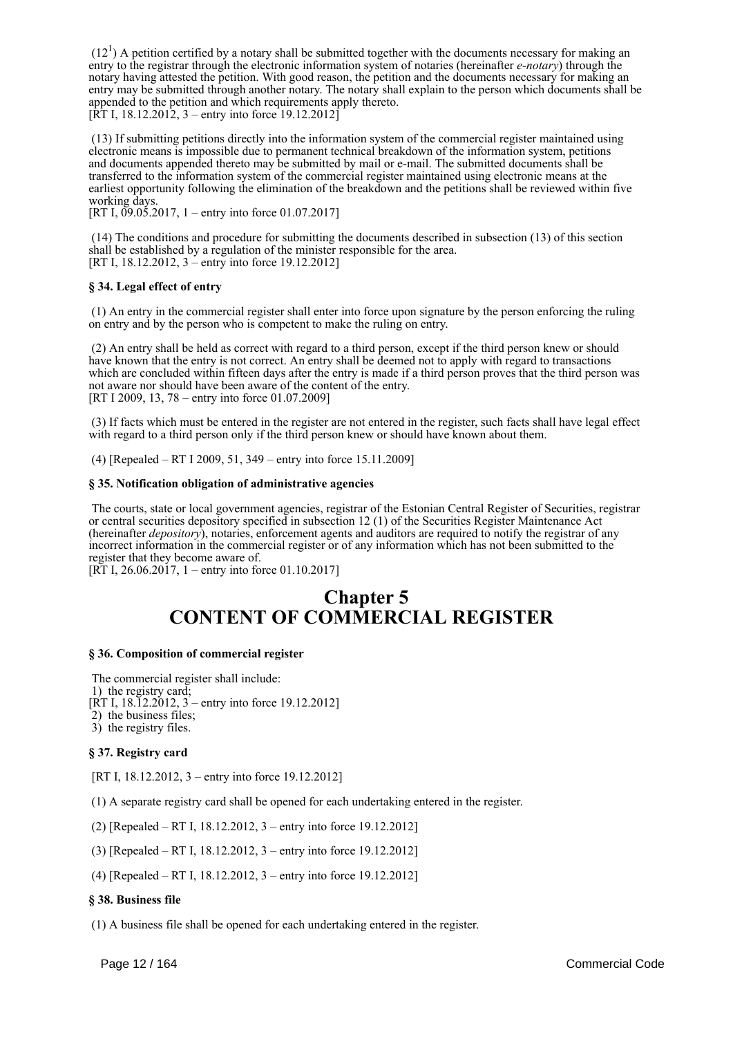$(12<sup>1</sup>)$  A petition certified by a notary shall be submitted together with the documents necessary for making an entry to the registrar through the electronic information system of notaries (hereinafter *e-notary*) through the notary having attested the petition. With good reason, the petition and the documents necessary for making an entry may be submitted through another notary. The notary shall explain to the person which documents shall be appended to the petition and which requirements apply thereto.  $[\hat{R}T I, 18.12.2012, 3 -$  entry into force 19.12.2012

 (13) If submitting petitions directly into the information system of the commercial register maintained using electronic means is impossible due to permanent technical breakdown of the information system, petitions and documents appended thereto may be submitted by mail or e-mail. The submitted documents shall be transferred to the information system of the commercial register maintained using electronic means at the earliest opportunity following the elimination of the breakdown and the petitions shall be reviewed within five working days.

[RT I,  $0.05.2017$ , 1 – entry into force 01.07.2017]

 (14) The conditions and procedure for submitting the documents described in subsection (13) of this section shall be established by a regulation of the minister responsible for the area. [RT I, 18.12.2012, 3 – entry into force 19.12.2012]

# **§ 34. Legal effect of entry**

 (1) An entry in the commercial register shall enter into force upon signature by the person enforcing the ruling on entry and by the person who is competent to make the ruling on entry.

 (2) An entry shall be held as correct with regard to a third person, except if the third person knew or should have known that the entry is not correct. An entry shall be deemed not to apply with regard to transactions which are concluded within fifteen days after the entry is made if a third person proves that the third person was not aware nor should have been aware of the content of the entry. [RT I 2009, 13, 78 – entry into force 01.07.2009]

 (3) If facts which must be entered in the register are not entered in the register, such facts shall have legal effect with regard to a third person only if the third person knew or should have known about them.

(4) [Repealed – RT I 2009, 51, 349 – entry into force 15.11.2009]

#### **§ 35. Notification obligation of administrative agencies**

 The courts, state or local government agencies, registrar of the Estonian Central Register of Securities, registrar or central securities depository specified in subsection 12 (1) of the Securities Register Maintenance Act (hereinafter *depository*), notaries, enforcement agents and auditors are required to notify the registrar of any incorrect information in the commercial register or of any information which has not been submitted to the register that they become aware of.

[RT I, 26.06.2017, 1 – entry into force 01.10.2017]

# **Chapter 5 CONTENT OF COMMERCIAL REGISTER**

### **§ 36. Composition of commercial register**

 The commercial register shall include: 1) the registry card; [RT I, 18.12.2012,  $3$  – entry into force 19.12.2012] 2) the business files;

3) the registry files.

#### **§ 37. Registry card**

[RT I, 18.12.2012, 3 – entry into force 19.12.2012]

(1) A separate registry card shall be opened for each undertaking entered in the register.

(2) [Repealed – RT I, 18.12.2012, 3 – entry into force 19.12.2012]

(3) [Repealed – RT I, 18.12.2012, 3 – entry into force 19.12.2012]

(4) [Repealed – RT I, 18.12.2012, 3 – entry into force 19.12.2012]

#### **§ 38. Business file**

(1) A business file shall be opened for each undertaking entered in the register.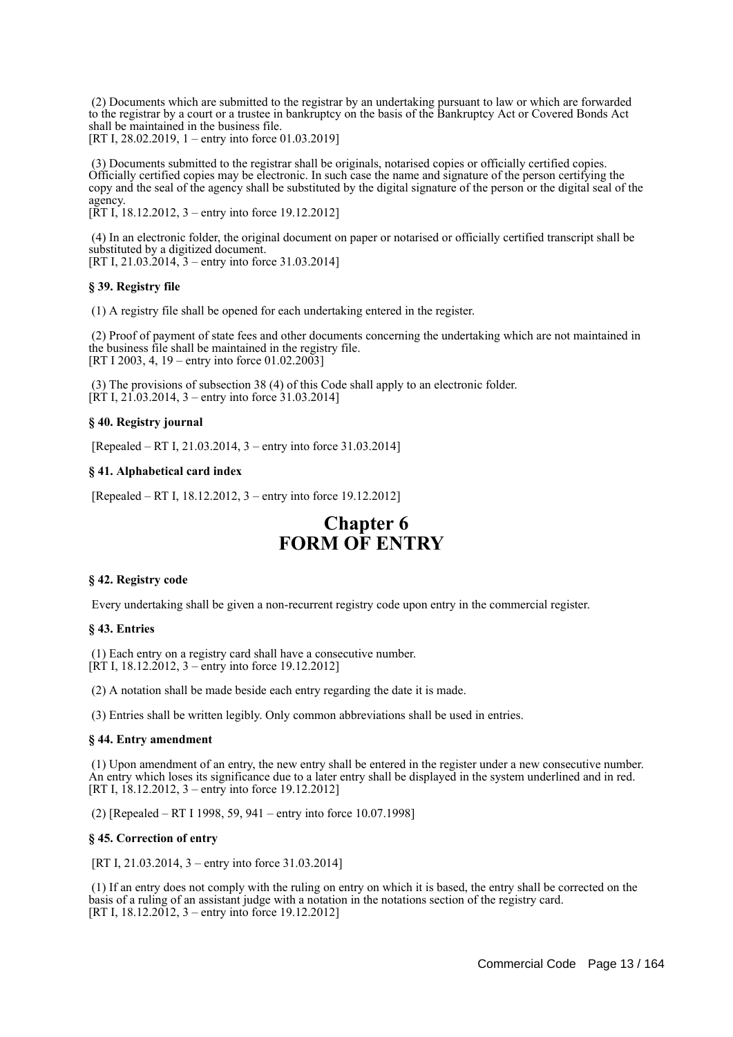(2) Documents which are submitted to the registrar by an undertaking pursuant to law or which are forwarded to the registrar by a court or a trustee in bankruptcy on the basis of the Bankruptcy Act or Covered Bonds Act shall be maintained in the business file.

[RT I, 28.02.2019, 1 – entry into force 01.03.2019]

 (3) Documents submitted to the registrar shall be originals, notarised copies or officially certified copies. Officially certified copies may be electronic. In such case the name and signature of the person certifying the copy and the seal of the agency shall be substituted by the digital signature of the person or the digital seal of the agency.

[RT I, 18.12.2012, 3 – entry into force 19.12.2012]

 (4) In an electronic folder, the original document on paper or notarised or officially certified transcript shall be substituted by a digitized document. [RT I, 21.03.2014, 3 – entry into force 31.03.2014]

#### **§ 39. Registry file**

(1) A registry file shall be opened for each undertaking entered in the register.

 (2) Proof of payment of state fees and other documents concerning the undertaking which are not maintained in the business file shall be maintained in the registry file. [RT I 2003, 4, 19 – entry into force 01.02.2003]

 (3) The provisions of subsection 38 (4) of this Code shall apply to an electronic folder.  $[\hat{R}T I, 21.03.2014, 3 -$  entry into force 31.03.2014]

# **§ 40. Registry journal**

[Repealed – RT I, 21.03.2014, 3 – entry into force 31.03.2014]

# **§ 41. Alphabetical card index**

[Repealed – RT I, 18.12.2012, 3 – entry into force 19.12.2012]

# **Chapter 6 FORM OF ENTRY**

#### **§ 42. Registry code**

Every undertaking shall be given a non-recurrent registry code upon entry in the commercial register.

# **§ 43. Entries**

 (1) Each entry on a registry card shall have a consecutive number. [RT I, 18.12.2012, 3 – entry into force 19.12.2012]

(2) A notation shall be made beside each entry regarding the date it is made.

(3) Entries shall be written legibly. Only common abbreviations shall be used in entries.

#### **§ 44. Entry amendment**

 (1) Upon amendment of an entry, the new entry shall be entered in the register under a new consecutive number. An entry which loses its significance due to a later entry shall be displayed in the system underlined and in red. [RT I, 18.12.2012, 3 – entry into force 19.12.2012]

(2) [Repealed – RT I 1998, 59, 941 – entry into force 10.07.1998]

#### **§ 45. Correction of entry**

[RT I, 21.03.2014, 3 – entry into force 31.03.2014]

 (1) If an entry does not comply with the ruling on entry on which it is based, the entry shall be corrected on the basis of a ruling of an assistant judge with a notation in the notations section of the registry card. [RT I, 18.12.2012, 3 – entry into force 19.12.2012]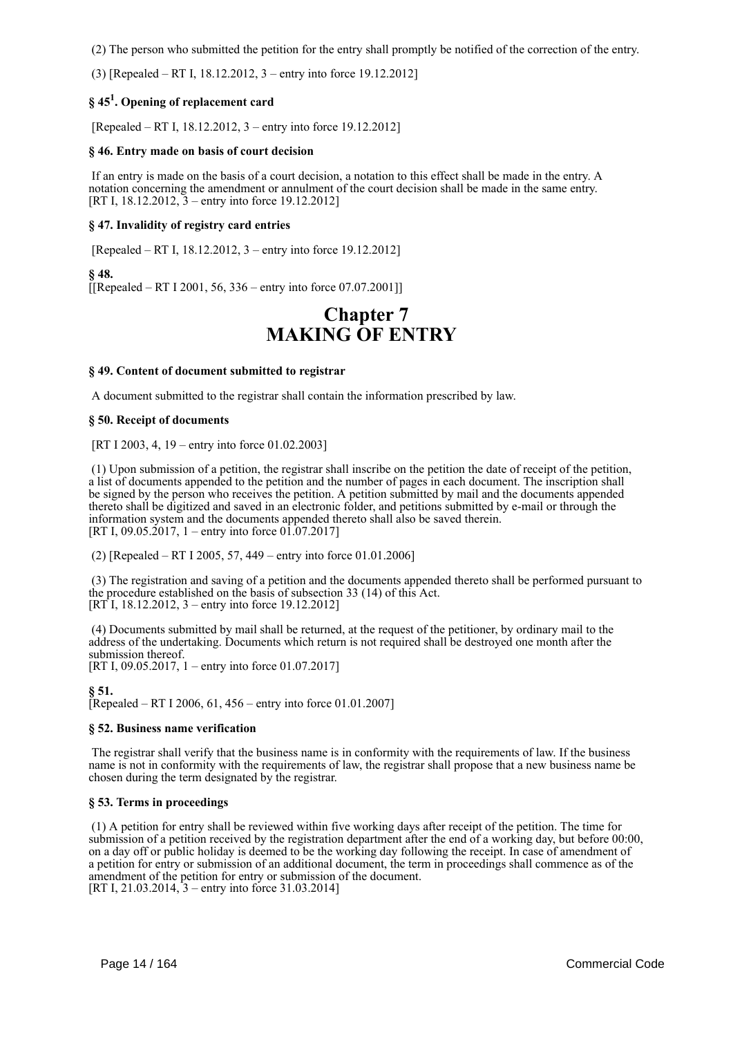(2) The person who submitted the petition for the entry shall promptly be notified of the correction of the entry.

(3) [Repealed – RT I, 18.12.2012, 3 – entry into force 19.12.2012]

# **§ 45<sup>1</sup> . Opening of replacement card**

[Repealed – RT I, 18.12.2012, 3 – entry into force 19.12.2012]

### **§ 46. Entry made on basis of court decision**

 If an entry is made on the basis of a court decision, a notation to this effect shall be made in the entry. A notation concerning the amendment or annulment of the court decision shall be made in the same entry. [RT I, 18.12.2012, 3 – entry into force 19.12.2012]

# **§ 47. Invalidity of registry card entries**

[Repealed – RT I, 18.12.2012, 3 – entry into force 19.12.2012]

**§ 48.**  $[$ [[Repealed – RT I 2001, 56, 336 – entry into force 07,07,2001]]

# **Chapter 7 MAKING OF ENTRY**

# **§ 49. Content of document submitted to registrar**

A document submitted to the registrar shall contain the information prescribed by law.

#### **§ 50. Receipt of documents**

[RT I 2003, 4, 19 – entry into force 01.02.2003]

 (1) Upon submission of a petition, the registrar shall inscribe on the petition the date of receipt of the petition, a list of documents appended to the petition and the number of pages in each document. The inscription shall be signed by the person who receives the petition. A petition submitted by mail and the documents appended thereto shall be digitized and saved in an electronic folder, and petitions submitted by e-mail or through the information system and the documents appended thereto shall also be saved therein. [RT I, 09.05.2017, 1 – entry into force  $01.07.2017$ ]

(2) [Repealed – RT I 2005, 57, 449 – entry into force 01.01.2006]

 (3) The registration and saving of a petition and the documents appended thereto shall be performed pursuant to the procedure established on the basis of subsection 33 (14) of this Act. [RT I, 18.12.2012, 3 – entry into force 19.12.2012]

 (4) Documents submitted by mail shall be returned, at the request of the petitioner, by ordinary mail to the address of the undertaking. Documents which return is not required shall be destroyed one month after the submission thereof. [RT I, 09.05.2017, 1 – entry into force 01.07.2017]

**§ 51.** [Repealed – RT I 2006, 61, 456 – entry into force 01.01.2007]

#### **§ 52. Business name verification**

 The registrar shall verify that the business name is in conformity with the requirements of law. If the business name is not in conformity with the requirements of law, the registrar shall propose that a new business name be chosen during the term designated by the registrar.

# **§ 53. Terms in proceedings**

 (1) A petition for entry shall be reviewed within five working days after receipt of the petition. The time for submission of a petition received by the registration department after the end of a working day, but before 00:00, on a day off or public holiday is deemed to be the working day following the receipt. In case of amendment of a petition for entry or submission of an additional document, the term in proceedings shall commence as of the amendment of the petition for entry or submission of the document. [RT I, 21.03.2014, 3 – entry into force 31.03.2014]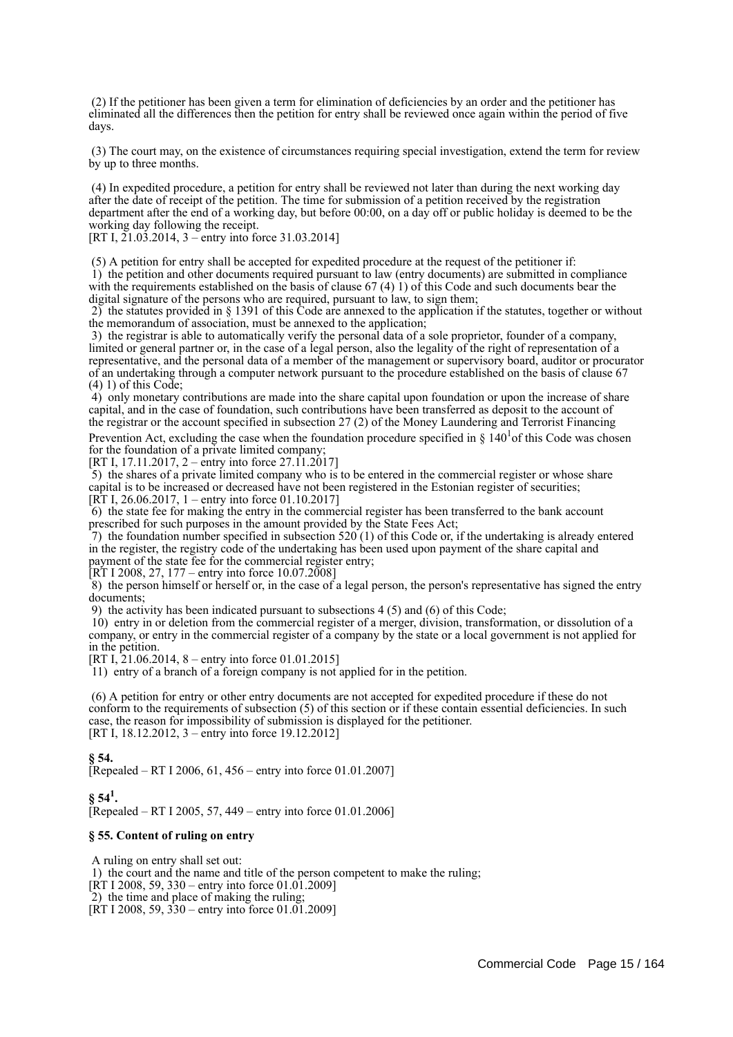(2) If the petitioner has been given a term for elimination of deficiencies by an order and the petitioner has eliminated all the differences then the petition for entry shall be reviewed once again within the period of five days.

 (3) The court may, on the existence of circumstances requiring special investigation, extend the term for review by up to three months.

 (4) In expedited procedure, a petition for entry shall be reviewed not later than during the next working day after the date of receipt of the petition. The time for submission of a petition received by the registration department after the end of a working day, but before 00:00, on a day off or public holiday is deemed to be the working day following the receipt.

[RT I,  $21.03.2014$ ,  $3$  – entry into force 31.03.2014]

 (5) A petition for entry shall be accepted for expedited procedure at the request of the petitioner if: 1) the petition and other documents required pursuant to law (entry documents) are submitted in compliance with the requirements established on the basis of clause 67 (4) 1) of this Code and such documents bear the digital signature of the persons who are required, pursuant to law, to sign them;

 2) the statutes provided in § 1391 of this Code are annexed to the application if the statutes, together or without the memorandum of association, must be annexed to the application;

 3) the registrar is able to automatically verify the personal data of a sole proprietor, founder of a company, limited or general partner or, in the case of a legal person, also the legality of the right of representation of a representative, and the personal data of a member of the management or supervisory board, auditor or procurator of an undertaking through a computer network pursuant to the procedure established on the basis of clause 67  $(4)$  1) of this Code:

 4) only monetary contributions are made into the share capital upon foundation or upon the increase of share capital, and in the case of foundation, such contributions have been transferred as deposit to the account of the registrar or the account specified in subsection 27 (2) of the Money Laundering and Terrorist Financing

Prevention Act, excluding the case when the foundation procedure specified in  $\S 140^{1}$ of this Code was chosen for the foundation of a private limited company;

[RT I, 17.11.2017, 2 – entry into force 27.11.2017]

5) the shares of a private limited company who is to be entered in the commercial register or whose share capital is to be increased or decreased have not been registered in the Estonian register of securities; [RT I, 26.06.2017, 1 – entry into force 01.10.2017]

 6) the state fee for making the entry in the commercial register has been transferred to the bank account prescribed for such purposes in the amount provided by the State Fees Act;

7) the foundation number specified in subsection  $520(1)$  of this Code or, if the undertaking is already entered in the register, the registry code of the undertaking has been used upon payment of the share capital and payment of the state fee for the commercial register entry;

 $[\overline{\text{RT}}\,1\,2008, 27, 177$  – entry into force  $10.07.2008]$ 

 $8$ ) the person himself or herself or, in the case of a legal person, the person's representative has signed the entry documents;

9) the activity has been indicated pursuant to subsections 4 (5) and (6) of this Code;

 10) entry in or deletion from the commercial register of a merger, division, transformation, or dissolution of a company, or entry in the commercial register of a company by the state or a local government is not applied for in the petition.

[RT I, 21.06.2014, 8 – entry into force 01.01.2015]

11) entry of a branch of a foreign company is not applied for in the petition.

 (6) A petition for entry or other entry documents are not accepted for expedited procedure if these do not conform to the requirements of subsection (5) of this section or if these contain essential deficiencies. In such case, the reason for impossibility of submission is displayed for the petitioner. [RT I, 18.12.2012, 3 – entry into force 19.12.2012]

#### **§ 54.**

[Repealed – RT I 2006, 61, 456 – entry into force 01.01.2007]

 $\S 54^1$ . [Repealed – RT I 2005, 57, 449 – entry into force 01.01.2006]

#### **§ 55. Content of ruling on entry**

A ruling on entry shall set out:

1) the court and the name and title of the person competent to make the ruling;

[RT I 2008, 59, 330 – entry into force 01.01.2009]

2) the time and place of making the ruling;

[RT I 2008, 59,  $330 -$  entry into force 01.01.2009]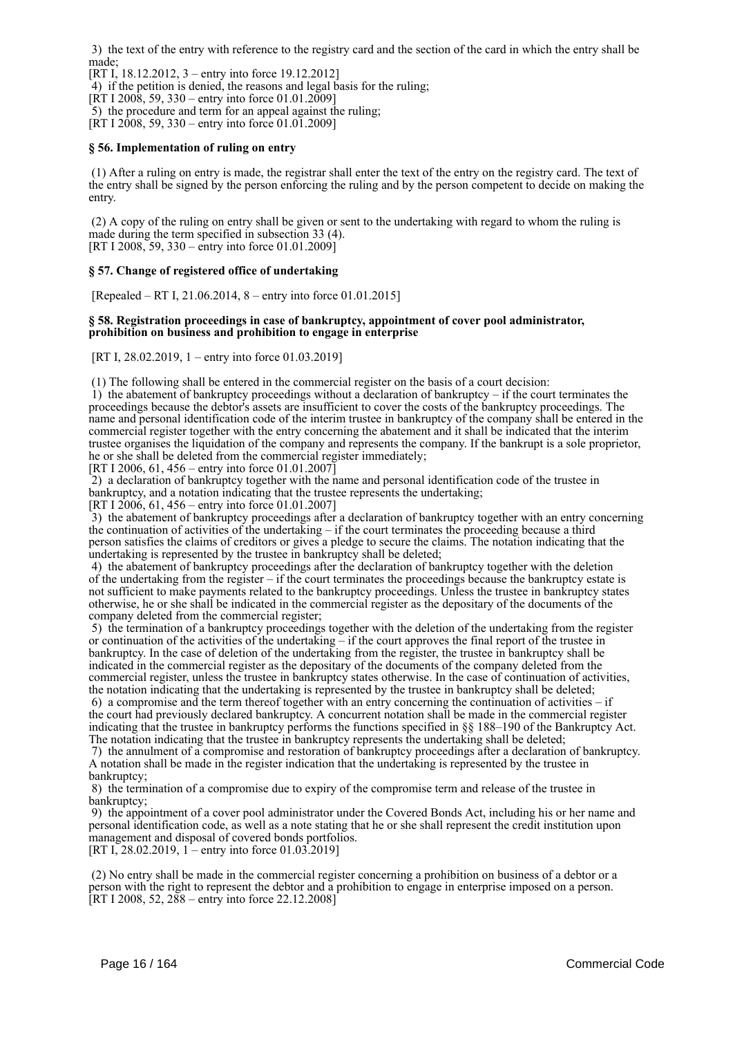3) the text of the entry with reference to the registry card and the section of the card in which the entry shall be made;

[RT I, 18.12.2012, 3 – entry into force 19.12.2012]

4) if the petition is denied, the reasons and legal basis for the ruling;

[RT I 2008, 59, 330 – entry into force 01.01.2009]

5) the procedure and term for an appeal against the ruling;

[RT I 2008, 59, 330 – entry into force 01.01.2009]

# **§ 56. Implementation of ruling on entry**

 (1) After a ruling on entry is made, the registrar shall enter the text of the entry on the registry card. The text of the entry shall be signed by the person enforcing the ruling and by the person competent to decide on making the entry.

 (2) A copy of the ruling on entry shall be given or sent to the undertaking with regard to whom the ruling is made during the term specified in subsection 33 (4). [RT I 2008, 59, 330 – entry into force 01.01.2009]

# **§ 57. Change of registered office of undertaking**

[Repealed – RT I, 21.06.2014, 8 – entry into force 01.01.2015]

#### **§ 58. Registration proceedings in case of bankruptcy, appointment of cover pool administrator, prohibition on business and prohibition to engage in enterprise**

[RT I, 28.02.2019, 1 – entry into force 01.03.2019]

(1) The following shall be entered in the commercial register on the basis of a court decision:

 $1)$  the abatement of bankruptcy proceedings without a declaration of bankruptcy – if the court terminates the proceedings because the debtor's assets are insufficient to cover the costs of the bankruptcy proceedings. The name and personal identification code of the interim trustee in bankruptcy of the company shall be entered in the commercial register together with the entry concerning the abatement and it shall be indicated that the interim trustee organises the liquidation of the company and represents the company. If the bankrupt is a sole proprietor, he or she shall be deleted from the commercial register immediately;

[RT I 2006, 61, 456 – entry into force 01.01.2007]

 2) a declaration of bankruptcy together with the name and personal identification code of the trustee in bankruptcy, and a notation indicating that the trustee represents the undertaking;

[RT I  $2006, 61, 456$  – entry into force 01.01.2007]

 3) the abatement of bankruptcy proceedings after a declaration of bankruptcy together with an entry concerning the continuation of activities of the undertaking – if the court terminates the proceeding because a third person satisfies the claims of creditors or gives a pledge to secure the claims. The notation indicating that the undertaking is represented by the trustee in bankruptcy shall be deleted;

 4) the abatement of bankruptcy proceedings after the declaration of bankruptcy together with the deletion of the undertaking from the register – if the court terminates the proceedings because the bankruptcy estate is not sufficient to make payments related to the bankruptcy proceedings. Unless the trustee in bankruptcy states otherwise, he or she shall be indicated in the commercial register as the depositary of the documents of the company deleted from the commercial register;

 5) the termination of a bankruptcy proceedings together with the deletion of the undertaking from the register or continuation of the activities of the undertaking  $-$  if the court approves the final report of the trustee in bankruptcy. In the case of deletion of the undertaking from the register, the trustee in bankruptcy shall be indicated in the commercial register as the depositary of the documents of the company deleted from the commercial register, unless the trustee in bankruptcy states otherwise. In the case of continuation of activities, the notation indicating that the undertaking is represented by the trustee in bankruptcy shall be deleted;

 6) a compromise and the term thereof together with an entry concerning the continuation of activities – if the court had previously declared bankruptcy. A concurrent notation shall be made in the commercial register indicating that the trustee in bankruptcy performs the functions specified in §§ 188–190 of the Bankruptcy Act. The notation indicating that the trustee in bankruptcy represents the undertaking shall be deleted;

 7) the annulment of a compromise and restoration of bankruptcy proceedings after a declaration of bankruptcy. A notation shall be made in the register indication that the undertaking is represented by the trustee in bankruptcy;

 8) the termination of a compromise due to expiry of the compromise term and release of the trustee in bankruptcy;

 9) the appointment of a cover pool administrator under the Covered Bonds Act, including his or her name and personal identification code, as well as a note stating that he or she shall represent the credit institution upon management and disposal of covered bonds portfolios.

[RT I, 28.02.2019, 1 – entry into force 01.03.2019]

 (2) No entry shall be made in the commercial register concerning a prohibition on business of a debtor or a person with the right to represent the debtor and a prohibition to engage in enterprise imposed on a person.  $[RT I 2008, 52, 288 - entry into force 22.12.2008]$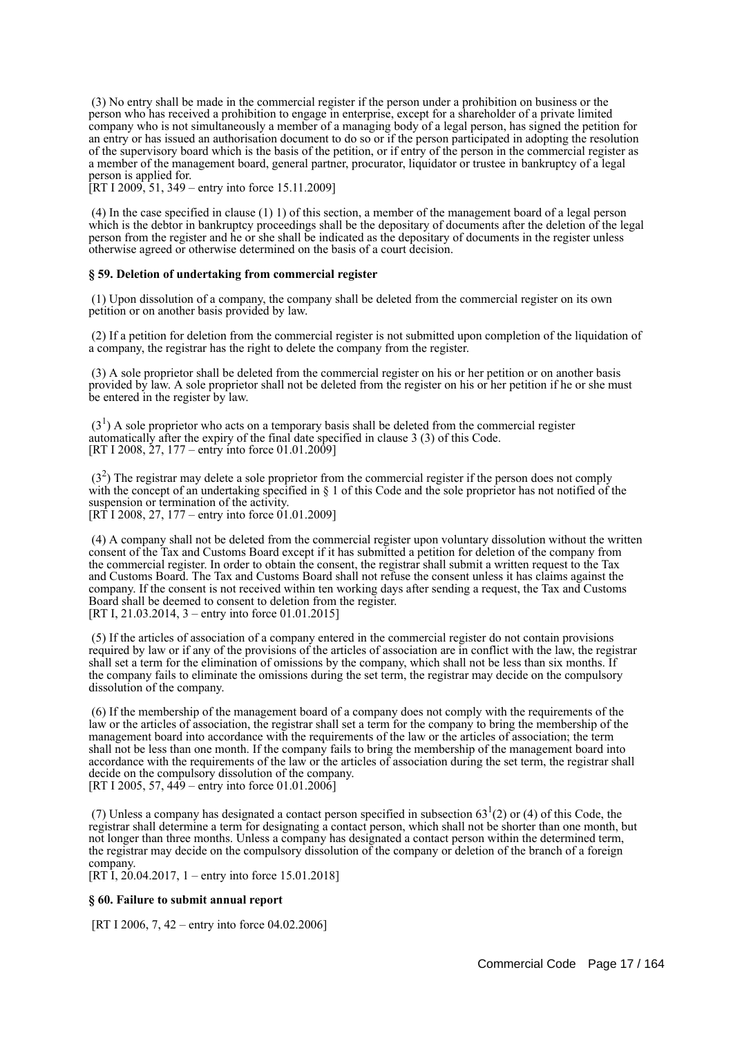(3) No entry shall be made in the commercial register if the person under a prohibition on business or the person who has received a prohibition to engage in enterprise, except for a shareholder of a private limited company who is not simultaneously a member of a managing body of a legal person, has signed the petition for an entry or has issued an authorisation document to do so or if the person participated in adopting the resolution of the supervisory board which is the basis of the petition, or if entry of the person in the commercial register as a member of the management board, general partner, procurator, liquidator or trustee in bankruptcy of a legal person is applied for.

[RT I 2009, 51, 349 – entry into force 15.11.2009]

 (4) In the case specified in clause (1) 1) of this section, a member of the management board of a legal person which is the debtor in bankruptcy proceedings shall be the depositary of documents after the deletion of the legal person from the register and he or she shall be indicated as the depositary of documents in the register unless otherwise agreed or otherwise determined on the basis of a court decision.

#### **§ 59. Deletion of undertaking from commercial register**

 (1) Upon dissolution of a company, the company shall be deleted from the commercial register on its own petition or on another basis provided by law.

 (2) If a petition for deletion from the commercial register is not submitted upon completion of the liquidation of a company, the registrar has the right to delete the company from the register.

 (3) A sole proprietor shall be deleted from the commercial register on his or her petition or on another basis provided by law. A sole proprietor shall not be deleted from the register on his or her petition if he or she must be entered in the register by law.

 $(3<sup>1</sup>)$  A sole proprietor who acts on a temporary basis shall be deleted from the commercial register automatically after the expiry of the final date specified in clause 3 (3) of this Code. [RT I 2008,  $27$ , 177 – entry into force 01.01.2009]

 $(3<sup>2</sup>)$  The registrar may delete a sole proprietor from the commercial register if the person does not comply with the concept of an undertaking specified in § 1 of this Code and the sole proprietor has not notified of the suspension or termination of the activity. [RT I 2008, 27, 177 – entry into force 01.01.2009]

 (4) A company shall not be deleted from the commercial register upon voluntary dissolution without the written consent of the Tax and Customs Board except if it has submitted a petition for deletion of the company from the commercial register. In order to obtain the consent, the registrar shall submit a written request to the Tax and Customs Board. The Tax and Customs Board shall not refuse the consent unless it has claims against the company. If the consent is not received within ten working days after sending a request, the Tax and Customs Board shall be deemed to consent to deletion from the register. [RT I, 21.03.2014, 3 – entry into force 01.01.2015]

 (5) If the articles of association of a company entered in the commercial register do not contain provisions required by law or if any of the provisions of the articles of association are in conflict with the law, the registrar shall set a term for the elimination of omissions by the company, which shall not be less than six months. If the company fails to eliminate the omissions during the set term, the registrar may decide on the compulsory dissolution of the company.

 (6) If the membership of the management board of a company does not comply with the requirements of the law or the articles of association, the registrar shall set a term for the company to bring the membership of the management board into accordance with the requirements of the law or the articles of association; the term shall not be less than one month. If the company fails to bring the membership of the management board into accordance with the requirements of the law or the articles of association during the set term, the registrar shall decide on the compulsory dissolution of the company. [RT I 2005, 57, 449 – entry into force 01.01.2006]

(7) Unless a company has designated a contact person specified in subsection  $63<sup>1</sup>(2)$  or (4) of this Code, the registrar shall determine a term for designating a contact person, which shall not be shorter than one month, but not longer than three months. Unless a company has designated a contact person within the determined term, the registrar may decide on the compulsory dissolution of the company or deletion of the branch of a foreign company.

[RT I, 20.04.2017, 1 – entry into force 15.01.2018]

#### **§ 60. Failure to submit annual report**

[RT I 2006, 7, 42 – entry into force 04.02.2006]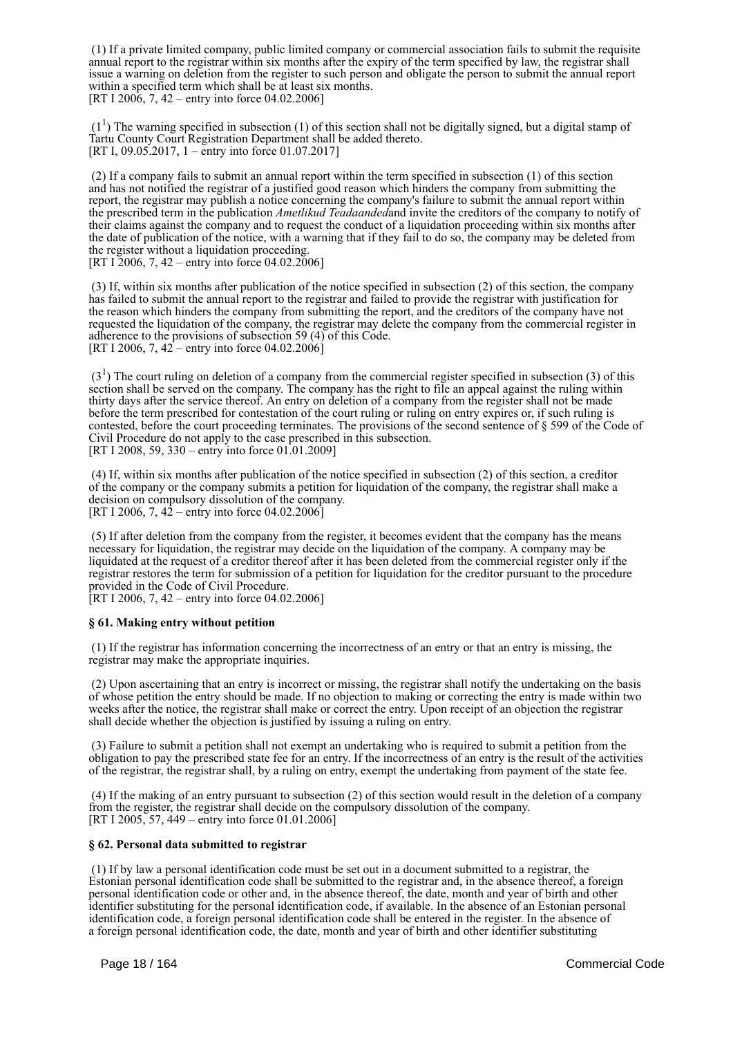(1) If a private limited company, public limited company or commercial association fails to submit the requisite annual report to the registrar within six months after the expiry of the term specified by law, the registrar shall issue a warning on deletion from the register to such person and obligate the person to submit the annual report within a specified term which shall be at least six months. [RT I 2006, 7, 42 – entry into force 04.02.2006]

 $(1<sup>1</sup>)$  The warning specified in subsection (1) of this section shall not be digitally signed, but a digital stamp of Tartu County Court Registration Department shall be added thereto. [RT I, 09.05.2017, 1 – entry into force 01.07.2017]

 (2) If a company fails to submit an annual report within the term specified in subsection (1) of this section and has not notified the registrar of a justified good reason which hinders the company from submitting the report, the registrar may publish a notice concerning the company's failure to submit the annual report within the prescribed term in the publication *Ametlikud Teadaanded*and invite the creditors of the company to notify of their claims against the company and to request the conduct of a liquidation proceeding within six months after the date of publication of the notice, with a warning that if they fail to do so, the company may be deleted from the register without a liquidation proceeding. [RT I 2006, 7, 42 – entry into force 04.02.2006]

 (3) If, within six months after publication of the notice specified in subsection (2) of this section, the company has failed to submit the annual report to the registrar and failed to provide the registrar with justification for the reason which hinders the company from submitting the report, and the creditors of the company have not requested the liquidation of the company, the registrar may delete the company from the commercial register in adherence to the provisions of subsection 59 (4) of this Code. [RT I 2006, 7,  $42$  – entry into force 04.02.2006]

 $(3<sup>1</sup>)$  The court ruling on deletion of a company from the commercial register specified in subsection (3) of this section shall be served on the company. The company has the right to file an appeal against the ruling within thirty days after the service thereof. An entry on deletion of a company from the register shall not be made before the term prescribed for contestation of the court ruling or ruling on entry expires or, if such ruling is contested, before the court proceeding terminates. The provisions of the second sentence of § 599 of the Code of Civil Procedure do not apply to the case prescribed in this subsection. [RT I 2008, 59, 330 – entry into force 01.01.2009]

 (4) If, within six months after publication of the notice specified in subsection (2) of this section, a creditor of the company or the company submits a petition for liquidation of the company, the registrar shall make a decision on compulsory dissolution of the company. [RT I 2006, 7,  $42$  – entry into force 04.02.2006]

 (5) If after deletion from the company from the register, it becomes evident that the company has the means necessary for liquidation, the registrar may decide on the liquidation of the company. A company may be liquidated at the request of a creditor thereof after it has been deleted from the commercial register only if the registrar restores the term for submission of a petition for liquidation for the creditor pursuant to the procedure provided in the Code of Civil Procedure.

[RT I 2006, 7, 42 – entry into force 04.02.2006]

#### **§ 61. Making entry without petition**

 (1) If the registrar has information concerning the incorrectness of an entry or that an entry is missing, the registrar may make the appropriate inquiries.

 (2) Upon ascertaining that an entry is incorrect or missing, the registrar shall notify the undertaking on the basis of whose petition the entry should be made. If no objection to making or correcting the entry is made within two weeks after the notice, the registrar shall make or correct the entry. Upon receipt of an objection the registrar shall decide whether the objection is justified by issuing a ruling on entry.

 (3) Failure to submit a petition shall not exempt an undertaking who is required to submit a petition from the obligation to pay the prescribed state fee for an entry. If the incorrectness of an entry is the result of the activities of the registrar, the registrar shall, by a ruling on entry, exempt the undertaking from payment of the state fee.

 (4) If the making of an entry pursuant to subsection (2) of this section would result in the deletion of a company from the register, the registrar shall decide on the compulsory dissolution of the company. [RT I 2005, 57, 449 – entry into force 01.01.2006]

# **§ 62. Personal data submitted to registrar**

 (1) If by law a personal identification code must be set out in a document submitted to a registrar, the Estonian personal identification code shall be submitted to the registrar and, in the absence thereof, a foreign personal identification code or other and, in the absence thereof, the date, month and year of birth and other identifier substituting for the personal identification code, if available. In the absence of an Estonian personal identification code, a foreign personal identification code shall be entered in the register. In the absence of a foreign personal identification code, the date, month and year of birth and other identifier substituting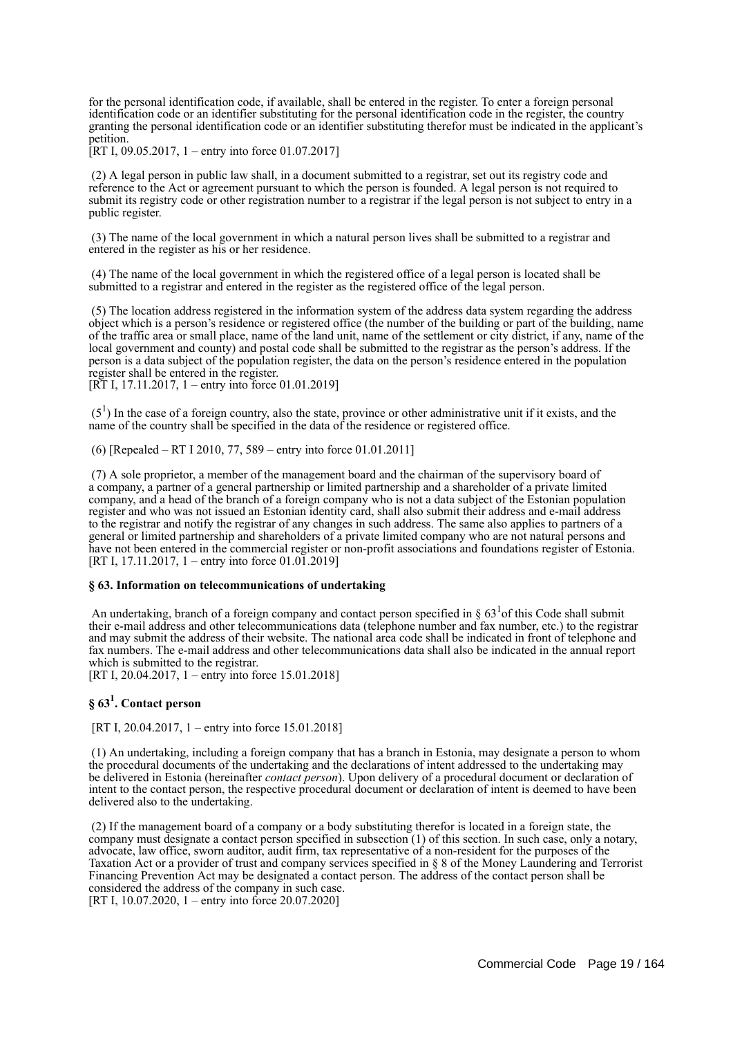for the personal identification code, if available, shall be entered in the register. To enter a foreign personal identification code or an identifier substituting for the personal identification code in the register, the country granting the personal identification code or an identifier substituting therefor must be indicated in the applicant's petition.

[RT I, 09.05.2017, 1 – entry into force 01.07.2017]

 (2) A legal person in public law shall, in a document submitted to a registrar, set out its registry code and reference to the Act or agreement pursuant to which the person is founded. A legal person is not required to submit its registry code or other registration number to a registrar if the legal person is not subject to entry in a public register.

 (3) The name of the local government in which a natural person lives shall be submitted to a registrar and entered in the register as his or her residence.

 (4) The name of the local government in which the registered office of a legal person is located shall be submitted to a registrar and entered in the register as the registered office of the legal person.

 (5) The location address registered in the information system of the address data system regarding the address object which is a person's residence or registered office (the number of the building or part of the building, name of the traffic area or small place, name of the land unit, name of the settlement or city district, if any, name of the local government and county) and postal code shall be submitted to the registrar as the person's address. If the person is a data subject of the population register, the data on the person's residence entered in the population register shall be entered in the register.

[RT I, 17.11.2017, 1 – entry into force 01.01.2019]

 $(5<sup>1</sup>)$  In the case of a foreign country, also the state, province or other administrative unit if it exists, and the name of the country shall be specified in the data of the residence or registered office.

(6) [Repealed – RT I 2010, 77, 589 – entry into force 01.01.2011]

 (7) A sole proprietor, a member of the management board and the chairman of the supervisory board of a company, a partner of a general partnership or limited partnership and a shareholder of a private limited company, and a head of the branch of a foreign company who is not a data subject of the Estonian population register and who was not issued an Estonian identity card, shall also submit their address and e-mail address to the registrar and notify the registrar of any changes in such address. The same also applies to partners of a general or limited partnership and shareholders of a private limited company who are not natural persons and have not been entered in the commercial register or non-profit associations and foundations register of Estonia. [RT I, 17.11.2017, 1 – entry into force 01.01.2019]

# **§ 63. Information on telecommunications of undertaking**

An undertaking, branch of a foreign company and contact person specified in  $\S 63<sup>1</sup>$  of this Code shall submit their e-mail address and other telecommunications data (telephone number and fax number, etc.) to the registrar and may submit the address of their website. The national area code shall be indicated in front of telephone and fax numbers. The e-mail address and other telecommunications data shall also be indicated in the annual report which is submitted to the registrar.

[RT I, 20.04.2017, 1 – entry into force 15.01.2018]

# **§ 63<sup>1</sup> . Contact person**

[RT I, 20.04.2017, 1 – entry into force 15.01.2018]

 (1) An undertaking, including a foreign company that has a branch in Estonia, may designate a person to whom the procedural documents of the undertaking and the declarations of intent addressed to the undertaking may be delivered in Estonia (hereinafter *contact person*). Upon delivery of a procedural document or declaration of intent to the contact person, the respective procedural document or declaration of intent is deemed to have been delivered also to the undertaking.

 (2) If the management board of a company or a body substituting therefor is located in a foreign state, the company must designate a contact person specified in subsection (1) of this section. In such case, only a notary, advocate, law office, sworn auditor, audit firm, tax representative of a non-resident for the purposes of the Taxation Act or a provider of trust and company services specified in § 8 of the Money Laundering and Terrorist Financing Prevention Act may be designated a contact person. The address of the contact person shall be considered the address of the company in such case. [RT I, 10.07.2020, 1 – entry into force 20.07.2020]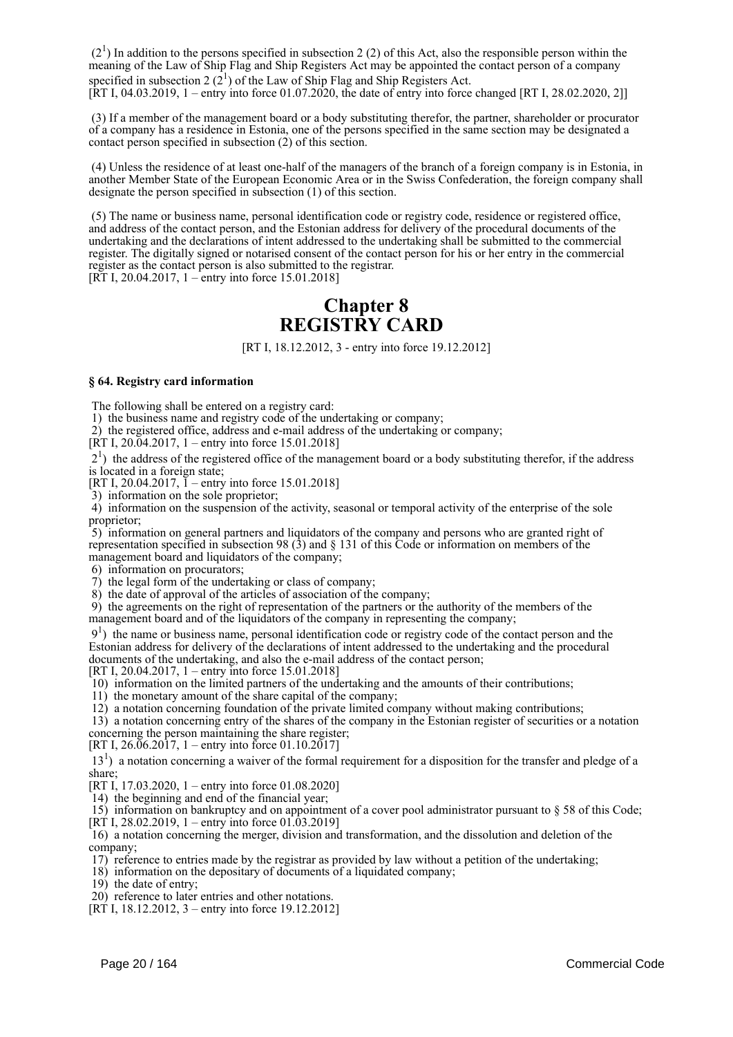$(2<sup>1</sup>)$  In addition to the persons specified in subsection 2 (2) of this Act, also the responsible person within the meaning of the Law of Ship Flag and Ship Registers Act may be appointed the contact person of a company specified in subsection 2  $(2^1)$  of the Law of Ship Flag and Ship Registers Act. [RT I, 04.03.2019, 1 – entry into force 01.07.2020, the date of entry into force changed [RT I, 28.02.2020, 2]]

 (3) If a member of the management board or a body substituting therefor, the partner, shareholder or procurator of a company has a residence in Estonia, one of the persons specified in the same section may be designated a contact person specified in subsection (2) of this section.

 (4) Unless the residence of at least one-half of the managers of the branch of a foreign company is in Estonia, in another Member State of the European Economic Area or in the Swiss Confederation, the foreign company shall designate the person specified in subsection (1) of this section.

 (5) The name or business name, personal identification code or registry code, residence or registered office, and address of the contact person, and the Estonian address for delivery of the procedural documents of the undertaking and the declarations of intent addressed to the undertaking shall be submitted to the commercial register. The digitally signed or notarised consent of the contact person for his or her entry in the commercial register as the contact person is also submitted to the registrar. [RT I, 20.04.2017, 1 – entry into force 15.01.2018]

# **Chapter 8 REGISTRY CARD**

[RT I, 18.12.2012, 3 - entry into force 19.12.2012]

#### **§ 64. Registry card information**

The following shall be entered on a registry card:

1) the business name and registry code of the undertaking or company;

2) the registered office, address and e-mail address of the undertaking or company;

[RT I, 20.04.2017, 1 – entry into force 15.01.2018]

 21 ) the address of the registered office of the management board or a body substituting therefor, if the address is located in a foreign state;

[RT I, 20.04.2017,  $\bar{1}$  – entry into force 15.01.2018]

3) information on the sole proprietor;

 4) information on the suspension of the activity, seasonal or temporal activity of the enterprise of the sole proprietor;

 5) information on general partners and liquidators of the company and persons who are granted right of representation specified in subsection 98 (3) and § 131 of this Code or information on members of the management board and liquidators of the company;

6) information on procurators;

7) the legal form of the undertaking or class of company;

8) the date of approval of the articles of association of the company;

 9) the agreements on the right of representation of the partners or the authority of the members of the management board and of the liquidators of the company in representing the company;

 91 ) the name or business name, personal identification code or registry code of the contact person and the Estonian address for delivery of the declarations of intent addressed to the undertaking and the procedural documents of the undertaking, and also the e-mail address of the contact person;

[RT I, 20.04.2017, 1 – entry into force 15.01.2018]

10) information on the limited partners of the undertaking and the amounts of their contributions;

11) the monetary amount of the share capital of the company;

12) a notation concerning foundation of the private limited company without making contributions;

 13) a notation concerning entry of the shares of the company in the Estonian register of securities or a notation concerning the person maintaining the share register;

[RT I, 26.06.2017, 1 – entry into force 01.10.2017]

13<sup>1</sup>) a notation concerning a waiver of the formal requirement for a disposition for the transfer and pledge of a share;

[RT I, 17.03.2020, 1 – entry into force 01.08.2020]

14) the beginning and end of the financial year;

 15) information on bankruptcy and on appointment of a cover pool administrator pursuant to § 58 of this Code; [RT I, 28.02.2019, 1 – entry into force 01.03.2019]

 16) a notation concerning the merger, division and transformation, and the dissolution and deletion of the company;

17) reference to entries made by the registrar as provided by law without a petition of the undertaking;

18) information on the depositary of documents of a liquidated company;

19) the date of entry;

20) reference to later entries and other notations.

[RT I, 18.12.2012, 3 – entry into force 19.12.2012]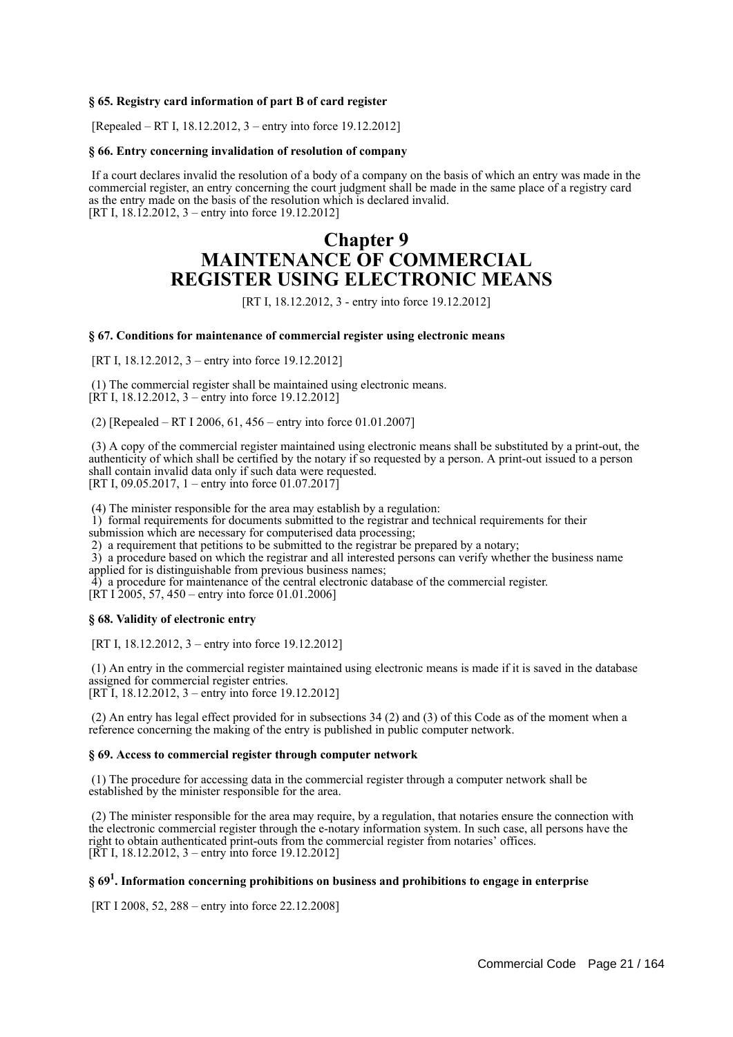### **§ 65. Registry card information of part B of card register**

[Repealed – RT I, 18.12.2012, 3 – entry into force 19.12.2012]

#### **§ 66. Entry concerning invalidation of resolution of company**

 If a court declares invalid the resolution of a body of a company on the basis of which an entry was made in the commercial register, an entry concerning the court judgment shall be made in the same place of a registry card as the entry made on the basis of the resolution which is declared invalid. [RT I, 18.12.2012, 3 – entry into force 19.12.2012]

# **Chapter 9 MAINTENANCE OF COMMERCIAL REGISTER USING ELECTRONIC MEANS**

[RT I, 18.12.2012, 3 - entry into force 19.12.2012]

#### **§ 67. Conditions for maintenance of commercial register using electronic means**

[RT I, 18.12.2012, 3 – entry into force 19.12.2012]

 (1) The commercial register shall be maintained using electronic means.  $[\hat{R}T I, 18.12.2012, 3 - \hat{entry}$  into force 19.12.2012]

(2) [Repealed – RT I 2006, 61, 456 – entry into force 01.01.2007]

 (3) A copy of the commercial register maintained using electronic means shall be substituted by a print-out, the authenticity of which shall be certified by the notary if so requested by a person. A print-out issued to a person shall contain invalid data only if such data were requested. [RT I, 09.05.2017, 1 – entry into force 01.07.2017]

(4) The minister responsible for the area may establish by a regulation:

1) formal requirements for documents submitted to the registrar and technical requirements for their

submission which are necessary for computerised data processing;

2) a requirement that petitions to be submitted to the registrar be prepared by a notary;

3) a procedure based on which the registrar and all interested persons can verify whether the business name

applied for is distinguishable from previous business names;

4) a procedure for maintenance of the central electronic database of the commercial register.

[RT I 2005, 57, 450 – entry into force 01.01.2006]

#### **§ 68. Validity of electronic entry**

[RT I, 18.12.2012, 3 – entry into force 19.12.2012]

 (1) An entry in the commercial register maintained using electronic means is made if it is saved in the database assigned for commercial register entries. [RT I, 18.12.2012, 3 – entry into force 19.12.2012]

 (2) An entry has legal effect provided for in subsections 34 (2) and (3) of this Code as of the moment when a reference concerning the making of the entry is published in public computer network.

#### **§ 69. Access to commercial register through computer network**

 (1) The procedure for accessing data in the commercial register through a computer network shall be established by the minister responsible for the area.

 (2) The minister responsible for the area may require, by a regulation, that notaries ensure the connection with the electronic commercial register through the e-notary information system. In such case, all persons have the right to obtain authenticated print-outs from the commercial register from notaries' offices. [RT I, 18.12.2012, 3 – entry into force 19.12.2012]

# **§ 69<sup>1</sup> . Information concerning prohibitions on business and prohibitions to engage in enterprise**

[RT I 2008, 52, 288 – entry into force 22.12.2008]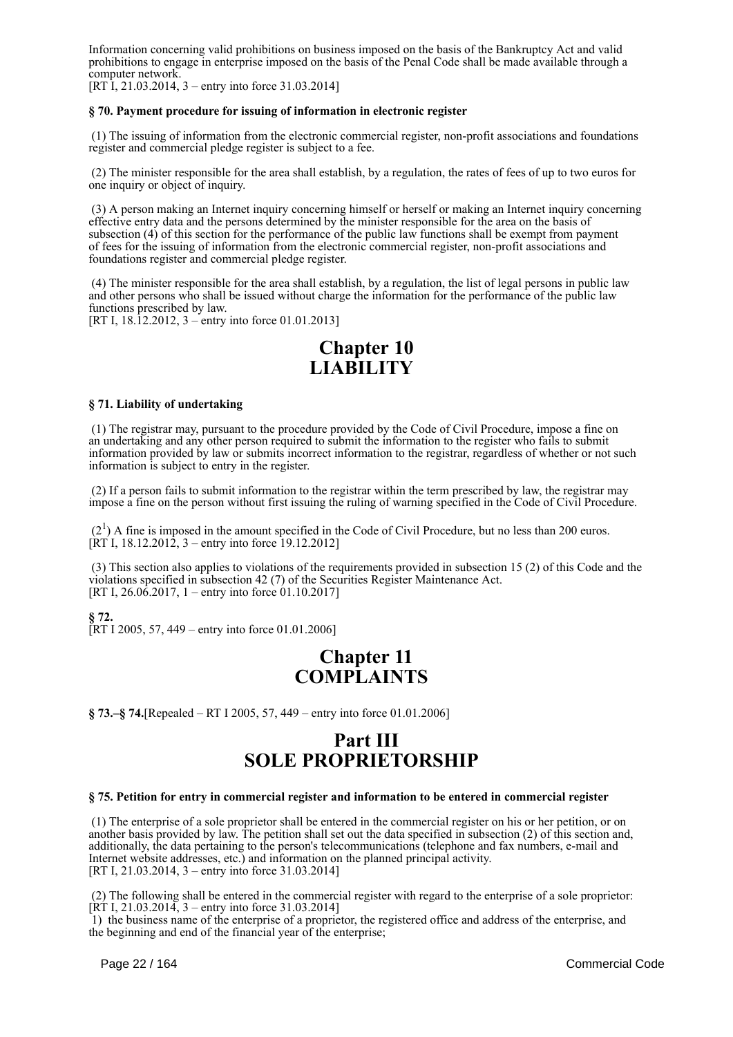Information concerning valid prohibitions on business imposed on the basis of the Bankruptcy Act and valid prohibitions to engage in enterprise imposed on the basis of the Penal Code shall be made available through a computer network.

[RT I, 21.03.2014, 3 – entry into force 31.03.2014]

# **§ 70. Payment procedure for issuing of information in electronic register**

 (1) The issuing of information from the electronic commercial register, non-profit associations and foundations register and commercial pledge register is subject to a fee.

 (2) The minister responsible for the area shall establish, by a regulation, the rates of fees of up to two euros for one inquiry or object of inquiry.

 (3) A person making an Internet inquiry concerning himself or herself or making an Internet inquiry concerning effective entry data and the persons determined by the minister responsible for the area on the basis of subsection (4) of this section for the performance of the public law functions shall be exempt from payment of fees for the issuing of information from the electronic commercial register, non-profit associations and foundations register and commercial pledge register.

 (4) The minister responsible for the area shall establish, by a regulation, the list of legal persons in public law and other persons who shall be issued without charge the information for the performance of the public law functions prescribed by law.

[RT I, 18.12.2012, 3 – entry into force 01.01.2013]

# **Chapter 10 LIABILITY**

#### **§ 71. Liability of undertaking**

 (1) The registrar may, pursuant to the procedure provided by the Code of Civil Procedure, impose a fine on an undertaking and any other person required to submit the information to the register who fails to submit information provided by law or submits incorrect information to the registrar, regardless of whether or not such information is subject to entry in the register.

 (2) If a person fails to submit information to the registrar within the term prescribed by law, the registrar may impose a fine on the person without first issuing the ruling of warning specified in the Code of Civil Procedure.

 $(2<sup>1</sup>)$  A fine is imposed in the amount specified in the Code of Civil Procedure, but no less than 200 euros. [RT I, 18.12.2012, 3 – entry into force  $19.12.2012$ ]

 (3) This section also applies to violations of the requirements provided in subsection 15 (2) of this Code and the violations specified in subsection 42 (7) of the Securities Register Maintenance Act. [RT I,  $26.06.2017$ , 1 – entry into force 01.10.2017]

**§ 72.**

[RT I 2005, 57, 449 – entry into force 01.01.2006]

# **Chapter 11 COMPLAINTS**

**§ 73.–§ 74.**[Repealed – RT I 2005, 57, 449 – entry into force 01.01.2006]

# **Part III SOLE PROPRIETORSHIP**

# **§ 75. Petition for entry in commercial register and information to be entered in commercial register**

 (1) The enterprise of a sole proprietor shall be entered in the commercial register on his or her petition, or on another basis provided by law. The petition shall set out the data specified in subsection (2) of this section and, additionally, the data pertaining to the person's telecommunications (telephone and fax numbers, e-mail and Internet website addresses, etc.) and information on the planned principal activity. [RT I, 21.03.2014, 3 – entry into force 31.03.2014]

 (2) The following shall be entered in the commercial register with regard to the enterprise of a sole proprietor: [RT I, 21.03.2014, 3 – entry into force 31.03.2014]

 1) the business name of the enterprise of a proprietor, the registered office and address of the enterprise, and the beginning and end of the financial year of the enterprise;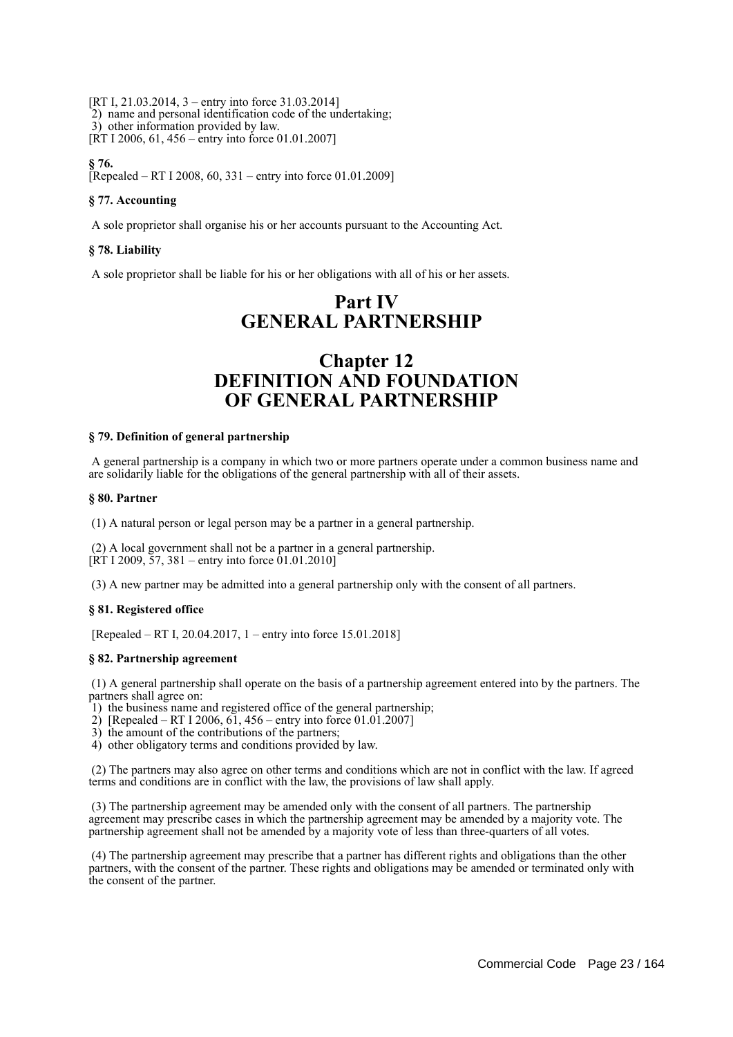[RT I, 21.03.2014, 3 – entry into force 31.03.2014] 2) name and personal identification code of the undertaking; 3) other information provided by law. [RT I 2006, 61, 456 – entry into force 01.01.2007]

# **§ 76.**

[Repealed – RT I 2008, 60, 331 – entry into force 01.01.2009]

# **§ 77. Accounting**

A sole proprietor shall organise his or her accounts pursuant to the Accounting Act.

# **§ 78. Liability**

A sole proprietor shall be liable for his or her obligations with all of his or her assets.

# **Part IV GENERAL PARTNERSHIP**

# **Chapter 12 DEFINITION AND FOUNDATION OF GENERAL PARTNERSHIP**

# **§ 79. Definition of general partnership**

 A general partnership is a company in which two or more partners operate under a common business name and are solidarily liable for the obligations of the general partnership with all of their assets.

#### **§ 80. Partner**

(1) A natural person or legal person may be a partner in a general partnership.

 (2) A local government shall not be a partner in a general partnership.  $[\overline{RT} 1 2009, \overline{57}, 381 -$  entry into force 01.01.2010]

(3) A new partner may be admitted into a general partnership only with the consent of all partners.

# **§ 81. Registered office**

[Repealed – RT I, 20.04.2017, 1 – entry into force 15.01.2018]

#### **§ 82. Partnership agreement**

 (1) A general partnership shall operate on the basis of a partnership agreement entered into by the partners. The partners shall agree on:

- 1) the business name and registered office of the general partnership;
- 2) [Repealed RT I 2006, 61, 456 entry into force 01.01.2007]
- 3) the amount of the contributions of the partners;
- 4) other obligatory terms and conditions provided by law.

 (2) The partners may also agree on other terms and conditions which are not in conflict with the law. If agreed terms and conditions are in conflict with the law, the provisions of law shall apply.

 (3) The partnership agreement may be amended only with the consent of all partners. The partnership agreement may prescribe cases in which the partnership agreement may be amended by a majority vote. The partnership agreement shall not be amended by a majority vote of less than three-quarters of all votes.

 (4) The partnership agreement may prescribe that a partner has different rights and obligations than the other partners, with the consent of the partner. These rights and obligations may be amended or terminated only with the consent of the partner.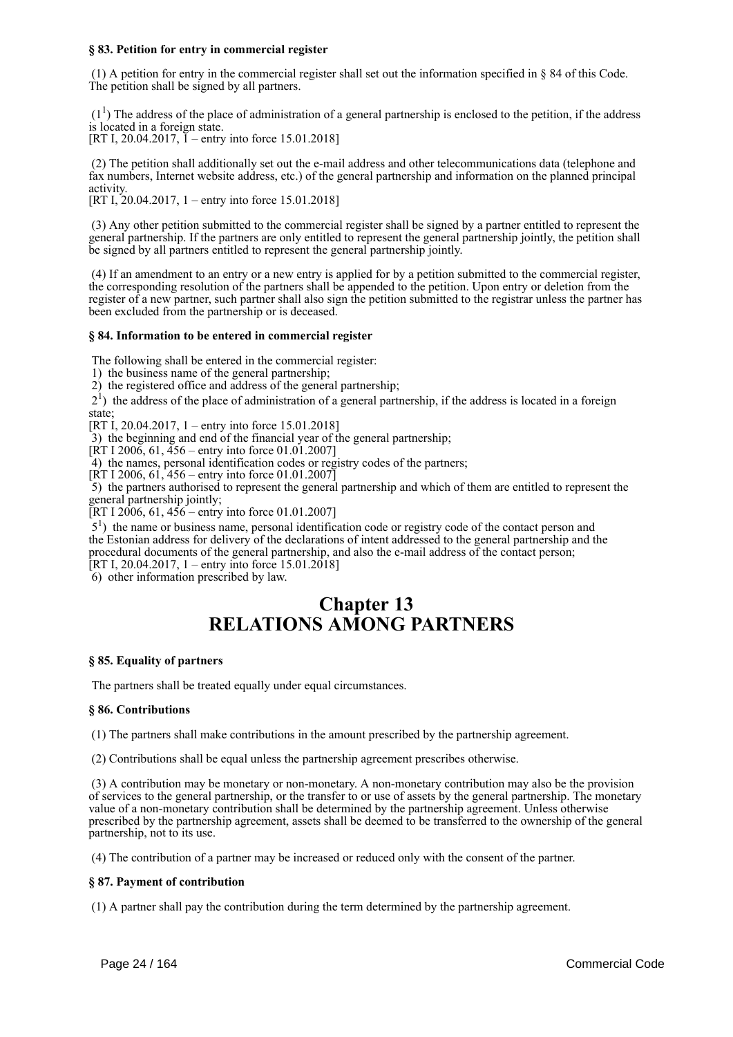# **§ 83. Petition for entry in commercial register**

 (1) A petition for entry in the commercial register shall set out the information specified in § 84 of this Code. The petition shall be signed by all partners.

 $(1<sup>1</sup>)$  The address of the place of administration of a general partnership is enclosed to the petition, if the address is located in a foreign state.

[RT I, 20.04.2017,  $\tilde{I}$  – entry into force 15.01.2018]

 (2) The petition shall additionally set out the e-mail address and other telecommunications data (telephone and fax numbers, Internet website address, etc.) of the general partnership and information on the planned principal activity.

[RT I, 20.04.2017, 1 – entry into force 15.01.2018]

 (3) Any other petition submitted to the commercial register shall be signed by a partner entitled to represent the general partnership. If the partners are only entitled to represent the general partnership jointly, the petition shall be signed by all partners entitled to represent the general partnership jointly.

 (4) If an amendment to an entry or a new entry is applied for by a petition submitted to the commercial register, the corresponding resolution of the partners shall be appended to the petition. Upon entry or deletion from the register of a new partner, such partner shall also sign the petition submitted to the registrar unless the partner has been excluded from the partnership or is deceased.

# **§ 84. Information to be entered in commercial register**

The following shall be entered in the commercial register:

1) the business name of the general partnership;

2) the registered office and address of the general partnership;

 21 ) the address of the place of administration of a general partnership, if the address is located in a foreign state;

 $[RT\,I, 20.04.2017, 1 -$  entry into force 15.01.2018]

3) the beginning and end of the financial year of the general partnership;

 $[\overline{RT} 1 200\overline{6}, 61, 456 -$  entry into force 01.01.2007]

4) the names, personal identification codes or registry codes of the partners;

 $[\hat{R}T I 2006, 61, 456 -$  entry into force 01.01.2007 $\check{]}$ 

 5) the partners authorised to represent the general partnership and which of them are entitled to represent the general partnership jointly;

[RT I 2006, 61,  $456$  – entry into force 01.01.2007]

 51 ) the name or business name, personal identification code or registry code of the contact person and the Estonian address for delivery of the declarations of intent addressed to the general partnership and the procedural documents of the general partnership, and also the e-mail address of the contact person; [RT I, 20.04.2017, 1 – entry into force 15.01.2018]

6) other information prescribed by law.

# **Chapter 13 RELATIONS AMONG PARTNERS**

# **§ 85. Equality of partners**

The partners shall be treated equally under equal circumstances.

#### **§ 86. Contributions**

(1) The partners shall make contributions in the amount prescribed by the partnership agreement.

(2) Contributions shall be equal unless the partnership agreement prescribes otherwise.

 (3) A contribution may be monetary or non-monetary. A non-monetary contribution may also be the provision of services to the general partnership, or the transfer to or use of assets by the general partnership. The monetary value of a non-monetary contribution shall be determined by the partnership agreement. Unless otherwise prescribed by the partnership agreement, assets shall be deemed to be transferred to the ownership of the general partnership, not to its use.

(4) The contribution of a partner may be increased or reduced only with the consent of the partner.

#### **§ 87. Payment of contribution**

(1) A partner shall pay the contribution during the term determined by the partnership agreement.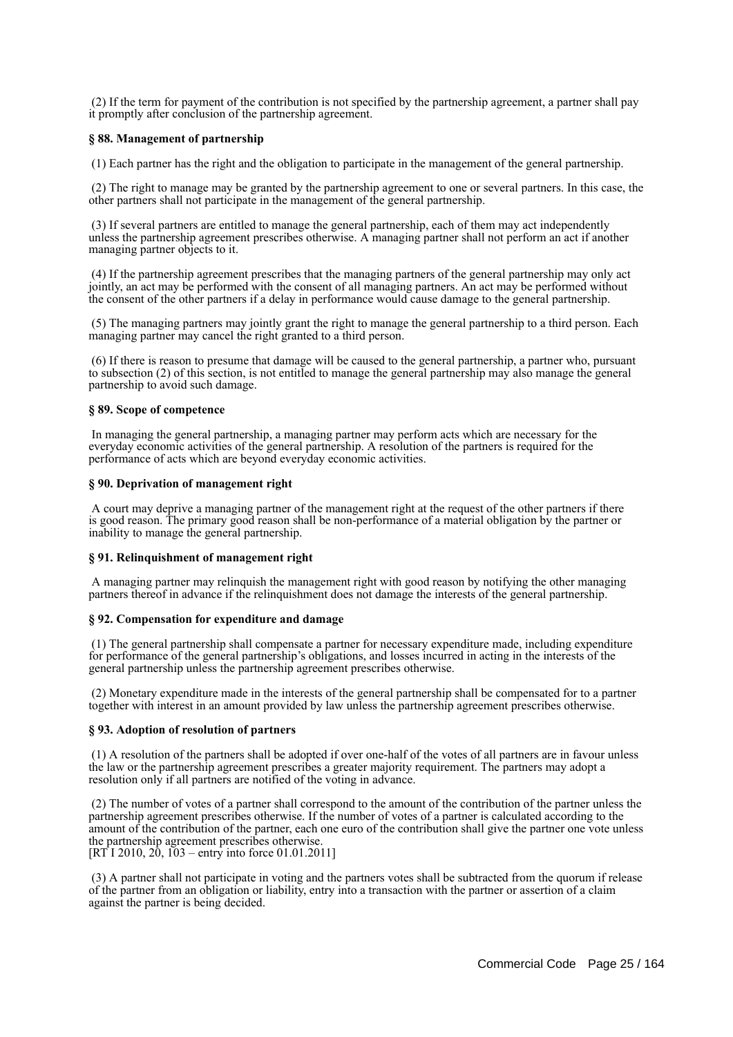(2) If the term for payment of the contribution is not specified by the partnership agreement, a partner shall pay it promptly after conclusion of the partnership agreement.

#### **§ 88. Management of partnership**

(1) Each partner has the right and the obligation to participate in the management of the general partnership.

 (2) The right to manage may be granted by the partnership agreement to one or several partners. In this case, the other partners shall not participate in the management of the general partnership.

 (3) If several partners are entitled to manage the general partnership, each of them may act independently unless the partnership agreement prescribes otherwise. A managing partner shall not perform an act if another managing partner objects to it.

 (4) If the partnership agreement prescribes that the managing partners of the general partnership may only act jointly, an act may be performed with the consent of all managing partners. An act may be performed without the consent of the other partners if a delay in performance would cause damage to the general partnership.

 (5) The managing partners may jointly grant the right to manage the general partnership to a third person. Each managing partner may cancel the right granted to a third person.

 (6) If there is reason to presume that damage will be caused to the general partnership, a partner who, pursuant to subsection (2) of this section, is not entitled to manage the general partnership may also manage the general partnership to avoid such damage.

#### **§ 89. Scope of competence**

 In managing the general partnership, a managing partner may perform acts which are necessary for the everyday economic activities of the general partnership. A resolution of the partners is required for the performance of acts which are beyond everyday economic activities.

#### **§ 90. Deprivation of management right**

 A court may deprive a managing partner of the management right at the request of the other partners if there is good reason. The primary good reason shall be non-performance of a material obligation by the partner or inability to manage the general partnership.

# **§ 91. Relinquishment of management right**

 A managing partner may relinquish the management right with good reason by notifying the other managing partners thereof in advance if the relinquishment does not damage the interests of the general partnership.

#### **§ 92. Compensation for expenditure and damage**

 (1) The general partnership shall compensate a partner for necessary expenditure made, including expenditure for performance of the general partnership's obligations, and losses incurred in acting in the interests of the general partnership unless the partnership agreement prescribes otherwise.

 (2) Monetary expenditure made in the interests of the general partnership shall be compensated for to a partner together with interest in an amount provided by law unless the partnership agreement prescribes otherwise.

#### **§ 93. Adoption of resolution of partners**

 (1) A resolution of the partners shall be adopted if over one-half of the votes of all partners are in favour unless the law or the partnership agreement prescribes a greater majority requirement. The partners may adopt a resolution only if all partners are notified of the voting in advance.

 (2) The number of votes of a partner shall correspond to the amount of the contribution of the partner unless the partnership agreement prescribes otherwise. If the number of votes of a partner is calculated according to the amount of the contribution of the partner, each one euro of the contribution shall give the partner one vote unless the partnership agreement prescribes otherwise.  $[RT\overline{1} 2010, 20, 103 - entry$  into force 01.01.2011]

 (3) A partner shall not participate in voting and the partners votes shall be subtracted from the quorum if release of the partner from an obligation or liability, entry into a transaction with the partner or assertion of a claim against the partner is being decided.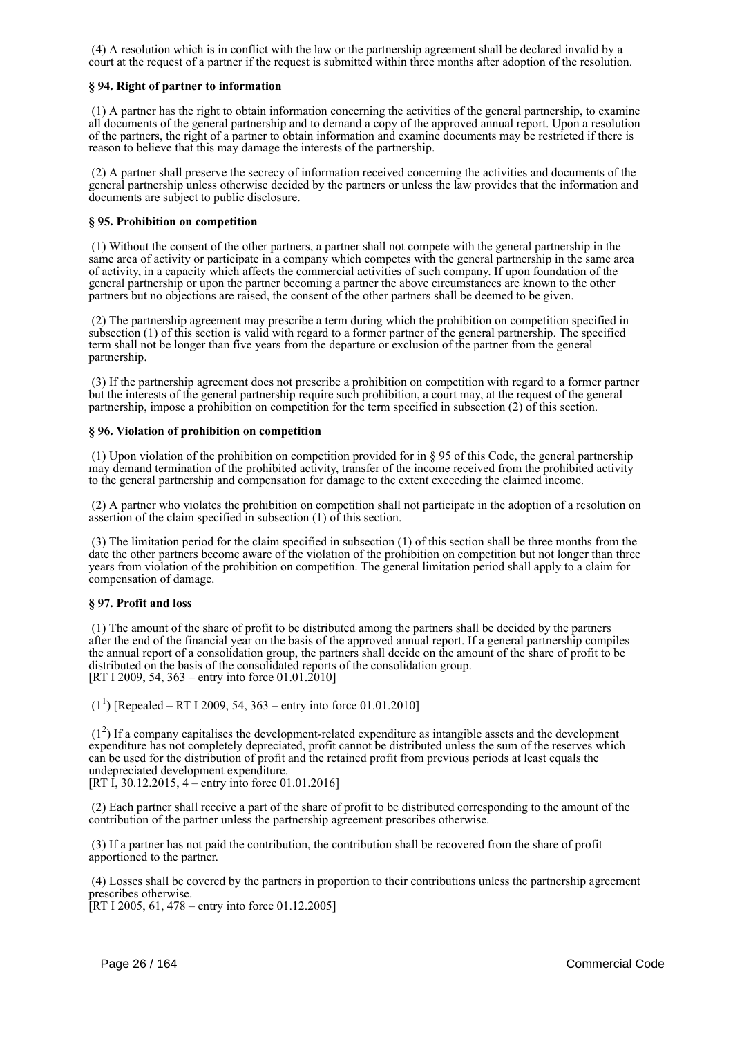(4) A resolution which is in conflict with the law or the partnership agreement shall be declared invalid by a court at the request of a partner if the request is submitted within three months after adoption of the resolution.

# **§ 94. Right of partner to information**

 (1) A partner has the right to obtain information concerning the activities of the general partnership, to examine all documents of the general partnership and to demand a copy of the approved annual report. Upon a resolution of the partners, the right of a partner to obtain information and examine documents may be restricted if there is reason to believe that this may damage the interests of the partnership.

 (2) A partner shall preserve the secrecy of information received concerning the activities and documents of the general partnership unless otherwise decided by the partners or unless the law provides that the information and documents are subject to public disclosure.

# **§ 95. Prohibition on competition**

 (1) Without the consent of the other partners, a partner shall not compete with the general partnership in the same area of activity or participate in a company which competes with the general partnership in the same area of activity, in a capacity which affects the commercial activities of such company. If upon foundation of the general partnership or upon the partner becoming a partner the above circumstances are known to the other partners but no objections are raised, the consent of the other partners shall be deemed to be given.

 (2) The partnership agreement may prescribe a term during which the prohibition on competition specified in subsection (1) of this section is valid with regard to a former partner of the general partnership. The specified term shall not be longer than five years from the departure or exclusion of the partner from the general partnership.

 (3) If the partnership agreement does not prescribe a prohibition on competition with regard to a former partner but the interests of the general partnership require such prohibition, a court may, at the request of the general partnership, impose a prohibition on competition for the term specified in subsection (2) of this section.

#### **§ 96. Violation of prohibition on competition**

 (1) Upon violation of the prohibition on competition provided for in § 95 of this Code, the general partnership may demand termination of the prohibited activity, transfer of the income received from the prohibited activity to the general partnership and compensation for damage to the extent exceeding the claimed income.

 (2) A partner who violates the prohibition on competition shall not participate in the adoption of a resolution on assertion of the claim specified in subsection (1) of this section.

 (3) The limitation period for the claim specified in subsection (1) of this section shall be three months from the date the other partners become aware of the violation of the prohibition on competition but not longer than three years from violation of the prohibition on competition. The general limitation period shall apply to a claim for compensation of damage.

#### **§ 97. Profit and loss**

 (1) The amount of the share of profit to be distributed among the partners shall be decided by the partners after the end of the financial year on the basis of the approved annual report. If a general partnership compiles the annual report of a consolidation group, the partners shall decide on the amount of the share of profit to be distributed on the basis of the consolidated reports of the consolidation group. [RT I 2009, 54, 363 – entry into force 01.01.2010]

 $(1^1)$  [Repealed – RT I 2009, 54, 363 – entry into force 01.01.2010]

 $(1<sup>2</sup>)$  If a company capitalises the development-related expenditure as intangible assets and the development expenditure has not completely depreciated, profit cannot be distributed unless the sum of the reserves which can be used for the distribution of profit and the retained profit from previous periods at least equals the undepreciated development expenditure.

[RT I, 30.12.2015, 4 – entry into force 01.01.2016]

 (2) Each partner shall receive a part of the share of profit to be distributed corresponding to the amount of the contribution of the partner unless the partnership agreement prescribes otherwise.

 (3) If a partner has not paid the contribution, the contribution shall be recovered from the share of profit apportioned to the partner.

 (4) Losses shall be covered by the partners in proportion to their contributions unless the partnership agreement prescribes otherwise.

[RT I 2005, 61, 478 – entry into force 01.12.2005]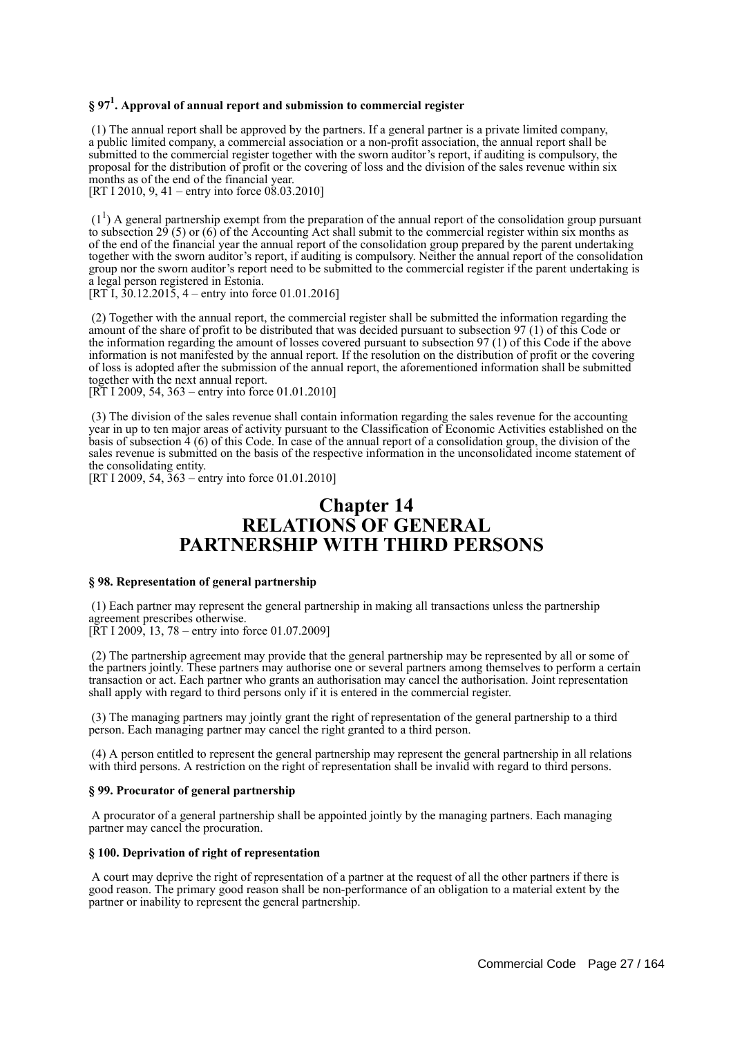# **§ 97<sup>1</sup> . Approval of annual report and submission to commercial register**

 (1) The annual report shall be approved by the partners. If a general partner is a private limited company, a public limited company, a commercial association or a non-profit association, the annual report shall be submitted to the commercial register together with the sworn auditor's report, if auditing is compulsory, the proposal for the distribution of profit or the covering of loss and the division of the sales revenue within six months as of the end of the financial year.

[RT I 2010, 9, 41 – entry into force  $0.0332010$ ]

 $(1<sup>1</sup>)$  A general partnership exempt from the preparation of the annual report of the consolidation group pursuant to subsection  $29(5)$  or (6) of the Accounting Act shall submit to the commercial register within six months as of the end of the financial year the annual report of the consolidation group prepared by the parent undertaking together with the sworn auditor's report, if auditing is compulsory. Neither the annual report of the consolidation group nor the sworn auditor's report need to be submitted to the commercial register if the parent undertaking is a legal person registered in Estonia.

[RT I,  $30.12.2015$ , 4 – entry into force 01.01.2016]

 (2) Together with the annual report, the commercial register shall be submitted the information regarding the amount of the share of profit to be distributed that was decided pursuant to subsection 97 (1) of this Code or the information regarding the amount of losses covered pursuant to subsection 97 (1) of this Code if the above information is not manifested by the annual report. If the resolution on the distribution of profit or the covering of loss is adopted after the submission of the annual report, the aforementioned information shall be submitted together with the next annual report.

[RT I 2009, 54, 363 – entry into force 01.01.2010]

 (3) The division of the sales revenue shall contain information regarding the sales revenue for the accounting year in up to ten major areas of activity pursuant to the Classification of Economic Activities established on the basis of subsection 4 (6) of this Code. In case of the annual report of a consolidation group, the division of the sales revenue is submitted on the basis of the respective information in the unconsolidated income statement of the consolidating entity.

[RT I 2009, 54, 363 – entry into force 01.01.2010]

# **Chapter 14 RELATIONS OF GENERAL PARTNERSHIP WITH THIRD PERSONS**

### **§ 98. Representation of general partnership**

 (1) Each partner may represent the general partnership in making all transactions unless the partnership agreement prescribes otherwise.

[ $\overline{R}T$  I 2009, 13, 78 – entry into force 01.07.2009]

 (2) The partnership agreement may provide that the general partnership may be represented by all or some of the partners jointly. These partners may authorise one or several partners among themselves to perform a certain transaction or act. Each partner who grants an authorisation may cancel the authorisation. Joint representation shall apply with regard to third persons only if it is entered in the commercial register.

 (3) The managing partners may jointly grant the right of representation of the general partnership to a third person. Each managing partner may cancel the right granted to a third person.

 (4) A person entitled to represent the general partnership may represent the general partnership in all relations with third persons. A restriction on the right of representation shall be invalid with regard to third persons.

#### **§ 99. Procurator of general partnership**

 A procurator of a general partnership shall be appointed jointly by the managing partners. Each managing partner may cancel the procuration.

#### **§ 100. Deprivation of right of representation**

 A court may deprive the right of representation of a partner at the request of all the other partners if there is good reason. The primary good reason shall be non-performance of an obligation to a material extent by the partner or inability to represent the general partnership.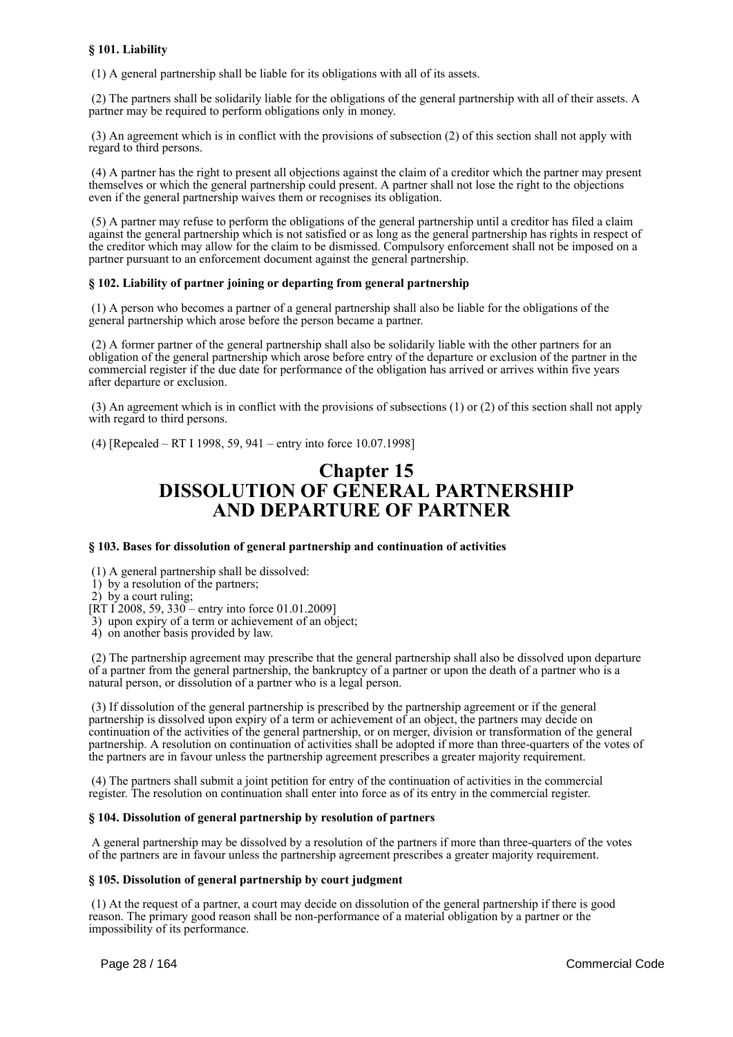# **§ 101. Liability**

(1) A general partnership shall be liable for its obligations with all of its assets.

 (2) The partners shall be solidarily liable for the obligations of the general partnership with all of their assets. A partner may be required to perform obligations only in money.

 (3) An agreement which is in conflict with the provisions of subsection (2) of this section shall not apply with regard to third persons.

 (4) A partner has the right to present all objections against the claim of a creditor which the partner may present themselves or which the general partnership could present. A partner shall not lose the right to the objections even if the general partnership waives them or recognises its obligation.

 (5) A partner may refuse to perform the obligations of the general partnership until a creditor has filed a claim against the general partnership which is not satisfied or as long as the general partnership has rights in respect of the creditor which may allow for the claim to be dismissed. Compulsory enforcement shall not be imposed on a partner pursuant to an enforcement document against the general partnership.

# **§ 102. Liability of partner joining or departing from general partnership**

 (1) A person who becomes a partner of a general partnership shall also be liable for the obligations of the general partnership which arose before the person became a partner.

 (2) A former partner of the general partnership shall also be solidarily liable with the other partners for an obligation of the general partnership which arose before entry of the departure or exclusion of the partner in the commercial register if the due date for performance of the obligation has arrived or arrives within five years after departure or exclusion.

 (3) An agreement which is in conflict with the provisions of subsections (1) or (2) of this section shall not apply with regard to third persons.

(4) [Repealed – RT I 1998, 59, 941 – entry into force 10.07.1998]

# **Chapter 15 DISSOLUTION OF GENERAL PARTNERSHIP AND DEPARTURE OF PARTNER**

#### **§ 103. Bases for dissolution of general partnership and continuation of activities**

(1) A general partnership shall be dissolved:

1) by a resolution of the partners;

2) by a court ruling;

 $[RT I 2008, 59, 330 -$  entry into force 01.01.2009]

3) upon expiry of a term or achievement of an object;

4) on another basis provided by law.

 (2) The partnership agreement may prescribe that the general partnership shall also be dissolved upon departure of a partner from the general partnership, the bankruptcy of a partner or upon the death of a partner who is a natural person, or dissolution of a partner who is a legal person.

 (3) If dissolution of the general partnership is prescribed by the partnership agreement or if the general partnership is dissolved upon expiry of a term or achievement of an object, the partners may decide on continuation of the activities of the general partnership, or on merger, division or transformation of the general partnership. A resolution on continuation of activities shall be adopted if more than three-quarters of the votes of the partners are in favour unless the partnership agreement prescribes a greater majority requirement.

 (4) The partners shall submit a joint petition for entry of the continuation of activities in the commercial register. The resolution on continuation shall enter into force as of its entry in the commercial register.

#### **§ 104. Dissolution of general partnership by resolution of partners**

 A general partnership may be dissolved by a resolution of the partners if more than three-quarters of the votes of the partners are in favour unless the partnership agreement prescribes a greater majority requirement.

#### **§ 105. Dissolution of general partnership by court judgment**

 (1) At the request of a partner, a court may decide on dissolution of the general partnership if there is good reason. The primary good reason shall be non-performance of a material obligation by a partner or the impossibility of its performance.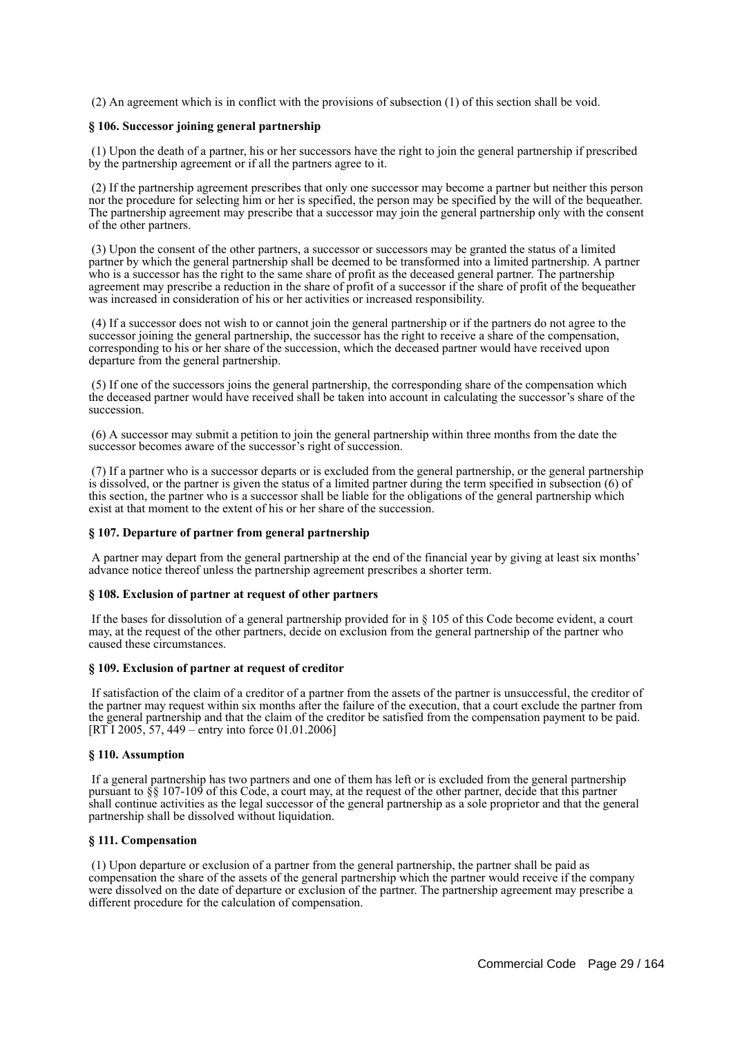(2) An agreement which is in conflict with the provisions of subsection (1) of this section shall be void.

# **§ 106. Successor joining general partnership**

 (1) Upon the death of a partner, his or her successors have the right to join the general partnership if prescribed by the partnership agreement or if all the partners agree to it.

 (2) If the partnership agreement prescribes that only one successor may become a partner but neither this person nor the procedure for selecting him or her is specified, the person may be specified by the will of the bequeather. The partnership agreement may prescribe that a successor may join the general partnership only with the consent of the other partners.

 (3) Upon the consent of the other partners, a successor or successors may be granted the status of a limited partner by which the general partnership shall be deemed to be transformed into a limited partnership. A partner who is a successor has the right to the same share of profit as the deceased general partner. The partnership agreement may prescribe a reduction in the share of profit of a successor if the share of profit of the bequeather was increased in consideration of his or her activities or increased responsibility.

 (4) If a successor does not wish to or cannot join the general partnership or if the partners do not agree to the successor joining the general partnership, the successor has the right to receive a share of the compensation, corresponding to his or her share of the succession, which the deceased partner would have received upon departure from the general partnership.

 (5) If one of the successors joins the general partnership, the corresponding share of the compensation which the deceased partner would have received shall be taken into account in calculating the successor's share of the succession.

 (6) A successor may submit a petition to join the general partnership within three months from the date the successor becomes aware of the successor's right of succession.

 (7) If a partner who is a successor departs or is excluded from the general partnership, or the general partnership is dissolved, or the partner is given the status of a limited partner during the term specified in subsection (6) of this section, the partner who is a successor shall be liable for the obligations of the general partnership which exist at that moment to the extent of his or her share of the succession.

# **§ 107. Departure of partner from general partnership**

 A partner may depart from the general partnership at the end of the financial year by giving at least six months' advance notice thereof unless the partnership agreement prescribes a shorter term.

#### **§ 108. Exclusion of partner at request of other partners**

 If the bases for dissolution of a general partnership provided for in § 105 of this Code become evident, a court may, at the request of the other partners, decide on exclusion from the general partnership of the partner who caused these circumstances.

# **§ 109. Exclusion of partner at request of creditor**

 If satisfaction of the claim of a creditor of a partner from the assets of the partner is unsuccessful, the creditor of the partner may request within six months after the failure of the execution, that a court exclude the partner from the general partnership and that the claim of the creditor be satisfied from the compensation payment to be paid. [RT I 2005, 57, 449 – entry into force 01.01.2006]

#### **§ 110. Assumption**

 If a general partnership has two partners and one of them has left or is excluded from the general partnership pursuant to §§ 107-109 of this Code, a court may, at the request of the other partner, decide that this partner shall continue activities as the legal successor of the general partnership as a sole proprietor and that the general partnership shall be dissolved without liquidation.

# **§ 111. Compensation**

 (1) Upon departure or exclusion of a partner from the general partnership, the partner shall be paid as compensation the share of the assets of the general partnership which the partner would receive if the company were dissolved on the date of departure or exclusion of the partner. The partnership agreement may prescribe a different procedure for the calculation of compensation.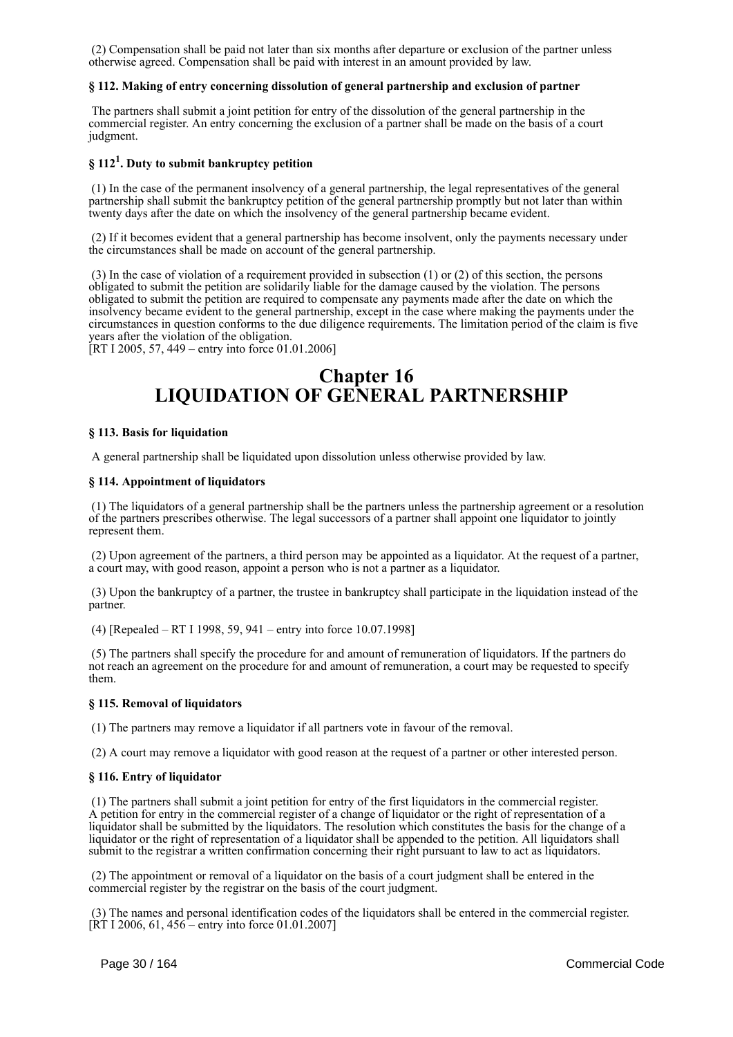(2) Compensation shall be paid not later than six months after departure or exclusion of the partner unless otherwise agreed. Compensation shall be paid with interest in an amount provided by law.

# **§ 112. Making of entry concerning dissolution of general partnership and exclusion of partner**

 The partners shall submit a joint petition for entry of the dissolution of the general partnership in the commercial register. An entry concerning the exclusion of a partner shall be made on the basis of a court judgment.

# **§ 112<sup>1</sup> . Duty to submit bankruptcy petition**

 (1) In the case of the permanent insolvency of a general partnership, the legal representatives of the general partnership shall submit the bankruptcy petition of the general partnership promptly but not later than within twenty days after the date on which the insolvency of the general partnership became evident.

 (2) If it becomes evident that a general partnership has become insolvent, only the payments necessary under the circumstances shall be made on account of the general partnership.

 (3) In the case of violation of a requirement provided in subsection (1) or (2) of this section, the persons obligated to submit the petition are solidarily liable for the damage caused by the violation. The persons obligated to submit the petition are required to compensate any payments made after the date on which the insolvency became evident to the general partnership, except in the case where making the payments under the circumstances in question conforms to the due diligence requirements. The limitation period of the claim is five years after the violation of the obligation.

[RT I 2005, 57, 449 – entry into force 01.01.2006]

# **Chapter 16 LIQUIDATION OF GENERAL PARTNERSHIP**

# **§ 113. Basis for liquidation**

A general partnership shall be liquidated upon dissolution unless otherwise provided by law.

# **§ 114. Appointment of liquidators**

 (1) The liquidators of a general partnership shall be the partners unless the partnership agreement or a resolution of the partners prescribes otherwise. The legal successors of a partner shall appoint one liquidator to jointly represent them.

 (2) Upon agreement of the partners, a third person may be appointed as a liquidator. At the request of a partner, a court may, with good reason, appoint a person who is not a partner as a liquidator.

 (3) Upon the bankruptcy of a partner, the trustee in bankruptcy shall participate in the liquidation instead of the partner.

(4) [Repealed – RT I 1998, 59, 941 – entry into force 10.07.1998]

 (5) The partners shall specify the procedure for and amount of remuneration of liquidators. If the partners do not reach an agreement on the procedure for and amount of remuneration, a court may be requested to specify them.

# **§ 115. Removal of liquidators**

(1) The partners may remove a liquidator if all partners vote in favour of the removal.

(2) A court may remove a liquidator with good reason at the request of a partner or other interested person.

#### **§ 116. Entry of liquidator**

 (1) The partners shall submit a joint petition for entry of the first liquidators in the commercial register. A petition for entry in the commercial register of a change of liquidator or the right of representation of a liquidator shall be submitted by the liquidators. The resolution which constitutes the basis for the change of a liquidator or the right of representation of a liquidator shall be appended to the petition. All liquidators shall submit to the registrar a written confirmation concerning their right pursuant to law to act as liquidators.

 (2) The appointment or removal of a liquidator on the basis of a court judgment shall be entered in the commercial register by the registrar on the basis of the court judgment.

 (3) The names and personal identification codes of the liquidators shall be entered in the commercial register.  $[\hat{R} \hat{T}]$  1 2006, 61, 456 – entry into force 01.01.2007]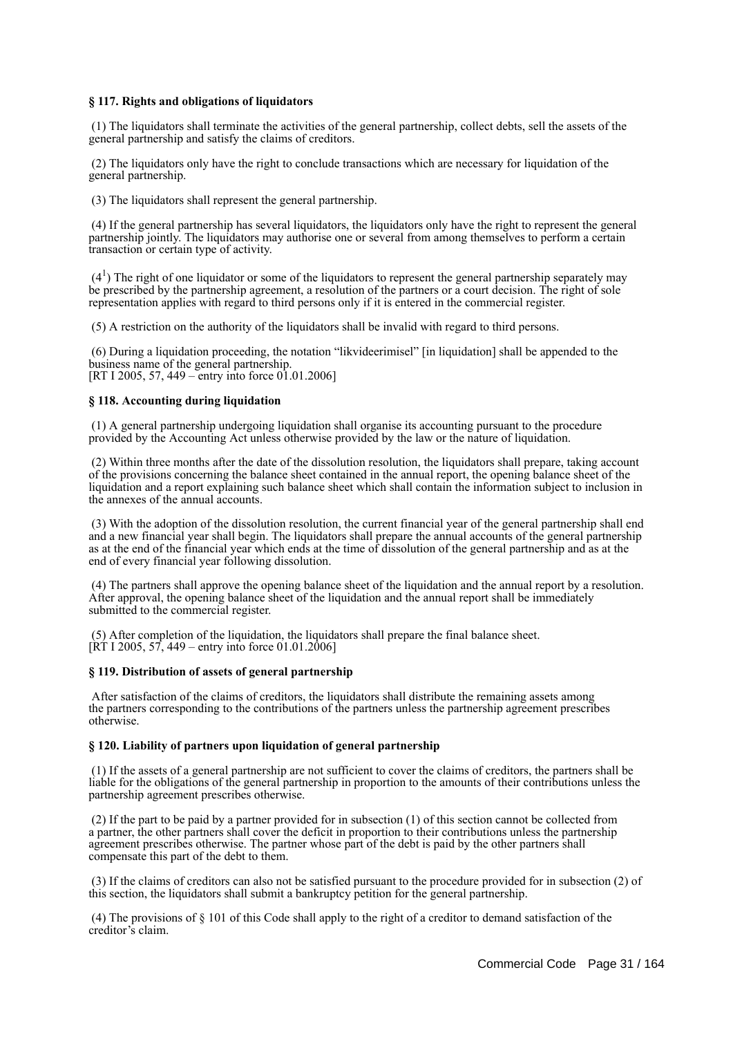# **§ 117. Rights and obligations of liquidators**

 (1) The liquidators shall terminate the activities of the general partnership, collect debts, sell the assets of the general partnership and satisfy the claims of creditors.

 (2) The liquidators only have the right to conclude transactions which are necessary for liquidation of the general partnership.

(3) The liquidators shall represent the general partnership.

 (4) If the general partnership has several liquidators, the liquidators only have the right to represent the general partnership jointly. The liquidators may authorise one or several from among themselves to perform a certain transaction or certain type of activity.

 $(4<sup>1</sup>)$  The right of one liquidator or some of the liquidators to represent the general partnership separately may be prescribed by the partnership agreement, a resolution of the partners or a court decision. The right of sole representation applies with regard to third persons only if it is entered in the commercial register.

(5) A restriction on the authority of the liquidators shall be invalid with regard to third persons.

 (6) During a liquidation proceeding, the notation "likvideerimisel" [in liquidation] shall be appended to the business name of the general partnership. [RT I 2005, 57, 449 – entry into force 01.01.2006]

# **§ 118. Accounting during liquidation**

 (1) A general partnership undergoing liquidation shall organise its accounting pursuant to the procedure provided by the Accounting Act unless otherwise provided by the law or the nature of liquidation.

 (2) Within three months after the date of the dissolution resolution, the liquidators shall prepare, taking account of the provisions concerning the balance sheet contained in the annual report, the opening balance sheet of the liquidation and a report explaining such balance sheet which shall contain the information subject to inclusion in the annexes of the annual accounts.

 (3) With the adoption of the dissolution resolution, the current financial year of the general partnership shall end and a new financial year shall begin. The liquidators shall prepare the annual accounts of the general partnership as at the end of the financial year which ends at the time of dissolution of the general partnership and as at the end of every financial year following dissolution.

 (4) The partners shall approve the opening balance sheet of the liquidation and the annual report by a resolution. After approval, the opening balance sheet of the liquidation and the annual report shall be immediately submitted to the commercial register.

 (5) After completion of the liquidation, the liquidators shall prepare the final balance sheet.  $[\hat{R} \hat{T}]$  I 2005, 57, 449 – entry into force 01.01.2006]

# **§ 119. Distribution of assets of general partnership**

 After satisfaction of the claims of creditors, the liquidators shall distribute the remaining assets among the partners corresponding to the contributions of the partners unless the partnership agreement prescribes otherwise.

#### **§ 120. Liability of partners upon liquidation of general partnership**

 (1) If the assets of a general partnership are not sufficient to cover the claims of creditors, the partners shall be liable for the obligations of the general partnership in proportion to the amounts of their contributions unless the partnership agreement prescribes otherwise.

 (2) If the part to be paid by a partner provided for in subsection (1) of this section cannot be collected from a partner, the other partners shall cover the deficit in proportion to their contributions unless the partnership agreement prescribes otherwise. The partner whose part of the debt is paid by the other partners shall compensate this part of the debt to them.

 (3) If the claims of creditors can also not be satisfied pursuant to the procedure provided for in subsection (2) of this section, the liquidators shall submit a bankruptcy petition for the general partnership.

 (4) The provisions of § 101 of this Code shall apply to the right of a creditor to demand satisfaction of the creditor's claim.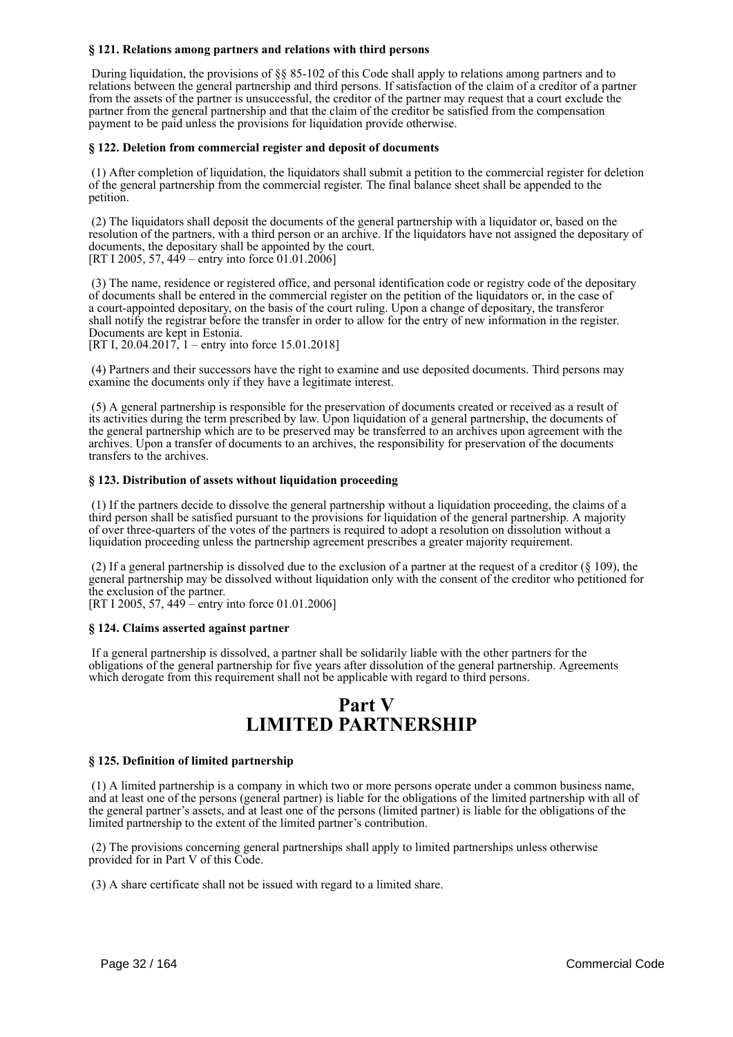# **§ 121. Relations among partners and relations with third persons**

 During liquidation, the provisions of §§ 85-102 of this Code shall apply to relations among partners and to relations between the general partnership and third persons. If satisfaction of the claim of a creditor of a partner from the assets of the partner is unsuccessful, the creditor of the partner may request that a court exclude the partner from the general partnership and that the claim of the creditor be satisfied from the compensation payment to be paid unless the provisions for liquidation provide otherwise.

### **§ 122. Deletion from commercial register and deposit of documents**

 (1) After completion of liquidation, the liquidators shall submit a petition to the commercial register for deletion of the general partnership from the commercial register. The final balance sheet shall be appended to the petition.

 (2) The liquidators shall deposit the documents of the general partnership with a liquidator or, based on the resolution of the partners, with a third person or an archive. If the liquidators have not assigned the depositary of documents, the depositary shall be appointed by the court. [RT I 2005, 57, 449 – entry into force 01.01.2006]

 (3) The name, residence or registered office, and personal identification code or registry code of the depositary of documents shall be entered in the commercial register on the petition of the liquidators or, in the case of a court-appointed depositary, on the basis of the court ruling. Upon a change of depositary, the transferor shall notify the registrar before the transfer in order to allow for the entry of new information in the register. Documents are kept in Estonia.

[RT I, 20.04.2017, 1 – entry into force 15.01.2018]

 (4) Partners and their successors have the right to examine and use deposited documents. Third persons may examine the documents only if they have a legitimate interest.

 (5) A general partnership is responsible for the preservation of documents created or received as a result of its activities during the term prescribed by law. Upon liquidation of a general partnership, the documents of the general partnership which are to be preserved may be transferred to an archives upon agreement with the archives. Upon a transfer of documents to an archives, the responsibility for preservation of the documents transfers to the archives.

# **§ 123. Distribution of assets without liquidation proceeding**

 (1) If the partners decide to dissolve the general partnership without a liquidation proceeding, the claims of a third person shall be satisfied pursuant to the provisions for liquidation of the general partnership. A majority of over three-quarters of the votes of the partners is required to adopt a resolution on dissolution without a liquidation proceeding unless the partnership agreement prescribes a greater majority requirement.

 (2) If a general partnership is dissolved due to the exclusion of a partner at the request of a creditor (§ 109), the general partnership may be dissolved without liquidation only with the consent of the creditor who petitioned for the exclusion of the partner.

[RT I 2005, 57, 449 – entry into force 01.01.2006]

# **§ 124. Claims asserted against partner**

 If a general partnership is dissolved, a partner shall be solidarily liable with the other partners for the obligations of the general partnership for five years after dissolution of the general partnership. Agreements which derogate from this requirement shall not be applicable with regard to third persons.

# **Part V LIMITED PARTNERSHIP**

#### **§ 125. Definition of limited partnership**

 (1) A limited partnership is a company in which two or more persons operate under a common business name, and at least one of the persons (general partner) is liable for the obligations of the limited partnership with all of the general partner's assets, and at least one of the persons (limited partner) is liable for the obligations of the limited partnership to the extent of the limited partner's contribution.

 (2) The provisions concerning general partnerships shall apply to limited partnerships unless otherwise provided for in Part V of this Code.

(3) A share certificate shall not be issued with regard to a limited share.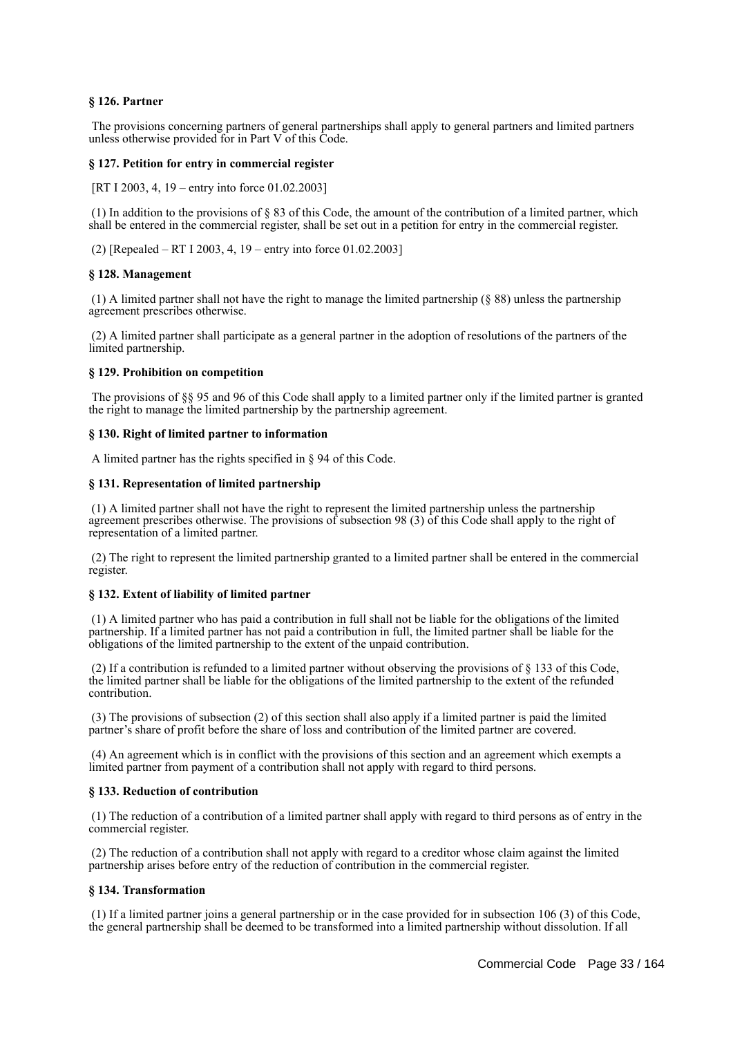# **§ 126. Partner**

 The provisions concerning partners of general partnerships shall apply to general partners and limited partners unless otherwise provided for in Part V of this Code.

### **§ 127. Petition for entry in commercial register**

[RT I 2003, 4, 19 – entry into force 01.02.2003]

 (1) In addition to the provisions of § 83 of this Code, the amount of the contribution of a limited partner, which shall be entered in the commercial register, shall be set out in a petition for entry in the commercial register.

(2) [Repealed – RT I 2003, 4, 19 – entry into force 01.02.2003]

#### **§ 128. Management**

 (1) A limited partner shall not have the right to manage the limited partnership (§ 88) unless the partnership agreement prescribes otherwise.

 (2) A limited partner shall participate as a general partner in the adoption of resolutions of the partners of the limited partnership.

#### **§ 129. Prohibition on competition**

 The provisions of §§ 95 and 96 of this Code shall apply to a limited partner only if the limited partner is granted the right to manage the limited partnership by the partnership agreement.

#### **§ 130. Right of limited partner to information**

A limited partner has the rights specified in § 94 of this Code.

#### **§ 131. Representation of limited partnership**

 (1) A limited partner shall not have the right to represent the limited partnership unless the partnership agreement prescribes otherwise. The provisions of subsection 98 (3) of this Code shall apply to the right of representation of a limited partner.

 (2) The right to represent the limited partnership granted to a limited partner shall be entered in the commercial register.

#### **§ 132. Extent of liability of limited partner**

 (1) A limited partner who has paid a contribution in full shall not be liable for the obligations of the limited partnership. If a limited partner has not paid a contribution in full, the limited partner shall be liable for the obligations of the limited partnership to the extent of the unpaid contribution.

 (2) If a contribution is refunded to a limited partner without observing the provisions of § 133 of this Code, the limited partner shall be liable for the obligations of the limited partnership to the extent of the refunded contribution.

 (3) The provisions of subsection (2) of this section shall also apply if a limited partner is paid the limited partner's share of profit before the share of loss and contribution of the limited partner are covered.

 (4) An agreement which is in conflict with the provisions of this section and an agreement which exempts a limited partner from payment of a contribution shall not apply with regard to third persons.

#### **§ 133. Reduction of contribution**

 (1) The reduction of a contribution of a limited partner shall apply with regard to third persons as of entry in the commercial register.

 (2) The reduction of a contribution shall not apply with regard to a creditor whose claim against the limited partnership arises before entry of the reduction of contribution in the commercial register.

# **§ 134. Transformation**

 (1) If a limited partner joins a general partnership or in the case provided for in subsection 106 (3) of this Code, the general partnership shall be deemed to be transformed into a limited partnership without dissolution. If all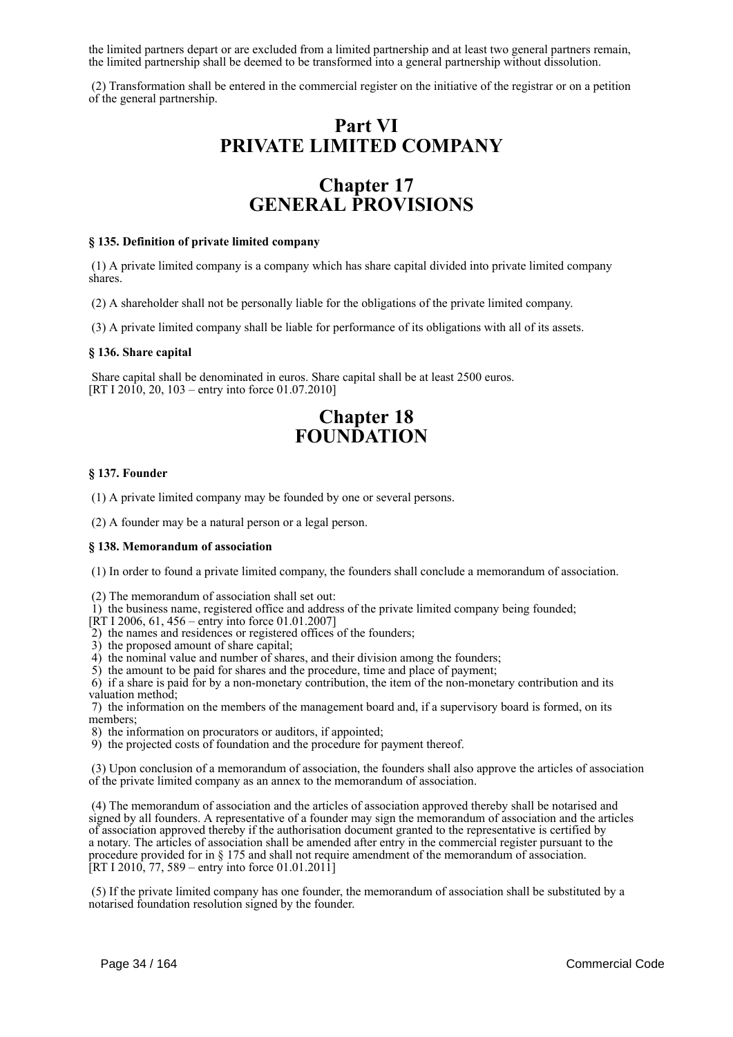the limited partners depart or are excluded from a limited partnership and at least two general partners remain, the limited partnership shall be deemed to be transformed into a general partnership without dissolution.

 (2) Transformation shall be entered in the commercial register on the initiative of the registrar or on a petition of the general partnership.

# **Part VI PRIVATE LIMITED COMPANY**

# **Chapter 17 GENERAL PROVISIONS**

#### **§ 135. Definition of private limited company**

 (1) A private limited company is a company which has share capital divided into private limited company shares.

(2) A shareholder shall not be personally liable for the obligations of the private limited company.

(3) A private limited company shall be liable for performance of its obligations with all of its assets.

#### **§ 136. Share capital**

 Share capital shall be denominated in euros. Share capital shall be at least 2500 euros. [RT I 2010, 20, 103 – entry into force 01.07.2010]

# **Chapter 18 FOUNDATION**

#### **§ 137. Founder**

(1) A private limited company may be founded by one or several persons.

(2) A founder may be a natural person or a legal person.

#### **§ 138. Memorandum of association**

(1) In order to found a private limited company, the founders shall conclude a memorandum of association.

- (2) The memorandum of association shall set out:
- $\hat{1}$ ) the business name, registered office and address of the private limited company being founded;
- [RT I 2006, 61, 456 entry into force 01.01.2007]
- 2) the names and residences or registered offices of the founders;
- 3) the proposed amount of share capital;
- 4) the nominal value and number of shares, and their division among the founders;

5) the amount to be paid for shares and the procedure, time and place of payment;

 6) if a share is paid for by a non-monetary contribution, the item of the non-monetary contribution and its valuation method;

 7) the information on the members of the management board and, if a supervisory board is formed, on its members;

- 8) the information on procurators or auditors, if appointed;
- 9) the projected costs of foundation and the procedure for payment thereof.

 (3) Upon conclusion of a memorandum of association, the founders shall also approve the articles of association of the private limited company as an annex to the memorandum of association.

 (4) The memorandum of association and the articles of association approved thereby shall be notarised and signed by all founders. A representative of a founder may sign the memorandum of association and the articles of association approved thereby if the authorisation document granted to the representative is certified by a notary. The articles of association shall be amended after entry in the commercial register pursuant to the procedure provided for in § 175 and shall not require amendment of the memorandum of association. [RT I 2010, 77, 589 – entry into force 01.01.2011]

 (5) If the private limited company has one founder, the memorandum of association shall be substituted by a notarised foundation resolution signed by the founder.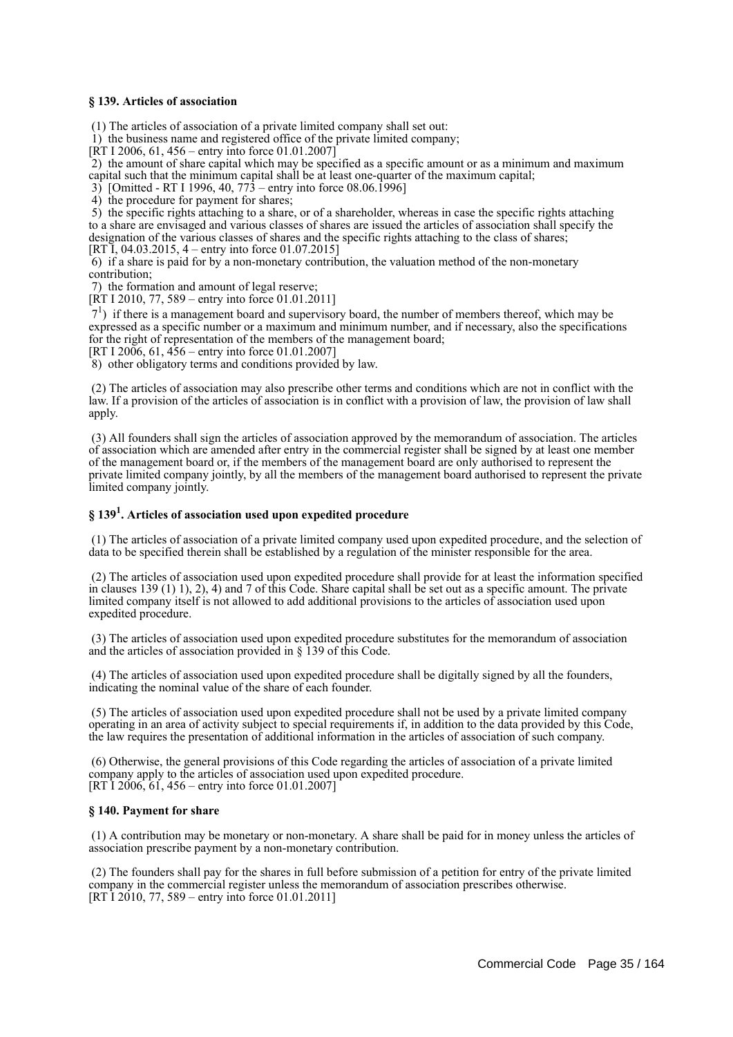#### **§ 139. Articles of association**

(1) The articles of association of a private limited company shall set out:

1) the business name and registered office of the private limited company;

[RT I 2006, 61, 456 – entry into force 01.01.2007]

 2) the amount of share capital which may be specified as a specific amount or as a minimum and maximum capital such that the minimum capital shall be at least one-quarter of the maximum capital;

3) [Omitted - RT I 1996, 40, 773 – entry into force 08.06.1996]

4) the procedure for payment for shares;

 5) the specific rights attaching to a share, or of a shareholder, whereas in case the specific rights attaching to a share are envisaged and various classes of shares are issued the articles of association shall specify the designation of the various classes of shares and the specific rights attaching to the class of shares;

[RT I, 04.03.2015, 4 – entry into force 01.07.2015]

 6) if a share is paid for by a non-monetary contribution, the valuation method of the non-monetary contribution;

7) the formation and amount of legal reserve;

 $[RT I 2010, 77, 589 - entry into force 01.01.2011]$ 

 71 ) if there is a management board and supervisory board, the number of members thereof, which may be expressed as a specific number or a maximum and minimum number, and if necessary, also the specifications for the right of representation of the members of the management board;

[RT I 2006, 61,  $\overline{456}$  – entry into force 01.01.2007]

8) other obligatory terms and conditions provided by law.

 (2) The articles of association may also prescribe other terms and conditions which are not in conflict with the law. If a provision of the articles of association is in conflict with a provision of law, the provision of law shall apply.

 (3) All founders shall sign the articles of association approved by the memorandum of association. The articles of association which are amended after entry in the commercial register shall be signed by at least one member of the management board or, if the members of the management board are only authorised to represent the private limited company jointly, by all the members of the management board authorised to represent the private limited company jointly.

# **§ 139<sup>1</sup> . Articles of association used upon expedited procedure**

 (1) The articles of association of a private limited company used upon expedited procedure, and the selection of data to be specified therein shall be established by a regulation of the minister responsible for the area.

 (2) The articles of association used upon expedited procedure shall provide for at least the information specified in clauses 139 (1) 1), 2), 4) and 7 of this Code. Share capital shall be set out as a specific amount. The private limited company itself is not allowed to add additional provisions to the articles of association used upon expedited procedure.

 (3) The articles of association used upon expedited procedure substitutes for the memorandum of association and the articles of association provided in § 139 of this Code.

 (4) The articles of association used upon expedited procedure shall be digitally signed by all the founders, indicating the nominal value of the share of each founder.

 (5) The articles of association used upon expedited procedure shall not be used by a private limited company operating in an area of activity subject to special requirements if, in addition to the data provided by this Code, the law requires the presentation of additional information in the articles of association of such company.

 (6) Otherwise, the general provisions of this Code regarding the articles of association of a private limited company apply to the articles of association used upon expedited procedure. [RT I 2006,  $61$ , 456 – entry into force 01.01.2007]

#### **§ 140. Payment for share**

 (1) A contribution may be monetary or non-monetary. A share shall be paid for in money unless the articles of association prescribe payment by a non-monetary contribution.

 (2) The founders shall pay for the shares in full before submission of a petition for entry of the private limited company in the commercial register unless the memorandum of association prescribes otherwise. [RT I 2010, 77, 589 – entry into force 01.01.2011]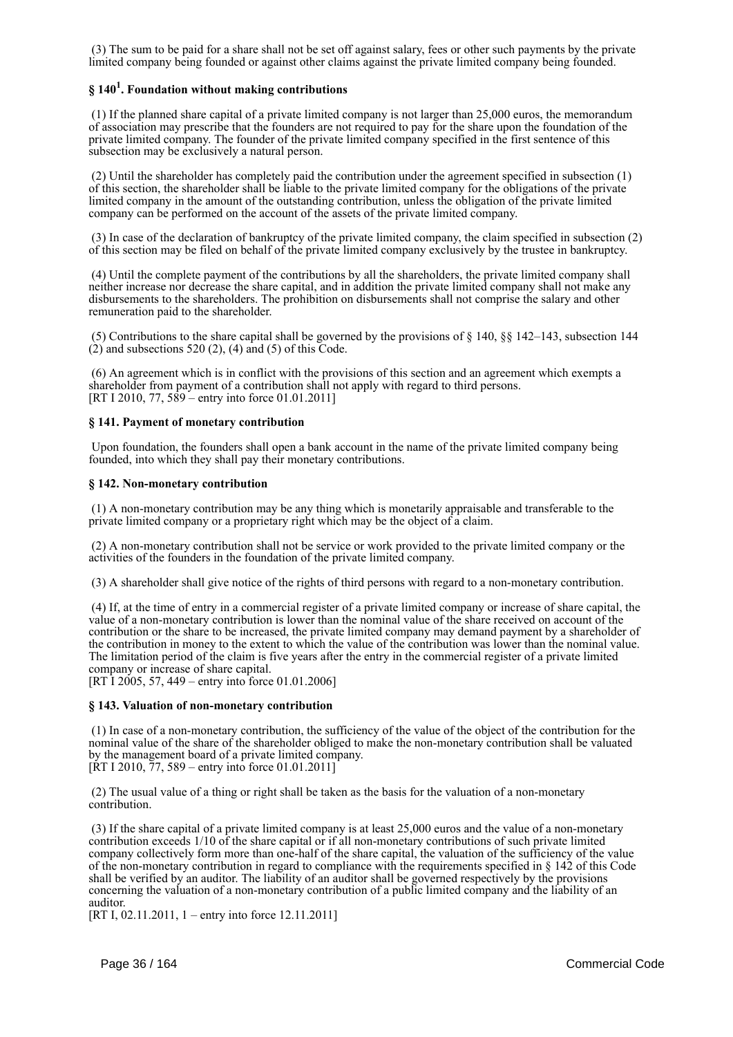(3) The sum to be paid for a share shall not be set off against salary, fees or other such payments by the private limited company being founded or against other claims against the private limited company being founded.

# **§ 140<sup>1</sup> . Foundation without making contributions**

 (1) If the planned share capital of a private limited company is not larger than 25,000 euros, the memorandum of association may prescribe that the founders are not required to pay for the share upon the foundation of the private limited company. The founder of the private limited company specified in the first sentence of this subsection may be exclusively a natural person.

 (2) Until the shareholder has completely paid the contribution under the agreement specified in subsection (1) of this section, the shareholder shall be liable to the private limited company for the obligations of the private limited company in the amount of the outstanding contribution, unless the obligation of the private limited company can be performed on the account of the assets of the private limited company.

 (3) In case of the declaration of bankruptcy of the private limited company, the claim specified in subsection (2) of this section may be filed on behalf of the private limited company exclusively by the trustee in bankruptcy.

 (4) Until the complete payment of the contributions by all the shareholders, the private limited company shall neither increase nor decrease the share capital, and in addition the private limited company shall not make any disbursements to the shareholders. The prohibition on disbursements shall not comprise the salary and other remuneration paid to the shareholder.

 (5) Contributions to the share capital shall be governed by the provisions of § 140, §§ 142–143, subsection 144  $(2)$  and subsections 520  $(2)$ ,  $(4)$  and  $(5)$  of this Code.

 (6) An agreement which is in conflict with the provisions of this section and an agreement which exempts a shareholder from payment of a contribution shall not apply with regard to third persons. [RT I 2010, 77, 589 – entry into force 01.01.2011]

#### **§ 141. Payment of monetary contribution**

 Upon foundation, the founders shall open a bank account in the name of the private limited company being founded, into which they shall pay their monetary contributions.

#### **§ 142. Non-monetary contribution**

 (1) A non-monetary contribution may be any thing which is monetarily appraisable and transferable to the private limited company or a proprietary right which may be the object of a claim.

 (2) A non-monetary contribution shall not be service or work provided to the private limited company or the activities of the founders in the foundation of the private limited company.

(3) A shareholder shall give notice of the rights of third persons with regard to a non-monetary contribution.

 (4) If, at the time of entry in a commercial register of a private limited company or increase of share capital, the value of a non-monetary contribution is lower than the nominal value of the share received on account of the contribution or the share to be increased, the private limited company may demand payment by a shareholder of the contribution in money to the extent to which the value of the contribution was lower than the nominal value. The limitation period of the claim is five years after the entry in the commercial register of a private limited company or increase of share capital.

[RT I 2005, 57, 449 – entry into force 01.01.2006]

#### **§ 143. Valuation of non-monetary contribution**

 (1) In case of a non-monetary contribution, the sufficiency of the value of the object of the contribution for the nominal value of the share of the shareholder obliged to make the non-monetary contribution shall be valuated by the management board of a private limited company.  $[\overline{R}T\ 1\ 2010, \overline{7}7, 589 -$  entry into force 01.01.2011]

 (2) The usual value of a thing or right shall be taken as the basis for the valuation of a non-monetary contribution.

 (3) If the share capital of a private limited company is at least 25,000 euros and the value of a non-monetary contribution exceeds 1/10 of the share capital or if all non-monetary contributions of such private limited company collectively form more than one-half of the share capital, the valuation of the sufficiency of the value of the non-monetary contribution in regard to compliance with the requirements specified in § 142 of this Code shall be verified by an auditor. The liability of an auditor shall be governed respectively by the provisions concerning the valuation of a non-monetary contribution of a public limited company and the liability of an auditor.

[RT I, 02.11.2011, 1 – entry into force 12.11.2011]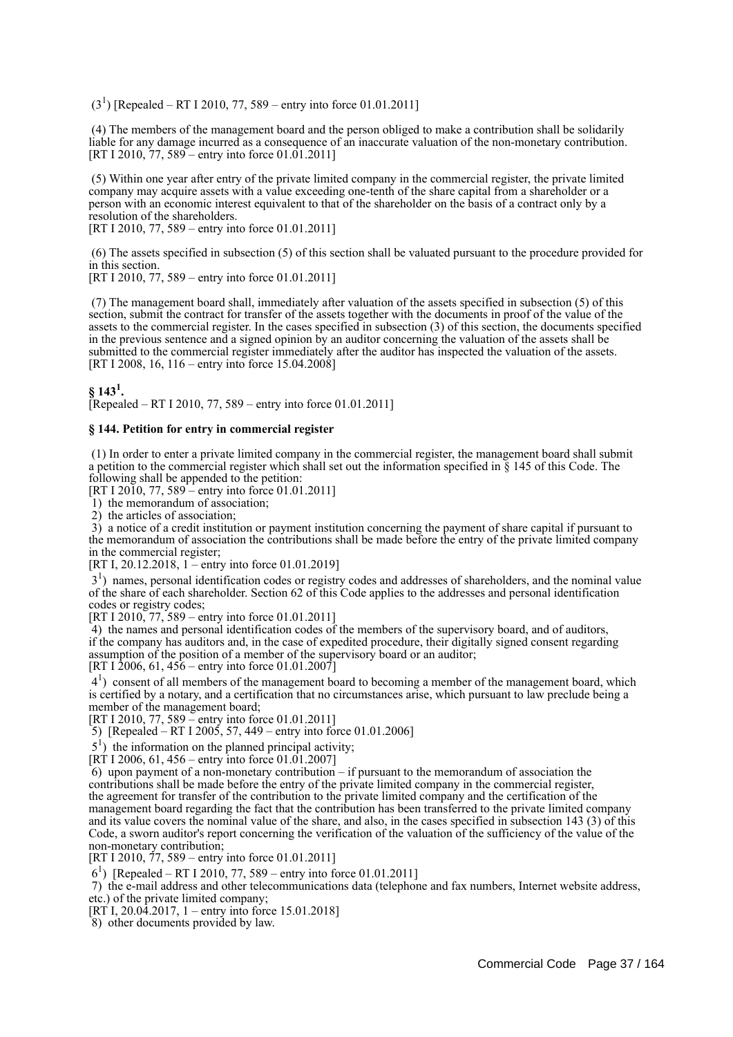$(3<sup>1</sup>)$  [Repealed – RT I 2010, 77, 589 – entry into force 01.01.2011]

 (4) The members of the management board and the person obliged to make a contribution shall be solidarily liable for any damage incurred as a consequence of an inaccurate valuation of the non-monetary contribution. [RT I 2010,  $77$ ,  $589$  – entry into force 01.01.2011]

 (5) Within one year after entry of the private limited company in the commercial register, the private limited company may acquire assets with a value exceeding one-tenth of the share capital from a shareholder or a person with an economic interest equivalent to that of the shareholder on the basis of a contract only by a resolution of the shareholders.

[RT I 2010, 77, 589 – entry into force 01.01.2011]

 (6) The assets specified in subsection (5) of this section shall be valuated pursuant to the procedure provided for in this section.

[RT I 2010, 77, 589 – entry into force 01.01.2011]

 (7) The management board shall, immediately after valuation of the assets specified in subsection (5) of this section, submit the contract for transfer of the assets together with the documents in proof of the value of the assets to the commercial register. In the cases specified in subsection (3) of this section, the documents specified in the previous sentence and a signed opinion by an auditor concerning the valuation of the assets shall be submitted to the commercial register immediately after the auditor has inspected the valuation of the assets. [RT I 2008, 16, 116 – entry into force 15.04.2008]

 $\S$  143<sup>1</sup>.

 $\text{Renealed} - \text{RT}$  I 2010, 77, 589 – entry into force 01.01.2011]

### **§ 144. Petition for entry in commercial register**

 (1) In order to enter a private limited company in the commercial register, the management board shall submit a petition to the commercial register which shall set out the information specified in § 145 of this Code. The following shall be appended to the petition:

[RT I 2010, 77, 589 – entry into force 01.01.2011]

1) the memorandum of association;

2) the articles of association;

 3) a notice of a credit institution or payment institution concerning the payment of share capital if pursuant to the memorandum of association the contributions shall be made before the entry of the private limited company in the commercial register;

[RT I, 20.12.2018, 1 – entry into force 01.01.2019]

 31 ) names, personal identification codes or registry codes and addresses of shareholders, and the nominal value of the share of each shareholder. Section 62 of this Code applies to the addresses and personal identification codes or registry codes;

[RT I 2010, 77, 589 – entry into force 01.01.2011]

 4) the names and personal identification codes of the members of the supervisory board, and of auditors, if the company has auditors and, in the case of expedited procedure, their digitally signed consent regarding assumption of the position of a member of the supervisory board or an auditor; [RT I 2006, 61,  $456$  – entry into force 01.01.2007]

 41 ) consent of all members of the management board to becoming a member of the management board, which is certified by a notary, and a certification that no circumstances arise, which pursuant to law preclude being a member of the management board;

[RT I 2010, 77, 589 – entry into force 01.01.2011]

5) [Repealed – RT I 2005, 57, 449 – entry into force 01.01.2006]

 $5<sup>1</sup>$ ) the information on the planned principal activity;

[RT I 2006, 61, 456 – entry into force 01.01.2007]

 6) upon payment of a non-monetary contribution – if pursuant to the memorandum of association the contributions shall be made before the entry of the private limited company in the commercial register, the agreement for transfer of the contribution to the private limited company and the certification of the management board regarding the fact that the contribution has been transferred to the private limited company and its value covers the nominal value of the share, and also, in the cases specified in subsection 143 (3) of this Code, a sworn auditor's report concerning the verification of the valuation of the sufficiency of the value of the non-monetary contribution;

[RT I 2010, 77, 589 – entry into force 01.01.2011]

61 ) [Repealed – RT I 2010, 77, 589 – entry into force 01.01.2011]

 7) the e-mail address and other telecommunications data (telephone and fax numbers, Internet website address, etc.) of the private limited company;

[RT I, 20.04.2017, 1 – entry into force 15.01.2018]

8) other documents provided by law.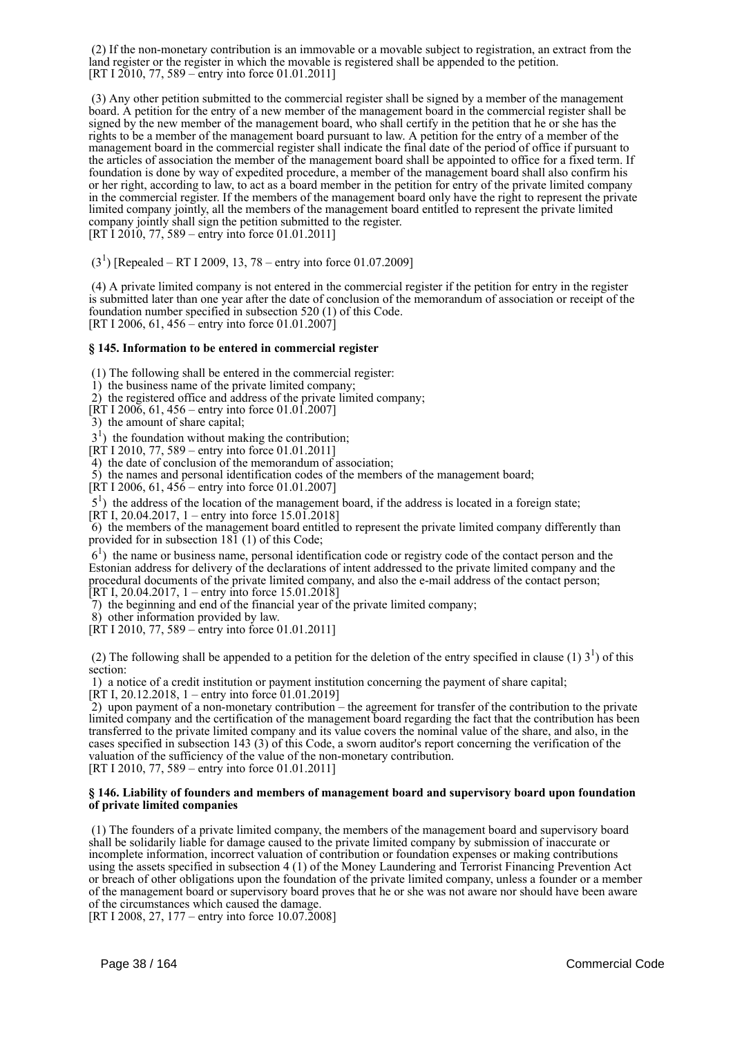(2) If the non-monetary contribution is an immovable or a movable subject to registration, an extract from the land register or the register in which the movable is registered shall be appended to the petition. [RT I 2010, 77, 589 – entry into force 01.01.2011]

 (3) Any other petition submitted to the commercial register shall be signed by a member of the management board. A petition for the entry of a new member of the management board in the commercial register shall be signed by the new member of the management board, who shall certify in the petition that he or she has the rights to be a member of the management board pursuant to law. A petition for the entry of a member of the management board in the commercial register shall indicate the final date of the period of office if pursuant to the articles of association the member of the management board shall be appointed to office for a fixed term. If foundation is done by way of expedited procedure, a member of the management board shall also confirm his or her right, according to law, to act as a board member in the petition for entry of the private limited company in the commercial register. If the members of the management board only have the right to represent the private limited company jointly, all the members of the management board entitled to represent the private limited company jointly shall sign the petition submitted to the register.  $[RT\overline{1} 201\overline{0}, 77, 589 -$  entry into force 01.01.2011]

 $(3<sup>1</sup>)$  [Repealed – RT I 2009, 13, 78 – entry into force 01.07.2009]

 (4) A private limited company is not entered in the commercial register if the petition for entry in the register is submitted later than one year after the date of conclusion of the memorandum of association or receipt of the foundation number specified in subsection 520 (1) of this Code. [RT I 2006, 61, 456 – entry into force 01.01.2007]

### **§ 145. Information to be entered in commercial register**

(1) The following shall be entered in the commercial register:

1) the business name of the private limited company;

2) the registered office and address of the private limited company;

- $[\overline{RT} 1 200\overline{6}, 61, 456 -$  entry into force 01.01.2007]
- 3) the amount of share capital;

 $3<sup>1</sup>$ ) the foundation without making the contribution;

 $[RT 1 2010, 77, 589 - entry into force 01.01.2011]$ 

4) the date of conclusion of the memorandum of association;

5) the names and personal identification codes of the members of the management board;

[RT I 2006, 61,  $456$  – entry into force 01.01.2007]

5<sup>1</sup>) the address of the location of the management board, if the address is located in a foreign state;

[RT I, 20.04.2017, 1 – entry into force  $15.0\overline{1}$ , 2018]

 6) the members of the management board entitled to represent the private limited company differently than provided for in subsection 181 (1) of this Code;

 61 ) the name or business name, personal identification code or registry code of the contact person and the Estonian address for delivery of the declarations of intent addressed to the private limited company and the procedural documents of the private limited company, and also the e-mail address of the contact person; [RT I, 20.04.2017, 1 – entry into force  $15.01.2018$ ]

7) the beginning and end of the financial year of the private limited company;

8) other information provided by law.

[RT I 2010, 77, 589 – entry into force 01.01.2011]

(2) The following shall be appended to a petition for the deletion of the entry specified in clause (1)  $3<sup>1</sup>$ ) of this section:

1) a notice of a credit institution or payment institution concerning the payment of share capital;

[RT I, 20.12.2018, 1 – entry into force 01.01.2019]

 2) upon payment of a non-monetary contribution – the agreement for transfer of the contribution to the private limited company and the certification of the management board regarding the fact that the contribution has been transferred to the private limited company and its value covers the nominal value of the share, and also, in the cases specified in subsection 143 (3) of this Code, a sworn auditor's report concerning the verification of the valuation of the sufficiency of the value of the non-monetary contribution. [RT I 2010, 77, 589 – entry into force 01.01.2011]

### **§ 146. Liability of founders and members of management board and supervisory board upon foundation of private limited companies**

 (1) The founders of a private limited company, the members of the management board and supervisory board shall be solidarily liable for damage caused to the private limited company by submission of inaccurate or incomplete information, incorrect valuation of contribution or foundation expenses or making contributions using the assets specified in subsection 4 (1) of the Money Laundering and Terrorist Financing Prevention Act or breach of other obligations upon the foundation of the private limited company, unless a founder or a member of the management board or supervisory board proves that he or she was not aware nor should have been aware of the circumstances which caused the damage.

[RT I 2008, 27, 177 – entry into force 10.07.2008]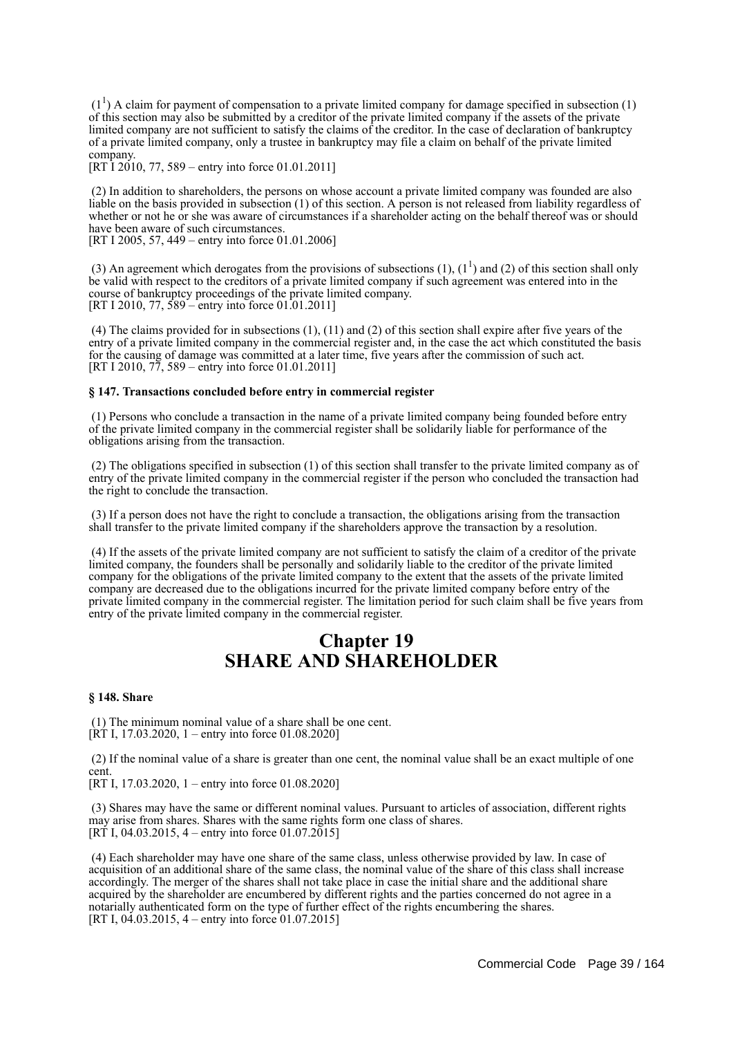$(1<sup>1</sup>)$  A claim for payment of compensation to a private limited company for damage specified in subsection (1) of this section may also be submitted by a creditor of the private limited company if the assets of the private limited company are not sufficient to satisfy the claims of the creditor. In the case of declaration of bankruptcy of a private limited company, only a trustee in bankruptcy may file a claim on behalf of the private limited company.

[RT I 2010, 77, 589 – entry into force 01.01.2011]

 (2) In addition to shareholders, the persons on whose account a private limited company was founded are also liable on the basis provided in subsection (1) of this section. A person is not released from liability regardless of whether or not he or she was aware of circumstances if a shareholder acting on the behalf thereof was or should have been aware of such circumstances.

[RT I 2005, 57, 449 – entry into force 01.01.2006]

(3) An agreement which derogates from the provisions of subsections (1),  $(1^1)$  and (2) of this section shall only be valid with respect to the creditors of a private limited company if such agreement was entered into in the course of bankruptcy proceedings of the private limited company. [RT I 2010, 77, 589 – entry into force 01.01.2011]

 (4) The claims provided for in subsections (1), (11) and (2) of this section shall expire after five years of the entry of a private limited company in the commercial register and, in the case the act which constituted the basis for the causing of damage was committed at a later time, five years after the commission of such act. [RT I 2010, 77, 589 – entry into force 01.01.2011]

### **§ 147. Transactions concluded before entry in commercial register**

 (1) Persons who conclude a transaction in the name of a private limited company being founded before entry of the private limited company in the commercial register shall be solidarily liable for performance of the obligations arising from the transaction.

 (2) The obligations specified in subsection (1) of this section shall transfer to the private limited company as of entry of the private limited company in the commercial register if the person who concluded the transaction had the right to conclude the transaction.

 (3) If a person does not have the right to conclude a transaction, the obligations arising from the transaction shall transfer to the private limited company if the shareholders approve the transaction by a resolution.

 (4) If the assets of the private limited company are not sufficient to satisfy the claim of a creditor of the private limited company, the founders shall be personally and solidarily liable to the creditor of the private limited company for the obligations of the private limited company to the extent that the assets of the private limited company are decreased due to the obligations incurred for the private limited company before entry of the private limited company in the commercial register. The limitation period for such claim shall be five years from entry of the private limited company in the commercial register.

# **Chapter 19 SHARE AND SHAREHOLDER**

### **§ 148. Share**

 (1) The minimum nominal value of a share shall be one cent. [RT I, 17.03.2020, 1 – entry into force 01.08.2020]

 (2) If the nominal value of a share is greater than one cent, the nominal value shall be an exact multiple of one cent.

[RT I, 17.03.2020, 1 – entry into force 01.08.2020]

 (3) Shares may have the same or different nominal values. Pursuant to articles of association, different rights may arise from shares. Shares with the same rights form one class of shares. [RT I, 04.03.2015, 4 – entry into force  $01.07.2015$ ]

 (4) Each shareholder may have one share of the same class, unless otherwise provided by law. In case of acquisition of an additional share of the same class, the nominal value of the share of this class shall increase accordingly. The merger of the shares shall not take place in case the initial share and the additional share acquired by the shareholder are encumbered by different rights and the parties concerned do not agree in a notarially authenticated form on the type of further effect of the rights encumbering the shares. [RT I,  $04.03.2015$ , 4 – entry into force  $01.07.2015$ ]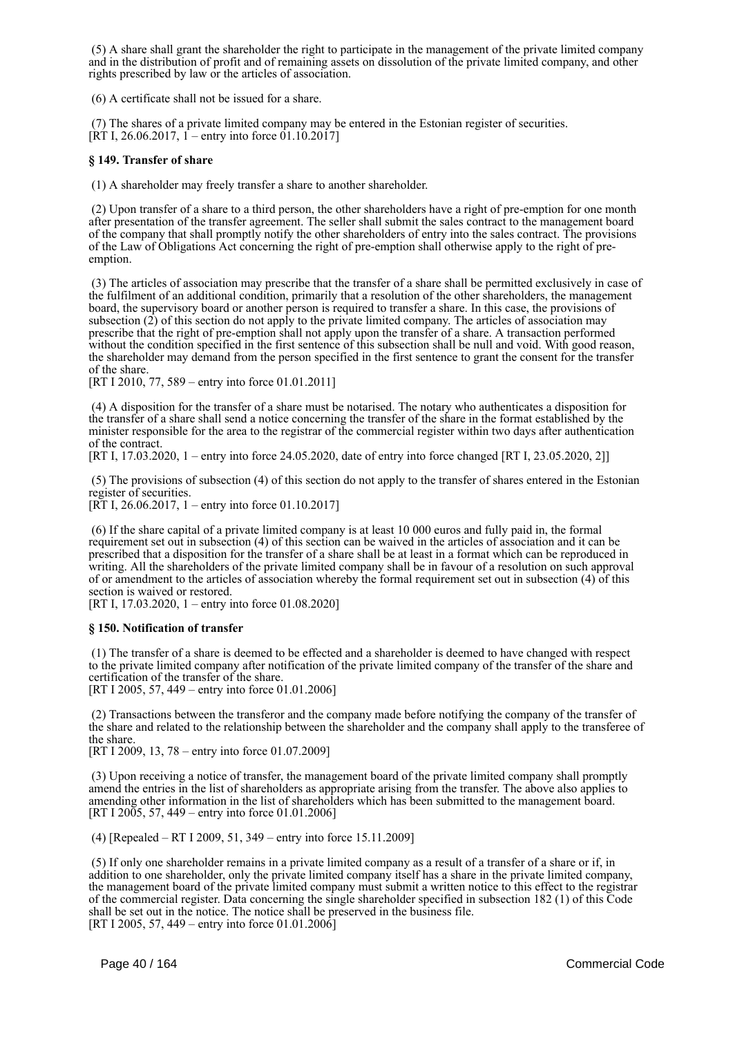(5) A share shall grant the shareholder the right to participate in the management of the private limited company and in the distribution of profit and of remaining assets on dissolution of the private limited company, and other rights prescribed by law or the articles of association.

(6) A certificate shall not be issued for a share.

 (7) The shares of a private limited company may be entered in the Estonian register of securities.  $[RT I, 26.06.2017, 1 -$  entry into force 01.10.2017]

### **§ 149. Transfer of share**

(1) A shareholder may freely transfer a share to another shareholder.

 (2) Upon transfer of a share to a third person, the other shareholders have a right of pre-emption for one month after presentation of the transfer agreement. The seller shall submit the sales contract to the management board of the company that shall promptly notify the other shareholders of entry into the sales contract. The provisions of the Law of Obligations Act concerning the right of pre-emption shall otherwise apply to the right of preemption.

 (3) The articles of association may prescribe that the transfer of a share shall be permitted exclusively in case of the fulfilment of an additional condition, primarily that a resolution of the other shareholders, the management board, the supervisory board or another person is required to transfer a share. In this case, the provisions of subsection (2) of this section do not apply to the private limited company. The articles of association may prescribe that the right of pre-emption shall not apply upon the transfer of a share. A transaction performed without the condition specified in the first sentence of this subsection shall be null and void. With good reason, the shareholder may demand from the person specified in the first sentence to grant the consent for the transfer of the share.

[RT I 2010, 77, 589 – entry into force 01.01.2011]

 (4) A disposition for the transfer of a share must be notarised. The notary who authenticates a disposition for the transfer of a share shall send a notice concerning the transfer of the share in the format established by the minister responsible for the area to the registrar of the commercial register within two days after authentication of the contract.

[RT I, 17.03.2020, 1 – entry into force 24.05.2020, date of entry into force changed [RT I, 23.05.2020, 2]]

 (5) The provisions of subsection (4) of this section do not apply to the transfer of shares entered in the Estonian register of securities.

[RT I, 26.06.2017, 1 – entry into force 01.10.2017]

 (6) If the share capital of a private limited company is at least 10 000 euros and fully paid in, the formal requirement set out in subsection (4) of this section can be waived in the articles of association and it can be prescribed that a disposition for the transfer of a share shall be at least in a format which can be reproduced in writing. All the shareholders of the private limited company shall be in favour of a resolution on such approval of or amendment to the articles of association whereby the formal requirement set out in subsection (4) of this section is waived or restored.

[RT I, 17.03.2020, 1 – entry into force 01.08.2020]

### **§ 150. Notification of transfer**

 (1) The transfer of a share is deemed to be effected and a shareholder is deemed to have changed with respect to the private limited company after notification of the private limited company of the transfer of the share and certification of the transfer of the share.

[RT I 2005, 57, 449 – entry into force 01.01.2006]

 (2) Transactions between the transferor and the company made before notifying the company of the transfer of the share and related to the relationship between the shareholder and the company shall apply to the transferee of the share.

[RT I 2009, 13, 78 – entry into force 01.07.2009]

 (3) Upon receiving a notice of transfer, the management board of the private limited company shall promptly amend the entries in the list of shareholders as appropriate arising from the transfer. The above also applies to amending other information in the list of shareholders which has been submitted to the management board. [RT I 2005, 57, 449 – entry into force 01.01.2006]

(4) [Repealed – RT I 2009, 51, 349 – entry into force 15.11.2009]

 (5) If only one shareholder remains in a private limited company as a result of a transfer of a share or if, in addition to one shareholder, only the private limited company itself has a share in the private limited company, the management board of the private limited company must submit a written notice to this effect to the registrar of the commercial register. Data concerning the single shareholder specified in subsection 182 (1) of this Code shall be set out in the notice. The notice shall be preserved in the business file. [RT I 2005, 57, 449 – entry into force  $01.01.200\overline{6}$ ]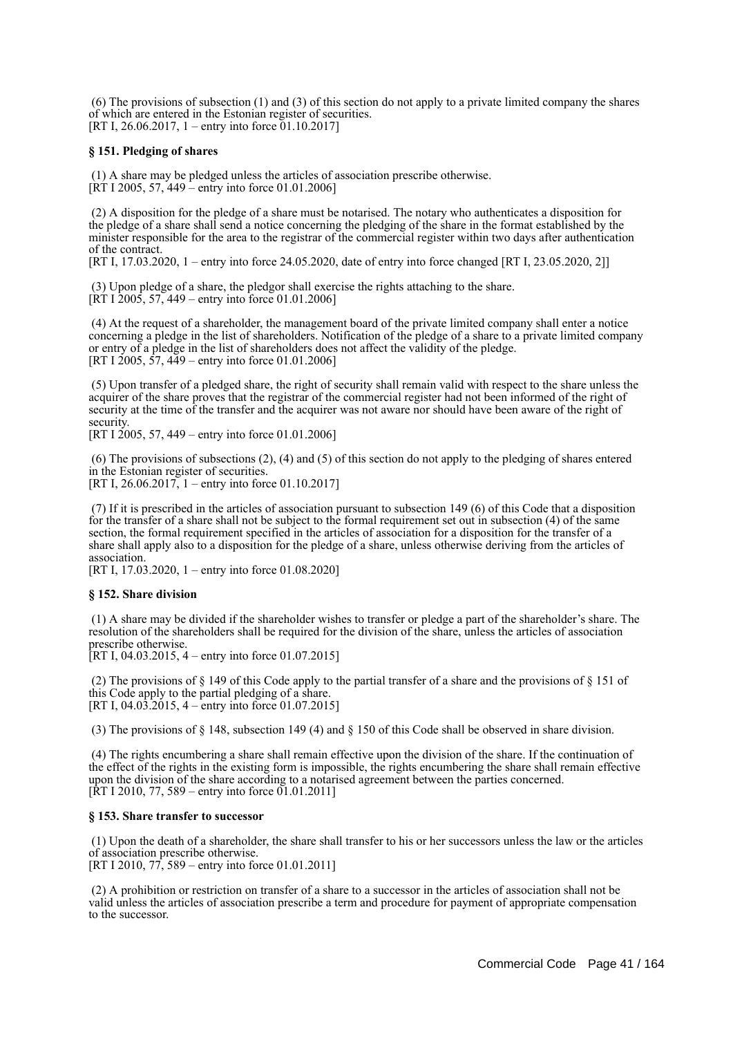(6) The provisions of subsection (1) and (3) of this section do not apply to a private limited company the shares of which are entered in the Estonian register of securities. [RT I, 26.06.2017, 1 – entry into force  $01.10.2017$ ]

### **§ 151. Pledging of shares**

 (1) A share may be pledged unless the articles of association prescribe otherwise. [RT I 2005, 57, 449 – entry into force 01.01.2006]

 (2) A disposition for the pledge of a share must be notarised. The notary who authenticates a disposition for the pledge of a share shall send a notice concerning the pledging of the share in the format established by the minister responsible for the area to the registrar of the commercial register within two days after authentication of the contract.

[RT I, 17.03.2020, 1 – entry into force 24.05.2020, date of entry into force changed [RT I, 23.05.2020, 2]]

 (3) Upon pledge of a share, the pledgor shall exercise the rights attaching to the share.  $[\overline{RT} \ 1 \ 2005, 57, 449 -$  entry into force 01.01.2006]

 (4) At the request of a shareholder, the management board of the private limited company shall enter a notice concerning a pledge in the list of shareholders. Notification of the pledge of a share to a private limited company or entry of a pledge in the list of shareholders does not affect the validity of the pledge. [RT I 2005,  $\frac{5}{7}$ ,  $\frac{449}{9}$  – entry into force 01.01.2006]

 (5) Upon transfer of a pledged share, the right of security shall remain valid with respect to the share unless the acquirer of the share proves that the registrar of the commercial register had not been informed of the right of security at the time of the transfer and the acquirer was not aware nor should have been aware of the right of security.

[RT I 2005, 57, 449 – entry into force 01.01.2006]

 (6) The provisions of subsections (2), (4) and (5) of this section do not apply to the pledging of shares entered in the Estonian register of securities.

[RT I,  $26.06.2017$ , 1 – entry into force 01.10.2017]

 (7) If it is prescribed in the articles of association pursuant to subsection 149 (6) of this Code that a disposition for the transfer of a share shall not be subject to the formal requirement set out in subsection (4) of the same section, the formal requirement specified in the articles of association for a disposition for the transfer of a share shall apply also to a disposition for the pledge of a share, unless otherwise deriving from the articles of association.

[RT I, 17.03.2020, 1 – entry into force 01.08.2020]

### **§ 152. Share division**

 (1) A share may be divided if the shareholder wishes to transfer or pledge a part of the shareholder's share. The resolution of the shareholders shall be required for the division of the share, unless the articles of association prescribe otherwise.

[RT I, 04.03.2015, 4 – entry into force 01.07.2015]

(2) The provisions of  $\S$  149 of this Code apply to the partial transfer of a share and the provisions of  $\S$  151 of this Code apply to the partial pledging of a share. [RT I, 04.03.2015, 4 – entry into force 01.07.2015]

(3) The provisions of § 148, subsection 149 (4) and § 150 of this Code shall be observed in share division.

 (4) The rights encumbering a share shall remain effective upon the division of the share. If the continuation of the effect of the rights in the existing form is impossible, the rights encumbering the share shall remain effective upon the division of the share according to a notarised agreement between the parties concerned.  $[\hat{R}T I 2010, 77, 589 -$  entry into force 01.01.2011]

### **§ 153. Share transfer to successor**

 (1) Upon the death of a shareholder, the share shall transfer to his or her successors unless the law or the articles of association prescribe otherwise.

[RT I 2010, 77, 589 – entry into force 01.01.2011]

 (2) A prohibition or restriction on transfer of a share to a successor in the articles of association shall not be valid unless the articles of association prescribe a term and procedure for payment of appropriate compensation to the successor.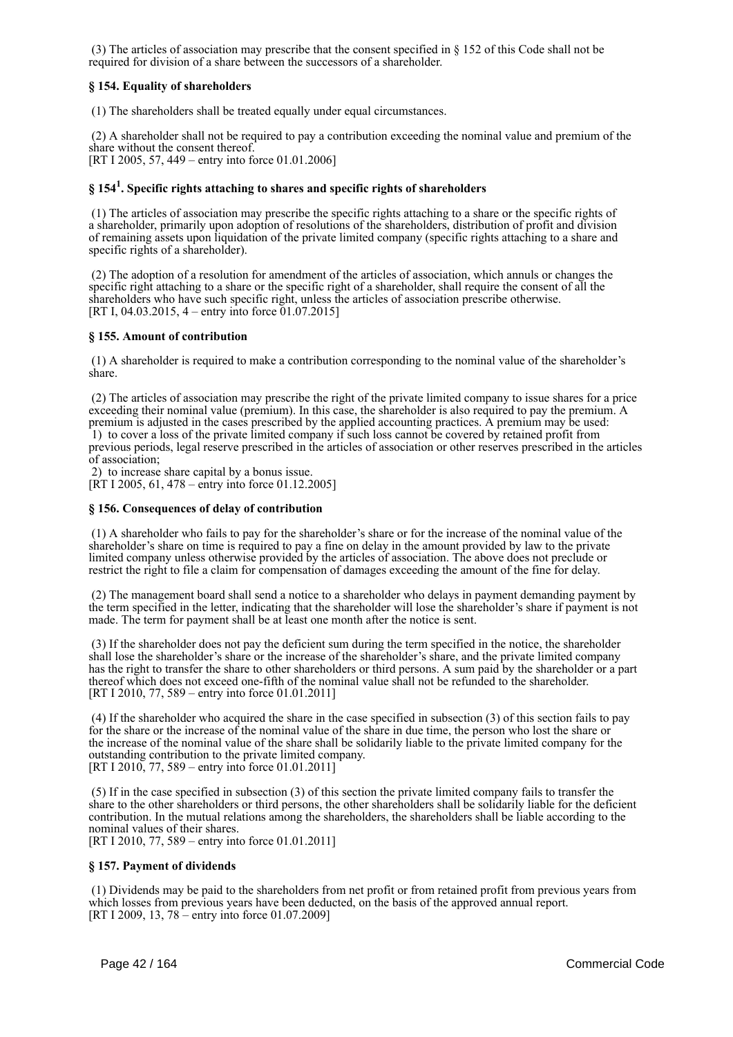(3) The articles of association may prescribe that the consent specified in § 152 of this Code shall not be required for division of a share between the successors of a shareholder.

### **§ 154. Equality of shareholders**

(1) The shareholders shall be treated equally under equal circumstances.

 (2) A shareholder shall not be required to pay a contribution exceeding the nominal value and premium of the share without the consent thereof. [RT I 2005, 57, 449 – entry into force 01.01.2006]

# **§ 154<sup>1</sup> . Specific rights attaching to shares and specific rights of shareholders**

 (1) The articles of association may prescribe the specific rights attaching to a share or the specific rights of a shareholder, primarily upon adoption of resolutions of the shareholders, distribution of profit and division of remaining assets upon liquidation of the private limited company (specific rights attaching to a share and specific rights of a shareholder).

 (2) The adoption of a resolution for amendment of the articles of association, which annuls or changes the specific right attaching to a share or the specific right of a shareholder, shall require the consent of all the shareholders who have such specific right, unless the articles of association prescribe otherwise. [RT I, 04.03.2015, 4 – entry into force 01.07.2015]

### **§ 155. Amount of contribution**

 (1) A shareholder is required to make a contribution corresponding to the nominal value of the shareholder's share.

 (2) The articles of association may prescribe the right of the private limited company to issue shares for a price exceeding their nominal value (premium). In this case, the shareholder is also required to pay the premium. A premium is adjusted in the cases prescribed by the applied accounting practices. A premium may be used: 1) to cover a loss of the private limited company if such loss cannot be covered by retained profit from previous periods, legal reserve prescribed in the articles of association or other reserves prescribed in the articles of association;

2) to increase share capital by a bonus issue.

[RT I 2005, 61, 478 – entry into force 01.12.2005]

### **§ 156. Consequences of delay of contribution**

 (1) A shareholder who fails to pay for the shareholder's share or for the increase of the nominal value of the shareholder's share on time is required to pay a fine on delay in the amount provided by law to the private limited company unless otherwise provided by the articles of association. The above does not preclude or restrict the right to file a claim for compensation of damages exceeding the amount of the fine for delay.

 (2) The management board shall send a notice to a shareholder who delays in payment demanding payment by the term specified in the letter, indicating that the shareholder will lose the shareholder's share if payment is not made. The term for payment shall be at least one month after the notice is sent.

 (3) If the shareholder does not pay the deficient sum during the term specified in the notice, the shareholder shall lose the shareholder's share or the increase of the shareholder's share, and the private limited company has the right to transfer the share to other shareholders or third persons. A sum paid by the shareholder or a part thereof which does not exceed one-fifth of the nominal value shall not be refunded to the shareholder. [RT I 2010, 77, 589 – entry into force 01.01.2011]

 (4) If the shareholder who acquired the share in the case specified in subsection (3) of this section fails to pay for the share or the increase of the nominal value of the share in due time, the person who lost the share or the increase of the nominal value of the share shall be solidarily liable to the private limited company for the outstanding contribution to the private limited company. [RT I 2010, 77, 589 – entry into force 01.01.2011]

 (5) If in the case specified in subsection (3) of this section the private limited company fails to transfer the share to the other shareholders or third persons, the other shareholders shall be solidarily liable for the deficient contribution. In the mutual relations among the shareholders, the shareholders shall be liable according to the nominal values of their shares.

[RT I 2010, 77, 589 – entry into force 01.01.2011]

### **§ 157. Payment of dividends**

 (1) Dividends may be paid to the shareholders from net profit or from retained profit from previous years from which losses from previous years have been deducted, on the basis of the approved annual report. [RT I 2009, 13, 78 – entry into force 01.07.2009]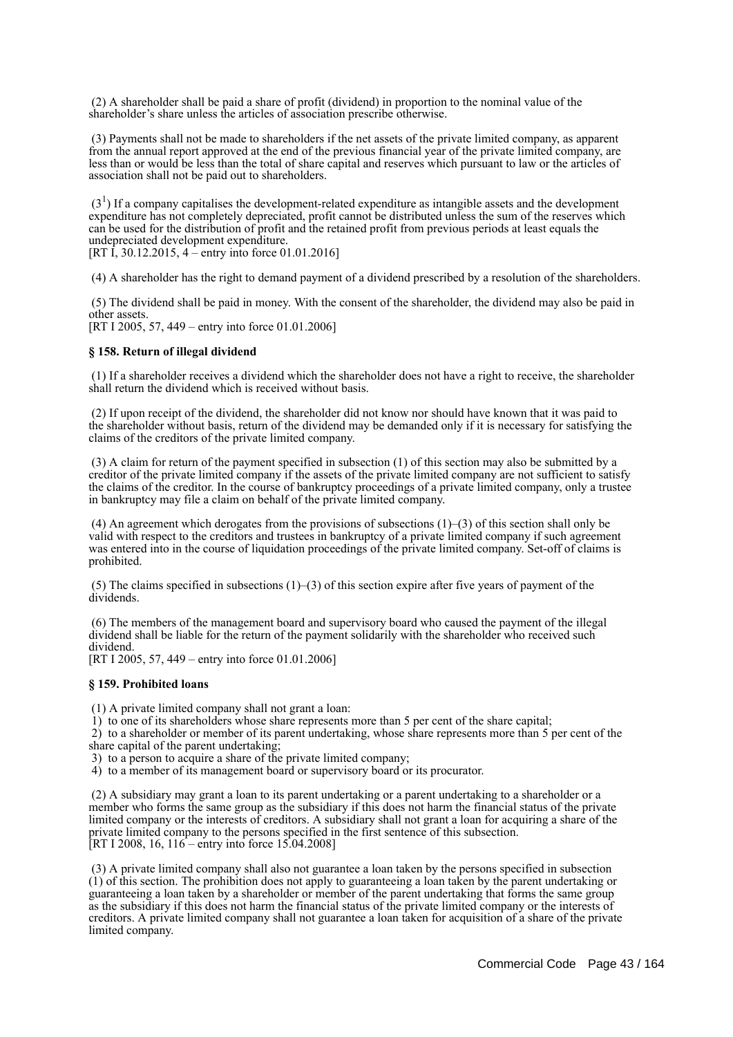(2) A shareholder shall be paid a share of profit (dividend) in proportion to the nominal value of the shareholder's share unless the articles of association prescribe otherwise.

 (3) Payments shall not be made to shareholders if the net assets of the private limited company, as apparent from the annual report approved at the end of the previous financial year of the private limited company, are less than or would be less than the total of share capital and reserves which pursuant to law or the articles of association shall not be paid out to shareholders.

 $(3<sup>1</sup>)$  If a company capitalises the development-related expenditure as intangible assets and the development expenditure has not completely depreciated, profit cannot be distributed unless the sum of the reserves which can be used for the distribution of profit and the retained profit from previous periods at least equals the undepreciated development expenditure. [RT I, 30.12.2015, 4 – entry into force 01.01.2016]

(4) A shareholder has the right to demand payment of a dividend prescribed by a resolution of the shareholders.

 (5) The dividend shall be paid in money. With the consent of the shareholder, the dividend may also be paid in other assets.

[RT I 2005, 57, 449 – entry into force 01.01.2006]

### **§ 158. Return of illegal dividend**

 (1) If a shareholder receives a dividend which the shareholder does not have a right to receive, the shareholder shall return the dividend which is received without basis.

 (2) If upon receipt of the dividend, the shareholder did not know nor should have known that it was paid to the shareholder without basis, return of the dividend may be demanded only if it is necessary for satisfying the claims of the creditors of the private limited company.

 (3) A claim for return of the payment specified in subsection (1) of this section may also be submitted by a creditor of the private limited company if the assets of the private limited company are not sufficient to satisfy the claims of the creditor. In the course of bankruptcy proceedings of a private limited company, only a trustee in bankruptcy may file a claim on behalf of the private limited company.

 (4) An agreement which derogates from the provisions of subsections (1)–(3) of this section shall only be valid with respect to the creditors and trustees in bankruptcy of a private limited company if such agreement was entered into in the course of liquidation proceedings of the private limited company. Set-off of claims is prohibited.

(5) The claims specified in subsections  $(1)$ –(3) of this section expire after five years of payment of the dividends.

 (6) The members of the management board and supervisory board who caused the payment of the illegal dividend shall be liable for the return of the payment solidarily with the shareholder who received such dividend.

[RT I 2005, 57, 449 – entry into force 01.01.2006]

### **§ 159. Prohibited loans**

(1) A private limited company shall not grant a loan:

 $1)$  to one of its shareholders whose share represents more than 5 per cent of the share capital;

 2) to a shareholder or member of its parent undertaking, whose share represents more than 5 per cent of the share capital of the parent undertaking;

3) to a person to acquire a share of the private limited company;

4) to a member of its management board or supervisory board or its procurator.

 (2) A subsidiary may grant a loan to its parent undertaking or a parent undertaking to a shareholder or a member who forms the same group as the subsidiary if this does not harm the financial status of the private limited company or the interests of creditors. A subsidiary shall not grant a loan for acquiring a share of the private limited company to the persons specified in the first sentence of this subsection. [RT I 2008, 16,  $116$  – entry into force 15.04.2008]

 (3) A private limited company shall also not guarantee a loan taken by the persons specified in subsection (1) of this section. The prohibition does not apply to guaranteeing a loan taken by the parent undertaking or guaranteeing a loan taken by a shareholder or member of the parent undertaking that forms the same group as the subsidiary if this does not harm the financial status of the private limited company or the interests of creditors. A private limited company shall not guarantee a loan taken for acquisition of a share of the private limited company.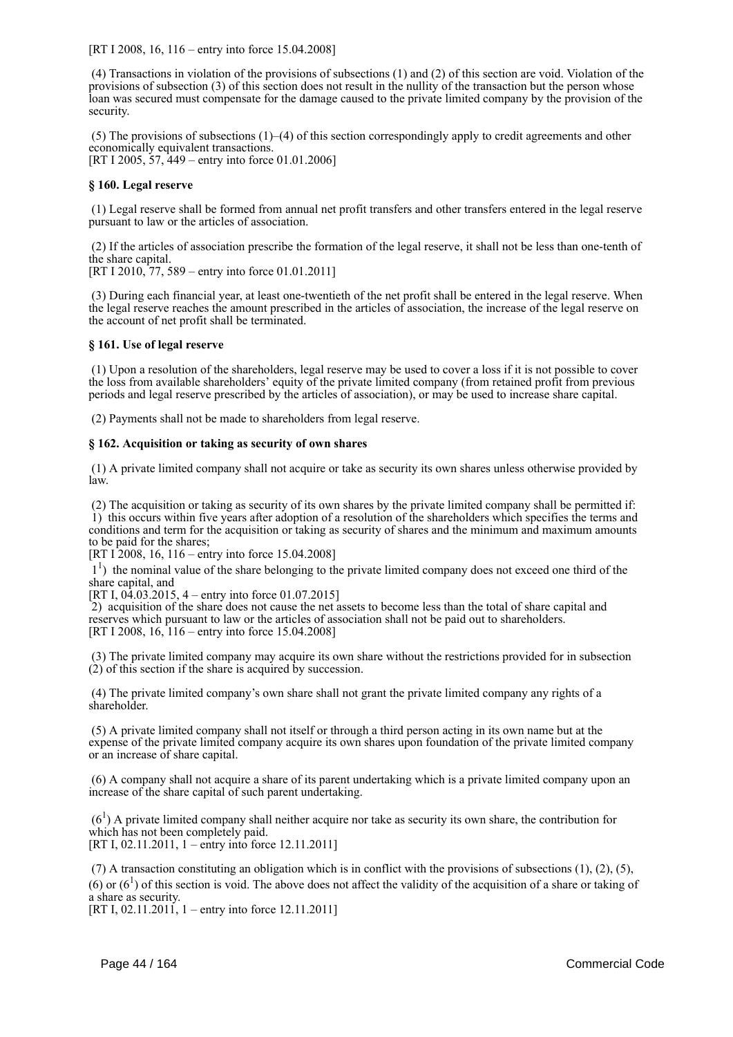[RT I 2008, 16, 116 – entry into force 15.04.2008]

 (4) Transactions in violation of the provisions of subsections (1) and (2) of this section are void. Violation of the provisions of subsection (3) of this section does not result in the nullity of the transaction but the person whose loan was secured must compensate for the damage caused to the private limited company by the provision of the security.

 (5) The provisions of subsections (1)–(4) of this section correspondingly apply to credit agreements and other economically equivalent transactions. [RT I 2005, 57, 449 – entry into force 01.01.2006]

### **§ 160. Legal reserve**

 (1) Legal reserve shall be formed from annual net profit transfers and other transfers entered in the legal reserve pursuant to law or the articles of association.

 (2) If the articles of association prescribe the formation of the legal reserve, it shall not be less than one-tenth of the share capital.

[RT I 2010, 77, 589 – entry into force 01.01.2011]

 (3) During each financial year, at least one-twentieth of the net profit shall be entered in the legal reserve. When the legal reserve reaches the amount prescribed in the articles of association, the increase of the legal reserve on the account of net profit shall be terminated.

### **§ 161. Use of legal reserve**

 (1) Upon a resolution of the shareholders, legal reserve may be used to cover a loss if it is not possible to cover the loss from available shareholders' equity of the private limited company (from retained profit from previous periods and legal reserve prescribed by the articles of association), or may be used to increase share capital.

(2) Payments shall not be made to shareholders from legal reserve.

### **§ 162. Acquisition or taking as security of own shares**

 (1) A private limited company shall not acquire or take as security its own shares unless otherwise provided by law.

 (2) The acquisition or taking as security of its own shares by the private limited company shall be permitted if: 1) this occurs within five years after adoption of a resolution of the shareholders which specifies the terms and conditions and term for the acquisition or taking as security of shares and the minimum and maximum amounts to be paid for the shares;

[RT I 2008, 16, 116 – entry into force 15.04.2008]

<sup>1</sup>) the nominal value of the share belonging to the private limited company does not exceed one third of the share capital, and

[RT I,  $04.03.2015$ , 4 – entry into force 01.07.2015]

 2) acquisition of the share does not cause the net assets to become less than the total of share capital and reserves which pursuant to law or the articles of association shall not be paid out to shareholders. [RT I 2008, 16, 116 – entry into force 15.04.2008]

 (3) The private limited company may acquire its own share without the restrictions provided for in subsection  $(2)$  of this section if the share is acquired by succession.

 (4) The private limited company's own share shall not grant the private limited company any rights of a shareholder.

 (5) A private limited company shall not itself or through a third person acting in its own name but at the expense of the private limited company acquire its own shares upon foundation of the private limited company or an increase of share capital.

 (6) A company shall not acquire a share of its parent undertaking which is a private limited company upon an increase of the share capital of such parent undertaking.

 $(6<sup>1</sup>)$  A private limited company shall neither acquire nor take as security its own share, the contribution for which has not been completely paid. [RT I, 02.11.2011, 1 – entry into force 12.11.2011]

 (7) A transaction constituting an obligation which is in conflict with the provisions of subsections (1), (2), (5), (6) or  $(6<sup>1</sup>)$  of this section is void. The above does not affect the validity of the acquisition of a share or taking of a share as security.

[RT I, 02.11.2011], 1 – entry into force 12.11.2011]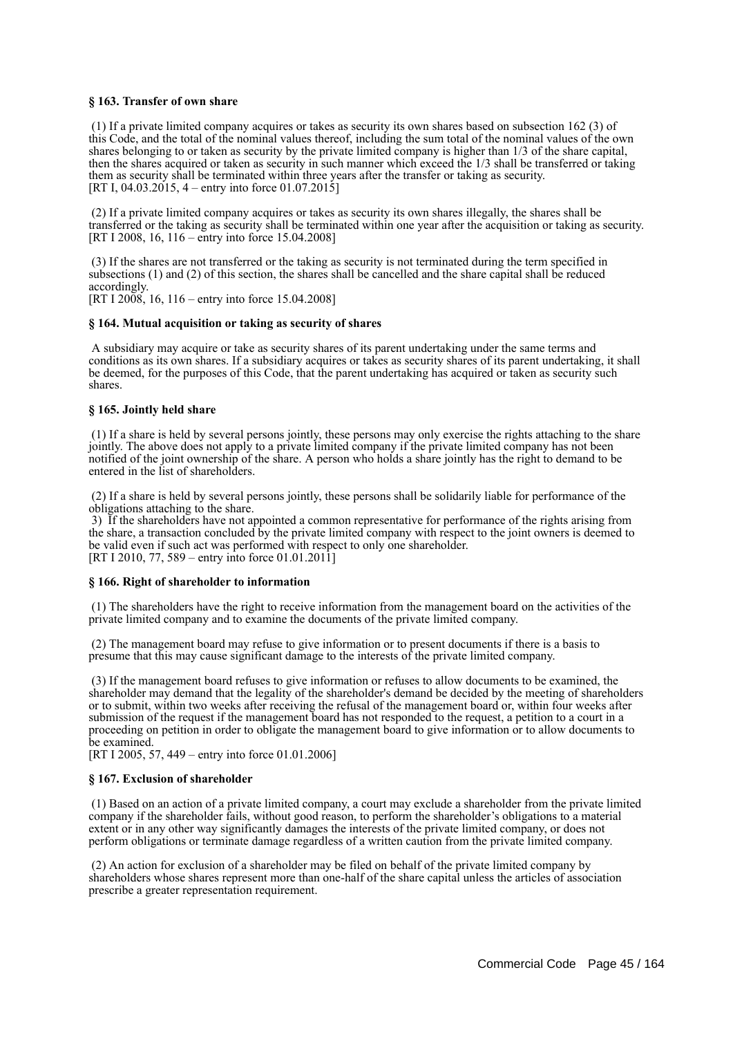### **§ 163. Transfer of own share**

 (1) If a private limited company acquires or takes as security its own shares based on subsection 162 (3) of this Code, and the total of the nominal values thereof, including the sum total of the nominal values of the own shares belonging to or taken as security by the private limited company is higher than 1/3 of the share capital, then the shares acquired or taken as security in such manner which exceed the 1/3 shall be transferred or taking them as security shall be terminated within three years after the transfer or taking as security. [RT I, 04.03.2015, 4 – entry into force  $01.07.201\overline{5}$ ]

 (2) If a private limited company acquires or takes as security its own shares illegally, the shares shall be transferred or the taking as security shall be terminated within one year after the acquisition or taking as security. [RT I 2008, 16, 116 – entry into force 15.04.2008]

 (3) If the shares are not transferred or the taking as security is not terminated during the term specified in subsections (1) and (2) of this section, the shares shall be cancelled and the share capital shall be reduced accordingly.

[RT I 2008, 16, 116 – entry into force 15.04.2008]

### **§ 164. Mutual acquisition or taking as security of shares**

 A subsidiary may acquire or take as security shares of its parent undertaking under the same terms and conditions as its own shares. If a subsidiary acquires or takes as security shares of its parent undertaking, it shall be deemed, for the purposes of this Code, that the parent undertaking has acquired or taken as security such shares.

### **§ 165. Jointly held share**

 (1) If a share is held by several persons jointly, these persons may only exercise the rights attaching to the share jointly. The above does not apply to a private limited company if the private limited company has not been notified of the joint ownership of the share. A person who holds a share jointly has the right to demand to be entered in the list of shareholders.

 (2) If a share is held by several persons jointly, these persons shall be solidarily liable for performance of the obligations attaching to the share.

 3) If the shareholders have not appointed a common representative for performance of the rights arising from the share, a transaction concluded by the private limited company with respect to the joint owners is deemed to be valid even if such act was performed with respect to only one shareholder. [RT I 2010, 77, 589 – entry into force 01.01.2011]

#### **§ 166. Right of shareholder to information**

 (1) The shareholders have the right to receive information from the management board on the activities of the private limited company and to examine the documents of the private limited company.

 (2) The management board may refuse to give information or to present documents if there is a basis to presume that this may cause significant damage to the interests of the private limited company.

 (3) If the management board refuses to give information or refuses to allow documents to be examined, the shareholder may demand that the legality of the shareholder's demand be decided by the meeting of shareholders or to submit, within two weeks after receiving the refusal of the management board or, within four weeks after submission of the request if the management board has not responded to the request, a petition to a court in a proceeding on petition in order to obligate the management board to give information or to allow documents to be examined.

[RT I 2005, 57, 449 – entry into force 01.01.2006]

### **§ 167. Exclusion of shareholder**

 (1) Based on an action of a private limited company, a court may exclude a shareholder from the private limited company if the shareholder fails, without good reason, to perform the shareholder's obligations to a material extent or in any other way significantly damages the interests of the private limited company, or does not perform obligations or terminate damage regardless of a written caution from the private limited company.

 (2) An action for exclusion of a shareholder may be filed on behalf of the private limited company by shareholders whose shares represent more than one-half of the share capital unless the articles of association prescribe a greater representation requirement.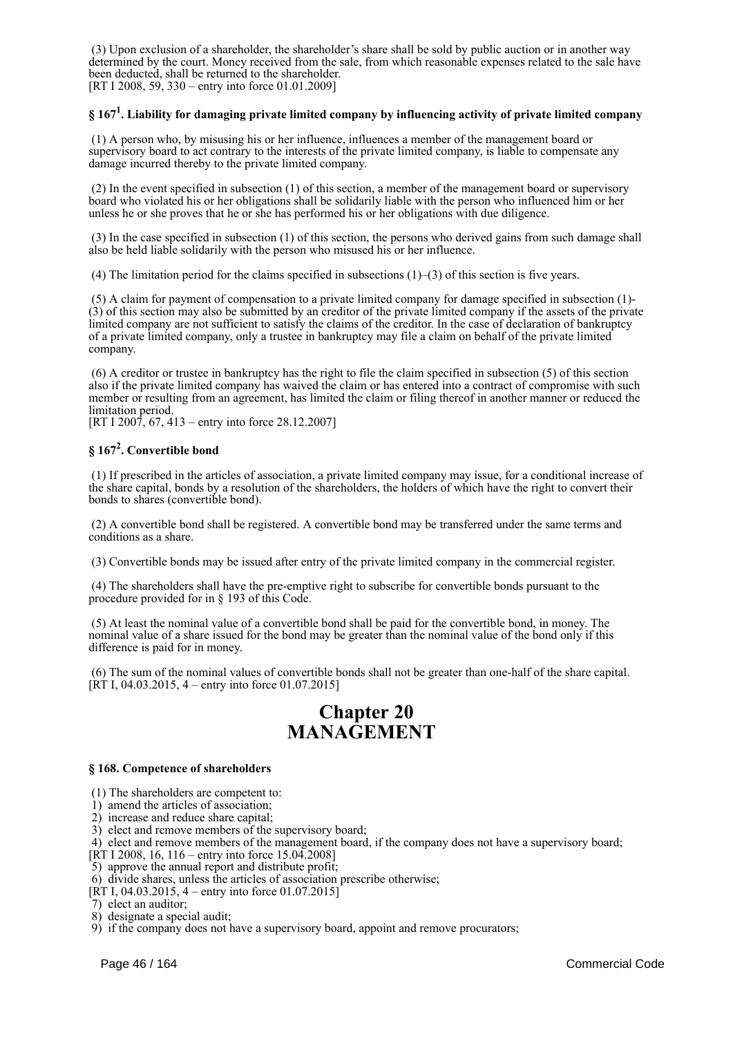(3) Upon exclusion of a shareholder, the shareholder's share shall be sold by public auction or in another way determined by the court. Money received from the sale, from which reasonable expenses related to the sale have been deducted, shall be returned to the shareholder.

[RT I 2008, 59, 330 – entry into force 01.01.2009]

# **§ 167<sup>1</sup> . Liability for damaging private limited company by influencing activity of private limited company**

 (1) A person who, by misusing his or her influence, influences a member of the management board or supervisory board to act contrary to the interests of the private limited company, is liable to compensate any damage incurred thereby to the private limited company.

 (2) In the event specified in subsection (1) of this section, a member of the management board or supervisory board who violated his or her obligations shall be solidarily liable with the person who influenced him or her unless he or she proves that he or she has performed his or her obligations with due diligence.

 (3) In the case specified in subsection (1) of this section, the persons who derived gains from such damage shall also be held liable solidarily with the person who misused his or her influence.

(4) The limitation period for the claims specified in subsections (1)–(3) of this section is five years.

 (5) A claim for payment of compensation to a private limited company for damage specified in subsection (1)- (3) of this section may also be submitted by an creditor of the private limited company if the assets of the private limited company are not sufficient to satisfy the claims of the creditor. In the case of declaration of bankruptcy of a private limited company, only a trustee in bankruptcy may file a claim on behalf of the private limited company.

 (6) A creditor or trustee in bankruptcy has the right to file the claim specified in subsection (5) of this section also if the private limited company has waived the claim or has entered into a contract of compromise with such member or resulting from an agreement, has limited the claim or filing thereof in another manner or reduced the limitation period.

[RT I 2007, 67, 413 – entry into force 28.12.2007]

# **§ 167<sup>2</sup> . Convertible bond**

 (1) If prescribed in the articles of association, a private limited company may issue, for a conditional increase of the share capital, bonds by a resolution of the shareholders, the holders of which have the right to convert their bonds to shares (convertible bond).

 (2) A convertible bond shall be registered. A convertible bond may be transferred under the same terms and conditions as a share.

(3) Convertible bonds may be issued after entry of the private limited company in the commercial register.

 (4) The shareholders shall have the pre-emptive right to subscribe for convertible bonds pursuant to the procedure provided for in § 193 of this Code.

 (5) At least the nominal value of a convertible bond shall be paid for the convertible bond, in money. The nominal value of a share issued for the bond may be greater than the nominal value of the bond only if this difference is paid for in money.

 (6) The sum of the nominal values of convertible bonds shall not be greater than one-half of the share capital.  $[\hat{RT} I, 04.03.2015, 4 - entry into force 01.07.2015]$ 

# **Chapter 20 MANAGEMENT**

### **§ 168. Competence of shareholders**

(1) The shareholders are competent to:

1) amend the articles of association;

2) increase and reduce share capital;

3) elect and remove members of the supervisory board;

4) elect and remove members of the management board, if the company does not have a supervisory board;

[RT I 2008, 16, 116 – entry into force 15.04.2008]

5) approve the annual report and distribute profit;

6) divide shares, unless the articles of association prescribe otherwise;

[RT I, 04.03.2015, 4 – entry into force 01.07.2015]

7) elect an auditor;

8) designate a special audit;

9) if the company does not have a supervisory board, appoint and remove procurators;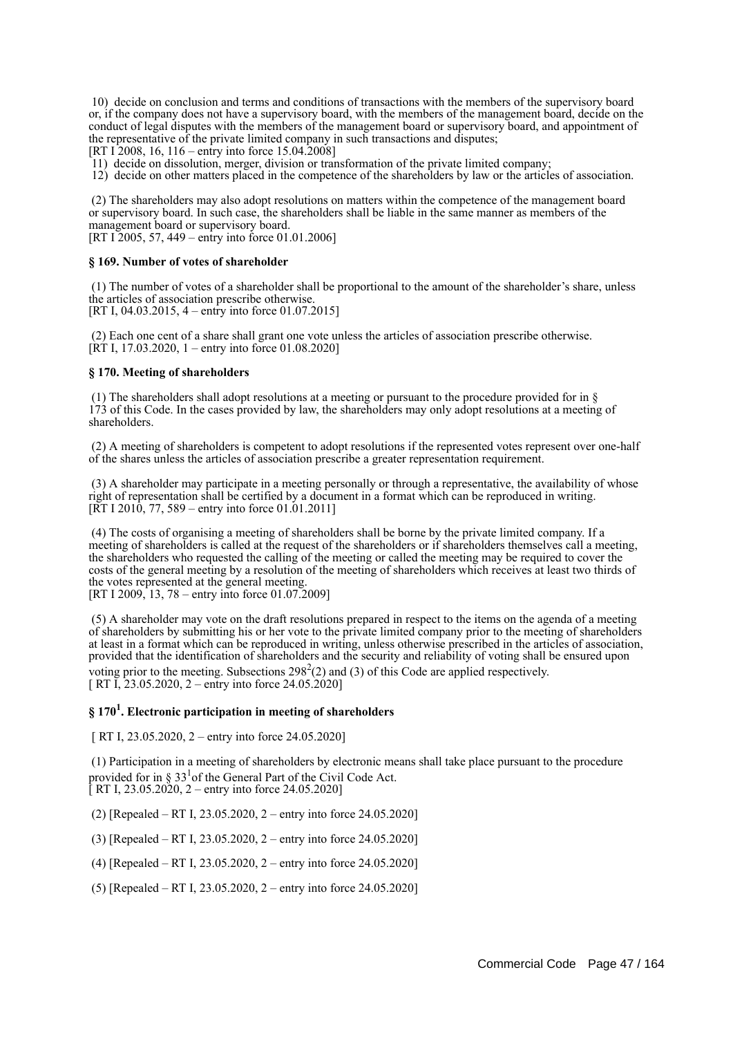10) decide on conclusion and terms and conditions of transactions with the members of the supervisory board or, if the company does not have a supervisory board, with the members of the management board, decide on the conduct of legal disputes with the members of the management board or supervisory board, and appointment of the representative of the private limited company in such transactions and disputes;

[RT I 2008, 16, 116 – entry into force 15.04.2008]

11) decide on dissolution, merger, division or transformation of the private limited company;

12) decide on other matters placed in the competence of the shareholders by law or the articles of association.

 (2) The shareholders may also adopt resolutions on matters within the competence of the management board or supervisory board. In such case, the shareholders shall be liable in the same manner as members of the management board or supervisory board. [RT I 2005, 57, 449 – entry into force 01.01.2006]

### **§ 169. Number of votes of shareholder**

 (1) The number of votes of a shareholder shall be proportional to the amount of the shareholder's share, unless the articles of association prescribe otherwise. [RT I, 04.03.2015, 4 – entry into force 01.07.2015]

 (2) Each one cent of a share shall grant one vote unless the articles of association prescribe otherwise.  $[\overline{RT} I, 17.03.2020, 1 -$  entry into force 01.08.2020]

### **§ 170. Meeting of shareholders**

 (1) The shareholders shall adopt resolutions at a meeting or pursuant to the procedure provided for in § 173 of this Code. In the cases provided by law, the shareholders may only adopt resolutions at a meeting of shareholders.

 (2) A meeting of shareholders is competent to adopt resolutions if the represented votes represent over one-half of the shares unless the articles of association prescribe a greater representation requirement.

 (3) A shareholder may participate in a meeting personally or through a representative, the availability of whose right of representation shall be certified by a document in a format which can be reproduced in writing.  $[\overline{RT} 1 2010, 77, 589 -$  entry into force 01.01.2011]

 (4) The costs of organising a meeting of shareholders shall be borne by the private limited company. If a meeting of shareholders is called at the request of the shareholders or if shareholders themselves call a meeting, the shareholders who requested the calling of the meeting or called the meeting may be required to cover the costs of the general meeting by a resolution of the meeting of shareholders which receives at least two thirds of the votes represented at the general meeting. [RT I 2009, 13, 78 – entry into force 01.07.2009]

 (5) A shareholder may vote on the draft resolutions prepared in respect to the items on the agenda of a meeting of shareholders by submitting his or her vote to the private limited company prior to the meeting of shareholders at least in a format which can be reproduced in writing, unless otherwise prescribed in the articles of association, provided that the identification of shareholders and the security and reliability of voting shall be ensured upon voting prior to the meeting. Subsections  $298^2(2)$  and (3) of this Code are applied respectively. [ RT I, 23.05.2020, 2 – entry into force 24.05.2020]

# **§ 170<sup>1</sup> . Electronic participation in meeting of shareholders**

[ RT I, 23.05.2020, 2 – entry into force 24.05.2020]

 (1) Participation in a meeting of shareholders by electronic means shall take place pursuant to the procedure provided for in §  $33<sup>1</sup>$  of the General Part of the Civil Code Act.

 $[RTI, 23.05.2020, 2 - entry into force 24.05.2020]$ 

- (2) [Repealed RT I, 23.05.2020, 2 entry into force 24.05.2020]
- (3) [Repealed RT I, 23.05.2020, 2 entry into force 24.05.2020]
- (4) [Repealed RT I, 23.05.2020, 2 entry into force 24.05.2020]
- (5) [Repealed RT I, 23.05.2020, 2 entry into force 24.05.2020]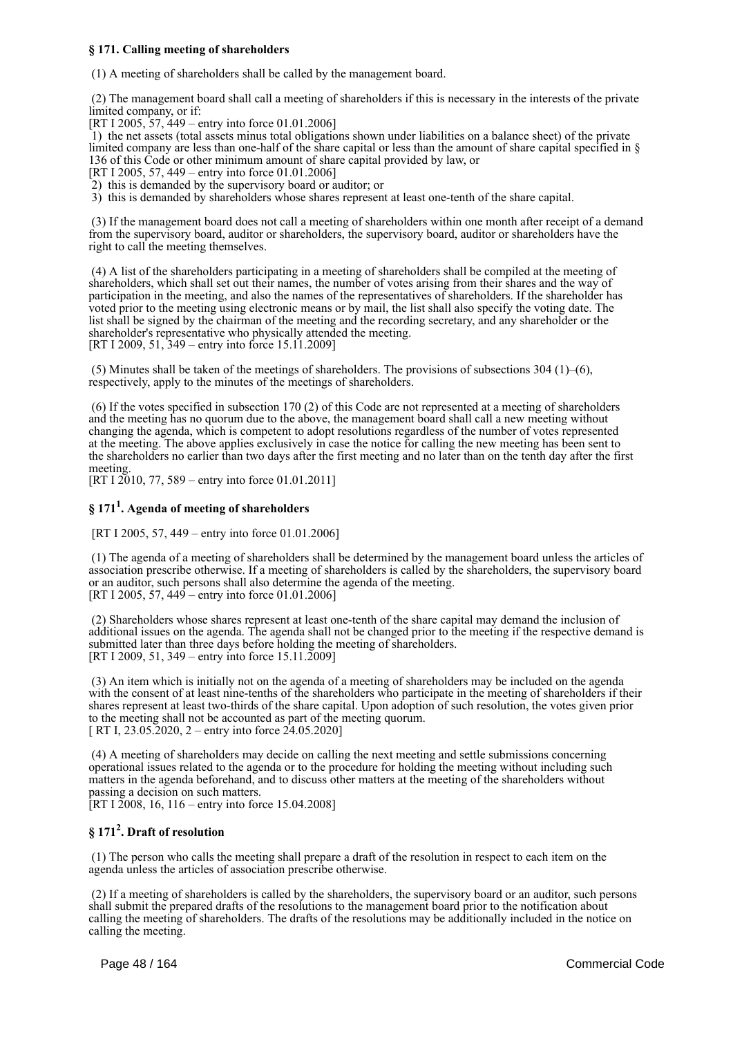### **§ 171. Calling meeting of shareholders**

(1) A meeting of shareholders shall be called by the management board.

 (2) The management board shall call a meeting of shareholders if this is necessary in the interests of the private limited company, or if:

[RT I 2005, 57, 449 – entry into force 01.01.2006]

 1) the net assets (total assets minus total obligations shown under liabilities on a balance sheet) of the private limited company are less than one-half of the share capital or less than the amount of share capital specified in § 136 of this Code or other minimum amount of share capital provided by law, or

[RT I 2005, 57, 449 – entry into force 01.01.2006]

2) this is demanded by the supervisory board or auditor; or

3) this is demanded by shareholders whose shares represent at least one-tenth of the share capital.

 (3) If the management board does not call a meeting of shareholders within one month after receipt of a demand from the supervisory board, auditor or shareholders, the supervisory board, auditor or shareholders have the right to call the meeting themselves.

 (4) A list of the shareholders participating in a meeting of shareholders shall be compiled at the meeting of shareholders, which shall set out their names, the number of votes arising from their shares and the way of participation in the meeting, and also the names of the representatives of shareholders. If the shareholder has voted prior to the meeting using electronic means or by mail, the list shall also specify the voting date. The list shall be signed by the chairman of the meeting and the recording secretary, and any shareholder or the shareholder's representative who physically attended the meeting. [RT I 2009, 51, 349 – entry into force 15.11.2009]

(5) Minutes shall be taken of the meetings of shareholders. The provisions of subsections  $304$  (1)–(6), respectively, apply to the minutes of the meetings of shareholders.

 (6) If the votes specified in subsection 170 (2) of this Code are not represented at a meeting of shareholders and the meeting has no quorum due to the above, the management board shall call a new meeting without changing the agenda, which is competent to adopt resolutions regardless of the number of votes represented at the meeting. The above applies exclusively in case the notice for calling the new meeting has been sent to the shareholders no earlier than two days after the first meeting and no later than on the tenth day after the first meeting.

[RT I  $2010$ , 77, 589 – entry into force 01.01.2011]

# **§ 171<sup>1</sup> . Agenda of meeting of shareholders**

[RT I 2005, 57, 449 – entry into force 01.01.2006]

 (1) The agenda of a meeting of shareholders shall be determined by the management board unless the articles of association prescribe otherwise. If a meeting of shareholders is called by the shareholders, the supervisory board or an auditor, such persons shall also determine the agenda of the meeting. [RT I 2005,  $\frac{57}{9}$ , 449 – entry into force 01.01.2006]

 (2) Shareholders whose shares represent at least one-tenth of the share capital may demand the inclusion of additional issues on the agenda. The agenda shall not be changed prior to the meeting if the respective demand is submitted later than three days before holding the meeting of shareholders. [RT I 2009, 51, 349 – entry into force 15, 11, 2009]

 (3) An item which is initially not on the agenda of a meeting of shareholders may be included on the agenda with the consent of at least nine-tenths of the shareholders who participate in the meeting of shareholders if their shares represent at least two-thirds of the share capital. Upon adoption of such resolution, the votes given prior to the meeting shall not be accounted as part of the meeting quorum. [ RT I, 23.05.2020, 2 – entry into force  $24.05.2020$ ]

 (4) A meeting of shareholders may decide on calling the next meeting and settle submissions concerning operational issues related to the agenda or to the procedure for holding the meeting without including such matters in the agenda beforehand, and to discuss other matters at the meeting of the shareholders without passing a decision on such matters.

 $[RT I \overline{2008}, 16, 116 -$  entry into force 15.04.2008]

# **§ 171<sup>2</sup> . Draft of resolution**

 (1) The person who calls the meeting shall prepare a draft of the resolution in respect to each item on the agenda unless the articles of association prescribe otherwise.

 (2) If a meeting of shareholders is called by the shareholders, the supervisory board or an auditor, such persons shall submit the prepared drafts of the resolutions to the management board prior to the notification about calling the meeting of shareholders. The drafts of the resolutions may be additionally included in the notice on calling the meeting.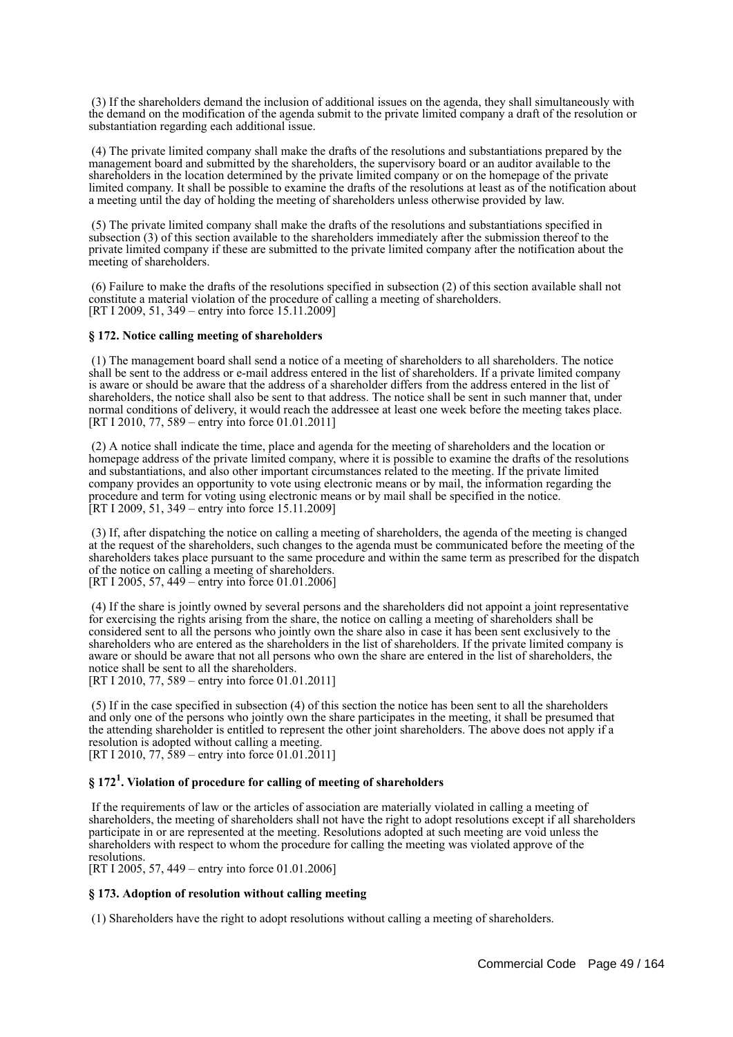(3) If the shareholders demand the inclusion of additional issues on the agenda, they shall simultaneously with the demand on the modification of the agenda submit to the private limited company a draft of the resolution or substantiation regarding each additional issue.

 (4) The private limited company shall make the drafts of the resolutions and substantiations prepared by the management board and submitted by the shareholders, the supervisory board or an auditor available to the shareholders in the location determined by the private limited company or on the homepage of the private limited company. It shall be possible to examine the drafts of the resolutions at least as of the notification about a meeting until the day of holding the meeting of shareholders unless otherwise provided by law.

 (5) The private limited company shall make the drafts of the resolutions and substantiations specified in subsection (3) of this section available to the shareholders immediately after the submission thereof to the private limited company if these are submitted to the private limited company after the notification about the meeting of shareholders.

 (6) Failure to make the drafts of the resolutions specified in subsection (2) of this section available shall not constitute a material violation of the procedure of calling a meeting of shareholders. [RT I 2009, 51, 349 – entry into force 15.11.2009]

### **§ 172. Notice calling meeting of shareholders**

 (1) The management board shall send a notice of a meeting of shareholders to all shareholders. The notice shall be sent to the address or e-mail address entered in the list of shareholders. If a private limited company is aware or should be aware that the address of a shareholder differs from the address entered in the list of shareholders, the notice shall also be sent to that address. The notice shall be sent in such manner that, under normal conditions of delivery, it would reach the addressee at least one week before the meeting takes place. [RT I 2010, 77, 589 – entry into force 01.01.2011]

 (2) A notice shall indicate the time, place and agenda for the meeting of shareholders and the location or homepage address of the private limited company, where it is possible to examine the drafts of the resolutions and substantiations, and also other important circumstances related to the meeting. If the private limited company provides an opportunity to vote using electronic means or by mail, the information regarding the procedure and term for voting using electronic means or by mail shall be specified in the notice. [RT I 2009, 51, 349 – entry into force 15.11.2009]

 (3) If, after dispatching the notice on calling a meeting of shareholders, the agenda of the meeting is changed at the request of the shareholders, such changes to the agenda must be communicated before the meeting of the shareholders takes place pursuant to the same procedure and within the same term as prescribed for the dispatch of the notice on calling a meeting of shareholders. [RT I 2005, 57, 449 – entry into force 01.01.2006]

 (4) If the share is jointly owned by several persons and the shareholders did not appoint a joint representative for exercising the rights arising from the share, the notice on calling a meeting of shareholders shall be considered sent to all the persons who jointly own the share also in case it has been sent exclusively to the shareholders who are entered as the shareholders in the list of shareholders. If the private limited company is aware or should be aware that not all persons who own the share are entered in the list of shareholders, the notice shall be sent to all the shareholders.

[RT I 2010, 77, 589 – entry into force 01.01.2011]

 (5) If in the case specified in subsection (4) of this section the notice has been sent to all the shareholders and only one of the persons who jointly own the share participates in the meeting, it shall be presumed that the attending shareholder is entitled to represent the other joint shareholders. The above does not apply if a resolution is adopted without calling a meeting.

[RT I 2010, 77,  $\frac{1}{589}$  – entry into force 01.01.2011]

# **§ 172<sup>1</sup> . Violation of procedure for calling of meeting of shareholders**

 If the requirements of law or the articles of association are materially violated in calling a meeting of shareholders, the meeting of shareholders shall not have the right to adopt resolutions except if all shareholders participate in or are represented at the meeting. Resolutions adopted at such meeting are void unless the shareholders with respect to whom the procedure for calling the meeting was violated approve of the resolutions.

[RT I 2005, 57, 449 – entry into force 01.01.2006]

### **§ 173. Adoption of resolution without calling meeting**

(1) Shareholders have the right to adopt resolutions without calling a meeting of shareholders.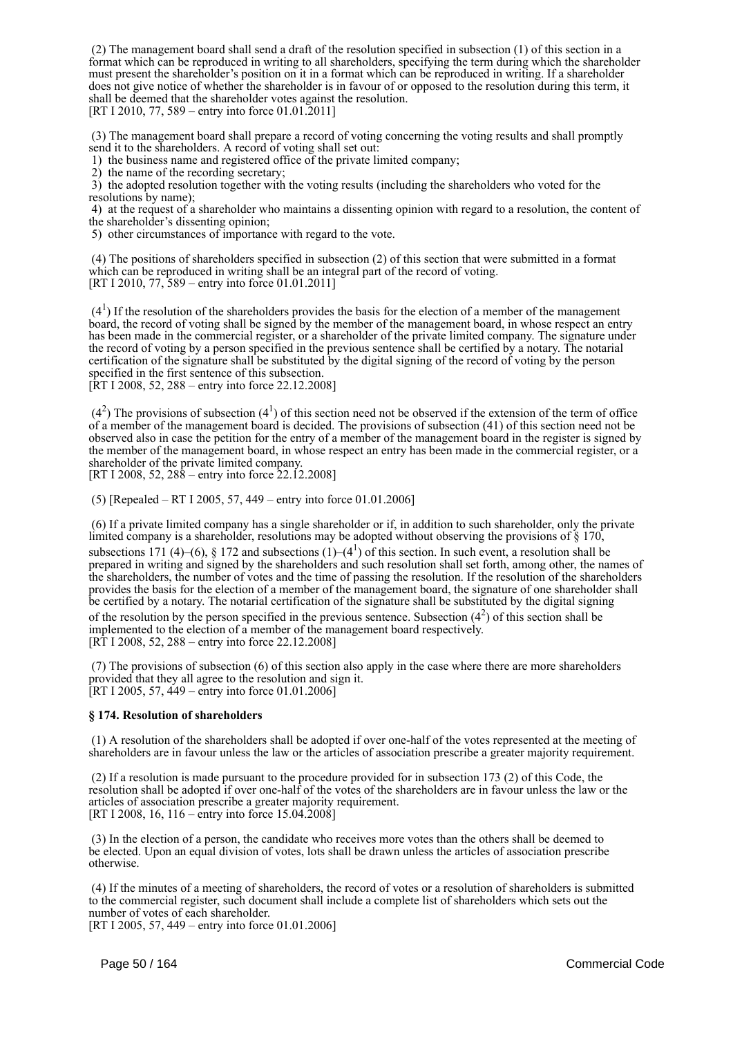(2) The management board shall send a draft of the resolution specified in subsection (1) of this section in a format which can be reproduced in writing to all shareholders, specifying the term during which the shareholder must present the shareholder's position on it in a format which can be reproduced in writing. If a shareholder does not give notice of whether the shareholder is in favour of or opposed to the resolution during this term, it shall be deemed that the shareholder votes against the resolution. [RT I 2010, 77, 589 – entry into force 01.01.2011]

 (3) The management board shall prepare a record of voting concerning the voting results and shall promptly send it to the shareholders. A record of voting shall set out:

1) the business name and registered office of the private limited company;

2) the name of the recording secretary;

 3) the adopted resolution together with the voting results (including the shareholders who voted for the resolutions by name);

 4) at the request of a shareholder who maintains a dissenting opinion with regard to a resolution, the content of the shareholder's dissenting opinion;

5) other circumstances of importance with regard to the vote.

 (4) The positions of shareholders specified in subsection (2) of this section that were submitted in a format which can be reproduced in writing shall be an integral part of the record of voting. [RT I 2010, 77, 589 – entry into force 01.01.2011]

 $(4<sup>1</sup>)$  If the resolution of the shareholders provides the basis for the election of a member of the management board, the record of voting shall be signed by the member of the management board, in whose respect an entry has been made in the commercial register, or a shareholder of the private limited company. The signature under the record of voting by a person specified in the previous sentence shall be certified by a notary. The notarial certification of the signature shall be substituted by the digital signing of the record of voting by the person specified in the first sentence of this subsection.

[RT I 2008, 52, 288 – entry into force 22.12.2008]

 $(4<sup>2</sup>)$  The provisions of subsection  $(4<sup>1</sup>)$  of this section need not be observed if the extension of the term of office of a member of the management board is decided. The provisions of subsection (41) of this section need not be observed also in case the petition for the entry of a member of the management board in the register is signed by the member of the management board, in whose respect an entry has been made in the commercial register, or a shareholder of the private limited company.

[RT I 2008, 52, 288 – entry into force 22.12.2008]

(5) [Repealed – RT I 2005, 57, 449 – entry into force 01.01.2006]

 (6) If a private limited company has a single shareholder or if, in addition to such shareholder, only the private limited company is a shareholder, resolutions may be adopted without observing the provisions of § 170, subsections 171 (4)–(6), § 172 and subsections (1)–(4<sup>1</sup>) of this section. In such event, a resolution shall be prepared in writing and signed by the shareholders and such resolution shall set forth, among other, the names of the shareholders, the number of votes and the time of passing the resolution. If the resolution of the shareholders provides the basis for the election of a member of the management board, the signature of one shareholder shall be certified by a notary. The notarial certification of the signature shall be substituted by the digital signing of the resolution by the person specified in the previous sentence. Subsection  $(4^2)$  of this section shall be implemented to the election of a member of the management board respectively. [RT I 2008, 52, 288 – entry into force 22.12.2008]

 (7) The provisions of subsection (6) of this section also apply in the case where there are more shareholders provided that they all agree to the resolution and sign it. [RT I 2005, 57, 449 – entry into force 01.01.2006]

### **§ 174. Resolution of shareholders**

 (1) A resolution of the shareholders shall be adopted if over one-half of the votes represented at the meeting of shareholders are in favour unless the law or the articles of association prescribe a greater majority requirement.

 (2) If a resolution is made pursuant to the procedure provided for in subsection 173 (2) of this Code, the resolution shall be adopted if over one-half of the votes of the shareholders are in favour unless the law or the articles of association prescribe a greater majority requirement. [RT I 2008, 16, 116 – entry into force 15.04.2008]

 (3) In the election of a person, the candidate who receives more votes than the others shall be deemed to be elected. Upon an equal division of votes, lots shall be drawn unless the articles of association prescribe otherwise.

 (4) If the minutes of a meeting of shareholders, the record of votes or a resolution of shareholders is submitted to the commercial register, such document shall include a complete list of shareholders which sets out the number of votes of each shareholder.

[RT I 2005, 57, 449 – entry into force 01.01.2006]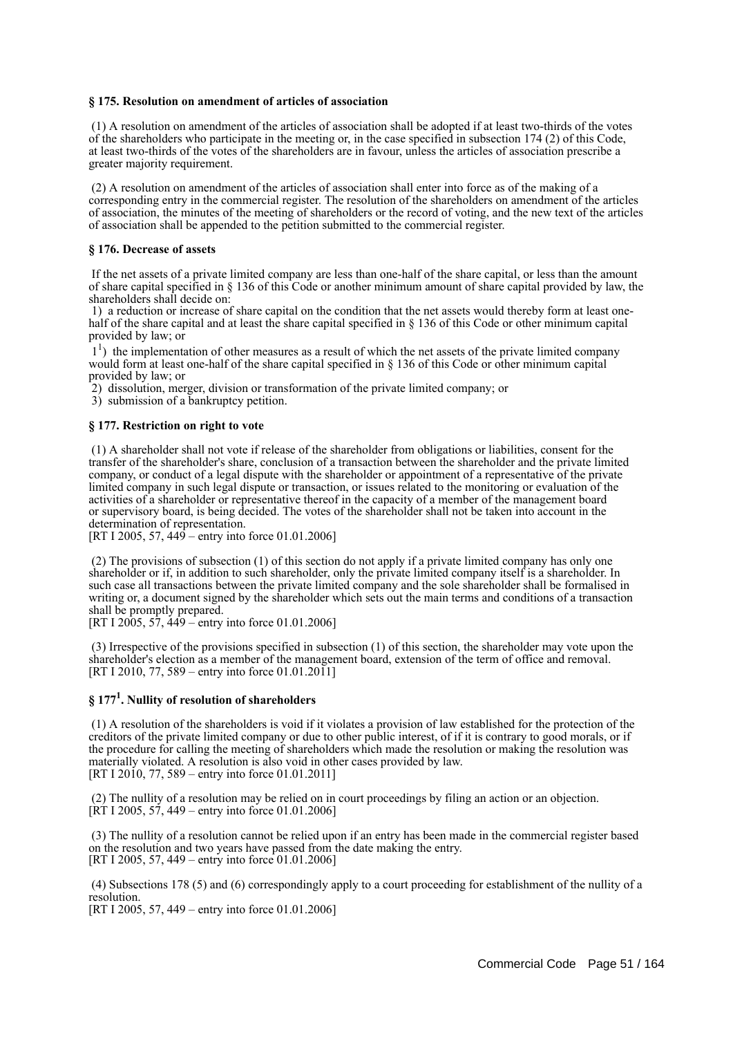### **§ 175. Resolution on amendment of articles of association**

 (1) A resolution on amendment of the articles of association shall be adopted if at least two-thirds of the votes of the shareholders who participate in the meeting or, in the case specified in subsection 174 (2) of this Code, at least two-thirds of the votes of the shareholders are in favour, unless the articles of association prescribe a greater majority requirement.

 (2) A resolution on amendment of the articles of association shall enter into force as of the making of a corresponding entry in the commercial register. The resolution of the shareholders on amendment of the articles of association, the minutes of the meeting of shareholders or the record of voting, and the new text of the articles of association shall be appended to the petition submitted to the commercial register.

### **§ 176. Decrease of assets**

 If the net assets of a private limited company are less than one-half of the share capital, or less than the amount of share capital specified in § 136 of this Code or another minimum amount of share capital provided by law, the shareholders shall decide on:

 1) a reduction or increase of share capital on the condition that the net assets would thereby form at least onehalf of the share capital and at least the share capital specified in § 136 of this Code or other minimum capital provided by law; or

<sup>1</sup>) the implementation of other measures as a result of which the net assets of the private limited company would form at least one-half of the share capital specified in § 136 of this Code or other minimum capital provided by law; or

2) dissolution, merger, division or transformation of the private limited company; or

3) submission of a bankruptcy petition.

### **§ 177. Restriction on right to vote**

 (1) A shareholder shall not vote if release of the shareholder from obligations or liabilities, consent for the transfer of the shareholder's share, conclusion of a transaction between the shareholder and the private limited company, or conduct of a legal dispute with the shareholder or appointment of a representative of the private limited company in such legal dispute or transaction, or issues related to the monitoring or evaluation of the activities of a shareholder or representative thereof in the capacity of a member of the management board or supervisory board, is being decided. The votes of the shareholder shall not be taken into account in the determination of representation.

[RT I 2005, 57, 449 – entry into force 01.01.2006]

 (2) The provisions of subsection (1) of this section do not apply if a private limited company has only one shareholder or if, in addition to such shareholder, only the private limited company itself is a shareholder. In such case all transactions between the private limited company and the sole shareholder shall be formalised in writing or, a document signed by the shareholder which sets out the main terms and conditions of a transaction shall be promptly prepared.

[RT I 2005,  $57, \frac{449}{-}$  entry into force 01.01.2006]

 (3) Irrespective of the provisions specified in subsection (1) of this section, the shareholder may vote upon the shareholder's election as a member of the management board, extension of the term of office and removal. [RT I 2010, 77, 589 – entry into force 01.01.2011]

# **§ 177<sup>1</sup> . Nullity of resolution of shareholders**

 (1) A resolution of the shareholders is void if it violates a provision of law established for the protection of the creditors of the private limited company or due to other public interest, of if it is contrary to good morals, or if the procedure for calling the meeting of shareholders which made the resolution or making the resolution was materially violated. A resolution is also void in other cases provided by law. [RT I 2010, 77, 589 – entry into force 01.01.2011]

 (2) The nullity of a resolution may be relied on in court proceedings by filing an action or an objection.  $[\hat{R}T I 2005, 57, 449 -$  entry into force 01.01.2006]

 (3) The nullity of a resolution cannot be relied upon if an entry has been made in the commercial register based on the resolution and two years have passed from the date making the entry. [RT I 2005, 57, 449 – entry into force 01.01.2006]

 (4) Subsections 178 (5) and (6) correspondingly apply to a court proceeding for establishment of the nullity of a resolution.

[RT I 2005, 57, 449 – entry into force 01.01.2006]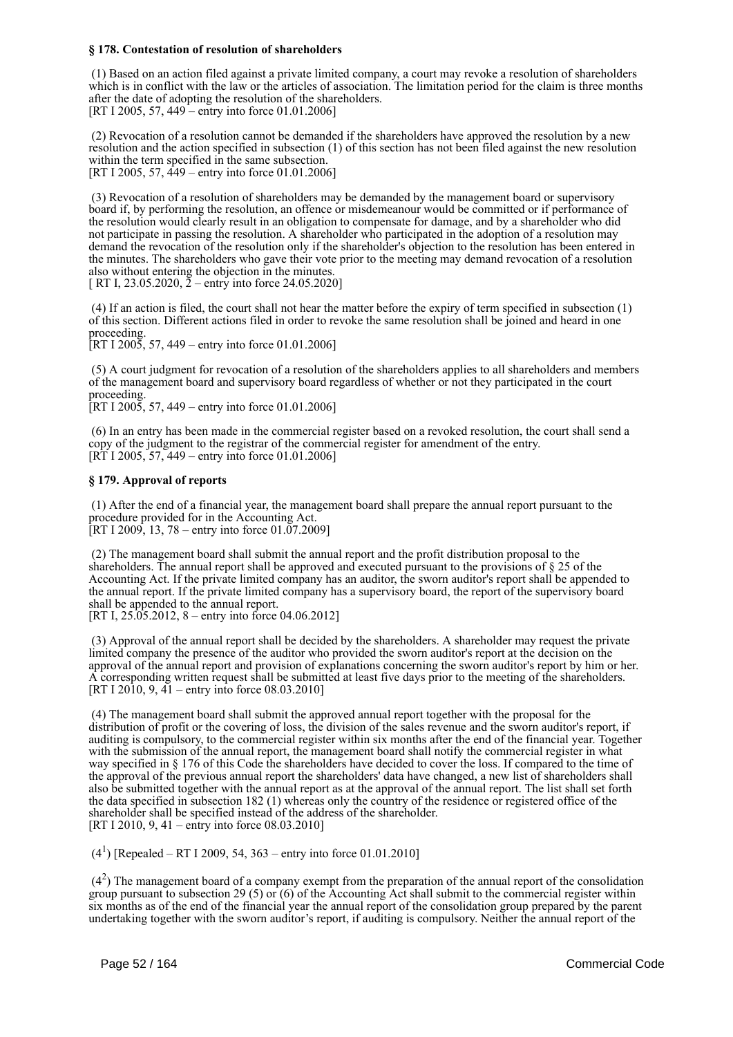### **§ 178. Contestation of resolution of shareholders**

 (1) Based on an action filed against a private limited company, a court may revoke a resolution of shareholders which is in conflict with the law or the articles of association. The limitation period for the claim is three months after the date of adopting the resolution of the shareholders. [RT I 2005, 57, 449 – entry into force 01.01.2006]

 (2) Revocation of a resolution cannot be demanded if the shareholders have approved the resolution by a new resolution and the action specified in subsection (1) of this section has not been filed against the new resolution within the term specified in the same subsection. [RT I 2005, 57, 449 – entry into force 01.01.2006]

 (3) Revocation of a resolution of shareholders may be demanded by the management board or supervisory board if, by performing the resolution, an offence or misdemeanour would be committed or if performance of the resolution would clearly result in an obligation to compensate for damage, and by a shareholder who did not participate in passing the resolution. A shareholder who participated in the adoption of a resolution may demand the revocation of the resolution only if the shareholder's objection to the resolution has been entered in the minutes. The shareholders who gave their vote prior to the meeting may demand revocation of a resolution also without entering the objection in the minutes. [ RT I, 23.05.2020, 2 – entry into force 24.05.2020]

 (4) If an action is filed, the court shall not hear the matter before the expiry of term specified in subsection (1) of this section. Different actions filed in order to revoke the same resolution shall be joined and heard in one proceeding.

 $[RT I 2005, 57, 449 - entry into force 01.01.2006]$ 

 (5) A court judgment for revocation of a resolution of the shareholders applies to all shareholders and members of the management board and supervisory board regardless of whether or not they participated in the court proceeding.

 $[RT I 2005, 57, 449 - entry into force 01.01.2006]$ 

 (6) In an entry has been made in the commercial register based on a revoked resolution, the court shall send a copy of the judgment to the registrar of the commercial register for amendment of the entry.  $[RT 1 2005, 57, 449 -$  entry into force 01.01.2006]

### **§ 179. Approval of reports**

 (1) After the end of a financial year, the management board shall prepare the annual report pursuant to the procedure provided for in the Accounting Act. [RT I 2009, 13, 78 – entry into force  $01.07.2009$ ]

 (2) The management board shall submit the annual report and the profit distribution proposal to the shareholders. The annual report shall be approved and executed pursuant to the provisions of § 25 of the Accounting Act. If the private limited company has an auditor, the sworn auditor's report shall be appended to the annual report. If the private limited company has a supervisory board, the report of the supervisory board shall be appended to the annual report.

[RT I,  $25.05.2012$ , 8 – entry into force 04.06.2012]

 (3) Approval of the annual report shall be decided by the shareholders. A shareholder may request the private limited company the presence of the auditor who provided the sworn auditor's report at the decision on the approval of the annual report and provision of explanations concerning the sworn auditor's report by him or her. A corresponding written request shall be submitted at least five days prior to the meeting of the shareholders. [RT I 2010, 9, 41 – entry into force 08.03.2010]

 (4) The management board shall submit the approved annual report together with the proposal for the distribution of profit or the covering of loss, the division of the sales revenue and the sworn auditor's report, if auditing is compulsory, to the commercial register within six months after the end of the financial year. Together with the submission of the annual report, the management board shall notify the commercial register in what way specified in § 176 of this Code the shareholders have decided to cover the loss. If compared to the time of the approval of the previous annual report the shareholders' data have changed, a new list of shareholders shall also be submitted together with the annual report as at the approval of the annual report. The list shall set forth the data specified in subsection 182 (1) whereas only the country of the residence or registered office of the shareholder shall be specified instead of the address of the shareholder. [RT I 2010, 9, 41 – entry into force 08.03.2010]

 $(4<sup>1</sup>)$  [Repealed – RT I 2009, 54, 363 – entry into force 01.01.2010]

 $(4<sup>2</sup>)$  The management board of a company exempt from the preparation of the annual report of the consolidation group pursuant to subsection 29 (5) or (6) of the Accounting Act shall submit to the commercial register within six months as of the end of the financial year the annual report of the consolidation group prepared by the parent undertaking together with the sworn auditor's report, if auditing is compulsory. Neither the annual report of the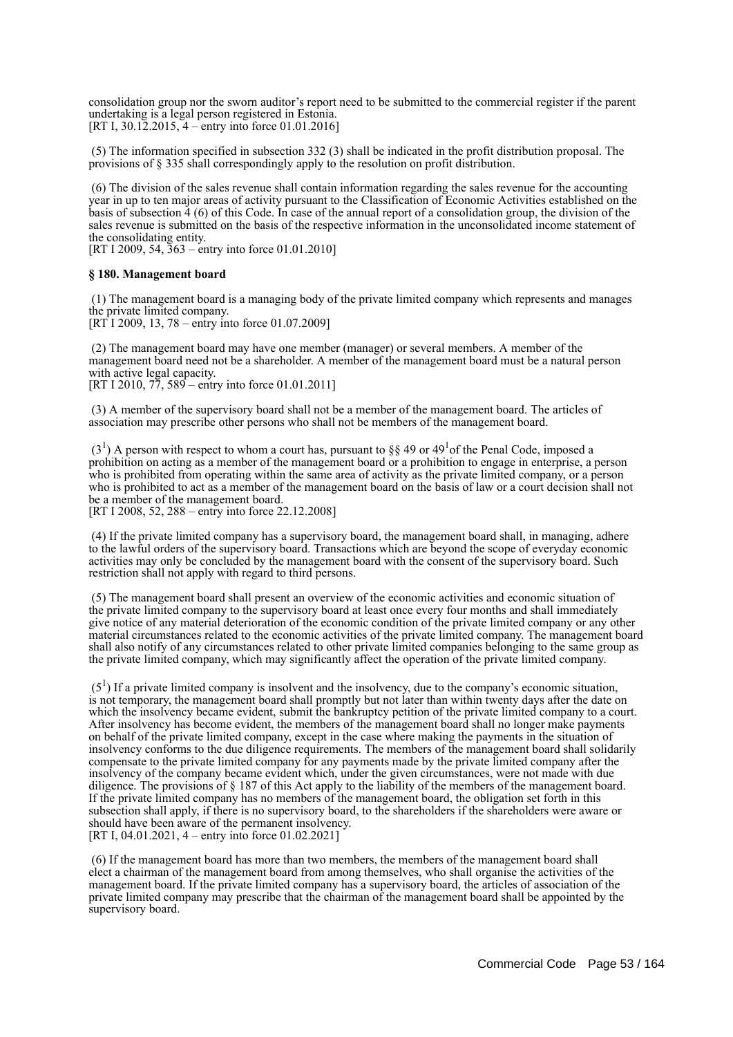consolidation group nor the sworn auditor's report need to be submitted to the commercial register if the parent undertaking is a legal person registered in Estonia. [RT I,  $30.12.2015$ ,  $4$  – entry into force 01.01.2016]

 (5) The information specified in subsection 332 (3) shall be indicated in the profit distribution proposal. The provisions of § 335 shall correspondingly apply to the resolution on profit distribution.

 (6) The division of the sales revenue shall contain information regarding the sales revenue for the accounting year in up to ten major areas of activity pursuant to the Classification of Economic Activities established on the basis of subsection 4 (6) of this Code. In case of the annual report of a consolidation group, the division of the sales revenue is submitted on the basis of the respective information in the unconsolidated income statement of the consolidating entity.

[RT I 2009, 54, 363 – entry into force 01.01.2010]

### **§ 180. Management board**

 (1) The management board is a managing body of the private limited company which represents and manages the private limited company.

[RT I 2009, 13, 78 – entry into force 01.07.2009]

 (2) The management board may have one member (manager) or several members. A member of the management board need not be a shareholder. A member of the management board must be a natural person with active legal capacity. [RT I 2010,  $77,589$  – entry into force 01.01.2011]

 (3) A member of the supervisory board shall not be a member of the management board. The articles of association may prescribe other persons who shall not be members of the management board.

 $(3<sup>1</sup>)$  A person with respect to whom a court has, pursuant to §§ 49 or 49<sup>1</sup> of the Penal Code, imposed a prohibition on acting as a member of the management board or a prohibition to engage in enterprise, a person who is prohibited from operating within the same area of activity as the private limited company, or a person who is prohibited to act as a member of the management board on the basis of law or a court decision shall not be a member of the management board.

[RT I 2008, 52, 288 – entry into force 22.12.2008]

 (4) If the private limited company has a supervisory board, the management board shall, in managing, adhere to the lawful orders of the supervisory board. Transactions which are beyond the scope of everyday economic activities may only be concluded by the management board with the consent of the supervisory board. Such restriction shall not apply with regard to third persons.

 (5) The management board shall present an overview of the economic activities and economic situation of the private limited company to the supervisory board at least once every four months and shall immediately give notice of any material deterioration of the economic condition of the private limited company or any other material circumstances related to the economic activities of the private limited company. The management board shall also notify of any circumstances related to other private limited companies belonging to the same group as the private limited company, which may significantly affect the operation of the private limited company.

 $(5<sup>1</sup>)$  If a private limited company is insolvent and the insolvency, due to the company's economic situation, is not temporary, the management board shall promptly but not later than within twenty days after the date on which the insolvency became evident, submit the bankruptcy petition of the private limited company to a court. After insolvency has become evident, the members of the management board shall no longer make payments on behalf of the private limited company, except in the case where making the payments in the situation of insolvency conforms to the due diligence requirements. The members of the management board shall solidarily compensate to the private limited company for any payments made by the private limited company after the insolvency of the company became evident which, under the given circumstances, were not made with due diligence. The provisions of § 187 of this Act apply to the liability of the members of the management board. If the private limited company has no members of the management board, the obligation set forth in this subsection shall apply, if there is no supervisory board, to the shareholders if the shareholders were aware or should have been aware of the permanent insolvency. [RT I, 04.01.2021, 4 – entry into force 01.02.2021]

 (6) If the management board has more than two members, the members of the management board shall elect a chairman of the management board from among themselves, who shall organise the activities of the management board. If the private limited company has a supervisory board, the articles of association of the private limited company may prescribe that the chairman of the management board shall be appointed by the supervisory board.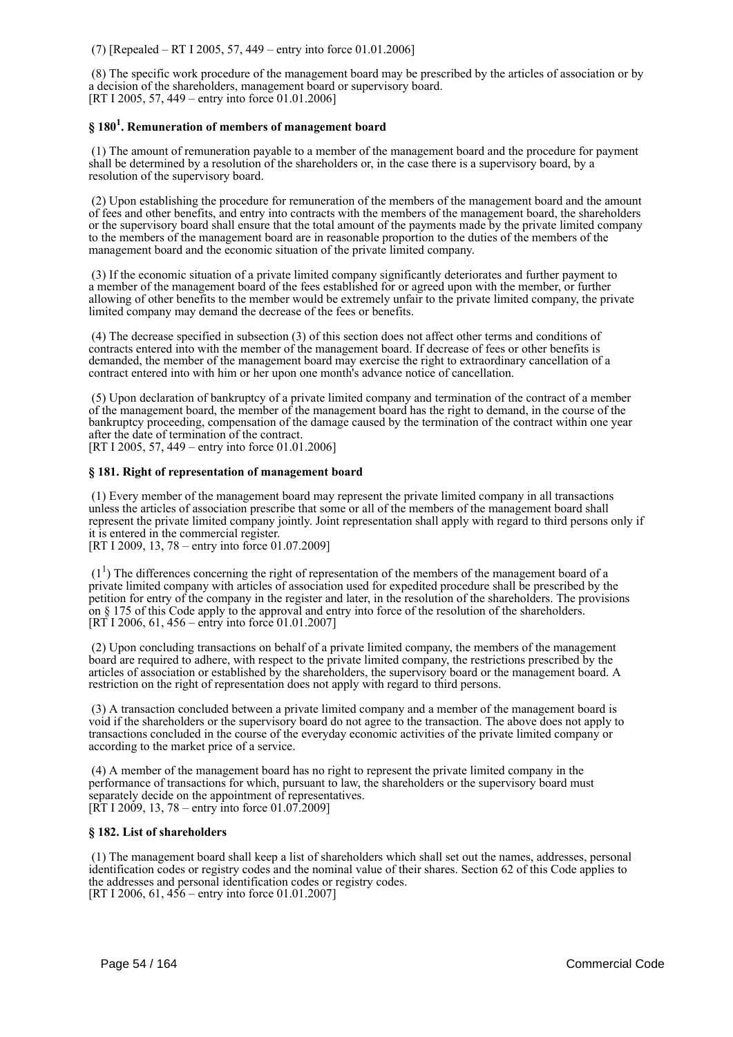(7) [Repealed – RT I 2005, 57, 449 – entry into force 01.01.2006]

 (8) The specific work procedure of the management board may be prescribed by the articles of association or by a decision of the shareholders, management board or supervisory board. [RT I 2005, 57, 449 – entry into force 01.01.2006]

# **§ 180<sup>1</sup> . Remuneration of members of management board**

 (1) The amount of remuneration payable to a member of the management board and the procedure for payment shall be determined by a resolution of the shareholders or, in the case there is a supervisory board, by a resolution of the supervisory board.

 (2) Upon establishing the procedure for remuneration of the members of the management board and the amount of fees and other benefits, and entry into contracts with the members of the management board, the shareholders or the supervisory board shall ensure that the total amount of the payments made by the private limited company to the members of the management board are in reasonable proportion to the duties of the members of the management board and the economic situation of the private limited company.

 (3) If the economic situation of a private limited company significantly deteriorates and further payment to a member of the management board of the fees established for or agreed upon with the member, or further allowing of other benefits to the member would be extremely unfair to the private limited company, the private limited company may demand the decrease of the fees or benefits.

 (4) The decrease specified in subsection (3) of this section does not affect other terms and conditions of contracts entered into with the member of the management board. If decrease of fees or other benefits is demanded, the member of the management board may exercise the right to extraordinary cancellation of a contract entered into with him or her upon one month's advance notice of cancellation.

 (5) Upon declaration of bankruptcy of a private limited company and termination of the contract of a member of the management board, the member of the management board has the right to demand, in the course of the bankruptcy proceeding, compensation of the damage caused by the termination of the contract within one year after the date of termination of the contract.

[RT I 2005, 57, 449 – entry into force 01.01.2006]

### **§ 181. Right of representation of management board**

 (1) Every member of the management board may represent the private limited company in all transactions unless the articles of association prescribe that some or all of the members of the management board shall represent the private limited company jointly. Joint representation shall apply with regard to third persons only if it is entered in the commercial register.

[RT I 2009, 13, 78 – entry into force 01.07.2009]

 $(1<sup>1</sup>)$  The differences concerning the right of representation of the members of the management board of a private limited company with articles of association used for expedited procedure shall be prescribed by the petition for entry of the company in the register and later, in the resolution of the shareholders. The provisions on § 175 of this Code apply to the approval and entry into force of the resolution of the shareholders.  $[RT]$  I 2006, 61, 456 – entry into force 01.01.2007]

 (2) Upon concluding transactions on behalf of a private limited company, the members of the management board are required to adhere, with respect to the private limited company, the restrictions prescribed by the articles of association or established by the shareholders, the supervisory board or the management board. A restriction on the right of representation does not apply with regard to third persons.

 (3) A transaction concluded between a private limited company and a member of the management board is void if the shareholders or the supervisory board do not agree to the transaction. The above does not apply to transactions concluded in the course of the everyday economic activities of the private limited company or according to the market price of a service.

 (4) A member of the management board has no right to represent the private limited company in the performance of transactions for which, pursuant to law, the shareholders or the supervisory board must separately decide on the appointment of representatives. [RT I 2009, 13, 78 – entry into force 01.07.2009]

### **§ 182. List of shareholders**

 (1) The management board shall keep a list of shareholders which shall set out the names, addresses, personal identification codes or registry codes and the nominal value of their shares. Section 62 of this Code applies to the addresses and personal identification codes or registry codes. [RT I 2006, 61,  $456$  – entry into force 01.01.2007]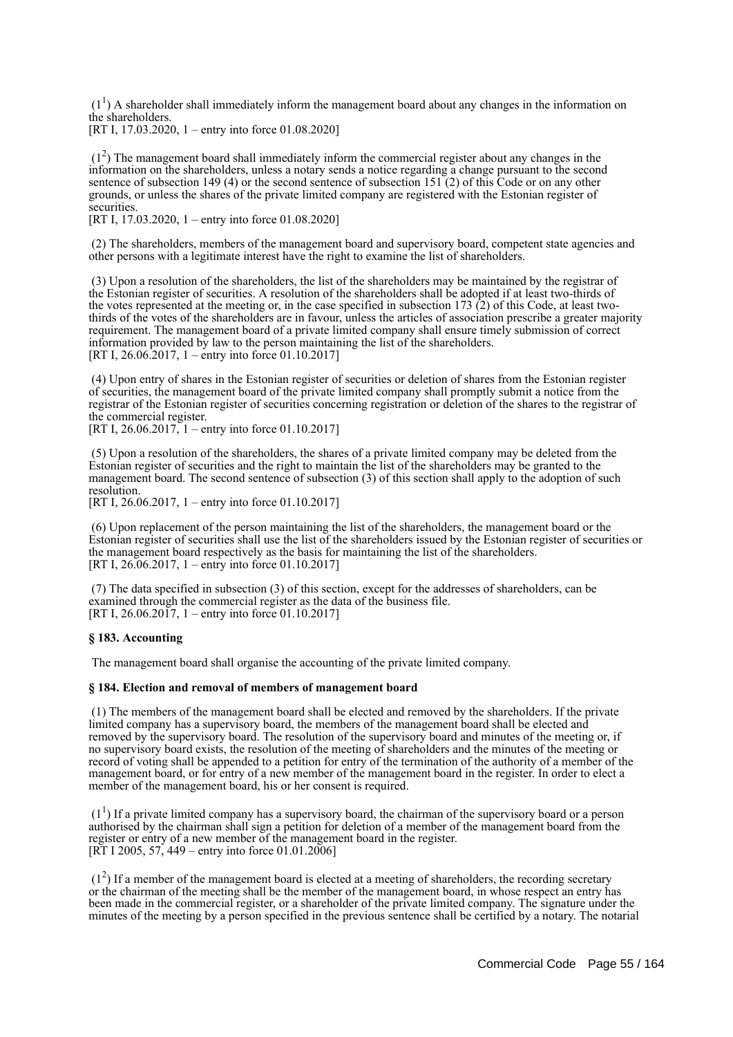$(1<sup>1</sup>)$  A shareholder shall immediately inform the management board about any changes in the information on the shareholders.

[RT I, 17.03.2020, 1 – entry into force 01.08.2020]

 (1<sup>2</sup> ) The management board shall immediately inform the commercial register about any changes in the information on the shareholders, unless a notary sends a notice regarding a change pursuant to the second sentence of subsection 149 (4) or the second sentence of subsection 151 (2) of this Code or on any other grounds, or unless the shares of the private limited company are registered with the Estonian register of securities.

[RT I, 17.03.2020, 1 – entry into force 01.08.2020]

 (2) The shareholders, members of the management board and supervisory board, competent state agencies and other persons with a legitimate interest have the right to examine the list of shareholders.

 (3) Upon a resolution of the shareholders, the list of the shareholders may be maintained by the registrar of the Estonian register of securities. A resolution of the shareholders shall be adopted if at least two-thirds of the votes represented at the meeting or, in the case specified in subsection 173  $(2)$  of this Code, at least twothirds of the votes of the shareholders are in favour, unless the articles of association prescribe a greater majority requirement. The management board of a private limited company shall ensure timely submission of correct information provided by law to the person maintaining the list of the shareholders. [RT I, 26.06.2017, 1 – entry into force 01.10.2017]

 (4) Upon entry of shares in the Estonian register of securities or deletion of shares from the Estonian register of securities, the management board of the private limited company shall promptly submit a notice from the registrar of the Estonian register of securities concerning registration or deletion of the shares to the registrar of the commercial register.

[RT I,  $26.06.2017$ , 1 – entry into force 01.10.2017]

 (5) Upon a resolution of the shareholders, the shares of a private limited company may be deleted from the Estonian register of securities and the right to maintain the list of the shareholders may be granted to the management board. The second sentence of subsection (3) of this section shall apply to the adoption of such resolution.

[RT I, 26.06.2017, 1 – entry into force 01.10.2017]

 (6) Upon replacement of the person maintaining the list of the shareholders, the management board or the Estonian register of securities shall use the list of the shareholders issued by the Estonian register of securities or the management board respectively as the basis for maintaining the list of the shareholders. [RT I, 26.06.2017, 1 – entry into force 01.10.2017]

 (7) The data specified in subsection (3) of this section, except for the addresses of shareholders, can be examined through the commercial register as the data of the business file. [RT I, 26.06.2017, 1 – entry into force 01.10.2017]

### **§ 183. Accounting**

The management board shall organise the accounting of the private limited company.

### **§ 184. Election and removal of members of management board**

 (1) The members of the management board shall be elected and removed by the shareholders. If the private limited company has a supervisory board, the members of the management board shall be elected and removed by the supervisory board. The resolution of the supervisory board and minutes of the meeting or, if no supervisory board exists, the resolution of the meeting of shareholders and the minutes of the meeting or record of voting shall be appended to a petition for entry of the termination of the authority of a member of the management board, or for entry of a new member of the management board in the register. In order to elect a member of the management board, his or her consent is required.

 $(1<sup>1</sup>)$  If a private limited company has a supervisory board, the chairman of the supervisory board or a person authorised by the chairman shall sign a petition for deletion of a member of the management board from the register or entry of a new member of the management board in the register. [RT I 2005, 57, 449 – entry into force 01.01.2006]

 (1<sup>2</sup> ) If a member of the management board is elected at a meeting of shareholders, the recording secretary or the chairman of the meeting shall be the member of the management board, in whose respect an entry has been made in the commercial register, or a shareholder of the private limited company. The signature under the minutes of the meeting by a person specified in the previous sentence shall be certified by a notary. The notarial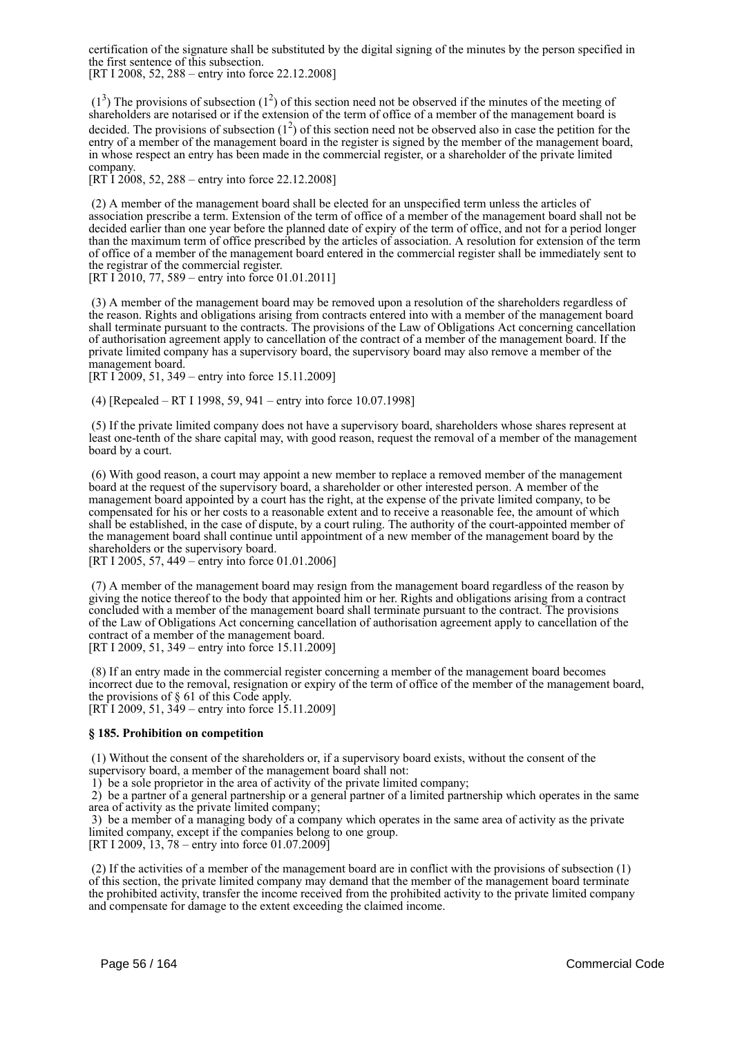certification of the signature shall be substituted by the digital signing of the minutes by the person specified in the first sentence of this subsection.

[RT I 2008, 52, 288 – entry into force 22.12.2008]

 $(1^3)$  The provisions of subsection  $(1^2)$  of this section need not be observed if the minutes of the meeting of shareholders are notarised or if the extension of the term of office of a member of the management board is decided. The provisions of subsection  $(1^2)$  of this section need not be observed also in case the petition for the entry of a member of the management board in the register is signed by the member of the management board, in whose respect an entry has been made in the commercial register, or a shareholder of the private limited company.

[RT I 2008, 52, 288 – entry into force 22.12.2008]

 (2) A member of the management board shall be elected for an unspecified term unless the articles of association prescribe a term. Extension of the term of office of a member of the management board shall not be decided earlier than one year before the planned date of expiry of the term of office, and not for a period longer than the maximum term of office prescribed by the articles of association. A resolution for extension of the term of office of a member of the management board entered in the commercial register shall be immediately sent to the registrar of the commercial register.

[RT I 2010, 77, 589 – entry into force 01.01.2011]

 (3) A member of the management board may be removed upon a resolution of the shareholders regardless of the reason. Rights and obligations arising from contracts entered into with a member of the management board shall terminate pursuant to the contracts. The provisions of the Law of Obligations Act concerning cancellation of authorisation agreement apply to cancellation of the contract of a member of the management board. If the private limited company has a supervisory board, the supervisory board may also remove a member of the management board.

[RT I 2009, 51, 349 – entry into force 15.11.2009]

(4) [Repealed – RT I 1998, 59, 941 – entry into force 10.07.1998]

 (5) If the private limited company does not have a supervisory board, shareholders whose shares represent at least one-tenth of the share capital may, with good reason, request the removal of a member of the management board by a court.

 (6) With good reason, a court may appoint a new member to replace a removed member of the management board at the request of the supervisory board, a shareholder or other interested person. A member of the management board appointed by a court has the right, at the expense of the private limited company, to be compensated for his or her costs to a reasonable extent and to receive a reasonable fee, the amount of which shall be established, in the case of dispute, by a court ruling. The authority of the court-appointed member of the management board shall continue until appointment of a new member of the management board by the shareholders or the supervisory board.

[RT I 2005, 57, 449 – entry into force 01.01.2006]

 (7) A member of the management board may resign from the management board regardless of the reason by giving the notice thereof to the body that appointed him or her. Rights and obligations arising from a contract concluded with a member of the management board shall terminate pursuant to the contract. The provisions of the Law of Obligations Act concerning cancellation of authorisation agreement apply to cancellation of the contract of a member of the management board. [RT I 2009, 51, 349 – entry into force 15.11.2009]

 (8) If an entry made in the commercial register concerning a member of the management board becomes incorrect due to the removal, resignation or expiry of the term of office of the member of the management board, the provisions of § 61 of this Code apply.  $[RT<sup>†</sup>12009, 51, 349 - entry into force  $15.11.2009$ ]$ 

### **§ 185. Prohibition on competition**

 (1) Without the consent of the shareholders or, if a supervisory board exists, without the consent of the supervisory board, a member of the management board shall not:

1) be a sole proprietor in the area of activity of the private limited company;

 2) be a partner of a general partnership or a general partner of a limited partnership which operates in the same area of activity as the private limited company;

 3) be a member of a managing body of a company which operates in the same area of activity as the private limited company, except if the companies belong to one group.

[RT I 2009, 13, 78 – entry into force 01.07.2009]

 (2) If the activities of a member of the management board are in conflict with the provisions of subsection (1) of this section, the private limited company may demand that the member of the management board terminate the prohibited activity, transfer the income received from the prohibited activity to the private limited company and compensate for damage to the extent exceeding the claimed income.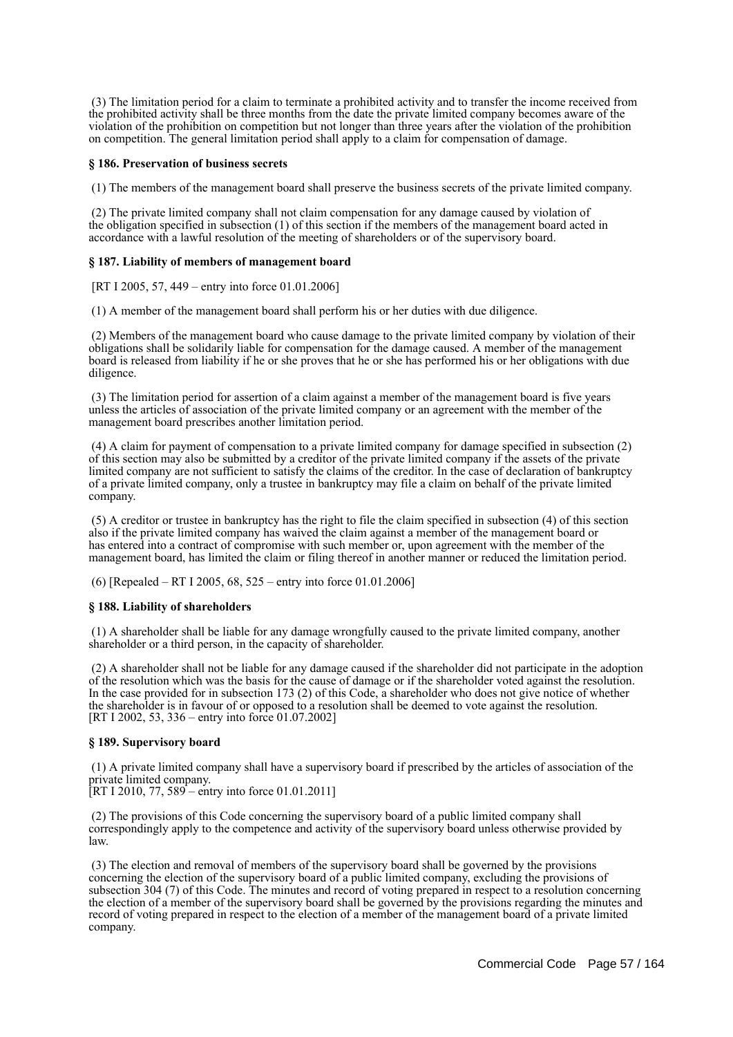(3) The limitation period for a claim to terminate a prohibited activity and to transfer the income received from the prohibited activity shall be three months from the date the private limited company becomes aware of the violation of the prohibition on competition but not longer than three years after the violation of the prohibition on competition. The general limitation period shall apply to a claim for compensation of damage.

### **§ 186. Preservation of business secrets**

(1) The members of the management board shall preserve the business secrets of the private limited company.

 (2) The private limited company shall not claim compensation for any damage caused by violation of the obligation specified in subsection (1) of this section if the members of the management board acted in accordance with a lawful resolution of the meeting of shareholders or of the supervisory board.

### **§ 187. Liability of members of management board**

[RT I 2005, 57, 449 – entry into force 01.01.2006]

(1) A member of the management board shall perform his or her duties with due diligence.

 (2) Members of the management board who cause damage to the private limited company by violation of their obligations shall be solidarily liable for compensation for the damage caused. A member of the management board is released from liability if he or she proves that he or she has performed his or her obligations with due diligence.

 (3) The limitation period for assertion of a claim against a member of the management board is five years unless the articles of association of the private limited company or an agreement with the member of the management board prescribes another limitation period.

 (4) A claim for payment of compensation to a private limited company for damage specified in subsection (2) of this section may also be submitted by a creditor of the private limited company if the assets of the private limited company are not sufficient to satisfy the claims of the creditor. In the case of declaration of bankruptcy of a private limited company, only a trustee in bankruptcy may file a claim on behalf of the private limited company.

 (5) A creditor or trustee in bankruptcy has the right to file the claim specified in subsection (4) of this section also if the private limited company has waived the claim against a member of the management board or has entered into a contract of compromise with such member or, upon agreement with the member of the management board, has limited the claim or filing thereof in another manner or reduced the limitation period.

(6) [Repealed – RT I 2005, 68, 525 – entry into force 01.01.2006]

### **§ 188. Liability of shareholders**

 (1) A shareholder shall be liable for any damage wrongfully caused to the private limited company, another shareholder or a third person, in the capacity of shareholder.

 (2) A shareholder shall not be liable for any damage caused if the shareholder did not participate in the adoption of the resolution which was the basis for the cause of damage or if the shareholder voted against the resolution. In the case provided for in subsection 173 (2) of this Code, a shareholder who does not give notice of whether the shareholder is in favour of or opposed to a resolution shall be deemed to vote against the resolution. [RT I 2002, 53, 336 – entry into force 01.07.2002]

### **§ 189. Supervisory board**

 (1) A private limited company shall have a supervisory board if prescribed by the articles of association of the private limited company.

[RT I 2010, 77, 589 – entry into force 01.01.2011]

 (2) The provisions of this Code concerning the supervisory board of a public limited company shall correspondingly apply to the competence and activity of the supervisory board unless otherwise provided by law.

 (3) The election and removal of members of the supervisory board shall be governed by the provisions concerning the election of the supervisory board of a public limited company, excluding the provisions of subsection 304 (7) of this Code. The minutes and record of voting prepared in respect to a resolution concerning the election of a member of the supervisory board shall be governed by the provisions regarding the minutes and record of voting prepared in respect to the election of a member of the management board of a private limited company.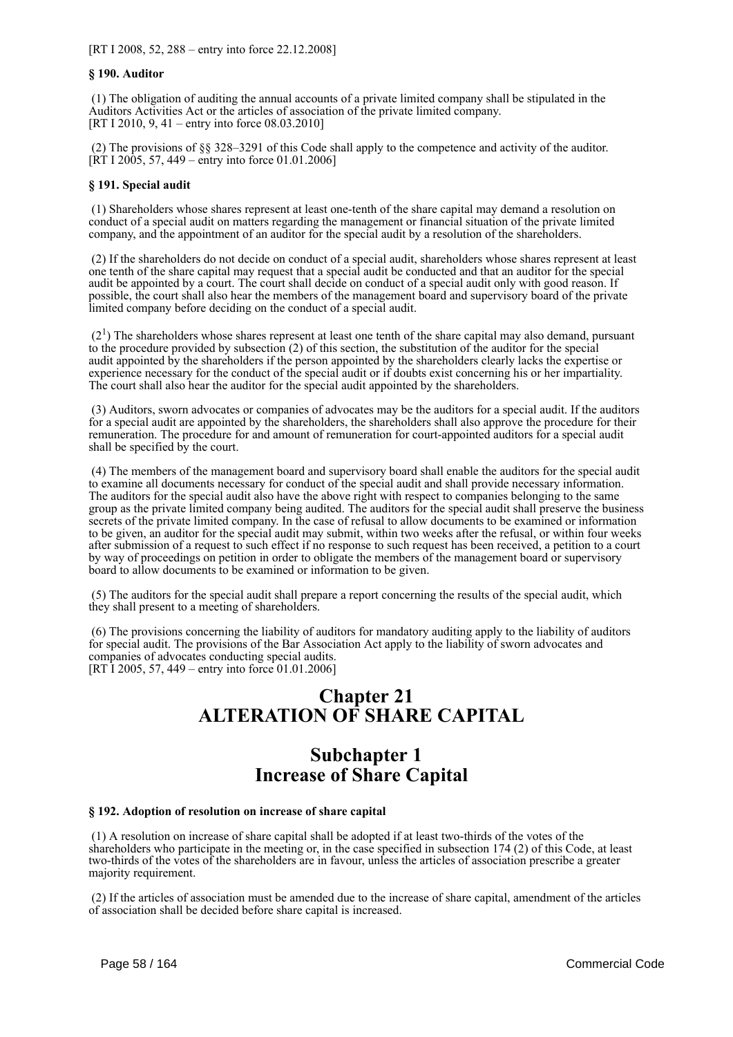### **§ 190. Auditor**

 (1) The obligation of auditing the annual accounts of a private limited company shall be stipulated in the Auditors Activities Act or the articles of association of the private limited company. [RT I 2010, 9, 41 – entry into force 08.03.2010]

 (2) The provisions of §§ 328–3291 of this Code shall apply to the competence and activity of the auditor.  $[\hat{R}T I 2005, 57, 449 - \hat{entry}$  into force 01.01.2006]

### **§ 191. Special audit**

 (1) Shareholders whose shares represent at least one-tenth of the share capital may demand a resolution on conduct of a special audit on matters regarding the management or financial situation of the private limited company, and the appointment of an auditor for the special audit by a resolution of the shareholders.

 (2) If the shareholders do not decide on conduct of a special audit, shareholders whose shares represent at least one tenth of the share capital may request that a special audit be conducted and that an auditor for the special audit be appointed by a court. The court shall decide on conduct of a special audit only with good reason. If possible, the court shall also hear the members of the management board and supervisory board of the private limited company before deciding on the conduct of a special audit.

 $(2<sup>1</sup>)$  The shareholders whose shares represent at least one tenth of the share capital may also demand, pursuant to the procedure provided by subsection (2) of this section, the substitution of the auditor for the special audit appointed by the shareholders if the person appointed by the shareholders clearly lacks the expertise or experience necessary for the conduct of the special audit or if doubts exist concerning his or her impartiality. The court shall also hear the auditor for the special audit appointed by the shareholders.

 (3) Auditors, sworn advocates or companies of advocates may be the auditors for a special audit. If the auditors for a special audit are appointed by the shareholders, the shareholders shall also approve the procedure for their remuneration. The procedure for and amount of remuneration for court-appointed auditors for a special audit shall be specified by the court.

 (4) The members of the management board and supervisory board shall enable the auditors for the special audit to examine all documents necessary for conduct of the special audit and shall provide necessary information. The auditors for the special audit also have the above right with respect to companies belonging to the same group as the private limited company being audited. The auditors for the special audit shall preserve the business secrets of the private limited company. In the case of refusal to allow documents to be examined or information to be given, an auditor for the special audit may submit, within two weeks after the refusal, or within four weeks after submission of a request to such effect if no response to such request has been received, a petition to a court by way of proceedings on petition in order to obligate the members of the management board or supervisory board to allow documents to be examined or information to be given.

 (5) The auditors for the special audit shall prepare a report concerning the results of the special audit, which they shall present to a meeting of shareholders.

 (6) The provisions concerning the liability of auditors for mandatory auditing apply to the liability of auditors for special audit. The provisions of the Bar Association Act apply to the liability of sworn advocates and companies of advocates conducting special audits. [RT I 2005, 57, 449 – entry into force 01.01.2006]

# **Chapter 21 ALTERATION OF SHARE CAPITAL**

# **Subchapter 1 Increase of Share Capital**

### **§ 192. Adoption of resolution on increase of share capital**

 (1) A resolution on increase of share capital shall be adopted if at least two-thirds of the votes of the shareholders who participate in the meeting or, in the case specified in subsection 174 (2) of this Code, at least two-thirds of the votes of the shareholders are in favour, unless the articles of association prescribe a greater majority requirement.

 (2) If the articles of association must be amended due to the increase of share capital, amendment of the articles of association shall be decided before share capital is increased.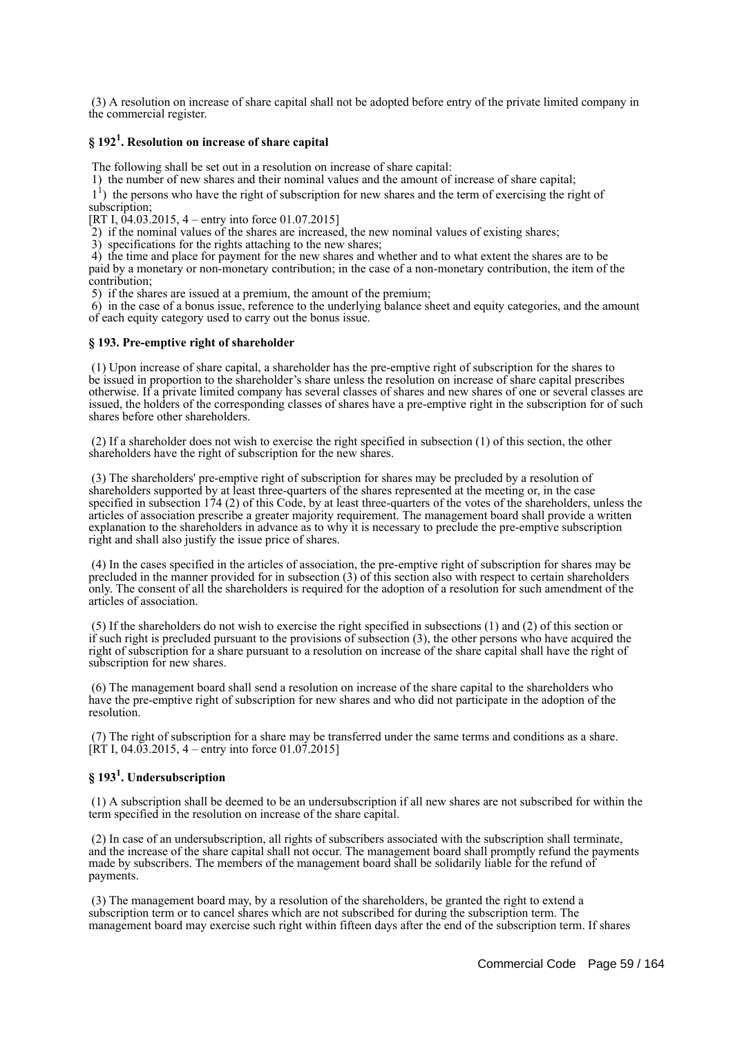(3) A resolution on increase of share capital shall not be adopted before entry of the private limited company in the commercial register.

# **§ 192<sup>1</sup> . Resolution on increase of share capital**

The following shall be set out in a resolution on increase of share capital:

1) the number of new shares and their nominal values and the amount of increase of share capital;

<sup>1</sup>) the persons who have the right of subscription for new shares and the term of exercising the right of subscription;

[RT I,  $\overline{04.03.2015}$ , 4 – entry into force 01.07.2015]

 $2)$  if the nominal values of the shares are increased, the new nominal values of existing shares;

3) specifications for the rights attaching to the new shares;

 4) the time and place for payment for the new shares and whether and to what extent the shares are to be paid by a monetary or non-monetary contribution; in the case of a non-monetary contribution, the item of the contribution;

5) if the shares are issued at a premium, the amount of the premium;

 6) in the case of a bonus issue, reference to the underlying balance sheet and equity categories, and the amount of each equity category used to carry out the bonus issue.

### **§ 193. Pre-emptive right of shareholder**

 (1) Upon increase of share capital, a shareholder has the pre-emptive right of subscription for the shares to be issued in proportion to the shareholder's share unless the resolution on increase of share capital prescribes otherwise. If a private limited company has several classes of shares and new shares of one or several classes are issued, the holders of the corresponding classes of shares have a pre-emptive right in the subscription for of such shares before other shareholders.

 (2) If a shareholder does not wish to exercise the right specified in subsection (1) of this section, the other shareholders have the right of subscription for the new shares.

 (3) The shareholders' pre-emptive right of subscription for shares may be precluded by a resolution of shareholders supported by at least three-quarters of the shares represented at the meeting or, in the case specified in subsection 174 (2) of this Code, by at least three-quarters of the votes of the shareholders, unless the articles of association prescribe a greater majority requirement. The management board shall provide a written explanation to the shareholders in advance as to why it is necessary to preclude the pre-emptive subscription right and shall also justify the issue price of shares.

 (4) In the cases specified in the articles of association, the pre-emptive right of subscription for shares may be precluded in the manner provided for in subsection (3) of this section also with respect to certain shareholders only. The consent of all the shareholders is required for the adoption of a resolution for such amendment of the articles of association.

 (5) If the shareholders do not wish to exercise the right specified in subsections (1) and (2) of this section or if such right is precluded pursuant to the provisions of subsection (3), the other persons who have acquired the right of subscription for a share pursuant to a resolution on increase of the share capital shall have the right of subscription for new shares.

 (6) The management board shall send a resolution on increase of the share capital to the shareholders who have the pre-emptive right of subscription for new shares and who did not participate in the adoption of the resolution.

 (7) The right of subscription for a share may be transferred under the same terms and conditions as a share.  $[\hat{R}T I, 04.03.2015, 4 - entry into force 01.07.2015]$ 

# **§ 193<sup>1</sup> . Undersubscription**

 (1) A subscription shall be deemed to be an undersubscription if all new shares are not subscribed for within the term specified in the resolution on increase of the share capital.

 (2) In case of an undersubscription, all rights of subscribers associated with the subscription shall terminate, and the increase of the share capital shall not occur. The management board shall promptly refund the payments made by subscribers. The members of the management board shall be solidarily liable for the refund of payments.

 (3) The management board may, by a resolution of the shareholders, be granted the right to extend a subscription term or to cancel shares which are not subscribed for during the subscription term. The management board may exercise such right within fifteen days after the end of the subscription term. If shares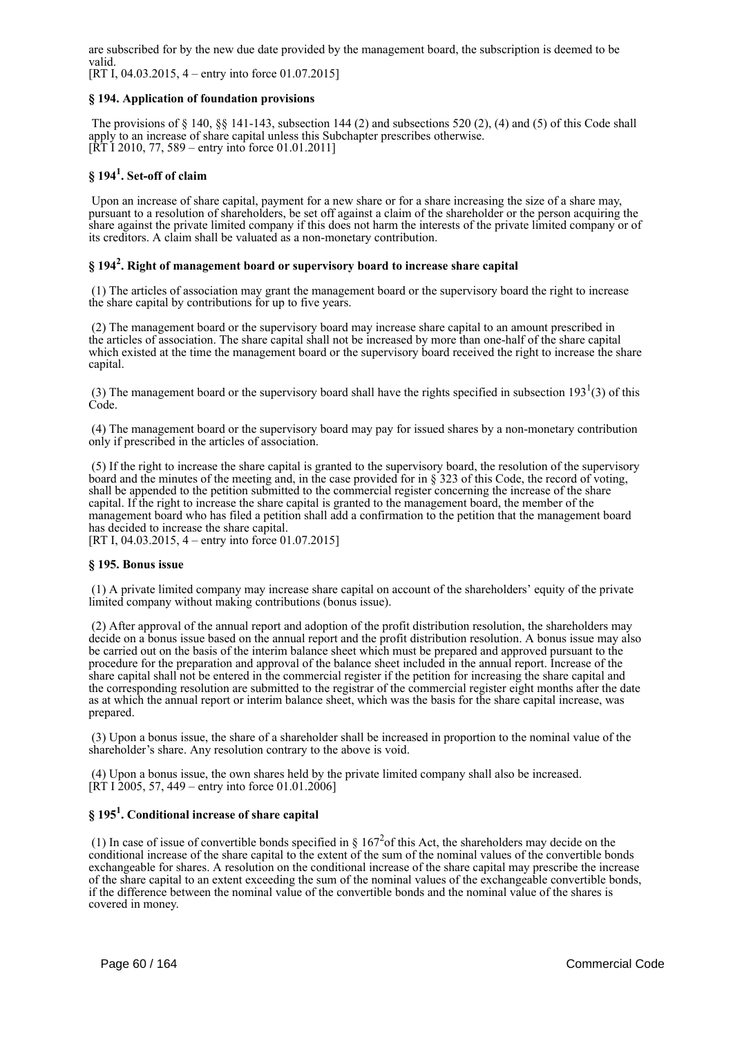are subscribed for by the new due date provided by the management board, the subscription is deemed to be valid.

[RT I, 04.03.2015, 4 – entry into force 01.07.2015]

### **§ 194. Application of foundation provisions**

 The provisions of § 140, §§ 141-143, subsection 144 (2) and subsections 520 (2), (4) and (5) of this Code shall apply to an increase of share capital unless this Subchapter prescribes otherwise.  $[\hat{R}T\ I\ 2010, 77, 589 -$  entry into force 01.01.2011]

# **§ 194<sup>1</sup> . Set-off of claim**

Upon an increase of share capital, payment for a new share or for a share increasing the size of a share may, pursuant to a resolution of shareholders, be set off against a claim of the shareholder or the person acquiring the share against the private limited company if this does not harm the interests of the private limited company or of its creditors. A claim shall be valuated as a non-monetary contribution.

# **§ 194<sup>2</sup> . Right of management board or supervisory board to increase share capital**

 (1) The articles of association may grant the management board or the supervisory board the right to increase the share capital by contributions for up to five years.

 (2) The management board or the supervisory board may increase share capital to an amount prescribed in the articles of association. The share capital shall not be increased by more than one-half of the share capital which existed at the time the management board or the supervisory board received the right to increase the share capital.

(3) The management board or the supervisory board shall have the rights specified in subsection  $193<sup>1</sup>(3)$  of this Code.

 (4) The management board or the supervisory board may pay for issued shares by a non-monetary contribution only if prescribed in the articles of association.

 (5) If the right to increase the share capital is granted to the supervisory board, the resolution of the supervisory board and the minutes of the meeting and, in the case provided for in § 323 of this Code, the record of voting, shall be appended to the petition submitted to the commercial register concerning the increase of the share capital. If the right to increase the share capital is granted to the management board, the member of the management board who has filed a petition shall add a confirmation to the petition that the management board has decided to increase the share capital. [RT I, 04.03.2015, 4 – entry into force 01.07.2015]

### **§ 195. Bonus issue**

 (1) A private limited company may increase share capital on account of the shareholders' equity of the private limited company without making contributions (bonus issue).

 (2) After approval of the annual report and adoption of the profit distribution resolution, the shareholders may decide on a bonus issue based on the annual report and the profit distribution resolution. A bonus issue may also be carried out on the basis of the interim balance sheet which must be prepared and approved pursuant to the procedure for the preparation and approval of the balance sheet included in the annual report. Increase of the share capital shall not be entered in the commercial register if the petition for increasing the share capital and the corresponding resolution are submitted to the registrar of the commercial register eight months after the date as at which the annual report or interim balance sheet, which was the basis for the share capital increase, was prepared.

 (3) Upon a bonus issue, the share of a shareholder shall be increased in proportion to the nominal value of the shareholder's share. Any resolution contrary to the above is void.

 (4) Upon a bonus issue, the own shares held by the private limited company shall also be increased.  $[RT I 2005, 57, 449 - entry into force 01.01.2006]$ 

# **§ 195<sup>1</sup> . Conditional increase of share capital**

(1) In case of issue of convertible bonds specified in  $\S 167^2$  of this Act, the shareholders may decide on the conditional increase of the share capital to the extent of the sum of the nominal values of the convertible bonds exchangeable for shares. A resolution on the conditional increase of the share capital may prescribe the increase of the share capital to an extent exceeding the sum of the nominal values of the exchangeable convertible bonds, if the difference between the nominal value of the convertible bonds and the nominal value of the shares is covered in money.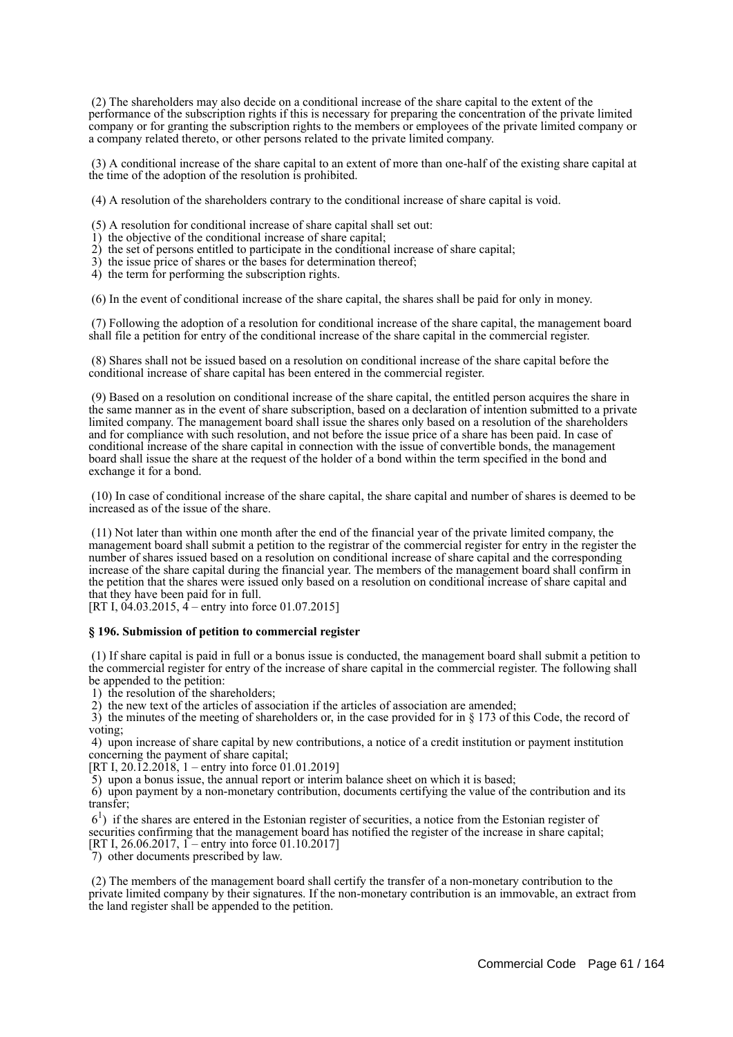(2) The shareholders may also decide on a conditional increase of the share capital to the extent of the performance of the subscription rights if this is necessary for preparing the concentration of the private limited company or for granting the subscription rights to the members or employees of the private limited company or a company related thereto, or other persons related to the private limited company.

 (3) A conditional increase of the share capital to an extent of more than one-half of the existing share capital at the time of the adoption of the resolution is prohibited.

(4) A resolution of the shareholders contrary to the conditional increase of share capital is void.

(5) A resolution for conditional increase of share capital shall set out:

- 1) the objective of the conditional increase of share capital;
- 2) the set of persons entitled to participate in the conditional increase of share capital;
- 3) the issue price of shares or the bases for determination thereof;
- 4) the term for performing the subscription rights.

(6) In the event of conditional increase of the share capital, the shares shall be paid for only in money.

 (7) Following the adoption of a resolution for conditional increase of the share capital, the management board shall file a petition for entry of the conditional increase of the share capital in the commercial register.

 (8) Shares shall not be issued based on a resolution on conditional increase of the share capital before the conditional increase of share capital has been entered in the commercial register.

 (9) Based on a resolution on conditional increase of the share capital, the entitled person acquires the share in the same manner as in the event of share subscription, based on a declaration of intention submitted to a private limited company. The management board shall issue the shares only based on a resolution of the shareholders and for compliance with such resolution, and not before the issue price of a share has been paid. In case of conditional increase of the share capital in connection with the issue of convertible bonds, the management board shall issue the share at the request of the holder of a bond within the term specified in the bond and exchange it for a bond.

 (10) In case of conditional increase of the share capital, the share capital and number of shares is deemed to be increased as of the issue of the share.

 (11) Not later than within one month after the end of the financial year of the private limited company, the management board shall submit a petition to the registrar of the commercial register for entry in the register the number of shares issued based on a resolution on conditional increase of share capital and the corresponding increase of the share capital during the financial year. The members of the management board shall confirm in the petition that the shares were issued only based on a resolution on conditional increase of share capital and that they have been paid for in full.

[RT I,  $04.03.2015$ ,  $4$  – entry into force 01.07.2015]

### **§ 196. Submission of petition to commercial register**

 (1) If share capital is paid in full or a bonus issue is conducted, the management board shall submit a petition to the commercial register for entry of the increase of share capital in the commercial register. The following shall be appended to the petition:

1) the resolution of the shareholders;

2) the new text of the articles of association if the articles of association are amended;

 3) the minutes of the meeting of shareholders or, in the case provided for in § 173 of this Code, the record of voting;

 4) upon increase of share capital by new contributions, a notice of a credit institution or payment institution concerning the payment of share capital;

[RT I, 20.12.2018, 1 – entry into force 01.01.2019]

5) upon a bonus issue, the annual report or interim balance sheet on which it is based;

 6) upon payment by a non-monetary contribution, documents certifying the value of the contribution and its transfer;

 61 ) if the shares are entered in the Estonian register of securities, a notice from the Estonian register of securities confirming that the management board has notified the register of the increase in share capital; [RT I, 26.06.2017, 1 – entry into force 01.10.2017]

7) other documents prescribed by law.

 (2) The members of the management board shall certify the transfer of a non-monetary contribution to the private limited company by their signatures. If the non-monetary contribution is an immovable, an extract from the land register shall be appended to the petition.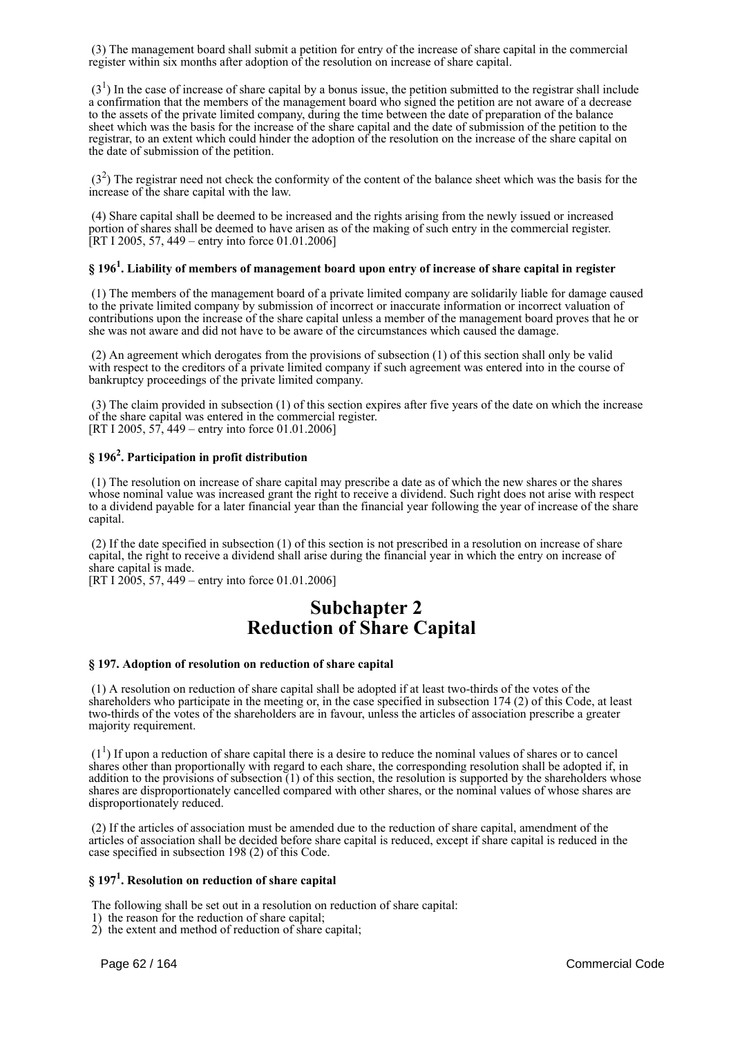(3) The management board shall submit a petition for entry of the increase of share capital in the commercial register within six months after adoption of the resolution on increase of share capital.

 $(3<sup>1</sup>)$  In the case of increase of share capital by a bonus issue, the petition submitted to the registrar shall include a confirmation that the members of the management board who signed the petition are not aware of a decrease to the assets of the private limited company, during the time between the date of preparation of the balance sheet which was the basis for the increase of the share capital and the date of submission of the petition to the registrar, to an extent which could hinder the adoption of the resolution on the increase of the share capital on the date of submission of the petition.

 $(3<sup>2</sup>)$  The registrar need not check the conformity of the content of the balance sheet which was the basis for the increase of the share capital with the law.

 (4) Share capital shall be deemed to be increased and the rights arising from the newly issued or increased portion of shares shall be deemed to have arisen as of the making of such entry in the commercial register. [RT I 2005, 57, 449 – entry into force 01.01.2006]

# **§ 196<sup>1</sup> . Liability of members of management board upon entry of increase of share capital in register**

 (1) The members of the management board of a private limited company are solidarily liable for damage caused to the private limited company by submission of incorrect or inaccurate information or incorrect valuation of contributions upon the increase of the share capital unless a member of the management board proves that he or she was not aware and did not have to be aware of the circumstances which caused the damage.

 (2) An agreement which derogates from the provisions of subsection (1) of this section shall only be valid with respect to the creditors of a private limited company if such agreement was entered into in the course of bankruptcy proceedings of the private limited company.

 (3) The claim provided in subsection (1) of this section expires after five years of the date on which the increase of the share capital was entered in the commercial register. [RT I 2005, 57, 449 – entry into force 01.01.2006]

# **§ 196<sup>2</sup> . Participation in profit distribution**

 (1) The resolution on increase of share capital may prescribe a date as of which the new shares or the shares whose nominal value was increased grant the right to receive a dividend. Such right does not arise with respect to a dividend payable for a later financial year than the financial year following the year of increase of the share capital.

 (2) If the date specified in subsection (1) of this section is not prescribed in a resolution on increase of share capital, the right to receive a dividend shall arise during the financial year in which the entry on increase of share capital is made.

[RT I 2005, 57, 449 – entry into force 01.01.2006]

# **Subchapter 2 Reduction of Share Capital**

### **§ 197. Adoption of resolution on reduction of share capital**

 (1) A resolution on reduction of share capital shall be adopted if at least two-thirds of the votes of the shareholders who participate in the meeting or, in the case specified in subsection 174 (2) of this Code, at least two-thirds of the votes of the shareholders are in favour, unless the articles of association prescribe a greater majority requirement.

 $(1<sup>1</sup>)$  If upon a reduction of share capital there is a desire to reduce the nominal values of shares or to cancel shares other than proportionally with regard to each share, the corresponding resolution shall be adopted if, in addition to the provisions of subsection  $(1)$  of this section, the resolution is supported by the shareholders whose shares are disproportionately cancelled compared with other shares, or the nominal values of whose shares are disproportionately reduced.

 (2) If the articles of association must be amended due to the reduction of share capital, amendment of the articles of association shall be decided before share capital is reduced, except if share capital is reduced in the case specified in subsection 198 (2) of this Code.

# **§ 197<sup>1</sup> . Resolution on reduction of share capital**

The following shall be set out in a resolution on reduction of share capital:

1) the reason for the reduction of share capital;

2) the extent and method of reduction of share capital;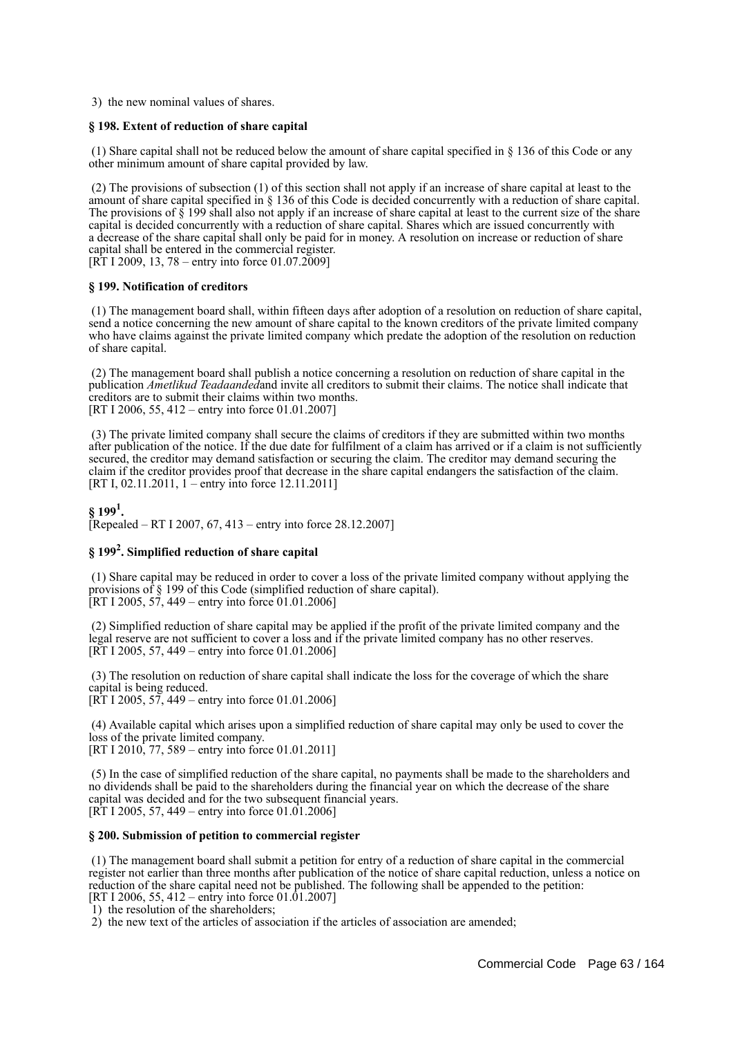3) the new nominal values of shares.

### **§ 198. Extent of reduction of share capital**

 (1) Share capital shall not be reduced below the amount of share capital specified in § 136 of this Code or any other minimum amount of share capital provided by law.

 (2) The provisions of subsection (1) of this section shall not apply if an increase of share capital at least to the amount of share capital specified in § 136 of this Code is decided concurrently with a reduction of share capital. The provisions of  $\hat{\S}$  199 shall also not apply if an increase of share capital at least to the current size of the share capital is decided concurrently with a reduction of share capital. Shares which are issued concurrently with a decrease of the share capital shall only be paid for in money. A resolution on increase or reduction of share capital shall be entered in the commercial register. [RT I 2009, 13, 78 – entry into force 01.07.2009]

### **§ 199. Notification of creditors**

 (1) The management board shall, within fifteen days after adoption of a resolution on reduction of share capital, send a notice concerning the new amount of share capital to the known creditors of the private limited company who have claims against the private limited company which predate the adoption of the resolution on reduction of share capital.

 (2) The management board shall publish a notice concerning a resolution on reduction of share capital in the publication *Ametlikud Teadaanded*and invite all creditors to submit their claims. The notice shall indicate that creditors are to submit their claims within two months. [RT I 2006, 55, 412 – entry into force 01.01.2007]

 (3) The private limited company shall secure the claims of creditors if they are submitted within two months after publication of the notice. If the due date for fulfilment of a claim has arrived or if a claim is not sufficiently secured, the creditor may demand satisfaction or securing the claim. The creditor may demand securing the claim if the creditor provides proof that decrease in the share capital endangers the satisfaction of the claim. [RT I, 02.11.2011, 1 – entry into force 12.11.2011]

**§ 199<sup>1</sup> .** [Repealed – RT I 2007, 67, 413 – entry into force 28.12.2007]

# **§ 199<sup>2</sup> . Simplified reduction of share capital**

 (1) Share capital may be reduced in order to cover a loss of the private limited company without applying the provisions of § 199 of this Code (simplified reduction of share capital). [RT I 2005,  $57,449$  – entry into force 01.01.2006]

 (2) Simplified reduction of share capital may be applied if the profit of the private limited company and the legal reserve are not sufficient to cover a loss and if the private limited company has no other reserves. [RT I 2005, 57, 449 – entry into force 01.01.2006]

 (3) The resolution on reduction of share capital shall indicate the loss for the coverage of which the share capital is being reduced.

[RT I 2005, 57, 449 – entry into force 01.01.2006]

 (4) Available capital which arises upon a simplified reduction of share capital may only be used to cover the loss of the private limited company. [RT I 2010, 77, 589 – entry into force 01.01.2011]

 (5) In the case of simplified reduction of the share capital, no payments shall be made to the shareholders and no dividends shall be paid to the shareholders during the financial year on which the decrease of the share capital was decided and for the two subsequent financial years. [RT I 2005, 57, 449 – entry into force 01.01.2006]

#### **§ 200. Submission of petition to commercial register**

 (1) The management board shall submit a petition for entry of a reduction of share capital in the commercial register not earlier than three months after publication of the notice of share capital reduction, unless a notice on reduction of the share capital need not be published. The following shall be appended to the petition: [RT I 2006, 55, 412 – entry into force 01.01.2007]

1) the resolution of the shareholders;

2) the new text of the articles of association if the articles of association are amended;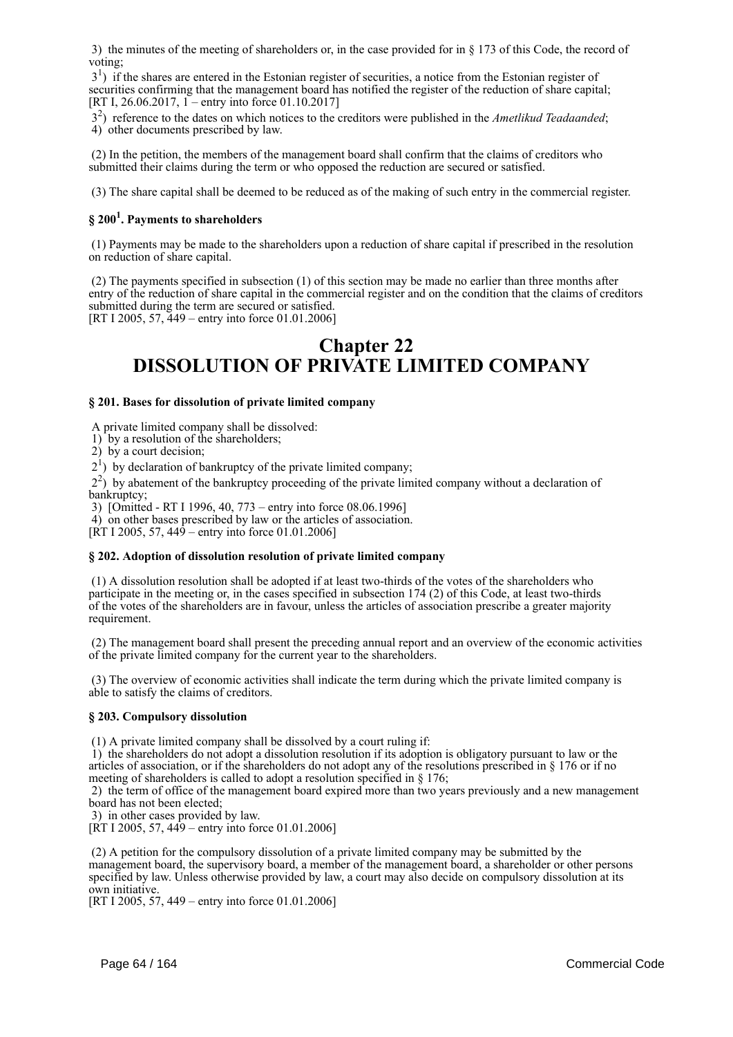3) the minutes of the meeting of shareholders or, in the case provided for in § 173 of this Code, the record of voting;

 31 ) if the shares are entered in the Estonian register of securities, a notice from the Estonian register of securities confirming that the management board has notified the register of the reduction of share capital; [RT I, 26.06.2017, 1 – entry into force 01.10.2017]

 32 ) reference to the dates on which notices to the creditors were published in the *Ametlikud Teadaanded*; 4) other documents prescribed by law.

 (2) In the petition, the members of the management board shall confirm that the claims of creditors who submitted their claims during the term or who opposed the reduction are secured or satisfied.

(3) The share capital shall be deemed to be reduced as of the making of such entry in the commercial register.

# **§ 200<sup>1</sup> . Payments to shareholders**

 (1) Payments may be made to the shareholders upon a reduction of share capital if prescribed in the resolution on reduction of share capital.

 (2) The payments specified in subsection (1) of this section may be made no earlier than three months after entry of the reduction of share capital in the commercial register and on the condition that the claims of creditors submitted during the term are secured or satisfied. [RT I 2005, 57, 449 – entry into force 01.01.2006]

# **Chapter 22 DISSOLUTION OF PRIVATE LIMITED COMPANY**

### **§ 201. Bases for dissolution of private limited company**

A private limited company shall be dissolved:

1) by a resolution of the shareholders;

2) by a court decision;

2<sup>1</sup>) by declaration of bankruptcy of the private limited company;

 22 ) by abatement of the bankruptcy proceeding of the private limited company without a declaration of bankruptcy;

3) [Omitted - RT I 1996, 40, 773 – entry into force 08.06.1996]

4) on other bases prescribed by law or the articles of association.

[RT I 2005, 57, 449 – entry into force 01.01.2006]

### **§ 202. Adoption of dissolution resolution of private limited company**

 (1) A dissolution resolution shall be adopted if at least two-thirds of the votes of the shareholders who participate in the meeting or, in the cases specified in subsection 174 (2) of this Code, at least two-thirds of the votes of the shareholders are in favour, unless the articles of association prescribe a greater majority requirement.

 (2) The management board shall present the preceding annual report and an overview of the economic activities of the private limited company for the current year to the shareholders.

 (3) The overview of economic activities shall indicate the term during which the private limited company is able to satisfy the claims of creditors.

### **§ 203. Compulsory dissolution**

(1) A private limited company shall be dissolved by a court ruling if:

 1) the shareholders do not adopt a dissolution resolution if its adoption is obligatory pursuant to law or the articles of association, or if the shareholders do not adopt any of the resolutions prescribed in § 176 or if no meeting of shareholders is called to adopt a resolution specified in § 176:

 2) the term of office of the management board expired more than two years previously and a new management board has not been elected;

3) in other cases provided by law.

[RT I 2005, 57, 449 – entry into force 01.01.2006]

 (2) A petition for the compulsory dissolution of a private limited company may be submitted by the management board, the supervisory board, a member of the management board, a shareholder or other persons specified by law. Unless otherwise provided by law, a court may also decide on compulsory dissolution at its own initiative.

[RT I 2005, 57, 449 – entry into force 01.01.2006]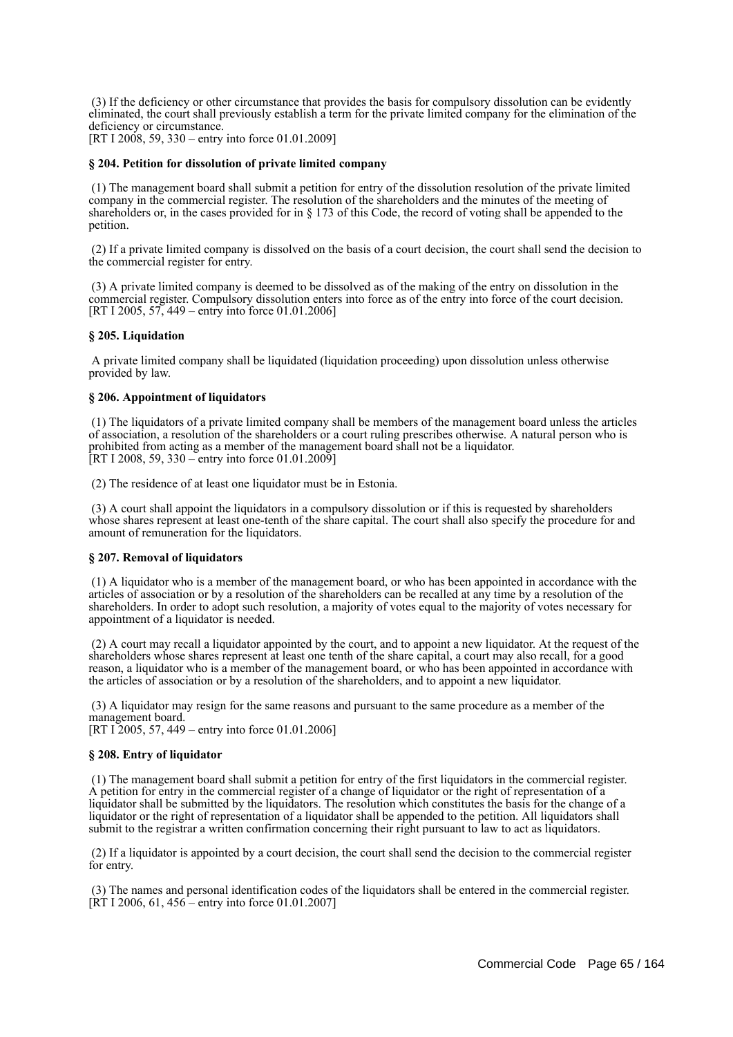(3) If the deficiency or other circumstance that provides the basis for compulsory dissolution can be evidently eliminated, the court shall previously establish a term for the private limited company for the elimination of the deficiency or circumstance.

[RT I 2008, 59, 330 – entry into force 01.01.2009]

### **§ 204. Petition for dissolution of private limited company**

 (1) The management board shall submit a petition for entry of the dissolution resolution of the private limited company in the commercial register. The resolution of the shareholders and the minutes of the meeting of shareholders or, in the cases provided for in § 173 of this Code, the record of voting shall be appended to the petition.

 (2) If a private limited company is dissolved on the basis of a court decision, the court shall send the decision to the commercial register for entry.

 (3) A private limited company is deemed to be dissolved as of the making of the entry on dissolution in the commercial register. Compulsory dissolution enters into force as of the entry into force of the court decision. [RT I 2005, 57, 449 – entry into force 01.01.2006]

### **§ 205. Liquidation**

 A private limited company shall be liquidated (liquidation proceeding) upon dissolution unless otherwise provided by law.

### **§ 206. Appointment of liquidators**

 (1) The liquidators of a private limited company shall be members of the management board unless the articles of association, a resolution of the shareholders or a court ruling prescribes otherwise. A natural person who is prohibited from acting as a member of the management board shall not be a liquidator. [RT I 2008, 59, 330 – entry into force  $01.01.2009$ ]

(2) The residence of at least one liquidator must be in Estonia.

 (3) A court shall appoint the liquidators in a compulsory dissolution or if this is requested by shareholders whose shares represent at least one-tenth of the share capital. The court shall also specify the procedure for and amount of remuneration for the liquidators.

### **§ 207. Removal of liquidators**

 (1) A liquidator who is a member of the management board, or who has been appointed in accordance with the articles of association or by a resolution of the shareholders can be recalled at any time by a resolution of the shareholders. In order to adopt such resolution, a majority of votes equal to the majority of votes necessary for appointment of a liquidator is needed.

 (2) A court may recall a liquidator appointed by the court, and to appoint a new liquidator. At the request of the shareholders whose shares represent at least one tenth of the share capital, a court may also recall, for a good reason, a liquidator who is a member of the management board, or who has been appointed in accordance with the articles of association or by a resolution of the shareholders, and to appoint a new liquidator.

 (3) A liquidator may resign for the same reasons and pursuant to the same procedure as a member of the management board.

[RT I 2005, 57, 449 – entry into force 01.01.2006]

### **§ 208. Entry of liquidator**

 (1) The management board shall submit a petition for entry of the first liquidators in the commercial register. A petition for entry in the commercial register of a change of liquidator or the right of representation of a liquidator shall be submitted by the liquidators. The resolution which constitutes the basis for the change of a liquidator or the right of representation of a liquidator shall be appended to the petition. All liquidators shall submit to the registrar a written confirmation concerning their right pursuant to law to act as liquidators.

 (2) If a liquidator is appointed by a court decision, the court shall send the decision to the commercial register for entry.

 (3) The names and personal identification codes of the liquidators shall be entered in the commercial register.  $[\overline{RT} 1 2006, 61, 456 -$  entry into force 01.01.2007]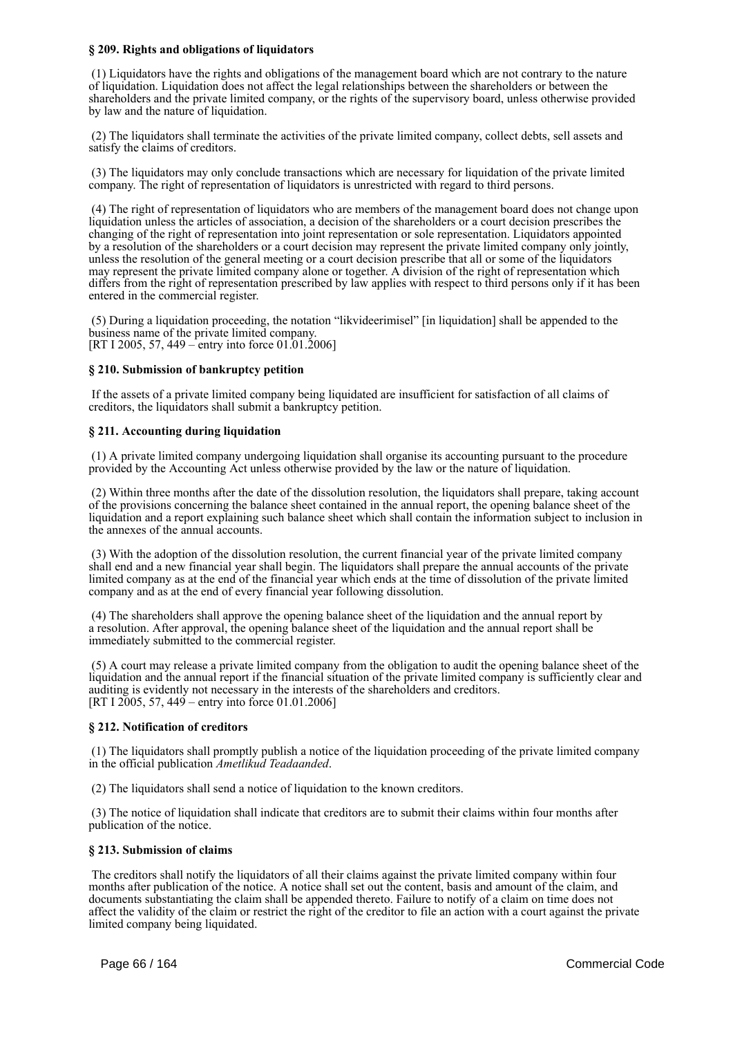### **§ 209. Rights and obligations of liquidators**

 (1) Liquidators have the rights and obligations of the management board which are not contrary to the nature of liquidation. Liquidation does not affect the legal relationships between the shareholders or between the shareholders and the private limited company, or the rights of the supervisory board, unless otherwise provided by law and the nature of liquidation.

 (2) The liquidators shall terminate the activities of the private limited company, collect debts, sell assets and satisfy the claims of creditors.

 (3) The liquidators may only conclude transactions which are necessary for liquidation of the private limited company. The right of representation of liquidators is unrestricted with regard to third persons.

 (4) The right of representation of liquidators who are members of the management board does not change upon liquidation unless the articles of association, a decision of the shareholders or a court decision prescribes the changing of the right of representation into joint representation or sole representation. Liquidators appointed by a resolution of the shareholders or a court decision may represent the private limited company only jointly, unless the resolution of the general meeting or a court decision prescribe that all or some of the liquidators may represent the private limited company alone or together. A division of the right of representation which differs from the right of representation prescribed by law applies with respect to third persons only if it has been entered in the commercial register.

 (5) During a liquidation proceeding, the notation "likvideerimisel" [in liquidation] shall be appended to the business name of the private limited company. [RT I 2005, 57, 449 – entry into force 01.01.2006]

### **§ 210. Submission of bankruptcy petition**

 If the assets of a private limited company being liquidated are insufficient for satisfaction of all claims of creditors, the liquidators shall submit a bankruptcy petition.

### **§ 211. Accounting during liquidation**

 (1) A private limited company undergoing liquidation shall organise its accounting pursuant to the procedure provided by the Accounting Act unless otherwise provided by the law or the nature of liquidation.

 (2) Within three months after the date of the dissolution resolution, the liquidators shall prepare, taking account of the provisions concerning the balance sheet contained in the annual report, the opening balance sheet of the liquidation and a report explaining such balance sheet which shall contain the information subject to inclusion in the annexes of the annual accounts.

 (3) With the adoption of the dissolution resolution, the current financial year of the private limited company shall end and a new financial year shall begin. The liquidators shall prepare the annual accounts of the private limited company as at the end of the financial year which ends at the time of dissolution of the private limited company and as at the end of every financial year following dissolution.

 (4) The shareholders shall approve the opening balance sheet of the liquidation and the annual report by a resolution. After approval, the opening balance sheet of the liquidation and the annual report shall be immediately submitted to the commercial register.

 (5) A court may release a private limited company from the obligation to audit the opening balance sheet of the liquidation and the annual report if the financial situation of the private limited company is sufficiently clear and auditing is evidently not necessary in the interests of the shareholders and creditors. [RT I 2005, 57, 449 – entry into force 01.01.2006]

### **§ 212. Notification of creditors**

 (1) The liquidators shall promptly publish a notice of the liquidation proceeding of the private limited company in the official publication *Ametlikud Teadaanded*.

(2) The liquidators shall send a notice of liquidation to the known creditors.

 (3) The notice of liquidation shall indicate that creditors are to submit their claims within four months after publication of the notice.

### **§ 213. Submission of claims**

 The creditors shall notify the liquidators of all their claims against the private limited company within four months after publication of the notice. A notice shall set out the content, basis and amount of the claim, and documents substantiating the claim shall be appended thereto. Failure to notify of a claim on time does not affect the validity of the claim or restrict the right of the creditor to file an action with a court against the private limited company being liquidated.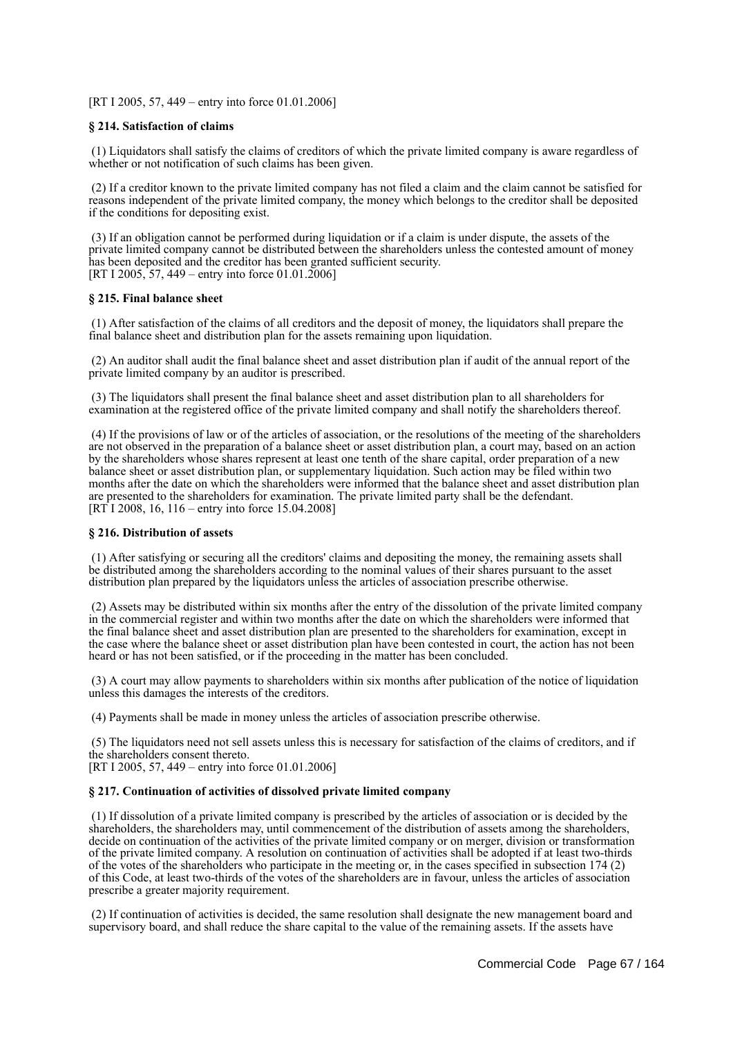[RT I 2005, 57, 449 – entry into force 01.01.2006]

### **§ 214. Satisfaction of claims**

 (1) Liquidators shall satisfy the claims of creditors of which the private limited company is aware regardless of whether or not notification of such claims has been given.

 (2) If a creditor known to the private limited company has not filed a claim and the claim cannot be satisfied for reasons independent of the private limited company, the money which belongs to the creditor shall be deposited if the conditions for depositing exist.

 (3) If an obligation cannot be performed during liquidation or if a claim is under dispute, the assets of the private limited company cannot be distributed between the shareholders unless the contested amount of money has been deposited and the creditor has been granted sufficient security. [RT I 2005, 57, 449 – entry into force 01.01.2006]

### **§ 215. Final balance sheet**

 (1) After satisfaction of the claims of all creditors and the deposit of money, the liquidators shall prepare the final balance sheet and distribution plan for the assets remaining upon liquidation.

 (2) An auditor shall audit the final balance sheet and asset distribution plan if audit of the annual report of the private limited company by an auditor is prescribed.

 (3) The liquidators shall present the final balance sheet and asset distribution plan to all shareholders for examination at the registered office of the private limited company and shall notify the shareholders thereof.

 (4) If the provisions of law or of the articles of association, or the resolutions of the meeting of the shareholders are not observed in the preparation of a balance sheet or asset distribution plan, a court may, based on an action by the shareholders whose shares represent at least one tenth of the share capital, order preparation of a new balance sheet or asset distribution plan, or supplementary liquidation. Such action may be filed within two months after the date on which the shareholders were informed that the balance sheet and asset distribution plan are presented to the shareholders for examination. The private limited party shall be the defendant. [RT I 2008, 16, 116 – entry into force 15.04.2008]

### **§ 216. Distribution of assets**

 (1) After satisfying or securing all the creditors' claims and depositing the money, the remaining assets shall be distributed among the shareholders according to the nominal values of their shares pursuant to the asset distribution plan prepared by the liquidators unless the articles of association prescribe otherwise.

 (2) Assets may be distributed within six months after the entry of the dissolution of the private limited company in the commercial register and within two months after the date on which the shareholders were informed that the final balance sheet and asset distribution plan are presented to the shareholders for examination, except in the case where the balance sheet or asset distribution plan have been contested in court, the action has not been heard or has not been satisfied, or if the proceeding in the matter has been concluded.

 (3) A court may allow payments to shareholders within six months after publication of the notice of liquidation unless this damages the interests of the creditors.

(4) Payments shall be made in money unless the articles of association prescribe otherwise.

 (5) The liquidators need not sell assets unless this is necessary for satisfaction of the claims of creditors, and if the shareholders consent thereto.

[RT I 2005, 57, 449 – entry into force 01.01.2006]

### **§ 217. Continuation of activities of dissolved private limited company**

 (1) If dissolution of a private limited company is prescribed by the articles of association or is decided by the shareholders, the shareholders may, until commencement of the distribution of assets among the shareholders, decide on continuation of the activities of the private limited company or on merger, division or transformation of the private limited company. A resolution on continuation of activities shall be adopted if at least two-thirds of the votes of the shareholders who participate in the meeting or, in the cases specified in subsection 174 (2) of this Code, at least two-thirds of the votes of the shareholders are in favour, unless the articles of association prescribe a greater majority requirement.

 (2) If continuation of activities is decided, the same resolution shall designate the new management board and supervisory board, and shall reduce the share capital to the value of the remaining assets. If the assets have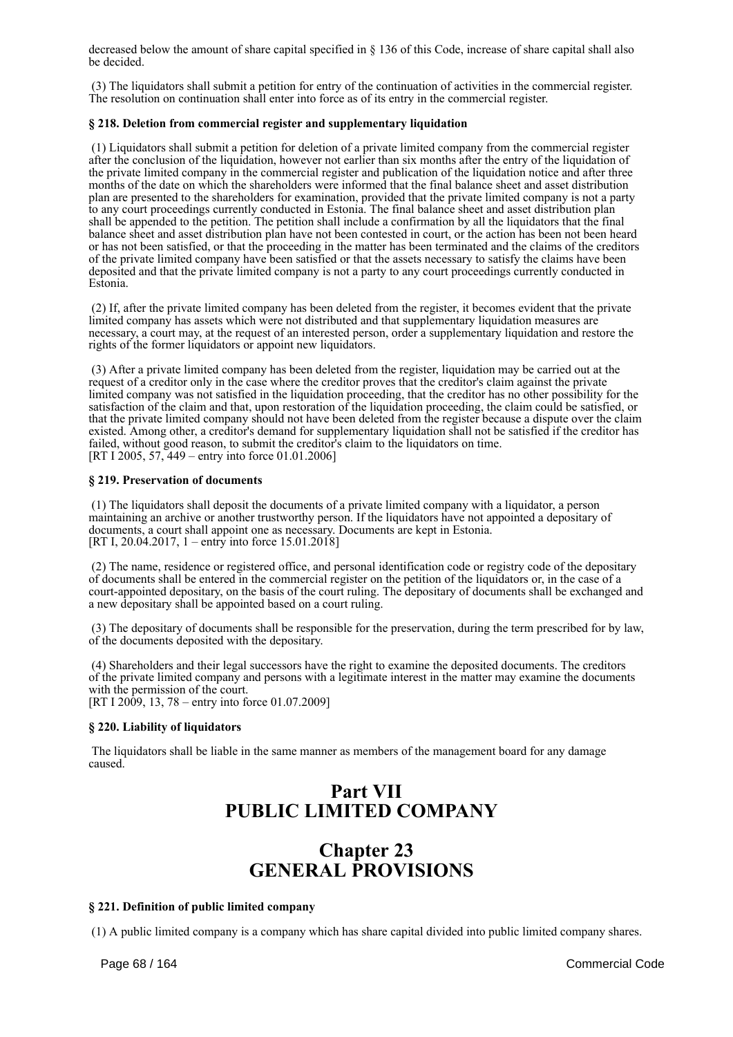decreased below the amount of share capital specified in § 136 of this Code, increase of share capital shall also be decided.

 (3) The liquidators shall submit a petition for entry of the continuation of activities in the commercial register. The resolution on continuation shall enter into force as of its entry in the commercial register.

### **§ 218. Deletion from commercial register and supplementary liquidation**

 (1) Liquidators shall submit a petition for deletion of a private limited company from the commercial register after the conclusion of the liquidation, however not earlier than six months after the entry of the liquidation of the private limited company in the commercial register and publication of the liquidation notice and after three months of the date on which the shareholders were informed that the final balance sheet and asset distribution plan are presented to the shareholders for examination, provided that the private limited company is not a party to any court proceedings currently conducted in Estonia. The final balance sheet and asset distribution plan shall be appended to the petition. The petition shall include a confirmation by all the liquidators that the final balance sheet and asset distribution plan have not been contested in court, or the action has been not been heard or has not been satisfied, or that the proceeding in the matter has been terminated and the claims of the creditors of the private limited company have been satisfied or that the assets necessary to satisfy the claims have been deposited and that the private limited company is not a party to any court proceedings currently conducted in Estonia.

 (2) If, after the private limited company has been deleted from the register, it becomes evident that the private limited company has assets which were not distributed and that supplementary liquidation measures are necessary, a court may, at the request of an interested person, order a supplementary liquidation and restore the rights of the former liquidators or appoint new liquidators.

 (3) After a private limited company has been deleted from the register, liquidation may be carried out at the request of a creditor only in the case where the creditor proves that the creditor's claim against the private limited company was not satisfied in the liquidation proceeding, that the creditor has no other possibility for the satisfaction of the claim and that, upon restoration of the liquidation proceeding, the claim could be satisfied, or that the private limited company should not have been deleted from the register because a dispute over the claim existed. Among other, a creditor's demand for supplementary liquidation shall not be satisfied if the creditor has failed, without good reason, to submit the creditor's claim to the liquidators on time. [RT I 2005, 57, 449 – entry into force 01.01.2006]

### **§ 219. Preservation of documents**

 (1) The liquidators shall deposit the documents of a private limited company with a liquidator, a person maintaining an archive or another trustworthy person. If the liquidators have not appointed a depositary of documents, a court shall appoint one as necessary. Documents are kept in Estonia. [RT I, 20.04.2017, 1 – entry into force 15.01.2018]

 (2) The name, residence or registered office, and personal identification code or registry code of the depositary of documents shall be entered in the commercial register on the petition of the liquidators or, in the case of a court-appointed depositary, on the basis of the court ruling. The depositary of documents shall be exchanged and a new depositary shall be appointed based on a court ruling.

 (3) The depositary of documents shall be responsible for the preservation, during the term prescribed for by law, of the documents deposited with the depositary.

 (4) Shareholders and their legal successors have the right to examine the deposited documents. The creditors of the private limited company and persons with a legitimate interest in the matter may examine the documents with the permission of the court. [RT I 2009, 13, 78 – entry into force 01.07.2009]

### **§ 220. Liability of liquidators**

 The liquidators shall be liable in the same manner as members of the management board for any damage caused.

# **Part VII PUBLIC LIMITED COMPANY**

# **Chapter 23 GENERAL PROVISIONS**

### **§ 221. Definition of public limited company**

(1) A public limited company is a company which has share capital divided into public limited company shares.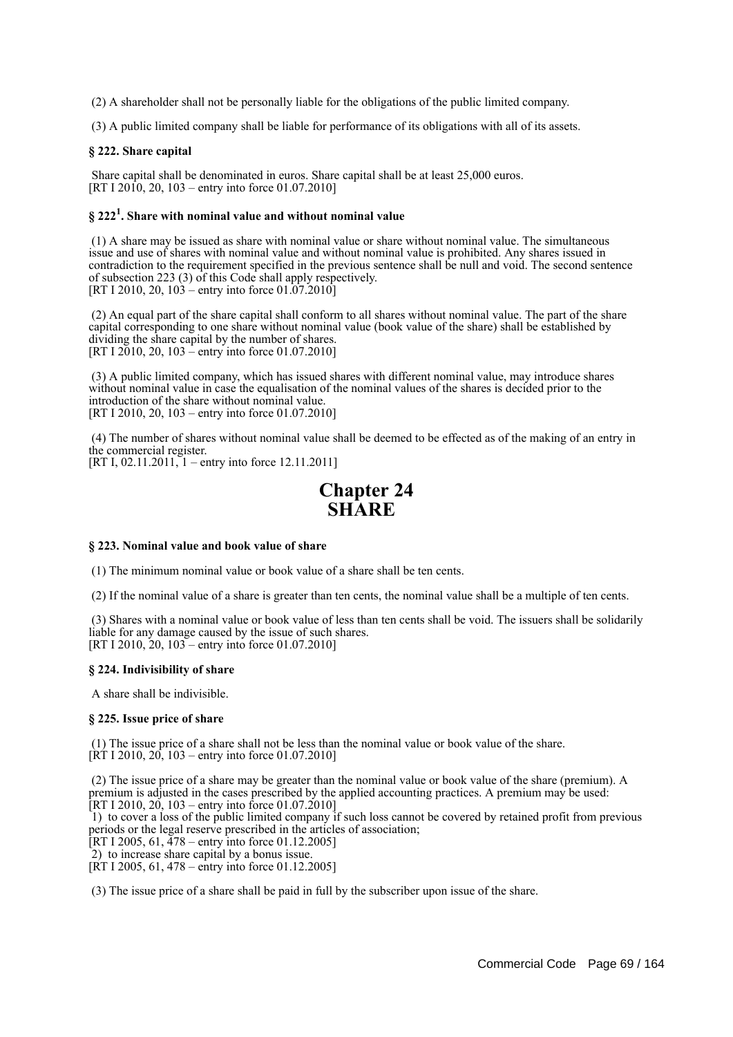(2) A shareholder shall not be personally liable for the obligations of the public limited company.

(3) A public limited company shall be liable for performance of its obligations with all of its assets.

### **§ 222. Share capital**

 Share capital shall be denominated in euros. Share capital shall be at least 25,000 euros. [RT I 2010, 20, 103 – entry into force 01.07.2010]

# **§ 222<sup>1</sup> . Share with nominal value and without nominal value**

 (1) A share may be issued as share with nominal value or share without nominal value. The simultaneous issue and use of shares with nominal value and without nominal value is prohibited. Any shares issued in contradiction to the requirement specified in the previous sentence shall be null and void. The second sentence of subsection 223 (3) of this Code shall apply respectively. [RT I 2010, 20,  $103 -$ entry into force 01.07.2010]

 (2) An equal part of the share capital shall conform to all shares without nominal value. The part of the share capital corresponding to one share without nominal value (book value of the share) shall be established by dividing the share capital by the number of shares. [RT I 2010, 20, 103 – entry into force 01.07.2010]

 (3) A public limited company, which has issued shares with different nominal value, may introduce shares without nominal value in case the equalisation of the nominal values of the shares is decided prior to the introduction of the share without nominal value. [RT I 2010, 20, 103 – entry into force 01.07.2010]

 (4) The number of shares without nominal value shall be deemed to be effected as of the making of an entry in the commercial register. [RT I, 02.11.2011, 1 – entry into force 12.11.2011]

# **Chapter 24 SHARE**

### **§ 223. Nominal value and book value of share**

(1) The minimum nominal value or book value of a share shall be ten cents.

(2) If the nominal value of a share is greater than ten cents, the nominal value shall be a multiple of ten cents.

 (3) Shares with a nominal value or book value of less than ten cents shall be void. The issuers shall be solidarily liable for any damage caused by the issue of such shares. [RT I 2010, 20, 103 – entry into force 01.07.2010]

### **§ 224. Indivisibility of share**

A share shall be indivisible.

### **§ 225. Issue price of share**

 (1) The issue price of a share shall not be less than the nominal value or book value of the share.  $[\hat{R}T I 2010, 20, 103 -$  entry into force 01.07.2010]

 (2) The issue price of a share may be greater than the nominal value or book value of the share (premium). A premium is adjusted in the cases prescribed by the applied accounting practices. A premium may be used:  $[RT I 2010, 20, 103 -$  entry into force 01.07.2010]

 1) to cover a loss of the public limited company if such loss cannot be covered by retained profit from previous periods or the legal reserve prescribed in the articles of association;

[RT I 2005, 61,  $\frac{478}{4}$  – entry into force 01.12.2005]

2) to increase share capital by a bonus issue.

[RT I 2005, 61, 478 – entry into force 01.12.2005]

(3) The issue price of a share shall be paid in full by the subscriber upon issue of the share.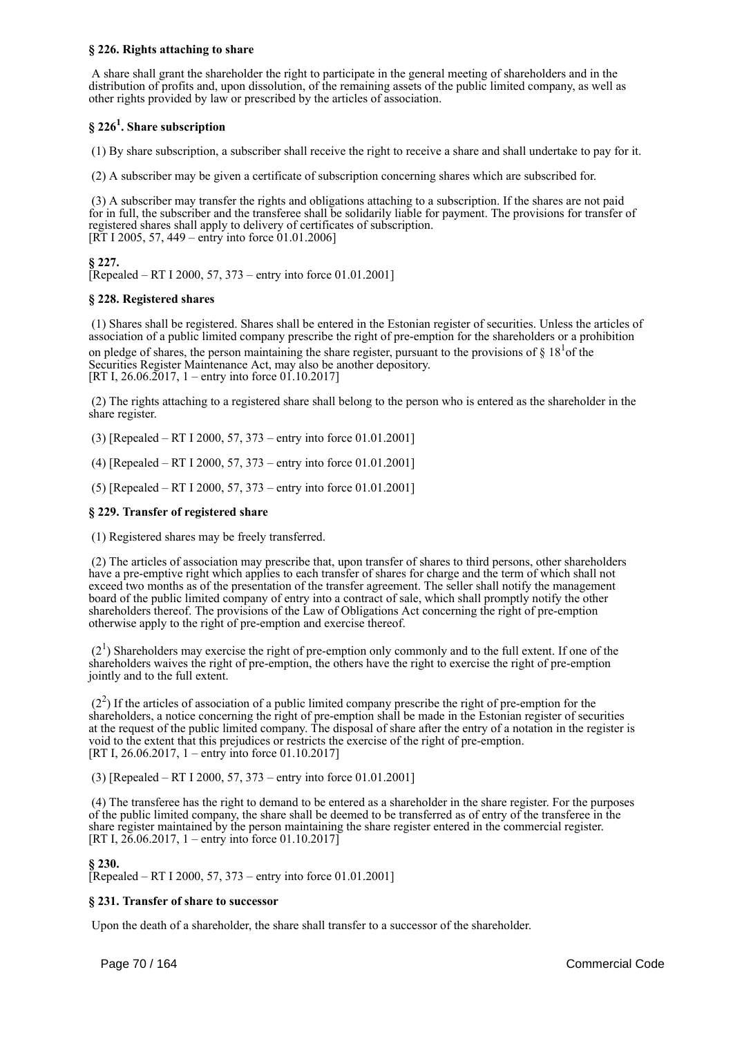### **§ 226. Rights attaching to share**

 A share shall grant the shareholder the right to participate in the general meeting of shareholders and in the distribution of profits and, upon dissolution, of the remaining assets of the public limited company, as well as other rights provided by law or prescribed by the articles of association.

# **§ 226<sup>1</sup> . Share subscription**

(1) By share subscription, a subscriber shall receive the right to receive a share and shall undertake to pay for it.

(2) A subscriber may be given a certificate of subscription concerning shares which are subscribed for.

 (3) A subscriber may transfer the rights and obligations attaching to a subscription. If the shares are not paid for in full, the subscriber and the transferee shall be solidarily liable for payment. The provisions for transfer of registered shares shall apply to delivery of certificates of subscription. [RT I 2005, 57, 449 – entry into force 01.01.2006]

**§ 227.**

[Repealed – RT I 2000, 57, 373 – entry into force 01.01.2001]

### **§ 228. Registered shares**

 (1) Shares shall be registered. Shares shall be entered in the Estonian register of securities. Unless the articles of association of a public limited company prescribe the right of pre-emption for the shareholders or a prohibition on pledge of shares, the person maintaining the share register, pursuant to the provisions of  $\S 18<sup>1</sup>$  of the Securities Register Maintenance Act, may also be another depository. [RT I,  $26.06.\overline{2017}$ , 1 – entry into force 01.10.2017]

 (2) The rights attaching to a registered share shall belong to the person who is entered as the shareholder in the share register.

(3) [Repealed – RT I 2000, 57, 373 – entry into force 01.01.2001]

(4) [Repealed – RT I 2000, 57, 373 – entry into force 01.01.2001]

(5) [Repealed – RT I 2000, 57, 373 – entry into force 01.01.2001]

### **§ 229. Transfer of registered share**

(1) Registered shares may be freely transferred.

 (2) The articles of association may prescribe that, upon transfer of shares to third persons, other shareholders have a pre-emptive right which applies to each transfer of shares for charge and the term of which shall not exceed two months as of the presentation of the transfer agreement. The seller shall notify the management board of the public limited company of entry into a contract of sale, which shall promptly notify the other shareholders thereof. The provisions of the Law of Obligations Act concerning the right of pre-emption otherwise apply to the right of pre-emption and exercise thereof.

 $(2<sup>1</sup>)$  Shareholders may exercise the right of pre-emption only commonly and to the full extent. If one of the shareholders waives the right of pre-emption, the others have the right to exercise the right of pre-emption jointly and to the full extent.

 $(2<sup>2</sup>)$  If the articles of association of a public limited company prescribe the right of pre-emption for the shareholders, a notice concerning the right of pre-emption shall be made in the Estonian register of securities at the request of the public limited company. The disposal of share after the entry of a notation in the register is void to the extent that this prejudices or restricts the exercise of the right of pre-emption. [RT I, 26.06.2017, 1 – entry into force 01.10.2017]

(3) [Repealed – RT I 2000, 57, 373 – entry into force 01.01.2001]

 (4) The transferee has the right to demand to be entered as a shareholder in the share register. For the purposes of the public limited company, the share shall be deemed to be transferred as of entry of the transferee in the share register maintained by the person maintaining the share register entered in the commercial register. [RT I,  $26.06.2017$ , 1 – entry into force 01.10.2017]

### **§ 230.**

[Repealed – RT I 2000, 57, 373 – entry into force 01.01.2001]

### **§ 231. Transfer of share to successor**

Upon the death of a shareholder, the share shall transfer to a successor of the shareholder.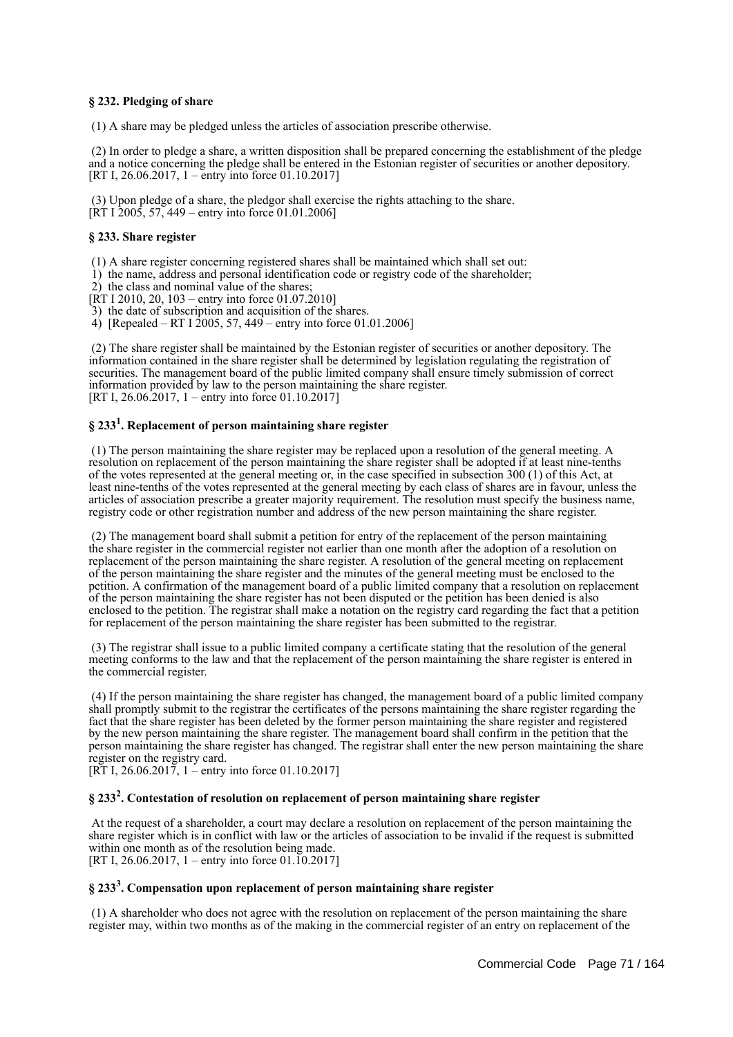### **§ 232. Pledging of share**

(1) A share may be pledged unless the articles of association prescribe otherwise.

 (2) In order to pledge a share, a written disposition shall be prepared concerning the establishment of the pledge and a notice concerning the pledge shall be entered in the Estonian register of securities or another depository. [RT I, 26.06.2017, 1 – entry into force 01.10.2017]

 (3) Upon pledge of a share, the pledgor shall exercise the rights attaching to the share.  $[\hat{R}T I \hat{2}005, 57, 449 -$  entry into force 01.01.2006]

### **§ 233. Share register**

(1) A share register concerning registered shares shall be maintained which shall set out:

1) the name, address and personal identification code or registry code of the shareholder;

2) the class and nominal value of the shares;

[RT I 2010, 20, 103 – entry into force 01.07.2010]

3) the date of subscription and acquisition of the shares.

4) [Repealed – RT I 2005, 57, 449 – entry into force 01.01.2006]

 (2) The share register shall be maintained by the Estonian register of securities or another depository. The information contained in the share register shall be determined by legislation regulating the registration of securities. The management board of the public limited company shall ensure timely submission of correct information provided by law to the person maintaining the share register. [RT I, 26.06.2017, 1 – entry into force 01.10.2017]

# **§ 233<sup>1</sup> . Replacement of person maintaining share register**

 (1) The person maintaining the share register may be replaced upon a resolution of the general meeting. A resolution on replacement of the person maintaining the share register shall be adopted if at least nine-tenths of the votes represented at the general meeting or, in the case specified in subsection 300 (1) of this Act, at least nine-tenths of the votes represented at the general meeting by each class of shares are in favour, unless the articles of association prescribe a greater majority requirement. The resolution must specify the business name, registry code or other registration number and address of the new person maintaining the share register.

 (2) The management board shall submit a petition for entry of the replacement of the person maintaining the share register in the commercial register not earlier than one month after the adoption of a resolution on replacement of the person maintaining the share register. A resolution of the general meeting on replacement of the person maintaining the share register and the minutes of the general meeting must be enclosed to the petition. A confirmation of the management board of a public limited company that a resolution on replacement of the person maintaining the share register has not been disputed or the petition has been denied is also enclosed to the petition. The registrar shall make a notation on the registry card regarding the fact that a petition for replacement of the person maintaining the share register has been submitted to the registrar.

 (3) The registrar shall issue to a public limited company a certificate stating that the resolution of the general meeting conforms to the law and that the replacement of the person maintaining the share register is entered in the commercial register.

 (4) If the person maintaining the share register has changed, the management board of a public limited company shall promptly submit to the registrar the certificates of the persons maintaining the share register regarding the fact that the share register has been deleted by the former person maintaining the share register and registered by the new person maintaining the share register. The management board shall confirm in the petition that the person maintaining the share register has changed. The registrar shall enter the new person maintaining the share register on the registry card.

[RT I, 26.06.2017, 1 – entry into force 01.10.2017]

# **§ 233<sup>2</sup> . Contestation of resolution on replacement of person maintaining share register**

 At the request of a shareholder, a court may declare a resolution on replacement of the person maintaining the share register which is in conflict with law or the articles of association to be invalid if the request is submitted within one month as of the resolution being made. [RT I, 26.06.2017, 1 – entry into force 01.10.2017]

# **§ 233<sup>3</sup> . Compensation upon replacement of person maintaining share register**

 (1) A shareholder who does not agree with the resolution on replacement of the person maintaining the share register may, within two months as of the making in the commercial register of an entry on replacement of the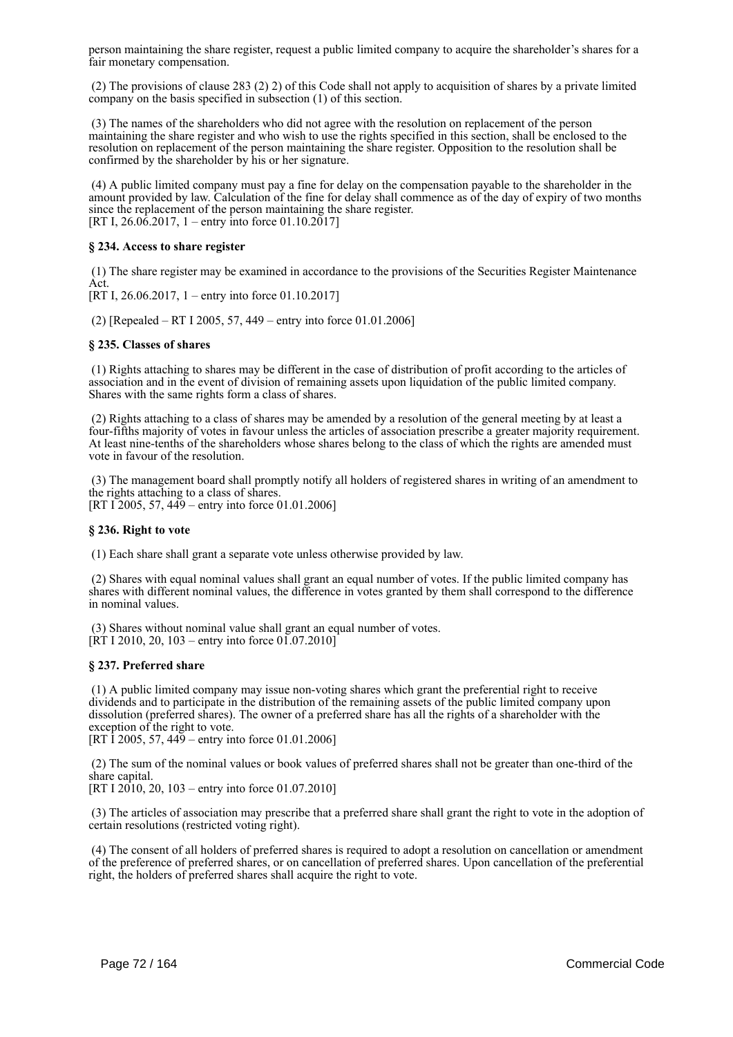person maintaining the share register, request a public limited company to acquire the shareholder's shares for a fair monetary compensation.

 (2) The provisions of clause 283 (2) 2) of this Code shall not apply to acquisition of shares by a private limited company on the basis specified in subsection (1) of this section.

 (3) The names of the shareholders who did not agree with the resolution on replacement of the person maintaining the share register and who wish to use the rights specified in this section, shall be enclosed to the resolution on replacement of the person maintaining the share register. Opposition to the resolution shall be confirmed by the shareholder by his or her signature.

 (4) A public limited company must pay a fine for delay on the compensation payable to the shareholder in the amount provided by law. Calculation of the fine for delay shall commence as of the day of expiry of two months since the replacement of the person maintaining the share register. [RT I, 26.06.2017, 1 – entry into force 01.10.2017]

### **§ 234. Access to share register**

 (1) The share register may be examined in accordance to the provisions of the Securities Register Maintenance Act.

[RT I, 26.06.2017, 1 – entry into force 01.10.2017]

(2) [Repealed – RT I 2005, 57, 449 – entry into force 01.01.2006]

### **§ 235. Classes of shares**

 (1) Rights attaching to shares may be different in the case of distribution of profit according to the articles of association and in the event of division of remaining assets upon liquidation of the public limited company. Shares with the same rights form a class of shares.

 (2) Rights attaching to a class of shares may be amended by a resolution of the general meeting by at least a four-fifths majority of votes in favour unless the articles of association prescribe a greater majority requirement. At least nine-tenths of the shareholders whose shares belong to the class of which the rights are amended must vote in favour of the resolution.

 (3) The management board shall promptly notify all holders of registered shares in writing of an amendment to the rights attaching to a class of shares. [RT I 2005, 57, 449 – entry into force 01.01.2006]

### **§ 236. Right to vote**

(1) Each share shall grant a separate vote unless otherwise provided by law.

 (2) Shares with equal nominal values shall grant an equal number of votes. If the public limited company has shares with different nominal values, the difference in votes granted by them shall correspond to the difference in nominal values.

 (3) Shares without nominal value shall grant an equal number of votes.  $[RT I 2010, 20, 103 - entry into force 01.07.2010]$ 

### **§ 237. Preferred share**

 (1) A public limited company may issue non-voting shares which grant the preferential right to receive dividends and to participate in the distribution of the remaining assets of the public limited company upon dissolution (preferred shares). The owner of a preferred share has all the rights of a shareholder with the exception of the right to vote.

[RT  $\bar{1}$  2005, 57, 449 – entry into force 01.01.2006]

 (2) The sum of the nominal values or book values of preferred shares shall not be greater than one-third of the share capital.

[RT I 2010, 20, 103 – entry into force 01.07.2010]

 (3) The articles of association may prescribe that a preferred share shall grant the right to vote in the adoption of certain resolutions (restricted voting right).

 (4) The consent of all holders of preferred shares is required to adopt a resolution on cancellation or amendment of the preference of preferred shares, or on cancellation of preferred shares. Upon cancellation of the preferential right, the holders of preferred shares shall acquire the right to vote.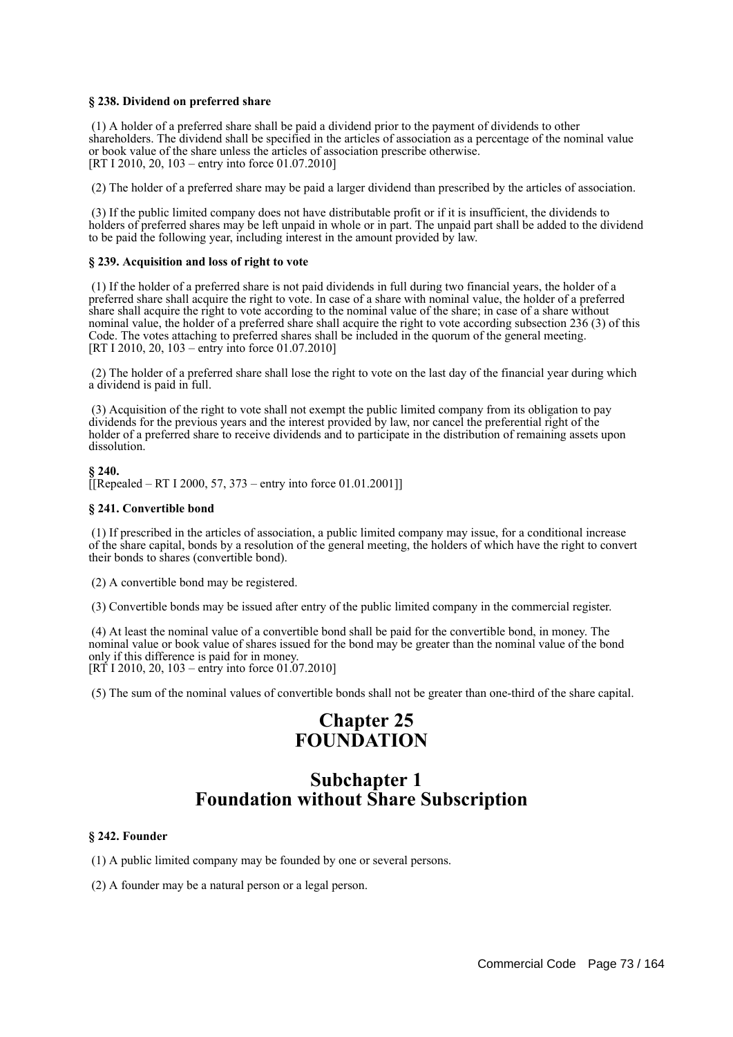## **§ 238. Dividend on preferred share**

 (1) A holder of a preferred share shall be paid a dividend prior to the payment of dividends to other shareholders. The dividend shall be specified in the articles of association as a percentage of the nominal value or book value of the share unless the articles of association prescribe otherwise. [RT I 2010, 20, 103 – entry into force 01.07.2010]

(2) The holder of a preferred share may be paid a larger dividend than prescribed by the articles of association.

 (3) If the public limited company does not have distributable profit or if it is insufficient, the dividends to holders of preferred shares may be left unpaid in whole or in part. The unpaid part shall be added to the dividend to be paid the following year, including interest in the amount provided by law.

#### **§ 239. Acquisition and loss of right to vote**

 (1) If the holder of a preferred share is not paid dividends in full during two financial years, the holder of a preferred share shall acquire the right to vote. In case of a share with nominal value, the holder of a preferred share shall acquire the right to vote according to the nominal value of the share; in case of a share without nominal value, the holder of a preferred share shall acquire the right to vote according subsection 236 (3) of this Code. The votes attaching to preferred shares shall be included in the quorum of the general meeting. [RT I 2010, 20, 103 – entry into force 01.07.2010]

 (2) The holder of a preferred share shall lose the right to vote on the last day of the financial year during which a dividend is paid in full.

 (3) Acquisition of the right to vote shall not exempt the public limited company from its obligation to pay dividends for the previous years and the interest provided by law, nor cancel the preferential right of the holder of a preferred share to receive dividends and to participate in the distribution of remaining assets upon dissolution.

**§ 240.** [[Repealed – RT I 2000, 57, 373 – entry into force 01.01.2001]]

#### **§ 241. Convertible bond**

 (1) If prescribed in the articles of association, a public limited company may issue, for a conditional increase of the share capital, bonds by a resolution of the general meeting, the holders of which have the right to convert their bonds to shares (convertible bond).

(2) A convertible bond may be registered.

(3) Convertible bonds may be issued after entry of the public limited company in the commercial register.

 (4) At least the nominal value of a convertible bond shall be paid for the convertible bond, in money. The nominal value or book value of shares issued for the bond may be greater than the nominal value of the bond only if this difference is paid for in money.  $[RT\ 1\ 2010, 20, 103 - entry into force 01.07.2010]$ 

(5) The sum of the nominal values of convertible bonds shall not be greater than one-third of the share capital.

# **Chapter 25 FOUNDATION**

# **Subchapter 1 Foundation without Share Subscription**

#### **§ 242. Founder**

(1) A public limited company may be founded by one or several persons.

(2) A founder may be a natural person or a legal person.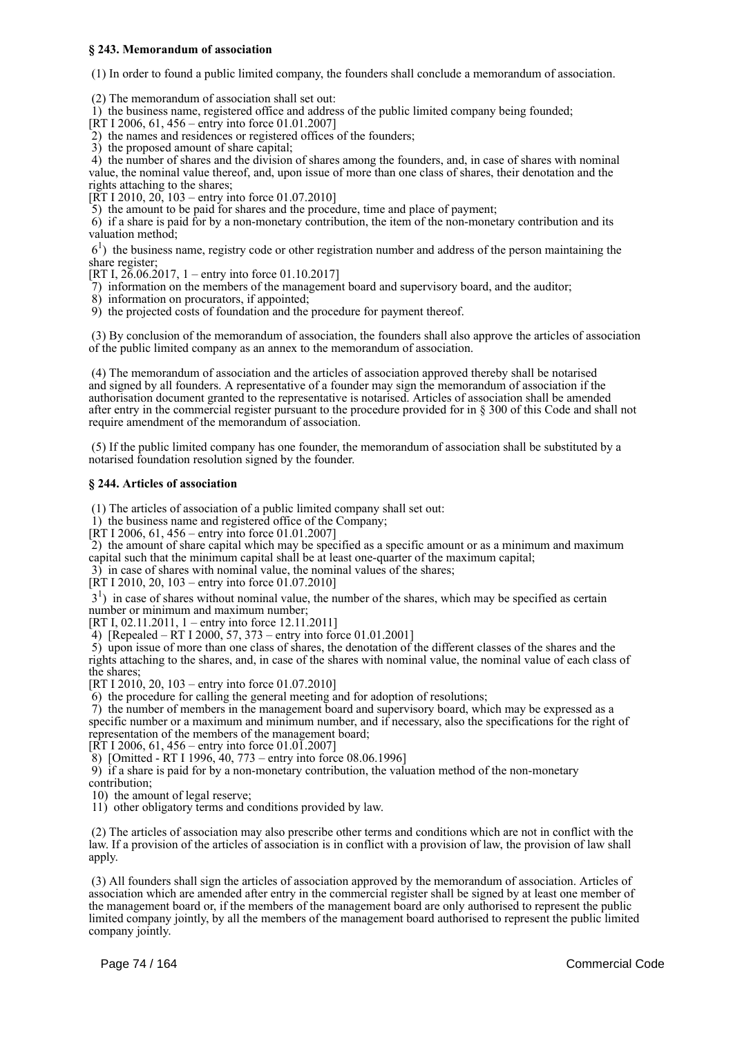## **§ 243. Memorandum of association**

(1) In order to found a public limited company, the founders shall conclude a memorandum of association.

(2) The memorandum of association shall set out:

1) the business name, registered office and address of the public limited company being founded;

[RT I 2006, 61, 456 – entry into force 01.01.2007]  $\sim$  2) the names and residences or registered offices of the founders;

3) the proposed amount of share capital;

 4) the number of shares and the division of shares among the founders, and, in case of shares with nominal value, the nominal value thereof, and, upon issue of more than one class of shares, their denotation and the

rights attaching to the shares;

 $[\overline{RT} 1 2010, 20, 103 -$  entry into force 01.07.2010]

5) the amount to be paid for shares and the procedure, time and place of payment;

 6) if a share is paid for by a non-monetary contribution, the item of the non-monetary contribution and its valuation method;

 61 ) the business name, registry code or other registration number and address of the person maintaining the share register;

[RT I,  $26.06.2017$ , 1 – entry into force 01.10.2017]

7) information on the members of the management board and supervisory board, and the auditor;

8) information on procurators, if appointed;

9) the projected costs of foundation and the procedure for payment thereof.

 (3) By conclusion of the memorandum of association, the founders shall also approve the articles of association of the public limited company as an annex to the memorandum of association.

 (4) The memorandum of association and the articles of association approved thereby shall be notarised and signed by all founders. A representative of a founder may sign the memorandum of association if the authorisation document granted to the representative is notarised. Articles of association shall be amended after entry in the commercial register pursuant to the procedure provided for in § 300 of this Code and shall not require amendment of the memorandum of association.

 (5) If the public limited company has one founder, the memorandum of association shall be substituted by a notarised foundation resolution signed by the founder.

#### **§ 244. Articles of association**

(1) The articles of association of a public limited company shall set out:

1) the business name and registered office of the Company;

[RT I 2006, 61, 456 – entry into force 01.01.2007]

 2) the amount of share capital which may be specified as a specific amount or as a minimum and maximum capital such that the minimum capital shall be at least one-quarter of the maximum capital;

3) in case of shares with nominal value, the nominal values of the shares;

[RT I 2010, 20, 103 – entry into force 01.07.2010]

3<sup>1</sup>) in case of shares without nominal value, the number of the shares, which may be specified as certain number or minimum and maximum number;

[RT I, 02.11.2011, 1 – entry into force 12.11.2011]

4) [Repealed – RT I 2000, 57, 373 – entry into force 01.01.2001]

 5) upon issue of more than one class of shares, the denotation of the different classes of the shares and the rights attaching to the shares, and, in case of the shares with nominal value, the nominal value of each class of the shares;

[RT I 2010, 20, 103 – entry into force 01.07.2010]

6) the procedure for calling the general meeting and for adoption of resolutions;

 7) the number of members in the management board and supervisory board, which may be expressed as a specific number or a maximum and minimum number, and if necessary, also the specifications for the right of representation of the members of the management board;

[RT I 2006, 61, 456 – entry into force 01.01.2007]

8) [Omitted - RT I 1996, 40, 773 – entry into force 08.06.1996]

9) if a share is paid for by a non-monetary contribution, the valuation method of the non-monetary

contribution;

10) the amount of legal reserve;

11) other obligatory terms and conditions provided by law.

 (2) The articles of association may also prescribe other terms and conditions which are not in conflict with the law. If a provision of the articles of association is in conflict with a provision of law, the provision of law shall apply.

 (3) All founders shall sign the articles of association approved by the memorandum of association. Articles of association which are amended after entry in the commercial register shall be signed by at least one member of the management board or, if the members of the management board are only authorised to represent the public limited company jointly, by all the members of the management board authorised to represent the public limited company jointly.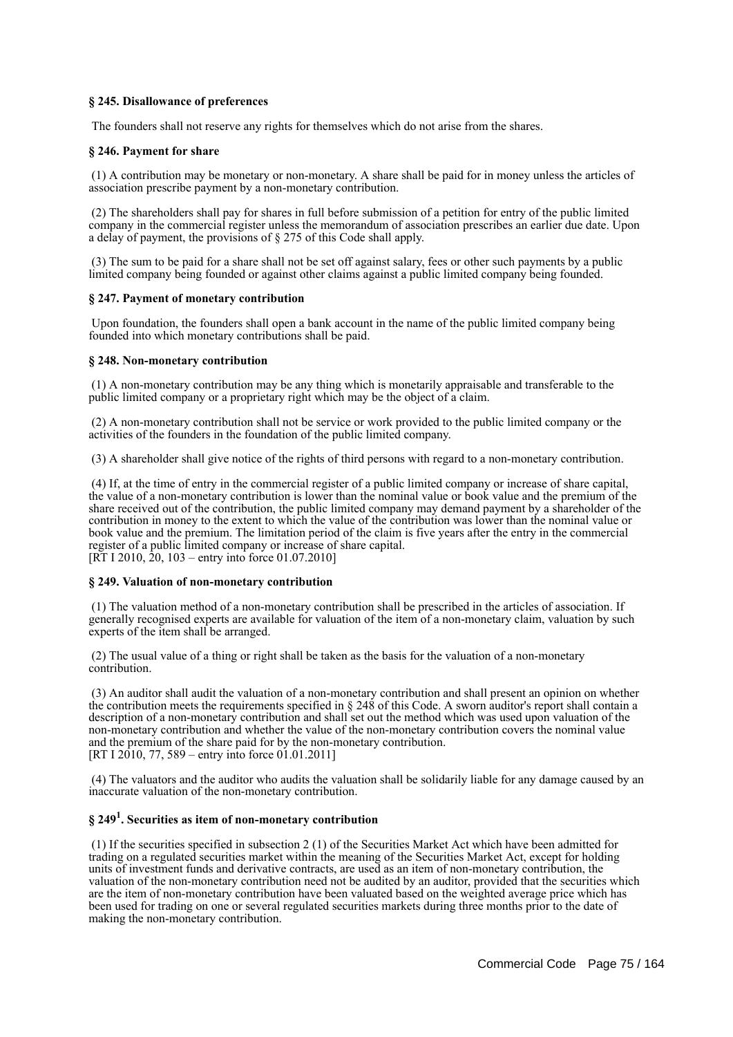## **§ 245. Disallowance of preferences**

The founders shall not reserve any rights for themselves which do not arise from the shares.

## **§ 246. Payment for share**

 (1) A contribution may be monetary or non-monetary. A share shall be paid for in money unless the articles of association prescribe payment by a non-monetary contribution.

 (2) The shareholders shall pay for shares in full before submission of a petition for entry of the public limited company in the commercial register unless the memorandum of association prescribes an earlier due date. Upon a delay of payment, the provisions of § 275 of this Code shall apply.

 (3) The sum to be paid for a share shall not be set off against salary, fees or other such payments by a public limited company being founded or against other claims against a public limited company being founded.

#### **§ 247. Payment of monetary contribution**

 Upon foundation, the founders shall open a bank account in the name of the public limited company being founded into which monetary contributions shall be paid.

## **§ 248. Non-monetary contribution**

 (1) A non-monetary contribution may be any thing which is monetarily appraisable and transferable to the public limited company or a proprietary right which may be the object of a claim.

 (2) A non-monetary contribution shall not be service or work provided to the public limited company or the activities of the founders in the foundation of the public limited company.

(3) A shareholder shall give notice of the rights of third persons with regard to a non-monetary contribution.

 (4) If, at the time of entry in the commercial register of a public limited company or increase of share capital, the value of a non-monetary contribution is lower than the nominal value or book value and the premium of the share received out of the contribution, the public limited company may demand payment by a shareholder of the contribution in money to the extent to which the value of the contribution was lower than the nominal value or book value and the premium. The limitation period of the claim is five years after the entry in the commercial register of a public limited company or increase of share capital. [RT I 2010, 20, 103 – entry into force 01.07.2010]

#### **§ 249. Valuation of non-monetary contribution**

 (1) The valuation method of a non-monetary contribution shall be prescribed in the articles of association. If generally recognised experts are available for valuation of the item of a non-monetary claim, valuation by such experts of the item shall be arranged.

 (2) The usual value of a thing or right shall be taken as the basis for the valuation of a non-monetary contribution.

 (3) An auditor shall audit the valuation of a non-monetary contribution and shall present an opinion on whether the contribution meets the requirements specified in § 248 of this Code. A sworn auditor's report shall contain a description of a non-monetary contribution and shall set out the method which was used upon valuation of the non-monetary contribution and whether the value of the non-monetary contribution covers the nominal value and the premium of the share paid for by the non-monetary contribution. [RT I 2010, 77, 589 – entry into force 01.01.2011]

 (4) The valuators and the auditor who audits the valuation shall be solidarily liable for any damage caused by an inaccurate valuation of the non-monetary contribution.

# **§ 249<sup>1</sup> . Securities as item of non-monetary contribution**

 (1) If the securities specified in subsection 2 (1) of the Securities Market Act which have been admitted for trading on a regulated securities market within the meaning of the Securities Market Act, except for holding units of investment funds and derivative contracts, are used as an item of non-monetary contribution, the valuation of the non-monetary contribution need not be audited by an auditor, provided that the securities which are the item of non-monetary contribution have been valuated based on the weighted average price which has been used for trading on one or several regulated securities markets during three months prior to the date of making the non-monetary contribution.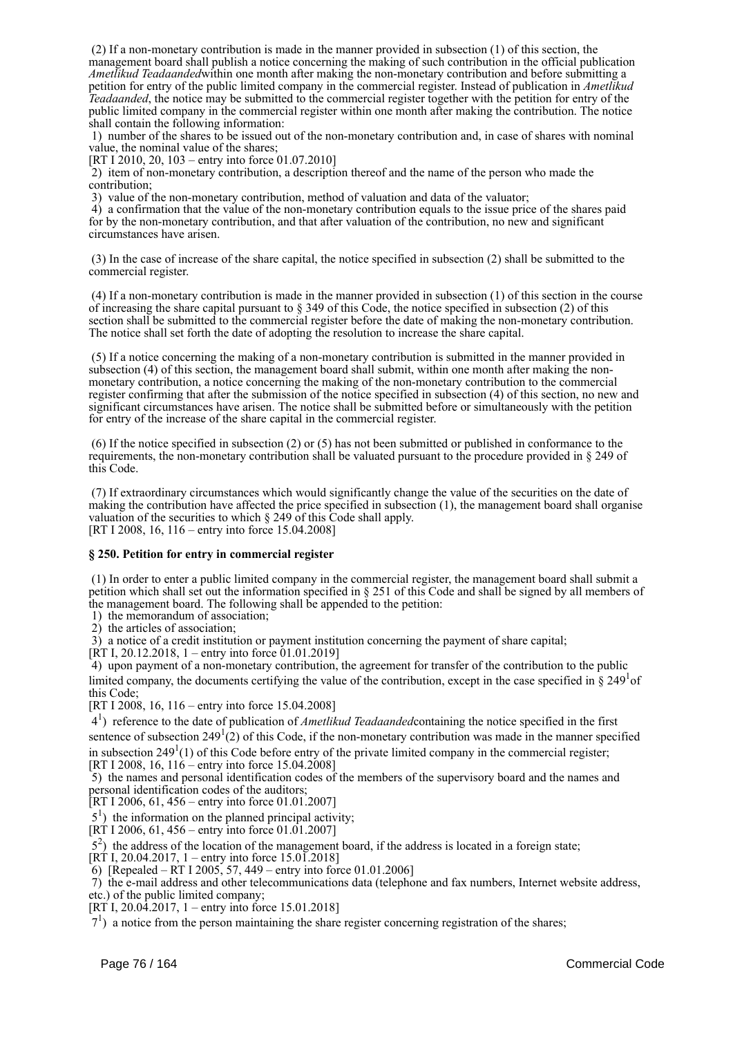(2) If a non-monetary contribution is made in the manner provided in subsection (1) of this section, the management board shall publish a notice concerning the making of such contribution in the official publication *Ametlikud Teadaanded*within one month after making the non-monetary contribution and before submitting a petition for entry of the public limited company in the commercial register. Instead of publication in *Ametlikud Teadaanded*, the notice may be submitted to the commercial register together with the petition for entry of the public limited company in the commercial register within one month after making the contribution. The notice shall contain the following information:

 1) number of the shares to be issued out of the non-monetary contribution and, in case of shares with nominal value, the nominal value of the shares;

[RT I 2010, 20, 103 – entry into force 01.07.2010]

 2) item of non-monetary contribution, a description thereof and the name of the person who made the contribution;

3) value of the non-monetary contribution, method of valuation and data of the valuator;

 4) a confirmation that the value of the non-monetary contribution equals to the issue price of the shares paid for by the non-monetary contribution, and that after valuation of the contribution, no new and significant circumstances have arisen.

 (3) In the case of increase of the share capital, the notice specified in subsection (2) shall be submitted to the commercial register.

 (4) If a non-monetary contribution is made in the manner provided in subsection (1) of this section in the course of increasing the share capital pursuant to  $\S$  349 of this Code, the notice specified in subsection (2) of this section shall be submitted to the commercial register before the date of making the non-monetary contribution. The notice shall set forth the date of adopting the resolution to increase the share capital.

 (5) If a notice concerning the making of a non-monetary contribution is submitted in the manner provided in subsection (4) of this section, the management board shall submit, within one month after making the nonmonetary contribution, a notice concerning the making of the non-monetary contribution to the commercial register confirming that after the submission of the notice specified in subsection (4) of this section, no new and significant circumstances have arisen. The notice shall be submitted before or simultaneously with the petition for entry of the increase of the share capital in the commercial register.

 (6) If the notice specified in subsection (2) or (5) has not been submitted or published in conformance to the requirements, the non-monetary contribution shall be valuated pursuant to the procedure provided in § 249 of this Code.

 (7) If extraordinary circumstances which would significantly change the value of the securities on the date of making the contribution have affected the price specified in subsection (1), the management board shall organise valuation of the securities to which § 249 of this Code shall apply. [RT I 2008, 16, 116 – entry into force 15.04.2008]

# **§ 250. Petition for entry in commercial register**

 (1) In order to enter a public limited company in the commercial register, the management board shall submit a petition which shall set out the information specified in § 251 of this Code and shall be signed by all members of the management board. The following shall be appended to the petition:

1) the memorandum of association;

2) the articles of association;

3) a notice of a credit institution or payment institution concerning the payment of share capital;

[RT I, 20.12.2018, 1 – entry into force 01.01.2019]

 4) upon payment of a non-monetary contribution, the agreement for transfer of the contribution to the public limited company, the documents certifying the value of the contribution, except in the case specified in  $\S 249^1$ of this Code;

[RT I 2008, 16, 116 – entry into force 15.04.2008]

 41 ) reference to the date of publication of *Ametlikud Teadaanded*containing the notice specified in the first sentence of subsection  $249<sup>1</sup>(2)$  of this Code, if the non-monetary contribution was made in the manner specified in subsection  $249<sup>1</sup>(1)$  of this Code before entry of the private limited company in the commercial register; [RT I 2008, 16,  $116 -$  entry into force 15.04.2008]

 5) the names and personal identification codes of the members of the supervisory board and the names and personal identification codes of the auditors;

[RT I 2006, 61, 456 – entry into force 01.01.2007]

 $5<sup>1</sup>$ ) the information on the planned principal activity;

 $[RT 1 2006, 61, 456 - entry into force 01.01.2007]$ 

52 ) the address of the location of the management board, if the address is located in a foreign state;

[RT I, 20.04.2017, 1 – entry into force 15.01.2018] 6) [Repealed – RT I 2005, 57, 449 – entry into force 01.01.2006]

7) the e-mail address and other telecommunications data (telephone and fax numbers, Internet website address,

etc.) of the public limited company; [RT I, 20.04.2017, 1 – entry into force 15.01.2018]

 $7<sup>1</sup>$ ) a notice from the person maintaining the share register concerning registration of the shares;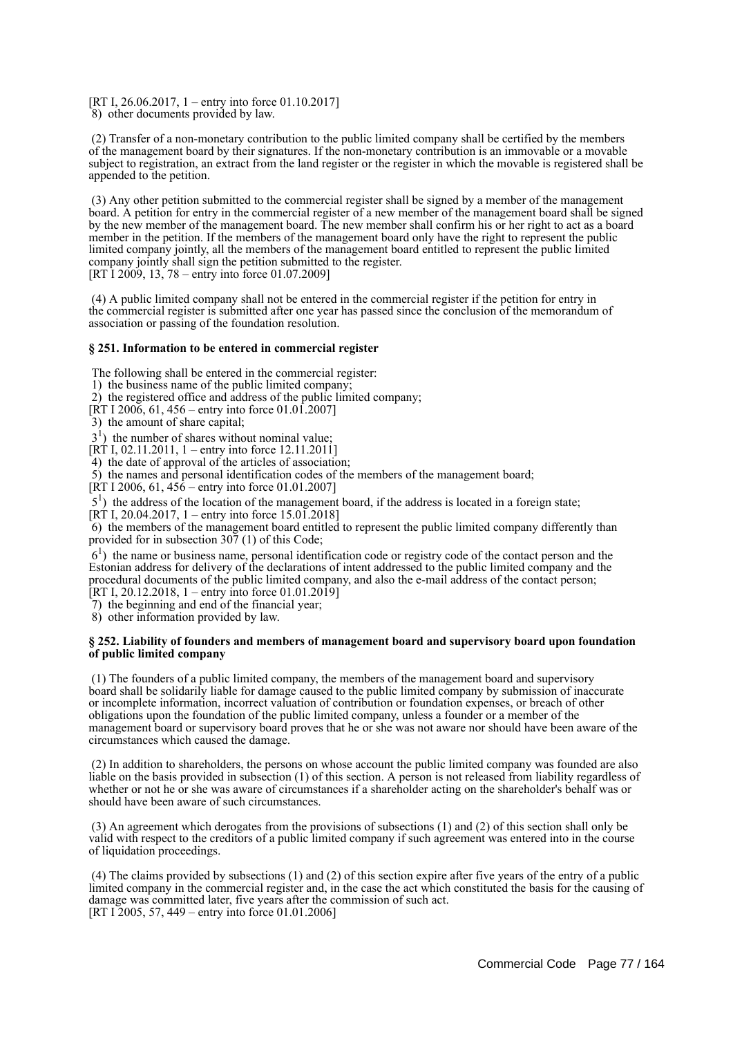[RT I, 26.06.2017, 1 – entry into force 01.10.2017] 8) other documents provided by law.

 (2) Transfer of a non-monetary contribution to the public limited company shall be certified by the members of the management board by their signatures. If the non-monetary contribution is an immovable or a movable subject to registration, an extract from the land register or the register in which the movable is registered shall be appended to the petition.

 (3) Any other petition submitted to the commercial register shall be signed by a member of the management board. A petition for entry in the commercial register of a new member of the management board shall be signed by the new member of the management board. The new member shall confirm his or her right to act as a board member in the petition. If the members of the management board only have the right to represent the public limited company jointly, all the members of the management board entitled to represent the public limited company jointly shall sign the petition submitted to the register.  $[RT\overline{1}200\overline{9}, 13, 78 -$  entry into force 01.07.2009]

 (4) A public limited company shall not be entered in the commercial register if the petition for entry in the commercial register is submitted after one year has passed since the conclusion of the memorandum of association or passing of the foundation resolution.

## **§ 251. Information to be entered in commercial register**

The following shall be entered in the commercial register:

- 1) the business name of the public limited company;
- 2) the registered office and address of the public limited company;
- $[\text{RT } I \, 200\,6, 61, 456 \text{entry} \]$  into force 01.01.2007]
- 3) the amount of share capital;

 $3<sup>1</sup>$ ) the number of shares without nominal value;

- $[RT I, 02.11.2011, 1 entry into force 12.11.2011]$
- 4) the date of approval of the articles of association;

5) the names and personal identification codes of the members of the management board;

[RT I 2006, 61,  $456$  – entry into force 01.01.2007]

5<sup>1</sup>) the address of the location of the management board, if the address is located in a foreign state;

[RT I, 20.04.2017, 1 – entry into force 15.01.2018]

 6) the members of the management board entitled to represent the public limited company differently than provided for in subsection 307 (1) of this Code;

 $6<sup>1</sup>$ ) the name or business name, personal identification code or registry code of the contact person and the Estonian address for delivery of the declarations of intent addressed to the public limited company and the procedural documents of the public limited company, and also the e-mail address of the contact person;

[RT I, 20.12.2018, 1 – entry into force 01.01.2019]

7) the beginning and end of the financial year;

8) other information provided by law.

#### **§ 252. Liability of founders and members of management board and supervisory board upon foundation of public limited company**

 (1) The founders of a public limited company, the members of the management board and supervisory board shall be solidarily liable for damage caused to the public limited company by submission of inaccurate or incomplete information, incorrect valuation of contribution or foundation expenses, or breach of other obligations upon the foundation of the public limited company, unless a founder or a member of the management board or supervisory board proves that he or she was not aware nor should have been aware of the circumstances which caused the damage.

 (2) In addition to shareholders, the persons on whose account the public limited company was founded are also liable on the basis provided in subsection (1) of this section. A person is not released from liability regardless of whether or not he or she was aware of circumstances if a shareholder acting on the shareholder's behalf was or should have been aware of such circumstances.

 (3) An agreement which derogates from the provisions of subsections (1) and (2) of this section shall only be valid with respect to the creditors of a public limited company if such agreement was entered into in the course of liquidation proceedings.

 (4) The claims provided by subsections (1) and (2) of this section expire after five years of the entry of a public limited company in the commercial register and, in the case the act which constituted the basis for the causing of damage was committed later, five years after the commission of such act. [RT I 2005, 57, 449 – entry into force 01.01.2006]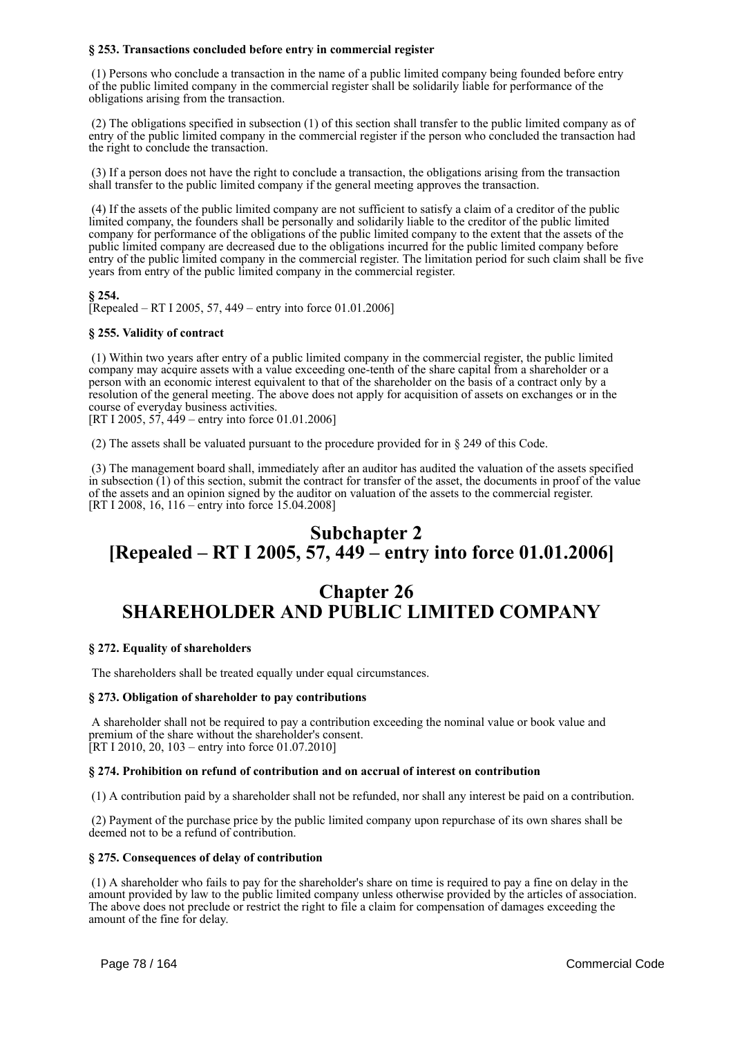# **§ 253. Transactions concluded before entry in commercial register**

 (1) Persons who conclude a transaction in the name of a public limited company being founded before entry of the public limited company in the commercial register shall be solidarily liable for performance of the obligations arising from the transaction.

 (2) The obligations specified in subsection (1) of this section shall transfer to the public limited company as of entry of the public limited company in the commercial register if the person who concluded the transaction had the right to conclude the transaction.

 (3) If a person does not have the right to conclude a transaction, the obligations arising from the transaction shall transfer to the public limited company if the general meeting approves the transaction.

 (4) If the assets of the public limited company are not sufficient to satisfy a claim of a creditor of the public limited company, the founders shall be personally and solidarily liable to the creditor of the public limited company for performance of the obligations of the public limited company to the extent that the assets of the public limited company are decreased due to the obligations incurred for the public limited company before entry of the public limited company in the commercial register. The limitation period for such claim shall be five years from entry of the public limited company in the commercial register.

## **§ 254.**

[Repealed – RT I 2005, 57, 449 – entry into force  $01.01.2006$ ]

## **§ 255. Validity of contract**

 (1) Within two years after entry of a public limited company in the commercial register, the public limited company may acquire assets with a value exceeding one-tenth of the share capital from a shareholder or a person with an economic interest equivalent to that of the shareholder on the basis of a contract only by a resolution of the general meeting. The above does not apply for acquisition of assets on exchanges or in the course of everyday business activities.

[RT I 2005,  $57,449$  – entry into force 01.01.2006]

(2) The assets shall be valuated pursuant to the procedure provided for in § 249 of this Code.

 (3) The management board shall, immediately after an auditor has audited the valuation of the assets specified in subsection (1) of this section, submit the contract for transfer of the asset, the documents in proof of the value of the assets and an opinion signed by the auditor on valuation of the assets to the commercial register. [RT I 2008, 16, 116 – entry into force 15.04.2008]

# **Subchapter 2 [Repealed – RT I 2005, 57, 449 – entry into force 01.01.2006]**

# **Chapter 26 SHAREHOLDER AND PUBLIC LIMITED COMPANY**

#### **§ 272. Equality of shareholders**

The shareholders shall be treated equally under equal circumstances.

#### **§ 273. Obligation of shareholder to pay contributions**

 A shareholder shall not be required to pay a contribution exceeding the nominal value or book value and premium of the share without the shareholder's consent. [RT I 2010, 20, 103 – entry into force 01.07.2010]

#### **§ 274. Prohibition on refund of contribution and on accrual of interest on contribution**

(1) A contribution paid by a shareholder shall not be refunded, nor shall any interest be paid on a contribution.

 (2) Payment of the purchase price by the public limited company upon repurchase of its own shares shall be deemed not to be a refund of contribution.

#### **§ 275. Consequences of delay of contribution**

 (1) A shareholder who fails to pay for the shareholder's share on time is required to pay a fine on delay in the amount provided by law to the public limited company unless otherwise provided by the articles of association. The above does not preclude or restrict the right to file a claim for compensation of damages exceeding the amount of the fine for delay.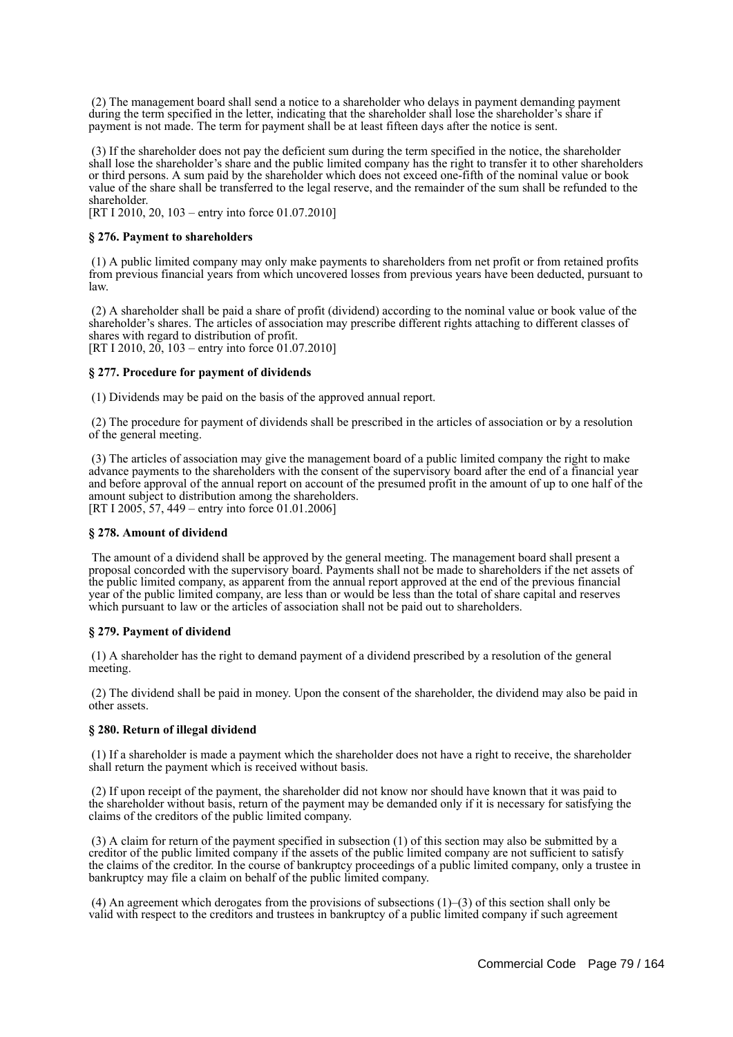(2) The management board shall send a notice to a shareholder who delays in payment demanding payment during the term specified in the letter, indicating that the shareholder shall lose the shareholder's share if payment is not made. The term for payment shall be at least fifteen days after the notice is sent.

 (3) If the shareholder does not pay the deficient sum during the term specified in the notice, the shareholder shall lose the shareholder's share and the public limited company has the right to transfer it to other shareholders or third persons. A sum paid by the shareholder which does not exceed one-fifth of the nominal value or book value of the share shall be transferred to the legal reserve, and the remainder of the sum shall be refunded to the shareholder.

[RT I 2010, 20, 103 – entry into force 01.07.2010]

#### **§ 276. Payment to shareholders**

 (1) A public limited company may only make payments to shareholders from net profit or from retained profits from previous financial years from which uncovered losses from previous years have been deducted, pursuant to law.

 (2) A shareholder shall be paid a share of profit (dividend) according to the nominal value or book value of the shareholder's shares. The articles of association may prescribe different rights attaching to different classes of shares with regard to distribution of profit. [RT I 2010, 20, 103 – entry into force 01.07.2010]

#### **§ 277. Procedure for payment of dividends**

(1) Dividends may be paid on the basis of the approved annual report.

 (2) The procedure for payment of dividends shall be prescribed in the articles of association or by a resolution of the general meeting.

 (3) The articles of association may give the management board of a public limited company the right to make advance payments to the shareholders with the consent of the supervisory board after the end of a financial year and before approval of the annual report on account of the presumed profit in the amount of up to one half of the amount subject to distribution among the shareholders. [RT I 2005, 57, 449 – entry into force 01.01.2006]

#### **§ 278. Amount of dividend**

 The amount of a dividend shall be approved by the general meeting. The management board shall present a proposal concorded with the supervisory board. Payments shall not be made to shareholders if the net assets of the public limited company, as apparent from the annual report approved at the end of the previous financial year of the public limited company, are less than or would be less than the total of share capital and reserves which pursuant to law or the articles of association shall not be paid out to shareholders.

#### **§ 279. Payment of dividend**

 (1) A shareholder has the right to demand payment of a dividend prescribed by a resolution of the general meeting.

 (2) The dividend shall be paid in money. Upon the consent of the shareholder, the dividend may also be paid in other assets.

#### **§ 280. Return of illegal dividend**

 (1) If a shareholder is made a payment which the shareholder does not have a right to receive, the shareholder shall return the payment which is received without basis.

 (2) If upon receipt of the payment, the shareholder did not know nor should have known that it was paid to the shareholder without basis, return of the payment may be demanded only if it is necessary for satisfying the claims of the creditors of the public limited company.

 (3) A claim for return of the payment specified in subsection (1) of this section may also be submitted by a creditor of the public limited company if the assets of the public limited company are not sufficient to satisfy the claims of the creditor. In the course of bankruptcy proceedings of a public limited company, only a trustee in bankruptcy may file a claim on behalf of the public limited company.

 (4) An agreement which derogates from the provisions of subsections (1)–(3) of this section shall only be valid with respect to the creditors and trustees in bankruptcy of a public limited company if such agreement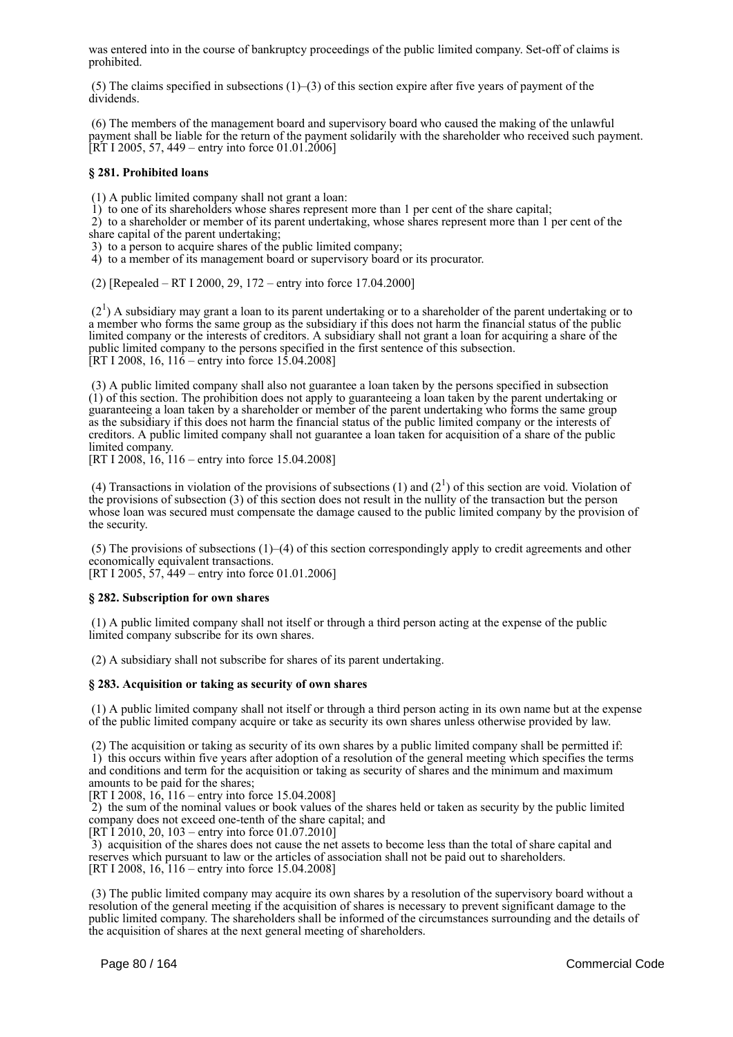was entered into in the course of bankruptcy proceedings of the public limited company. Set-off of claims is prohibited.

(5) The claims specified in subsections  $(1)$ –(3) of this section expire after five years of payment of the dividends.

 (6) The members of the management board and supervisory board who caused the making of the unlawful payment shall be liable for the return of the payment solidarily with the shareholder who received such payment.  $[RT I 2005, 57, 449 - entry into force 01.01.2006]$ 

#### **§ 281. Prohibited loans**

(1) A public limited company shall not grant a loan:

1) to one of its shareholders whose shares represent more than 1 per cent of the share capital;

 2) to a shareholder or member of its parent undertaking, whose shares represent more than 1 per cent of the share capital of the parent undertaking;

3) to a person to acquire shares of the public limited company;

4) to a member of its management board or supervisory board or its procurator.

(2) [Repealed – RT I 2000, 29, 172 – entry into force 17.04.2000]

 $(2<sup>1</sup>)$  A subsidiary may grant a loan to its parent undertaking or to a shareholder of the parent undertaking or to a member who forms the same group as the subsidiary if this does not harm the financial status of the public limited company or the interests of creditors. A subsidiary shall not grant a loan for acquiring a share of the public limited company to the persons specified in the first sentence of this subsection. [RT I 2008, 16,  $116$  – entry into force 15.04.2008]

 (3) A public limited company shall also not guarantee a loan taken by the persons specified in subsection (1) of this section. The prohibition does not apply to guaranteeing a loan taken by the parent undertaking or guaranteeing a loan taken by a shareholder or member of the parent undertaking who forms the same group as the subsidiary if this does not harm the financial status of the public limited company or the interests of creditors. A public limited company shall not guarantee a loan taken for acquisition of a share of the public limited company.

[RT I 2008, 16, 116 – entry into force 15.04.2008]

(4) Transactions in violation of the provisions of subsections (1) and  $(2^1)$  of this section are void. Violation of the provisions of subsection (3) of this section does not result in the nullity of the transaction but the person whose loan was secured must compensate the damage caused to the public limited company by the provision of the security.

 (5) The provisions of subsections (1)–(4) of this section correspondingly apply to credit agreements and other economically equivalent transactions.

[RT I 2005, 57, 449 – entry into force 01.01.2006]

#### **§ 282. Subscription for own shares**

 (1) A public limited company shall not itself or through a third person acting at the expense of the public limited company subscribe for its own shares.

(2) A subsidiary shall not subscribe for shares of its parent undertaking.

#### **§ 283. Acquisition or taking as security of own shares**

 (1) A public limited company shall not itself or through a third person acting in its own name but at the expense of the public limited company acquire or take as security its own shares unless otherwise provided by law.

 (2) The acquisition or taking as security of its own shares by a public limited company shall be permitted if: 1) this occurs within five years after adoption of a resolution of the general meeting which specifies the terms and conditions and term for the acquisition or taking as security of shares and the minimum and maximum amounts to be paid for the shares;

[RT I 2008, 16, 116 – entry into force 15.04.2008]

 2) the sum of the nominal values or book values of the shares held or taken as security by the public limited company does not exceed one-tenth of the share capital; and

[RT I 2010, 20, 103 – entry into force 01.07.2010]

 3) acquisition of the shares does not cause the net assets to become less than the total of share capital and reserves which pursuant to law or the articles of association shall not be paid out to shareholders. [RT I 2008, 16, 116 – entry into force 15.04.2008]

 (3) The public limited company may acquire its own shares by a resolution of the supervisory board without a resolution of the general meeting if the acquisition of shares is necessary to prevent significant damage to the public limited company. The shareholders shall be informed of the circumstances surrounding and the details of the acquisition of shares at the next general meeting of shareholders.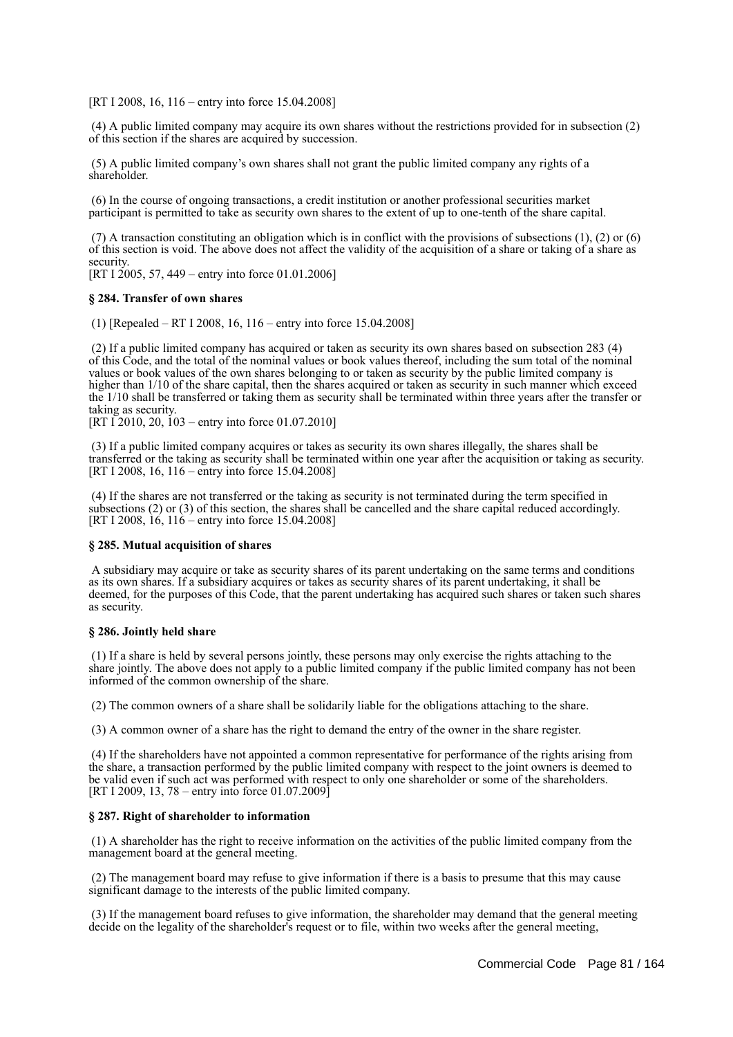[RT I 2008, 16, 116 – entry into force 15.04.2008]

 (4) A public limited company may acquire its own shares without the restrictions provided for in subsection (2) of this section if the shares are acquired by succession.

 (5) A public limited company's own shares shall not grant the public limited company any rights of a shareholder.

 (6) In the course of ongoing transactions, a credit institution or another professional securities market participant is permitted to take as security own shares to the extent of up to one-tenth of the share capital.

 (7) A transaction constituting an obligation which is in conflict with the provisions of subsections (1), (2) or (6) of this section is void. The above does not affect the validity of the acquisition of a share or taking of a share as security.

[RT I 2005, 57, 449 – entry into force 01.01.2006]

#### **§ 284. Transfer of own shares**

(1) [Repealed – RT I 2008, 16, 116 – entry into force 15.04.2008]

 (2) If a public limited company has acquired or taken as security its own shares based on subsection 283 (4) of this Code, and the total of the nominal values or book values thereof, including the sum total of the nominal values or book values of the own shares belonging to or taken as security by the public limited company is higher than 1/10 of the share capital, then the shares acquired or taken as security in such manner which exceed the 1/10 shall be transferred or taking them as security shall be terminated within three years after the transfer or taking as security.

[RT  $\tilde{I}$  2010, 20,  $\tilde{I}$  03 – entry into force 01.07.2010]

 (3) If a public limited company acquires or takes as security its own shares illegally, the shares shall be transferred or the taking as security shall be terminated within one year after the acquisition or taking as security. [RT I 2008, 16, 116 – entry into force 15.04.2008]

 (4) If the shares are not transferred or the taking as security is not terminated during the term specified in subsections (2) or (3) of this section, the shares shall be cancelled and the share capital reduced accordingly. [RT I 2008, 16, 116 – entry into force 15.04.2008]

#### **§ 285. Mutual acquisition of shares**

 A subsidiary may acquire or take as security shares of its parent undertaking on the same terms and conditions as its own shares. If a subsidiary acquires or takes as security shares of its parent undertaking, it shall be deemed, for the purposes of this Code, that the parent undertaking has acquired such shares or taken such shares as security.

#### **§ 286. Jointly held share**

 (1) If a share is held by several persons jointly, these persons may only exercise the rights attaching to the share jointly. The above does not apply to a public limited company if the public limited company has not been informed of the common ownership of the share.

(2) The common owners of a share shall be solidarily liable for the obligations attaching to the share.

(3) A common owner of a share has the right to demand the entry of the owner in the share register.

 (4) If the shareholders have not appointed a common representative for performance of the rights arising from the share, a transaction performed by the public limited company with respect to the joint owners is deemed to be valid even if such act was performed with respect to only one shareholder or some of the shareholders. [RT I 2009, 13, 78 – entry into force 01.07.2009]

#### **§ 287. Right of shareholder to information**

 (1) A shareholder has the right to receive information on the activities of the public limited company from the management board at the general meeting.

 (2) The management board may refuse to give information if there is a basis to presume that this may cause significant damage to the interests of the public limited company.

 (3) If the management board refuses to give information, the shareholder may demand that the general meeting decide on the legality of the shareholder's request or to file, within two weeks after the general meeting.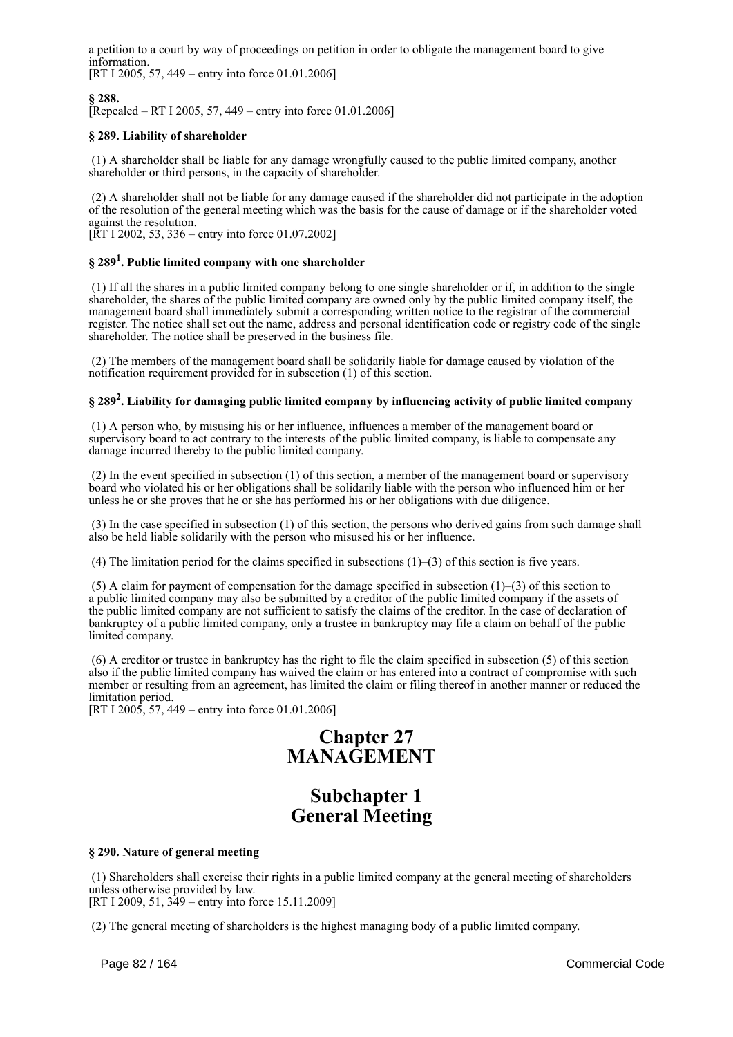a petition to a court by way of proceedings on petition in order to obligate the management board to give information.

[RT I 2005, 57, 449 – entry into force 01.01.2006]

# **§ 288.**

[Repealed – RT I 2005, 57, 449 – entry into force 01.01.2006]

# **§ 289. Liability of shareholder**

 (1) A shareholder shall be liable for any damage wrongfully caused to the public limited company, another shareholder or third persons, in the capacity of shareholder.

 (2) A shareholder shall not be liable for any damage caused if the shareholder did not participate in the adoption of the resolution of the general meeting which was the basis for the cause of damage or if the shareholder voted against the resolution.

[ $\overline{R}$ T I 2002, 53, 336 – entry into force 01.07.2002]

# **§ 289<sup>1</sup> . Public limited company with one shareholder**

 (1) If all the shares in a public limited company belong to one single shareholder or if, in addition to the single shareholder, the shares of the public limited company are owned only by the public limited company itself, the management board shall immediately submit a corresponding written notice to the registrar of the commercial register. The notice shall set out the name, address and personal identification code or registry code of the single shareholder. The notice shall be preserved in the business file.

 (2) The members of the management board shall be solidarily liable for damage caused by violation of the notification requirement provided for in subsection (1) of this section.

# **§ 289<sup>2</sup> . Liability for damaging public limited company by influencing activity of public limited company**

 (1) A person who, by misusing his or her influence, influences a member of the management board or supervisory board to act contrary to the interests of the public limited company, is liable to compensate any damage incurred thereby to the public limited company.

 (2) In the event specified in subsection (1) of this section, a member of the management board or supervisory board who violated his or her obligations shall be solidarily liable with the person who influenced him or her unless he or she proves that he or she has performed his or her obligations with due diligence.

 (3) In the case specified in subsection (1) of this section, the persons who derived gains from such damage shall also be held liable solidarily with the person who misused his or her influence.

(4) The limitation period for the claims specified in subsections  $(1)$ – $(3)$  of this section is five years.

(5) A claim for payment of compensation for the damage specified in subsection  $(1)$ –(3) of this section to a public limited company may also be submitted by a creditor of the public limited company if the assets of the public limited company are not sufficient to satisfy the claims of the creditor. In the case of declaration of bankruptcy of a public limited company, only a trustee in bankruptcy may file a claim on behalf of the public limited company.

 (6) A creditor or trustee in bankruptcy has the right to file the claim specified in subsection (5) of this section also if the public limited company has waived the claim or has entered into a contract of compromise with such member or resulting from an agreement, has limited the claim or filing thereof in another manner or reduced the limitation period.

[RT I 2005, 57, 449 – entry into force 01.01.2006]

# **Chapter 27 MANAGEMENT**

# **Subchapter 1 General Meeting**

#### **§ 290. Nature of general meeting**

 (1) Shareholders shall exercise their rights in a public limited company at the general meeting of shareholders unless otherwise provided by law. [RT I 2009, 51, 349 – entry into force 15.11.2009]

(2) The general meeting of shareholders is the highest managing body of a public limited company.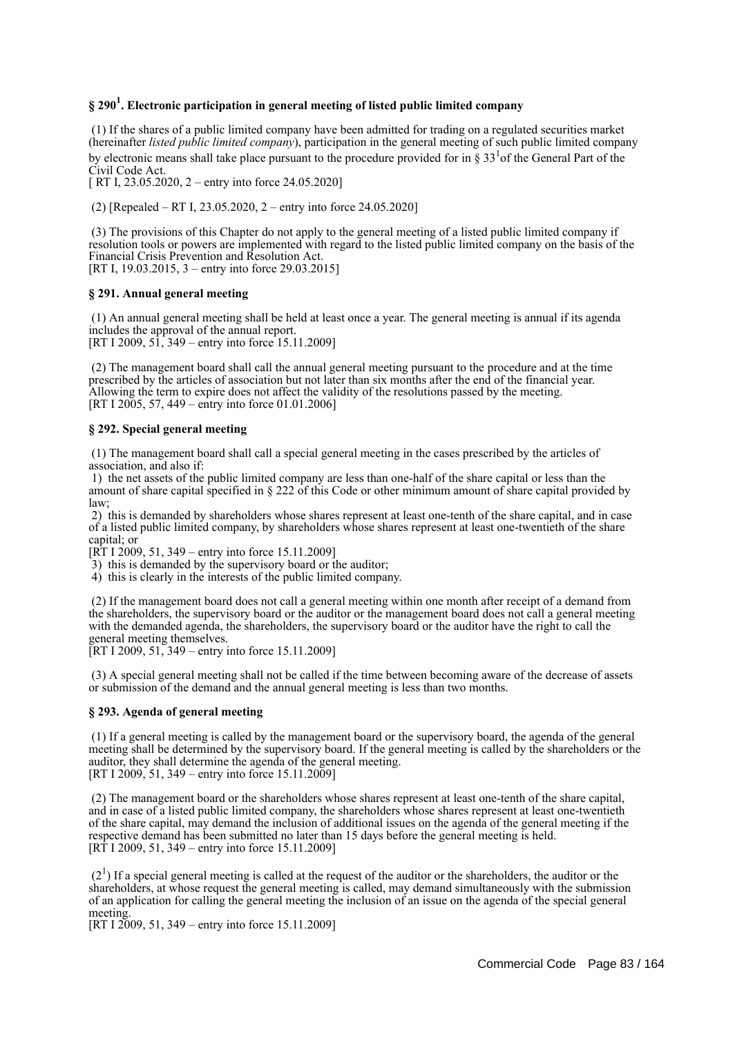# **§ 290<sup>1</sup> . Electronic participation in general meeting of listed public limited company**

 (1) If the shares of a public limited company have been admitted for trading on a regulated securities market (hereinafter *listed public limited company*), participation in the general meeting of such public limited company by electronic means shall take place pursuant to the procedure provided for in § 33 $1/2$  of the General Part of the Civil Code Act.

[ RT I, 23.05.2020, 2 – entry into force 24.05.2020]

(2) [Repealed – RT I, 23.05.2020, 2 – entry into force 24.05.2020]

 (3) The provisions of this Chapter do not apply to the general meeting of a listed public limited company if resolution tools or powers are implemented with regard to the listed public limited company on the basis of the Financial Crisis Prevention and Resolution Act. [RT I, 19.03.2015, 3 – entry into force 29.03.2015]

#### **§ 291. Annual general meeting**

 (1) An annual general meeting shall be held at least once a year. The general meeting is annual if its agenda includes the approval of the annual report. [RT I 2009, 51, 349 – entry into force 15.11.2009]

 (2) The management board shall call the annual general meeting pursuant to the procedure and at the time prescribed by the articles of association but not later than six months after the end of the financial year. Allowing the term to expire does not affect the validity of the resolutions passed by the meeting. [RT I 2005, 57, 449 – entry into force 01.01.2006]

#### **§ 292. Special general meeting**

 (1) The management board shall call a special general meeting in the cases prescribed by the articles of association, and also if:

 1) the net assets of the public limited company are less than one-half of the share capital or less than the amount of share capital specified in § 222 of this Code or other minimum amount of share capital provided by law;

 2) this is demanded by shareholders whose shares represent at least one-tenth of the share capital, and in case of a listed public limited company, by shareholders whose shares represent at least one-twentieth of the share capital; or

 $[R\overline{T} 1\overline{2}009, 51, 349 -$  entry into force 15.11.2009]

3) this is demanded by the supervisory board or the auditor;

4) this is clearly in the interests of the public limited company.

 (2) If the management board does not call a general meeting within one month after receipt of a demand from the shareholders, the supervisory board or the auditor or the management board does not call a general meeting with the demanded agenda, the shareholders, the supervisory board or the auditor have the right to call the general meeting themselves.

[RT I 2009, 51, 349 – entry into force 15.11.2009]

 (3) A special general meeting shall not be called if the time between becoming aware of the decrease of assets or submission of the demand and the annual general meeting is less than two months.

## **§ 293. Agenda of general meeting**

 (1) If a general meeting is called by the management board or the supervisory board, the agenda of the general meeting shall be determined by the supervisory board. If the general meeting is called by the shareholders or the auditor, they shall determine the agenda of the general meeting. [RT I 2009, 51, 349 – entry into force 15.11.2009]

 (2) The management board or the shareholders whose shares represent at least one-tenth of the share capital, and in case of a listed public limited company, the shareholders whose shares represent at least one-twentieth of the share capital, may demand the inclusion of additional issues on the agenda of the general meeting if the respective demand has been submitted no later than 15 days before the general meeting is held.  $[RT 1 2009, 51, 349 -$  entry into force 15.11.2009]

 $(2<sup>1</sup>)$  If a special general meeting is called at the request of the auditor or the shareholders, the auditor or the shareholders, at whose request the general meeting is called, may demand simultaneously with the submission of an application for calling the general meeting the inclusion of an issue on the agenda of the special general meeting.

[RT I 2009, 51, 349 – entry into force 15.11.2009]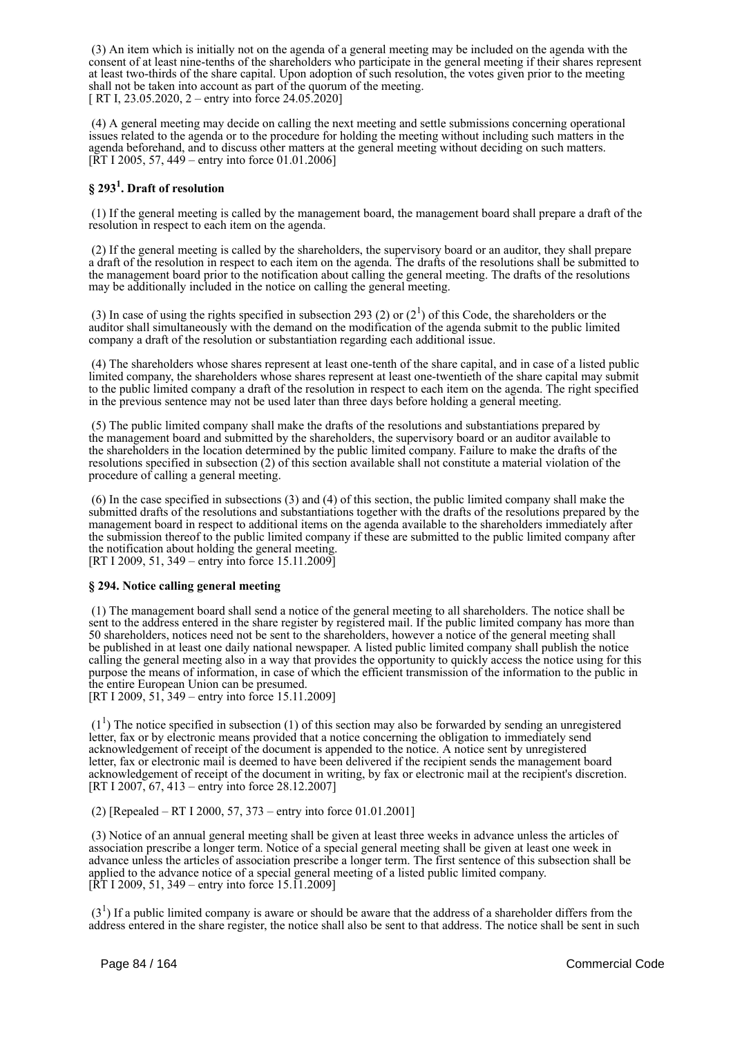(3) An item which is initially not on the agenda of a general meeting may be included on the agenda with the consent of at least nine-tenths of the shareholders who participate in the general meeting if their shares represent at least two-thirds of the share capital. Upon adoption of such resolution, the votes given prior to the meeting shall not be taken into account as part of the quorum of the meeting. [ RT I, 23.05.2020, 2 – entry into force 24.05.2020]

 (4) A general meeting may decide on calling the next meeting and settle submissions concerning operational issues related to the agenda or to the procedure for holding the meeting without including such matters in the agenda beforehand, and to discuss other matters at the general meeting without deciding on such matters. [ $\overline{RT}$  I 2005, 57, 449 – entry into force 01.01.2006]

# **§ 293<sup>1</sup> . Draft of resolution**

 (1) If the general meeting is called by the management board, the management board shall prepare a draft of the resolution in respect to each item on the agenda.

 (2) If the general meeting is called by the shareholders, the supervisory board or an auditor, they shall prepare a draft of the resolution in respect to each item on the agenda. The drafts of the resolutions shall be submitted to the management board prior to the notification about calling the general meeting. The drafts of the resolutions may be additionally included in the notice on calling the general meeting.

(3) In case of using the rights specified in subsection 293 (2) or  $(2^1)$  of this Code, the shareholders or the auditor shall simultaneously with the demand on the modification of the agenda submit to the public limited company a draft of the resolution or substantiation regarding each additional issue.

 (4) The shareholders whose shares represent at least one-tenth of the share capital, and in case of a listed public limited company, the shareholders whose shares represent at least one-twentieth of the share capital may submit to the public limited company a draft of the resolution in respect to each item on the agenda. The right specified in the previous sentence may not be used later than three days before holding a general meeting.

 (5) The public limited company shall make the drafts of the resolutions and substantiations prepared by the management board and submitted by the shareholders, the supervisory board or an auditor available to the shareholders in the location determined by the public limited company. Failure to make the drafts of the resolutions specified in subsection (2) of this section available shall not constitute a material violation of the procedure of calling a general meeting.

 (6) In the case specified in subsections (3) and (4) of this section, the public limited company shall make the submitted drafts of the resolutions and substantiations together with the drafts of the resolutions prepared by the management board in respect to additional items on the agenda available to the shareholders immediately after the submission thereof to the public limited company if these are submitted to the public limited company after the notification about holding the general meeting.

[RT I 2009, 51, 349 – entry into force 15.11.2009]

#### **§ 294. Notice calling general meeting**

 (1) The management board shall send a notice of the general meeting to all shareholders. The notice shall be sent to the address entered in the share register by registered mail. If the public limited company has more than 50 shareholders, notices need not be sent to the shareholders, however a notice of the general meeting shall be published in at least one daily national newspaper. A listed public limited company shall publish the notice calling the general meeting also in a way that provides the opportunity to quickly access the notice using for this purpose the means of information, in case of which the efficient transmission of the information to the public in the entire European Union can be presumed.

[RT I 2009, 51, 349 – entry into force 15.11.2009]

 $(1<sup>1</sup>)$  The notice specified in subsection (1) of this section may also be forwarded by sending an unregistered letter, fax or by electronic means provided that a notice concerning the obligation to immediately send acknowledgement of receipt of the document is appended to the notice. A notice sent by unregistered letter, fax or electronic mail is deemed to have been delivered if the recipient sends the management board acknowledgement of receipt of the document in writing, by fax or electronic mail at the recipient's discretion. [RT I 2007, 67, 413 – entry into force 28.12.2007]

(2) [Repealed – RT I 2000, 57, 373 – entry into force 01.01.2001]

 (3) Notice of an annual general meeting shall be given at least three weeks in advance unless the articles of association prescribe a longer term. Notice of a special general meeting shall be given at least one week in advance unless the articles of association prescribe a longer term. The first sentence of this subsection shall be applied to the advance notice of a special general meeting of a listed public limited company.  $[\hat{R}T 1 2009, 51, 349 -$  entry into force 15.11.2009]

 $(3<sup>1</sup>)$  If a public limited company is aware or should be aware that the address of a shareholder differs from the address entered in the share register, the notice shall also be sent to that address. The notice shall be sent in such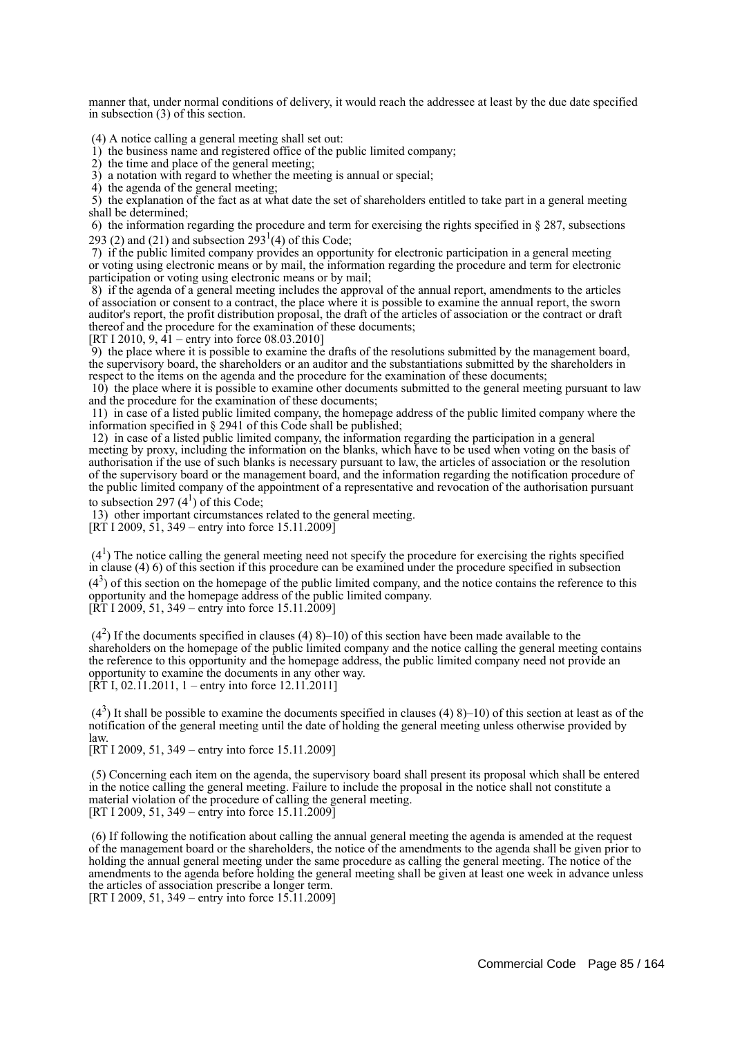manner that, under normal conditions of delivery, it would reach the addressee at least by the due date specified in subsection (3) of this section.

(4) A notice calling a general meeting shall set out:

1) the business name and registered office of the public limited company;

2) the time and place of the general meeting;

3) a notation with regard to whether the meeting is annual or special;

4) the agenda of the general meeting;

 5) the explanation of the fact as at what date the set of shareholders entitled to take part in a general meeting shall be determined;

 6) the information regarding the procedure and term for exercising the rights specified in § 287, subsections 293 (2) and (21) and subsection  $293<sup>1</sup>(4)$  of this Code;

 7) if the public limited company provides an opportunity for electronic participation in a general meeting or voting using electronic means or by mail, the information regarding the procedure and term for electronic participation or voting using electronic means or by mail;

 8) if the agenda of a general meeting includes the approval of the annual report, amendments to the articles of association or consent to a contract, the place where it is possible to examine the annual report, the sworn auditor's report, the profit distribution proposal, the draft of the articles of association or the contract or draft thereof and the procedure for the examination of these documents;

[RT I 2010, 9, 41 – entry into force 08.03.2010]

 9) the place where it is possible to examine the drafts of the resolutions submitted by the management board, the supervisory board, the shareholders or an auditor and the substantiations submitted by the shareholders in respect to the items on the agenda and the procedure for the examination of these documents;

 10) the place where it is possible to examine other documents submitted to the general meeting pursuant to law and the procedure for the examination of these documents;

 11) in case of a listed public limited company, the homepage address of the public limited company where the information specified in § 2941 of this Code shall be published;

 12) in case of a listed public limited company, the information regarding the participation in a general meeting by proxy, including the information on the blanks, which have to be used when voting on the basis of authorisation if the use of such blanks is necessary pursuant to law, the articles of association or the resolution of the supervisory board or the management board, and the information regarding the notification procedure of the public limited company of the appointment of a representative and revocation of the authorisation pursuant to subsection 297 $(4^1)$  of this Code;

13) other important circumstances related to the general meeting.

 $[RT 1 2009, 51, 349 - entry into force 15.11.2009]$ 

 $(4<sup>1</sup>)$  The notice calling the general meeting need not specify the procedure for exercising the rights specified in clause (4) 6) of this section if this procedure can be examined under the procedure specified in subsection  $(4<sup>3</sup>)$  of this section on the homepage of the public limited company, and the notice contains the reference to this opportunity and the homepage address of the public limited company.

 $[\hat{R}T 1 2009, 51, 349 -$  entry into force 15.11.2009]

 $(4<sup>2</sup>)$  If the documents specified in clauses (4) 8)–10) of this section have been made available to the shareholders on the homepage of the public limited company and the notice calling the general meeting contains the reference to this opportunity and the homepage address, the public limited company need not provide an opportunity to examine the documents in any other way.  $[\hat{RT} I, 02.11.2011, 1 -$  entry into force 12.11.2011]

 $(4<sup>3</sup>)$  It shall be possible to examine the documents specified in clauses (4) 8)–10) of this section at least as of the notification of the general meeting until the date of holding the general meeting unless otherwise provided by law.

[RT I 2009, 51, 349 – entry into force 15.11.2009]

 (5) Concerning each item on the agenda, the supervisory board shall present its proposal which shall be entered in the notice calling the general meeting. Failure to include the proposal in the notice shall not constitute a material violation of the procedure of calling the general meeting. [RT I 2009, 51, 349 – entry into force 15.11.2009]

 (6) If following the notification about calling the annual general meeting the agenda is amended at the request of the management board or the shareholders, the notice of the amendments to the agenda shall be given prior to holding the annual general meeting under the same procedure as calling the general meeting. The notice of the amendments to the agenda before holding the general meeting shall be given at least one week in advance unless the articles of association prescribe a longer term.

[RT I 2009, 51, 349 – entry into force 15.11.2009]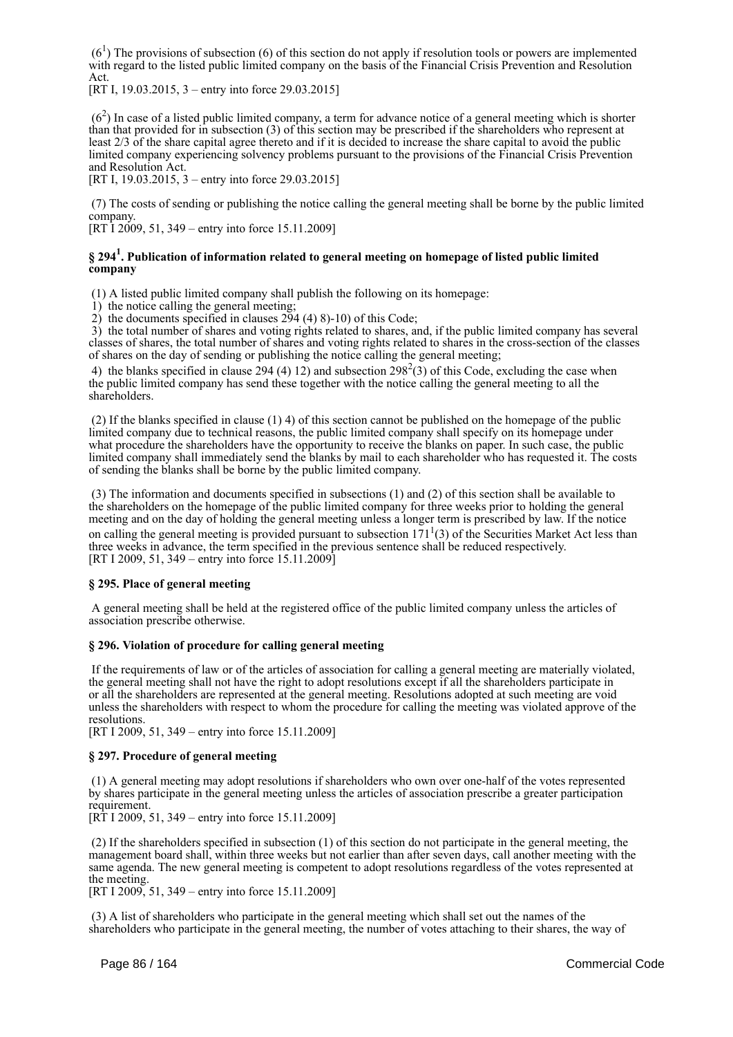$(6<sup>1</sup>)$  The provisions of subsection (6) of this section do not apply if resolution tools or powers are implemented with regard to the listed public limited company on the basis of the Financial Crisis Prevention and Resolution Act.

[RT I, 19.03.2015, 3 – entry into force 29.03.2015]

 $(6<sup>2</sup>)$  In case of a listed public limited company, a term for advance notice of a general meeting which is shorter than that provided for in subsection (3) of this section may be prescribed if the shareholders who represent at least 2/3 of the share capital agree thereto and if it is decided to increase the share capital to avoid the public limited company experiencing solvency problems pursuant to the provisions of the Financial Crisis Prevention and Resolution Act.

[RT I, 19.03.2015, 3 – entry into force 29.03.2015]

 (7) The costs of sending or publishing the notice calling the general meeting shall be borne by the public limited company.

[RT I 2009, 51, 349 – entry into force 15.11.2009]

# **§ 294<sup>1</sup> . Publication of information related to general meeting on homepage of listed public limited company**

(1) A listed public limited company shall publish the following on its homepage:

1) the notice calling the general meeting;

2) the documents specified in clauses 294 (4) 8)-10) of this Code;

 3) the total number of shares and voting rights related to shares, and, if the public limited company has several classes of shares, the total number of shares and voting rights related to shares in the cross-section of the classes of shares on the day of sending or publishing the notice calling the general meeting;

4) the blanks specified in clause 294 (4) 12) and subsection  $298^2(3)$  of this Code, excluding the case when the public limited company has send these together with the notice calling the general meeting to all the shareholders.

 (2) If the blanks specified in clause (1) 4) of this section cannot be published on the homepage of the public limited company due to technical reasons, the public limited company shall specify on its homepage under what procedure the shareholders have the opportunity to receive the blanks on paper. In such case, the public limited company shall immediately send the blanks by mail to each shareholder who has requested it. The costs of sending the blanks shall be borne by the public limited company.

 (3) The information and documents specified in subsections (1) and (2) of this section shall be available to the shareholders on the homepage of the public limited company for three weeks prior to holding the general meeting and on the day of holding the general meeting unless a longer term is prescribed by law. If the notice on calling the general meeting is provided pursuant to subsection  $171<sup>1</sup>(3)$  of the Securities Market Act less than three weeks in advance, the term specified in the previous sentence shall be reduced respectively. [RT I 2009, 51, 349 – entry into force 15.11.2009]

# **§ 295. Place of general meeting**

 A general meeting shall be held at the registered office of the public limited company unless the articles of association prescribe otherwise.

#### **§ 296. Violation of procedure for calling general meeting**

 If the requirements of law or of the articles of association for calling a general meeting are materially violated, the general meeting shall not have the right to adopt resolutions except if all the shareholders participate in or all the shareholders are represented at the general meeting. Resolutions adopted at such meeting are void unless the shareholders with respect to whom the procedure for calling the meeting was violated approve of the resolutions.

[RT I 2009, 51, 349 – entry into force 15.11.2009]

#### **§ 297. Procedure of general meeting**

 (1) A general meeting may adopt resolutions if shareholders who own over one-half of the votes represented by shares participate in the general meeting unless the articles of association prescribe a greater participation requirement.

[RT I 2009, 51, 349 – entry into force 15.11.2009]

 (2) If the shareholders specified in subsection (1) of this section do not participate in the general meeting, the management board shall, within three weeks but not earlier than after seven days, call another meeting with the same agenda. The new general meeting is competent to adopt resolutions regardless of the votes represented at the meeting.

[RT I 2009, 51, 349 – entry into force 15.11.2009]

 (3) A list of shareholders who participate in the general meeting which shall set out the names of the shareholders who participate in the general meeting, the number of votes attaching to their shares, the way of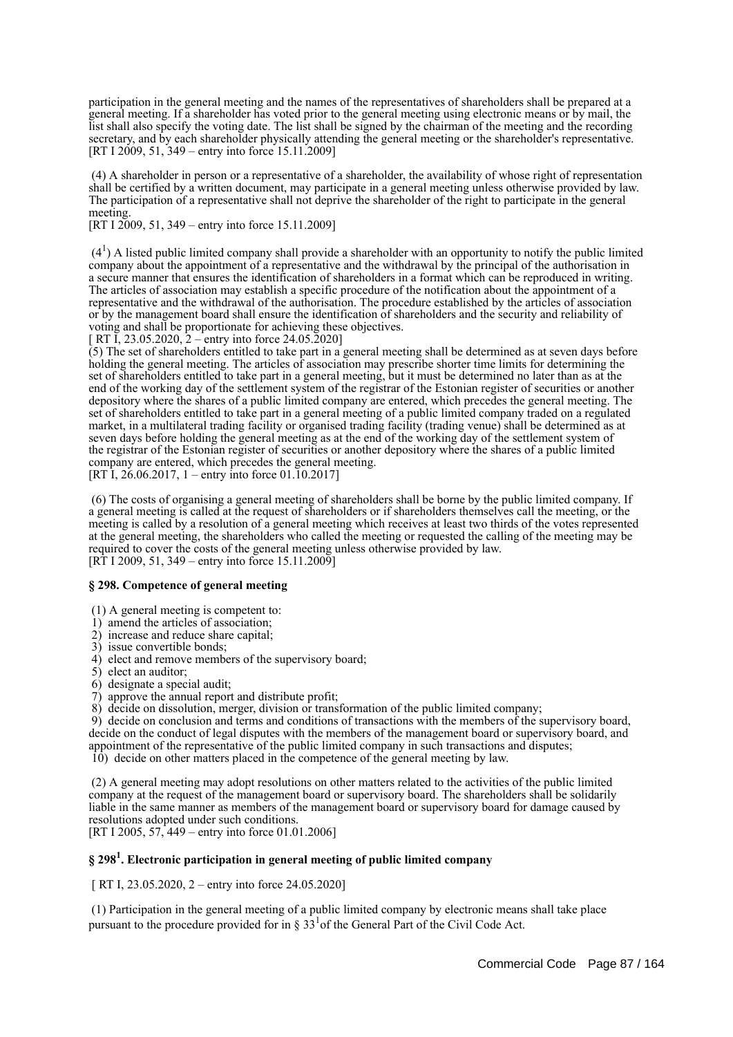participation in the general meeting and the names of the representatives of shareholders shall be prepared at a general meeting. If a shareholder has voted prior to the general meeting using electronic means or by mail, the list shall also specify the voting date. The list shall be signed by the chairman of the meeting and the recording secretary, and by each shareholder physically attending the general meeting or the shareholder's representative. [RT I 2009, 51, 349 – entry into force 15.11.2009]

 (4) A shareholder in person or a representative of a shareholder, the availability of whose right of representation shall be certified by a written document, may participate in a general meeting unless otherwise provided by law. The participation of a representative shall not deprive the shareholder of the right to participate in the general meeting.

[RT I 2009, 51, 349 – entry into force 15.11.2009]

 $(4<sup>1</sup>)$  A listed public limited company shall provide a shareholder with an opportunity to notify the public limited company about the appointment of a representative and the withdrawal by the principal of the authorisation in a secure manner that ensures the identification of shareholders in a format which can be reproduced in writing. The articles of association may establish a specific procedure of the notification about the appointment of a representative and the withdrawal of the authorisation. The procedure established by the articles of association or by the management board shall ensure the identification of shareholders and the security and reliability of voting and shall be proportionate for achieving these objectives.

[ RT I, 23.05.2020, 2 – entry into force 24.05.2020]

 $(5)$  The set of shareholders entitled to take part in a general meeting shall be determined as at seven days before holding the general meeting. The articles of association may prescribe shorter time limits for determining the set of shareholders entitled to take part in a general meeting, but it must be determined no later than as at the end of the working day of the settlement system of the registrar of the Estonian register of securities or another depository where the shares of a public limited company are entered, which precedes the general meeting. The set of shareholders entitled to take part in a general meeting of a public limited company traded on a regulated market, in a multilateral trading facility or organised trading facility (trading venue) shall be determined as at seven days before holding the general meeting as at the end of the working day of the settlement system of the registrar of the Estonian register of securities or another depository where the shares of a public limited company are entered, which precedes the general meeting. [RT I,  $26.06.2017$ , 1 – entry into force 01.10.2017]

 (6) The costs of organising a general meeting of shareholders shall be borne by the public limited company. If a general meeting is called at the request of shareholders or if shareholders themselves call the meeting, or the meeting is called by a resolution of a general meeting which receives at least two thirds of the votes represented at the general meeting, the shareholders who called the meeting or requested the calling of the meeting may be required to cover the costs of the general meeting unless otherwise provided by law.

 $[RT 1 2009, 51, 349 - entry into force 15.11.2009]$ 

## **§ 298. Competence of general meeting**

(1) A general meeting is competent to:

- 1) amend the articles of association;
- 2) increase and reduce share capital;
- 3) issue convertible bonds;
- 4) elect and remove members of the supervisory board;
- 5) elect an auditor;
- 6) designate a special audit;
- 7) approve the annual report and distribute profit;
- 8) decide on dissolution, merger, division or transformation of the public limited company;

 9) decide on conclusion and terms and conditions of transactions with the members of the supervisory board, decide on the conduct of legal disputes with the members of the management board or supervisory board, and appointment of the representative of the public limited company in such transactions and disputes; 10) decide on other matters placed in the competence of the general meeting by law.

 (2) A general meeting may adopt resolutions on other matters related to the activities of the public limited company at the request of the management board or supervisory board. The shareholders shall be solidarily liable in the same manner as members of the management board or supervisory board for damage caused by resolutions adopted under such conditions. [RT I 2005, 57, 449 – entry into force 01.01.2006]

# **§ 298<sup>1</sup> . Electronic participation in general meeting of public limited company**

[ RT I, 23.05.2020, 2 – entry into force 24.05.2020]

 (1) Participation in the general meeting of a public limited company by electronic means shall take place pursuant to the procedure provided for in  $\S 33^{1}$  of the General Part of the Civil Code Act.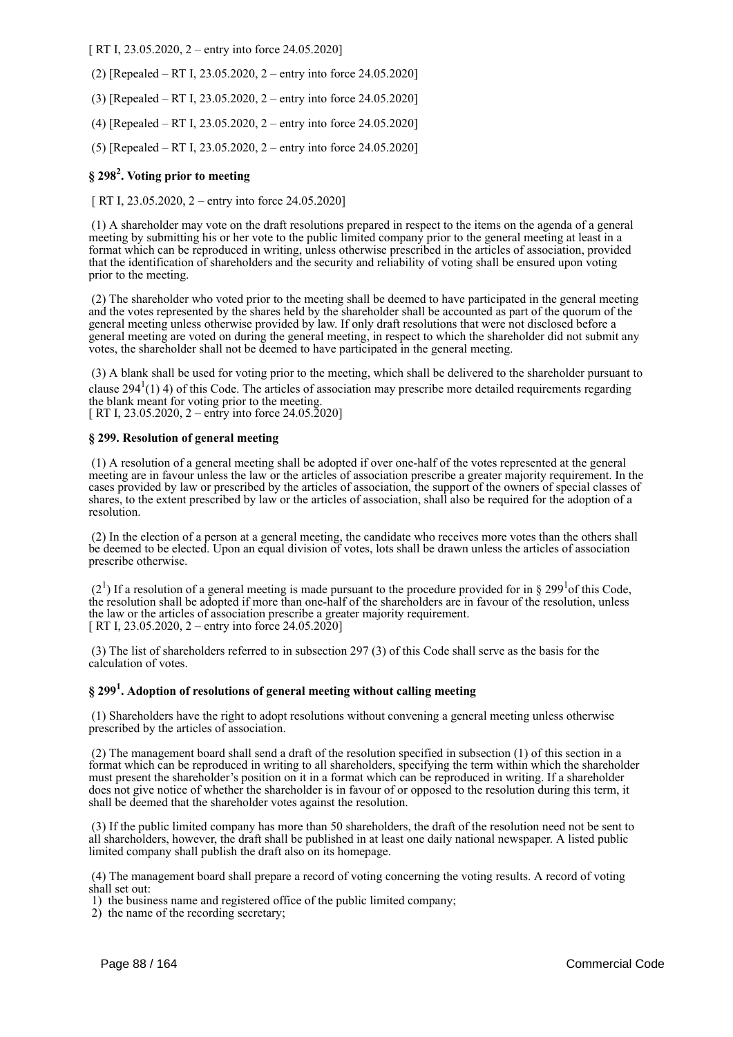[ RT I, 23.05.2020, 2 – entry into force 24.05.2020]

- (2) [Repealed RT I, 23.05.2020, 2 entry into force 24.05.2020]
- (3) [Repealed RT I, 23.05.2020, 2 entry into force 24.05.2020]
- (4) [Repealed RT I, 23.05.2020, 2 entry into force 24.05.2020]
- (5) [Repealed RT I, 23.05.2020, 2 entry into force 24.05.2020]

# **§ 298<sup>2</sup> . Voting prior to meeting**

[ RT I, 23.05.2020, 2 – entry into force 24.05.2020]

 (1) A shareholder may vote on the draft resolutions prepared in respect to the items on the agenda of a general meeting by submitting his or her vote to the public limited company prior to the general meeting at least in a format which can be reproduced in writing, unless otherwise prescribed in the articles of association, provided that the identification of shareholders and the security and reliability of voting shall be ensured upon voting prior to the meeting.

 (2) The shareholder who voted prior to the meeting shall be deemed to have participated in the general meeting and the votes represented by the shares held by the shareholder shall be accounted as part of the quorum of the general meeting unless otherwise provided by law. If only draft resolutions that were not disclosed before a general meeting are voted on during the general meeting, in respect to which the shareholder did not submit any votes, the shareholder shall not be deemed to have participated in the general meeting.

 (3) A blank shall be used for voting prior to the meeting, which shall be delivered to the shareholder pursuant to clause 294 $(1)$  4) of this Code. The articles of association may prescribe more detailed requirements regarding the blank meant for voting prior to the meeting.  $\sqrt{R}$  RT I, 23.05.2020, 2 – entry into force 24.05.2020]

## **§ 299. Resolution of general meeting**

 (1) A resolution of a general meeting shall be adopted if over one-half of the votes represented at the general meeting are in favour unless the law or the articles of association prescribe a greater majority requirement. In the cases provided by law or prescribed by the articles of association, the support of the owners of special classes of shares, to the extent prescribed by law or the articles of association, shall also be required for the adoption of a resolution.

 (2) In the election of a person at a general meeting, the candidate who receives more votes than the others shall be deemed to be elected. Upon an equal division of votes, lots shall be drawn unless the articles of association prescribe otherwise.

 $(2<sup>1</sup>)$  If a resolution of a general meeting is made pursuant to the procedure provided for in § 299<sup>1</sup> of this Code, the resolution shall be adopted if more than one-half of the shareholders are in favour of the resolution, unless the law or the articles of association prescribe a greater majority requirement. [ RT I, 23.05.2020, 2 – entry into force  $24.05.2020$ ]

 (3) The list of shareholders referred to in subsection 297 (3) of this Code shall serve as the basis for the calculation of votes.

# **§ 299<sup>1</sup> . Adoption of resolutions of general meeting without calling meeting**

 (1) Shareholders have the right to adopt resolutions without convening a general meeting unless otherwise prescribed by the articles of association.

 (2) The management board shall send a draft of the resolution specified in subsection (1) of this section in a format which can be reproduced in writing to all shareholders, specifying the term within which the shareholder must present the shareholder's position on it in a format which can be reproduced in writing. If a shareholder does not give notice of whether the shareholder is in favour of or opposed to the resolution during this term, it shall be deemed that the shareholder votes against the resolution.

 (3) If the public limited company has more than 50 shareholders, the draft of the resolution need not be sent to all shareholders, however, the draft shall be published in at least one daily national newspaper. A listed public limited company shall publish the draft also on its homepage.

 (4) The management board shall prepare a record of voting concerning the voting results. A record of voting shall set out:

1) the business name and registered office of the public limited company;

2) the name of the recording secretary;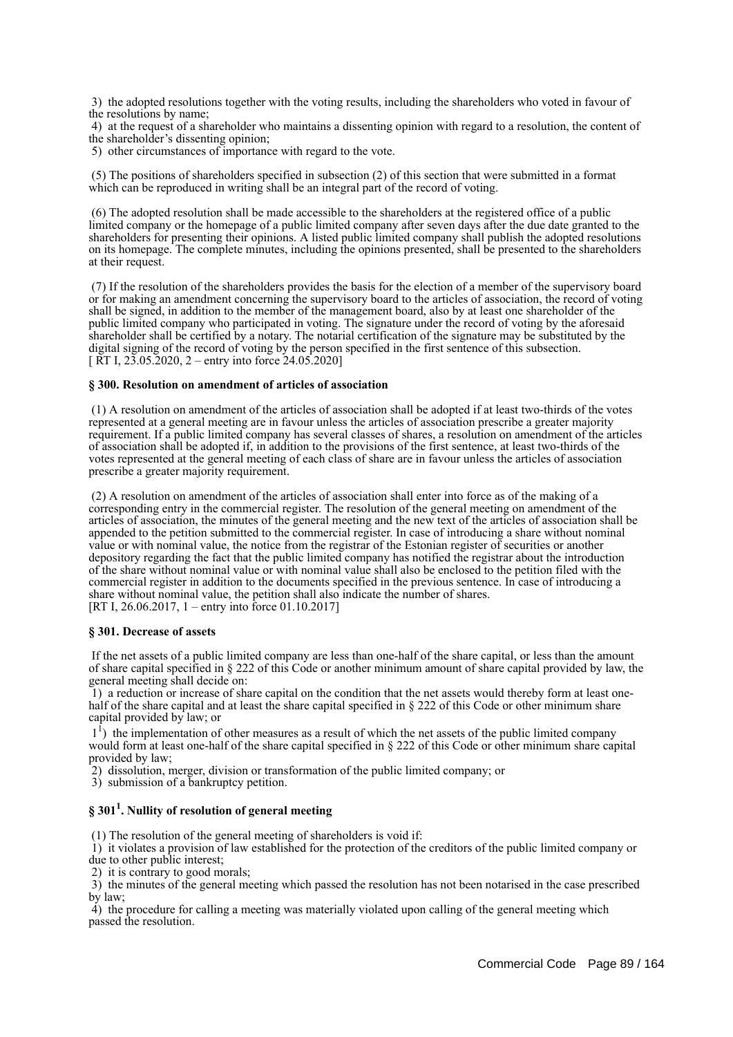3) the adopted resolutions together with the voting results, including the shareholders who voted in favour of the resolutions by name;

 4) at the request of a shareholder who maintains a dissenting opinion with regard to a resolution, the content of the shareholder's dissenting opinion;

5) other circumstances of importance with regard to the vote.

 (5) The positions of shareholders specified in subsection (2) of this section that were submitted in a format which can be reproduced in writing shall be an integral part of the record of voting.

 (6) The adopted resolution shall be made accessible to the shareholders at the registered office of a public limited company or the homepage of a public limited company after seven days after the due date granted to the shareholders for presenting their opinions. A listed public limited company shall publish the adopted resolutions on its homepage. The complete minutes, including the opinions presented, shall be presented to the shareholders at their request.

 (7) If the resolution of the shareholders provides the basis for the election of a member of the supervisory board or for making an amendment concerning the supervisory board to the articles of association, the record of voting shall be signed, in addition to the member of the management board, also by at least one shareholder of the public limited company who participated in voting. The signature under the record of voting by the aforesaid shareholder shall be certified by a notary. The notarial certification of the signature may be substituted by the digital signing of the record of voting by the person specified in the first sentence of this subsection.  $\overline{R}$  RT I, 23.05.2020, 2 – entry into force 24.05.2020]

## **§ 300. Resolution on amendment of articles of association**

 (1) A resolution on amendment of the articles of association shall be adopted if at least two-thirds of the votes represented at a general meeting are in favour unless the articles of association prescribe a greater majority requirement. If a public limited company has several classes of shares, a resolution on amendment of the articles of association shall be adopted if, in addition to the provisions of the first sentence, at least two-thirds of the votes represented at the general meeting of each class of share are in favour unless the articles of association prescribe a greater majority requirement.

 (2) A resolution on amendment of the articles of association shall enter into force as of the making of a corresponding entry in the commercial register. The resolution of the general meeting on amendment of the articles of association, the minutes of the general meeting and the new text of the articles of association shall be appended to the petition submitted to the commercial register. In case of introducing a share without nominal value or with nominal value, the notice from the registrar of the Estonian register of securities or another depository regarding the fact that the public limited company has notified the registrar about the introduction of the share without nominal value or with nominal value shall also be enclosed to the petition filed with the commercial register in addition to the documents specified in the previous sentence. In case of introducing a share without nominal value, the petition shall also indicate the number of shares. [RT I, 26.06.2017, 1 – entry into force 01.10.2017]

#### **§ 301. Decrease of assets**

 If the net assets of a public limited company are less than one-half of the share capital, or less than the amount of share capital specified in § 222 of this Code or another minimum amount of share capital provided by law, the general meeting shall decide on:

 1) a reduction or increase of share capital on the condition that the net assets would thereby form at least onehalf of the share capital and at least the share capital specified in § 222 of this Code or other minimum share capital provided by law; or

<sup>1</sup>) the implementation of other measures as a result of which the net assets of the public limited company would form at least one-half of the share capital specified in § 222 of this Code or other minimum share capital provided by law;

2) dissolution, merger, division or transformation of the public limited company; or

3) submission of a bankruptcy petition.

# **§ 301<sup>1</sup> . Nullity of resolution of general meeting**

(1) The resolution of the general meeting of shareholders is void if:

 1) it violates a provision of law established for the protection of the creditors of the public limited company or due to other public interest;

2) it is contrary to good morals;

 3) the minutes of the general meeting which passed the resolution has not been notarised in the case prescribed by law;

 4) the procedure for calling a meeting was materially violated upon calling of the general meeting which passed the resolution.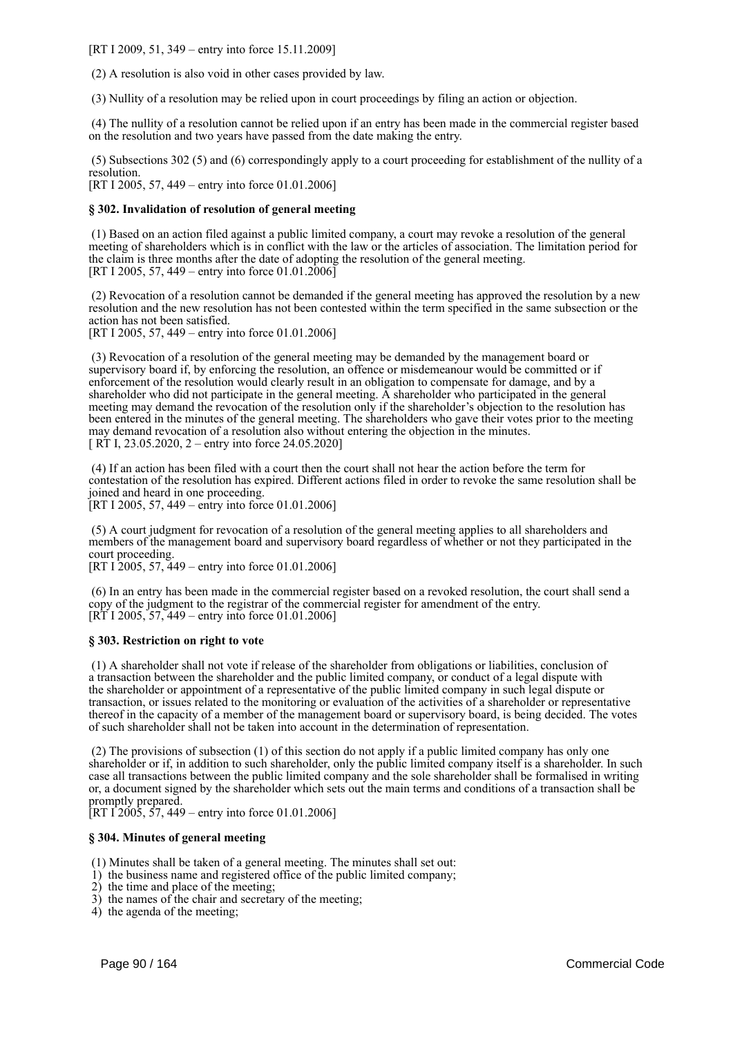[RT I 2009, 51, 349 – entry into force 15.11.2009]

(2) A resolution is also void in other cases provided by law.

(3) Nullity of a resolution may be relied upon in court proceedings by filing an action or objection.

 (4) The nullity of a resolution cannot be relied upon if an entry has been made in the commercial register based on the resolution and two years have passed from the date making the entry.

 (5) Subsections 302 (5) and (6) correspondingly apply to a court proceeding for establishment of the nullity of a resolution.

[RT I 2005, 57, 449 – entry into force 01.01.2006]

#### **§ 302. Invalidation of resolution of general meeting**

 (1) Based on an action filed against a public limited company, a court may revoke a resolution of the general meeting of shareholders which is in conflict with the law or the articles of association. The limitation period for the claim is three months after the date of adopting the resolution of the general meeting. [RT I 2005, 57, 449 – entry into force 01.01.2006]

 (2) Revocation of a resolution cannot be demanded if the general meeting has approved the resolution by a new resolution and the new resolution has not been contested within the term specified in the same subsection or the action has not been satisfied.

[RT I 2005, 57, 449 – entry into force 01.01.2006]

 (3) Revocation of a resolution of the general meeting may be demanded by the management board or supervisory board if, by enforcing the resolution, an offence or misdemeanour would be committed or if enforcement of the resolution would clearly result in an obligation to compensate for damage, and by a shareholder who did not participate in the general meeting. A shareholder who participated in the general meeting may demand the revocation of the resolution only if the shareholder's objection to the resolution has been entered in the minutes of the general meeting. The shareholders who gave their votes prior to the meeting may demand revocation of a resolution also without entering the objection in the minutes. [ RT I, 23.05.2020, 2 – entry into force 24.05.2020]

 (4) If an action has been filed with a court then the court shall not hear the action before the term for contestation of the resolution has expired. Different actions filed in order to revoke the same resolution shall be joined and heard in one proceeding.

[RT I 2005, 57, 449 – entry into force 01.01.2006]

 (5) A court judgment for revocation of a resolution of the general meeting applies to all shareholders and members of the management board and supervisory board regardless of whether or not they participated in the court proceeding.

[RT I 2005, 57, 449 – entry into force 01.01.2006]

 (6) In an entry has been made in the commercial register based on a revoked resolution, the court shall send a copy of the judgment to the registrar of the commercial register for amendment of the entry.  $[R\overline{T} I 2005, 57, 449 - entry into force 01.01.2006]$ 

#### **§ 303. Restriction on right to vote**

 (1) A shareholder shall not vote if release of the shareholder from obligations or liabilities, conclusion of a transaction between the shareholder and the public limited company, or conduct of a legal dispute with the shareholder or appointment of a representative of the public limited company in such legal dispute or transaction, or issues related to the monitoring or evaluation of the activities of a shareholder or representative thereof in the capacity of a member of the management board or supervisory board, is being decided. The votes of such shareholder shall not be taken into account in the determination of representation.

 (2) The provisions of subsection (1) of this section do not apply if a public limited company has only one shareholder or if, in addition to such shareholder, only the public limited company itself is a shareholder. In such case all transactions between the public limited company and the sole shareholder shall be formalised in writing or, a document signed by the shareholder which sets out the main terms and conditions of a transaction shall be promptly prepared.

[RT  $12005, 57, 449$  – entry into force 01.01.2006]

#### **§ 304. Minutes of general meeting**

(1) Minutes shall be taken of a general meeting. The minutes shall set out:

- 1) the business name and registered office of the public limited company;
- 2) the time and place of the meeting;
- 3) the names of the chair and secretary of the meeting;
- 4) the agenda of the meeting;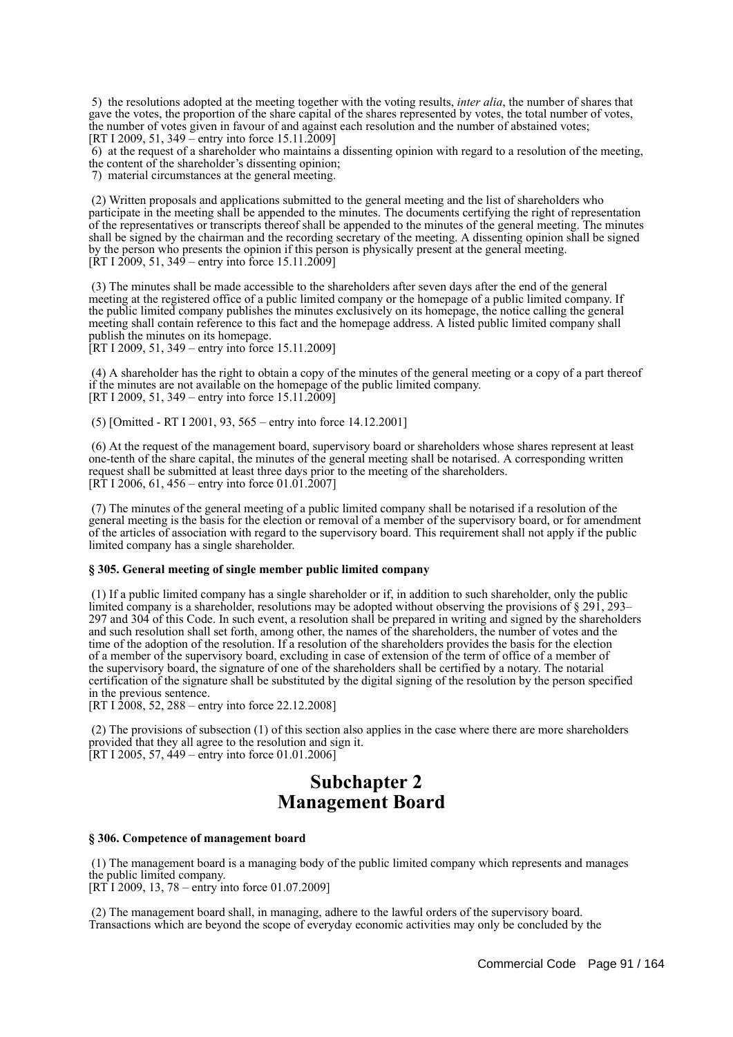5) the resolutions adopted at the meeting together with the voting results, *inter alia*, the number of shares that gave the votes, the proportion of the share capital of the shares represented by votes, the total number of votes, the number of votes given in favour of and against each resolution and the number of abstained votes; [RT I 2009, 51, 349 – entry into force 15.11.2009]

 6) at the request of a shareholder who maintains a dissenting opinion with regard to a resolution of the meeting, the content of the shareholder's dissenting opinion;

7) material circumstances at the general meeting.

 (2) Written proposals and applications submitted to the general meeting and the list of shareholders who participate in the meeting shall be appended to the minutes. The documents certifying the right of representation of the representatives or transcripts thereof shall be appended to the minutes of the general meeting. The minutes shall be signed by the chairman and the recording secretary of the meeting. A dissenting opinion shall be signed by the person who presents the opinion if this person is physically present at the general meeting.  $[\text{RT } I \, 2009, 51, 349 - \text{entry} \]$  into force 15.11.2009]

 (3) The minutes shall be made accessible to the shareholders after seven days after the end of the general meeting at the registered office of a public limited company or the homepage of a public limited company. If the public limited company publishes the minutes exclusively on its homepage, the notice calling the general meeting shall contain reference to this fact and the homepage address. A listed public limited company shall publish the minutes on its homepage.

[RT I 2009, 51, 349 – entry into force 15.11.2009]

 (4) A shareholder has the right to obtain a copy of the minutes of the general meeting or a copy of a part thereof if the minutes are not available on the homepage of the public limited company. [RT I 2009, 51, 349 – entry into force  $15.11.2009$ ]

(5) [Omitted - RT I 2001, 93, 565 – entry into force 14.12.2001]

 (6) At the request of the management board, supervisory board or shareholders whose shares represent at least one-tenth of the share capital, the minutes of the general meeting shall be notarised. A corresponding written request shall be submitted at least three days prior to the meeting of the shareholders. [RT I 2006, 61, 456 – entry into force 01.01.2007]

 (7) The minutes of the general meeting of a public limited company shall be notarised if a resolution of the general meeting is the basis for the election or removal of a member of the supervisory board, or for amendment of the articles of association with regard to the supervisory board. This requirement shall not apply if the public limited company has a single shareholder.

#### **§ 305. General meeting of single member public limited company**

 (1) If a public limited company has a single shareholder or if, in addition to such shareholder, only the public limited company is a shareholder, resolutions may be adopted without observing the provisions of § 291, 293– 297 and 304 of this Code. In such event, a resolution shall be prepared in writing and signed by the shareholders and such resolution shall set forth, among other, the names of the shareholders, the number of votes and the time of the adoption of the resolution. If a resolution of the shareholders provides the basis for the election of a member of the supervisory board, excluding in case of extension of the term of office of a member of the supervisory board, the signature of one of the shareholders shall be certified by a notary. The notarial certification of the signature shall be substituted by the digital signing of the resolution by the person specified in the previous sentence.

[RT I 2008, 52, 288 – entry into force 22.12.2008]

 (2) The provisions of subsection (1) of this section also applies in the case where there are more shareholders provided that they all agree to the resolution and sign it. [RT I 2005, 57,  $449 -$  entry into force 01.01.2006]

# **Subchapter 2 Management Board**

#### **§ 306. Competence of management board**

 (1) The management board is a managing body of the public limited company which represents and manages the public limited company.

[RT I 2009, 13, 78 – entry into force 01.07.2009]

 (2) The management board shall, in managing, adhere to the lawful orders of the supervisory board. Transactions which are beyond the scope of everyday economic activities may only be concluded by the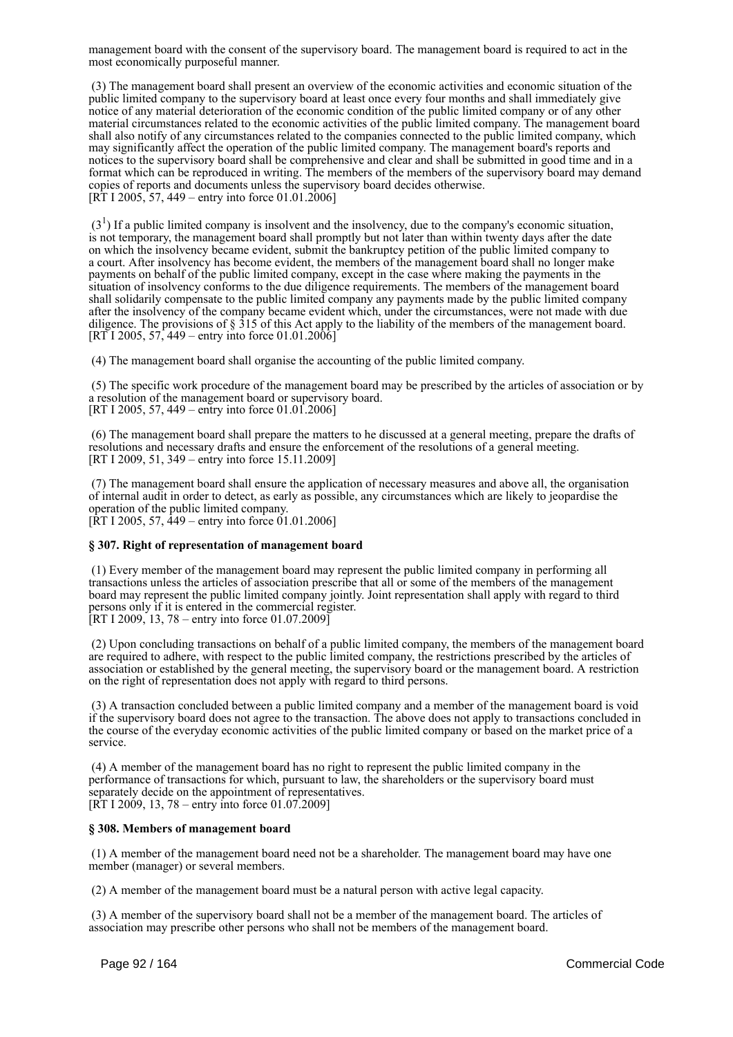management board with the consent of the supervisory board. The management board is required to act in the most economically purposeful manner.

 (3) The management board shall present an overview of the economic activities and economic situation of the public limited company to the supervisory board at least once every four months and shall immediately give notice of any material deterioration of the economic condition of the public limited company or of any other material circumstances related to the economic activities of the public limited company. The management board shall also notify of any circumstances related to the companies connected to the public limited company, which may significantly affect the operation of the public limited company. The management board's reports and notices to the supervisory board shall be comprehensive and clear and shall be submitted in good time and in a format which can be reproduced in writing. The members of the members of the supervisory board may demand copies of reports and documents unless the supervisory board decides otherwise.  $[R\overline{T} 1 2005, 57, 449 -$  entry into force 01.01.2006]

 $(3<sup>1</sup>)$  If a public limited company is insolvent and the insolvency, due to the company's economic situation, is not temporary, the management board shall promptly but not later than within twenty days after the date on which the insolvency became evident, submit the bankruptcy petition of the public limited company to a court. After insolvency has become evident, the members of the management board shall no longer make payments on behalf of the public limited company, except in the case where making the payments in the situation of insolvency conforms to the due diligence requirements. The members of the management board shall solidarily compensate to the public limited company any payments made by the public limited company after the insolvency of the company became evident which, under the circumstances, were not made with due diligence. The provisions of § 315 of this Act apply to the liability of the members of the management board. [RT I 2005, 57, 449 – entry into force 01.01.2006]

(4) The management board shall organise the accounting of the public limited company.

 (5) The specific work procedure of the management board may be prescribed by the articles of association or by a resolution of the management board or supervisory board. [RT I 2005, 57, 449 – entry into force 01.01.2006]

 (6) The management board shall prepare the matters to he discussed at a general meeting, prepare the drafts of resolutions and necessary drafts and ensure the enforcement of the resolutions of a general meeting. [RT I 2009, 51, 349 – entry into force 15.11.2009]

 (7) The management board shall ensure the application of necessary measures and above all, the organisation of internal audit in order to detect, as early as possible, any circumstances which are likely to jeopardise the operation of the public limited company. [RT I 2005, 57, 449 – entry into force 01.01.2006]

#### **§ 307. Right of representation of management board**

 (1) Every member of the management board may represent the public limited company in performing all transactions unless the articles of association prescribe that all or some of the members of the management board may represent the public limited company jointly. Joint representation shall apply with regard to third persons only if it is entered in the commercial register. [RT I 2009, 13, 78 – entry into force 01.07.2009]

 (2) Upon concluding transactions on behalf of a public limited company, the members of the management board are required to adhere, with respect to the public limited company, the restrictions prescribed by the articles of association or established by the general meeting, the supervisory board or the management board. A restriction on the right of representation does not apply with regard to third persons.

 (3) A transaction concluded between a public limited company and a member of the management board is void if the supervisory board does not agree to the transaction. The above does not apply to transactions concluded in the course of the everyday economic activities of the public limited company or based on the market price of a service.

 (4) A member of the management board has no right to represent the public limited company in the performance of transactions for which, pursuant to law, the shareholders or the supervisory board must separately decide on the appointment of representatives.  $[\overline{RT} I 2009, 13, 78 - entry into force 01.07.2009]$ 

#### **§ 308. Members of management board**

 (1) A member of the management board need not be a shareholder. The management board may have one member (manager) or several members.

(2) A member of the management board must be a natural person with active legal capacity.

 (3) A member of the supervisory board shall not be a member of the management board. The articles of association may prescribe other persons who shall not be members of the management board.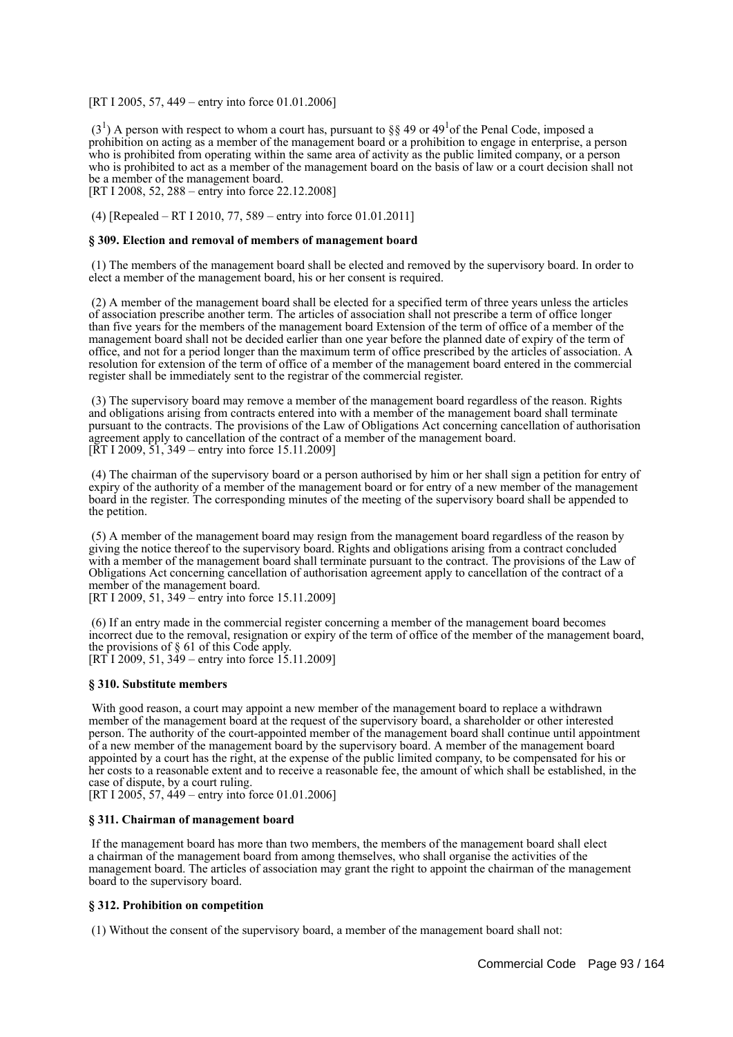[RT I 2005, 57, 449 – entry into force 01.01.2006]

 $(3<sup>1</sup>)$  A person with respect to whom a court has, pursuant to §§ 49 or 49<sup>1</sup> of the Penal Code, imposed a prohibition on acting as a member of the management board or a prohibition to engage in enterprise, a person who is prohibited from operating within the same area of activity as the public limited company, or a person who is prohibited to act as a member of the management board on the basis of law or a court decision shall not be a member of the management board.

[RT I 2008, 52, 288 – entry into force 22.12.2008]

(4) [Repealed – RT I 2010, 77, 589 – entry into force 01.01.2011]

#### **§ 309. Election and removal of members of management board**

 (1) The members of the management board shall be elected and removed by the supervisory board. In order to elect a member of the management board, his or her consent is required.

 (2) A member of the management board shall be elected for a specified term of three years unless the articles of association prescribe another term. The articles of association shall not prescribe a term of office longer than five years for the members of the management board Extension of the term of office of a member of the management board shall not be decided earlier than one year before the planned date of expiry of the term of office, and not for a period longer than the maximum term of office prescribed by the articles of association. A resolution for extension of the term of office of a member of the management board entered in the commercial register shall be immediately sent to the registrar of the commercial register.

 (3) The supervisory board may remove a member of the management board regardless of the reason. Rights and obligations arising from contracts entered into with a member of the management board shall terminate pursuant to the contracts. The provisions of the Law of Obligations Act concerning cancellation of authorisation agreement apply to cancellation of the contract of a member of the management board. [ $\overline{RT}$  I 2009,  $\overline{51}$ , 349 – entry into force 15.11.2009]

 (4) The chairman of the supervisory board or a person authorised by him or her shall sign a petition for entry of expiry of the authority of a member of the management board or for entry of a new member of the management board in the register. The corresponding minutes of the meeting of the supervisory board shall be appended to the petition.

 (5) A member of the management board may resign from the management board regardless of the reason by giving the notice thereof to the supervisory board. Rights and obligations arising from a contract concluded with a member of the management board shall terminate pursuant to the contract. The provisions of the Law of Obligations Act concerning cancellation of authorisation agreement apply to cancellation of the contract of a member of the management board.

[RT I 2009, 51, 349 – entry into force 15.11.2009]

 (6) If an entry made in the commercial register concerning a member of the management board becomes incorrect due to the removal, resignation or expiry of the term of office of the member of the management board, the provisions of § 61 of this Code apply. [RT I 2009, 51, 349 – entry into force 15.11.2009]

#### **§ 310. Substitute members**

 With good reason, a court may appoint a new member of the management board to replace a withdrawn member of the management board at the request of the supervisory board, a shareholder or other interested person. The authority of the court-appointed member of the management board shall continue until appointment of a new member of the management board by the supervisory board. A member of the management board appointed by a court has the right, at the expense of the public limited company, to be compensated for his or her costs to a reasonable extent and to receive a reasonable fee, the amount of which shall be established, in the case of dispute, by a court ruling.

[RT I 2005, 57, 449 – entry into force 01.01.2006]

#### **§ 311. Chairman of management board**

 If the management board has more than two members, the members of the management board shall elect a chairman of the management board from among themselves, who shall organise the activities of the management board. The articles of association may grant the right to appoint the chairman of the management board to the supervisory board.

### **§ 312. Prohibition on competition**

(1) Without the consent of the supervisory board, a member of the management board shall not: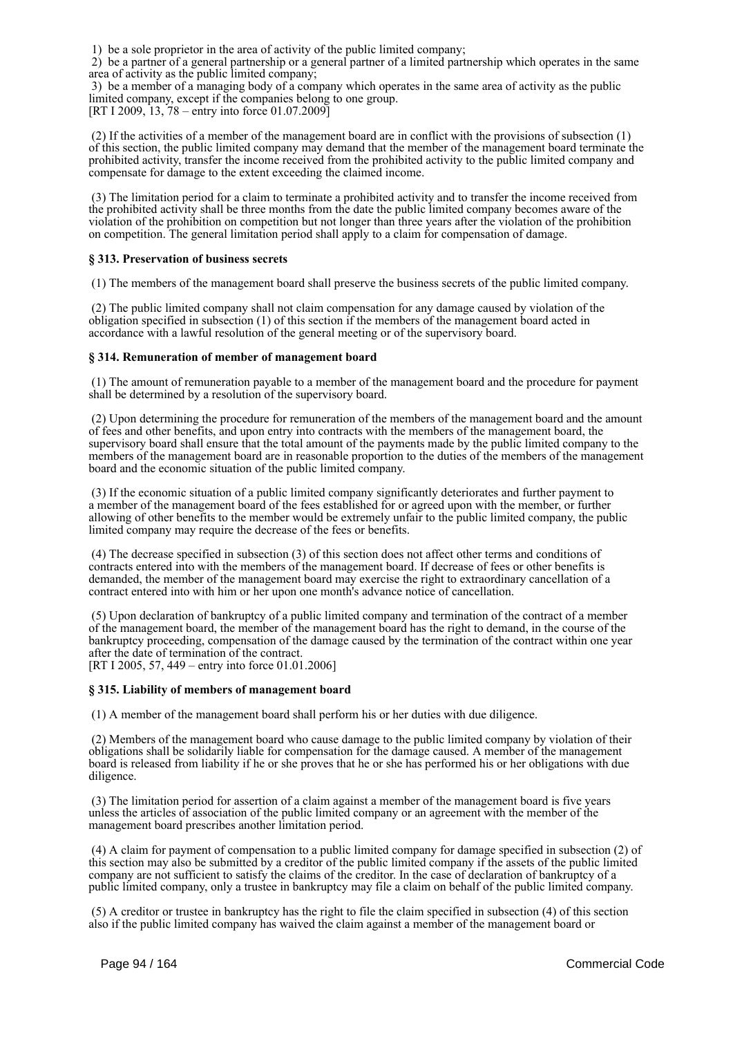1) be a sole proprietor in the area of activity of the public limited company;

 2) be a partner of a general partnership or a general partner of a limited partnership which operates in the same area of activity as the public limited company;

 3) be a member of a managing body of a company which operates in the same area of activity as the public limited company, except if the companies belong to one group.

[RT I 2009, 13, 78 – entry into force 01.07.2009]

 (2) If the activities of a member of the management board are in conflict with the provisions of subsection (1) of this section, the public limited company may demand that the member of the management board terminate the prohibited activity, transfer the income received from the prohibited activity to the public limited company and compensate for damage to the extent exceeding the claimed income.

 (3) The limitation period for a claim to terminate a prohibited activity and to transfer the income received from the prohibited activity shall be three months from the date the public limited company becomes aware of the violation of the prohibition on competition but not longer than three years after the violation of the prohibition on competition. The general limitation period shall apply to a claim for compensation of damage.

# **§ 313. Preservation of business secrets**

(1) The members of the management board shall preserve the business secrets of the public limited company.

 (2) The public limited company shall not claim compensation for any damage caused by violation of the obligation specified in subsection (1) of this section if the members of the management board acted in accordance with a lawful resolution of the general meeting or of the supervisory board.

## **§ 314. Remuneration of member of management board**

 (1) The amount of remuneration payable to a member of the management board and the procedure for payment shall be determined by a resolution of the supervisory board.

 (2) Upon determining the procedure for remuneration of the members of the management board and the amount of fees and other benefits, and upon entry into contracts with the members of the management board, the supervisory board shall ensure that the total amount of the payments made by the public limited company to the members of the management board are in reasonable proportion to the duties of the members of the management board and the economic situation of the public limited company.

 (3) If the economic situation of a public limited company significantly deteriorates and further payment to a member of the management board of the fees established for or agreed upon with the member, or further allowing of other benefits to the member would be extremely unfair to the public limited company, the public limited company may require the decrease of the fees or benefits.

 (4) The decrease specified in subsection (3) of this section does not affect other terms and conditions of contracts entered into with the members of the management board. If decrease of fees or other benefits is demanded, the member of the management board may exercise the right to extraordinary cancellation of a contract entered into with him or her upon one month's advance notice of cancellation.

 (5) Upon declaration of bankruptcy of a public limited company and termination of the contract of a member of the management board, the member of the management board has the right to demand, in the course of the bankruptcy proceeding, compensation of the damage caused by the termination of the contract within one year after the date of termination of the contract. [RT I 2005, 57, 449 – entry into force 01.01.2006]

# **§ 315. Liability of members of management board**

(1) A member of the management board shall perform his or her duties with due diligence.

 (2) Members of the management board who cause damage to the public limited company by violation of their obligations shall be solidarily liable for compensation for the damage caused. A member of the management board is released from liability if he or she proves that he or she has performed his or her obligations with due diligence.

 (3) The limitation period for assertion of a claim against a member of the management board is five years unless the articles of association of the public limited company or an agreement with the member of the management board prescribes another limitation period.

 (4) A claim for payment of compensation to a public limited company for damage specified in subsection (2) of this section may also be submitted by a creditor of the public limited company if the assets of the public limited company are not sufficient to satisfy the claims of the creditor. In the case of declaration of bankruptcy of a public limited company, only a trustee in bankruptcy may file a claim on behalf of the public limited company.

 (5) A creditor or trustee in bankruptcy has the right to file the claim specified in subsection (4) of this section also if the public limited company has waived the claim against a member of the management board or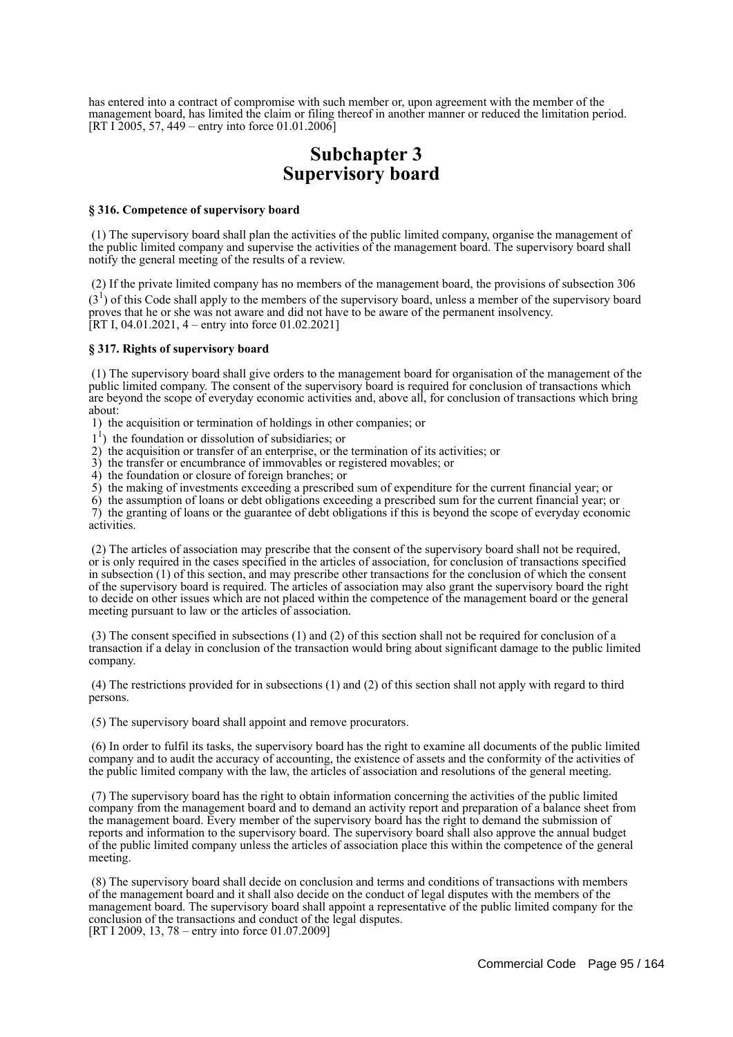has entered into a contract of compromise with such member or, upon agreement with the member of the management board, has limited the claim or filing thereof in another manner or reduced the limitation period. [RT I 2005, 57, 449 – entry into force 01.01.2006]

# **Subchapter 3 Supervisory board**

#### **§ 316. Competence of supervisory board**

 (1) The supervisory board shall plan the activities of the public limited company, organise the management of the public limited company and supervise the activities of the management board. The supervisory board shall notify the general meeting of the results of a review.

 (2) If the private limited company has no members of the management board, the provisions of subsection 306  $(3<sup>1</sup>)$  of this Code shall apply to the members of the supervisory board, unless a member of the supervisory board proves that he or she was not aware and did not have to be aware of the permanent insolvency.  $[RT I, 04.01.2021, 4 - entry into force 01.02.2021]$ 

#### **§ 317. Rights of supervisory board**

 (1) The supervisory board shall give orders to the management board for organisation of the management of the public limited company. The consent of the supervisory board is required for conclusion of transactions which are beyond the scope of everyday economic activities and, above all, for conclusion of transactions which bring about:

1) the acquisition or termination of holdings in other companies; or

- $1<sup>1</sup>$ ) the foundation or dissolution of subsidiaries; or
- 2) the acquisition or transfer of an enterprise, or the termination of its activities; or
- 3) the transfer or encumbrance of immovables or registered movables; or
- 4) the foundation or closure of foreign branches; or
- 5) the making of investments exceeding a prescribed sum of expenditure for the current financial year; or
- 6) the assumption of loans or debt obligations exceeding a prescribed sum for the current financial year; or

 7) the granting of loans or the guarantee of debt obligations if this is beyond the scope of everyday economic activities.

 (2) The articles of association may prescribe that the consent of the supervisory board shall not be required, or is only required in the cases specified in the articles of association, for conclusion of transactions specified in subsection (1) of this section, and may prescribe other transactions for the conclusion of which the consent of the supervisory board is required. The articles of association may also grant the supervisory board the right to decide on other issues which are not placed within the competence of the management board or the general meeting pursuant to law or the articles of association.

 (3) The consent specified in subsections (1) and (2) of this section shall not be required for conclusion of a transaction if a delay in conclusion of the transaction would bring about significant damage to the public limited company.

 (4) The restrictions provided for in subsections (1) and (2) of this section shall not apply with regard to third persons.

(5) The supervisory board shall appoint and remove procurators.

 (6) In order to fulfil its tasks, the supervisory board has the right to examine all documents of the public limited company and to audit the accuracy of accounting, the existence of assets and the conformity of the activities of the public limited company with the law, the articles of association and resolutions of the general meeting.

 (7) The supervisory board has the right to obtain information concerning the activities of the public limited company from the management board and to demand an activity report and preparation of a balance sheet from the management board. Every member of the supervisory board has the right to demand the submission of reports and information to the supervisory board. The supervisory board shall also approve the annual budget of the public limited company unless the articles of association place this within the competence of the general meeting.

 (8) The supervisory board shall decide on conclusion and terms and conditions of transactions with members of the management board and it shall also decide on the conduct of legal disputes with the members of the management board. The supervisory board shall appoint a representative of the public limited company for the conclusion of the transactions and conduct of the legal disputes. [RT I 2009, 13, 78 – entry into force 01.07.2009]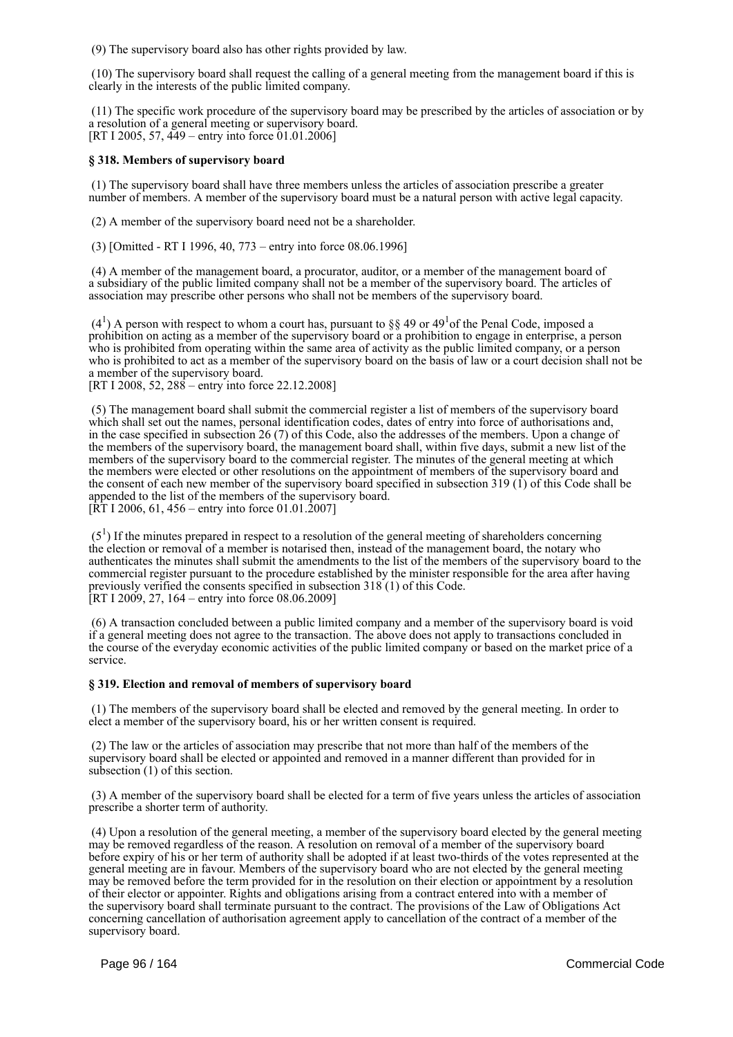(9) The supervisory board also has other rights provided by law.

 (10) The supervisory board shall request the calling of a general meeting from the management board if this is clearly in the interests of the public limited company.

 (11) The specific work procedure of the supervisory board may be prescribed by the articles of association or by a resolution of a general meeting or supervisory board. [RT I 2005, 57,  $\frac{449}{-}$  entry into force 01.01.2006]

## **§ 318. Members of supervisory board**

 (1) The supervisory board shall have three members unless the articles of association prescribe a greater number of members. A member of the supervisory board must be a natural person with active legal capacity.

(2) A member of the supervisory board need not be a shareholder.

(3) [Omitted - RT I 1996, 40, 773 – entry into force 08.06.1996]

 (4) A member of the management board, a procurator, auditor, or a member of the management board of a subsidiary of the public limited company shall not be a member of the supervisory board. The articles of association may prescribe other persons who shall not be members of the supervisory board.

 $(4<sup>1</sup>)$  A person with respect to whom a court has, pursuant to §§ 49 or 49<sup>1</sup> of the Penal Code, imposed a prohibition on acting as a member of the supervisory board or a prohibition to engage in enterprise, a person who is prohibited from operating within the same area of activity as the public limited company, or a person who is prohibited to act as a member of the supervisory board on the basis of law or a court decision shall not be a member of the supervisory board.

[RT I 2008, 52, 288 – entry into force 22.12.2008]

 (5) The management board shall submit the commercial register a list of members of the supervisory board which shall set out the names, personal identification codes, dates of entry into force of authorisations and, in the case specified in subsection 26 (7) of this Code, also the addresses of the members. Upon a change of the members of the supervisory board, the management board shall, within five days, submit a new list of the members of the supervisory board to the commercial register. The minutes of the general meeting at which the members were elected or other resolutions on the appointment of members of the supervisory board and the consent of each new member of the supervisory board specified in subsection 319 (1) of this Code shall be appended to the list of the members of the supervisory board.  $[\hat{R}T 1 2006, 61, 456 -$  entry into force 01.01.2007]

 $(5<sup>1</sup>)$  If the minutes prepared in respect to a resolution of the general meeting of shareholders concerning the election or removal of a member is notarised then, instead of the management board, the notary who authenticates the minutes shall submit the amendments to the list of the members of the supervisory board to the commercial register pursuant to the procedure established by the minister responsible for the area after having previously verified the consents specified in subsection 318 (1) of this Code.  $[RT 1 2009, 27, 164 - entry into force 08.06.2009]$ 

 (6) A transaction concluded between a public limited company and a member of the supervisory board is void if a general meeting does not agree to the transaction. The above does not apply to transactions concluded in the course of the everyday economic activities of the public limited company or based on the market price of a service.

# **§ 319. Election and removal of members of supervisory board**

 (1) The members of the supervisory board shall be elected and removed by the general meeting. In order to elect a member of the supervisory board, his or her written consent is required.

 (2) The law or the articles of association may prescribe that not more than half of the members of the supervisory board shall be elected or appointed and removed in a manner different than provided for in subsection (1) of this section.

 (3) A member of the supervisory board shall be elected for a term of five years unless the articles of association prescribe a shorter term of authority.

 (4) Upon a resolution of the general meeting, a member of the supervisory board elected by the general meeting may be removed regardless of the reason. A resolution on removal of a member of the supervisory board before expiry of his or her term of authority shall be adopted if at least two-thirds of the votes represented at the general meeting are in favour. Members of the supervisory board who are not elected by the general meeting may be removed before the term provided for in the resolution on their election or appointment by a resolution of their elector or appointer. Rights and obligations arising from a contract entered into with a member of the supervisory board shall terminate pursuant to the contract. The provisions of the Law of Obligations Act concerning cancellation of authorisation agreement apply to cancellation of the contract of a member of the supervisory board.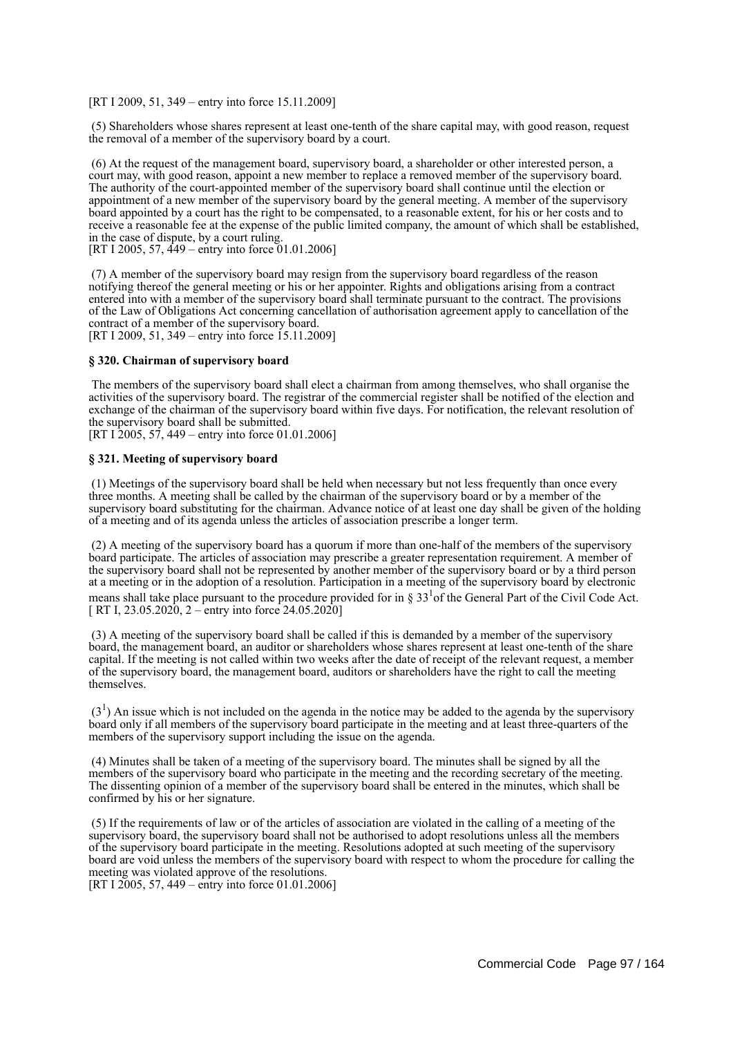[RT I 2009, 51, 349 – entry into force 15.11.2009]

 (5) Shareholders whose shares represent at least one-tenth of the share capital may, with good reason, request the removal of a member of the supervisory board by a court.

 (6) At the request of the management board, supervisory board, a shareholder or other interested person, a court may, with good reason, appoint a new member to replace a removed member of the supervisory board. The authority of the court-appointed member of the supervisory board shall continue until the election or appointment of a new member of the supervisory board by the general meeting. A member of the supervisory board appointed by a court has the right to be compensated, to a reasonable extent, for his or her costs and to receive a reasonable fee at the expense of the public limited company, the amount of which shall be established, in the case of dispute, by a court ruling. [RT I 2005, 57, 449 – entry into force 01.01.2006]

 (7) A member of the supervisory board may resign from the supervisory board regardless of the reason notifying thereof the general meeting or his or her appointer. Rights and obligations arising from a contract entered into with a member of the supervisory board shall terminate pursuant to the contract. The provisions of the Law of Obligations Act concerning cancellation of authorisation agreement apply to cancellation of the contract of a member of the supervisory board. [RT I 2009, 51, 349 – entry into force 15.11.2009]

#### **§ 320. Chairman of supervisory board**

 The members of the supervisory board shall elect a chairman from among themselves, who shall organise the activities of the supervisory board. The registrar of the commercial register shall be notified of the election and exchange of the chairman of the supervisory board within five days. For notification, the relevant resolution of the supervisory board shall be submitted.

[RT I 2005, 57, 449 – entry into force 01.01.2006]

#### **§ 321. Meeting of supervisory board**

 (1) Meetings of the supervisory board shall be held when necessary but not less frequently than once every three months. A meeting shall be called by the chairman of the supervisory board or by a member of the supervisory board substituting for the chairman. Advance notice of at least one day shall be given of the holding of a meeting and of its agenda unless the articles of association prescribe a longer term.

 (2) A meeting of the supervisory board has a quorum if more than one-half of the members of the supervisory board participate. The articles of association may prescribe a greater representation requirement. A member of the supervisory board shall not be represented by another member of the supervisory board or by a third person at a meeting or in the adoption of a resolution. Participation in a meeting of the supervisory board by electronic means shall take place pursuant to the procedure provided for in  $\S 33^{1}$  of the General Part of the Civil Code Act. [ RT I, 23.05.2020, 2 – entry into force 24.05.2020]

 (3) A meeting of the supervisory board shall be called if this is demanded by a member of the supervisory board, the management board, an auditor or shareholders whose shares represent at least one-tenth of the share capital. If the meeting is not called within two weeks after the date of receipt of the relevant request, a member of the supervisory board, the management board, auditors or shareholders have the right to call the meeting themselves.

 $(3<sup>1</sup>)$  An issue which is not included on the agenda in the notice may be added to the agenda by the supervisory board only if all members of the supervisory board participate in the meeting and at least three-quarters of the members of the supervisory support including the issue on the agenda.

 (4) Minutes shall be taken of a meeting of the supervisory board. The minutes shall be signed by all the members of the supervisory board who participate in the meeting and the recording secretary of the meeting. The dissenting opinion of a member of the supervisory board shall be entered in the minutes, which shall be confirmed by his or her signature.

 (5) If the requirements of law or of the articles of association are violated in the calling of a meeting of the supervisory board, the supervisory board shall not be authorised to adopt resolutions unless all the members of the supervisory board participate in the meeting. Resolutions adopted at such meeting of the supervisory board are void unless the members of the supervisory board with respect to whom the procedure for calling the meeting was violated approve of the resolutions.

[RT I 2005, 57, 449 – entry into force 01.01.2006]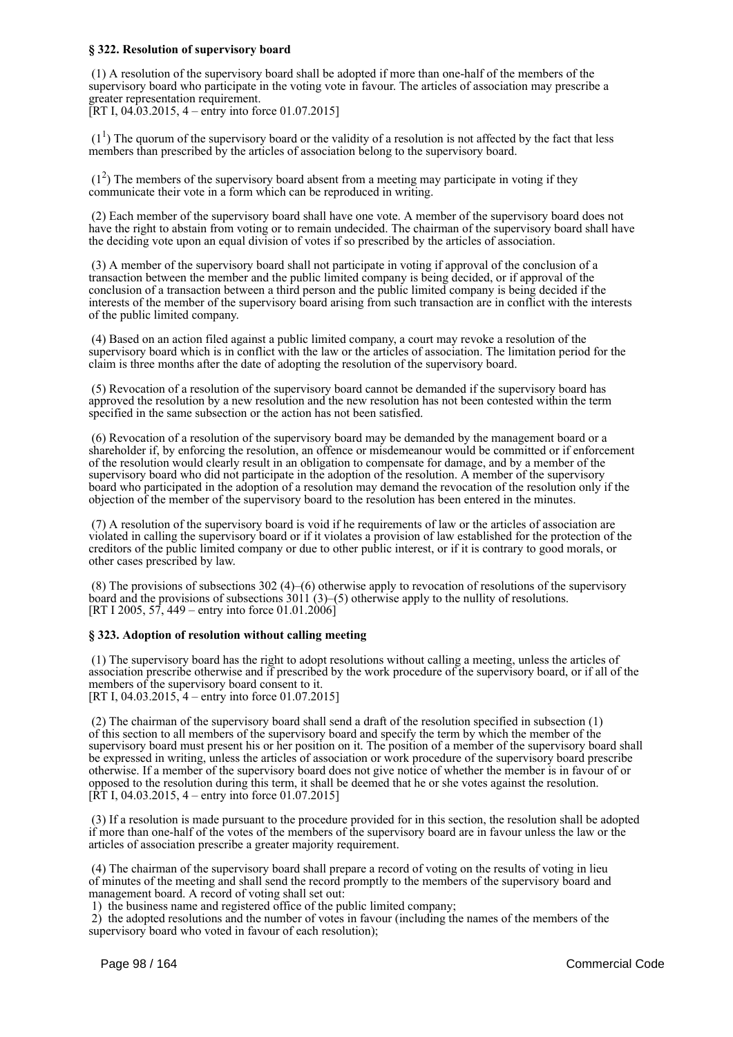## **§ 322. Resolution of supervisory board**

 (1) A resolution of the supervisory board shall be adopted if more than one-half of the members of the supervisory board who participate in the voting vote in favour. The articles of association may prescribe a greater representation requirement.

[RT I, 04.03.2015, 4 – entry into force 01.07.2015]

 $(1<sup>1</sup>)$  The quorum of the supervisory board or the validity of a resolution is not affected by the fact that less members than prescribed by the articles of association belong to the supervisory board.

 $(1<sup>2</sup>)$  The members of the supervisory board absent from a meeting may participate in voting if they communicate their vote in a form which can be reproduced in writing.

 (2) Each member of the supervisory board shall have one vote. A member of the supervisory board does not have the right to abstain from voting or to remain undecided. The chairman of the supervisory board shall have the deciding vote upon an equal division of votes if so prescribed by the articles of association.

 (3) A member of the supervisory board shall not participate in voting if approval of the conclusion of a transaction between the member and the public limited company is being decided, or if approval of the conclusion of a transaction between a third person and the public limited company is being decided if the interests of the member of the supervisory board arising from such transaction are in conflict with the interests of the public limited company.

 (4) Based on an action filed against a public limited company, a court may revoke a resolution of the supervisory board which is in conflict with the law or the articles of association. The limitation period for the claim is three months after the date of adopting the resolution of the supervisory board.

 (5) Revocation of a resolution of the supervisory board cannot be demanded if the supervisory board has approved the resolution by a new resolution and the new resolution has not been contested within the term specified in the same subsection or the action has not been satisfied.

 (6) Revocation of a resolution of the supervisory board may be demanded by the management board or a shareholder if, by enforcing the resolution, an offence or misdemeanour would be committed or if enforcement of the resolution would clearly result in an obligation to compensate for damage, and by a member of the supervisory board who did not participate in the adoption of the resolution. A member of the supervisory board who participated in the adoption of a resolution may demand the revocation of the resolution only if the objection of the member of the supervisory board to the resolution has been entered in the minutes.

 (7) A resolution of the supervisory board is void if he requirements of law or the articles of association are violated in calling the supervisory board or if it violates a provision of law established for the protection of the creditors of the public limited company or due to other public interest, or if it is contrary to good morals, or other cases prescribed by law.

 (8) The provisions of subsections 302 (4)–(6) otherwise apply to revocation of resolutions of the supervisory board and the provisions of subsections 3011 (3)–(5) otherwise apply to the nullity of resolutions. [RT I 2005, 57, 449 – entry into force 01.01.2006]

# **§ 323. Adoption of resolution without calling meeting**

 (1) The supervisory board has the right to adopt resolutions without calling a meeting, unless the articles of association prescribe otherwise and if prescribed by the work procedure of the supervisory board, or if all of the members of the supervisory board consent to it. [RT I, 04.03.2015, 4 – entry into force 01.07.2015]

 (2) The chairman of the supervisory board shall send a draft of the resolution specified in subsection (1) of this section to all members of the supervisory board and specify the term by which the member of the supervisory board must present his or her position on it. The position of a member of the supervisory board shall be expressed in writing, unless the articles of association or work procedure of the supervisory board prescribe otherwise. If a member of the supervisory board does not give notice of whether the member is in favour of or opposed to the resolution during this term, it shall be deemed that he or she votes against the resolution. [RT I, 04.03.2015, 4 – entry into force 01.07.2015]

 (3) If a resolution is made pursuant to the procedure provided for in this section, the resolution shall be adopted if more than one-half of the votes of the members of the supervisory board are in favour unless the law or the articles of association prescribe a greater majority requirement.

 (4) The chairman of the supervisory board shall prepare a record of voting on the results of voting in lieu of minutes of the meeting and shall send the record promptly to the members of the supervisory board and management board. A record of voting shall set out:

1) the business name and registered office of the public limited company;

 2) the adopted resolutions and the number of votes in favour (including the names of the members of the supervisory board who voted in favour of each resolution);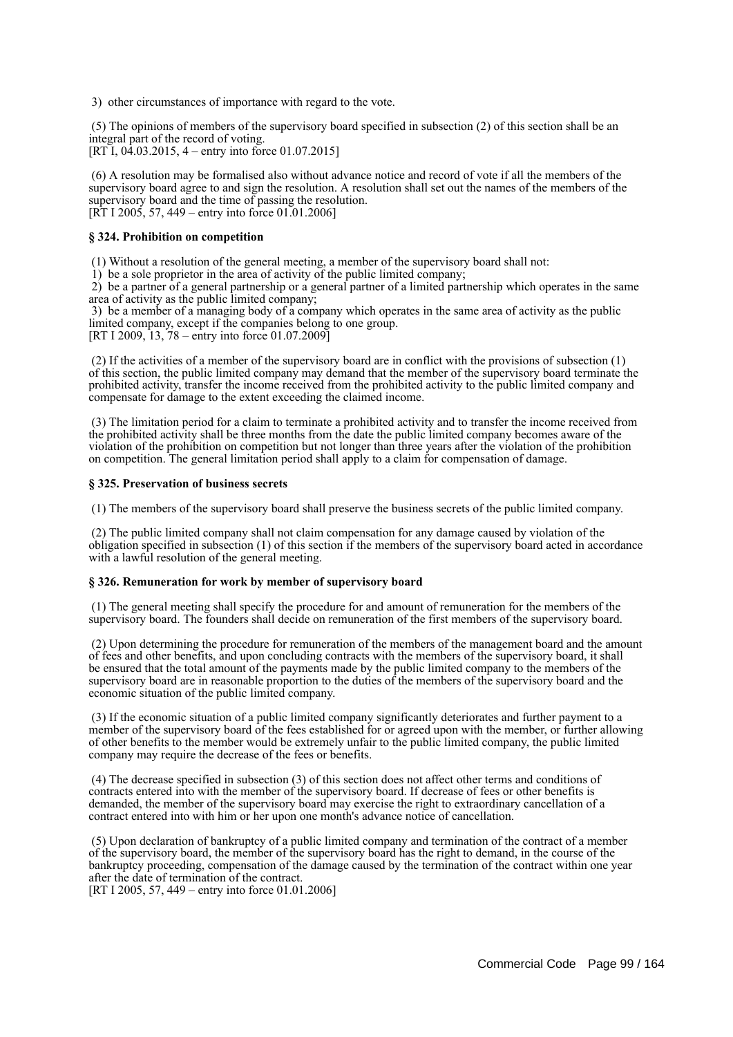3) other circumstances of importance with regard to the vote.

 (5) The opinions of members of the supervisory board specified in subsection (2) of this section shall be an integral part of the record of voting. [RT I,  $04.03.2015$ , 4 – entry into force 01.07.2015]

 (6) A resolution may be formalised also without advance notice and record of vote if all the members of the supervisory board agree to and sign the resolution. A resolution shall set out the names of the members of the supervisory board and the time of passing the resolution. [RT I 2005, 57, 449 – entry into force 01.01.2006]

#### **§ 324. Prohibition on competition**

(1) Without a resolution of the general meeting, a member of the supervisory board shall not:

1) be a sole proprietor in the area of activity of the public limited company;

 2) be a partner of a general partnership or a general partner of a limited partnership which operates in the same area of activity as the public limited company;

 3) be a member of a managing body of a company which operates in the same area of activity as the public limited company, except if the companies belong to one group. [RT I 2009, 13, 78 – entry into force 01.07.2009]

 (2) If the activities of a member of the supervisory board are in conflict with the provisions of subsection (1) of this section, the public limited company may demand that the member of the supervisory board terminate the prohibited activity, transfer the income received from the prohibited activity to the public limited company and compensate for damage to the extent exceeding the claimed income.

 (3) The limitation period for a claim to terminate a prohibited activity and to transfer the income received from the prohibited activity shall be three months from the date the public limited company becomes aware of the violation of the prohibition on competition but not longer than three years after the violation of the prohibition on competition. The general limitation period shall apply to a claim for compensation of damage.

#### **§ 325. Preservation of business secrets**

(1) The members of the supervisory board shall preserve the business secrets of the public limited company.

 (2) The public limited company shall not claim compensation for any damage caused by violation of the obligation specified in subsection (1) of this section if the members of the supervisory board acted in accordance with a lawful resolution of the general meeting.

#### **§ 326. Remuneration for work by member of supervisory board**

 (1) The general meeting shall specify the procedure for and amount of remuneration for the members of the supervisory board. The founders shall decide on remuneration of the first members of the supervisory board.

 (2) Upon determining the procedure for remuneration of the members of the management board and the amount of fees and other benefits, and upon concluding contracts with the members of the supervisory board, it shall be ensured that the total amount of the payments made by the public limited company to the members of the supervisory board are in reasonable proportion to the duties of the members of the supervisory board and the economic situation of the public limited company.

 (3) If the economic situation of a public limited company significantly deteriorates and further payment to a member of the supervisory board of the fees established for or agreed upon with the member, or further allowing of other benefits to the member would be extremely unfair to the public limited company, the public limited company may require the decrease of the fees or benefits.

 (4) The decrease specified in subsection (3) of this section does not affect other terms and conditions of contracts entered into with the member of the supervisory board. If decrease of fees or other benefits is demanded, the member of the supervisory board may exercise the right to extraordinary cancellation of a contract entered into with him or her upon one month's advance notice of cancellation.

 (5) Upon declaration of bankruptcy of a public limited company and termination of the contract of a member of the supervisory board, the member of the supervisory board has the right to demand, in the course of the bankruptcy proceeding, compensation of the damage caused by the termination of the contract within one year after the date of termination of the contract.

[RT I 2005, 57, 449 – entry into force 01.01.2006]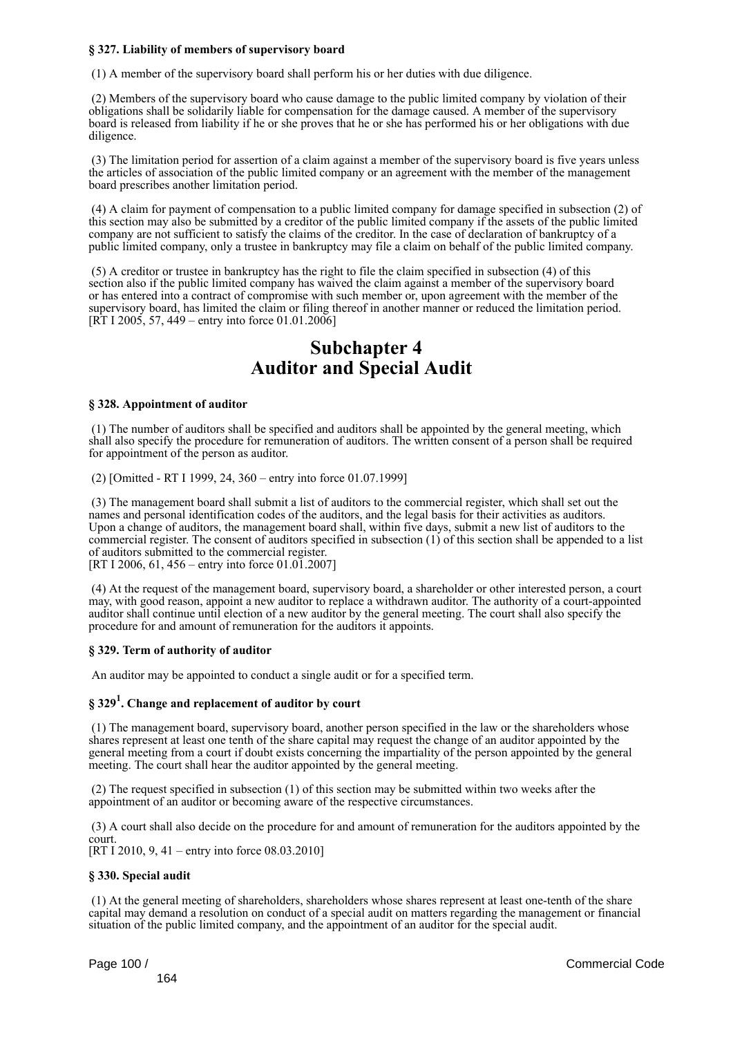# **§ 327. Liability of members of supervisory board**

(1) A member of the supervisory board shall perform his or her duties with due diligence.

 (2) Members of the supervisory board who cause damage to the public limited company by violation of their obligations shall be solidarily liable for compensation for the damage caused. A member of the supervisory board is released from liability if he or she proves that he or she has performed his or her obligations with due diligence.

 (3) The limitation period for assertion of a claim against a member of the supervisory board is five years unless the articles of association of the public limited company or an agreement with the member of the management board prescribes another limitation period.

 (4) A claim for payment of compensation to a public limited company for damage specified in subsection (2) of this section may also be submitted by a creditor of the public limited company if the assets of the public limited company are not sufficient to satisfy the claims of the creditor. In the case of declaration of bankruptcy of a public limited company, only a trustee in bankruptcy may file a claim on behalf of the public limited company.

 (5) A creditor or trustee in bankruptcy has the right to file the claim specified in subsection (4) of this section also if the public limited company has waived the claim against a member of the supervisory board or has entered into a contract of compromise with such member or, upon agreement with the member of the supervisory board, has limited the claim or filing thereof in another manner or reduced the limitation period. [RT I 2005, 57, 449 – entry into force 01.01.2006]

# **Subchapter 4 Auditor and Special Audit**

#### **§ 328. Appointment of auditor**

 (1) The number of auditors shall be specified and auditors shall be appointed by the general meeting, which shall also specify the procedure for remuneration of auditors. The written consent of a person shall be required for appointment of the person as auditor.

(2) [Omitted - RT I 1999, 24, 360 – entry into force 01.07.1999]

 (3) The management board shall submit a list of auditors to the commercial register, which shall set out the names and personal identification codes of the auditors, and the legal basis for their activities as auditors. Upon a change of auditors, the management board shall, within five days, submit a new list of auditors to the commercial register. The consent of auditors specified in subsection (1) of this section shall be appended to a list of auditors submitted to the commercial register. [RT I 2006, 61, 456 – entry into force 01.01.2007]

 (4) At the request of the management board, supervisory board, a shareholder or other interested person, a court may, with good reason, appoint a new auditor to replace a withdrawn auditor. The authority of a court-appointed auditor shall continue until election of a new auditor by the general meeting. The court shall also specify the procedure for and amount of remuneration for the auditors it appoints.

# **§ 329. Term of authority of auditor**

An auditor may be appointed to conduct a single audit or for a specified term.

# **§ 329<sup>1</sup> . Change and replacement of auditor by court**

 (1) The management board, supervisory board, another person specified in the law or the shareholders whose shares represent at least one tenth of the share capital may request the change of an auditor appointed by the general meeting from a court if doubt exists concerning the impartiality of the person appointed by the general meeting. The court shall hear the auditor appointed by the general meeting.

 (2) The request specified in subsection (1) of this section may be submitted within two weeks after the appointment of an auditor or becoming aware of the respective circumstances.

 (3) A court shall also decide on the procedure for and amount of remuneration for the auditors appointed by the court.

[RT I 2010, 9, 41 – entry into force 08.03.2010]

#### **§ 330. Special audit**

 (1) At the general meeting of shareholders, shareholders whose shares represent at least one-tenth of the share capital may demand a resolution on conduct of a special audit on matters regarding the management or financial situation of the public limited company, and the appointment of an auditor for the special audit.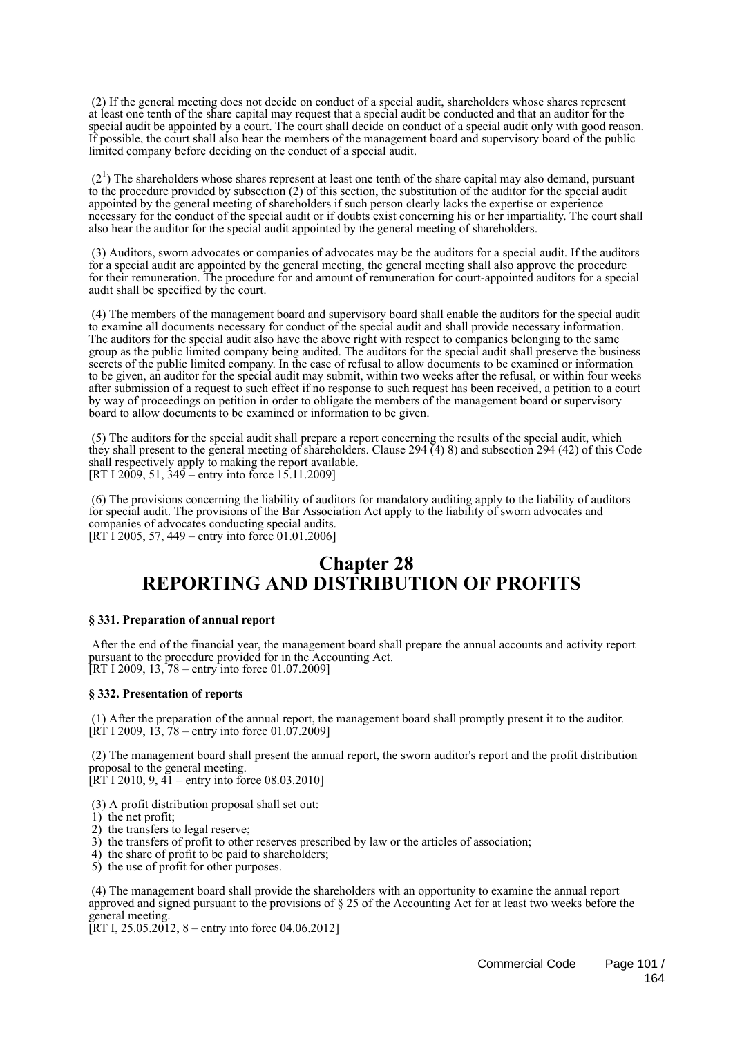(2) If the general meeting does not decide on conduct of a special audit, shareholders whose shares represent at least one tenth of the share capital may request that a special audit be conducted and that an auditor for the special audit be appointed by a court. The court shall decide on conduct of a special audit only with good reason. If possible, the court shall also hear the members of the management board and supervisory board of the public limited company before deciding on the conduct of a special audit.

 $(2<sup>1</sup>)$  The shareholders whose shares represent at least one tenth of the share capital may also demand, pursuant to the procedure provided by subsection (2) of this section, the substitution of the auditor for the special audit appointed by the general meeting of shareholders if such person clearly lacks the expertise or experience necessary for the conduct of the special audit or if doubts exist concerning his or her impartiality. The court shall also hear the auditor for the special audit appointed by the general meeting of shareholders.

 (3) Auditors, sworn advocates or companies of advocates may be the auditors for a special audit. If the auditors for a special audit are appointed by the general meeting, the general meeting shall also approve the procedure for their remuneration. The procedure for and amount of remuneration for court-appointed auditors for a special audit shall be specified by the court.

 (4) The members of the management board and supervisory board shall enable the auditors for the special audit to examine all documents necessary for conduct of the special audit and shall provide necessary information. The auditors for the special audit also have the above right with respect to companies belonging to the same group as the public limited company being audited. The auditors for the special audit shall preserve the business secrets of the public limited company. In the case of refusal to allow documents to be examined or information to be given, an auditor for the special audit may submit, within two weeks after the refusal, or within four weeks after submission of a request to such effect if no response to such request has been received, a petition to a court by way of proceedings on petition in order to obligate the members of the management board or supervisory board to allow documents to be examined or information to be given.

 (5) The auditors for the special audit shall prepare a report concerning the results of the special audit, which they shall present to the general meeting of shareholders. Clause 294 (4) 8) and subsection 294 (42) of this Code shall respectively apply to making the report available. [RT I 2009, 51, 349 – entry into force 15.11.2009]

 (6) The provisions concerning the liability of auditors for mandatory auditing apply to the liability of auditors for special audit. The provisions of the Bar Association Act apply to the liability of sworn advocates and companies of advocates conducting special audits. [RT I 2005, 57, 449 – entry into force 01.01.2006]

# **Chapter 28 REPORTING AND DISTRIBUTION OF PROFITS**

#### **§ 331. Preparation of annual report**

 After the end of the financial year, the management board shall prepare the annual accounts and activity report pursuant to the procedure provided for in the Accounting Act. [RT I 2009, 13, 78 – entry into force  $01.07.2009$ ]

#### **§ 332. Presentation of reports**

 (1) After the preparation of the annual report, the management board shall promptly present it to the auditor.  $[\hat{R}T I 2009, 13, 78 -$  entry into force 01.07.2009]

 (2) The management board shall present the annual report, the sworn auditor's report and the profit distribution proposal to the general meeting.

[RT I 2010, 9, 41 – entry into force 08.03.2010]

- (3) A profit distribution proposal shall set out:
- 1) the net profit;
- 2) the transfers to legal reserve;
- 3) the transfers of profit to other reserves prescribed by law or the articles of association;
- 4) the share of profit to be paid to shareholders;
- 5) the use of profit for other purposes.

 (4) The management board shall provide the shareholders with an opportunity to examine the annual report approved and signed pursuant to the provisions of § 25 of the Accounting Act for at least two weeks before the general meeting.

 $[RT I, 25.05.2012, 8 - entry into force 04.06.2012]$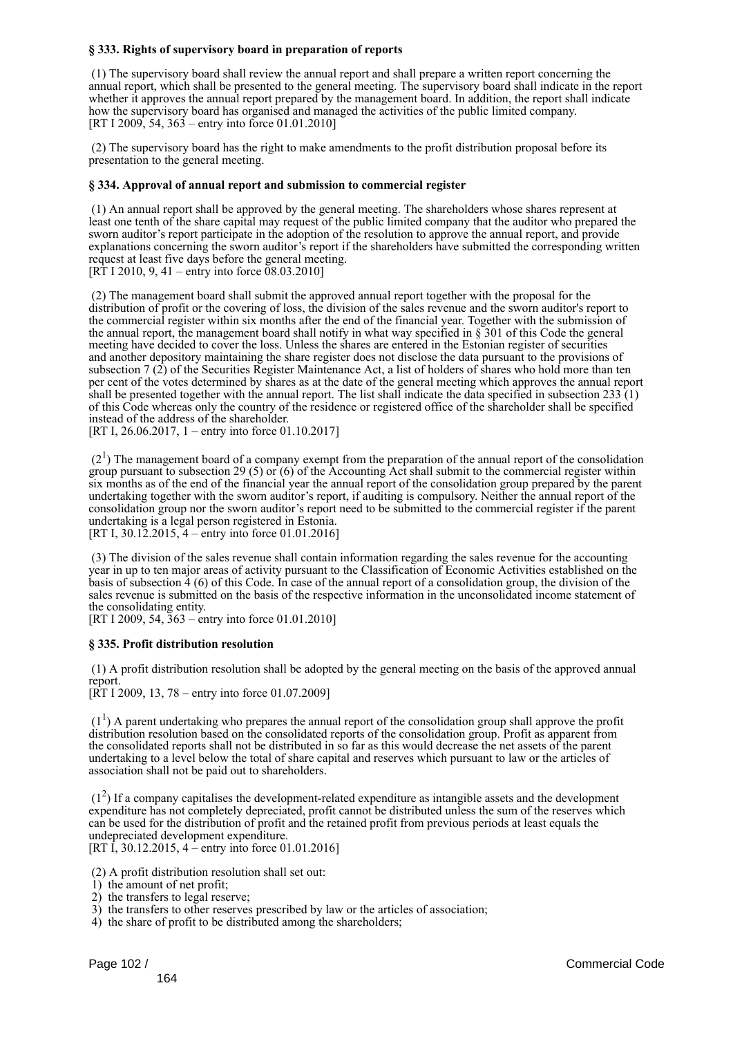# **§ 333. Rights of supervisory board in preparation of reports**

 (1) The supervisory board shall review the annual report and shall prepare a written report concerning the annual report, which shall be presented to the general meeting. The supervisory board shall indicate in the report whether it approves the annual report prepared by the management board. In addition, the report shall indicate how the supervisory board has organised and managed the activities of the public limited company. [RT I 2009, 54, 363 – entry into force 01.01.2010]

 (2) The supervisory board has the right to make amendments to the profit distribution proposal before its presentation to the general meeting.

#### **§ 334. Approval of annual report and submission to commercial register**

 (1) An annual report shall be approved by the general meeting. The shareholders whose shares represent at least one tenth of the share capital may request of the public limited company that the auditor who prepared the sworn auditor's report participate in the adoption of the resolution to approve the annual report, and provide explanations concerning the sworn auditor's report if the shareholders have submitted the corresponding written request at least five days before the general meeting. [RT I 2010, 9, 41 – entry into force  $08.03.2010$ ]

 (2) The management board shall submit the approved annual report together with the proposal for the distribution of profit or the covering of loss, the division of the sales revenue and the sworn auditor's report to the commercial register within six months after the end of the financial year. Together with the submission of the annual report, the management board shall notify in what way specified in § 301 of this Code the general meeting have decided to cover the loss. Unless the shares are entered in the Estonian register of securities and another depository maintaining the share register does not disclose the data pursuant to the provisions of subsection 7 (2) of the Securities Register Maintenance Act, a list of holders of shares who hold more than ten per cent of the votes determined by shares as at the date of the general meeting which approves the annual report shall be presented together with the annual report. The list shall indicate the data specified in subsection  $233(1)$ of this Code whereas only the country of the residence or registered office of the shareholder shall be specified instead of the address of the shareholder.

[RT I, 26.06.2017, 1 – entry into force 01.10.2017]

 $(2<sup>1</sup>)$  The management board of a company exempt from the preparation of the annual report of the consolidation group pursuant to subsection 29 (5) or (6) of the Accounting Act shall submit to the commercial register within six months as of the end of the financial year the annual report of the consolidation group prepared by the parent undertaking together with the sworn auditor's report, if auditing is compulsory. Neither the annual report of the consolidation group nor the sworn auditor's report need to be submitted to the commercial register if the parent undertaking is a legal person registered in Estonia. [RT I, 30.12.2015, 4 – entry into force 01.01.2016]

 (3) The division of the sales revenue shall contain information regarding the sales revenue for the accounting year in up to ten major areas of activity pursuant to the Classification of Economic Activities established on the basis of subsection 4 (6) of this Code. In case of the annual report of a consolidation group, the division of the sales revenue is submitted on the basis of the respective information in the unconsolidated income statement of the consolidating entity.

[RT I 2009, 54, 363 – entry into force 01.01.2010]

#### **§ 335. Profit distribution resolution**

 (1) A profit distribution resolution shall be adopted by the general meeting on the basis of the approved annual report.

 $[\overline{RT} 1 2009, 13, 78 -$  entry into force 01.07.2009]

 $(1<sup>1</sup>)$  A parent undertaking who prepares the annual report of the consolidation group shall approve the profit distribution resolution based on the consolidated reports of the consolidation group. Profit as apparent from the consolidated reports shall not be distributed in so far as this would decrease the net assets of the parent undertaking to a level below the total of share capital and reserves which pursuant to law or the articles of association shall not be paid out to shareholders.

 $(1<sup>2</sup>)$  If a company capitalises the development-related expenditure as intangible assets and the development expenditure has not completely depreciated, profit cannot be distributed unless the sum of the reserves which can be used for the distribution of profit and the retained profit from previous periods at least equals the undepreciated development expenditure.

[RT I, 30.12.2015, 4 – entry into force 01.01.2016]

(2) A profit distribution resolution shall set out:

- 1) the amount of net profit;
- 2) the transfers to legal reserve;
- 3) the transfers to other reserves prescribed by law or the articles of association;
- 4) the share of profit to be distributed among the shareholders;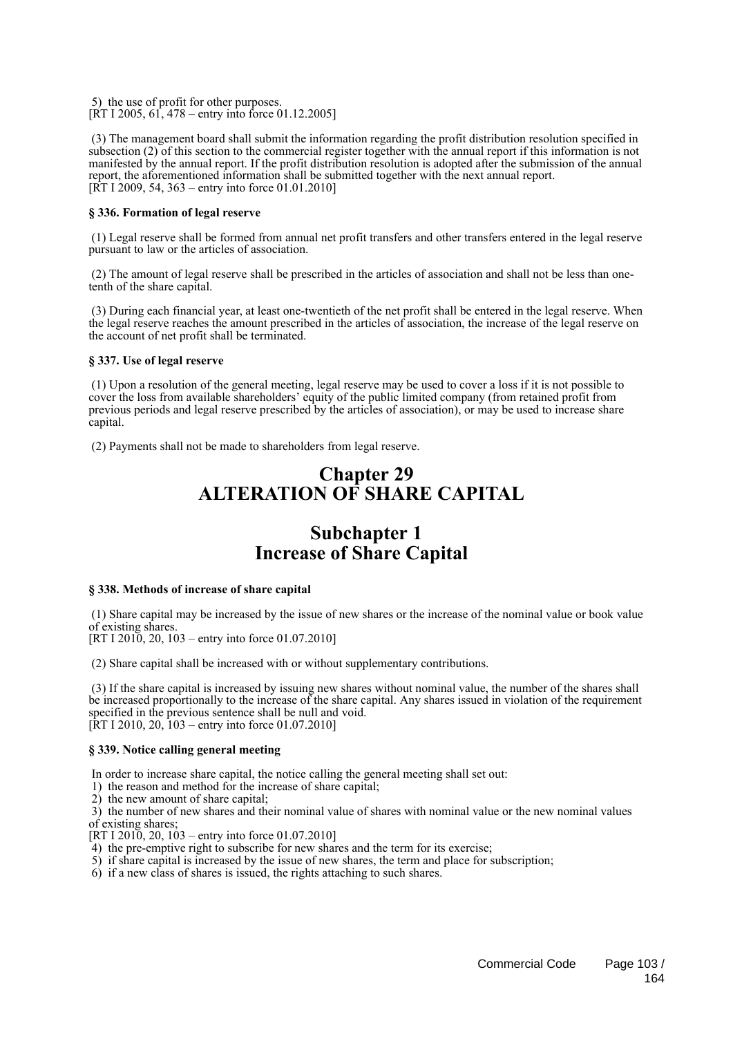5) the use of profit for other purposes. [RT I 2005, 61, 478 – entry into force 01.12.2005]

 (3) The management board shall submit the information regarding the profit distribution resolution specified in subsection (2) of this section to the commercial register together with the annual report if this information is not manifested by the annual report. If the profit distribution resolution is adopted after the submission of the annual report, the aforementioned information shall be submitted together with the next annual report. [RT I 2009, 54, 363 – entry into force 01.01.2010]

# **§ 336. Formation of legal reserve**

 (1) Legal reserve shall be formed from annual net profit transfers and other transfers entered in the legal reserve pursuant to law or the articles of association.

 (2) The amount of legal reserve shall be prescribed in the articles of association and shall not be less than onetenth of the share capital.

 (3) During each financial year, at least one-twentieth of the net profit shall be entered in the legal reserve. When the legal reserve reaches the amount prescribed in the articles of association, the increase of the legal reserve on the account of net profit shall be terminated.

## **§ 337. Use of legal reserve**

 (1) Upon a resolution of the general meeting, legal reserve may be used to cover a loss if it is not possible to cover the loss from available shareholders' equity of the public limited company (from retained profit from previous periods and legal reserve prescribed by the articles of association), or may be used to increase share capital.

(2) Payments shall not be made to shareholders from legal reserve.

# **Chapter 29 ALTERATION OF SHARE CAPITAL**

# **Subchapter 1 Increase of Share Capital**

# **§ 338. Methods of increase of share capital**

 (1) Share capital may be increased by the issue of new shares or the increase of the nominal value or book value of existing shares.

[RT I 2010, 20, 103 – entry into force 01.07.2010]

(2) Share capital shall be increased with or without supplementary contributions.

 (3) If the share capital is increased by issuing new shares without nominal value, the number of the shares shall be increased proportionally to the increase of the share capital. Any shares issued in violation of the requirement specified in the previous sentence shall be null and void. [RT I 2010, 20,  $103 -$  entry into force 01.07.2010]

#### **§ 339. Notice calling general meeting**

In order to increase share capital, the notice calling the general meeting shall set out:

1) the reason and method for the increase of share capital;

2) the new amount of share capital;

 3) the number of new shares and their nominal value of shares with nominal value or the new nominal values of existing shares;

[RT I 2010, 20,  $103$  – entry into force 01.07.2010]

4) the pre-emptive right to subscribe for new shares and the term for its exercise;

5) if share capital is increased by the issue of new shares, the term and place for subscription;

6) if a new class of shares is issued, the rights attaching to such shares.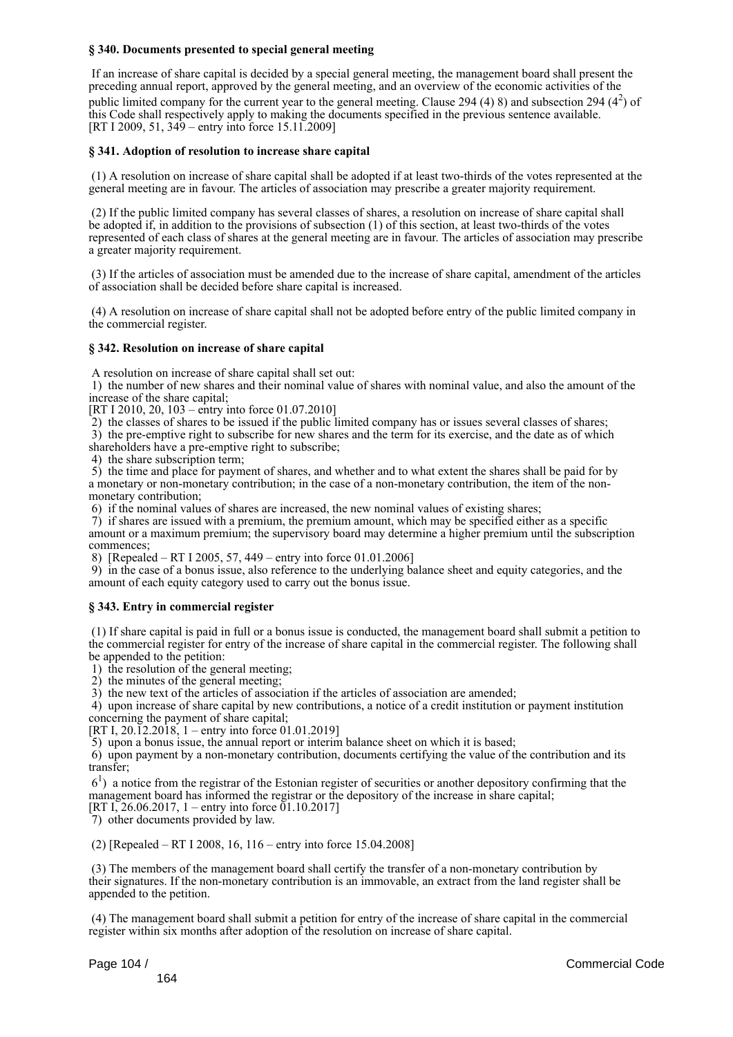## **§ 340. Documents presented to special general meeting**

 If an increase of share capital is decided by a special general meeting, the management board shall present the preceding annual report, approved by the general meeting, and an overview of the economic activities of the public limited company for the current year to the general meeting. Clause 294 (4) 8) and subsection 294 ( $4^2$ ) of this Code shall respectively apply to making the documents specified in the previous sentence available. [RT I 2009, 51, 349 – entry into force 15.11.2009]

### **§ 341. Adoption of resolution to increase share capital**

 (1) A resolution on increase of share capital shall be adopted if at least two-thirds of the votes represented at the general meeting are in favour. The articles of association may prescribe a greater majority requirement.

 (2) If the public limited company has several classes of shares, a resolution on increase of share capital shall be adopted if, in addition to the provisions of subsection (1) of this section, at least two-thirds of the votes represented of each class of shares at the general meeting are in favour. The articles of association may prescribe a greater majority requirement.

 (3) If the articles of association must be amended due to the increase of share capital, amendment of the articles of association shall be decided before share capital is increased.

 (4) A resolution on increase of share capital shall not be adopted before entry of the public limited company in the commercial register.

#### **§ 342. Resolution on increase of share capital**

A resolution on increase of share capital shall set out:

 1) the number of new shares and their nominal value of shares with nominal value, and also the amount of the increase of the share capital;

[RT I 2010, 20, 103 – entry into force 01.07.2010]

2) the classes of shares to be issued if the public limited company has or issues several classes of shares;

3) the pre-emptive right to subscribe for new shares and the term for its exercise, and the date as of which

shareholders have a pre-emptive right to subscribe;

4) the share subscription term;

 5) the time and place for payment of shares, and whether and to what extent the shares shall be paid for by a monetary or non-monetary contribution; in the case of a non-monetary contribution, the item of the nonmonetary contribution;

6) if the nominal values of shares are increased, the new nominal values of existing shares;

 7) if shares are issued with a premium, the premium amount, which may be specified either as a specific amount or a maximum premium; the supervisory board may determine a higher premium until the subscription commences;

8) [Repealed – RT I 2005, 57, 449 – entry into force 01.01.2006]

 9) in the case of a bonus issue, also reference to the underlying balance sheet and equity categories, and the amount of each equity category used to carry out the bonus issue.

#### **§ 343. Entry in commercial register**

 (1) If share capital is paid in full or a bonus issue is conducted, the management board shall submit a petition to the commercial register for entry of the increase of share capital in the commercial register. The following shall be appended to the petition:

1) the resolution of the general meeting;

2) the minutes of the general meeting;

3) the new text of the articles of association if the articles of association are amended;

 4) upon increase of share capital by new contributions, a notice of a credit institution or payment institution concerning the payment of share capital;

[RT I, 20.12.2018, 1 – entry into force 01.01.2019]

5) upon a bonus issue, the annual report or interim balance sheet on which it is based;

 6) upon payment by a non-monetary contribution, documents certifying the value of the contribution and its transfer;

 61 ) a notice from the registrar of the Estonian register of securities or another depository confirming that the management board has informed the registrar or the depository of the increase in share capital;

[RT I, 26.06.2017, 1 – entry into force  $01.10.2017$ ] 7) other documents provided by law.

(2) [Repealed – RT I 2008, 16, 116 – entry into force 15.04.2008]

 (3) The members of the management board shall certify the transfer of a non-monetary contribution by their signatures. If the non-monetary contribution is an immovable, an extract from the land register shall be appended to the petition.

 (4) The management board shall submit a petition for entry of the increase of share capital in the commercial register within six months after adoption of the resolution on increase of share capital.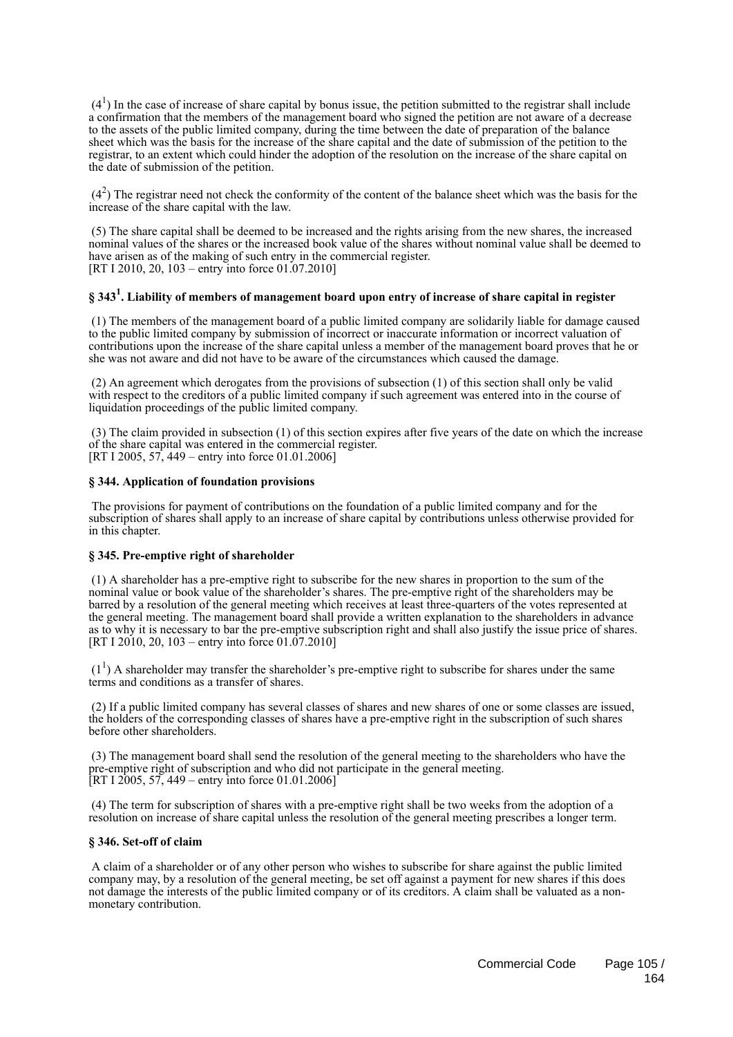$(4<sup>1</sup>)$  In the case of increase of share capital by bonus issue, the petition submitted to the registrar shall include a confirmation that the members of the management board who signed the petition are not aware of a decrease to the assets of the public limited company, during the time between the date of preparation of the balance sheet which was the basis for the increase of the share capital and the date of submission of the petition to the registrar, to an extent which could hinder the adoption of the resolution on the increase of the share capital on the date of submission of the petition.

 $(4<sup>2</sup>)$  The registrar need not check the conformity of the content of the balance sheet which was the basis for the increase of the share capital with the law.

 (5) The share capital shall be deemed to be increased and the rights arising from the new shares, the increased nominal values of the shares or the increased book value of the shares without nominal value shall be deemed to have arisen as of the making of such entry in the commercial register. [RT I 2010, 20, 103 – entry into force 01.07.2010]

# **§ 343<sup>1</sup> . Liability of members of management board upon entry of increase of share capital in register**

 (1) The members of the management board of a public limited company are solidarily liable for damage caused to the public limited company by submission of incorrect or inaccurate information or incorrect valuation of contributions upon the increase of the share capital unless a member of the management board proves that he or she was not aware and did not have to be aware of the circumstances which caused the damage.

 (2) An agreement which derogates from the provisions of subsection (1) of this section shall only be valid with respect to the creditors of a public limited company if such agreement was entered into in the course of liquidation proceedings of the public limited company.

 (3) The claim provided in subsection (1) of this section expires after five years of the date on which the increase of the share capital was entered in the commercial register. [RT I 2005, 57, 449 – entry into force 01.01.2006]

## **§ 344. Application of foundation provisions**

 The provisions for payment of contributions on the foundation of a public limited company and for the subscription of shares shall apply to an increase of share capital by contributions unless otherwise provided for in this chapter.

#### **§ 345. Pre-emptive right of shareholder**

 (1) A shareholder has a pre-emptive right to subscribe for the new shares in proportion to the sum of the nominal value or book value of the shareholder's shares. The pre-emptive right of the shareholders may be barred by a resolution of the general meeting which receives at least three-quarters of the votes represented at the general meeting. The management board shall provide a written explanation to the shareholders in advance as to why it is necessary to bar the pre-emptive subscription right and shall also justify the issue price of shares. [RT I 2010, 20, 103 – entry into force 01.07.2010]

 $(1<sup>1</sup>)$  A shareholder may transfer the shareholder's pre-emptive right to subscribe for shares under the same terms and conditions as a transfer of shares.

 (2) If a public limited company has several classes of shares and new shares of one or some classes are issued, the holders of the corresponding classes of shares have a pre-emptive right in the subscription of such shares before other shareholders.

 (3) The management board shall send the resolution of the general meeting to the shareholders who have the pre-emptive right of subscription and who did not participate in the general meeting. [RT I 2005, 57, 449 – entry into force 01.01.2006]

 (4) The term for subscription of shares with a pre-emptive right shall be two weeks from the adoption of a resolution on increase of share capital unless the resolution of the general meeting prescribes a longer term.

#### **§ 346. Set-off of claim**

 A claim of a shareholder or of any other person who wishes to subscribe for share against the public limited company may, by a resolution of the general meeting, be set off against a payment for new shares if this does not damage the interests of the public limited company or of its creditors. A claim shall be valuated as a nonmonetary contribution.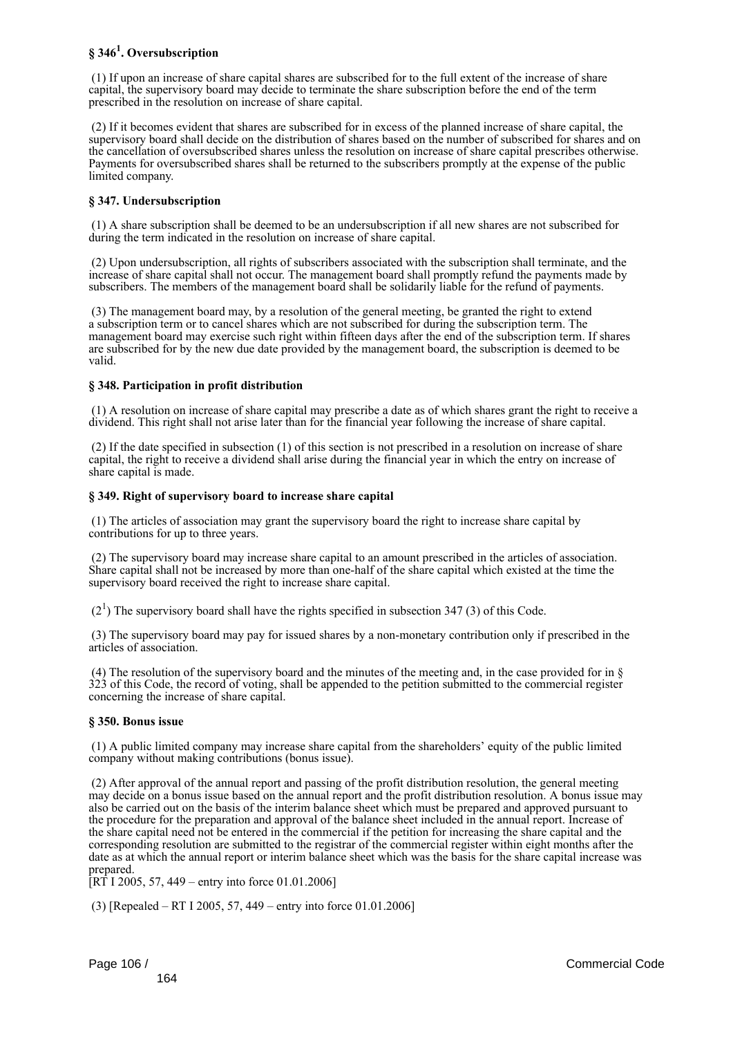# **§ 346<sup>1</sup> . Oversubscription**

 (1) If upon an increase of share capital shares are subscribed for to the full extent of the increase of share capital, the supervisory board may decide to terminate the share subscription before the end of the term prescribed in the resolution on increase of share capital.

 (2) If it becomes evident that shares are subscribed for in excess of the planned increase of share capital, the supervisory board shall decide on the distribution of shares based on the number of subscribed for shares and on the cancellation of oversubscribed shares unless the resolution on increase of share capital prescribes otherwise. Payments for oversubscribed shares shall be returned to the subscribers promptly at the expense of the public limited company.

# **§ 347. Undersubscription**

 (1) A share subscription shall be deemed to be an undersubscription if all new shares are not subscribed for during the term indicated in the resolution on increase of share capital.

 (2) Upon undersubscription, all rights of subscribers associated with the subscription shall terminate, and the increase of share capital shall not occur. The management board shall promptly refund the payments made by subscribers. The members of the management board shall be solidarily liable for the refund of payments.

 (3) The management board may, by a resolution of the general meeting, be granted the right to extend a subscription term or to cancel shares which are not subscribed for during the subscription term. The management board may exercise such right within fifteen days after the end of the subscription term. If shares are subscribed for by the new due date provided by the management board, the subscription is deemed to be valid.

# **§ 348. Participation in profit distribution**

 (1) A resolution on increase of share capital may prescribe a date as of which shares grant the right to receive a dividend. This right shall not arise later than for the financial year following the increase of share capital.

 (2) If the date specified in subsection (1) of this section is not prescribed in a resolution on increase of share capital, the right to receive a dividend shall arise during the financial year in which the entry on increase of share capital is made.

# **§ 349. Right of supervisory board to increase share capital**

 (1) The articles of association may grant the supervisory board the right to increase share capital by contributions for up to three years.

 (2) The supervisory board may increase share capital to an amount prescribed in the articles of association. Share capital shall not be increased by more than one-half of the share capital which existed at the time the supervisory board received the right to increase share capital.

 $(2<sup>1</sup>)$  The supervisory board shall have the rights specified in subsection 347 (3) of this Code.

 (3) The supervisory board may pay for issued shares by a non-monetary contribution only if prescribed in the articles of association.

 (4) The resolution of the supervisory board and the minutes of the meeting and, in the case provided for in § 323 of this Code, the record of voting, shall be appended to the petition submitted to the commercial register concerning the increase of share capital.

# **§ 350. Bonus issue**

 (1) A public limited company may increase share capital from the shareholders' equity of the public limited company without making contributions (bonus issue).

 (2) After approval of the annual report and passing of the profit distribution resolution, the general meeting may decide on a bonus issue based on the annual report and the profit distribution resolution. A bonus issue may also be carried out on the basis of the interim balance sheet which must be prepared and approved pursuant to the procedure for the preparation and approval of the balance sheet included in the annual report. Increase of the share capital need not be entered in the commercial if the petition for increasing the share capital and the corresponding resolution are submitted to the registrar of the commercial register within eight months after the date as at which the annual report or interim balance sheet which was the basis for the share capital increase was prepared.

 $[RT 1 2005, 57, 449 -$  entry into force 01.01.2006]

(3) [Repealed – RT I 2005, 57, 449 – entry into force 01.01.2006]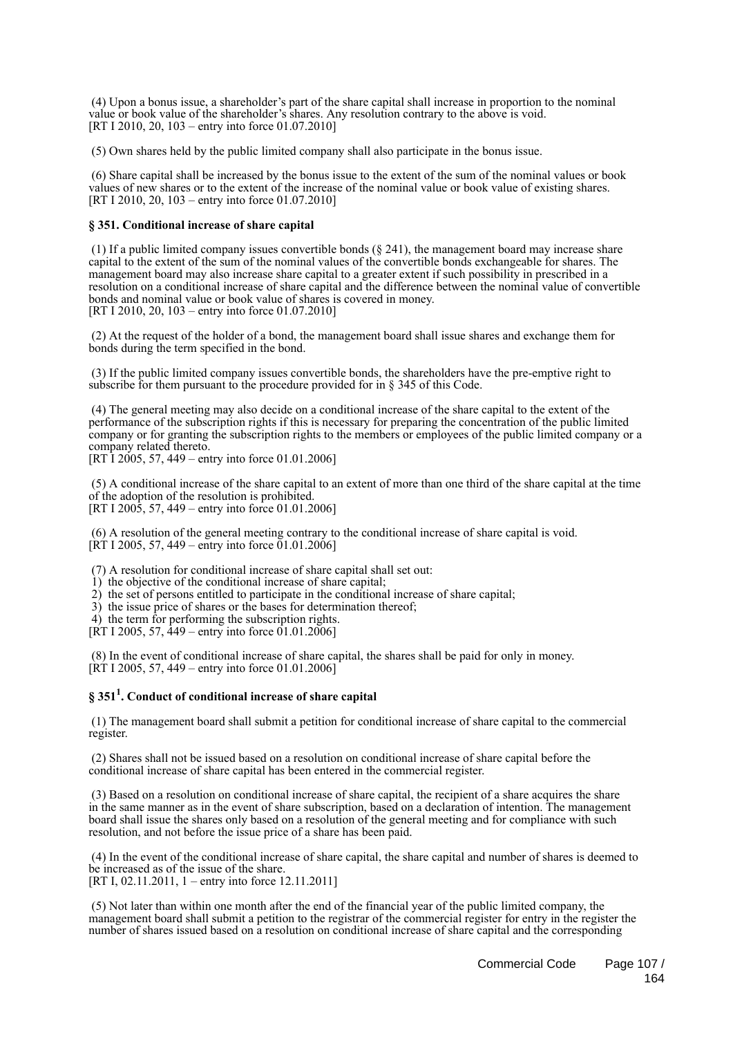(4) Upon a bonus issue, a shareholder's part of the share capital shall increase in proportion to the nominal value or book value of the shareholder's shares. Any resolution contrary to the above is void. [RT I 2010, 20, 103 – entry into force 01.07.2010]

(5) Own shares held by the public limited company shall also participate in the bonus issue.

 (6) Share capital shall be increased by the bonus issue to the extent of the sum of the nominal values or book values of new shares or to the extent of the increase of the nominal value or book value of existing shares. [RT I 2010, 20, 103 – entry into force 01.07.2010]

## **§ 351. Conditional increase of share capital**

 (1) If a public limited company issues convertible bonds (§ 241), the management board may increase share capital to the extent of the sum of the nominal values of the convertible bonds exchangeable for shares. The management board may also increase share capital to a greater extent if such possibility in prescribed in a resolution on a conditional increase of share capital and the difference between the nominal value of convertible bonds and nominal value or book value of shares is covered in money. [RT I 2010, 20, 103 – entry into force 01.07.2010]

 (2) At the request of the holder of a bond, the management board shall issue shares and exchange them for bonds during the term specified in the bond.

 (3) If the public limited company issues convertible bonds, the shareholders have the pre-emptive right to subscribe for them pursuant to the procedure provided for in § 345 of this Code.

 (4) The general meeting may also decide on a conditional increase of the share capital to the extent of the performance of the subscription rights if this is necessary for preparing the concentration of the public limited company or for granting the subscription rights to the members or employees of the public limited company or a company related thereto.

[RT I 2005, 57, 449 – entry into force 01.01.2006]

 (5) A conditional increase of the share capital to an extent of more than one third of the share capital at the time of the adoption of the resolution is prohibited. [RT I 2005, 57, 449 – entry into force 01.01.2006]

 (6) A resolution of the general meeting contrary to the conditional increase of share capital is void.  $[\hat{R}T\ I\ 2005, 57, 449 -$  entry into force 01.01.2006]

(7) A resolution for conditional increase of share capital shall set out:

1) the objective of the conditional increase of share capital;

- 2) the set of persons entitled to participate in the conditional increase of share capital;
- 3) the issue price of shares or the bases for determination thereof;

4) the term for performing the subscription rights.

[RT I 2005, 57, 449 – entry into force 01.01.2006]

 (8) In the event of conditional increase of share capital, the shares shall be paid for only in money. [RT I 2005, 57, 449 – entry into force 01.01.2006]

# **§ 351<sup>1</sup> . Conduct of conditional increase of share capital**

 (1) The management board shall submit a petition for conditional increase of share capital to the commercial register.

 (2) Shares shall not be issued based on a resolution on conditional increase of share capital before the conditional increase of share capital has been entered in the commercial register.

 (3) Based on a resolution on conditional increase of share capital, the recipient of a share acquires the share in the same manner as in the event of share subscription, based on a declaration of intention. The management board shall issue the shares only based on a resolution of the general meeting and for compliance with such resolution, and not before the issue price of a share has been paid.

 (4) In the event of the conditional increase of share capital, the share capital and number of shares is deemed to be increased as of the issue of the share.

[RT I, 02.11.2011, 1 – entry into force 12.11.2011]

 (5) Not later than within one month after the end of the financial year of the public limited company, the management board shall submit a petition to the registrar of the commercial register for entry in the register the number of shares issued based on a resolution on conditional increase of share capital and the corresponding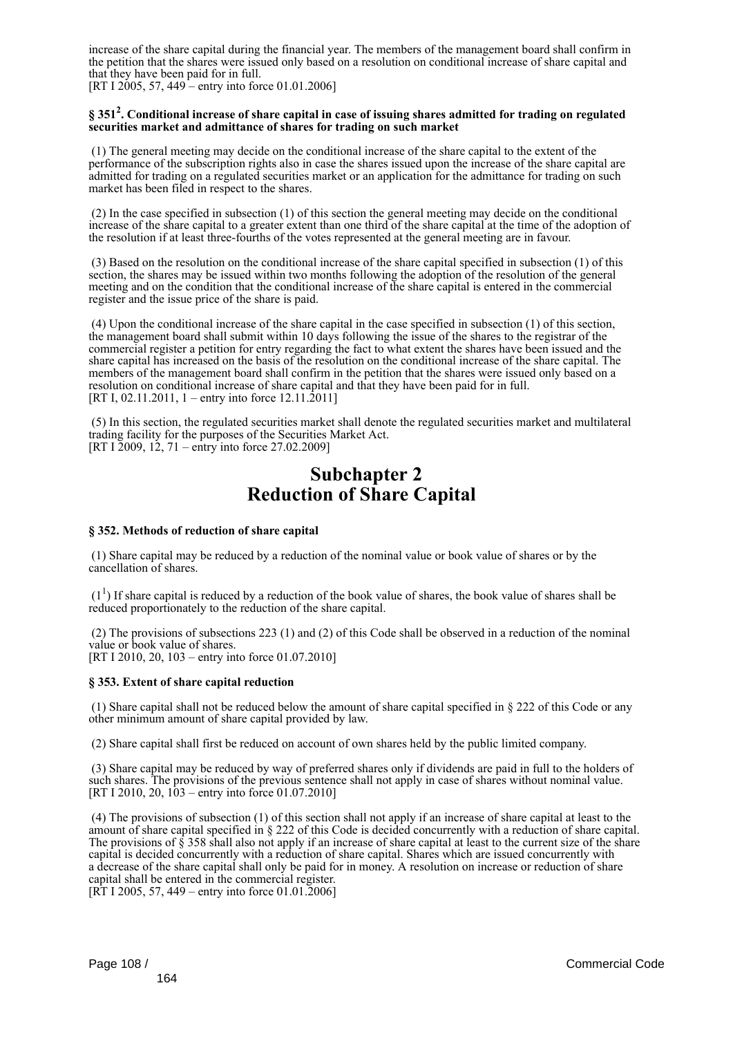increase of the share capital during the financial year. The members of the management board shall confirm in the petition that the shares were issued only based on a resolution on conditional increase of share capital and that they have been paid for in full.

[RT I 2005, 57, 449 – entry into force 01.01.2006]

# **§ 351<sup>2</sup> . Conditional increase of share capital in case of issuing shares admitted for trading on regulated securities market and admittance of shares for trading on such market**

 (1) The general meeting may decide on the conditional increase of the share capital to the extent of the performance of the subscription rights also in case the shares issued upon the increase of the share capital are admitted for trading on a regulated securities market or an application for the admittance for trading on such market has been filed in respect to the shares.

 (2) In the case specified in subsection (1) of this section the general meeting may decide on the conditional increase of the share capital to a greater extent than one third of the share capital at the time of the adoption of the resolution if at least three-fourths of the votes represented at the general meeting are in favour.

 (3) Based on the resolution on the conditional increase of the share capital specified in subsection (1) of this section, the shares may be issued within two months following the adoption of the resolution of the general meeting and on the condition that the conditional increase of the share capital is entered in the commercial register and the issue price of the share is paid.

 (4) Upon the conditional increase of the share capital in the case specified in subsection (1) of this section, the management board shall submit within 10 days following the issue of the shares to the registrar of the commercial register a petition for entry regarding the fact to what extent the shares have been issued and the share capital has increased on the basis of the resolution on the conditional increase of the share capital. The members of the management board shall confirm in the petition that the shares were issued only based on a resolution on conditional increase of share capital and that they have been paid for in full. [RT I, 02.11.2011, 1 – entry into force 12.11.2011]

 (5) In this section, the regulated securities market shall denote the regulated securities market and multilateral trading facility for the purposes of the Securities Market Act. [RT I 2009, 12, 71 – entry into force 27.02.2009]

# **Subchapter 2 Reduction of Share Capital**

# **§ 352. Methods of reduction of share capital**

 (1) Share capital may be reduced by a reduction of the nominal value or book value of shares or by the cancellation of shares.

 $(1<sup>1</sup>)$  If share capital is reduced by a reduction of the book value of shares, the book value of shares shall be reduced proportionately to the reduction of the share capital.

 (2) The provisions of subsections 223 (1) and (2) of this Code shall be observed in a reduction of the nominal value or book value of shares. [RT I 2010, 20, 103 – entry into force 01.07.2010]

# **§ 353. Extent of share capital reduction**

 (1) Share capital shall not be reduced below the amount of share capital specified in § 222 of this Code or any other minimum amount of share capital provided by law.

(2) Share capital shall first be reduced on account of own shares held by the public limited company.

 (3) Share capital may be reduced by way of preferred shares only if dividends are paid in full to the holders of such shares. The provisions of the previous sentence shall not apply in case of shares without nominal value. [RT I 2010, 20, 103 – entry into force 01.07.2010]

 (4) The provisions of subsection (1) of this section shall not apply if an increase of share capital at least to the amount of share capital specified in § 222 of this Code is decided concurrently with a reduction of share capital. The provisions of  $\S$  358 shall also not apply if an increase of share capital at least to the current size of the share capital is decided concurrently with a reduction of share capital. Shares which are issued concurrently with a decrease of the share capital shall only be paid for in money. A resolution on increase or reduction of share capital shall be entered in the commercial register.  $[\hat{RT} I 2005, 57, 449 -$  entry into force 01.01.2006]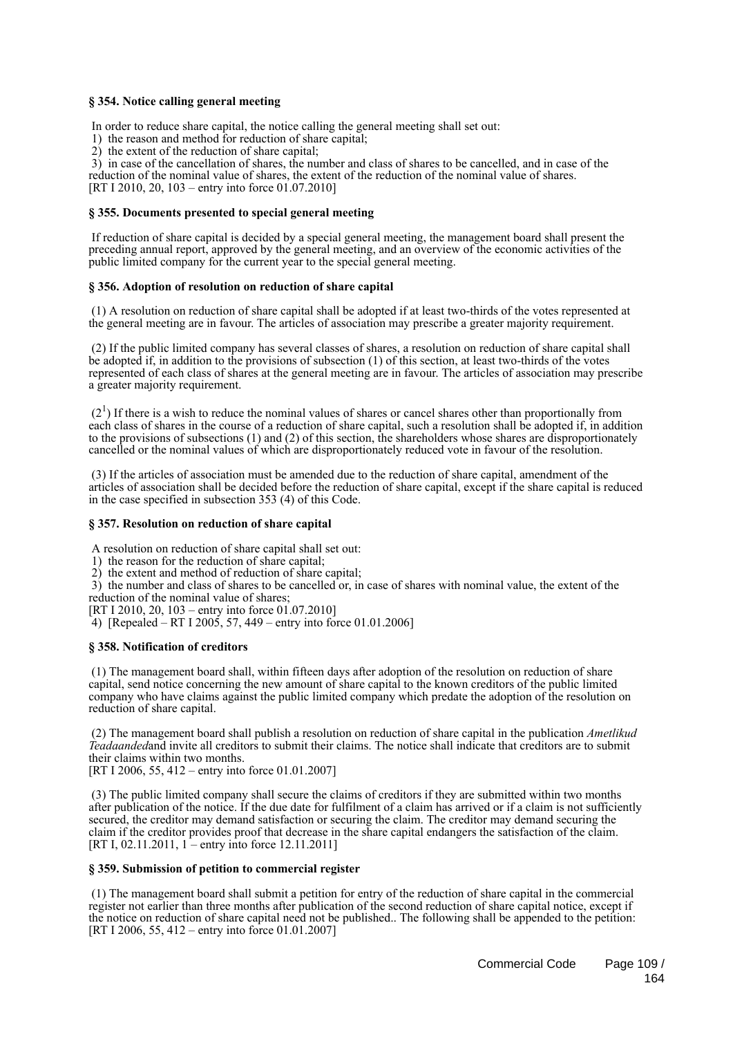### **§ 354. Notice calling general meeting**

In order to reduce share capital, the notice calling the general meeting shall set out:

1) the reason and method for reduction of share capital;

2) the extent of the reduction of share capital;

 3) in case of the cancellation of shares, the number and class of shares to be cancelled, and in case of the reduction of the nominal value of shares, the extent of the reduction of the nominal value of shares. [RT I 2010, 20, 103 – entry into force 01.07.2010]

### **§ 355. Documents presented to special general meeting**

 If reduction of share capital is decided by a special general meeting, the management board shall present the preceding annual report, approved by the general meeting, and an overview of the economic activities of the public limited company for the current year to the special general meeting.

### **§ 356. Adoption of resolution on reduction of share capital**

 (1) A resolution on reduction of share capital shall be adopted if at least two-thirds of the votes represented at the general meeting are in favour. The articles of association may prescribe a greater majority requirement.

 (2) If the public limited company has several classes of shares, a resolution on reduction of share capital shall be adopted if, in addition to the provisions of subsection (1) of this section, at least two-thirds of the votes represented of each class of shares at the general meeting are in favour. The articles of association may prescribe a greater majority requirement.

 $(2<sup>1</sup>)$  If there is a wish to reduce the nominal values of shares or cancel shares other than proportionally from each class of shares in the course of a reduction of share capital, such a resolution shall be adopted if, in addition to the provisions of subsections (1) and (2) of this section, the shareholders whose shares are disproportionately cancelled or the nominal values of which are disproportionately reduced vote in favour of the resolution.

 (3) If the articles of association must be amended due to the reduction of share capital, amendment of the articles of association shall be decided before the reduction of share capital, except if the share capital is reduced in the case specified in subsection 353 (4) of this Code.

### **§ 357. Resolution on reduction of share capital**

A resolution on reduction of share capital shall set out:

1) the reason for the reduction of share capital;

2) the extent and method of reduction of share capital;

 3) the number and class of shares to be cancelled or, in case of shares with nominal value, the extent of the reduction of the nominal value of shares;

[RT I 2010, 20, 103 – entry into force  $01.07.2010$ ]

4) [Repealed – RT I 2005, 57, 449 – entry into force 01.01.2006]

### **§ 358. Notification of creditors**

 (1) The management board shall, within fifteen days after adoption of the resolution on reduction of share capital, send notice concerning the new amount of share capital to the known creditors of the public limited company who have claims against the public limited company which predate the adoption of the resolution on reduction of share capital.

 (2) The management board shall publish a resolution on reduction of share capital in the publication *Ametlikud Teadaanded*and invite all creditors to submit their claims. The notice shall indicate that creditors are to submit their claims within two months.

[RT I 2006, 55, 412 – entry into force 01.01.2007]

 (3) The public limited company shall secure the claims of creditors if they are submitted within two months after publication of the notice. If the due date for fulfilment of a claim has arrived or if a claim is not sufficiently secured, the creditor may demand satisfaction or securing the claim. The creditor may demand securing the claim if the creditor provides proof that decrease in the share capital endangers the satisfaction of the claim. [RT I, 02.11.2011, 1 – entry into force 12.11.2011]

### **§ 359. Submission of petition to commercial register**

 (1) The management board shall submit a petition for entry of the reduction of share capital in the commercial register not earlier than three months after publication of the second reduction of share capital notice, except if the notice on reduction of share capital need not be published.. The following shall be appended to the petition: [RT I 2006, 55, 412 – entry into force 01.01.2007]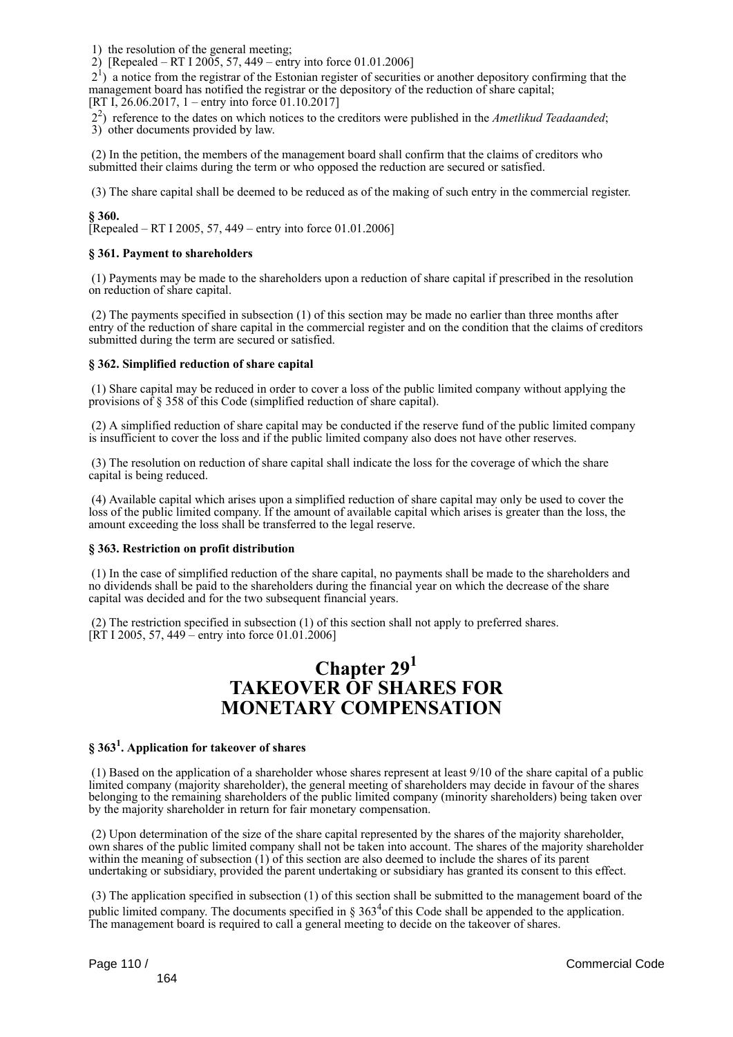1) the resolution of the general meeting;

2) [Repealed – RT I 2005, 57, 449 – entry into force 01.01.2006]

 21 ) a notice from the registrar of the Estonian register of securities or another depository confirming that the management board has notified the registrar or the depository of the reduction of share capital; [RT I, 26.06.2017, 1 – entry into force 01.10.2017]

22 ) reference to the dates on which notices to the creditors were published in the *Ametlikud Teadaanded*;

3) other documents provided by law.

 (2) In the petition, the members of the management board shall confirm that the claims of creditors who submitted their claims during the term or who opposed the reduction are secured or satisfied.

(3) The share capital shall be deemed to be reduced as of the making of such entry in the commercial register.

### **§ 360.**

[Repealed – RT I 2005, 57, 449 – entry into force  $01.01.2006$ ]

### **§ 361. Payment to shareholders**

 (1) Payments may be made to the shareholders upon a reduction of share capital if prescribed in the resolution on reduction of share capital.

 (2) The payments specified in subsection (1) of this section may be made no earlier than three months after entry of the reduction of share capital in the commercial register and on the condition that the claims of creditors submitted during the term are secured or satisfied.

### **§ 362. Simplified reduction of share capital**

 (1) Share capital may be reduced in order to cover a loss of the public limited company without applying the provisions of § 358 of this Code (simplified reduction of share capital).

 (2) A simplified reduction of share capital may be conducted if the reserve fund of the public limited company is insufficient to cover the loss and if the public limited company also does not have other reserves.

 (3) The resolution on reduction of share capital shall indicate the loss for the coverage of which the share capital is being reduced.

 (4) Available capital which arises upon a simplified reduction of share capital may only be used to cover the loss of the public limited company. If the amount of available capital which arises is greater than the loss, the amount exceeding the loss shall be transferred to the legal reserve.

### **§ 363. Restriction on profit distribution**

 (1) In the case of simplified reduction of the share capital, no payments shall be made to the shareholders and no dividends shall be paid to the shareholders during the financial year on which the decrease of the share capital was decided and for the two subsequent financial years.

 (2) The restriction specified in subsection (1) of this section shall not apply to preferred shares. [RT I 2005, 57, 449 – entry into force 01.01.2006]

## **Chapter 29<sup>1</sup> TAKEOVER OF SHARES FOR MONETARY COMPENSATION**

### **§ 363<sup>1</sup> . Application for takeover of shares**

 (1) Based on the application of a shareholder whose shares represent at least 9/10 of the share capital of a public limited company (majority shareholder), the general meeting of shareholders may decide in favour of the shares belonging to the remaining shareholders of the public limited company (minority shareholders) being taken over by the majority shareholder in return for fair monetary compensation.

 (2) Upon determination of the size of the share capital represented by the shares of the majority shareholder, own shares of the public limited company shall not be taken into account. The shares of the majority shareholder within the meaning of subsection (1) of this section are also deemed to include the shares of its parent undertaking or subsidiary, provided the parent undertaking or subsidiary has granted its consent to this effect.

 (3) The application specified in subsection (1) of this section shall be submitted to the management board of the public limited company. The documents specified in  $\S 363<sup>4</sup>$  of this Code shall be appended to the application. The management board is required to call a general meeting to decide on the takeover of shares.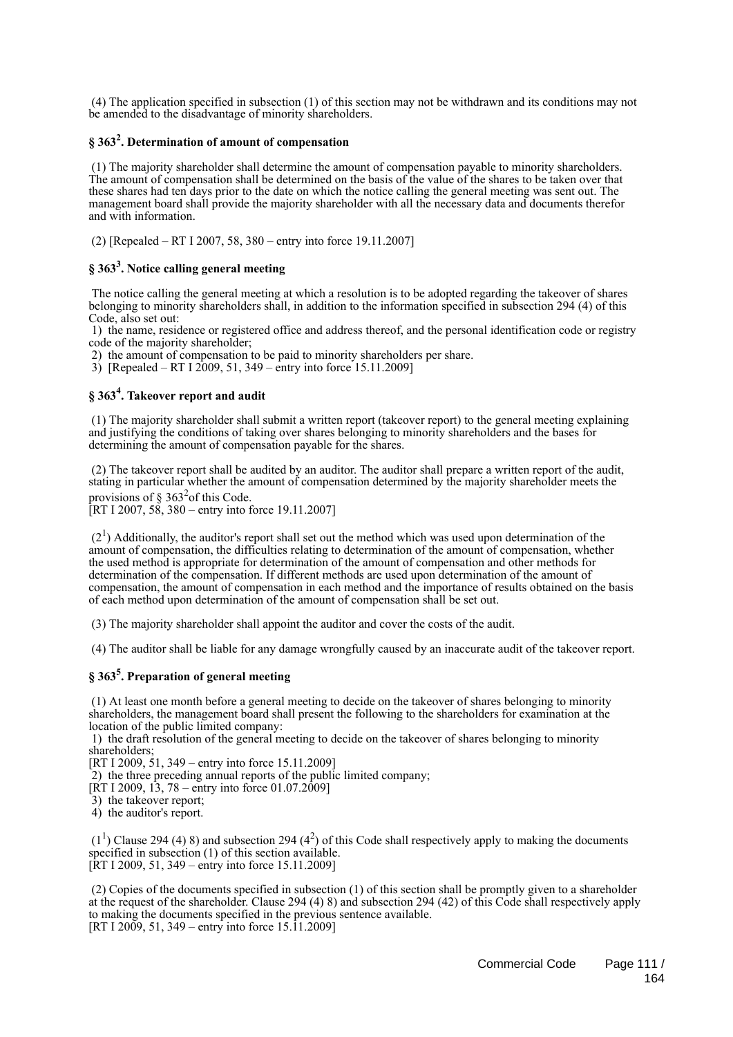(4) The application specified in subsection (1) of this section may not be withdrawn and its conditions may not be amended to the disadvantage of minority shareholders.

### **§ 363<sup>2</sup> . Determination of amount of compensation**

 (1) The majority shareholder shall determine the amount of compensation payable to minority shareholders. The amount of compensation shall be determined on the basis of the value of the shares to be taken over that these shares had ten days prior to the date on which the notice calling the general meeting was sent out. The management board shall provide the majority shareholder with all the necessary data and documents therefor and with information.

(2) [Repealed – RT I 2007, 58, 380 – entry into force 19.11.2007]

### **§ 363<sup>3</sup> . Notice calling general meeting**

 The notice calling the general meeting at which a resolution is to be adopted regarding the takeover of shares belonging to minority shareholders shall, in addition to the information specified in subsection 294 (4) of this Code, also set out:

 1) the name, residence or registered office and address thereof, and the personal identification code or registry code of the majority shareholder;

2) the amount of compensation to be paid to minority shareholders per share.

3) [Repealed – RT I 2009, 51, 349 – entry into force 15.11.2009]

### **§ 363<sup>4</sup> . Takeover report and audit**

 (1) The majority shareholder shall submit a written report (takeover report) to the general meeting explaining and justifying the conditions of taking over shares belonging to minority shareholders and the bases for determining the amount of compensation payable for the shares.

 (2) The takeover report shall be audited by an auditor. The auditor shall prepare a written report of the audit, stating in particular whether the amount of compensation determined by the majority shareholder meets the provisions of  $\S 363^2$ of this Code.

[RT I 2007,  $58$ ,  $380 -$  entry into force 19.11.2007]

 $(2<sup>1</sup>)$  Additionally, the auditor's report shall set out the method which was used upon determination of the amount of compensation, the difficulties relating to determination of the amount of compensation, whether the used method is appropriate for determination of the amount of compensation and other methods for determination of the compensation. If different methods are used upon determination of the amount of compensation, the amount of compensation in each method and the importance of results obtained on the basis of each method upon determination of the amount of compensation shall be set out.

(3) The majority shareholder shall appoint the auditor and cover the costs of the audit.

(4) The auditor shall be liable for any damage wrongfully caused by an inaccurate audit of the takeover report.

### **§ 363<sup>5</sup> . Preparation of general meeting**

 (1) At least one month before a general meeting to decide on the takeover of shares belonging to minority shareholders, the management board shall present the following to the shareholders for examination at the location of the public limited company:

 1) the draft resolution of the general meeting to decide on the takeover of shares belonging to minority shareholders;

[RT I 2009, 51, 349 – entry into force 15.11.2009]

2) the three preceding annual reports of the public limited company;

[RT I 2009, 13, 78 – entry into force 01.07.2009]

3) the takeover report;

4) the auditor's report.

 $(1<sup>1</sup>)$  Clause 294 (4) 8) and subsection 294 (4<sup>2</sup>) of this Code shall respectively apply to making the documents specified in subsection (1) of this section available. [RT I 2009, 51, 349 – entry into force 15.11.2009]

 (2) Copies of the documents specified in subsection (1) of this section shall be promptly given to a shareholder at the request of the shareholder. Clause 294 (4) 8) and subsection 294 (42) of this Code shall respectively apply to making the documents specified in the previous sentence available. [RT I 2009, 51, 349 – entry into force 15.11.2009]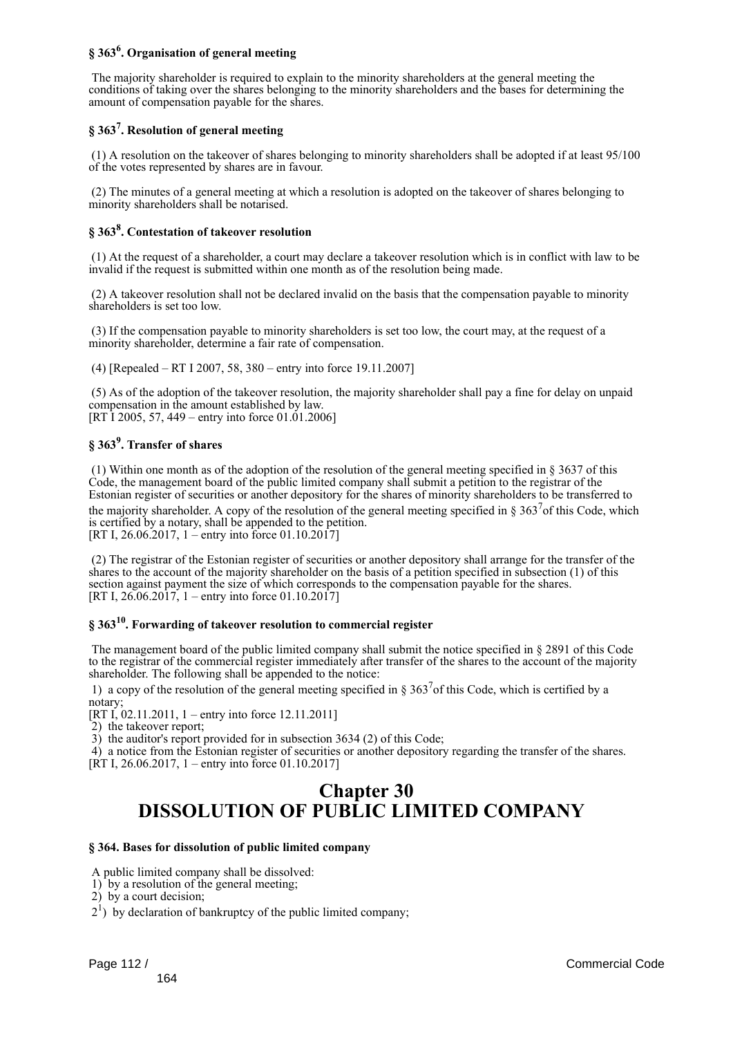### **§ 363<sup>6</sup> . Organisation of general meeting**

 The majority shareholder is required to explain to the minority shareholders at the general meeting the conditions of taking over the shares belonging to the minority shareholders and the bases for determining the amount of compensation payable for the shares.

### **§ 363<sup>7</sup> . Resolution of general meeting**

 (1) A resolution on the takeover of shares belonging to minority shareholders shall be adopted if at least 95/100 of the votes represented by shares are in favour.

 (2) The minutes of a general meeting at which a resolution is adopted on the takeover of shares belonging to minority shareholders shall be notarised.

### **§ 363<sup>8</sup> . Contestation of takeover resolution**

 (1) At the request of a shareholder, a court may declare a takeover resolution which is in conflict with law to be invalid if the request is submitted within one month as of the resolution being made.

 (2) A takeover resolution shall not be declared invalid on the basis that the compensation payable to minority shareholders is set too low.

 (3) If the compensation payable to minority shareholders is set too low, the court may, at the request of a minority shareholder, determine a fair rate of compensation.

(4) [Repealed – RT I 2007, 58, 380 – entry into force 19.11.2007]

 (5) As of the adoption of the takeover resolution, the majority shareholder shall pay a fine for delay on unpaid compensation in the amount established by law. [RT I 2005, 57, 449 – entry into force 01.01.2006]

### **§ 363<sup>9</sup> . Transfer of shares**

 (1) Within one month as of the adoption of the resolution of the general meeting specified in § 3637 of this Code, the management board of the public limited company shall submit a petition to the registrar of the Estonian register of securities or another depository for the shares of minority shareholders to be transferred to

the majority shareholder. A copy of the resolution of the general meeting specified in § 363<sup>7</sup> of this Code, which is certified by a notary, shall be appended to the petition. [RT I, 26.06.2017, 1 – entry into force 01.10.2017]

 (2) The registrar of the Estonian register of securities or another depository shall arrange for the transfer of the shares to the account of the majority shareholder on the basis of a petition specified in subsection (1) of this section against payment the size of which corresponds to the compensation payable for the shares. [RT I,  $26.06.2017$ , 1 – entry into force 01.10.2017]

### **§ 363<sup>10</sup> . Forwarding of takeover resolution to commercial register**

 The management board of the public limited company shall submit the notice specified in § 2891 of this Code to the registrar of the commercial register immediately after transfer of the shares to the account of the majority shareholder. The following shall be appended to the notice:

1) a copy of the resolution of the general meeting specified in  $\S 363^7$  of this Code, which is certified by a notary;

[RT I, 02.11.2011, 1 – entry into force 12.11.2011]

2) the takeover report;

3) the auditor's report provided for in subsection 3634 (2) of this Code;

 4) a notice from the Estonian register of securities or another depository regarding the transfer of the shares. [RT I, 26,06,2017, 1 – entry into force 01,10,2017]

## **Chapter 30 DISSOLUTION OF PUBLIC LIMITED COMPANY**

### **§ 364. Bases for dissolution of public limited company**

A public limited company shall be dissolved:

1) by a resolution of the general meeting;

2) by a court decision;

 $2<sup>1</sup>$ ) by declaration of bankruptcy of the public limited company;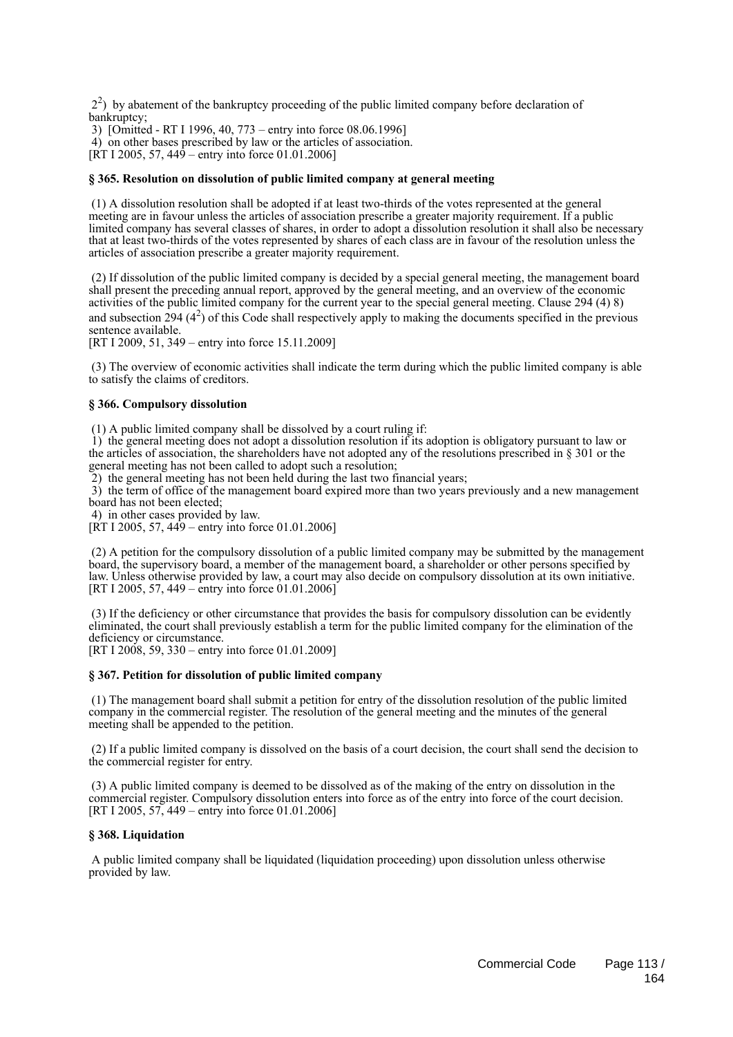22 ) by abatement of the bankruptcy proceeding of the public limited company before declaration of bankruptcy;

3) [Omitted - RT I 1996, 40, 773 – entry into force 08.06.1996]

4) on other bases prescribed by law or the articles of association.

 $[\text{RT } I \, 2005, 57, 449 - \text{entry into force } 01.01.2006]$ 

### **§ 365. Resolution on dissolution of public limited company at general meeting**

 (1) A dissolution resolution shall be adopted if at least two-thirds of the votes represented at the general meeting are in favour unless the articles of association prescribe a greater majority requirement. If a public limited company has several classes of shares, in order to adopt a dissolution resolution it shall also be necessary that at least two-thirds of the votes represented by shares of each class are in favour of the resolution unless the articles of association prescribe a greater majority requirement.

 (2) If dissolution of the public limited company is decided by a special general meeting, the management board shall present the preceding annual report, approved by the general meeting, and an overview of the economic activities of the public limited company for the current year to the special general meeting. Clause 294 (4) 8) and subsection 294  $(4^2)$  of this Code shall respectively apply to making the documents specified in the previous sentence available.

[RT I 2009, 51, 349 – entry into force 15.11.2009]

 (3) The overview of economic activities shall indicate the term during which the public limited company is able to satisfy the claims of creditors.

#### **§ 366. Compulsory dissolution**

(1) A public limited company shall be dissolved by a court ruling if:

 1) the general meeting does not adopt a dissolution resolution if its adoption is obligatory pursuant to law or the articles of association, the shareholders have not adopted any of the resolutions prescribed in § 301 or the general meeting has not been called to adopt such a resolution;

2) the general meeting has not been held during the last two financial years;

 3) the term of office of the management board expired more than two years previously and a new management board has not been elected;

4) in other cases provided by law.

[RT I 2005, 57, 449 – entry into force 01.01.2006]

 (2) A petition for the compulsory dissolution of a public limited company may be submitted by the management board, the supervisory board, a member of the management board, a shareholder or other persons specified by law. Unless otherwise provided by law, a court may also decide on compulsory dissolution at its own initiative. [RT I 2005, 57, 449 – entry into force 01.01.2006]

 (3) If the deficiency or other circumstance that provides the basis for compulsory dissolution can be evidently eliminated, the court shall previously establish a term for the public limited company for the elimination of the deficiency or circumstance.

[RT I 2008, 59, 330 – entry into force 01.01.2009]

### **§ 367. Petition for dissolution of public limited company**

 (1) The management board shall submit a petition for entry of the dissolution resolution of the public limited company in the commercial register. The resolution of the general meeting and the minutes of the general meeting shall be appended to the petition.

 (2) If a public limited company is dissolved on the basis of a court decision, the court shall send the decision to the commercial register for entry.

 (3) A public limited company is deemed to be dissolved as of the making of the entry on dissolution in the commercial register. Compulsory dissolution enters into force as of the entry into force of the court decision. [RT I 2005, 57, 449 – entry into force 01.01.2006]

### **§ 368. Liquidation**

 A public limited company shall be liquidated (liquidation proceeding) upon dissolution unless otherwise provided by law.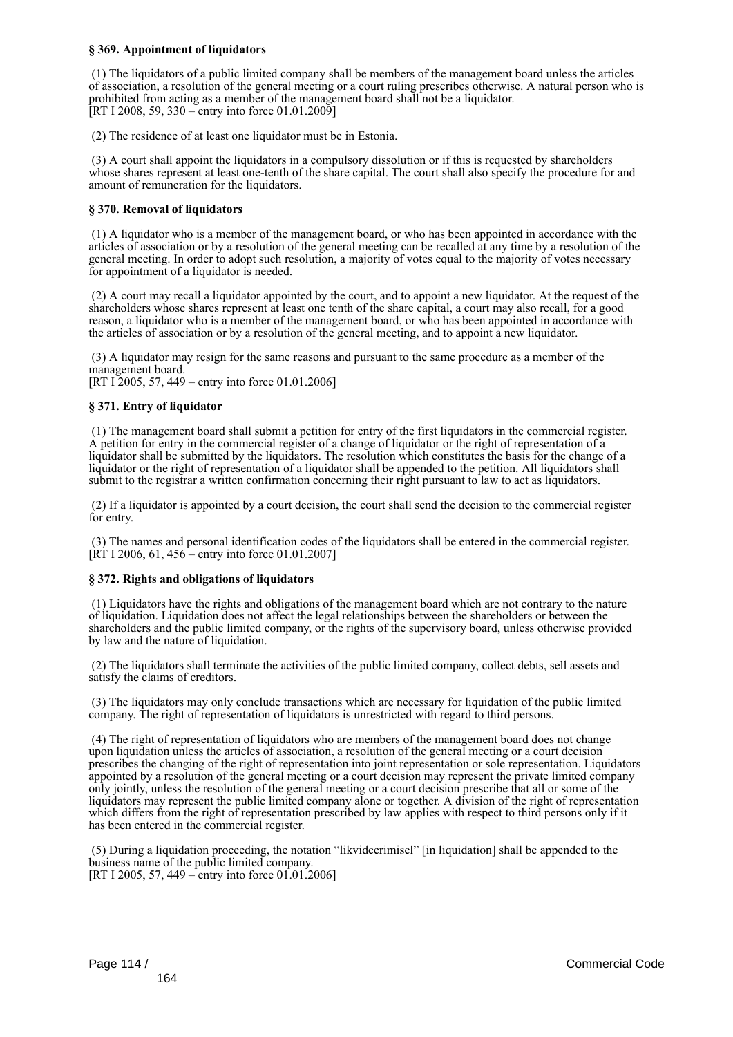### **§ 369. Appointment of liquidators**

 (1) The liquidators of a public limited company shall be members of the management board unless the articles of association, a resolution of the general meeting or a court ruling prescribes otherwise. A natural person who is prohibited from acting as a member of the management board shall not be a liquidator. [RT I 2008, 59, 330 – entry into force 01.01.2009]

(2) The residence of at least one liquidator must be in Estonia.

 (3) A court shall appoint the liquidators in a compulsory dissolution or if this is requested by shareholders whose shares represent at least one-tenth of the share capital. The court shall also specify the procedure for and amount of remuneration for the liquidators.

### **§ 370. Removal of liquidators**

 (1) A liquidator who is a member of the management board, or who has been appointed in accordance with the articles of association or by a resolution of the general meeting can be recalled at any time by a resolution of the general meeting. In order to adopt such resolution, a majority of votes equal to the majority of votes necessary for appointment of a liquidator is needed.

 (2) A court may recall a liquidator appointed by the court, and to appoint a new liquidator. At the request of the shareholders whose shares represent at least one tenth of the share capital, a court may also recall, for a good reason, a liquidator who is a member of the management board, or who has been appointed in accordance with the articles of association or by a resolution of the general meeting, and to appoint a new liquidator.

 (3) A liquidator may resign for the same reasons and pursuant to the same procedure as a member of the management board.

[RT I 2005, 57, 449 – entry into force 01.01.2006]

### **§ 371. Entry of liquidator**

 (1) The management board shall submit a petition for entry of the first liquidators in the commercial register. A petition for entry in the commercial register of a change of liquidator or the right of representation of a liquidator shall be submitted by the liquidators. The resolution which constitutes the basis for the change of a liquidator or the right of representation of a liquidator shall be appended to the petition. All liquidators shall submit to the registrar a written confirmation concerning their right pursuant to law to act as liquidators.

 (2) If a liquidator is appointed by a court decision, the court shall send the decision to the commercial register for entry.

 (3) The names and personal identification codes of the liquidators shall be entered in the commercial register.  $[\overline{RT} 1 2006, 61, 456 -$  entry into force 01.01.2007]

### **§ 372. Rights and obligations of liquidators**

 (1) Liquidators have the rights and obligations of the management board which are not contrary to the nature of liquidation. Liquidation does not affect the legal relationships between the shareholders or between the shareholders and the public limited company, or the rights of the supervisory board, unless otherwise provided by law and the nature of liquidation.

 (2) The liquidators shall terminate the activities of the public limited company, collect debts, sell assets and satisfy the claims of creditors.

 (3) The liquidators may only conclude transactions which are necessary for liquidation of the public limited company. The right of representation of liquidators is unrestricted with regard to third persons.

 (4) The right of representation of liquidators who are members of the management board does not change upon liquidation unless the articles of association, a resolution of the general meeting or a court decision prescribes the changing of the right of representation into joint representation or sole representation. Liquidators appointed by a resolution of the general meeting or a court decision may represent the private limited company only jointly, unless the resolution of the general meeting or a court decision prescribe that all or some of the liquidators may represent the public limited company alone or together. A division of the right of representation which differs from the right of representation prescribed by law applies with respect to third persons only if it has been entered in the commercial register.

 (5) During a liquidation proceeding, the notation "likvideerimisel" [in liquidation] shall be appended to the business name of the public limited company. [RT I 2005, 57, 449 – entry into force 01.01.2006]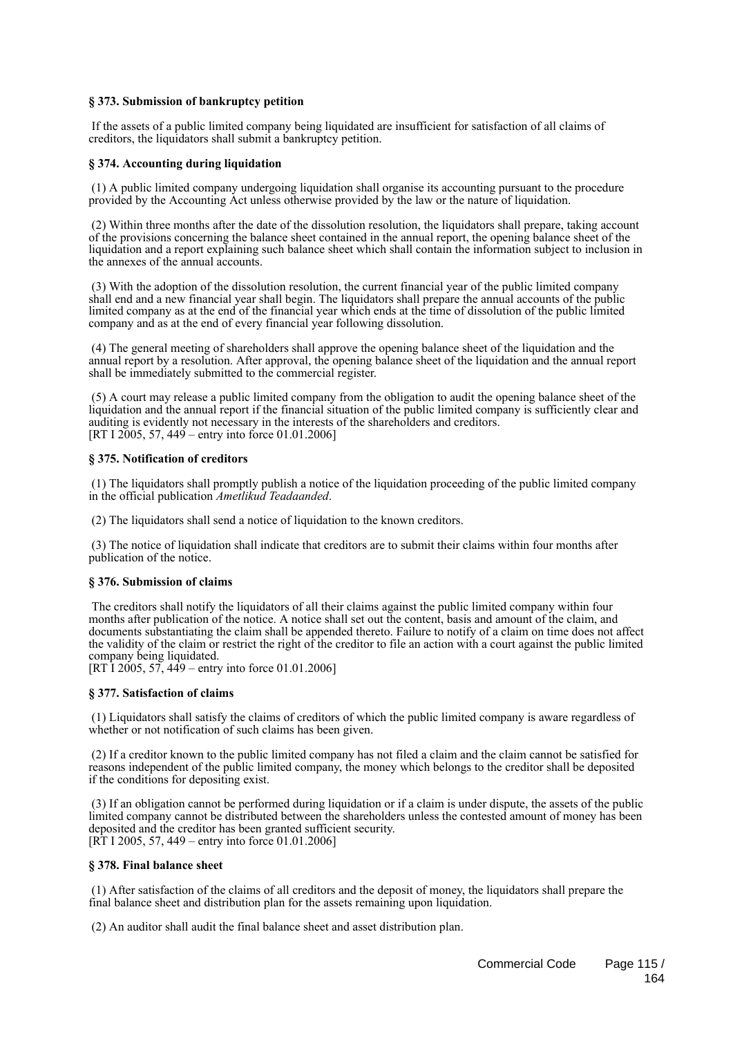### **§ 373. Submission of bankruptcy petition**

 If the assets of a public limited company being liquidated are insufficient for satisfaction of all claims of creditors, the liquidators shall submit a bankruptcy petition.

### **§ 374. Accounting during liquidation**

 (1) A public limited company undergoing liquidation shall organise its accounting pursuant to the procedure provided by the Accounting Act unless otherwise provided by the law or the nature of liquidation.

 (2) Within three months after the date of the dissolution resolution, the liquidators shall prepare, taking account of the provisions concerning the balance sheet contained in the annual report, the opening balance sheet of the liquidation and a report explaining such balance sheet which shall contain the information subject to inclusion in the annexes of the annual accounts.

 (3) With the adoption of the dissolution resolution, the current financial year of the public limited company shall end and a new financial year shall begin. The liquidators shall prepare the annual accounts of the public limited company as at the end of the financial year which ends at the time of dissolution of the public limited company and as at the end of every financial year following dissolution.

 (4) The general meeting of shareholders shall approve the opening balance sheet of the liquidation and the annual report by a resolution. After approval, the opening balance sheet of the liquidation and the annual report shall be immediately submitted to the commercial register.

 (5) A court may release a public limited company from the obligation to audit the opening balance sheet of the liquidation and the annual report if the financial situation of the public limited company is sufficiently clear and auditing is evidently not necessary in the interests of the shareholders and creditors. [RT I 2005, 57, 449 – entry into force 01.01.2006]

### **§ 375. Notification of creditors**

 (1) The liquidators shall promptly publish a notice of the liquidation proceeding of the public limited company in the official publication *Ametlikud Teadaanded*.

(2) The liquidators shall send a notice of liquidation to the known creditors.

 (3) The notice of liquidation shall indicate that creditors are to submit their claims within four months after publication of the notice.

### **§ 376. Submission of claims**

 The creditors shall notify the liquidators of all their claims against the public limited company within four months after publication of the notice. A notice shall set out the content, basis and amount of the claim, and documents substantiating the claim shall be appended thereto. Failure to notify of a claim on time does not affect the validity of the claim or restrict the right of the creditor to file an action with a court against the public limited company being liquidated.

[RT I 2005, 57, 449 – entry into force 01.01.2006]

### **§ 377. Satisfaction of claims**

 (1) Liquidators shall satisfy the claims of creditors of which the public limited company is aware regardless of whether or not notification of such claims has been given.

 (2) If a creditor known to the public limited company has not filed a claim and the claim cannot be satisfied for reasons independent of the public limited company, the money which belongs to the creditor shall be deposited if the conditions for depositing exist.

 (3) If an obligation cannot be performed during liquidation or if a claim is under dispute, the assets of the public limited company cannot be distributed between the shareholders unless the contested amount of money has been deposited and the creditor has been granted sufficient security.  $[R\overline{T} 1 2005, 57, 449 - entry into force 01.01.2006]$ 

### **§ 378. Final balance sheet**

 (1) After satisfaction of the claims of all creditors and the deposit of money, the liquidators shall prepare the final balance sheet and distribution plan for the assets remaining upon liquidation.

(2) An auditor shall audit the final balance sheet and asset distribution plan.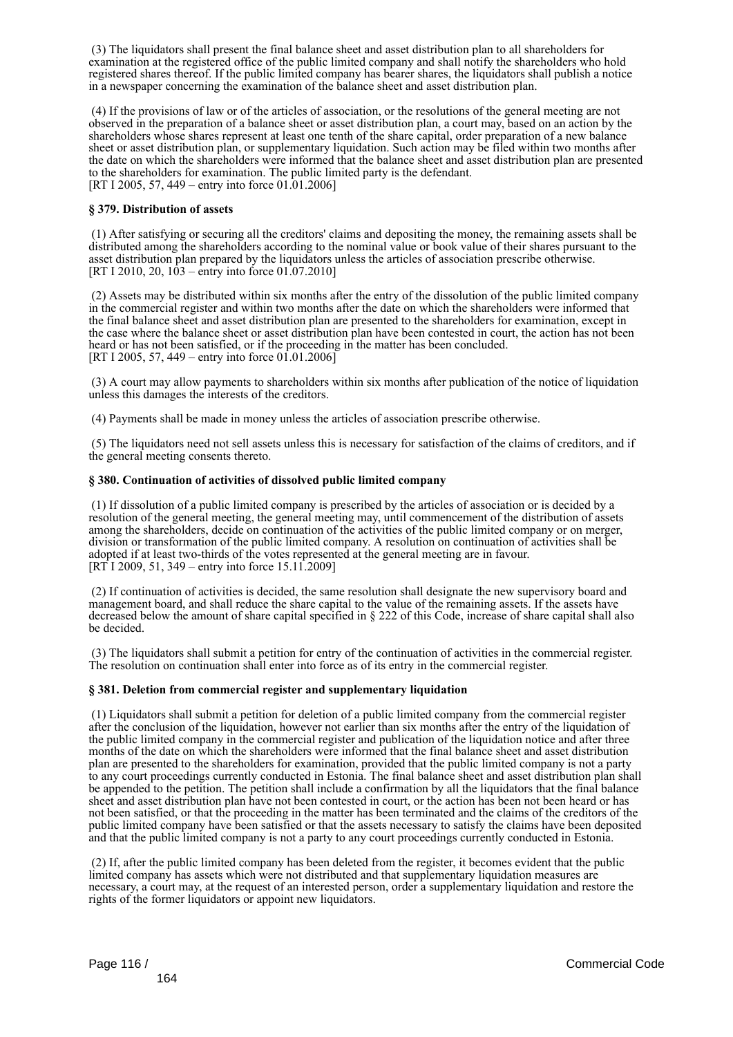(3) The liquidators shall present the final balance sheet and asset distribution plan to all shareholders for examination at the registered office of the public limited company and shall notify the shareholders who hold registered shares thereof. If the public limited company has bearer shares, the liquidators shall publish a notice in a newspaper concerning the examination of the balance sheet and asset distribution plan.

 (4) If the provisions of law or of the articles of association, or the resolutions of the general meeting are not observed in the preparation of a balance sheet or asset distribution plan, a court may, based on an action by the shareholders whose shares represent at least one tenth of the share capital, order preparation of a new balance sheet or asset distribution plan, or supplementary liquidation. Such action may be filed within two months after the date on which the shareholders were informed that the balance sheet and asset distribution plan are presented to the shareholders for examination. The public limited party is the defendant. [RT I 2005, 57, 449 – entry into force 01.01.2006]

### **§ 379. Distribution of assets**

 (1) After satisfying or securing all the creditors' claims and depositing the money, the remaining assets shall be distributed among the shareholders according to the nominal value or book value of their shares pursuant to the asset distribution plan prepared by the liquidators unless the articles of association prescribe otherwise. [RT I 2010, 20,  $103 -$ entry into force 01.07.2010]

 (2) Assets may be distributed within six months after the entry of the dissolution of the public limited company in the commercial register and within two months after the date on which the shareholders were informed that the final balance sheet and asset distribution plan are presented to the shareholders for examination, except in the case where the balance sheet or asset distribution plan have been contested in court, the action has not been heard or has not been satisfied, or if the proceeding in the matter has been concluded. [RT I 2005, 57, 449 – entry into force  $01.01.2006$ ]

 (3) A court may allow payments to shareholders within six months after publication of the notice of liquidation unless this damages the interests of the creditors.

(4) Payments shall be made in money unless the articles of association prescribe otherwise.

 (5) The liquidators need not sell assets unless this is necessary for satisfaction of the claims of creditors, and if the general meeting consents thereto.

### **§ 380. Continuation of activities of dissolved public limited company**

 (1) If dissolution of a public limited company is prescribed by the articles of association or is decided by a resolution of the general meeting, the general meeting may, until commencement of the distribution of assets among the shareholders, decide on continuation of the activities of the public limited company or on merger, division or transformation of the public limited company. A resolution on continuation of activities shall be adopted if at least two-thirds of the votes represented at the general meeting are in favour. [RT I 2009, 51, 349 – entry into force 15.11.2009]

 (2) If continuation of activities is decided, the same resolution shall designate the new supervisory board and management board, and shall reduce the share capital to the value of the remaining assets. If the assets have decreased below the amount of share capital specified in § 222 of this Code, increase of share capital shall also be decided.

 (3) The liquidators shall submit a petition for entry of the continuation of activities in the commercial register. The resolution on continuation shall enter into force as of its entry in the commercial register.

### **§ 381. Deletion from commercial register and supplementary liquidation**

 (1) Liquidators shall submit a petition for deletion of a public limited company from the commercial register after the conclusion of the liquidation, however not earlier than six months after the entry of the liquidation of the public limited company in the commercial register and publication of the liquidation notice and after three months of the date on which the shareholders were informed that the final balance sheet and asset distribution plan are presented to the shareholders for examination, provided that the public limited company is not a party to any court proceedings currently conducted in Estonia. The final balance sheet and asset distribution plan shall be appended to the petition. The petition shall include a confirmation by all the liquidators that the final balance sheet and asset distribution plan have not been contested in court, or the action has been not been heard or has not been satisfied, or that the proceeding in the matter has been terminated and the claims of the creditors of the public limited company have been satisfied or that the assets necessary to satisfy the claims have been deposited and that the public limited company is not a party to any court proceedings currently conducted in Estonia.

 (2) If, after the public limited company has been deleted from the register, it becomes evident that the public limited company has assets which were not distributed and that supplementary liquidation measures are necessary, a court may, at the request of an interested person, order a supplementary liquidation and restore the rights of the former liquidators or appoint new liquidators.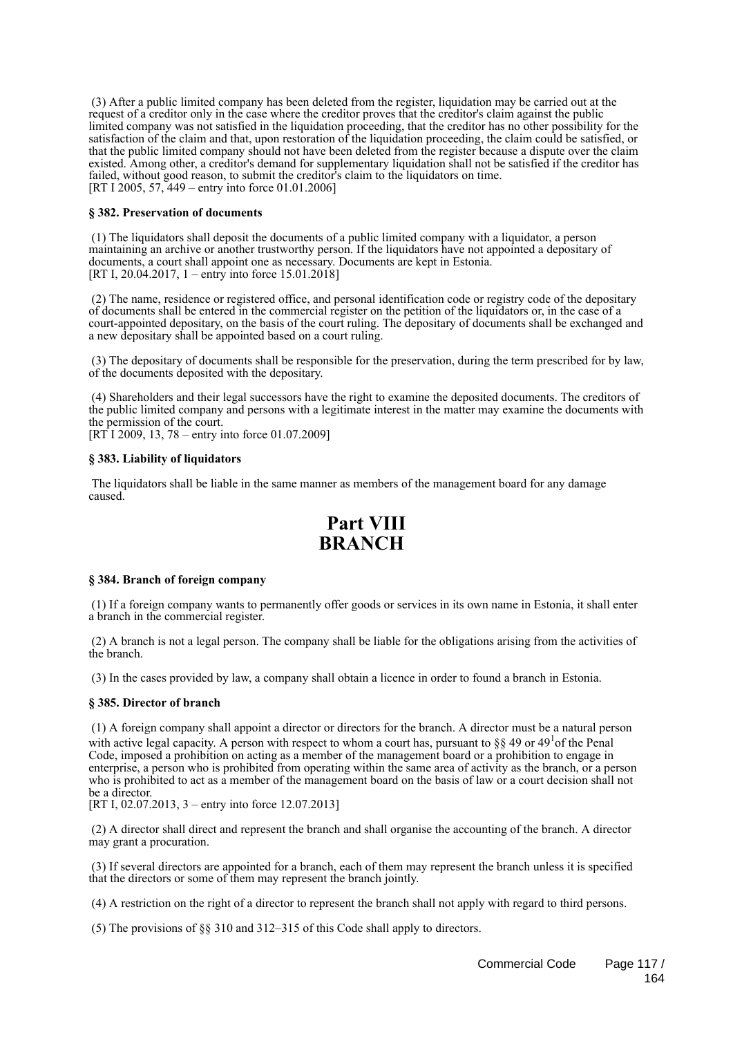(3) After a public limited company has been deleted from the register, liquidation may be carried out at the request of a creditor only in the case where the creditor proves that the creditor's claim against the public limited company was not satisfied in the liquidation proceeding, that the creditor has no other possibility for the satisfaction of the claim and that, upon restoration of the liquidation proceeding, the claim could be satisfied, or that the public limited company should not have been deleted from the register because a dispute over the claim existed. Among other, a creditor's demand for supplementary liquidation shall not be satisfied if the creditor has failed, without good reason, to submit the creditor's claim to the liquidators on time. [RT I 2005, 57, 449 – entry into force 01.01.2006]

### **§ 382. Preservation of documents**

 (1) The liquidators shall deposit the documents of a public limited company with a liquidator, a person maintaining an archive or another trustworthy person. If the liquidators have not appointed a depositary of documents, a court shall appoint one as necessary. Documents are kept in Estonia. [RT I, 20.04.2017, 1 – entry into force 15.01.2018]

 (2) The name, residence or registered office, and personal identification code or registry code of the depositary of documents shall be entered in the commercial register on the petition of the liquidators or, in the case of a court-appointed depositary, on the basis of the court ruling. The depositary of documents shall be exchanged and a new depositary shall be appointed based on a court ruling.

 (3) The depositary of documents shall be responsible for the preservation, during the term prescribed for by law, of the documents deposited with the depositary.

 (4) Shareholders and their legal successors have the right to examine the deposited documents. The creditors of the public limited company and persons with a legitimate interest in the matter may examine the documents with the permission of the court.

[RT I 2009, 13, 78 – entry into force 01.07.2009]

### **§ 383. Liability of liquidators**

 The liquidators shall be liable in the same manner as members of the management board for any damage caused.

## **Part VIII BRANCH**

### **§ 384. Branch of foreign company**

 (1) If a foreign company wants to permanently offer goods or services in its own name in Estonia, it shall enter a branch in the commercial register.

 (2) A branch is not a legal person. The company shall be liable for the obligations arising from the activities of the branch.

(3) In the cases provided by law, a company shall obtain a licence in order to found a branch in Estonia.

### **§ 385. Director of branch**

 (1) A foreign company shall appoint a director or directors for the branch. A director must be a natural person with active legal capacity. A person with respect to whom a court has, pursuant to  $\S\S 49$  or  $49<sup>1</sup>$  of the Penal Code, imposed a prohibition on acting as a member of the management board or a prohibition to engage in enterprise, a person who is prohibited from operating within the same area of activity as the branch, or a person who is prohibited to act as a member of the management board on the basis of law or a court decision shall not be a director.

[RT I, 02.07.2013, 3 – entry into force 12.07.2013]

 (2) A director shall direct and represent the branch and shall organise the accounting of the branch. A director may grant a procuration.

 (3) If several directors are appointed for a branch, each of them may represent the branch unless it is specified that the directors or some of them may represent the branch jointly.

(4) A restriction on the right of a director to represent the branch shall not apply with regard to third persons.

(5) The provisions of §§ 310 and 312–315 of this Code shall apply to directors.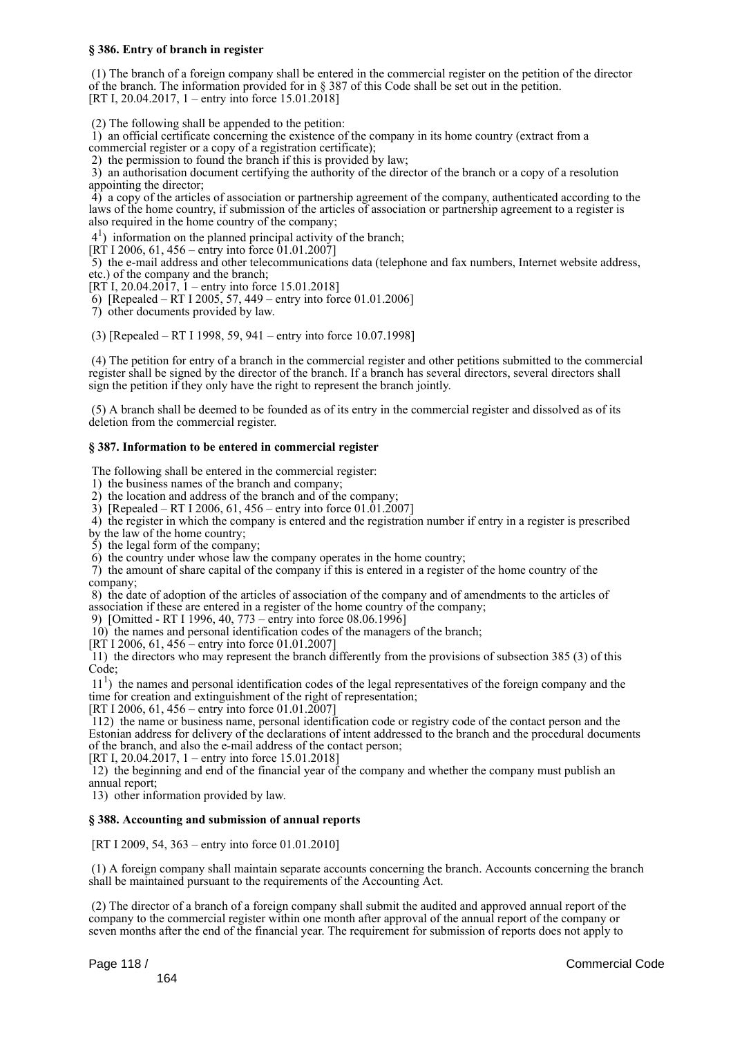### **§ 386. Entry of branch in register**

 (1) The branch of a foreign company shall be entered in the commercial register on the petition of the director of the branch. The information provided for in § 387 of this Code shall be set out in the petition. [RT I, 20.04.2017, 1 – entry into force 15.01.2018]

(2) The following shall be appended to the petition:

 1) an official certificate concerning the existence of the company in its home country (extract from a commercial register or a copy of a registration certificate);

2) the permission to found the branch if this is provided by law;

 3) an authorisation document certifying the authority of the director of the branch or a copy of a resolution appointing the director;

 4) a copy of the articles of association or partnership agreement of the company, authenticated according to the laws of the home country, if submission of the articles of association or partnership agreement to a register is also required in the home country of the company;

41 ) information on the planned principal activity of the branch;

 $[R\hat{T}]$  I 2006, 61, 456 – entry into force 01.01.2007]

 5) the e-mail address and other telecommunications data (telephone and fax numbers, Internet website address, etc.) of the company and the branch;

[RT I, 20.04.2017, 1 – entry into force 15.01.2018]

6) [Repealed – RT I 2005, 57, 449 – entry into force 01.01.2006]

7) other documents provided by law.

(3) [Repealed – RT I 1998, 59, 941 – entry into force 10.07.1998]

 (4) The petition for entry of a branch in the commercial register and other petitions submitted to the commercial register shall be signed by the director of the branch. If a branch has several directors, several directors shall sign the petition if they only have the right to represent the branch jointly.

 (5) A branch shall be deemed to be founded as of its entry in the commercial register and dissolved as of its deletion from the commercial register.

### **§ 387. Information to be entered in commercial register**

The following shall be entered in the commercial register:

1) the business names of the branch and company;

2) the location and address of the branch and of the company;

3) [Repealed – RT I 2006, 61, 456 – entry into force  $01.01.2007$ ]

4) the register in which the company is entered and the registration number if entry in a register is prescribed

by the law of the home country;

5) the legal form of the company;

6) the country under whose law the company operates in the home country;

 7) the amount of share capital of the company if this is entered in a register of the home country of the company;

 8) the date of adoption of the articles of association of the company and of amendments to the articles of association if these are entered in a register of the home country of the company;

9) [Omitted - RT I 1996, 40, 773 – entry into force 08.06.1996]

10) the names and personal identification codes of the managers of the branch;

[RT I 2006, 61, 456 – entry into force 01.01.2007]

 11) the directors who may represent the branch differently from the provisions of subsection 385 (3) of this Code;

 11<sup>1</sup> ) the names and personal identification codes of the legal representatives of the foreign company and the time for creation and extinguishment of the right of representation;

[RT I 2006, 61, 456 – entry into force 01.01.2007]

 112) the name or business name, personal identification code or registry code of the contact person and the Estonian address for delivery of the declarations of intent addressed to the branch and the procedural documents of the branch, and also the e-mail address of the contact person;

[RT I, 20.04.2017, 1 – entry into force 15.01.2018]

 12) the beginning and end of the financial year of the company and whether the company must publish an annual report;

13) other information provided by law.

### **§ 388. Accounting and submission of annual reports**

[RT I 2009, 54, 363 – entry into force 01.01.2010]

 (1) A foreign company shall maintain separate accounts concerning the branch. Accounts concerning the branch shall be maintained pursuant to the requirements of the Accounting Act.

 (2) The director of a branch of a foreign company shall submit the audited and approved annual report of the company to the commercial register within one month after approval of the annual report of the company or seven months after the end of the financial year. The requirement for submission of reports does not apply to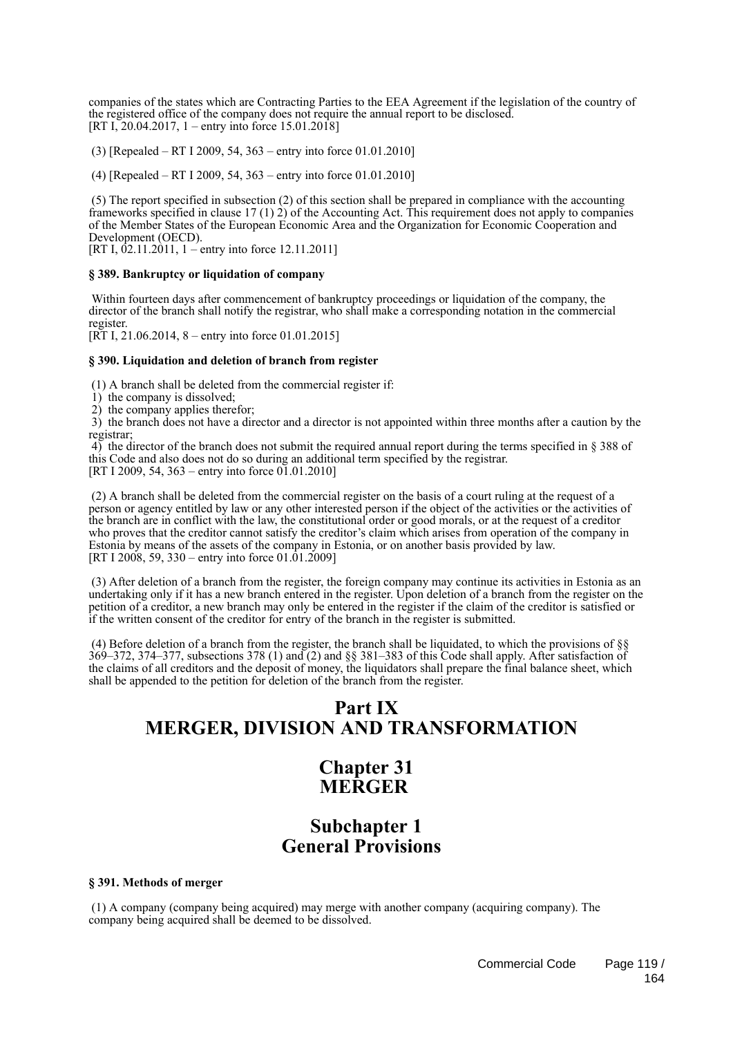companies of the states which are Contracting Parties to the EEA Agreement if the legislation of the country of the registered office of the company does not require the annual report to be disclosed. [RT I, 20.04.2017, 1 – entry into force 15.01.2018]

(3) [Repealed – RT I 2009, 54, 363 – entry into force 01.01.2010]

(4) [Repealed – RT I 2009, 54, 363 – entry into force 01.01.2010]

 (5) The report specified in subsection (2) of this section shall be prepared in compliance with the accounting frameworks specified in clause 17 (1) 2) of the Accounting Act. This requirement does not apply to companies of the Member States of the European Economic Area and the Organization for Economic Cooperation and Development (OECD).

[RT I,  $\overline{02.11.2011}$ , 1 – entry into force 12.11.2011]

### **§ 389. Bankruptcy or liquidation of company**

 Within fourteen days after commencement of bankruptcy proceedings or liquidation of the company, the director of the branch shall notify the registrar, who shall make a corresponding notation in the commercial register.

[RT I, 21.06.2014, 8 – entry into force 01.01.2015]

#### **§ 390. Liquidation and deletion of branch from register**

(1) A branch shall be deleted from the commercial register if:

1) the company is dissolved;

2) the company applies therefor;

 3) the branch does not have a director and a director is not appointed within three months after a caution by the registrar;

 4) the director of the branch does not submit the required annual report during the terms specified in § 388 of this Code and also does not do so during an additional term specified by the registrar. [RT I 2009, 54, 363 – entry into force  $01.01.2010$ ]

 (2) A branch shall be deleted from the commercial register on the basis of a court ruling at the request of a person or agency entitled by law or any other interested person if the object of the activities or the activities of the branch are in conflict with the law, the constitutional order or good morals, or at the request of a creditor who proves that the creditor cannot satisfy the creditor's claim which arises from operation of the company in Estonia by means of the assets of the company in Estonia, or on another basis provided by law. [RT I 2008, 59, 330 – entry into force 01.01.2009]

 (3) After deletion of a branch from the register, the foreign company may continue its activities in Estonia as an undertaking only if it has a new branch entered in the register. Upon deletion of a branch from the register on the petition of a creditor, a new branch may only be entered in the register if the claim of the creditor is satisfied or if the written consent of the creditor for entry of the branch in the register is submitted.

 (4) Before deletion of a branch from the register, the branch shall be liquidated, to which the provisions of §§ 369–372, 374–377, subsections 378 (1) and (2) and §§ 381–383 of this Code shall apply. After satisfaction of the claims of all creditors and the deposit of money, the liquidators shall prepare the final balance sheet, which shall be appended to the petition for deletion of the branch from the register.

## **Part IX MERGER, DIVISION AND TRANSFORMATION**

## **Chapter 31 MERGER**

## **Subchapter 1 General Provisions**

### **§ 391. Methods of merger**

 (1) A company (company being acquired) may merge with another company (acquiring company). The company being acquired shall be deemed to be dissolved.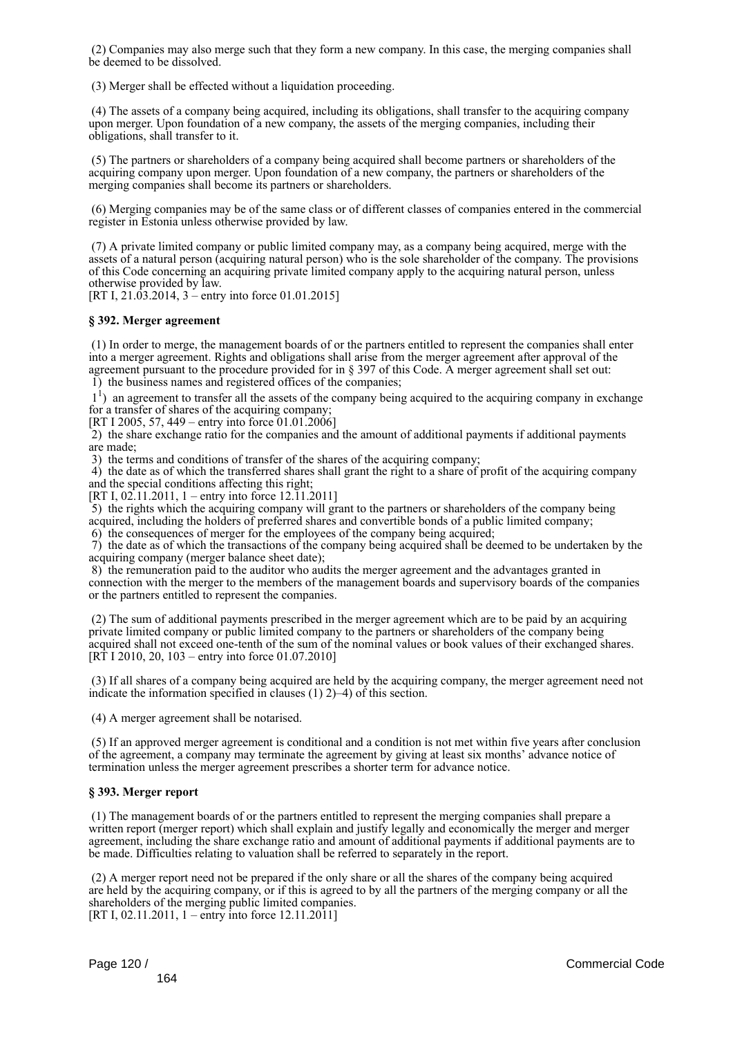(2) Companies may also merge such that they form a new company. In this case, the merging companies shall be deemed to be dissolved.

(3) Merger shall be effected without a liquidation proceeding.

 (4) The assets of a company being acquired, including its obligations, shall transfer to the acquiring company upon merger. Upon foundation of a new company, the assets of the merging companies, including their obligations, shall transfer to it.

 (5) The partners or shareholders of a company being acquired shall become partners or shareholders of the acquiring company upon merger. Upon foundation of a new company, the partners or shareholders of the merging companies shall become its partners or shareholders.

 (6) Merging companies may be of the same class or of different classes of companies entered in the commercial register in Estonia unless otherwise provided by law.

 (7) A private limited company or public limited company may, as a company being acquired, merge with the assets of a natural person (acquiring natural person) who is the sole shareholder of the company. The provisions of this Code concerning an acquiring private limited company apply to the acquiring natural person, unless otherwise provided by law.

[RT I, 21.03.2014, 3 – entry into force 01.01.2015]

### **§ 392. Merger agreement**

 (1) In order to merge, the management boards of or the partners entitled to represent the companies shall enter into a merger agreement. Rights and obligations shall arise from the merger agreement after approval of the agreement pursuant to the procedure provided for in § 397 of this Code. A merger agreement shall set out:

1) the business names and registered offices of the companies;

<sup>1</sup>) an agreement to transfer all the assets of the company being acquired to the acquiring company in exchange for a transfer of shares of the acquiring company;

[RT I 2005, 57, 449 – entry into force  $01.01.2006$ ]

 $2)$  the share exchange ratio for the companies and the amount of additional payments if additional payments are made;

3) the terms and conditions of transfer of the shares of the acquiring company;

 4) the date as of which the transferred shares shall grant the right to a share of profit of the acquiring company and the special conditions affecting this right;

[RT I, 02.11.2011, 1 – entry into force 12.11.2011]

 5) the rights which the acquiring company will grant to the partners or shareholders of the company being acquired, including the holders of preferred shares and convertible bonds of a public limited company; 6) the consequences of merger for the employees of the company being acquired;

 7) the date as of which the transactions of the company being acquired shall be deemed to be undertaken by the acquiring company (merger balance sheet date);

 8) the remuneration paid to the auditor who audits the merger agreement and the advantages granted in connection with the merger to the members of the management boards and supervisory boards of the companies or the partners entitled to represent the companies.

 (2) The sum of additional payments prescribed in the merger agreement which are to be paid by an acquiring private limited company or public limited company to the partners or shareholders of the company being acquired shall not exceed one-tenth of the sum of the nominal values or book values of their exchanged shares. [RT I 2010, 20, 103 – entry into force 01.07.2010]

 (3) If all shares of a company being acquired are held by the acquiring company, the merger agreement need not indicate the information specified in clauses (1) 2)–4) of this section.

(4) A merger agreement shall be notarised.

 (5) If an approved merger agreement is conditional and a condition is not met within five years after conclusion of the agreement, a company may terminate the agreement by giving at least six months' advance notice of termination unless the merger agreement prescribes a shorter term for advance notice.

### **§ 393. Merger report**

 (1) The management boards of or the partners entitled to represent the merging companies shall prepare a written report (merger report) which shall explain and justify legally and economically the merger and merger agreement, including the share exchange ratio and amount of additional payments if additional payments are to be made. Difficulties relating to valuation shall be referred to separately in the report.

 (2) A merger report need not be prepared if the only share or all the shares of the company being acquired are held by the acquiring company, or if this is agreed to by all the partners of the merging company or all the shareholders of the merging public limited companies. [RT I, 02.11.2011, 1 – entry into force 12.11.2011]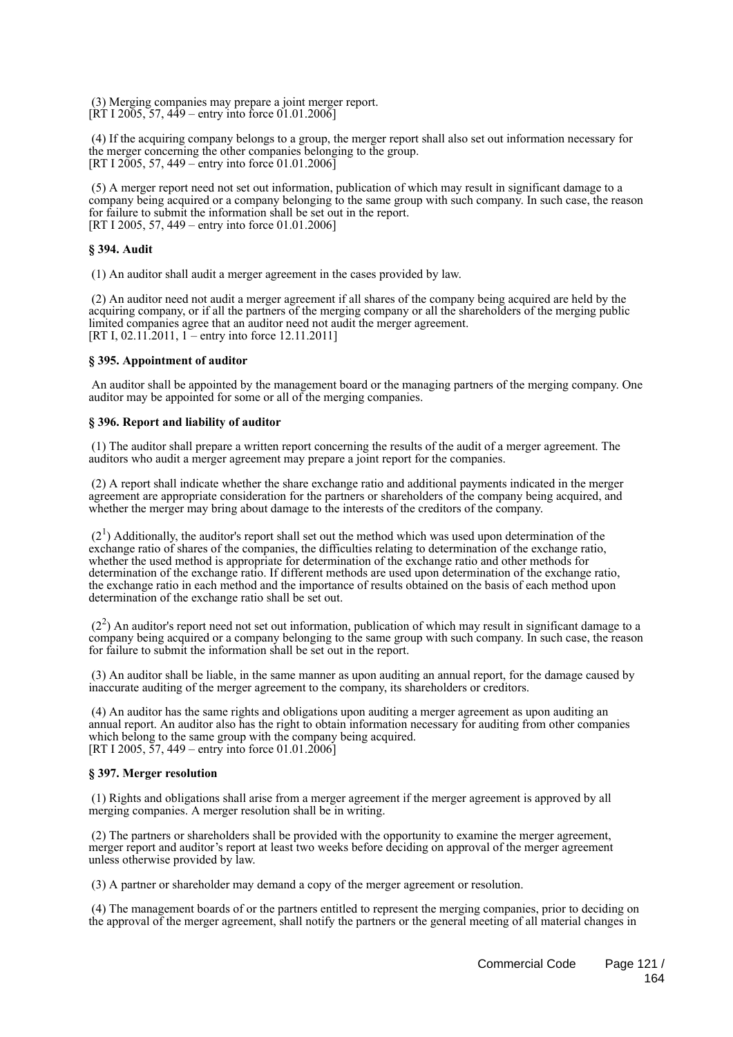(3) Merging companies may prepare a joint merger report.  $[\overline{RT} 1 2005, 57, 449 -$  entry into force 01.01.2006]

 (4) If the acquiring company belongs to a group, the merger report shall also set out information necessary for the merger concerning the other companies belonging to the group.  $[RT I 2005, 57, 449 -$  entry into force 01.01.2006

 (5) A merger report need not set out information, publication of which may result in significant damage to a company being acquired or a company belonging to the same group with such company. In such case, the reason for failure to submit the information shall be set out in the report. [RT I 2005, 57, 449 – entry into force 01.01.2006]

### **§ 394. Audit**

(1) An auditor shall audit a merger agreement in the cases provided by law.

 (2) An auditor need not audit a merger agreement if all shares of the company being acquired are held by the acquiring company, or if all the partners of the merging company or all the shareholders of the merging public limited companies agree that an auditor need not audit the merger agreement. [RT I, 02.11.2011, 1 – entry into force 12.11.2011]

### **§ 395. Appointment of auditor**

 An auditor shall be appointed by the management board or the managing partners of the merging company. One auditor may be appointed for some or all of the merging companies.

### **§ 396. Report and liability of auditor**

 (1) The auditor shall prepare a written report concerning the results of the audit of a merger agreement. The auditors who audit a merger agreement may prepare a joint report for the companies.

 (2) A report shall indicate whether the share exchange ratio and additional payments indicated in the merger agreement are appropriate consideration for the partners or shareholders of the company being acquired, and whether the merger may bring about damage to the interests of the creditors of the company.

 $(2<sup>1</sup>)$  Additionally, the auditor's report shall set out the method which was used upon determination of the exchange ratio of shares of the companies, the difficulties relating to determination of the exchange ratio, whether the used method is appropriate for determination of the exchange ratio and other methods for determination of the exchange ratio. If different methods are used upon determination of the exchange ratio, the exchange ratio in each method and the importance of results obtained on the basis of each method upon determination of the exchange ratio shall be set out.

 $(2<sup>2</sup>)$  An auditor's report need not set out information, publication of which may result in significant damage to a company being acquired or a company belonging to the same group with such company. In such case, the reason for failure to submit the information shall be set out in the report.

 (3) An auditor shall be liable, in the same manner as upon auditing an annual report, for the damage caused by inaccurate auditing of the merger agreement to the company, its shareholders or creditors.

 (4) An auditor has the same rights and obligations upon auditing a merger agreement as upon auditing an annual report. An auditor also has the right to obtain information necessary for auditing from other companies which belong to the same group with the company being acquired. [RT I 2005, 57, 449 – entry into force 01.01.2006]

### **§ 397. Merger resolution**

 (1) Rights and obligations shall arise from a merger agreement if the merger agreement is approved by all merging companies. A merger resolution shall be in writing.

 (2) The partners or shareholders shall be provided with the opportunity to examine the merger agreement, merger report and auditor's report at least two weeks before deciding on approval of the merger agreement unless otherwise provided by law.

(3) A partner or shareholder may demand a copy of the merger agreement or resolution.

 (4) The management boards of or the partners entitled to represent the merging companies, prior to deciding on the approval of the merger agreement, shall notify the partners or the general meeting of all material changes in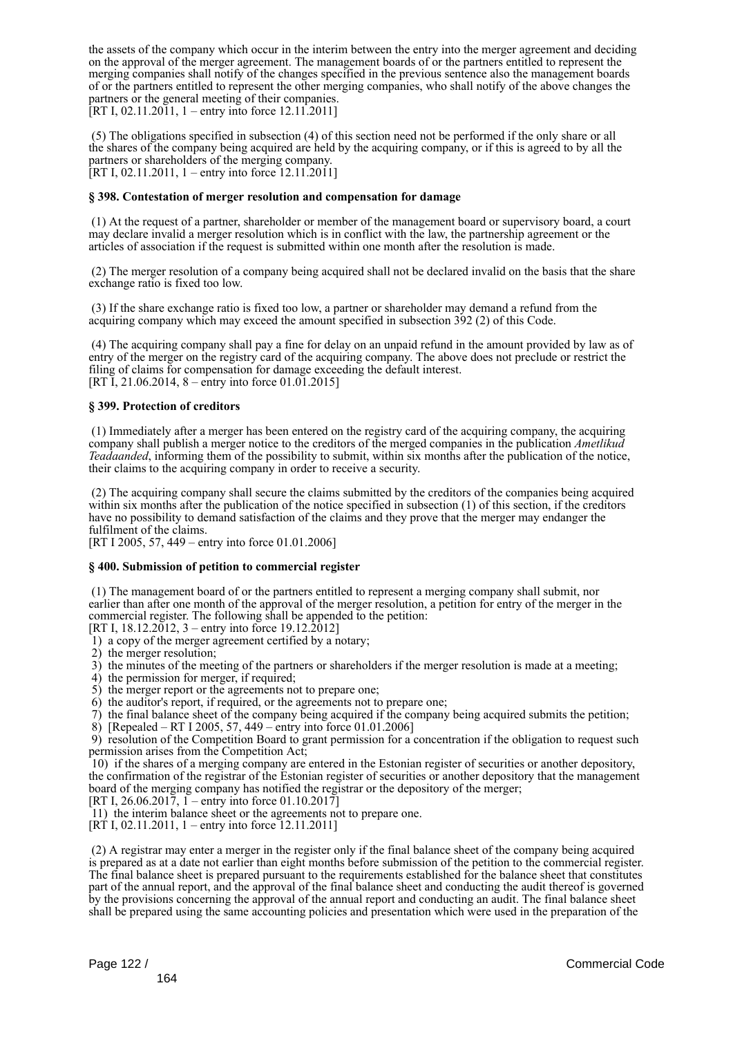the assets of the company which occur in the interim between the entry into the merger agreement and deciding on the approval of the merger agreement. The management boards of or the partners entitled to represent the merging companies shall notify of the changes specified in the previous sentence also the management boards of or the partners entitled to represent the other merging companies, who shall notify of the above changes the partners or the general meeting of their companies. [RT I, 02.11.2011, 1 – entry into force 12.11.2011]

 (5) The obligations specified in subsection (4) of this section need not be performed if the only share or all the shares of the company being acquired are held by the acquiring company, or if this is agreed to by all the partners or shareholders of the merging company. [RT I, 02.11.2011, 1 – entry into force 12.11.2011]

### **§ 398. Contestation of merger resolution and compensation for damage**

 (1) At the request of a partner, shareholder or member of the management board or supervisory board, a court may declare invalid a merger resolution which is in conflict with the law, the partnership agreement or the articles of association if the request is submitted within one month after the resolution is made.

 (2) The merger resolution of a company being acquired shall not be declared invalid on the basis that the share exchange ratio is fixed too low.

 (3) If the share exchange ratio is fixed too low, a partner or shareholder may demand a refund from the acquiring company which may exceed the amount specified in subsection 392 (2) of this Code.

 (4) The acquiring company shall pay a fine for delay on an unpaid refund in the amount provided by law as of entry of the merger on the registry card of the acquiring company. The above does not preclude or restrict the filing of claims for compensation for damage exceeding the default interest. [RT I, 21.06.2014, 8 – entry into force 01.01.2015]

### **§ 399. Protection of creditors**

 (1) Immediately after a merger has been entered on the registry card of the acquiring company, the acquiring company shall publish a merger notice to the creditors of the merged companies in the publication *Ametlikud Teadaanded*, informing them of the possibility to submit, within six months after the publication of the notice, their claims to the acquiring company in order to receive a security.

 (2) The acquiring company shall secure the claims submitted by the creditors of the companies being acquired within six months after the publication of the notice specified in subsection (1) of this section, if the creditors have no possibility to demand satisfaction of the claims and they prove that the merger may endanger the fulfilment of the claims.

[RT I 2005, 57, 449 – entry into force 01.01.2006]

### **§ 400. Submission of petition to commercial register**

 (1) The management board of or the partners entitled to represent a merging company shall submit, nor earlier than after one month of the approval of the merger resolution, a petition for entry of the merger in the commercial register. The following shall be appended to the petition:

[RT I,  $18.12.2012$ , 3 – entry into force 19.12.2012]

- 1) a copy of the merger agreement certified by a notary;
- 2) the merger resolution;
- 3) the minutes of the meeting of the partners or shareholders if the merger resolution is made at a meeting;
- 4) the permission for merger, if required;
- 5) the merger report or the agreements not to prepare one;
- 6) the auditor's report, if required, or the agreements not to prepare one;
- 7) the final balance sheet of the company being acquired if the company being acquired submits the petition;
- 8) [Repealed RT I 2005, 57, 449 entry into force 01.01.2006]

 9) resolution of the Competition Board to grant permission for a concentration if the obligation to request such permission arises from the Competition Act;

 10) if the shares of a merging company are entered in the Estonian register of securities or another depository, the confirmation of the registrar of the Estonian register of securities or another depository that the management board of the merging company has notified the registrar or the depository of the merger;

[RT I, 26.06.2017,  $1 -$  entry into force 01.10.2017]

- 11) the interim balance sheet or the agreements not to prepare one.
- [RT I, 02.11.2011, 1 entry into force 12.11.2011]

 (2) A registrar may enter a merger in the register only if the final balance sheet of the company being acquired is prepared as at a date not earlier than eight months before submission of the petition to the commercial register. The final balance sheet is prepared pursuant to the requirements established for the balance sheet that constitutes part of the annual report, and the approval of the final balance sheet and conducting the audit thereof is governed by the provisions concerning the approval of the annual report and conducting an audit. The final balance sheet shall be prepared using the same accounting policies and presentation which were used in the preparation of the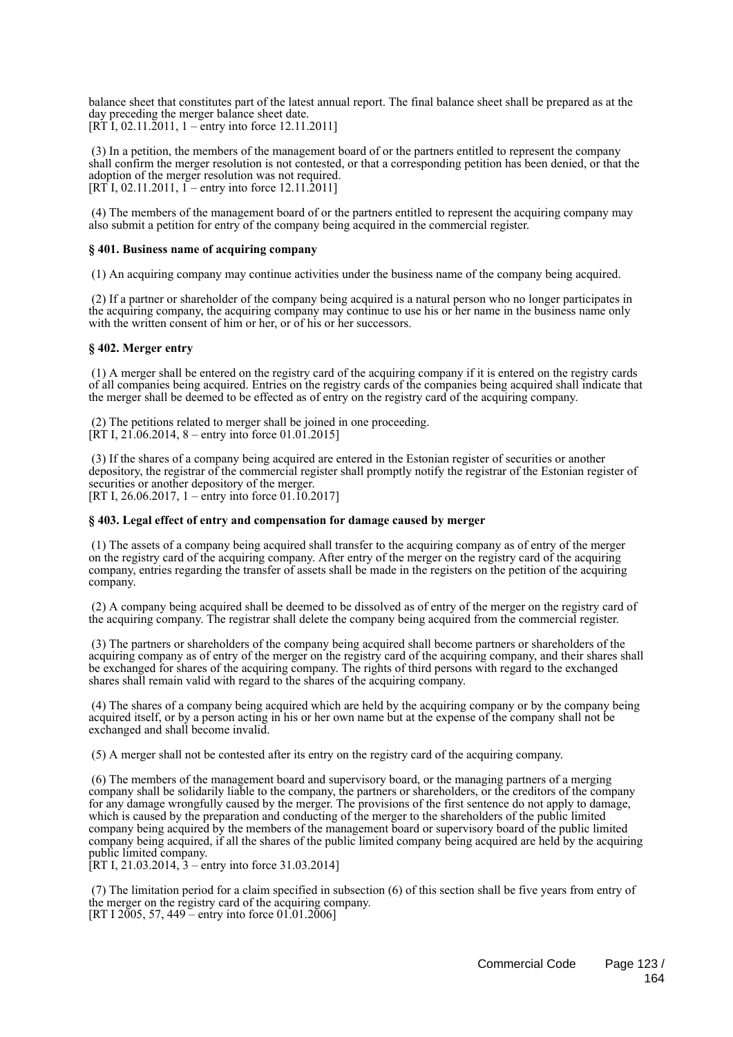balance sheet that constitutes part of the latest annual report. The final balance sheet shall be prepared as at the day preceding the merger balance sheet date.  $[R\bar{T}I, 02.11.2011, 1 - entry$  into force 12.11.2011]

 (3) In a petition, the members of the management board of or the partners entitled to represent the company shall confirm the merger resolution is not contested, or that a corresponding petition has been denied, or that the adoption of the merger resolution was not required.  $[RT I, 02.11.2011, 1 -$  entry into force 12.11.2011]

 (4) The members of the management board of or the partners entitled to represent the acquiring company may also submit a petition for entry of the company being acquired in the commercial register.

### **§ 401. Business name of acquiring company**

(1) An acquiring company may continue activities under the business name of the company being acquired.

 (2) If a partner or shareholder of the company being acquired is a natural person who no longer participates in the acquiring company, the acquiring company may continue to use his or her name in the business name only with the written consent of him or her, or of his or her successors.

### **§ 402. Merger entry**

 (1) A merger shall be entered on the registry card of the acquiring company if it is entered on the registry cards of all companies being acquired. Entries on the registry cards of the companies being acquired shall indicate that the merger shall be deemed to be effected as of entry on the registry card of the acquiring company.

 (2) The petitions related to merger shall be joined in one proceeding. [RT I,  $21.06.2014$ , 8 – entry into force 01.01.2015]

 (3) If the shares of a company being acquired are entered in the Estonian register of securities or another depository, the registrar of the commercial register shall promptly notify the registrar of the Estonian register of securities or another depository of the merger. [RT I, 26.06.2017, 1 – entry into force 01.10.2017]

### **§ 403. Legal effect of entry and compensation for damage caused by merger**

 (1) The assets of a company being acquired shall transfer to the acquiring company as of entry of the merger on the registry card of the acquiring company. After entry of the merger on the registry card of the acquiring company, entries regarding the transfer of assets shall be made in the registers on the petition of the acquiring company.

 (2) A company being acquired shall be deemed to be dissolved as of entry of the merger on the registry card of the acquiring company. The registrar shall delete the company being acquired from the commercial register.

 (3) The partners or shareholders of the company being acquired shall become partners or shareholders of the acquiring company as of entry of the merger on the registry card of the acquiring company, and their shares shall be exchanged for shares of the acquiring company. The rights of third persons with regard to the exchanged shares shall remain valid with regard to the shares of the acquiring company.

 (4) The shares of a company being acquired which are held by the acquiring company or by the company being acquired itself, or by a person acting in his or her own name but at the expense of the company shall not be exchanged and shall become invalid.

(5) A merger shall not be contested after its entry on the registry card of the acquiring company.

 (6) The members of the management board and supervisory board, or the managing partners of a merging company shall be solidarily liable to the company, the partners or shareholders, or the creditors of the company for any damage wrongfully caused by the merger. The provisions of the first sentence do not apply to damage, which is caused by the preparation and conducting of the merger to the shareholders of the public limited company being acquired by the members of the management board or supervisory board of the public limited company being acquired, if all the shares of the public limited company being acquired are held by the acquiring public limited company.

[RT I, 21.03.2014,  $3$  – entry into force 31.03.2014]

 (7) The limitation period for a claim specified in subsection (6) of this section shall be five years from entry of the merger on the registry card of the acquiring company. [RT I 2005, 57, 449 – entry into force 01.01.2006]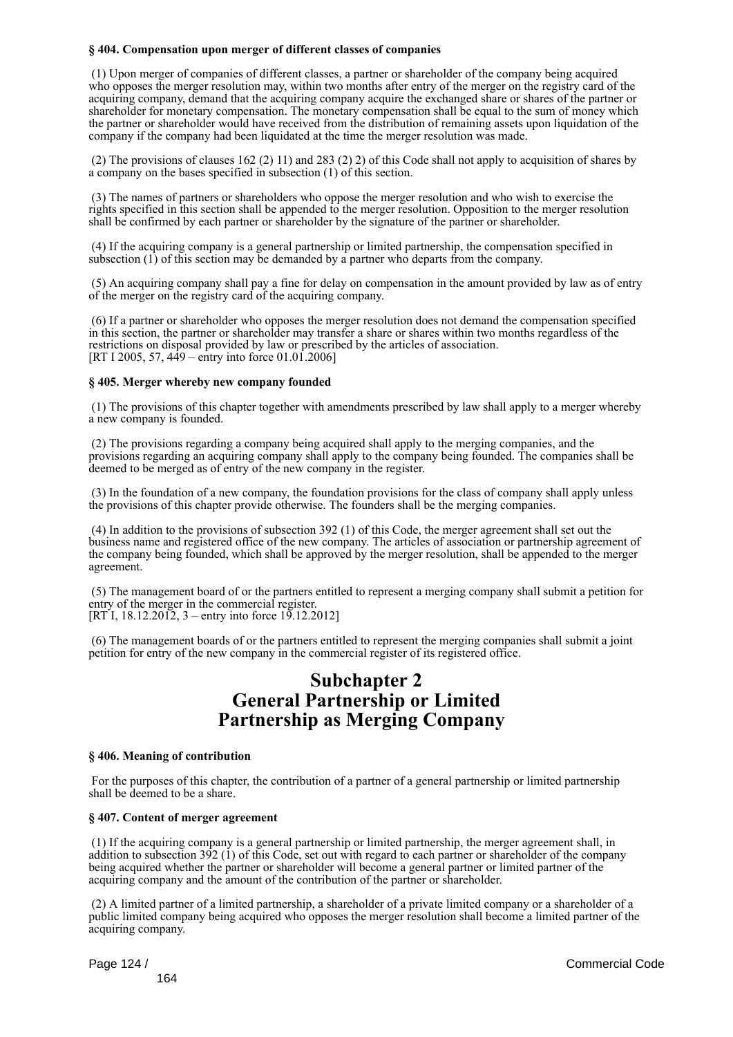### **§ 404. Compensation upon merger of different classes of companies**

 (1) Upon merger of companies of different classes, a partner or shareholder of the company being acquired who opposes the merger resolution may, within two months after entry of the merger on the registry card of the acquiring company, demand that the acquiring company acquire the exchanged share or shares of the partner or shareholder for monetary compensation. The monetary compensation shall be equal to the sum of money which the partner or shareholder would have received from the distribution of remaining assets upon liquidation of the company if the company had been liquidated at the time the merger resolution was made.

 (2) The provisions of clauses 162 (2) 11) and 283 (2) 2) of this Code shall not apply to acquisition of shares by a company on the bases specified in subsection (1) of this section.

 (3) The names of partners or shareholders who oppose the merger resolution and who wish to exercise the rights specified in this section shall be appended to the merger resolution. Opposition to the merger resolution shall be confirmed by each partner or shareholder by the signature of the partner or shareholder.

 (4) If the acquiring company is a general partnership or limited partnership, the compensation specified in subsection (1) of this section may be demanded by a partner who departs from the company.

 (5) An acquiring company shall pay a fine for delay on compensation in the amount provided by law as of entry of the merger on the registry card of the acquiring company.

 (6) If a partner or shareholder who opposes the merger resolution does not demand the compensation specified in this section, the partner or shareholder may transfer a share or shares within two months regardless of the restrictions on disposal provided by law or prescribed by the articles of association. [RT I 2005, 57, 449 – entry into force 01.01.2006]

### **§ 405. Merger whereby new company founded**

 (1) The provisions of this chapter together with amendments prescribed by law shall apply to a merger whereby a new company is founded.

 (2) The provisions regarding a company being acquired shall apply to the merging companies, and the provisions regarding an acquiring company shall apply to the company being founded. The companies shall be deemed to be merged as of entry of the new company in the register.

 (3) In the foundation of a new company, the foundation provisions for the class of company shall apply unless the provisions of this chapter provide otherwise. The founders shall be the merging companies.

 (4) In addition to the provisions of subsection 392 (1) of this Code, the merger agreement shall set out the business name and registered office of the new company. The articles of association or partnership agreement of the company being founded, which shall be approved by the merger resolution, shall be appended to the merger agreement.

 (5) The management board of or the partners entitled to represent a merging company shall submit a petition for entry of the merger in the commercial register.  $[RTI, 18.12.2012, 3 - entry into force 19.12.2012]$ 

 (6) The management boards of or the partners entitled to represent the merging companies shall submit a joint petition for entry of the new company in the commercial register of its registered office.

## **Subchapter 2 General Partnership or Limited Partnership as Merging Company**

### **§ 406. Meaning of contribution**

 For the purposes of this chapter, the contribution of a partner of a general partnership or limited partnership shall be deemed to be a share.

### **§ 407. Content of merger agreement**

 (1) If the acquiring company is a general partnership or limited partnership, the merger agreement shall, in addition to subsection 392 (1) of this Code, set out with regard to each partner or shareholder of the company being acquired whether the partner or shareholder will become a general partner or limited partner of the acquiring company and the amount of the contribution of the partner or shareholder.

 (2) A limited partner of a limited partnership, a shareholder of a private limited company or a shareholder of a public limited company being acquired who opposes the merger resolution shall become a limited partner of the acquiring company.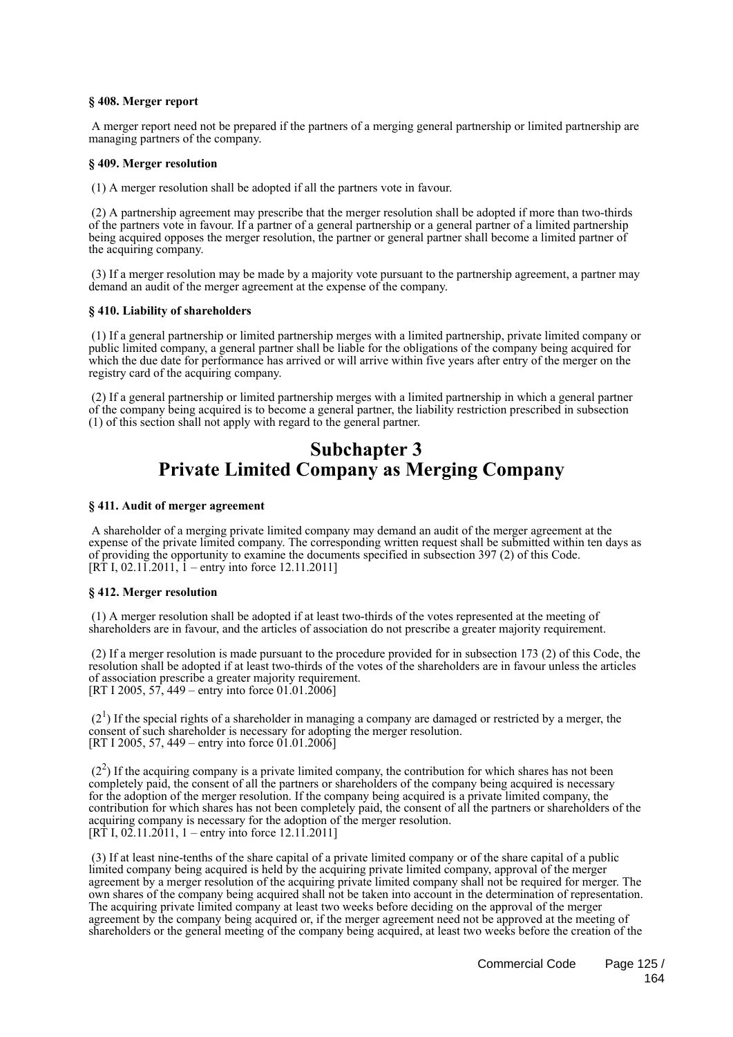### **§ 408. Merger report**

 A merger report need not be prepared if the partners of a merging general partnership or limited partnership are managing partners of the company.

#### **§ 409. Merger resolution**

(1) A merger resolution shall be adopted if all the partners vote in favour.

 (2) A partnership agreement may prescribe that the merger resolution shall be adopted if more than two-thirds of the partners vote in favour. If a partner of a general partnership or a general partner of a limited partnership being acquired opposes the merger resolution, the partner or general partner shall become a limited partner of the acquiring company.

 (3) If a merger resolution may be made by a majority vote pursuant to the partnership agreement, a partner may demand an audit of the merger agreement at the expense of the company.

#### **§ 410. Liability of shareholders**

 (1) If a general partnership or limited partnership merges with a limited partnership, private limited company or public limited company, a general partner shall be liable for the obligations of the company being acquired for which the due date for performance has arrived or will arrive within five years after entry of the merger on the registry card of the acquiring company.

 (2) If a general partnership or limited partnership merges with a limited partnership in which a general partner of the company being acquired is to become a general partner, the liability restriction prescribed in subsection (1) of this section shall not apply with regard to the general partner.

## **Subchapter 3 Private Limited Company as Merging Company**

### **§ 411. Audit of merger agreement**

 A shareholder of a merging private limited company may demand an audit of the merger agreement at the expense of the private limited company. The corresponding written request shall be submitted within ten days as of providing the opportunity to examine the documents specified in subsection 397 (2) of this Code.  $[R\dot{T} I, 02.1\dot{1}.2011, 1 - entry$  into force 12.11.2011]

#### **§ 412. Merger resolution**

 (1) A merger resolution shall be adopted if at least two-thirds of the votes represented at the meeting of shareholders are in favour, and the articles of association do not prescribe a greater majority requirement.

 (2) If a merger resolution is made pursuant to the procedure provided for in subsection 173 (2) of this Code, the resolution shall be adopted if at least two-thirds of the votes of the shareholders are in favour unless the articles of association prescribe a greater majority requirement. [RT I 2005, 57, 449 – entry into force 01.01.2006]

 $(2<sup>1</sup>)$  If the special rights of a shareholder in managing a company are damaged or restricted by a merger, the consent of such shareholder is necessary for adopting the merger resolution. [RT I 2005, 57, 449 – entry into force  $01.01.2006$ ]

 $(2<sup>2</sup>)$  If the acquiring company is a private limited company, the contribution for which shares has not been completely paid, the consent of all the partners or shareholders of the company being acquired is necessary for the adoption of the merger resolution. If the company being acquired is a private limited company, the contribution for which shares has not been completely paid, the consent of all the partners or shareholders of the acquiring company is necessary for the adoption of the merger resolution. [RT I,  $02.11.2011$ , 1 – entry into force 12.11.2011]

 (3) If at least nine-tenths of the share capital of a private limited company or of the share capital of a public limited company being acquired is held by the acquiring private limited company, approval of the merger agreement by a merger resolution of the acquiring private limited company shall not be required for merger. The own shares of the company being acquired shall not be taken into account in the determination of representation. The acquiring private limited company at least two weeks before deciding on the approval of the merger agreement by the company being acquired or, if the merger agreement need not be approved at the meeting of shareholders or the general meeting of the company being acquired, at least two weeks before the creation of the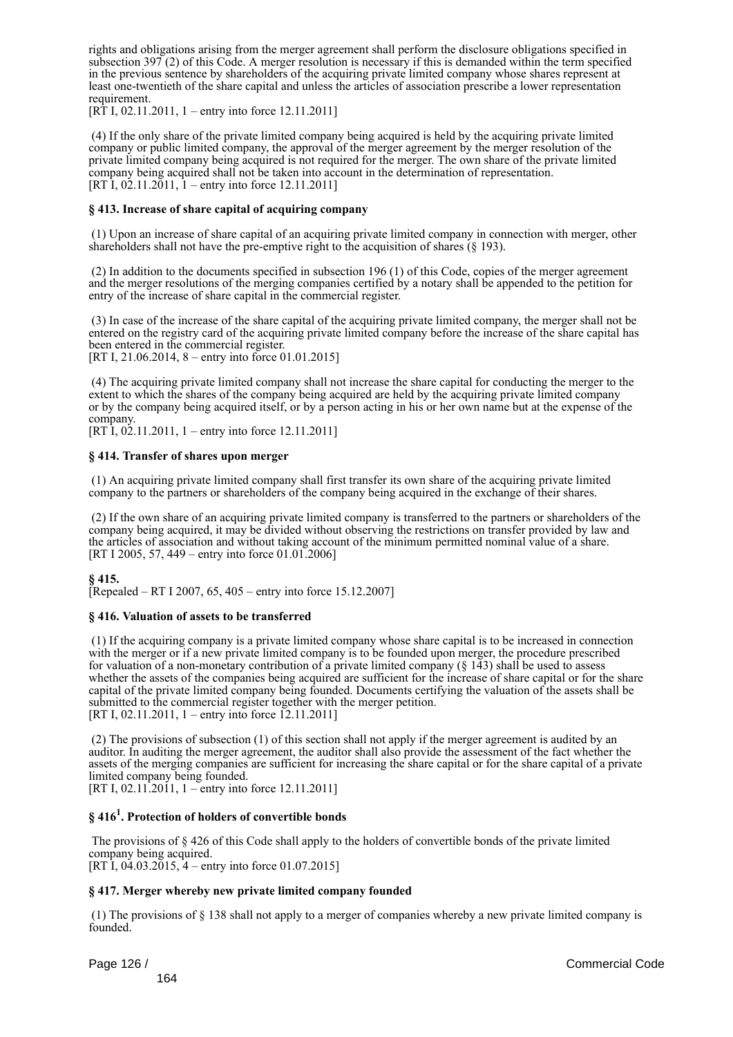rights and obligations arising from the merger agreement shall perform the disclosure obligations specified in subsection 397 (2) of this Code. A merger resolution is necessary if this is demanded within the term specified in the previous sentence by shareholders of the acquiring private limited company whose shares represent at least one-twentieth of the share capital and unless the articles of association prescribe a lower representation requirement.

[RT I, 02.11.2011, 1 – entry into force 12.11.2011]

 (4) If the only share of the private limited company being acquired is held by the acquiring private limited company or public limited company, the approval of the merger agreement by the merger resolution of the private limited company being acquired is not required for the merger. The own share of the private limited company being acquired shall not be taken into account in the determination of representation. [RT I, 02.11.2011,  $1 -$  entry into force 12.11.2011]

### **§ 413. Increase of share capital of acquiring company**

 (1) Upon an increase of share capital of an acquiring private limited company in connection with merger, other shareholders shall not have the pre-emptive right to the acquisition of shares (§ 193).

 (2) In addition to the documents specified in subsection 196 (1) of this Code, copies of the merger agreement and the merger resolutions of the merging companies certified by a notary shall be appended to the petition for entry of the increase of share capital in the commercial register.

 (3) In case of the increase of the share capital of the acquiring private limited company, the merger shall not be entered on the registry card of the acquiring private limited company before the increase of the share capital has been entered in the commercial register. [RT I, 21.06.2014, 8 – entry into force 01.01.2015]

 (4) The acquiring private limited company shall not increase the share capital for conducting the merger to the extent to which the shares of the company being acquired are held by the acquiring private limited company or by the company being acquired itself, or by a person acting in his or her own name but at the expense of the company.

 $[RT \dot{1}, 0\dot{2}.11.2011, 1 - entry into force 12.11.2011]$ 

### **§ 414. Transfer of shares upon merger**

 (1) An acquiring private limited company shall first transfer its own share of the acquiring private limited company to the partners or shareholders of the company being acquired in the exchange of their shares.

 (2) If the own share of an acquiring private limited company is transferred to the partners or shareholders of the company being acquired, it may be divided without observing the restrictions on transfer provided by law and the articles of association and without taking account of the minimum permitted nominal value of a share. [RT I 2005, 57, 449 – entry into force 01.01.2006]

### **§ 415.**

[Repealed – RT I 2007, 65, 405 – entry into force 15.12.2007]

### **§ 416. Valuation of assets to be transferred**

 (1) If the acquiring company is a private limited company whose share capital is to be increased in connection with the merger or if a new private limited company is to be founded upon merger, the procedure prescribed for valuation of a non-monetary contribution of a private limited company  $(\S 143)$  shall be used to assess whether the assets of the companies being acquired are sufficient for the increase of share capital or for the share capital of the private limited company being founded. Documents certifying the valuation of the assets shall be submitted to the commercial register together with the merger petition. [RT I, 02.11.2011, 1 – entry into force 12.11.2011]

 (2) The provisions of subsection (1) of this section shall not apply if the merger agreement is audited by an auditor. In auditing the merger agreement, the auditor shall also provide the assessment of the fact whether the assets of the merging companies are sufficient for increasing the share capital or for the share capital of a private limited company being founded.

[RT I, 02.11.2011, 1 – entry into force 12.11.2011]

### **§ 416<sup>1</sup> . Protection of holders of convertible bonds**

 The provisions of § 426 of this Code shall apply to the holders of convertible bonds of the private limited company being acquired. [RT I,  $04.03.2015$ ,  $4$  – entry into force 01.07.2015]

### **§ 417. Merger whereby new private limited company founded**

 (1) The provisions of § 138 shall not apply to a merger of companies whereby a new private limited company is founded.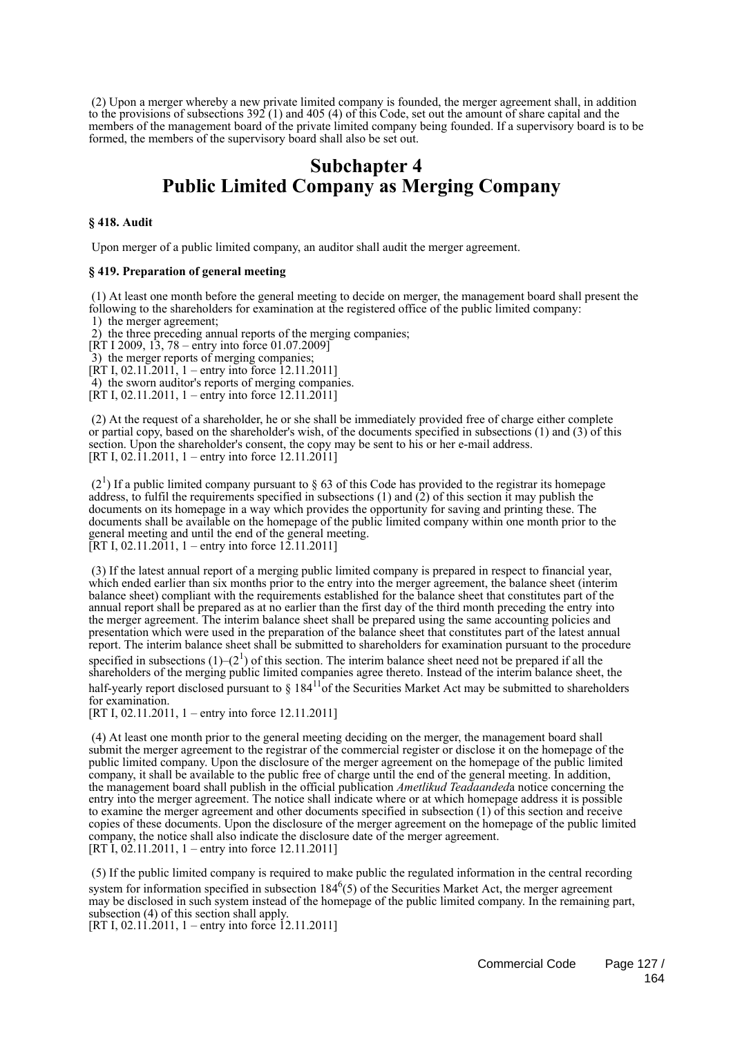(2) Upon a merger whereby a new private limited company is founded, the merger agreement shall, in addition to the provisions of subsections 392 (1) and 405 (4) of this Code, set out the amount of share capital and the members of the management board of the private limited company being founded. If a supervisory board is to be formed, the members of the supervisory board shall also be set out.

## **Subchapter 4 Public Limited Company as Merging Company**

### **§ 418. Audit**

Upon merger of a public limited company, an auditor shall audit the merger agreement.

### **§ 419. Preparation of general meeting**

 (1) At least one month before the general meeting to decide on merger, the management board shall present the following to the shareholders for examination at the registered office of the public limited company:

1) the merger agreement;

 2) the three preceding annual reports of the merging companies;  $[RT I 2009, 13, 78 - entry into force 01.07.2009]$ 

3) the merger reports of merging companies;

 $[RT I, 02.11.2011, 1 - entry into force 12.11.2011]$ 

4) the sworn auditor's reports of merging companies.

[RT I, 02.11.2011, 1 – entry into force  $12.11.2011$ ]

 (2) At the request of a shareholder, he or she shall be immediately provided free of charge either complete or partial copy, based on the shareholder's wish, of the documents specified in subsections (1) and (3) of this section. Upon the shareholder's consent, the copy may be sent to his or her e-mail address. [RT I, 02.11.2011, 1 – entry into force  $12.11.2011$ ]

 $(2<sup>1</sup>)$  If a public limited company pursuant to § 63 of this Code has provided to the registrar its homepage address, to fulfil the requirements specified in subsections  $(1)$  and  $(2)$  of this section it may publish the documents on its homepage in a way which provides the opportunity for saving and printing these. The documents shall be available on the homepage of the public limited company within one month prior to the general meeting and until the end of the general meeting. [RT I, 02.11.2011, 1 – entry into force 12.11.2011]

 (3) If the latest annual report of a merging public limited company is prepared in respect to financial year, which ended earlier than six months prior to the entry into the merger agreement, the balance sheet (interim balance sheet) compliant with the requirements established for the balance sheet that constitutes part of the annual report shall be prepared as at no earlier than the first day of the third month preceding the entry into the merger agreement. The interim balance sheet shall be prepared using the same accounting policies and presentation which were used in the preparation of the balance sheet that constitutes part of the latest annual report. The interim balance sheet shall be submitted to shareholders for examination pursuant to the procedure specified in subsections  $(1)$ – $(2^1)$  of this section. The interim balance sheet need not be prepared if all the shareholders of the merging public limited companies agree thereto. Instead of the interim balance sheet, the half-yearly report disclosed pursuant to  $\S 184^{11}$  of the Securities Market Act may be submitted to shareholders for examination.

[RT I, 02.11.2011, 1 – entry into force 12.11.2011]

 (4) At least one month prior to the general meeting deciding on the merger, the management board shall submit the merger agreement to the registrar of the commercial register or disclose it on the homepage of the public limited company. Upon the disclosure of the merger agreement on the homepage of the public limited company, it shall be available to the public free of charge until the end of the general meeting. In addition, the management board shall publish in the official publication *Ametlikud Teadaanded*a notice concerning the entry into the merger agreement. The notice shall indicate where or at which homepage address it is possible to examine the merger agreement and other documents specified in subsection (1) of this section and receive copies of these documents. Upon the disclosure of the merger agreement on the homepage of the public limited company, the notice shall also indicate the disclosure date of the merger agreement. [RT I, 02.11.2011, 1 – entry into force 12.11.2011]

 (5) If the public limited company is required to make public the regulated information in the central recording system for information specified in subsection  $184<sup>6</sup>(5)$  of the Securities Market Act, the merger agreement may be disclosed in such system instead of the homepage of the public limited company. In the remaining part, subsection (4) of this section shall apply.

[RT I, 02.11.2011, 1 – entry into force 12.11.2011]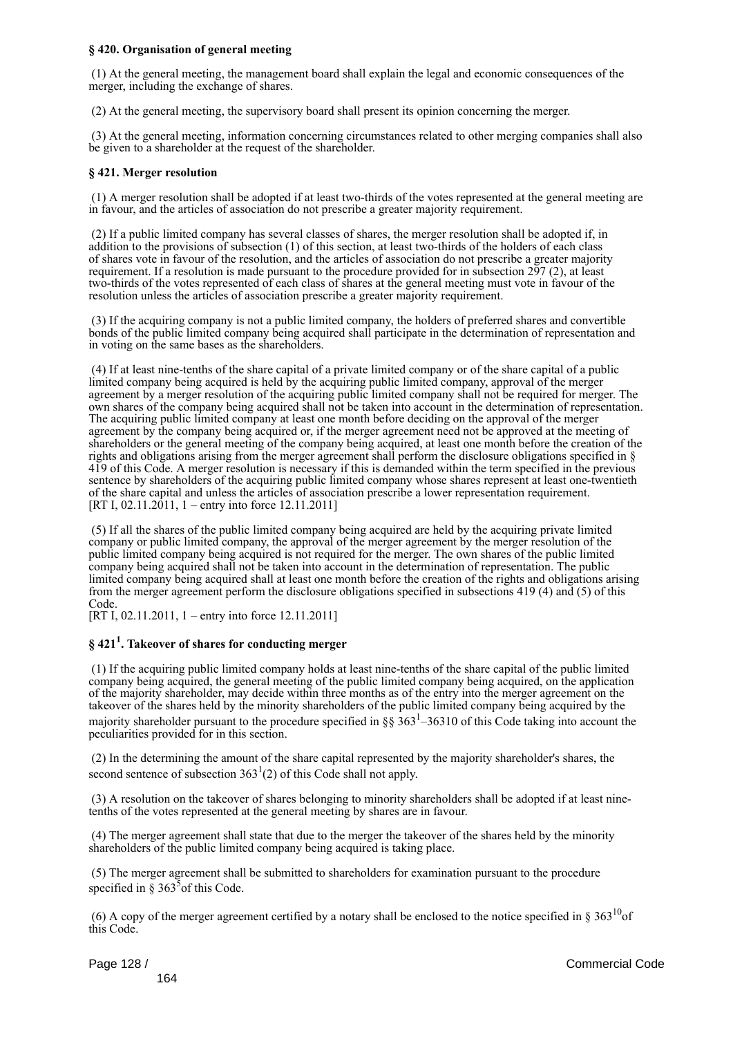### **§ 420. Organisation of general meeting**

 (1) At the general meeting, the management board shall explain the legal and economic consequences of the merger, including the exchange of shares.

(2) At the general meeting, the supervisory board shall present its opinion concerning the merger.

 (3) At the general meeting, information concerning circumstances related to other merging companies shall also be given to a shareholder at the request of the shareholder.

### **§ 421. Merger resolution**

 (1) A merger resolution shall be adopted if at least two-thirds of the votes represented at the general meeting are in favour, and the articles of association do not prescribe a greater majority requirement.

 (2) If a public limited company has several classes of shares, the merger resolution shall be adopted if, in addition to the provisions of subsection (1) of this section, at least two-thirds of the holders of each class of shares vote in favour of the resolution, and the articles of association do not prescribe a greater majority requirement. If a resolution is made pursuant to the procedure provided for in subsection 297 (2), at least two-thirds of the votes represented of each class of shares at the general meeting must vote in favour of the resolution unless the articles of association prescribe a greater majority requirement.

 (3) If the acquiring company is not a public limited company, the holders of preferred shares and convertible bonds of the public limited company being acquired shall participate in the determination of representation and in voting on the same bases as the shareholders.

 (4) If at least nine-tenths of the share capital of a private limited company or of the share capital of a public limited company being acquired is held by the acquiring public limited company, approval of the merger agreement by a merger resolution of the acquiring public limited company shall not be required for merger. The own shares of the company being acquired shall not be taken into account in the determination of representation. The acquiring public limited company at least one month before deciding on the approval of the merger agreement by the company being acquired or, if the merger agreement need not be approved at the meeting of shareholders or the general meeting of the company being acquired, at least one month before the creation of the rights and obligations arising from the merger agreement shall perform the disclosure obligations specified in § 419 of this Code. A merger resolution is necessary if this is demanded within the term specified in the previous sentence by shareholders of the acquiring public limited company whose shares represent at least one-twentieth of the share capital and unless the articles of association prescribe a lower representation requirement. [RT I, 02.11.2011, 1 – entry into force 12.11.2011]

 (5) If all the shares of the public limited company being acquired are held by the acquiring private limited company or public limited company, the approval of the merger agreement by the merger resolution of the public limited company being acquired is not required for the merger. The own shares of the public limited company being acquired shall not be taken into account in the determination of representation. The public limited company being acquired shall at least one month before the creation of the rights and obligations arising from the merger agreement perform the disclosure obligations specified in subsections 419 (4) and (5) of this Code.

[RT I, 02.11.2011, 1 – entry into force 12.11.2011]

### **§ 421<sup>1</sup> . Takeover of shares for conducting merger**

 (1) If the acquiring public limited company holds at least nine-tenths of the share capital of the public limited company being acquired, the general meeting of the public limited company being acquired, on the application of the majority shareholder, may decide within three months as of the entry into the merger agreement on the takeover of the shares held by the minority shareholders of the public limited company being acquired by the majority shareholder pursuant to the procedure specified in  $\S$ § 363<sup>1</sup>–36310 of this Code taking into account the peculiarities provided for in this section.

 (2) In the determining the amount of the share capital represented by the majority shareholder's shares, the second sentence of subsection  $363<sup>1</sup>(2)$  of this Code shall not apply.

 (3) A resolution on the takeover of shares belonging to minority shareholders shall be adopted if at least ninetenths of the votes represented at the general meeting by shares are in favour.

 (4) The merger agreement shall state that due to the merger the takeover of the shares held by the minority shareholders of the public limited company being acquired is taking place.

 (5) The merger agreement shall be submitted to shareholders for examination pursuant to the procedure specified in  $\S 363^5$  of this Code.

(6) A copy of the merger agreement certified by a notary shall be enclosed to the notice specified in §  $363^{10}$ of this Code.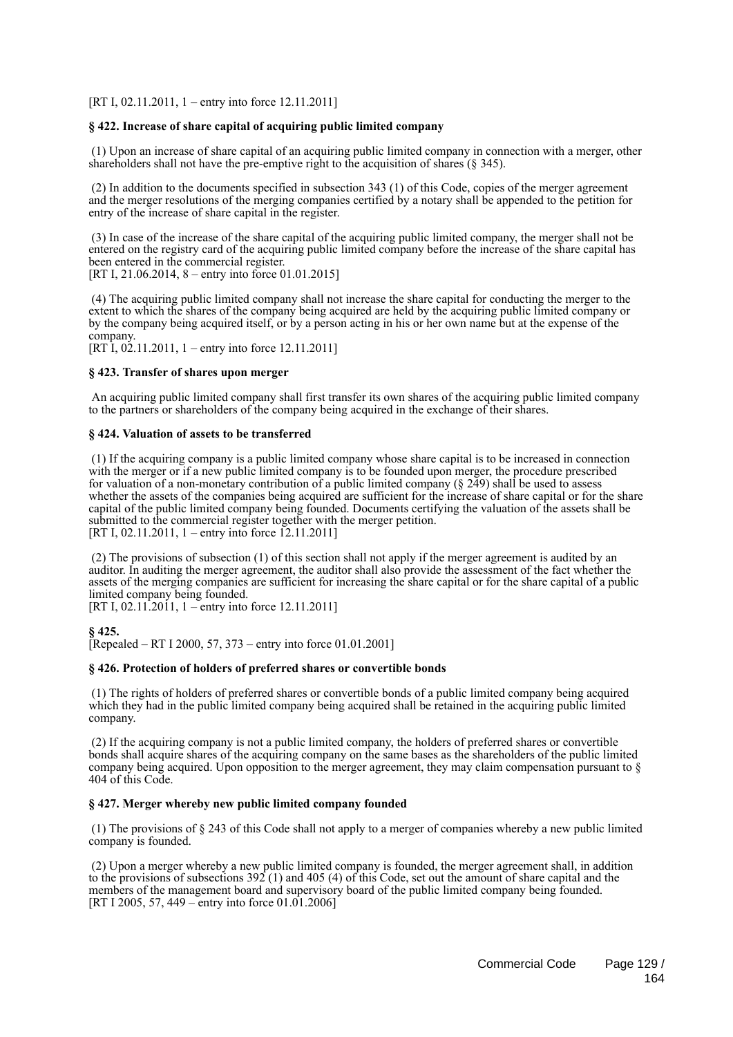[RT I, 02.11.2011, 1 – entry into force 12.11.2011]

### **§ 422. Increase of share capital of acquiring public limited company**

 (1) Upon an increase of share capital of an acquiring public limited company in connection with a merger, other shareholders shall not have the pre-emptive right to the acquisition of shares (§ 345).

 (2) In addition to the documents specified in subsection 343 (1) of this Code, copies of the merger agreement and the merger resolutions of the merging companies certified by a notary shall be appended to the petition for entry of the increase of share capital in the register.

 (3) In case of the increase of the share capital of the acquiring public limited company, the merger shall not be entered on the registry card of the acquiring public limited company before the increase of the share capital has been entered in the commercial register. [RT I, 21.06.2014, 8 – entry into force 01.01.2015]

 (4) The acquiring public limited company shall not increase the share capital for conducting the merger to the extent to which the shares of the company being acquired are held by the acquiring public limited company or by the company being acquired itself, or by a person acting in his or her own name but at the expense of the company.

 $[RT \overline{1}, 0 \overline{2}, 11, 2011, 1 -$  entry into force 12, 11, 2011]

### **§ 423. Transfer of shares upon merger**

 An acquiring public limited company shall first transfer its own shares of the acquiring public limited company to the partners or shareholders of the company being acquired in the exchange of their shares.

#### **§ 424. Valuation of assets to be transferred**

 (1) If the acquiring company is a public limited company whose share capital is to be increased in connection with the merger or if a new public limited company is to be founded upon merger, the procedure prescribed for valuation of a non-monetary contribution of a public limited company (§ 249) shall be used to assess whether the assets of the companies being acquired are sufficient for the increase of share capital or for the share capital of the public limited company being founded. Documents certifying the valuation of the assets shall be submitted to the commercial register together with the merger petition. [RT I, 02.11.2011, 1 – entry into force 12.11.2011]

 (2) The provisions of subsection (1) of this section shall not apply if the merger agreement is audited by an auditor. In auditing the merger agreement, the auditor shall also provide the assessment of the fact whether the assets of the merging companies are sufficient for increasing the share capital or for the share capital of a public limited company being founded.

[RT I, 02.11.2011, 1 – entry into force 12.11.2011]

### **§ 425.**

[Repealed – RT I 2000, 57, 373 – entry into force 01.01.2001]

### **§ 426. Protection of holders of preferred shares or convertible bonds**

 (1) The rights of holders of preferred shares or convertible bonds of a public limited company being acquired which they had in the public limited company being acquired shall be retained in the acquiring public limited company.

 (2) If the acquiring company is not a public limited company, the holders of preferred shares or convertible bonds shall acquire shares of the acquiring company on the same bases as the shareholders of the public limited company being acquired. Upon opposition to the merger agreement, they may claim compensation pursuant to  $\delta$ 404 of this Code.

### **§ 427. Merger whereby new public limited company founded**

 (1) The provisions of § 243 of this Code shall not apply to a merger of companies whereby a new public limited company is founded.

 (2) Upon a merger whereby a new public limited company is founded, the merger agreement shall, in addition to the provisions of subsections 392 (1) and 405 (4) of this Code, set out the amount of share capital and the members of the management board and supervisory board of the public limited company being founded. [RT I 2005, 57, 449 – entry into force  $01.01.2006$ ]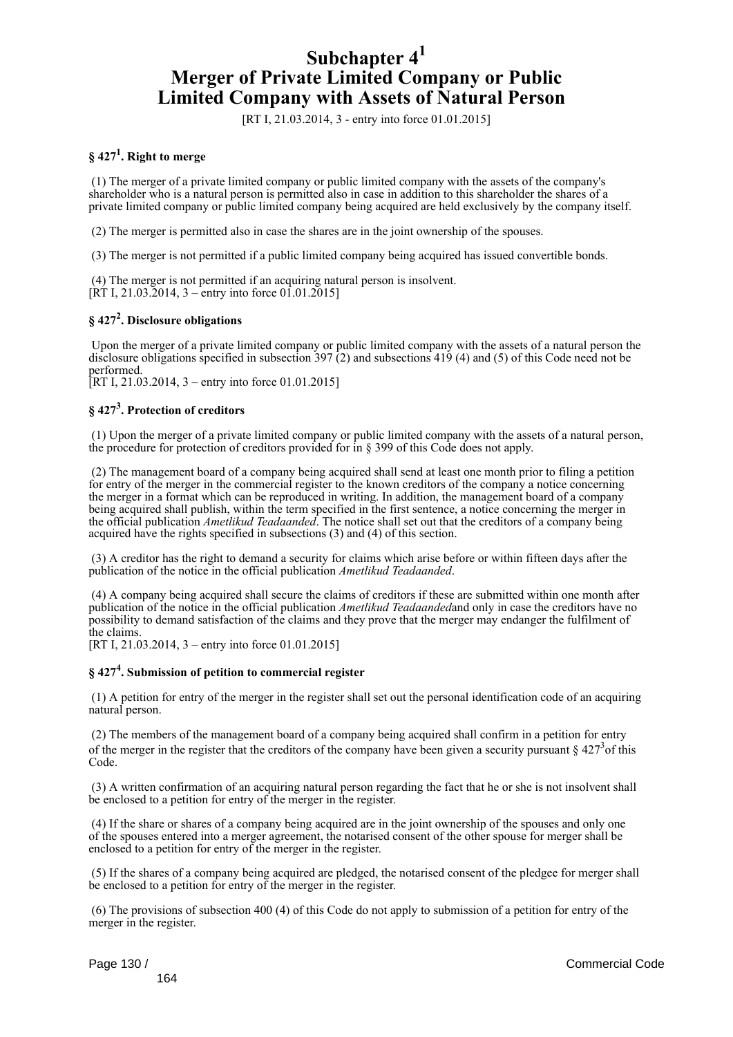## **Subchapter 4<sup>1</sup> Merger of Private Limited Company or Public Limited Company with Assets of Natural Person**

[RT I, 21.03.2014, 3 - entry into force 01.01.2015]

### **§ 427<sup>1</sup> . Right to merge**

 (1) The merger of a private limited company or public limited company with the assets of the company's shareholder who is a natural person is permitted also in case in addition to this shareholder the shares of a private limited company or public limited company being acquired are held exclusively by the company itself.

(2) The merger is permitted also in case the shares are in the joint ownership of the spouses.

(3) The merger is not permitted if a public limited company being acquired has issued convertible bonds.

 (4) The merger is not permitted if an acquiring natural person is insolvent.  $[\overline{RT} \, I, 21.03.2014, 3 -$ entry into force 01.01.2015]

### **§ 427<sup>2</sup> . Disclosure obligations**

 Upon the merger of a private limited company or public limited company with the assets of a natural person the disclosure obligations specified in subsection 397 (2) and subsections 419 (4) and (5) of this Code need not be performed.

[RT I, 21.03.2014, 3 – entry into force 01.01.2015]

### **§ 427<sup>3</sup> . Protection of creditors**

 (1) Upon the merger of a private limited company or public limited company with the assets of a natural person, the procedure for protection of creditors provided for in § 399 of this Code does not apply.

 (2) The management board of a company being acquired shall send at least one month prior to filing a petition for entry of the merger in the commercial register to the known creditors of the company a notice concerning the merger in a format which can be reproduced in writing. In addition, the management board of a company being acquired shall publish, within the term specified in the first sentence, a notice concerning the merger in the official publication *Ametlikud Teadaanded*. The notice shall set out that the creditors of a company being acquired have the rights specified in subsections (3) and (4) of this section.

 (3) A creditor has the right to demand a security for claims which arise before or within fifteen days after the publication of the notice in the official publication *Ametlikud Teadaanded*.

 (4) A company being acquired shall secure the claims of creditors if these are submitted within one month after publication of the notice in the official publication *Ametlikud Teadaanded*and only in case the creditors have no possibility to demand satisfaction of the claims and they prove that the merger may endanger the fulfilment of the claims.

[RT I, 21.03.2014, 3 – entry into force 01.01.2015]

### **§ 427<sup>4</sup> . Submission of petition to commercial register**

 (1) A petition for entry of the merger in the register shall set out the personal identification code of an acquiring natural person.

 (2) The members of the management board of a company being acquired shall confirm in a petition for entry of the merger in the register that the creditors of the company have been given a security pursuant  $\S 427<sup>3</sup>$  of this Code.

 (3) A written confirmation of an acquiring natural person regarding the fact that he or she is not insolvent shall be enclosed to a petition for entry of the merger in the register.

 (4) If the share or shares of a company being acquired are in the joint ownership of the spouses and only one of the spouses entered into a merger agreement, the notarised consent of the other spouse for merger shall be enclosed to a petition for entry of the merger in the register.

 (5) If the shares of a company being acquired are pledged, the notarised consent of the pledgee for merger shall be enclosed to a petition for entry of the merger in the register.

 (6) The provisions of subsection 400 (4) of this Code do not apply to submission of a petition for entry of the merger in the register.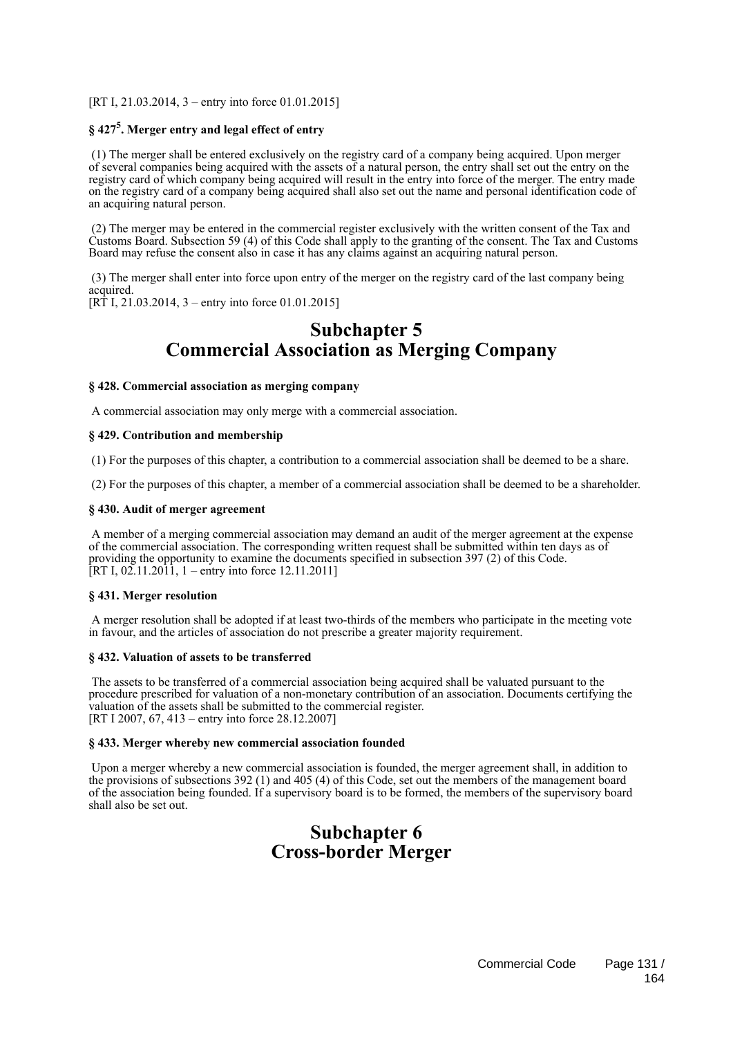[RT I, 21.03.2014, 3 – entry into force 01.01.2015]

### **§ 427<sup>5</sup> . Merger entry and legal effect of entry**

 (1) The merger shall be entered exclusively on the registry card of a company being acquired. Upon merger of several companies being acquired with the assets of a natural person, the entry shall set out the entry on the registry card of which company being acquired will result in the entry into force of the merger. The entry made on the registry card of a company being acquired shall also set out the name and personal identification code of an acquiring natural person.

 (2) The merger may be entered in the commercial register exclusively with the written consent of the Tax and Customs Board. Subsection 59 (4) of this Code shall apply to the granting of the consent. The Tax and Customs Board may refuse the consent also in case it has any claims against an acquiring natural person.

 (3) The merger shall enter into force upon entry of the merger on the registry card of the last company being acquired. [RT I, 21.03.2014, 3 – entry into force 01.01.2015]

**Subchapter 5**

# **Commercial Association as Merging Company**

### **§ 428. Commercial association as merging company**

A commercial association may only merge with a commercial association.

### **§ 429. Contribution and membership**

(1) For the purposes of this chapter, a contribution to a commercial association shall be deemed to be a share.

(2) For the purposes of this chapter, a member of a commercial association shall be deemed to be a shareholder.

### **§ 430. Audit of merger agreement**

 A member of a merging commercial association may demand an audit of the merger agreement at the expense of the commercial association. The corresponding written request shall be submitted within ten days as of providing the opportunity to examine the documents specified in subsection 397 (2) of this Code. [RT I,  $02.11.2011$ , 1 – entry into force 12.11.2011]

### **§ 431. Merger resolution**

 A merger resolution shall be adopted if at least two-thirds of the members who participate in the meeting vote in favour, and the articles of association do not prescribe a greater majority requirement.

### **§ 432. Valuation of assets to be transferred**

 The assets to be transferred of a commercial association being acquired shall be valuated pursuant to the procedure prescribed for valuation of a non-monetary contribution of an association. Documents certifying the valuation of the assets shall be submitted to the commercial register. [RT I 2007, 67, 413 – entry into force 28.12.2007]

### **§ 433. Merger whereby new commercial association founded**

 Upon a merger whereby a new commercial association is founded, the merger agreement shall, in addition to the provisions of subsections 392 (1) and 405 (4) of this Code, set out the members of the management board of the association being founded. If a supervisory board is to be formed, the members of the supervisory board shall also be set out.

## **Subchapter 6 Cross-border Merger**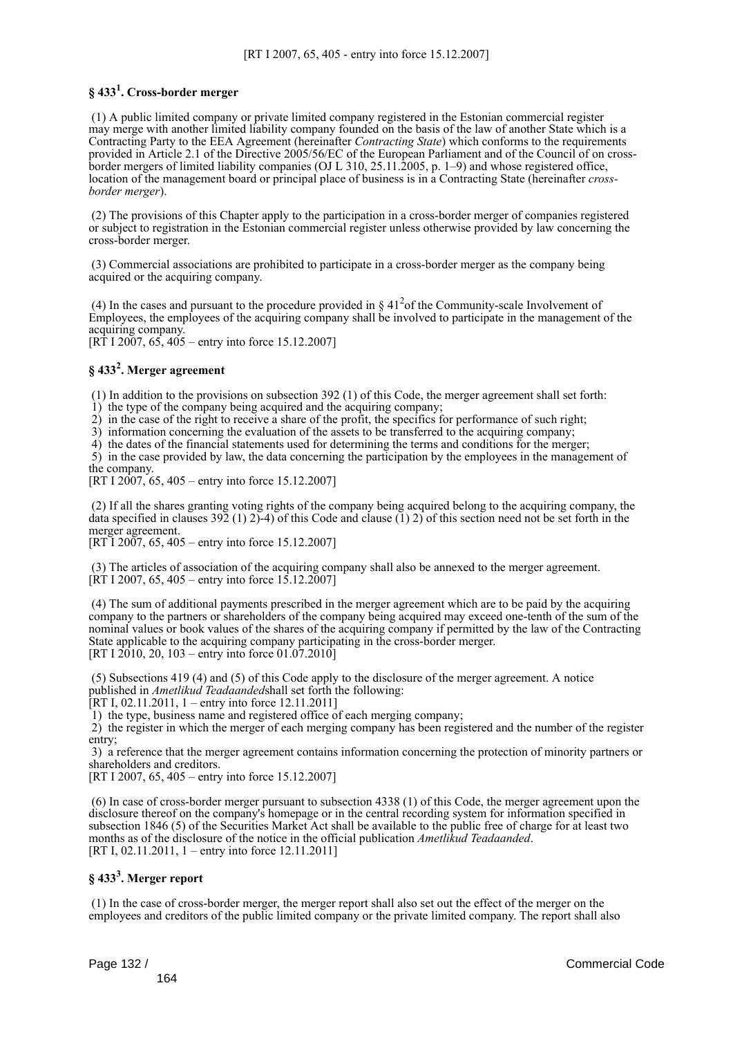### **§ 433<sup>1</sup> . Cross-border merger**

 (1) A public limited company or private limited company registered in the Estonian commercial register may merge with another limited liability company founded on the basis of the law of another State which is a Contracting Party to the EEA Agreement (hereinafter *Contracting State*) which conforms to the requirements provided in Article 2.1 of the Directive 2005/56/EC of the European Parliament and of the Council of on crossborder mergers of limited liability companies (OJ L 310, 25.11.2005, p. 1–9) and whose registered office, location of the management board or principal place of business is in a Contracting State (hereinafter *crossborder merger*).

 (2) The provisions of this Chapter apply to the participation in a cross-border merger of companies registered or subject to registration in the Estonian commercial register unless otherwise provided by law concerning the cross-border merger.

 (3) Commercial associations are prohibited to participate in a cross-border merger as the company being acquired or the acquiring company.

(4) In the cases and pursuant to the procedure provided in  $\S 41<sup>2</sup>$  of the Community-scale Involvement of Employees, the employees of the acquiring company shall be involved to participate in the management of the acquiring company.

 $[RT 1 2007, 65, 405 -$  entry into force 15.12.2007]

### **§ 433<sup>2</sup> . Merger agreement**

(1) In addition to the provisions on subsection 392 (1) of this Code, the merger agreement shall set forth:

1) the type of the company being acquired and the acquiring company;

2) in the case of the right to receive a share of the profit, the specifics for performance of such right;

3) information concerning the evaluation of the assets to be transferred to the acquiring company;

4) the dates of the financial statements used for determining the terms and conditions for the merger;

 5) in the case provided by law, the data concerning the participation by the employees in the management of the company.

[RT I  $2007, 65, 405$  – entry into force 15.12.2007]

 (2) If all the shares granting voting rights of the company being acquired belong to the acquiring company, the data specified in clauses 392 (1) 2)-4) of this Code and clause (1) 2) of this section need not be set forth in the merger agreement.

 $[RT\overline{1} 200\overline{7}, 65, 405 -$  entry into force 15.12.2007]

 (3) The articles of association of the acquiring company shall also be annexed to the merger agreement.  $[\hat{R}T I 2007, 65, 405 -$  entry into force 15.12.2007]

 (4) The sum of additional payments prescribed in the merger agreement which are to be paid by the acquiring company to the partners or shareholders of the company being acquired may exceed one-tenth of the sum of the nominal values or book values of the shares of the acquiring company if permitted by the law of the Contracting State applicable to the acquiring company participating in the cross-border merger. [RT I 2010, 20, 103 – entry into force 01.07.2010]

 (5) Subsections 419 (4) and (5) of this Code apply to the disclosure of the merger agreement. A notice published in *Ametlikud Teadaanded*shall set forth the following:

[RT I, 02.11.2011, 1 – entry into force 12.11.2011]

1) the type, business name and registered office of each merging company;

 2) the register in which the merger of each merging company has been registered and the number of the register entry;

 3) a reference that the merger agreement contains information concerning the protection of minority partners or shareholders and creditors.

[RT I 2007, 65, 405 – entry into force 15.12.2007]

 (6) In case of cross-border merger pursuant to subsection 4338 (1) of this Code, the merger agreement upon the disclosure thereof on the company's homepage or in the central recording system for information specified in subsection 1846 (5) of the Securities Market Act shall be available to the public free of charge for at least two months as of the disclosure of the notice in the official publication *Ametlikud Teadaanded*. [RT I, 02.11.2011, 1 – entry into force 12.11.2011]

### **§ 433<sup>3</sup> . Merger report**

 (1) In the case of cross-border merger, the merger report shall also set out the effect of the merger on the employees and creditors of the public limited company or the private limited company. The report shall also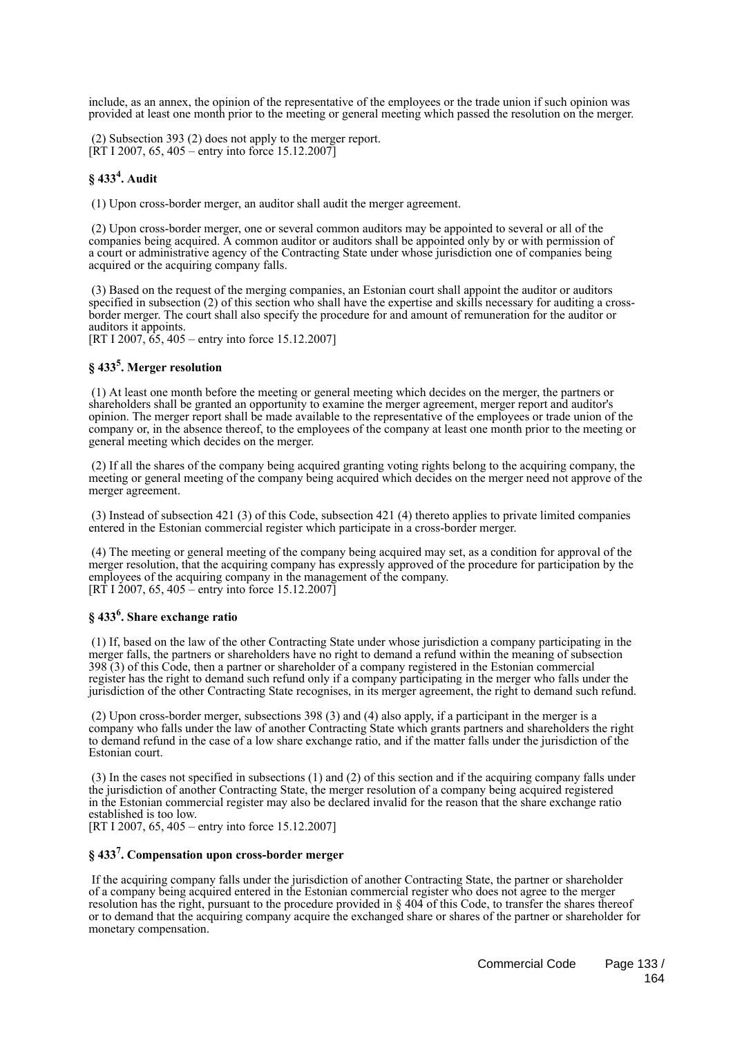include, as an annex, the opinion of the representative of the employees or the trade union if such opinion was provided at least one month prior to the meeting or general meeting which passed the resolution on the merger.

 (2) Subsection 393 (2) does not apply to the merger report. [RT I 2007, 65, 405 – entry into force 15.12.2007]

### **§ 433<sup>4</sup> . Audit**

(1) Upon cross-border merger, an auditor shall audit the merger agreement.

 (2) Upon cross-border merger, one or several common auditors may be appointed to several or all of the companies being acquired. A common auditor or auditors shall be appointed only by or with permission of a court or administrative agency of the Contracting State under whose jurisdiction one of companies being acquired or the acquiring company falls.

 (3) Based on the request of the merging companies, an Estonian court shall appoint the auditor or auditors specified in subsection (2) of this section who shall have the expertise and skills necessary for auditing a crossborder merger. The court shall also specify the procedure for and amount of remuneration for the auditor or auditors it appoints.

[RT I 2007, 65, 405 – entry into force 15.12.2007]

### **§ 433<sup>5</sup> . Merger resolution**

 (1) At least one month before the meeting or general meeting which decides on the merger, the partners or shareholders shall be granted an opportunity to examine the merger agreement, merger report and auditor's opinion. The merger report shall be made available to the representative of the employees or trade union of the company or, in the absence thereof, to the employees of the company at least one month prior to the meeting or general meeting which decides on the merger.

 (2) If all the shares of the company being acquired granting voting rights belong to the acquiring company, the meeting or general meeting of the company being acquired which decides on the merger need not approve of the merger agreement.

 (3) Instead of subsection 421 (3) of this Code, subsection 421 (4) thereto applies to private limited companies entered in the Estonian commercial register which participate in a cross-border merger.

 (4) The meeting or general meeting of the company being acquired may set, as a condition for approval of the merger resolution, that the acquiring company has expressly approved of the procedure for participation by the employees of the acquiring company in the management of the company.  $[RT 1 2007, 65, 405 - entry into force 15.12.2007]$ 

### **§ 433<sup>6</sup> . Share exchange ratio**

 (1) If, based on the law of the other Contracting State under whose jurisdiction a company participating in the merger falls, the partners or shareholders have no right to demand a refund within the meaning of subsection 398 (3) of this Code, then a partner or shareholder of a company registered in the Estonian commercial register has the right to demand such refund only if a company participating in the merger who falls under the jurisdiction of the other Contracting State recognises, in its merger agreement, the right to demand such refund.

 (2) Upon cross-border merger, subsections 398 (3) and (4) also apply, if a participant in the merger is a company who falls under the law of another Contracting State which grants partners and shareholders the right to demand refund in the case of a low share exchange ratio, and if the matter falls under the jurisdiction of the Estonian court.

 (3) In the cases not specified in subsections (1) and (2) of this section and if the acquiring company falls under the jurisdiction of another Contracting State, the merger resolution of a company being acquired registered in the Estonian commercial register may also be declared invalid for the reason that the share exchange ratio established is too low.

[RT I 2007, 65, 405 – entry into force 15.12.2007]

### **§ 433<sup>7</sup> . Compensation upon cross-border merger**

 If the acquiring company falls under the jurisdiction of another Contracting State, the partner or shareholder of a company being acquired entered in the Estonian commercial register who does not agree to the merger resolution has the right, pursuant to the procedure provided in § 404 of this Code, to transfer the shares thereof or to demand that the acquiring company acquire the exchanged share or shares of the partner or shareholder for monetary compensation.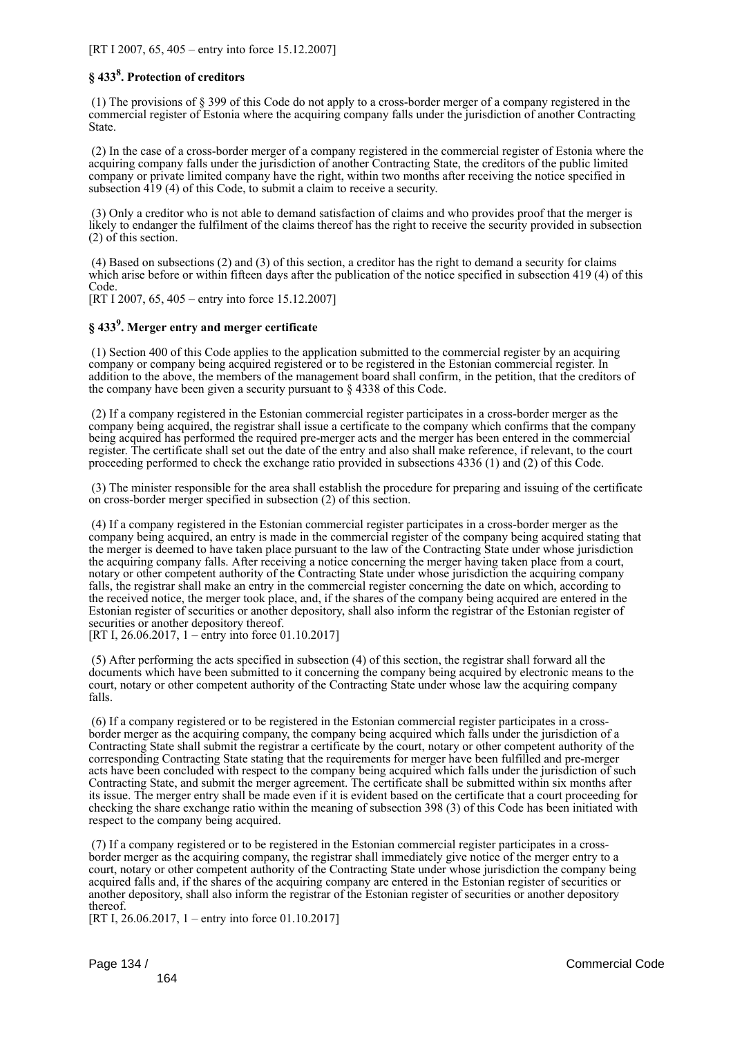[RT I 2007, 65, 405 – entry into force 15.12.2007]

### **§ 433<sup>8</sup> . Protection of creditors**

 (1) The provisions of § 399 of this Code do not apply to a cross-border merger of a company registered in the commercial register of Estonia where the acquiring company falls under the jurisdiction of another Contracting State.

 (2) In the case of a cross-border merger of a company registered in the commercial register of Estonia where the acquiring company falls under the jurisdiction of another Contracting State, the creditors of the public limited company or private limited company have the right, within two months after receiving the notice specified in subsection 419 (4) of this Code, to submit a claim to receive a security.

 (3) Only a creditor who is not able to demand satisfaction of claims and who provides proof that the merger is likely to endanger the fulfilment of the claims thereof has the right to receive the security provided in subsection (2) of this section.

 (4) Based on subsections (2) and (3) of this section, a creditor has the right to demand a security for claims which arise before or within fifteen days after the publication of the notice specified in subsection 419 (4) of this Code.

[RT I 2007, 65, 405 – entry into force 15.12.2007]

### **§ 433<sup>9</sup> . Merger entry and merger certificate**

 (1) Section 400 of this Code applies to the application submitted to the commercial register by an acquiring company or company being acquired registered or to be registered in the Estonian commercial register. In addition to the above, the members of the management board shall confirm, in the petition, that the creditors of the company have been given a security pursuant to § 4338 of this Code.

 (2) If a company registered in the Estonian commercial register participates in a cross-border merger as the company being acquired, the registrar shall issue a certificate to the company which confirms that the company being acquired has performed the required pre-merger acts and the merger has been entered in the commercial register. The certificate shall set out the date of the entry and also shall make reference, if relevant, to the court proceeding performed to check the exchange ratio provided in subsections 4336 (1) and (2) of this Code.

 (3) The minister responsible for the area shall establish the procedure for preparing and issuing of the certificate on cross-border merger specified in subsection (2) of this section.

 (4) If a company registered in the Estonian commercial register participates in a cross-border merger as the company being acquired, an entry is made in the commercial register of the company being acquired stating that the merger is deemed to have taken place pursuant to the law of the Contracting State under whose jurisdiction the acquiring company falls. After receiving a notice concerning the merger having taken place from a court, notary or other competent authority of the Contracting State under whose jurisdiction the acquiring company falls, the registrar shall make an entry in the commercial register concerning the date on which, according to the received notice, the merger took place, and, if the shares of the company being acquired are entered in the Estonian register of securities or another depository, shall also inform the registrar of the Estonian register of securities or another depository thereof.

[RT I, 26.06.2017, 1 – entry into force 01.10.2017]

 (5) After performing the acts specified in subsection (4) of this section, the registrar shall forward all the documents which have been submitted to it concerning the company being acquired by electronic means to the court, notary or other competent authority of the Contracting State under whose law the acquiring company falls.

 (6) If a company registered or to be registered in the Estonian commercial register participates in a crossborder merger as the acquiring company, the company being acquired which falls under the jurisdiction of a Contracting State shall submit the registrar a certificate by the court, notary or other competent authority of the corresponding Contracting State stating that the requirements for merger have been fulfilled and pre-merger acts have been concluded with respect to the company being acquired which falls under the jurisdiction of such Contracting State, and submit the merger agreement. The certificate shall be submitted within six months after its issue. The merger entry shall be made even if it is evident based on the certificate that a court proceeding for checking the share exchange ratio within the meaning of subsection 398 (3) of this Code has been initiated with respect to the company being acquired.

 (7) If a company registered or to be registered in the Estonian commercial register participates in a crossborder merger as the acquiring company, the registrar shall immediately give notice of the merger entry to a court, notary or other competent authority of the Contracting State under whose jurisdiction the company being acquired falls and, if the shares of the acquiring company are entered in the Estonian register of securities or another depository, shall also inform the registrar of the Estonian register of securities or another depository thereof.

[RT I, 26.06.2017, 1 – entry into force 01.10.2017]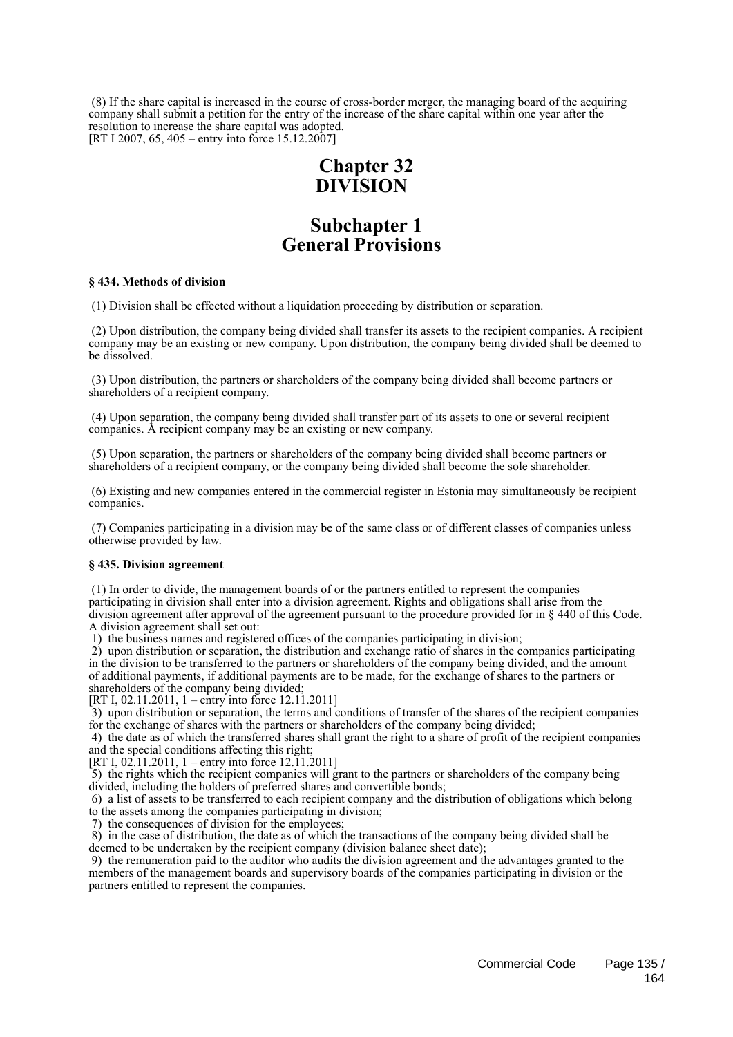(8) If the share capital is increased in the course of cross-border merger, the managing board of the acquiring company shall submit a petition for the entry of the increase of the share capital within one year after the resolution to increase the share capital was adopted. [RT I 2007, 65, 405 – entry into force 15.12.2007]

## **Chapter 32 DIVISION**

## **Subchapter 1 General Provisions**

### **§ 434. Methods of division**

(1) Division shall be effected without a liquidation proceeding by distribution or separation.

 (2) Upon distribution, the company being divided shall transfer its assets to the recipient companies. A recipient company may be an existing or new company. Upon distribution, the company being divided shall be deemed to be dissolved.

 (3) Upon distribution, the partners or shareholders of the company being divided shall become partners or shareholders of a recipient company.

 (4) Upon separation, the company being divided shall transfer part of its assets to one or several recipient companies. A recipient company may be an existing or new company.

 (5) Upon separation, the partners or shareholders of the company being divided shall become partners or shareholders of a recipient company, or the company being divided shall become the sole shareholder.

 (6) Existing and new companies entered in the commercial register in Estonia may simultaneously be recipient companies.

 (7) Companies participating in a division may be of the same class or of different classes of companies unless otherwise provided by law.

### **§ 435. Division agreement**

 (1) In order to divide, the management boards of or the partners entitled to represent the companies participating in division shall enter into a division agreement. Rights and obligations shall arise from the division agreement after approval of the agreement pursuant to the procedure provided for in § 440 of this Code. A division agreement shall set out:

1) the business names and registered offices of the companies participating in division;

 2) upon distribution or separation, the distribution and exchange ratio of shares in the companies participating in the division to be transferred to the partners or shareholders of the company being divided, and the amount of additional payments, if additional payments are to be made, for the exchange of shares to the partners or shareholders of the company being divided;

[RT I, 02.11.2011, 1 – entry into force 12.11.2011]

 3) upon distribution or separation, the terms and conditions of transfer of the shares of the recipient companies for the exchange of shares with the partners or shareholders of the company being divided;

 4) the date as of which the transferred shares shall grant the right to a share of profit of the recipient companies and the special conditions affecting this right;

[RT I, 02.11.2011, 1 – entry into force 12.11.2011]

 5) the rights which the recipient companies will grant to the partners or shareholders of the company being divided, including the holders of preferred shares and convertible bonds;

 6) a list of assets to be transferred to each recipient company and the distribution of obligations which belong to the assets among the companies participating in division;

7) the consequences of division for the employees;

 8) in the case of distribution, the date as of which the transactions of the company being divided shall be deemed to be undertaken by the recipient company (division balance sheet date);

 9) the remuneration paid to the auditor who audits the division agreement and the advantages granted to the members of the management boards and supervisory boards of the companies participating in division or the partners entitled to represent the companies.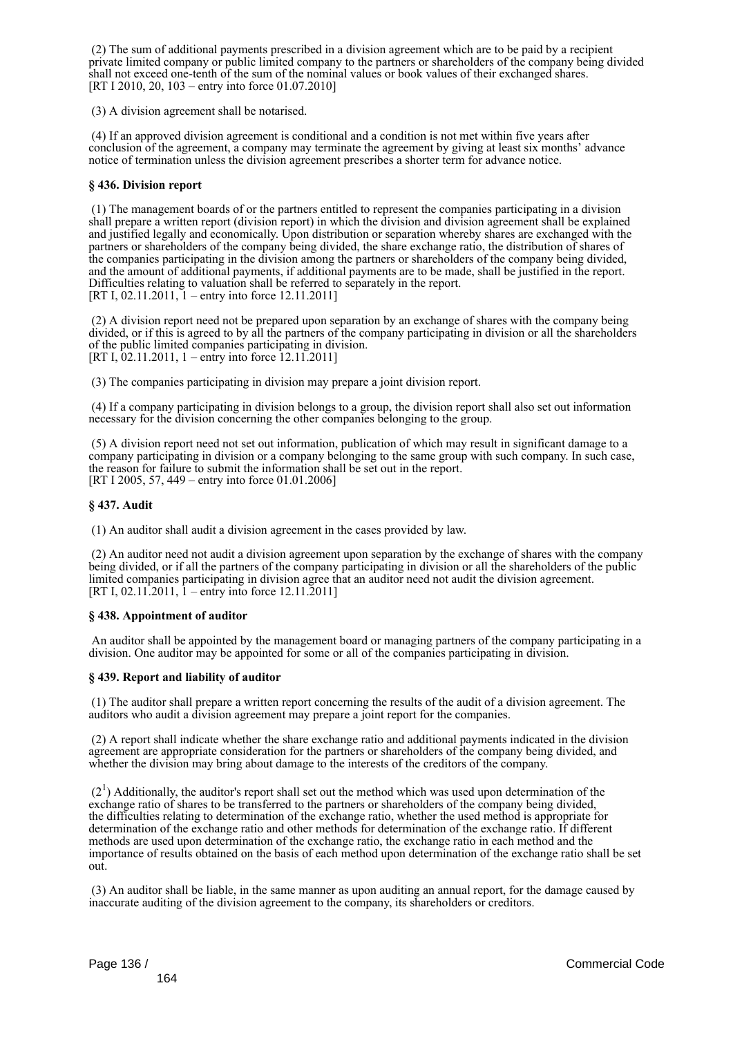(2) The sum of additional payments prescribed in a division agreement which are to be paid by a recipient private limited company or public limited company to the partners or shareholders of the company being divided shall not exceed one-tenth of the sum of the nominal values or book values of their exchanged shares. [RT I 2010, 20, 103 – entry into force 01.07.2010]

(3) A division agreement shall be notarised.

 (4) If an approved division agreement is conditional and a condition is not met within five years after conclusion of the agreement, a company may terminate the agreement by giving at least six months' advance notice of termination unless the division agreement prescribes a shorter term for advance notice.

### **§ 436. Division report**

 (1) The management boards of or the partners entitled to represent the companies participating in a division shall prepare a written report (division report) in which the division and division agreement shall be explained and justified legally and economically. Upon distribution or separation whereby shares are exchanged with the partners or shareholders of the company being divided, the share exchange ratio, the distribution of shares of the companies participating in the division among the partners or shareholders of the company being divided, and the amount of additional payments, if additional payments are to be made, shall be justified in the report. Difficulties relating to valuation shall be referred to separately in the report. [RT I, 02.11.2011, 1 – entry into force 12.11.2011]

 (2) A division report need not be prepared upon separation by an exchange of shares with the company being divided, or if this is agreed to by all the partners of the company participating in division or all the shareholders of the public limited companies participating in division. [RT I, 02.11.2011, 1 – entry into force 12.11.2011]

(3) The companies participating in division may prepare a joint division report.

 (4) If a company participating in division belongs to a group, the division report shall also set out information necessary for the division concerning the other companies belonging to the group.

 (5) A division report need not set out information, publication of which may result in significant damage to a company participating in division or a company belonging to the same group with such company. In such case, the reason for failure to submit the information shall be set out in the report. [RT I 2005, 57, 449 – entry into force 01.01.2006]

### **§ 437. Audit**

(1) An auditor shall audit a division agreement in the cases provided by law.

 (2) An auditor need not audit a division agreement upon separation by the exchange of shares with the company being divided, or if all the partners of the company participating in division or all the shareholders of the public limited companies participating in division agree that an auditor need not audit the division agreement. [RT I, 02.11.2011, 1 – entry into force 12.11.2011]

### **§ 438. Appointment of auditor**

 An auditor shall be appointed by the management board or managing partners of the company participating in a division. One auditor may be appointed for some or all of the companies participating in division.

### **§ 439. Report and liability of auditor**

 (1) The auditor shall prepare a written report concerning the results of the audit of a division agreement. The auditors who audit a division agreement may prepare a joint report for the companies.

 (2) A report shall indicate whether the share exchange ratio and additional payments indicated in the division agreement are appropriate consideration for the partners or shareholders of the company being divided, and whether the division may bring about damage to the interests of the creditors of the company.

 $(2<sup>1</sup>)$  Additionally, the auditor's report shall set out the method which was used upon determination of the exchange ratio of shares to be transferred to the partners or shareholders of the company being divided, the difficulties relating to determination of the exchange ratio, whether the used method is appropriate for determination of the exchange ratio and other methods for determination of the exchange ratio. If different methods are used upon determination of the exchange ratio, the exchange ratio in each method and the importance of results obtained on the basis of each method upon determination of the exchange ratio shall be set out.

 (3) An auditor shall be liable, in the same manner as upon auditing an annual report, for the damage caused by inaccurate auditing of the division agreement to the company, its shareholders or creditors.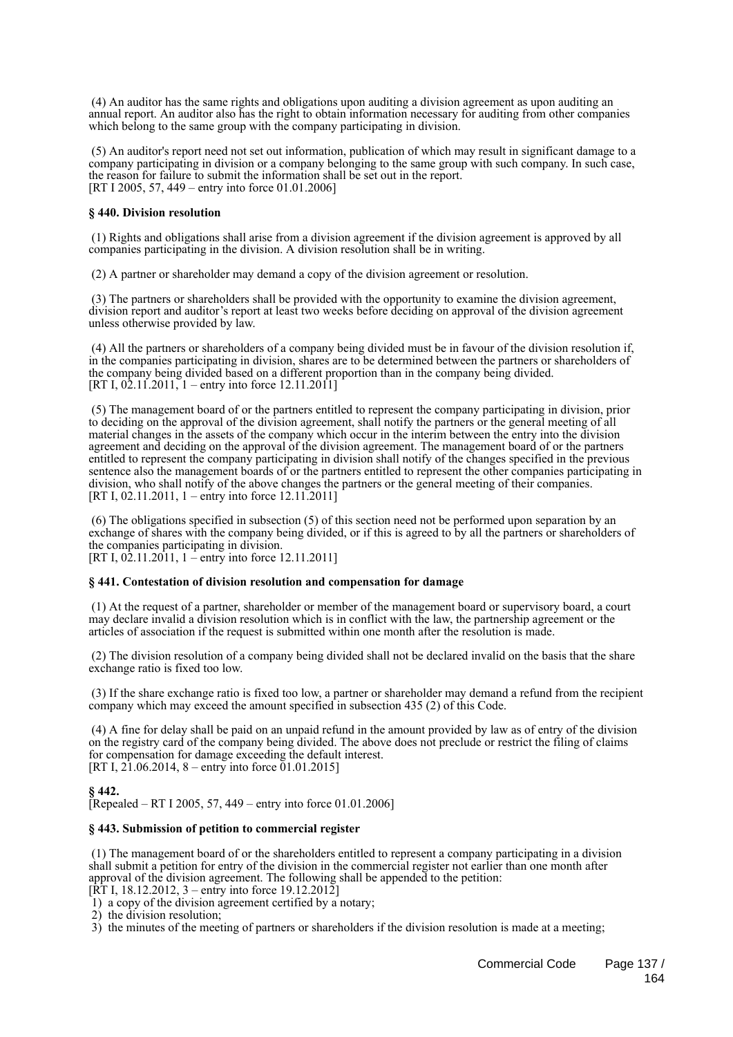(4) An auditor has the same rights and obligations upon auditing a division agreement as upon auditing an annual report. An auditor also has the right to obtain information necessary for auditing from other companies which belong to the same group with the company participating in division.

 (5) An auditor's report need not set out information, publication of which may result in significant damage to a company participating in division or a company belonging to the same group with such company. In such case, the reason for failure to submit the information shall be set out in the report. [RT I 2005, 57, 449 – entry into force 01.01.2006]

### **§ 440. Division resolution**

 (1) Rights and obligations shall arise from a division agreement if the division agreement is approved by all companies participating in the division. A division resolution shall be in writing.

(2) A partner or shareholder may demand a copy of the division agreement or resolution.

 (3) The partners or shareholders shall be provided with the opportunity to examine the division agreement, division report and auditor's report at least two weeks before deciding on approval of the division agreement unless otherwise provided by law.

 (4) All the partners or shareholders of a company being divided must be in favour of the division resolution if, in the companies participating in division, shares are to be determined between the partners or shareholders of the company being divided based on a different proportion than in the company being divided. [RT I,  $0\overline{2}$ .11.2011, 1 – entry into force 12.11.2011]

 (5) The management board of or the partners entitled to represent the company participating in division, prior to deciding on the approval of the division agreement, shall notify the partners or the general meeting of all material changes in the assets of the company which occur in the interim between the entry into the division agreement and deciding on the approval of the division agreement. The management board of or the partners entitled to represent the company participating in division shall notify of the changes specified in the previous sentence also the management boards of or the partners entitled to represent the other companies participating in division, who shall notify of the above changes the partners or the general meeting of their companies. [RT I, 02.11.2011, 1 – entry into force 12.11.2011]

 (6) The obligations specified in subsection (5) of this section need not be performed upon separation by an exchange of shares with the company being divided, or if this is agreed to by all the partners or shareholders of the companies participating in division. [RT I,  $0\overline{2}$ .11.2011, 1 – entry into force 12.11.2011]

### **§ 441. Contestation of division resolution and compensation for damage**

 (1) At the request of a partner, shareholder or member of the management board or supervisory board, a court may declare invalid a division resolution which is in conflict with the law, the partnership agreement or the articles of association if the request is submitted within one month after the resolution is made.

 (2) The division resolution of a company being divided shall not be declared invalid on the basis that the share exchange ratio is fixed too low.

 (3) If the share exchange ratio is fixed too low, a partner or shareholder may demand a refund from the recipient company which may exceed the amount specified in subsection 435 (2) of this Code.

 (4) A fine for delay shall be paid on an unpaid refund in the amount provided by law as of entry of the division on the registry card of the company being divided. The above does not preclude or restrict the filing of claims for compensation for damage exceeding the default interest. [RT I,  $2\overline{1}$ , 06.2014, 8 – entry into force  $01.01$ , 2015]

### **§ 442.** [Repealed – RT I 2005, 57, 449 – entry into force 01.01.2006]

### **§ 443. Submission of petition to commercial register**

 (1) The management board of or the shareholders entitled to represent a company participating in a division shall submit a petition for entry of the division in the commercial register not earlier than one month after approval of the division agreement. The following shall be appended to the petition:

 $[\hat{R}T I, 18.12.2012, 3 - entry into force 19.12.2012]$ 

1) a copy of the division agreement certified by a notary;

2) the division resolution;

3) the minutes of the meeting of partners or shareholders if the division resolution is made at a meeting;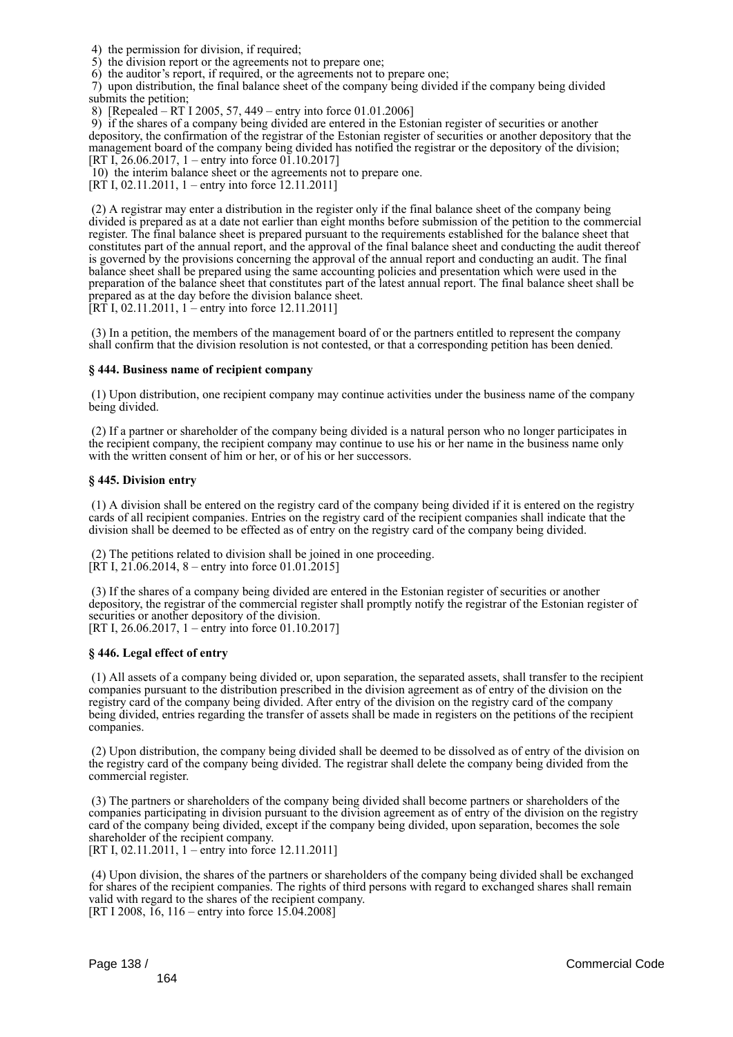4) the permission for division, if required;

5) the division report or the agreements not to prepare one;

6) the auditor's report, if required, or the agreements not to prepare one;

 7) upon distribution, the final balance sheet of the company being divided if the company being divided submits the petition;

8) [Repealed – RT I 2005, 57, 449 – entry into force 01.01.2006]

 9) if the shares of a company being divided are entered in the Estonian register of securities or another depository, the confirmation of the registrar of the Estonian register of securities or another depository that the management board of the company being divided has notified the registrar or the depository of the division; [RT I, 26.06.2017, 1 – entry into force 01.10.2017]

10) the interim balance sheet or the agreements not to prepare one.

 $[RT I, 02.11.2011, 1 - entry into force 12.11.2011]$ 

 (2) A registrar may enter a distribution in the register only if the final balance sheet of the company being divided is prepared as at a date not earlier than eight months before submission of the petition to the commercial register. The final balance sheet is prepared pursuant to the requirements established for the balance sheet that constitutes part of the annual report, and the approval of the final balance sheet and conducting the audit thereof is governed by the provisions concerning the approval of the annual report and conducting an audit. The final balance sheet shall be prepared using the same accounting policies and presentation which were used in the preparation of the balance sheet that constitutes part of the latest annual report. The final balance sheet shall be prepared as at the day before the division balance sheet.  $[RT 1, 02.11.2011, 1 -$  entry into force 12.11.2011]

 (3) In a petition, the members of the management board of or the partners entitled to represent the company shall confirm that the division resolution is not contested, or that a corresponding petition has been denied.

### **§ 444. Business name of recipient company**

 (1) Upon distribution, one recipient company may continue activities under the business name of the company being divided.

 (2) If a partner or shareholder of the company being divided is a natural person who no longer participates in the recipient company, the recipient company may continue to use his or her name in the business name only with the written consent of him or her, or of his or her successors.

### **§ 445. Division entry**

 (1) A division shall be entered on the registry card of the company being divided if it is entered on the registry cards of all recipient companies. Entries on the registry card of the recipient companies shall indicate that the division shall be deemed to be effected as of entry on the registry card of the company being divided.

 (2) The petitions related to division shall be joined in one proceeding.  $[\overline{RT} I, 21.06.2014, 8 -$  entry into force 01.01.2015]

 (3) If the shares of a company being divided are entered in the Estonian register of securities or another depository, the registrar of the commercial register shall promptly notify the registrar of the Estonian register of securities or another depository of the division. [RT I, 26.06.2017, 1 – entry into force 01.10.2017]

### **§ 446. Legal effect of entry**

 (1) All assets of a company being divided or, upon separation, the separated assets, shall transfer to the recipient companies pursuant to the distribution prescribed in the division agreement as of entry of the division on the registry card of the company being divided. After entry of the division on the registry card of the company being divided, entries regarding the transfer of assets shall be made in registers on the petitions of the recipient companies.

 (2) Upon distribution, the company being divided shall be deemed to be dissolved as of entry of the division on the registry card of the company being divided. The registrar shall delete the company being divided from the commercial register.

 (3) The partners or shareholders of the company being divided shall become partners or shareholders of the companies participating in division pursuant to the division agreement as of entry of the division on the registry card of the company being divided, except if the company being divided, upon separation, becomes the sole shareholder of the recipient company.

[RT I, 02.11.2011, 1 – entry into force 12.11.2011]

 (4) Upon division, the shares of the partners or shareholders of the company being divided shall be exchanged for shares of the recipient companies. The rights of third persons with regard to exchanged shares shall remain valid with regard to the shares of the recipient company. [RT I 2008, 16, 116 – entry into force 15.04.2008]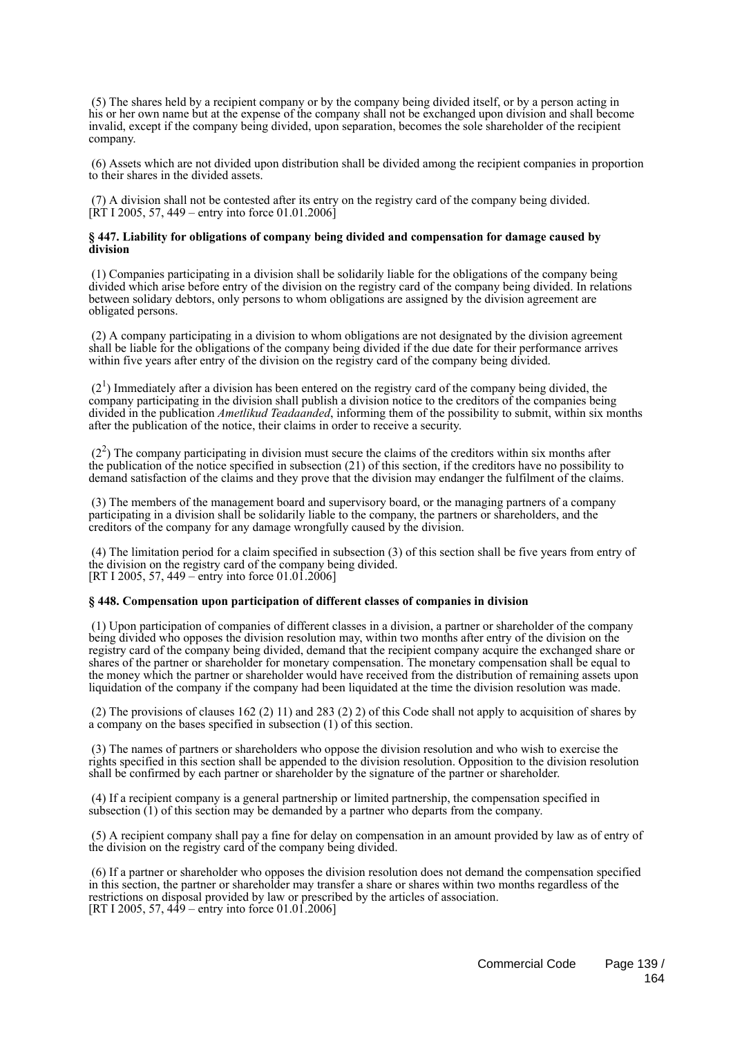(5) The shares held by a recipient company or by the company being divided itself, or by a person acting in his or her own name but at the expense of the company shall not be exchanged upon division and shall become invalid, except if the company being divided, upon separation, becomes the sole shareholder of the recipient company.

 (6) Assets which are not divided upon distribution shall be divided among the recipient companies in proportion to their shares in the divided assets.

 (7) A division shall not be contested after its entry on the registry card of the company being divided.  $[\hat{R}T 1 2005, 57, 449 -$  entry into force 01.01.2006

### **§ 447. Liability for obligations of company being divided and compensation for damage caused by division**

 (1) Companies participating in a division shall be solidarily liable for the obligations of the company being divided which arise before entry of the division on the registry card of the company being divided. In relations between solidary debtors, only persons to whom obligations are assigned by the division agreement are obligated persons.

 (2) A company participating in a division to whom obligations are not designated by the division agreement shall be liable for the obligations of the company being divided if the due date for their performance arrives within five years after entry of the division on the registry card of the company being divided.

 $(2<sup>1</sup>)$  Immediately after a division has been entered on the registry card of the company being divided, the company participating in the division shall publish a division notice to the creditors of the companies being divided in the publication *Ametlikud Teadaanded*, informing them of the possibility to submit, within six months after the publication of the notice, their claims in order to receive a security.

 $(2<sup>2</sup>)$  The company participating in division must secure the claims of the creditors within six months after the publication of the notice specified in subsection (21) of this section, if the creditors have no possibility to demand satisfaction of the claims and they prove that the division may endanger the fulfilment of the claims.

 (3) The members of the management board and supervisory board, or the managing partners of a company participating in a division shall be solidarily liable to the company, the partners or shareholders, and the creditors of the company for any damage wrongfully caused by the division.

 (4) The limitation period for a claim specified in subsection (3) of this section shall be five years from entry of the division on the registry card of the company being divided. [RT I 2005, 57, 449 – entry into force 01.01.2006]

### **§ 448. Compensation upon participation of different classes of companies in division**

 (1) Upon participation of companies of different classes in a division, a partner or shareholder of the company being divided who opposes the division resolution may, within two months after entry of the division on the registry card of the company being divided, demand that the recipient company acquire the exchanged share or shares of the partner or shareholder for monetary compensation. The monetary compensation shall be equal to the money which the partner or shareholder would have received from the distribution of remaining assets upon liquidation of the company if the company had been liquidated at the time the division resolution was made.

 (2) The provisions of clauses 162 (2) 11) and 283 (2) 2) of this Code shall not apply to acquisition of shares by a company on the bases specified in subsection (1) of this section.

 (3) The names of partners or shareholders who oppose the division resolution and who wish to exercise the rights specified in this section shall be appended to the division resolution. Opposition to the division resolution shall be confirmed by each partner or shareholder by the signature of the partner or shareholder.

 (4) If a recipient company is a general partnership or limited partnership, the compensation specified in subsection (1) of this section may be demanded by a partner who departs from the company.

 (5) A recipient company shall pay a fine for delay on compensation in an amount provided by law as of entry of the division on the registry card of the company being divided.

 (6) If a partner or shareholder who opposes the division resolution does not demand the compensation specified in this section, the partner or shareholder may transfer a share or shares within two months regardless of the restrictions on disposal provided by law or prescribed by the articles of association. [RT I 2005, 57, 449 – entry into force 01.01.2006]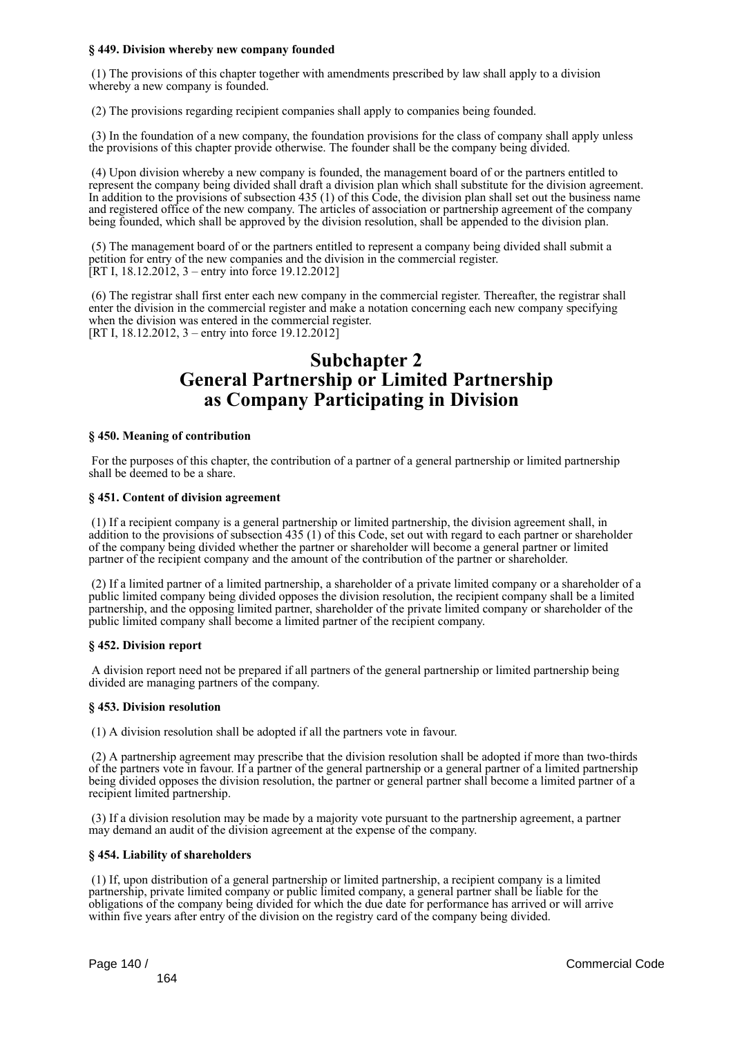### **§ 449. Division whereby new company founded**

 (1) The provisions of this chapter together with amendments prescribed by law shall apply to a division whereby a new company is founded.

(2) The provisions regarding recipient companies shall apply to companies being founded.

 (3) In the foundation of a new company, the foundation provisions for the class of company shall apply unless the provisions of this chapter provide otherwise. The founder shall be the company being divided.

 (4) Upon division whereby a new company is founded, the management board of or the partners entitled to represent the company being divided shall draft a division plan which shall substitute for the division agreement. In addition to the provisions of subsection 435 (1) of this Code, the division plan shall set out the business name and registered office of the new company. The articles of association or partnership agreement of the company being founded, which shall be approved by the division resolution, shall be appended to the division plan.

 (5) The management board of or the partners entitled to represent a company being divided shall submit a petition for entry of the new companies and the division in the commercial register. [RT I,  $18.12.2012$ , 3 – entry into force 19.12.2012]

 (6) The registrar shall first enter each new company in the commercial register. Thereafter, the registrar shall enter the division in the commercial register and make a notation concerning each new company specifying when the division was entered in the commercial register. [RT I, 18.12.2012, 3 – entry into force 19.12.2012]

## **Subchapter 2 General Partnership or Limited Partnership as Company Participating in Division**

### **§ 450. Meaning of contribution**

 For the purposes of this chapter, the contribution of a partner of a general partnership or limited partnership shall be deemed to be a share.

### **§ 451. Content of division agreement**

 (1) If a recipient company is a general partnership or limited partnership, the division agreement shall, in addition to the provisions of subsection 435 (1) of this Code, set out with regard to each partner or shareholder of the company being divided whether the partner or shareholder will become a general partner or limited partner of the recipient company and the amount of the contribution of the partner or shareholder.

 (2) If a limited partner of a limited partnership, a shareholder of a private limited company or a shareholder of a public limited company being divided opposes the division resolution, the recipient company shall be a limited partnership, and the opposing limited partner, shareholder of the private limited company or shareholder of the public limited company shall become a limited partner of the recipient company.

### **§ 452. Division report**

 A division report need not be prepared if all partners of the general partnership or limited partnership being divided are managing partners of the company.

### **§ 453. Division resolution**

(1) A division resolution shall be adopted if all the partners vote in favour.

 (2) A partnership agreement may prescribe that the division resolution shall be adopted if more than two-thirds of the partners vote in favour. If a partner of the general partnership or a general partner of a limited partnership being divided opposes the division resolution, the partner or general partner shall become a limited partner of a recipient limited partnership.

 (3) If a division resolution may be made by a majority vote pursuant to the partnership agreement, a partner may demand an audit of the division agreement at the expense of the company.

### **§ 454. Liability of shareholders**

 (1) If, upon distribution of a general partnership or limited partnership, a recipient company is a limited partnership, private limited company or public limited company, a general partner shall be liable for the obligations of the company being divided for which the due date for performance has arrived or will arrive within five years after entry of the division on the registry card of the company being divided.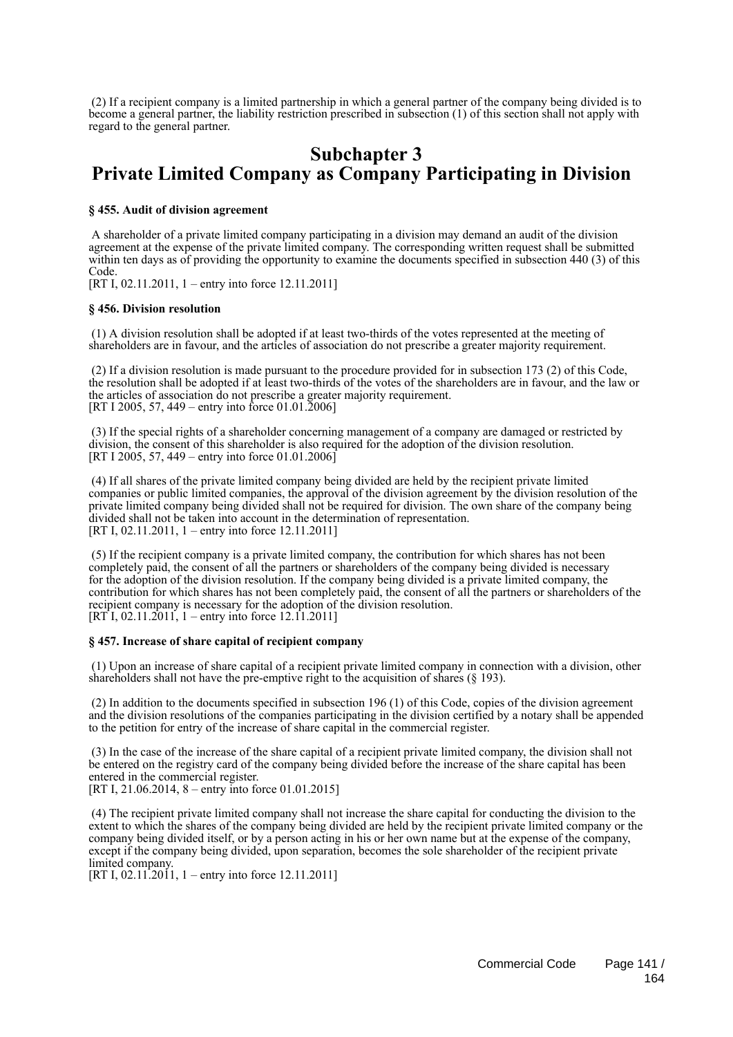(2) If a recipient company is a limited partnership in which a general partner of the company being divided is to become a general partner, the liability restriction prescribed in subsection (1) of this section shall not apply with regard to the general partner.

## **Subchapter 3 Private Limited Company as Company Participating in Division**

### **§ 455. Audit of division agreement**

 A shareholder of a private limited company participating in a division may demand an audit of the division agreement at the expense of the private limited company. The corresponding written request shall be submitted within ten days as of providing the opportunity to examine the documents specified in subsection 440 (3) of this Code.

[RT I, 02.11.2011, 1 – entry into force 12.11.2011]

### **§ 456. Division resolution**

 (1) A division resolution shall be adopted if at least two-thirds of the votes represented at the meeting of shareholders are in favour, and the articles of association do not prescribe a greater majority requirement.

 (2) If a division resolution is made pursuant to the procedure provided for in subsection 173 (2) of this Code, the resolution shall be adopted if at least two-thirds of the votes of the shareholders are in favour, and the law or the articles of association do not prescribe a greater majority requirement. [RT I 2005, 57, 449 – entry into force 01.01.2006]

 (3) If the special rights of a shareholder concerning management of a company are damaged or restricted by division, the consent of this shareholder is also required for the adoption of the division resolution. [RT I 2005, 57, 449 – entry into force 01.01.2006]

 (4) If all shares of the private limited company being divided are held by the recipient private limited companies or public limited companies, the approval of the division agreement by the division resolution of the private limited company being divided shall not be required for division. The own share of the company being divided shall not be taken into account in the determination of representation. [RT I, 02.11.2011, 1 – entry into force 12.11.2011]

 (5) If the recipient company is a private limited company, the contribution for which shares has not been completely paid, the consent of all the partners or shareholders of the company being divided is necessary for the adoption of the division resolution. If the company being divided is a private limited company, the contribution for which shares has not been completely paid, the consent of all the partners or shareholders of the recipient company is necessary for the adoption of the division resolution.  $[RT<sup>†</sup>1, 02.11.2011]$ , 1 – entry into force 12.11.2011]

### **§ 457. Increase of share capital of recipient company**

 (1) Upon an increase of share capital of a recipient private limited company in connection with a division, other shareholders shall not have the pre-emptive right to the acquisition of shares (§ 193).

 (2) In addition to the documents specified in subsection 196 (1) of this Code, copies of the division agreement and the division resolutions of the companies participating in the division certified by a notary shall be appended to the petition for entry of the increase of share capital in the commercial register.

 (3) In the case of the increase of the share capital of a recipient private limited company, the division shall not be entered on the registry card of the company being divided before the increase of the share capital has been entered in the commercial register.

[RT I, 21.06.2014, 8 – entry into force 01.01.2015]

 (4) The recipient private limited company shall not increase the share capital for conducting the division to the extent to which the shares of the company being divided are held by the recipient private limited company or the company being divided itself, or by a person acting in his or her own name but at the expense of the company, except if the company being divided, upon separation, becomes the sole shareholder of the recipient private limited company.

[RT I,  $02.11.2011$ , 1 – entry into force 12.11.2011]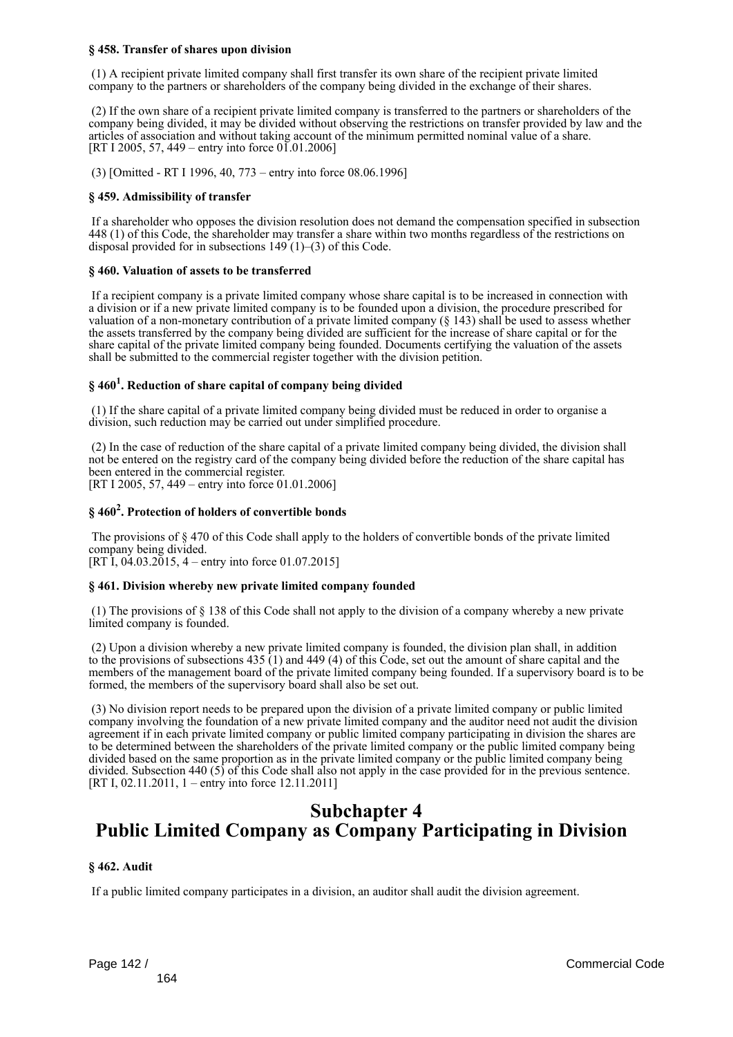### **§ 458. Transfer of shares upon division**

 (1) A recipient private limited company shall first transfer its own share of the recipient private limited company to the partners or shareholders of the company being divided in the exchange of their shares.

 (2) If the own share of a recipient private limited company is transferred to the partners or shareholders of the company being divided, it may be divided without observing the restrictions on transfer provided by law and the articles of association and without taking account of the minimum permitted nominal value of a share. [RT I 2005, 57, 449 – entry into force  $01.01.2006$ ]

(3) [Omitted - RT I 1996, 40, 773 – entry into force 08.06.1996]

### **§ 459. Admissibility of transfer**

 If a shareholder who opposes the division resolution does not demand the compensation specified in subsection 448 (1) of this Code, the shareholder may transfer a share within two months regardless of the restrictions on disposal provided for in subsections  $149(1)$ –(3) of this Code.

### **§ 460. Valuation of assets to be transferred**

 If a recipient company is a private limited company whose share capital is to be increased in connection with a division or if a new private limited company is to be founded upon a division, the procedure prescribed for valuation of a non-monetary contribution of a private limited company (§ 143) shall be used to assess whether the assets transferred by the company being divided are sufficient for the increase of share capital or for the share capital of the private limited company being founded. Documents certifying the valuation of the assets shall be submitted to the commercial register together with the division petition.

### **§ 460<sup>1</sup> . Reduction of share capital of company being divided**

 (1) If the share capital of a private limited company being divided must be reduced in order to organise a division, such reduction may be carried out under simplified procedure.

 (2) In the case of reduction of the share capital of a private limited company being divided, the division shall not be entered on the registry card of the company being divided before the reduction of the share capital has been entered in the commercial register.

[RT I 2005, 57, 449 – entry into force 01.01.2006]

### **§ 460<sup>2</sup> . Protection of holders of convertible bonds**

 The provisions of § 470 of this Code shall apply to the holders of convertible bonds of the private limited company being divided.

 $[RT\overline{1}, 0\overline{4}.03.2\overline{0}15, 4 -$  entry into force 01.07.2015]

### **§ 461. Division whereby new private limited company founded**

 (1) The provisions of § 138 of this Code shall not apply to the division of a company whereby a new private limited company is founded.

 (2) Upon a division whereby a new private limited company is founded, the division plan shall, in addition to the provisions of subsections 435 (1) and 449 (4) of this Code, set out the amount of share capital and the members of the management board of the private limited company being founded. If a supervisory board is to be formed, the members of the supervisory board shall also be set out.

 (3) No division report needs to be prepared upon the division of a private limited company or public limited company involving the foundation of a new private limited company and the auditor need not audit the division agreement if in each private limited company or public limited company participating in division the shares are to be determined between the shareholders of the private limited company or the public limited company being divided based on the same proportion as in the private limited company or the public limited company being divided. Subsection 440 (5) of this Code shall also not apply in the case provided for in the previous sentence. [RT I, 02.11.2011, 1 – entry into force 12.11.2011]

## **Subchapter 4 Public Limited Company as Company Participating in Division**

### **§ 462. Audit**

If a public limited company participates in a division, an auditor shall audit the division agreement.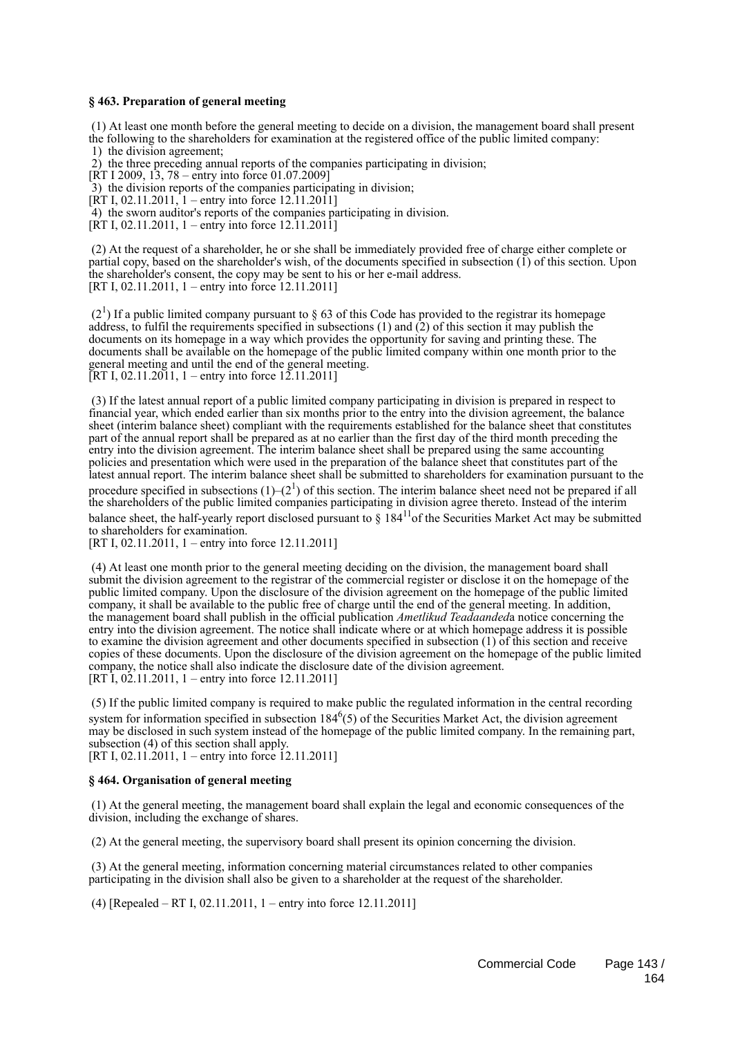### **§ 463. Preparation of general meeting**

 (1) At least one month before the general meeting to decide on a division, the management board shall present the following to the shareholders for examination at the registered office of the public limited company:

1) the division agreement;

2) the three preceding annual reports of the companies participating in division;

 $[RT I 2009, 13, 78 - entry into force 01.07.2009]$ 

3) the division reports of the companies participating in division;

 $[\overline{RT} I, 02.11.2011]$  – entry into force 12.11.2011]

4) the sworn auditor's reports of the companies participating in division.

 $[RT I, 02.11.2011, 1 - entry into force 12.11.2011]$ 

 (2) At the request of a shareholder, he or she shall be immediately provided free of charge either complete or partial copy, based on the shareholder's wish, of the documents specified in subsection (1) of this section. Upon the shareholder's consent, the copy may be sent to his or her e-mail address. [RT I, 02.11.2011, 1 – entry into force 12.11.2011]

 $(2<sup>1</sup>)$  If a public limited company pursuant to § 63 of this Code has provided to the registrar its homepage address, to fulfil the requirements specified in subsections  $(1)$  and  $(2)$  of this section it may publish the documents on its homepage in a way which provides the opportunity for saving and printing these. The documents shall be available on the homepage of the public limited company within one month prior to the general meeting and until the end of the general meeting. [RT I, 02.11.2011, 1 – entry into force  $12.11.2011$ ]

 (3) If the latest annual report of a public limited company participating in division is prepared in respect to financial year, which ended earlier than six months prior to the entry into the division agreement, the balance sheet (interim balance sheet) compliant with the requirements established for the balance sheet that constitutes part of the annual report shall be prepared as at no earlier than the first day of the third month preceding the entry into the division agreement. The interim balance sheet shall be prepared using the same accounting policies and presentation which were used in the preparation of the balance sheet that constitutes part of the latest annual report. The interim balance sheet shall be submitted to shareholders for examination pursuant to the procedure specified in subsections  $(1)$ – $(2^1)$  of this section. The interim balance sheet need not be prepared if all the shareholders of the public limited companies participating in division agree thereto. Instead of the interim balance sheet, the half-yearly report disclosed pursuant to § 184<sup>11</sup> of the Securities Market Act may be submitted to shareholders for examination.

[RT I, 02.11.2011, 1 – entry into force 12.11.2011]

 (4) At least one month prior to the general meeting deciding on the division, the management board shall submit the division agreement to the registrar of the commercial register or disclose it on the homepage of the public limited company. Upon the disclosure of the division agreement on the homepage of the public limited company, it shall be available to the public free of charge until the end of the general meeting. In addition, the management board shall publish in the official publication *Ametlikud Teadaanded*a notice concerning the entry into the division agreement. The notice shall indicate where or at which homepage address it is possible to examine the division agreement and other documents specified in subsection (1) of this section and receive copies of these documents. Upon the disclosure of the division agreement on the homepage of the public limited company, the notice shall also indicate the disclosure date of the division agreement.  $[RT \overline{1}, 02 \overline{2}]$ . 11.2011, 1 – entry into force 12.11.2011]

 (5) If the public limited company is required to make public the regulated information in the central recording system for information specified in subsection  $184<sup>6</sup>(5)$  of the Securities Market Act, the division agreement may be disclosed in such system instead of the homepage of the public limited company. In the remaining part, subsection (4) of this section shall apply.

[RT I, 02.11.2011, 1 – entry into force 12.11.2011]

### **§ 464. Organisation of general meeting**

 (1) At the general meeting, the management board shall explain the legal and economic consequences of the division, including the exchange of shares.

(2) At the general meeting, the supervisory board shall present its opinion concerning the division.

 (3) At the general meeting, information concerning material circumstances related to other companies participating in the division shall also be given to a shareholder at the request of the shareholder.

(4) [Repealed – RT I, 02.11.2011, 1 – entry into force 12.11.2011]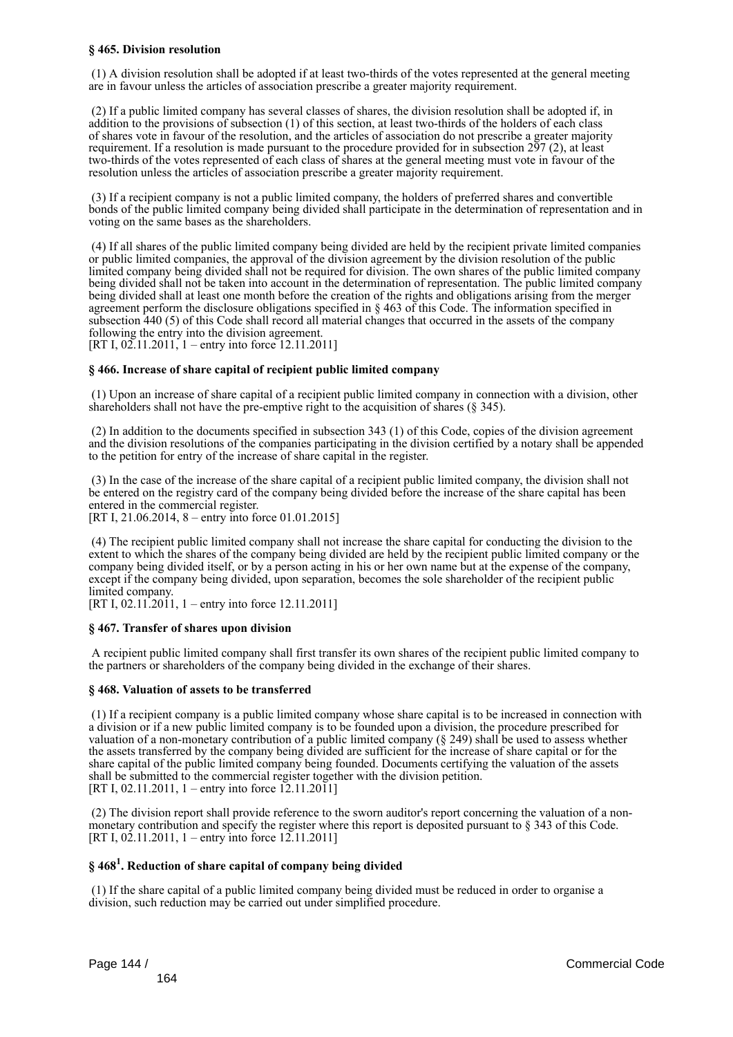### **§ 465. Division resolution**

 (1) A division resolution shall be adopted if at least two-thirds of the votes represented at the general meeting are in favour unless the articles of association prescribe a greater majority requirement.

 (2) If a public limited company has several classes of shares, the division resolution shall be adopted if, in addition to the provisions of subsection (1) of this section, at least two-thirds of the holders of each class of shares vote in favour of the resolution, and the articles of association do not prescribe a greater majority requirement. If a resolution is made pursuant to the procedure provided for in subsection 297 (2), at least two-thirds of the votes represented of each class of shares at the general meeting must vote in favour of the resolution unless the articles of association prescribe a greater majority requirement.

 (3) If a recipient company is not a public limited company, the holders of preferred shares and convertible bonds of the public limited company being divided shall participate in the determination of representation and in voting on the same bases as the shareholders.

 (4) If all shares of the public limited company being divided are held by the recipient private limited companies or public limited companies, the approval of the division agreement by the division resolution of the public limited company being divided shall not be required for division. The own shares of the public limited company being divided shall not be taken into account in the determination of representation. The public limited company being divided shall at least one month before the creation of the rights and obligations arising from the merger agreement perform the disclosure obligations specified in § 463 of this Code. The information specified in subsection 440 (5) of this Code shall record all material changes that occurred in the assets of the company following the entry into the division agreement.

[RT I, 02.11.2011, 1 – entry into force 12.11.2011]

### **§ 466. Increase of share capital of recipient public limited company**

 (1) Upon an increase of share capital of a recipient public limited company in connection with a division, other shareholders shall not have the pre-emptive right to the acquisition of shares (§ 345).

 (2) In addition to the documents specified in subsection 343 (1) of this Code, copies of the division agreement and the division resolutions of the companies participating in the division certified by a notary shall be appended to the petition for entry of the increase of share capital in the register.

 (3) In the case of the increase of the share capital of a recipient public limited company, the division shall not be entered on the registry card of the company being divided before the increase of the share capital has been entered in the commercial register.

[RT I, 21.06.2014, 8 – entry into force 01.01.2015]

 (4) The recipient public limited company shall not increase the share capital for conducting the division to the extent to which the shares of the company being divided are held by the recipient public limited company or the company being divided itself, or by a person acting in his or her own name but at the expense of the company, except if the company being divided, upon separation, becomes the sole shareholder of the recipient public limited company.

[RT I, 02.11.2011, 1 – entry into force 12.11.2011]

### **§ 467. Transfer of shares upon division**

 A recipient public limited company shall first transfer its own shares of the recipient public limited company to the partners or shareholders of the company being divided in the exchange of their shares.

### **§ 468. Valuation of assets to be transferred**

 (1) If a recipient company is a public limited company whose share capital is to be increased in connection with a division or if a new public limited company is to be founded upon a division, the procedure prescribed for valuation of a non-monetary contribution of a public limited company (§ 249) shall be used to assess whether the assets transferred by the company being divided are sufficient for the increase of share capital or for the share capital of the public limited company being founded. Documents certifying the valuation of the assets shall be submitted to the commercial register together with the division petition. [RT I, 02.11.2011, 1 – entry into force  $12.11.2011$ ]

 (2) The division report shall provide reference to the sworn auditor's report concerning the valuation of a nonmonetary contribution and specify the register where this report is deposited pursuant to § 343 of this Code. [RT I,  $02.11.2011$ , 1 – entry into force 12.11.2011]

### **§ 468<sup>1</sup> . Reduction of share capital of company being divided**

 (1) If the share capital of a public limited company being divided must be reduced in order to organise a division, such reduction may be carried out under simplified procedure.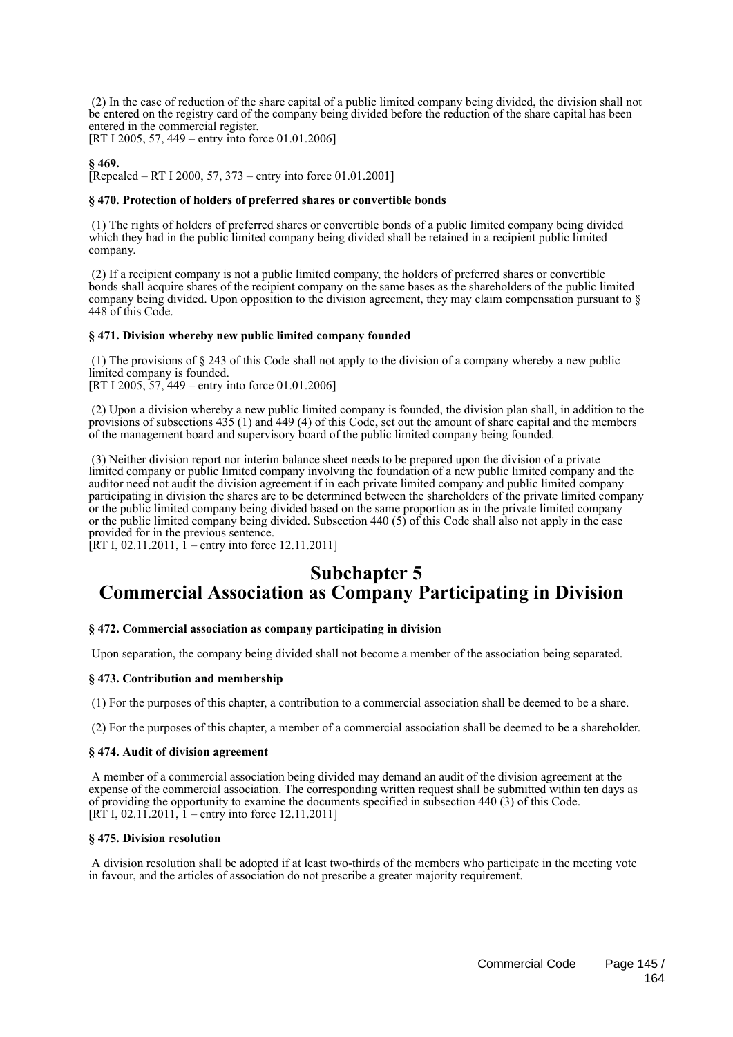(2) In the case of reduction of the share capital of a public limited company being divided, the division shall not be entered on the registry card of the company being divided before the reduction of the share capital has been entered in the commercial register.

[RT I 2005, 57, 449 – entry into force 01.01.2006]

# **§ 469.**

[Repealed – RT I 2000, 57, 373 – entry into force 01.01.2001]

## **§ 470. Protection of holders of preferred shares or convertible bonds**

 (1) The rights of holders of preferred shares or convertible bonds of a public limited company being divided which they had in the public limited company being divided shall be retained in a recipient public limited company.

 (2) If a recipient company is not a public limited company, the holders of preferred shares or convertible bonds shall acquire shares of the recipient company on the same bases as the shareholders of the public limited company being divided. Upon opposition to the division agreement, they may claim compensation pursuant to § 448 of this Code.

# **§ 471. Division whereby new public limited company founded**

 (1) The provisions of § 243 of this Code shall not apply to the division of a company whereby a new public limited company is founded.

[RT I 2005, 57, 449 – entry into force 01.01.2006]

 (2) Upon a division whereby a new public limited company is founded, the division plan shall, in addition to the provisions of subsections 435 (1) and 449 (4) of this Code, set out the amount of share capital and the members of the management board and supervisory board of the public limited company being founded.

 (3) Neither division report nor interim balance sheet needs to be prepared upon the division of a private limited company or public limited company involving the foundation of a new public limited company and the auditor need not audit the division agreement if in each private limited company and public limited company participating in division the shares are to be determined between the shareholders of the private limited company or the public limited company being divided based on the same proportion as in the private limited company or the public limited company being divided. Subsection 440 (5) of this Code shall also not apply in the case provided for in the previous sentence.

[RT I, 02.11.2011, 1 – entry into force 12.11.2011]

# **Subchapter 5 Commercial Association as Company Participating in Division**

# **§ 472. Commercial association as company participating in division**

Upon separation, the company being divided shall not become a member of the association being separated.

# **§ 473. Contribution and membership**

(1) For the purposes of this chapter, a contribution to a commercial association shall be deemed to be a share.

(2) For the purposes of this chapter, a member of a commercial association shall be deemed to be a shareholder.

### **§ 474. Audit of division agreement**

 A member of a commercial association being divided may demand an audit of the division agreement at the expense of the commercial association. The corresponding written request shall be submitted within ten days as of providing the opportunity to examine the documents specified in subsection 440 (3) of this Code.  $[R\dot{T} I, 02.1\dot{1}.2011, 1 - entry$  into force 12.11.2011]

# **§ 475. Division resolution**

 A division resolution shall be adopted if at least two-thirds of the members who participate in the meeting vote in favour, and the articles of association do not prescribe a greater majority requirement.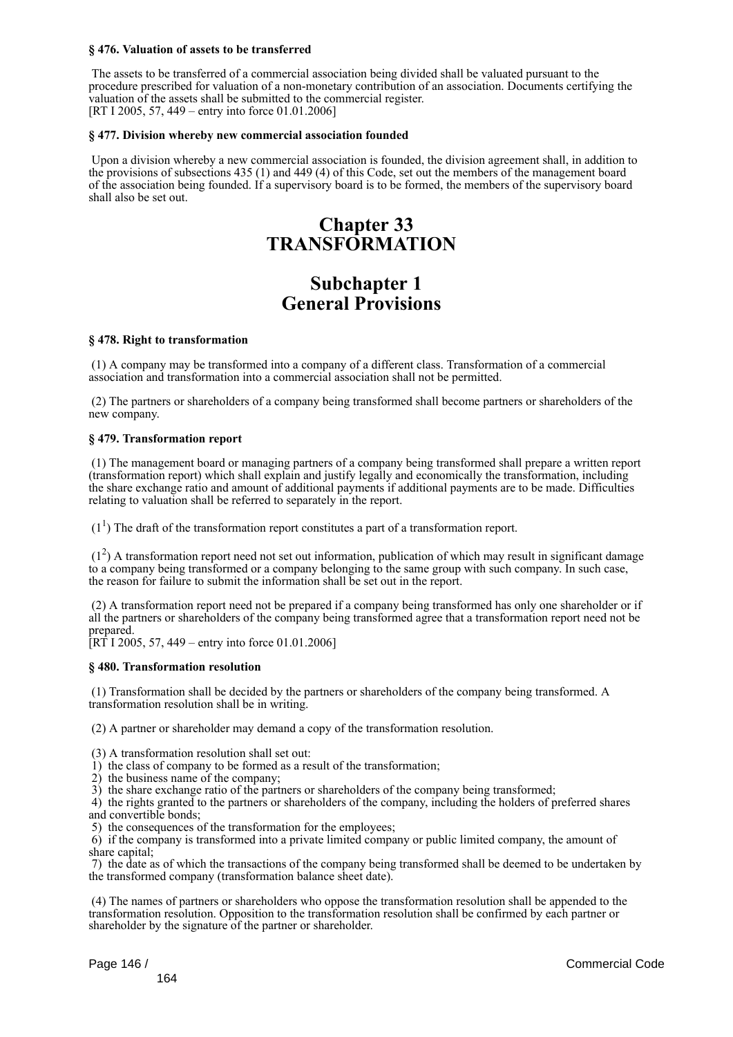## **§ 476. Valuation of assets to be transferred**

 The assets to be transferred of a commercial association being divided shall be valuated pursuant to the procedure prescribed for valuation of a non-monetary contribution of an association. Documents certifying the valuation of the assets shall be submitted to the commercial register. [RT I 2005, 57, 449 – entry into force 01.01.2006]

## **§ 477. Division whereby new commercial association founded**

 Upon a division whereby a new commercial association is founded, the division agreement shall, in addition to the provisions of subsections 435 (1) and 449 (4) of this Code, set out the members of the management board of the association being founded. If a supervisory board is to be formed, the members of the supervisory board shall also be set out.

# **Chapter 33 TRANSFORMATION**

# **Subchapter 1 General Provisions**

### **§ 478. Right to transformation**

 (1) A company may be transformed into a company of a different class. Transformation of a commercial association and transformation into a commercial association shall not be permitted.

 (2) The partners or shareholders of a company being transformed shall become partners or shareholders of the new company.

## **§ 479. Transformation report**

 (1) The management board or managing partners of a company being transformed shall prepare a written report (transformation report) which shall explain and justify legally and economically the transformation, including the share exchange ratio and amount of additional payments if additional payments are to be made. Difficulties relating to valuation shall be referred to separately in the report.

 $(1<sup>1</sup>)$  The draft of the transformation report constitutes a part of a transformation report.

 (1<sup>2</sup> ) A transformation report need not set out information, publication of which may result in significant damage to a company being transformed or a company belonging to the same group with such company. In such case, the reason for failure to submit the information shall be set out in the report.

 (2) A transformation report need not be prepared if a company being transformed has only one shareholder or if all the partners or shareholders of the company being transformed agree that a transformation report need not be prepared.

 $[RT 1 2005, 57, 449 - entry into force 01.01.2006]$ 

### **§ 480. Transformation resolution**

 (1) Transformation shall be decided by the partners or shareholders of the company being transformed. A transformation resolution shall be in writing.

(2) A partner or shareholder may demand a copy of the transformation resolution.

(3) A transformation resolution shall set out:

- 1) the class of company to be formed as a result of the transformation;
- 2) the business name of the company;

3) the share exchange ratio of the partners or shareholders of the company being transformed;

 4) the rights granted to the partners or shareholders of the company, including the holders of preferred shares and convertible bonds;

5) the consequences of the transformation for the employees;

 6) if the company is transformed into a private limited company or public limited company, the amount of share capital;

 7) the date as of which the transactions of the company being transformed shall be deemed to be undertaken by the transformed company (transformation balance sheet date).

 (4) The names of partners or shareholders who oppose the transformation resolution shall be appended to the transformation resolution. Opposition to the transformation resolution shall be confirmed by each partner or shareholder by the signature of the partner or shareholder.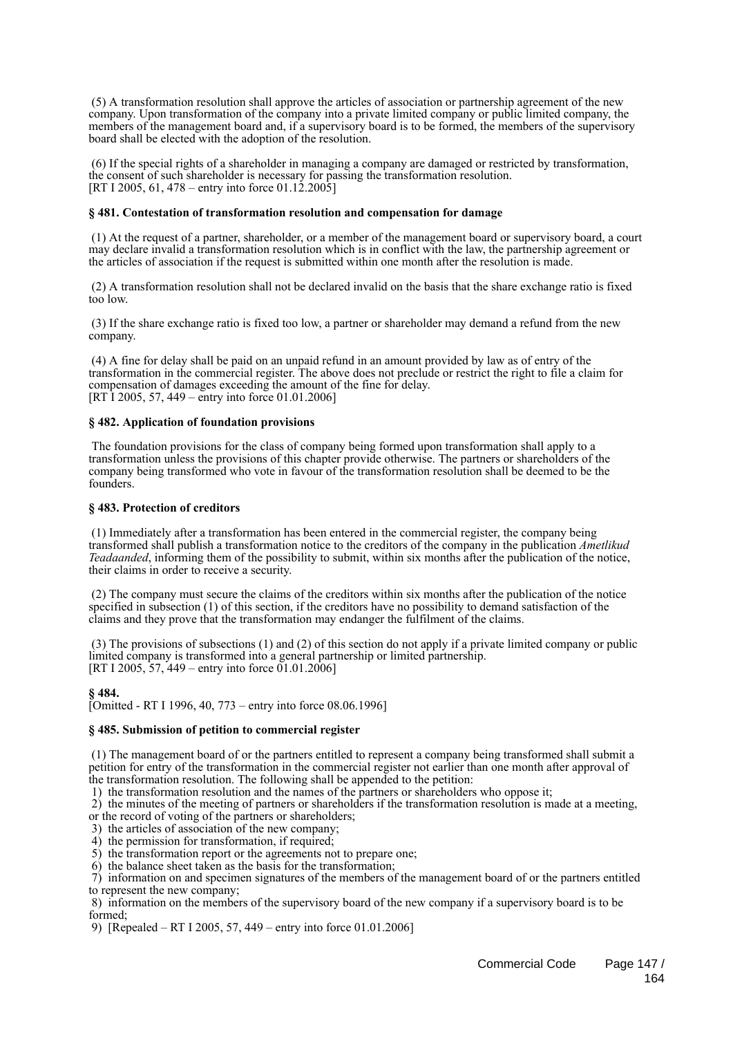(5) A transformation resolution shall approve the articles of association or partnership agreement of the new company. Upon transformation of the company into a private limited company or public limited company, the members of the management board and, if a supervisory board is to be formed, the members of the supervisory board shall be elected with the adoption of the resolution.

 (6) If the special rights of a shareholder in managing a company are damaged or restricted by transformation, the consent of such shareholder is necessary for passing the transformation resolution. [RT I 2005, 61, 478 – entry into force 01.12.2005]

## **§ 481. Contestation of transformation resolution and compensation for damage**

 (1) At the request of a partner, shareholder, or a member of the management board or supervisory board, a court may declare invalid a transformation resolution which is in conflict with the law, the partnership agreement or the articles of association if the request is submitted within one month after the resolution is made.

 (2) A transformation resolution shall not be declared invalid on the basis that the share exchange ratio is fixed too low.

 (3) If the share exchange ratio is fixed too low, a partner or shareholder may demand a refund from the new company.

 (4) A fine for delay shall be paid on an unpaid refund in an amount provided by law as of entry of the transformation in the commercial register. The above does not preclude or restrict the right to file a claim for compensation of damages exceeding the amount of the fine for delay. [RT 1 2005, 57, 449 – entry into force 01.01.2006]

## **§ 482. Application of foundation provisions**

 The foundation provisions for the class of company being formed upon transformation shall apply to a transformation unless the provisions of this chapter provide otherwise. The partners or shareholders of the company being transformed who vote in favour of the transformation resolution shall be deemed to be the founders.

## **§ 483. Protection of creditors**

 (1) Immediately after a transformation has been entered in the commercial register, the company being transformed shall publish a transformation notice to the creditors of the company in the publication *Ametlikud Teadaanded*, informing them of the possibility to submit, within six months after the publication of the notice, their claims in order to receive a security.

 (2) The company must secure the claims of the creditors within six months after the publication of the notice specified in subsection (1) of this section, if the creditors have no possibility to demand satisfaction of the claims and they prove that the transformation may endanger the fulfilment of the claims.

 (3) The provisions of subsections (1) and (2) of this section do not apply if a private limited company or public limited company is transformed into a general partnership or limited partnership. [RT I 2005, 57, 449 – entry into force  $01.01.2006$ ]

**§ 484.**

 $\text{I}^{\bullet}$  [Omitted - RT I 1996, 40, 773 – entry into force 08.06.1996]

# **§ 485. Submission of petition to commercial register**

 (1) The management board of or the partners entitled to represent a company being transformed shall submit a petition for entry of the transformation in the commercial register not earlier than one month after approval of the transformation resolution. The following shall be appended to the petition:

1) the transformation resolution and the names of the partners or shareholders who oppose it;

2) the minutes of the meeting of partners or shareholders if the transformation resolution is made at a meeting,

or the record of voting of the partners or shareholders;

3) the articles of association of the new company;

- 4) the permission for transformation, if required;
- 5) the transformation report or the agreements not to prepare one;
- 6) the balance sheet taken as the basis for the transformation;

 7) information on and specimen signatures of the members of the management board of or the partners entitled to represent the new company;

 8) information on the members of the supervisory board of the new company if a supervisory board is to be formed;

9) [Repealed – RT I 2005, 57, 449 – entry into force 01.01.2006]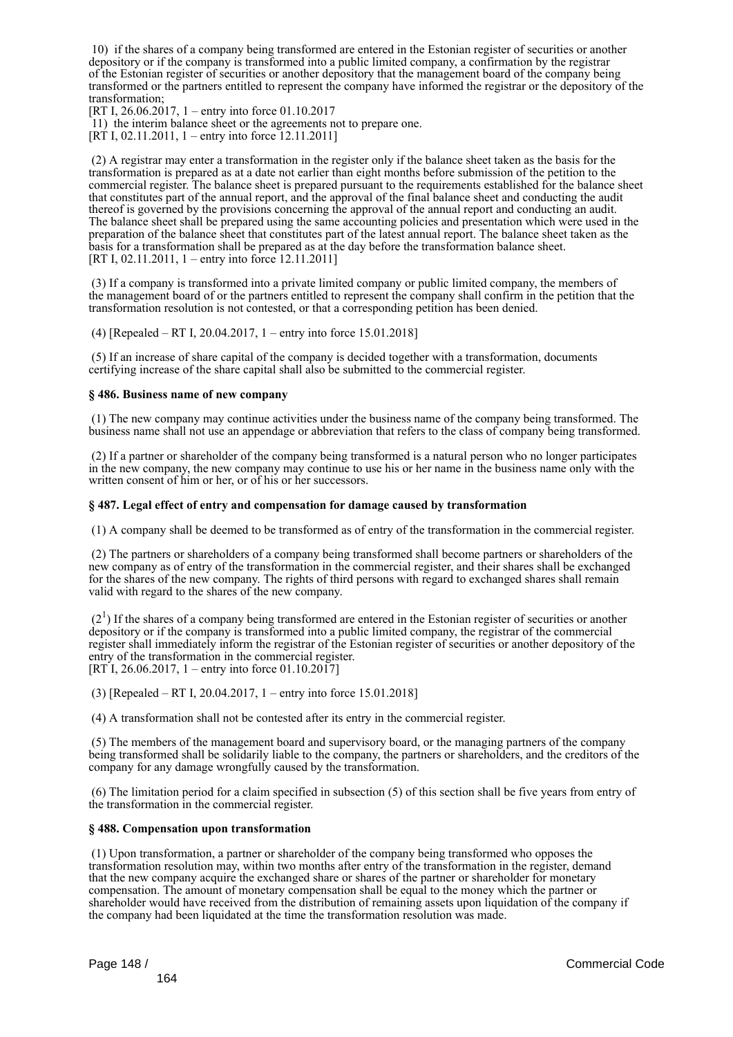10) if the shares of a company being transformed are entered in the Estonian register of securities or another depository or if the company is transformed into a public limited company, a confirmation by the registrar of the Estonian register of securities or another depository that the management board of the company being transformed or the partners entitled to represent the company have informed the registrar or the depository of the transformation;

[RT I, 26.06.2017, 1 – entry into force 01.10.2017

11) the interim balance sheet or the agreements not to prepare one.

[RT I, 02.11.2011, 1 – entry into force  $12.11.2011$ ]

 (2) A registrar may enter a transformation in the register only if the balance sheet taken as the basis for the transformation is prepared as at a date not earlier than eight months before submission of the petition to the commercial register. The balance sheet is prepared pursuant to the requirements established for the balance sheet that constitutes part of the annual report, and the approval of the final balance sheet and conducting the audit thereof is governed by the provisions concerning the approval of the annual report and conducting an audit. The balance sheet shall be prepared using the same accounting policies and presentation which were used in the preparation of the balance sheet that constitutes part of the latest annual report. The balance sheet taken as the basis for a transformation shall be prepared as at the day before the transformation balance sheet. [RT I, 02.11.2011, 1 – entry into force 12.11.2011]

 (3) If a company is transformed into a private limited company or public limited company, the members of the management board of or the partners entitled to represent the company shall confirm in the petition that the transformation resolution is not contested, or that a corresponding petition has been denied.

(4) [Repealed – RT I, 20.04.2017, 1 – entry into force 15.01.2018]

 (5) If an increase of share capital of the company is decided together with a transformation, documents certifying increase of the share capital shall also be submitted to the commercial register.

### **§ 486. Business name of new company**

 (1) The new company may continue activities under the business name of the company being transformed. The business name shall not use an appendage or abbreviation that refers to the class of company being transformed.

 (2) If a partner or shareholder of the company being transformed is a natural person who no longer participates in the new company, the new company may continue to use his or her name in the business name only with the written consent of him or her, or of his or her successors.

### **§ 487. Legal effect of entry and compensation for damage caused by transformation**

(1) A company shall be deemed to be transformed as of entry of the transformation in the commercial register.

 (2) The partners or shareholders of a company being transformed shall become partners or shareholders of the new company as of entry of the transformation in the commercial register, and their shares shall be exchanged for the shares of the new company. The rights of third persons with regard to exchanged shares shall remain valid with regard to the shares of the new company.

 $(2<sup>1</sup>)$  If the shares of a company being transformed are entered in the Estonian register of securities or another depository or if the company is transformed into a public limited company, the registrar of the commercial register shall immediately inform the registrar of the Estonian register of securities or another depository of the entry of the transformation in the commercial register.  $[RT\,I, 26.06.2017, 1 - entry$  into force 01.10.2017]

(3) [Repealed – RT I, 20.04.2017, 1 – entry into force 15.01.2018]

(4) A transformation shall not be contested after its entry in the commercial register.

 (5) The members of the management board and supervisory board, or the managing partners of the company being transformed shall be solidarily liable to the company, the partners or shareholders, and the creditors of the company for any damage wrongfully caused by the transformation.

 (6) The limitation period for a claim specified in subsection (5) of this section shall be five years from entry of the transformation in the commercial register.

#### **§ 488. Compensation upon transformation**

 (1) Upon transformation, a partner or shareholder of the company being transformed who opposes the transformation resolution may, within two months after entry of the transformation in the register, demand that the new company acquire the exchanged share or shares of the partner or shareholder for monetary compensation. The amount of monetary compensation shall be equal to the money which the partner or shareholder would have received from the distribution of remaining assets upon liquidation of the company if the company had been liquidated at the time the transformation resolution was made.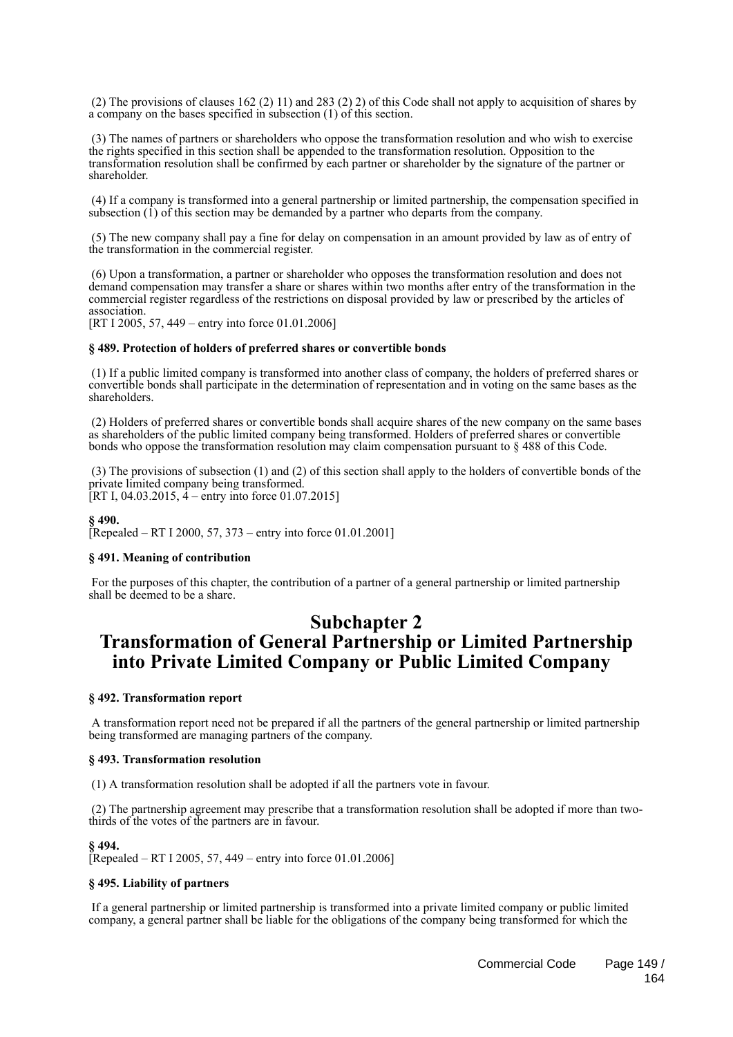(2) The provisions of clauses 162 (2) 11) and 283 (2) 2) of this Code shall not apply to acquisition of shares by a company on the bases specified in subsection (1) of this section.

 (3) The names of partners or shareholders who oppose the transformation resolution and who wish to exercise the rights specified in this section shall be appended to the transformation resolution. Opposition to the transformation resolution shall be confirmed by each partner or shareholder by the signature of the partner or shareholder.

 (4) If a company is transformed into a general partnership or limited partnership, the compensation specified in subsection (1) of this section may be demanded by a partner who departs from the company.

 (5) The new company shall pay a fine for delay on compensation in an amount provided by law as of entry of the transformation in the commercial register.

 (6) Upon a transformation, a partner or shareholder who opposes the transformation resolution and does not demand compensation may transfer a share or shares within two months after entry of the transformation in the commercial register regardless of the restrictions on disposal provided by law or prescribed by the articles of association.

[RT I 2005, 57, 449 – entry into force 01.01.2006]

#### **§ 489. Protection of holders of preferred shares or convertible bonds**

 (1) If a public limited company is transformed into another class of company, the holders of preferred shares or convertible bonds shall participate in the determination of representation and in voting on the same bases as the shareholders.

 (2) Holders of preferred shares or convertible bonds shall acquire shares of the new company on the same bases as shareholders of the public limited company being transformed. Holders of preferred shares or convertible bonds who oppose the transformation resolution may claim compensation pursuant to § 488 of this Code.

 (3) The provisions of subsection (1) and (2) of this section shall apply to the holders of convertible bonds of the private limited company being transformed. [RT I, 04.03.2015,  $\overline{4}$  – entry into force 01.07.2015]

**§ 490.**

[Repealed – RT I 2000, 57, 373 – entry into force 01.01.2001]

# **§ 491. Meaning of contribution**

 For the purposes of this chapter, the contribution of a partner of a general partnership or limited partnership shall be deemed to be a share.

# **Subchapter 2 Transformation of General Partnership or Limited Partnership into Private Limited Company or Public Limited Company**

#### **§ 492. Transformation report**

 A transformation report need not be prepared if all the partners of the general partnership or limited partnership being transformed are managing partners of the company.

### **§ 493. Transformation resolution**

(1) A transformation resolution shall be adopted if all the partners vote in favour.

 (2) The partnership agreement may prescribe that a transformation resolution shall be adopted if more than twothirds of the votes of the partners are in favour.

## **§ 494.**

[Repealed – RT I 2005, 57, 449 – entry into force 01.01.2006]

### **§ 495. Liability of partners**

 If a general partnership or limited partnership is transformed into a private limited company or public limited company, a general partner shall be liable for the obligations of the company being transformed for which the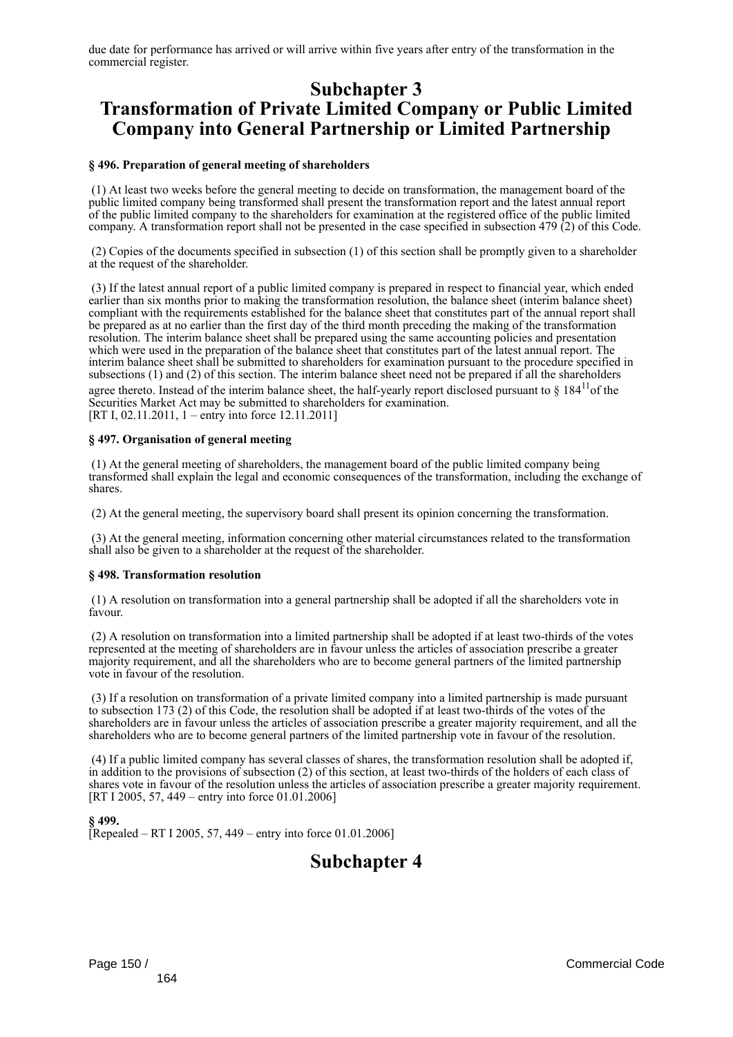due date for performance has arrived or will arrive within five years after entry of the transformation in the commercial register.

# **Subchapter 3 Transformation of Private Limited Company or Public Limited Company into General Partnership or Limited Partnership**

## **§ 496. Preparation of general meeting of shareholders**

 (1) At least two weeks before the general meeting to decide on transformation, the management board of the public limited company being transformed shall present the transformation report and the latest annual report of the public limited company to the shareholders for examination at the registered office of the public limited company. A transformation report shall not be presented in the case specified in subsection 479 (2) of this Code.

 (2) Copies of the documents specified in subsection (1) of this section shall be promptly given to a shareholder at the request of the shareholder.

 (3) If the latest annual report of a public limited company is prepared in respect to financial year, which ended earlier than six months prior to making the transformation resolution, the balance sheet (interim balance sheet) compliant with the requirements established for the balance sheet that constitutes part of the annual report shall be prepared as at no earlier than the first day of the third month preceding the making of the transformation resolution. The interim balance sheet shall be prepared using the same accounting policies and presentation which were used in the preparation of the balance sheet that constitutes part of the latest annual report. The interim balance sheet shall be submitted to shareholders for examination pursuant to the procedure specified in subsections (1) and (2) of this section. The interim balance sheet need not be prepared if all the shareholders agree thereto. Instead of the interim balance sheet, the half-yearly report disclosed pursuant to  $\delta$  184<sup>11</sup>of the Securities Market Act may be submitted to shareholders for examination. [RT I, 02.11.2011, 1 – entry into force 12.11.2011]

### **§ 497. Organisation of general meeting**

 (1) At the general meeting of shareholders, the management board of the public limited company being transformed shall explain the legal and economic consequences of the transformation, including the exchange of shares.

(2) At the general meeting, the supervisory board shall present its opinion concerning the transformation.

 (3) At the general meeting, information concerning other material circumstances related to the transformation shall also be given to a shareholder at the request of the shareholder.

### **§ 498. Transformation resolution**

 (1) A resolution on transformation into a general partnership shall be adopted if all the shareholders vote in favour.

 (2) A resolution on transformation into a limited partnership shall be adopted if at least two-thirds of the votes represented at the meeting of shareholders are in favour unless the articles of association prescribe a greater majority requirement, and all the shareholders who are to become general partners of the limited partnership vote in favour of the resolution.

 (3) If a resolution on transformation of a private limited company into a limited partnership is made pursuant to subsection 173 (2) of this Code, the resolution shall be adopted if at least two-thirds of the votes of the shareholders are in favour unless the articles of association prescribe a greater majority requirement, and all the shareholders who are to become general partners of the limited partnership vote in favour of the resolution.

 (4) If a public limited company has several classes of shares, the transformation resolution shall be adopted if, in addition to the provisions of subsection (2) of this section, at least two-thirds of the holders of each class of shares vote in favour of the resolution unless the articles of association prescribe a greater majority requirement. [RT I 2005, 57, 449 – entry into force 01.01.2006]

**§ 499.** [Repealed – RT I 2005, 57, 449 – entry into force 01.01.2006]

# **Subchapter 4**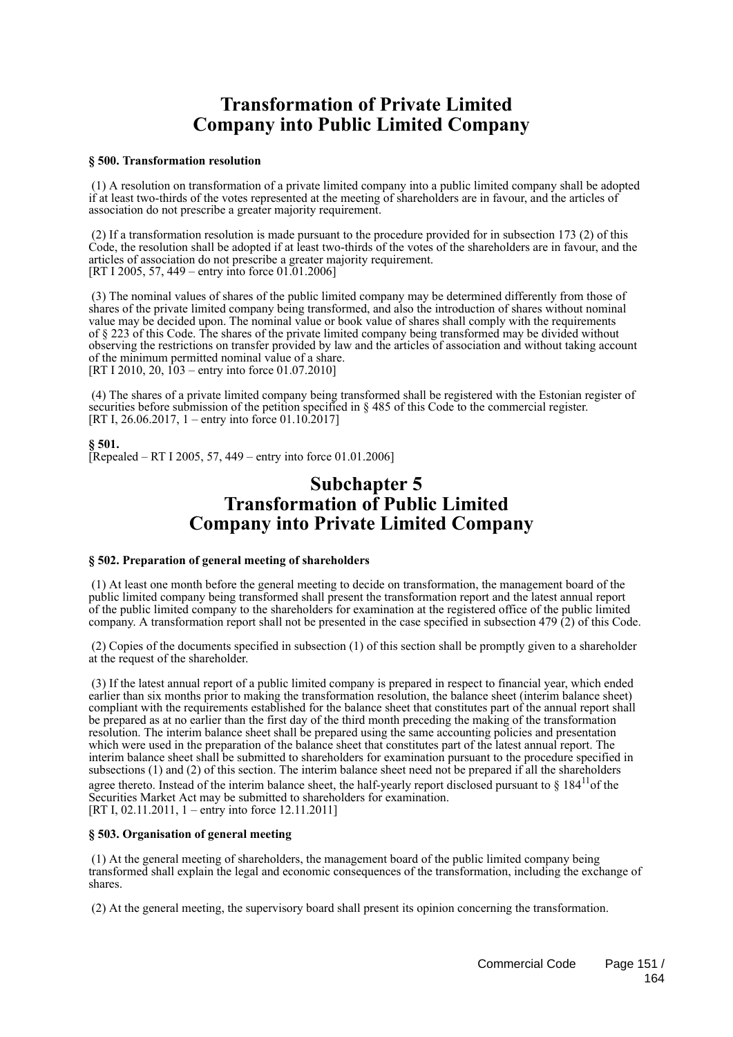# **Transformation of Private Limited Company into Public Limited Company**

## **§ 500. Transformation resolution**

 (1) A resolution on transformation of a private limited company into a public limited company shall be adopted if at least two-thirds of the votes represented at the meeting of shareholders are in favour, and the articles of association do not prescribe a greater majority requirement.

 (2) If a transformation resolution is made pursuant to the procedure provided for in subsection 173 (2) of this Code, the resolution shall be adopted if at least two-thirds of the votes of the shareholders are in favour, and the articles of association do not prescribe a greater majority requirement. [RT I 2005, 57, 449 – entry into force 01.01.2006]

 (3) The nominal values of shares of the public limited company may be determined differently from those of shares of the private limited company being transformed, and also the introduction of shares without nominal value may be decided upon. The nominal value or book value of shares shall comply with the requirements of § 223 of this Code. The shares of the private limited company being transformed may be divided without observing the restrictions on transfer provided by law and the articles of association and without taking account of the minimum permitted nominal value of a share. [RT I 2010, 20,  $103$  – entry into force 01.07.2010]

 (4) The shares of a private limited company being transformed shall be registered with the Estonian register of securities before submission of the petition specified in § 485 of this Code to the commercial register. [RT I, 26.06.2017, 1 – entry into force 01.10.2017]

# **§ 501.**

[Repealed – RT I 2005, 57, 449 – entry into force  $01.01.2006$ ]

# **Subchapter 5 Transformation of Public Limited Company into Private Limited Company**

### **§ 502. Preparation of general meeting of shareholders**

 (1) At least one month before the general meeting to decide on transformation, the management board of the public limited company being transformed shall present the transformation report and the latest annual report of the public limited company to the shareholders for examination at the registered office of the public limited company. A transformation report shall not be presented in the case specified in subsection 479 (2) of this Code.

 (2) Copies of the documents specified in subsection (1) of this section shall be promptly given to a shareholder at the request of the shareholder.

 (3) If the latest annual report of a public limited company is prepared in respect to financial year, which ended earlier than six months prior to making the transformation resolution, the balance sheet (interim balance sheet) compliant with the requirements established for the balance sheet that constitutes part of the annual report shall be prepared as at no earlier than the first day of the third month preceding the making of the transformation resolution. The interim balance sheet shall be prepared using the same accounting policies and presentation which were used in the preparation of the balance sheet that constitutes part of the latest annual report. The interim balance sheet shall be submitted to shareholders for examination pursuant to the procedure specified in subsections (1) and (2) of this section. The interim balance sheet need not be prepared if all the shareholders agree thereto. Instead of the interim balance sheet, the half-yearly report disclosed pursuant to  $\S$  184<sup>11</sup>of the Securities Market Act may be submitted to shareholders for examination. [RT I, 02.11.2011, 1 – entry into force 12.11.2011]

### **§ 503. Organisation of general meeting**

 (1) At the general meeting of shareholders, the management board of the public limited company being transformed shall explain the legal and economic consequences of the transformation, including the exchange of shares.

(2) At the general meeting, the supervisory board shall present its opinion concerning the transformation.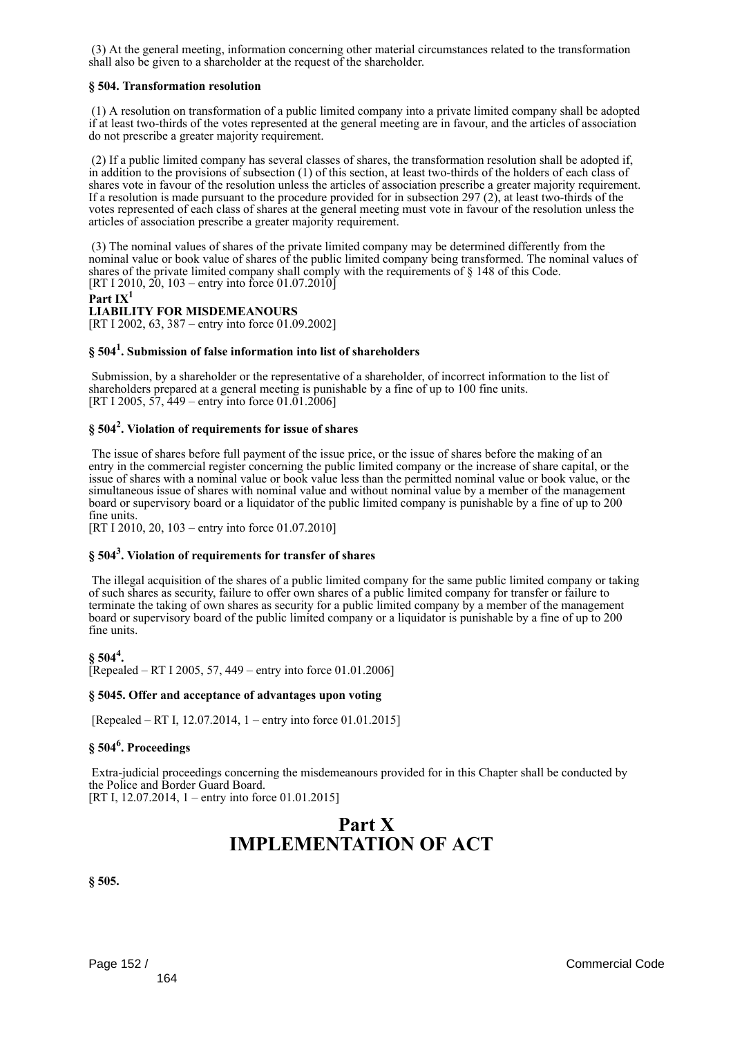(3) At the general meeting, information concerning other material circumstances related to the transformation shall also be given to a shareholder at the request of the shareholder.

## **§ 504. Transformation resolution**

 (1) A resolution on transformation of a public limited company into a private limited company shall be adopted if at least two-thirds of the votes represented at the general meeting are in favour, and the articles of association do not prescribe a greater majority requirement.

 (2) If a public limited company has several classes of shares, the transformation resolution shall be adopted if, in addition to the provisions of subsection (1) of this section, at least two-thirds of the holders of each class of shares vote in favour of the resolution unless the articles of association prescribe a greater majority requirement. If a resolution is made pursuant to the procedure provided for in subsection 297 (2), at least two-thirds of the votes represented of each class of shares at the general meeting must vote in favour of the resolution unless the articles of association prescribe a greater majority requirement.

 (3) The nominal values of shares of the private limited company may be determined differently from the nominal value or book value of shares of the public limited company being transformed. The nominal values of shares of the private limited company shall comply with the requirements of § 148 of this Code. [RT I 2010, 20, 103 – entry into force 01.07.2010]

```
Part IX1
```
## **LIABILITY FOR MISDEMEANOURS**

[RT I 2002, 63, 387 – entry into force 01.09.2002]

# **§ 504<sup>1</sup> . Submission of false information into list of shareholders**

 Submission, by a shareholder or the representative of a shareholder, of incorrect information to the list of shareholders prepared at a general meeting is punishable by a fine of up to 100 fine units. [RT I 2005,  $\frac{57}{449}$  – entry into force 01.01.2006]

# **§ 504<sup>2</sup> . Violation of requirements for issue of shares**

 The issue of shares before full payment of the issue price, or the issue of shares before the making of an entry in the commercial register concerning the public limited company or the increase of share capital, or the issue of shares with a nominal value or book value less than the permitted nominal value or book value, or the simultaneous issue of shares with nominal value and without nominal value by a member of the management board or supervisory board or a liquidator of the public limited company is punishable by a fine of up to 200 fine units.

[RT I 2010, 20, 103 – entry into force 01.07.2010]

# **§ 504<sup>3</sup> . Violation of requirements for transfer of shares**

 The illegal acquisition of the shares of a public limited company for the same public limited company or taking of such shares as security, failure to offer own shares of a public limited company for transfer or failure to terminate the taking of own shares as security for a public limited company by a member of the management board or supervisory board of the public limited company or a liquidator is punishable by a fine of up to 200 fine units.

**§ 504<sup>4</sup> .** [Repealed – RT I 2005, 57, 449 – entry into force 01.01.2006]

### **§ 5045. Offer and acceptance of advantages upon voting**

[Repealed – RT I, 12.07.2014, 1 – entry into force 01.01.2015]

# **§ 504<sup>6</sup> . Proceedings**

 Extra-judicial proceedings concerning the misdemeanours provided for in this Chapter shall be conducted by the Police and Border Guard Board. [RT I, 12.07.2014, 1 – entry into force 01.01.2015]

# **Part X IMPLEMENTATION OF ACT**

**§ 505.**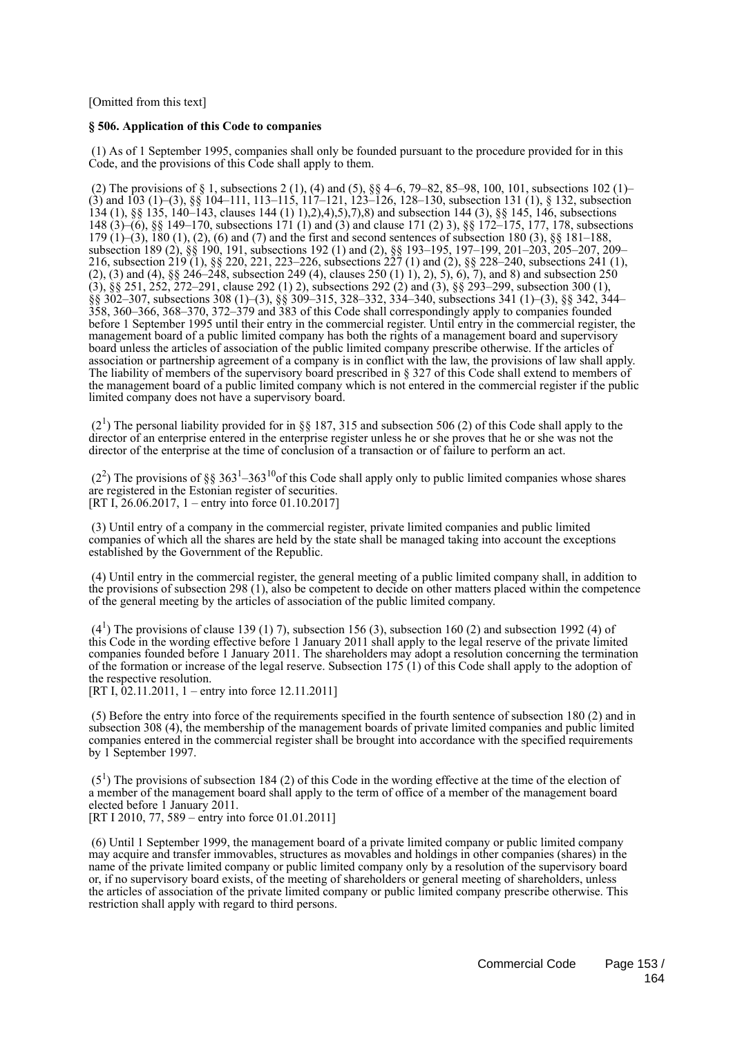[Omitted from this text]

## **§ 506. Application of this Code to companies**

 (1) As of 1 September 1995, companies shall only be founded pursuant to the procedure provided for in this Code, and the provisions of this Code shall apply to them.

 (2) The provisions of § 1, subsections 2 (1), (4) and (5), §§ 4–6, 79–82, 85–98, 100, 101, subsections 102 (1)– (3) and 103 (1)–(3), §§ 104–111, 113–115, 117–121, 123–126, 128–130, subsection 131 (1), § 132, subsection 134 (1), §§ 135, 140–143, clauses 144 (1) 1),2),4),5),7),8) and subsection 144 (3), §§ 145, 146, subsections 148 (3)–(6), §§ 149–170, subsections 171 (1) and (3) and clause 171 (2) 3), §§ 172–175, 177, 178, subsections 179 (1)–(3), 180 (1), (2), (6) and (7) and the first and second sentences of subsection 180 (3), §§ 181–188, subsection 189 (2), §§ 190, 191, subsections 192 (1) and (2), §§ 193–195, 197–199, 201–203, 205–207, 209– 216, subsection 219 (1), §§ 220, 221, 223–226, subsections 227 (1) and (2), §§ 228–240, subsections 241 (1), (2), (3) and (4), §§ 246–248, subsection 249 (4), clauses 250 (1) 1), 2), 5), 6), 7), and 8) and subsection 250 (3), §§ 251, 252, 272–291, clause 292 (1) 2), subsections 292 (2) and (3), §§ 293–299, subsection 300 (1), §§ 302–307, subsections 308 (1)–(3), §§ 309–315, 328–332, 334–340, subsections 341 (1)–(3), §§ 342, 344– 358, 360–366, 368–370, 372–379 and 383 of this Code shall correspondingly apply to companies founded before 1 September 1995 until their entry in the commercial register. Until entry in the commercial register, the management board of a public limited company has both the rights of a management board and supervisory board unless the articles of association of the public limited company prescribe otherwise. If the articles of association or partnership agreement of a company is in conflict with the law, the provisions of law shall apply. The liability of members of the supervisory board prescribed in § 327 of this Code shall extend to members of the management board of a public limited company which is not entered in the commercial register if the public limited company does not have a supervisory board.

 $(2<sup>1</sup>)$  The personal liability provided for in §§ 187, 315 and subsection 506 (2) of this Code shall apply to the director of an enterprise entered in the enterprise register unless he or she proves that he or she was not the director of the enterprise at the time of conclusion of a transaction or of failure to perform an act.

 $(2^2)$  The provisions of §§ 363<sup>1</sup>–363<sup>10</sup> of this Code shall apply only to public limited companies whose shares are registered in the Estonian register of securities. [RT I, 26.06.2017, 1 – entry into force 01.10.2017]

 (3) Until entry of a company in the commercial register, private limited companies and public limited companies of which all the shares are held by the state shall be managed taking into account the exceptions established by the Government of the Republic.

 (4) Until entry in the commercial register, the general meeting of a public limited company shall, in addition to the provisions of subsection 298 (1), also be competent to decide on other matters placed within the competence of the general meeting by the articles of association of the public limited company.

 $(4<sup>1</sup>)$  The provisions of clause 139 (1) 7), subsection 156 (3), subsection 160 (2) and subsection 1992 (4) of this Code in the wording effective before 1 January 2011 shall apply to the legal reserve of the private limited companies founded before 1 January 2011. The shareholders may adopt a resolution concerning the termination of the formation or increase of the legal reserve. Subsection 175 (1) of this Code shall apply to the adoption of the respective resolution.

[RT I, 02.11.2011, 1 – entry into force 12.11.2011]

 (5) Before the entry into force of the requirements specified in the fourth sentence of subsection 180 (2) and in subsection 308 (4), the membership of the management boards of private limited companies and public limited companies entered in the commercial register shall be brought into accordance with the specified requirements by 1 September 1997.

 $(5<sup>1</sup>)$  The provisions of subsection 184 (2) of this Code in the wording effective at the time of the election of a member of the management board shall apply to the term of office of a member of the management board elected before 1 January 2011. [RT I 2010, 77, 589 – entry into force 01.01.2011]

 (6) Until 1 September 1999, the management board of a private limited company or public limited company may acquire and transfer immovables, structures as movables and holdings in other companies (shares) in the name of the private limited company or public limited company only by a resolution of the supervisory board or, if no supervisory board exists, of the meeting of shareholders or general meeting of shareholders, unless the articles of association of the private limited company or public limited company prescribe otherwise. This restriction shall apply with regard to third persons.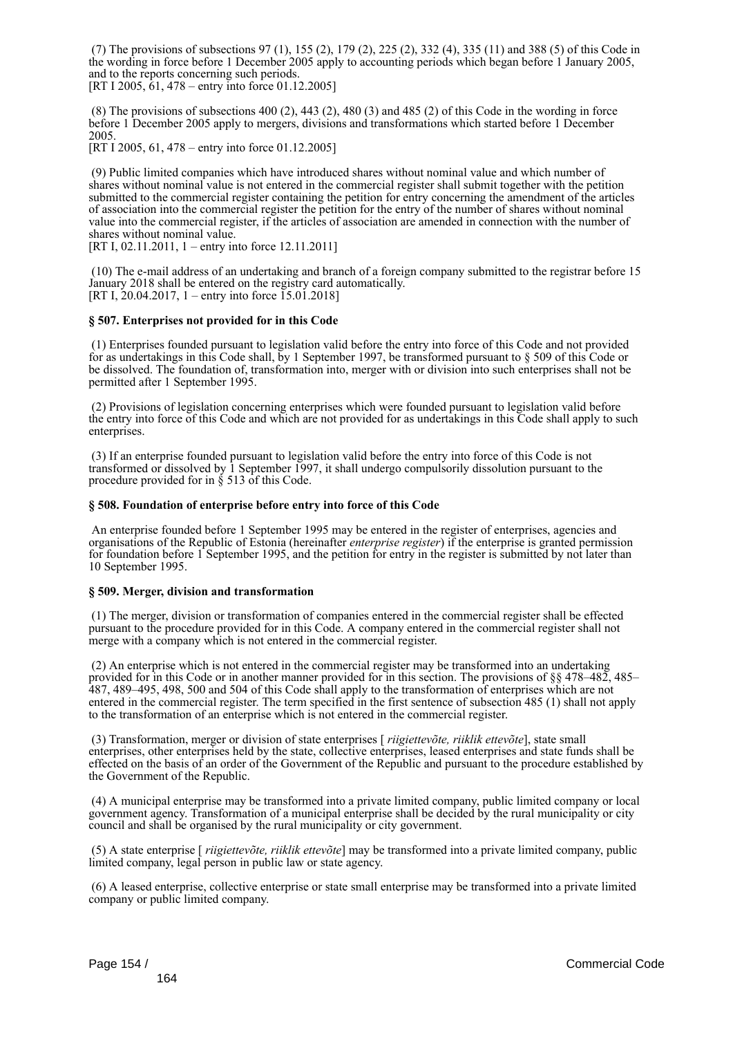(7) The provisions of subsections 97 (1), 155 (2), 179 (2), 225 (2), 332 (4), 335 (11) and 388 (5) of this Code in the wording in force before 1 December 2005 apply to accounting periods which began before 1 January 2005, and to the reports concerning such periods.

[RT I 2005, 61, 478 – entry into force 01.12.2005]

 (8) The provisions of subsections 400 (2), 443 (2), 480 (3) and 485 (2) of this Code in the wording in force before 1 December 2005 apply to mergers, divisions and transformations which started before 1 December 2005.

[RT I 2005, 61, 478 – entry into force 01.12.2005]

 (9) Public limited companies which have introduced shares without nominal value and which number of shares without nominal value is not entered in the commercial register shall submit together with the petition submitted to the commercial register containing the petition for entry concerning the amendment of the articles of association into the commercial register the petition for the entry of the number of shares without nominal value into the commercial register, if the articles of association are amended in connection with the number of shares without nominal value.

[RT I, 02.11.2011, 1 – entry into force 12.11.2011]

 (10) The e-mail address of an undertaking and branch of a foreign company submitted to the registrar before 15 January 2018 shall be entered on the registry card automatically. [RT I, 20.04.2017, 1 – entry into force 15.01.2018]

## **§ 507. Enterprises not provided for in this Code**

 (1) Enterprises founded pursuant to legislation valid before the entry into force of this Code and not provided for as undertakings in this Code shall, by 1 September 1997, be transformed pursuant to § 509 of this Code or be dissolved. The foundation of, transformation into, merger with or division into such enterprises shall not be permitted after 1 September 1995.

 (2) Provisions of legislation concerning enterprises which were founded pursuant to legislation valid before the entry into force of this Code and which are not provided for as undertakings in this Code shall apply to such enterprises.

 (3) If an enterprise founded pursuant to legislation valid before the entry into force of this Code is not transformed or dissolved by 1 September 1997, it shall undergo compulsorily dissolution pursuant to the procedure provided for in § 513 of this Code.

## **§ 508. Foundation of enterprise before entry into force of this Code**

 An enterprise founded before 1 September 1995 may be entered in the register of enterprises, agencies and organisations of the Republic of Estonia (hereinafter *enterprise register*) if the enterprise is granted permission for foundation before 1 September 1995, and the petition for entry in the register is submitted by not later than 10 September 1995.

### **§ 509. Merger, division and transformation**

 (1) The merger, division or transformation of companies entered in the commercial register shall be effected pursuant to the procedure provided for in this Code. A company entered in the commercial register shall not merge with a company which is not entered in the commercial register.

 (2) An enterprise which is not entered in the commercial register may be transformed into an undertaking provided for in this Code or in another manner provided for in this section. The provisions of §§ 478–482, 485– 487, 489–495, 498, 500 and 504 of this Code shall apply to the transformation of enterprises which are not entered in the commercial register. The term specified in the first sentence of subsection 485 (1) shall not apply to the transformation of an enterprise which is not entered in the commercial register.

 (3) Transformation, merger or division of state enterprises [ *riigiettevõte, riiklik ettevõte*], state small enterprises, other enterprises held by the state, collective enterprises, leased enterprises and state funds shall be effected on the basis of an order of the Government of the Republic and pursuant to the procedure established by the Government of the Republic.

 (4) A municipal enterprise may be transformed into a private limited company, public limited company or local government agency. Transformation of a municipal enterprise shall be decided by the rural municipality or city council and shall be organised by the rural municipality or city government.

 (5) A state enterprise [ *riigiettevõte, riiklik ettevõte*] may be transformed into a private limited company, public limited company, legal person in public law or state agency.

 (6) A leased enterprise, collective enterprise or state small enterprise may be transformed into a private limited company or public limited company.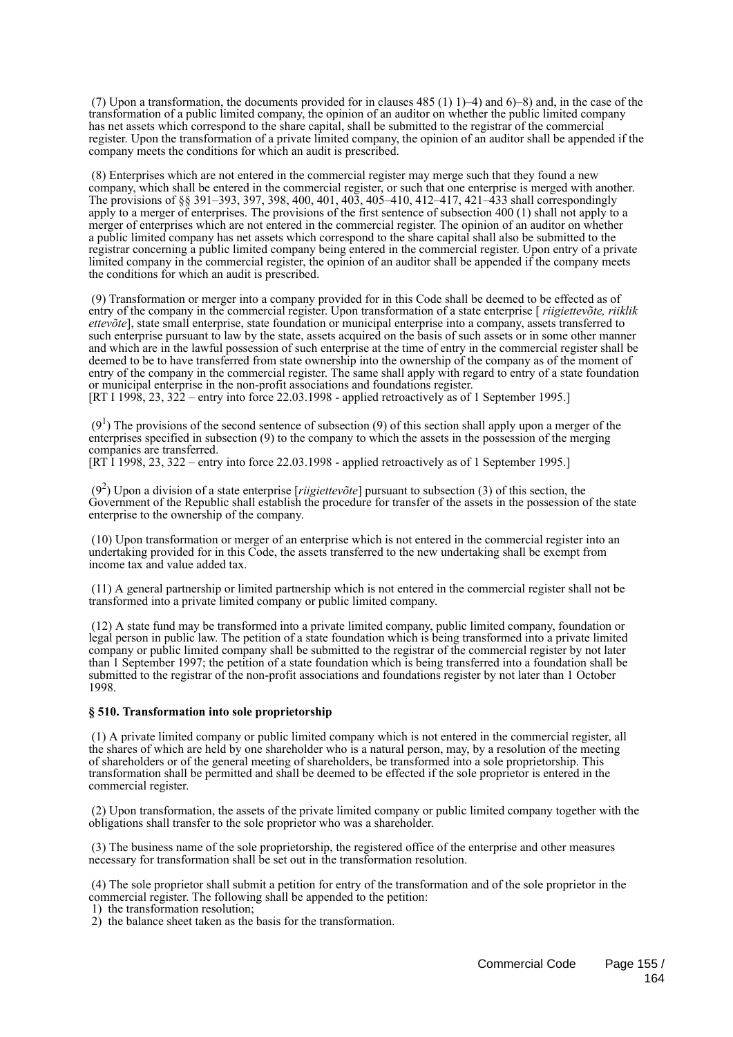(7) Upon a transformation, the documents provided for in clauses  $485$  (1) 1)–4) and 6)–8) and, in the case of the transformation of a public limited company, the opinion of an auditor on whether the public limited company has net assets which correspond to the share capital, shall be submitted to the registrar of the commercial register. Upon the transformation of a private limited company, the opinion of an auditor shall be appended if the company meets the conditions for which an audit is prescribed.

 (8) Enterprises which are not entered in the commercial register may merge such that they found a new company, which shall be entered in the commercial register, or such that one enterprise is merged with another. The provisions of §§ 391–393, 397, 398, 400, 401, 403, 405–410, 412–417, 421–433 shall correspondingly apply to a merger of enterprises. The provisions of the first sentence of subsection 400 (1) shall not apply to a merger of enterprises which are not entered in the commercial register. The opinion of an auditor on whether a public limited company has net assets which correspond to the share capital shall also be submitted to the registrar concerning a public limited company being entered in the commercial register. Upon entry of a private limited company in the commercial register, the opinion of an auditor shall be appended if the company meets the conditions for which an audit is prescribed.

 (9) Transformation or merger into a company provided for in this Code shall be deemed to be effected as of entry of the company in the commercial register. Upon transformation of a state enterprise [ *riigiettevõte, riiklik ettevõte*], state small enterprise, state foundation or municipal enterprise into a company, assets transferred to such enterprise pursuant to law by the state, assets acquired on the basis of such assets or in some other manner and which are in the lawful possession of such enterprise at the time of entry in the commercial register shall be deemed to be to have transferred from state ownership into the ownership of the company as of the moment of entry of the company in the commercial register. The same shall apply with regard to entry of a state foundation or municipal enterprise in the non-profit associations and foundations register. [RT I 1998, 23, 322 – entry into force 22.03.1998 - applied retroactively as of 1 September 1995.]

 $(9<sup>1</sup>)$  The provisions of the second sentence of subsection (9) of this section shall apply upon a merger of the enterprises specified in subsection (9) to the company to which the assets in the possession of the merging companies are transferred.

[RT I 1998, 23, 322 – entry into force 22.03.1998 - applied retroactively as of 1 September 1995.]

 (9<sup>2</sup> ) Upon a division of a state enterprise [*riigiettevõte*] pursuant to subsection (3) of this section, the Government of the Republic shall establish the procedure for transfer of the assets in the possession of the state enterprise to the ownership of the company.

 (10) Upon transformation or merger of an enterprise which is not entered in the commercial register into an undertaking provided for in this Code, the assets transferred to the new undertaking shall be exempt from income tax and value added tax.

 (11) A general partnership or limited partnership which is not entered in the commercial register shall not be transformed into a private limited company or public limited company.

 (12) A state fund may be transformed into a private limited company, public limited company, foundation or legal person in public law. The petition of a state foundation which is being transformed into a private limited company or public limited company shall be submitted to the registrar of the commercial register by not later than 1 September 1997; the petition of a state foundation which is being transferred into a foundation shall be submitted to the registrar of the non-profit associations and foundations register by not later than 1 October 1998.

### **§ 510. Transformation into sole proprietorship**

 (1) A private limited company or public limited company which is not entered in the commercial register, all the shares of which are held by one shareholder who is a natural person, may, by a resolution of the meeting of shareholders or of the general meeting of shareholders, be transformed into a sole proprietorship. This transformation shall be permitted and shall be deemed to be effected if the sole proprietor is entered in the commercial register.

 (2) Upon transformation, the assets of the private limited company or public limited company together with the obligations shall transfer to the sole proprietor who was a shareholder.

 (3) The business name of the sole proprietorship, the registered office of the enterprise and other measures necessary for transformation shall be set out in the transformation resolution.

 (4) The sole proprietor shall submit a petition for entry of the transformation and of the sole proprietor in the commercial register. The following shall be appended to the petition:

1) the transformation resolution;

2) the balance sheet taken as the basis for the transformation.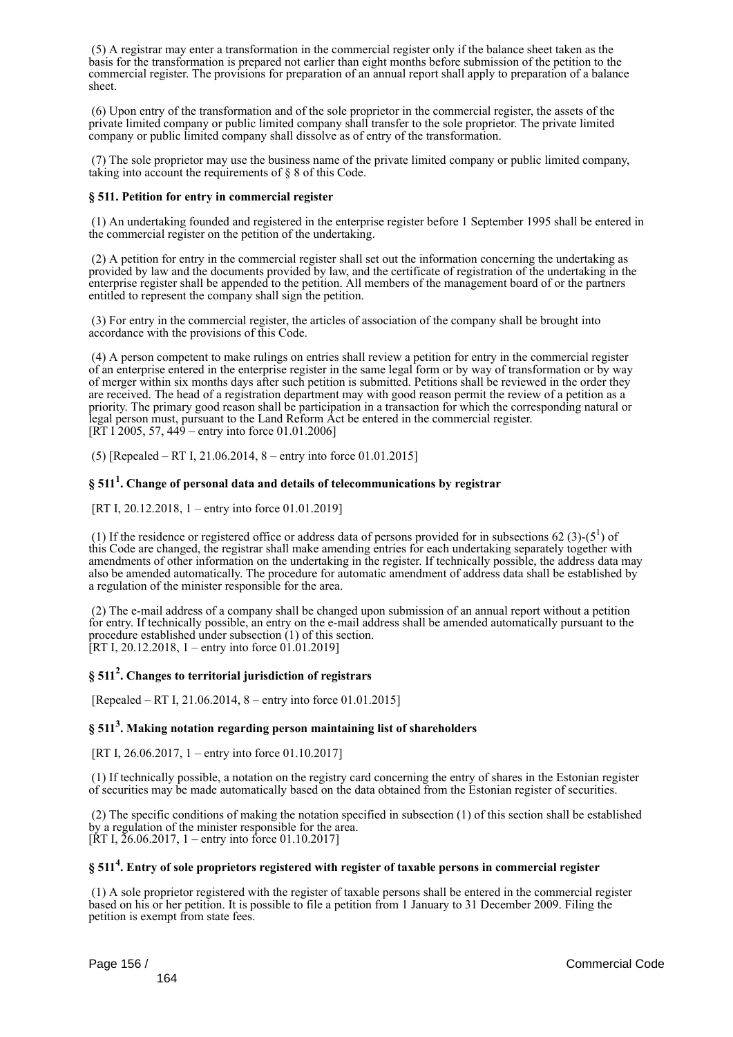(5) A registrar may enter a transformation in the commercial register only if the balance sheet taken as the basis for the transformation is prepared not earlier than eight months before submission of the petition to the commercial register. The provisions for preparation of an annual report shall apply to preparation of a balance sheet.

 (6) Upon entry of the transformation and of the sole proprietor in the commercial register, the assets of the private limited company or public limited company shall transfer to the sole proprietor. The private limited company or public limited company shall dissolve as of entry of the transformation.

 (7) The sole proprietor may use the business name of the private limited company or public limited company, taking into account the requirements of § 8 of this Code.

## **§ 511. Petition for entry in commercial register**

 (1) An undertaking founded and registered in the enterprise register before 1 September 1995 shall be entered in the commercial register on the petition of the undertaking.

 (2) A petition for entry in the commercial register shall set out the information concerning the undertaking as provided by law and the documents provided by law, and the certificate of registration of the undertaking in the enterprise register shall be appended to the petition. All members of the management board of or the partners entitled to represent the company shall sign the petition.

 (3) For entry in the commercial register, the articles of association of the company shall be brought into accordance with the provisions of this Code.

 (4) A person competent to make rulings on entries shall review a petition for entry in the commercial register of an enterprise entered in the enterprise register in the same legal form or by way of transformation or by way of merger within six months days after such petition is submitted. Petitions shall be reviewed in the order they are received. The head of a registration department may with good reason permit the review of a petition as a priority. The primary good reason shall be participation in a transaction for which the corresponding natural or legal person must, pursuant to the Land Reform Act be entered in the commercial register. [RT I 2005, 57,  $449$  – entry into force 01.01.2006]

(5) [Repealed – RT I, 21.06.2014, 8 – entry into force 01.01.2015]

# **§ 511<sup>1</sup> . Change of personal data and details of telecommunications by registrar**

[RT I, 20.12.2018, 1 – entry into force 01.01.2019]

(1) If the residence or registered office or address data of persons provided for in subsections 62 (3)-( $5^1$ ) of this Code are changed, the registrar shall make amending entries for each undertaking separately together with amendments of other information on the undertaking in the register. If technically possible, the address data may also be amended automatically. The procedure for automatic amendment of address data shall be established by a regulation of the minister responsible for the area.

 (2) The e-mail address of a company shall be changed upon submission of an annual report without a petition for entry. If technically possible, an entry on the e-mail address shall be amended automatically pursuant to the procedure established under subsection (1) of this section. [RT I, 20.12.2018, 1 – entry into force  $01.01.2019$ ]

# **§ 511<sup>2</sup> . Changes to territorial jurisdiction of registrars**

[Repealed – RT I, 21.06.2014, 8 – entry into force 01.01.2015]

# **§ 511<sup>3</sup> . Making notation regarding person maintaining list of shareholders**

[RT I, 26.06.2017, 1 – entry into force 01.10.2017]

 (1) If technically possible, a notation on the registry card concerning the entry of shares in the Estonian register of securities may be made automatically based on the data obtained from the Estonian register of securities.

 (2) The specific conditions of making the notation specified in subsection (1) of this section shall be established by a regulation of the minister responsible for the area. [RT I,  $26.06.2017$ , 1 – entry into force 01.10.2017]

# **§ 511<sup>4</sup> . Entry of sole proprietors registered with register of taxable persons in commercial register**

 (1) A sole proprietor registered with the register of taxable persons shall be entered in the commercial register based on his or her petition. It is possible to file a petition from 1 January to 31 December 2009. Filing the petition is exempt from state fees.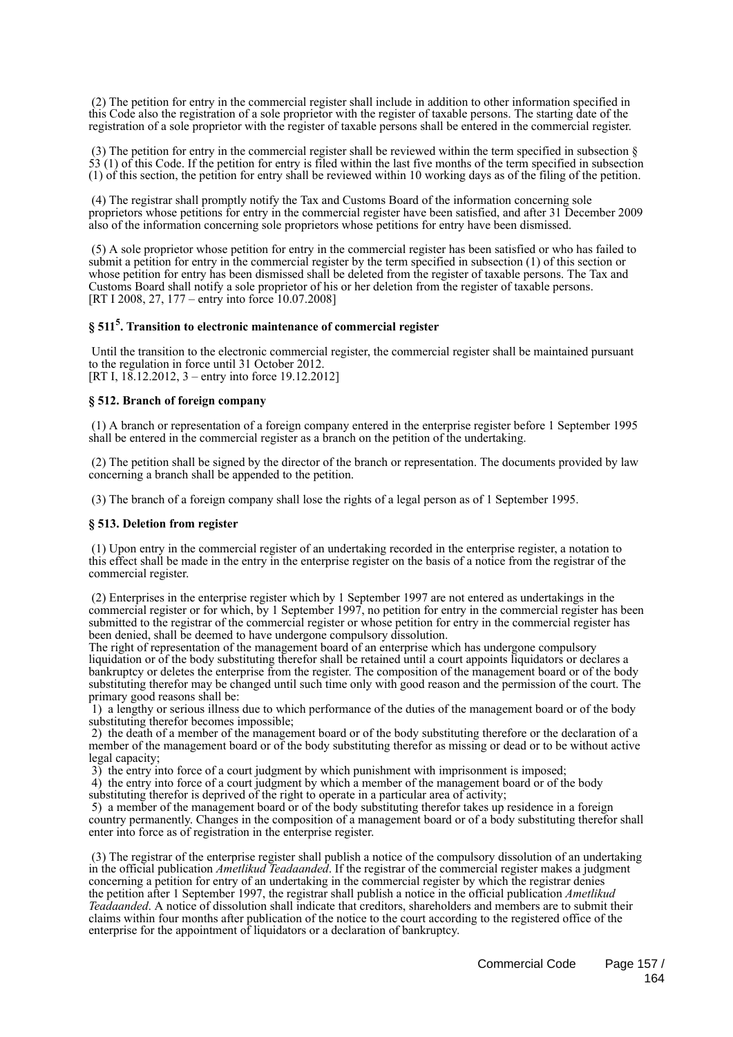(2) The petition for entry in the commercial register shall include in addition to other information specified in this Code also the registration of a sole proprietor with the register of taxable persons. The starting date of the registration of a sole proprietor with the register of taxable persons shall be entered in the commercial register.

(3) The petition for entry in the commercial register shall be reviewed within the term specified in subsection  $\S$  $\overline{53}$  (1) of this Code. If the petition for entry is filed within the last five months of the term specified in subsection (1) of this section, the petition for entry shall be reviewed within 10 working days as of the filing of the petition.

 (4) The registrar shall promptly notify the Tax and Customs Board of the information concerning sole proprietors whose petitions for entry in the commercial register have been satisfied, and after 31 December 2009 also of the information concerning sole proprietors whose petitions for entry have been dismissed.

 (5) A sole proprietor whose petition for entry in the commercial register has been satisfied or who has failed to submit a petition for entry in the commercial register by the term specified in subsection (1) of this section or whose petition for entry has been dismissed shall be deleted from the register of taxable persons. The Tax and Customs Board shall notify a sole proprietor of his or her deletion from the register of taxable persons. [RT I 2008, 27, 177 – entry into force 10.07.2008]

# **§ 511<sup>5</sup> . Transition to electronic maintenance of commercial register**

 Until the transition to the electronic commercial register, the commercial register shall be maintained pursuant to the regulation in force until 31 October 2012. [RT I, 18.12.2012, 3 – entry into force 19.12.2012]

## **§ 512. Branch of foreign company**

 (1) A branch or representation of a foreign company entered in the enterprise register before 1 September 1995 shall be entered in the commercial register as a branch on the petition of the undertaking.

 (2) The petition shall be signed by the director of the branch or representation. The documents provided by law concerning a branch shall be appended to the petition.

(3) The branch of a foreign company shall lose the rights of a legal person as of 1 September 1995.

### **§ 513. Deletion from register**

 (1) Upon entry in the commercial register of an undertaking recorded in the enterprise register, a notation to this effect shall be made in the entry in the enterprise register on the basis of a notice from the registrar of the commercial register.

 (2) Enterprises in the enterprise register which by 1 September 1997 are not entered as undertakings in the commercial register or for which, by 1 September 1997, no petition for entry in the commercial register has been submitted to the registrar of the commercial register or whose petition for entry in the commercial register has been denied, shall be deemed to have undergone compulsory dissolution.

The right of representation of the management board of an enterprise which has undergone compulsory liquidation or of the body substituting therefor shall be retained until a court appoints liquidators or declares a bankruptcy or deletes the enterprise from the register. The composition of the management board or of the body substituting therefor may be changed until such time only with good reason and the permission of the court. The primary good reasons shall be:

 1) a lengthy or serious illness due to which performance of the duties of the management board or of the body substituting therefor becomes impossible;

 2) the death of a member of the management board or of the body substituting therefore or the declaration of a member of the management board or of the body substituting therefor as missing or dead or to be without active legal capacity;

3) the entry into force of a court judgment by which punishment with imprisonment is imposed;

 4) the entry into force of a court judgment by which a member of the management board or of the body substituting therefor is deprived of the right to operate in a particular area of activity;

 5) a member of the management board or of the body substituting therefor takes up residence in a foreign country permanently. Changes in the composition of a management board or of a body substituting therefor shall enter into force as of registration in the enterprise register.

 (3) The registrar of the enterprise register shall publish a notice of the compulsory dissolution of an undertaking in the official publication *Ametlikud Teadaanded*. If the registrar of the commercial register makes a judgment concerning a petition for entry of an undertaking in the commercial register by which the registrar denies the petition after 1 September 1997, the registrar shall publish a notice in the official publication *Ametlikud Teadaanded*. A notice of dissolution shall indicate that creditors, shareholders and members are to submit their claims within four months after publication of the notice to the court according to the registered office of the enterprise for the appointment of liquidators or a declaration of bankruptcy.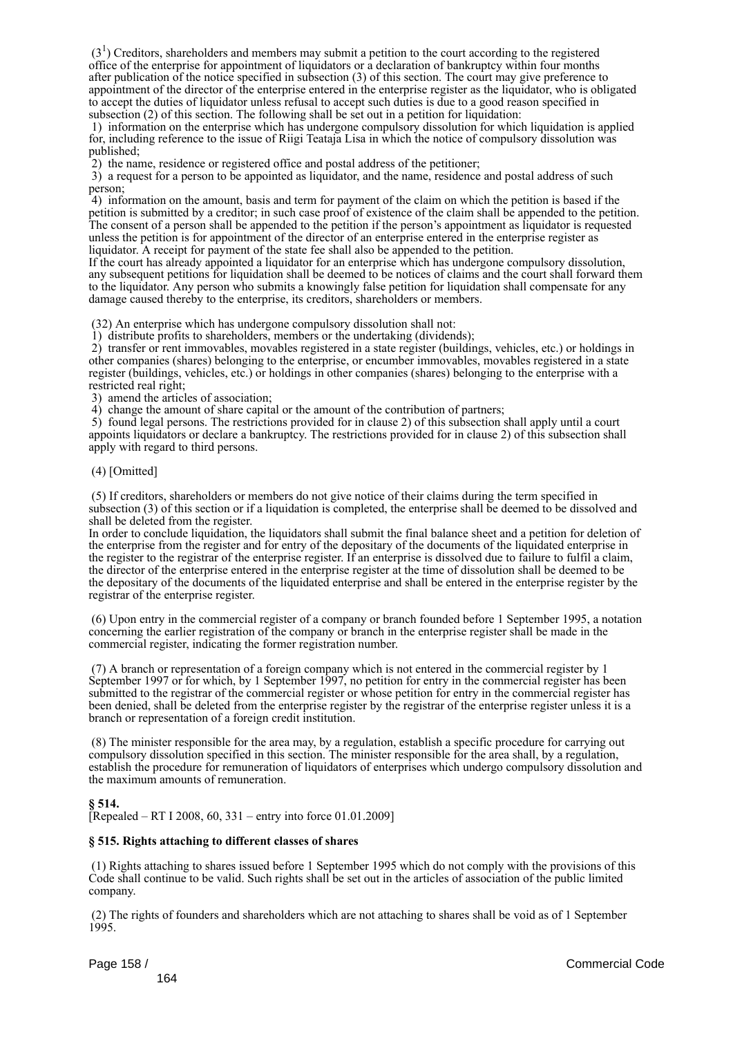$(3<sup>1</sup>)$  Creditors, shareholders and members may submit a petition to the court according to the registered office of the enterprise for appointment of liquidators or a declaration of bankruptcy within four months after publication of the notice specified in subsection (3) of this section. The court may give preference to appointment of the director of the enterprise entered in the enterprise register as the liquidator, who is obligated to accept the duties of liquidator unless refusal to accept such duties is due to a good reason specified in subsection (2) of this section. The following shall be set out in a petition for liquidation:

 1) information on the enterprise which has undergone compulsory dissolution for which liquidation is applied for, including reference to the issue of Riigi Teataja Lisa in which the notice of compulsory dissolution was published;

2) the name, residence or registered office and postal address of the petitioner;

 3) a request for a person to be appointed as liquidator, and the name, residence and postal address of such person;

 4) information on the amount, basis and term for payment of the claim on which the petition is based if the petition is submitted by a creditor; in such case proof of existence of the claim shall be appended to the petition. The consent of a person shall be appended to the petition if the person's appointment as liquidator is requested unless the petition is for appointment of the director of an enterprise entered in the enterprise register as liquidator. A receipt for payment of the state fee shall also be appended to the petition.

If the court has already appointed a liquidator for an enterprise which has undergone compulsory dissolution, any subsequent petitions for liquidation shall be deemed to be notices of claims and the court shall forward them to the liquidator. Any person who submits a knowingly false petition for liquidation shall compensate for any damage caused thereby to the enterprise, its creditors, shareholders or members.

(32) An enterprise which has undergone compulsory dissolution shall not:

1) distribute profits to shareholders, members or the undertaking (dividends);

 2) transfer or rent immovables, movables registered in a state register (buildings, vehicles, etc.) or holdings in other companies (shares) belonging to the enterprise, or encumber immovables, movables registered in a state register (buildings, vehicles, etc.) or holdings in other companies (shares) belonging to the enterprise with a restricted real right;

3) amend the articles of association;

4) change the amount of share capital or the amount of the contribution of partners;

 5) found legal persons. The restrictions provided for in clause 2) of this subsection shall apply until a court appoints liquidators or declare a bankruptcy. The restrictions provided for in clause 2) of this subsection shall apply with regard to third persons.

### (4) [Omitted]

 (5) If creditors, shareholders or members do not give notice of their claims during the term specified in subsection (3) of this section or if a liquidation is completed, the enterprise shall be deemed to be dissolved and shall be deleted from the register.

In order to conclude liquidation, the liquidators shall submit the final balance sheet and a petition for deletion of the enterprise from the register and for entry of the depositary of the documents of the liquidated enterprise in the register to the registrar of the enterprise register. If an enterprise is dissolved due to failure to fulfil a claim, the director of the enterprise entered in the enterprise register at the time of dissolution shall be deemed to be the depositary of the documents of the liquidated enterprise and shall be entered in the enterprise register by the registrar of the enterprise register.

 (6) Upon entry in the commercial register of a company or branch founded before 1 September 1995, a notation concerning the earlier registration of the company or branch in the enterprise register shall be made in the commercial register, indicating the former registration number.

 (7) A branch or representation of a foreign company which is not entered in the commercial register by 1 September 1997 or for which, by 1 September 1997, no petition for entry in the commercial register has been submitted to the registrar of the commercial register or whose petition for entry in the commercial register has been denied, shall be deleted from the enterprise register by the registrar of the enterprise register unless it is a branch or representation of a foreign credit institution.

 (8) The minister responsible for the area may, by a regulation, establish a specific procedure for carrying out compulsory dissolution specified in this section. The minister responsible for the area shall, by a regulation, establish the procedure for remuneration of liquidators of enterprises which undergo compulsory dissolution and the maximum amounts of remuneration.

# **§ 514.**

[Repealed – RT I 2008, 60, 331 – entry into force 01.01.2009]

# **§ 515. Rights attaching to different classes of shares**

 (1) Rights attaching to shares issued before 1 September 1995 which do not comply with the provisions of this Code shall continue to be valid. Such rights shall be set out in the articles of association of the public limited company.

 (2) The rights of founders and shareholders which are not attaching to shares shall be void as of 1 September 1995.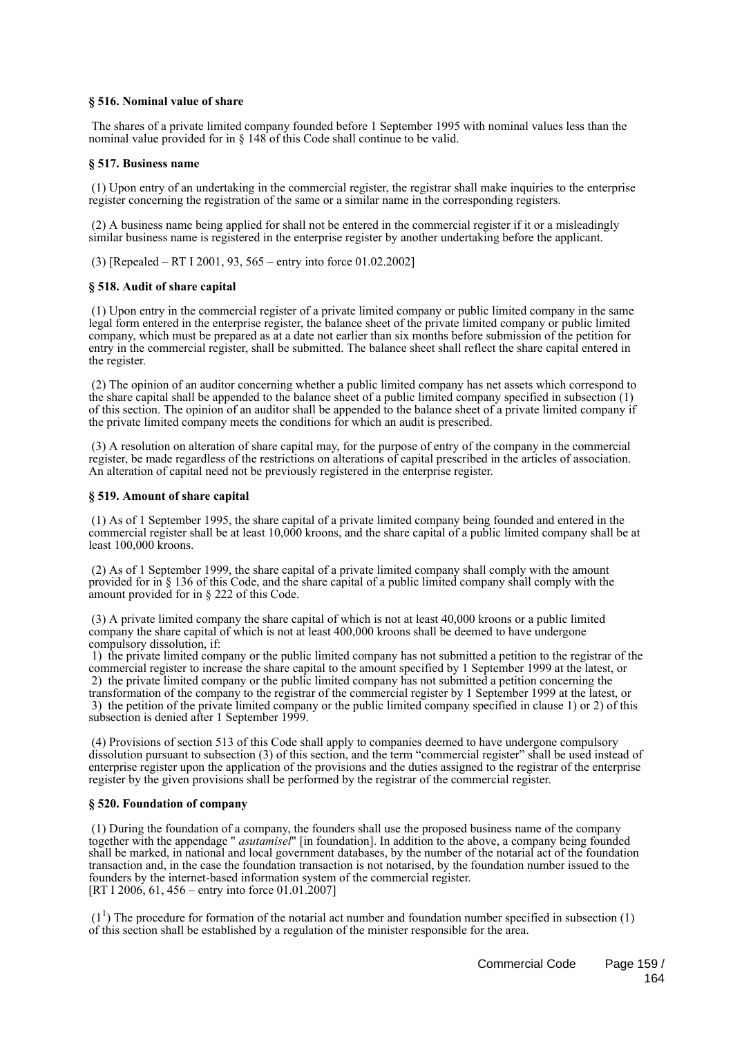## **§ 516. Nominal value of share**

 The shares of a private limited company founded before 1 September 1995 with nominal values less than the nominal value provided for in § 148 of this Code shall continue to be valid.

### **§ 517. Business name**

 (1) Upon entry of an undertaking in the commercial register, the registrar shall make inquiries to the enterprise register concerning the registration of the same or a similar name in the corresponding registers.

 (2) A business name being applied for shall not be entered in the commercial register if it or a misleadingly similar business name is registered in the enterprise register by another undertaking before the applicant.

(3) [Repealed – RT I 2001, 93, 565 – entry into force 01.02.2002]

## **§ 518. Audit of share capital**

 (1) Upon entry in the commercial register of a private limited company or public limited company in the same legal form entered in the enterprise register, the balance sheet of the private limited company or public limited company, which must be prepared as at a date not earlier than six months before submission of the petition for entry in the commercial register, shall be submitted. The balance sheet shall reflect the share capital entered in the register.

 (2) The opinion of an auditor concerning whether a public limited company has net assets which correspond to the share capital shall be appended to the balance sheet of a public limited company specified in subsection (1) of this section. The opinion of an auditor shall be appended to the balance sheet of a private limited company if the private limited company meets the conditions for which an audit is prescribed.

 (3) A resolution on alteration of share capital may, for the purpose of entry of the company in the commercial register, be made regardless of the restrictions on alterations of capital prescribed in the articles of association. An alteration of capital need not be previously registered in the enterprise register.

### **§ 519. Amount of share capital**

 (1) As of 1 September 1995, the share capital of a private limited company being founded and entered in the commercial register shall be at least 10,000 kroons, and the share capital of a public limited company shall be at least 100,000 kroons.

 (2) As of 1 September 1999, the share capital of a private limited company shall comply with the amount provided for in § 136 of this Code, and the share capital of a public limited company shall comply with the amount provided for in § 222 of this Code.

 (3) A private limited company the share capital of which is not at least 40,000 kroons or a public limited company the share capital of which is not at least 400,000 kroons shall be deemed to have undergone compulsory dissolution, if:

 1) the private limited company or the public limited company has not submitted a petition to the registrar of the commercial register to increase the share capital to the amount specified by 1 September 1999 at the latest, or 2) the private limited company or the public limited company has not submitted a petition concerning the transformation of the company to the registrar of the commercial register by 1 September 1999 at the latest, or 3) the petition of the private limited company or the public limited company specified in clause 1) or 2) of this subsection is denied after 1 September 1999.

 (4) Provisions of section 513 of this Code shall apply to companies deemed to have undergone compulsory dissolution pursuant to subsection (3) of this section, and the term "commercial register" shall be used instead of enterprise register upon the application of the provisions and the duties assigned to the registrar of the enterprise register by the given provisions shall be performed by the registrar of the commercial register.

### **§ 520. Foundation of company**

 (1) During the foundation of a company, the founders shall use the proposed business name of the company together with the appendage " *asutamisel*" [in foundation]. In addition to the above, a company being founded shall be marked, in national and local government databases, by the number of the notarial act of the foundation transaction and, in the case the foundation transaction is not notarised, by the foundation number issued to the founders by the internet-based information system of the commercial register. [RT I 2006, 61, 456 – entry into force 01.01.2007]

 $(1<sup>1</sup>)$  The procedure for formation of the notarial act number and foundation number specified in subsection (1) of this section shall be established by a regulation of the minister responsible for the area.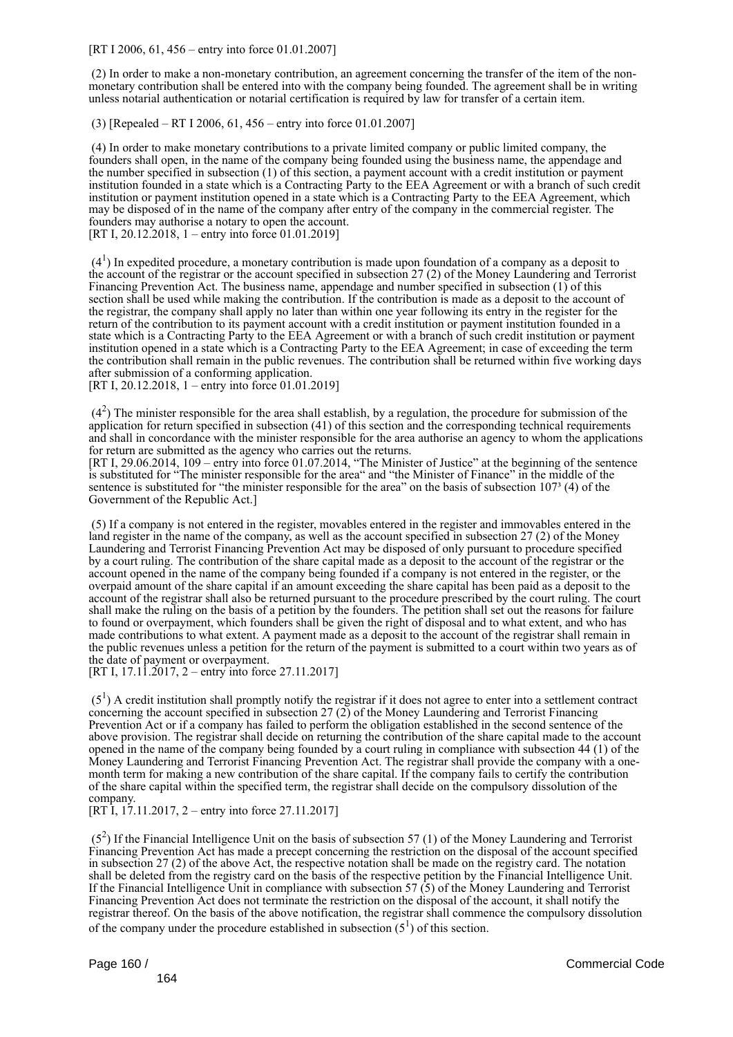[RT I 2006, 61, 456 – entry into force 01.01.2007]

 (2) In order to make a non-monetary contribution, an agreement concerning the transfer of the item of the nonmonetary contribution shall be entered into with the company being founded. The agreement shall be in writing unless notarial authentication or notarial certification is required by law for transfer of a certain item.

(3) [Repealed – RT I 2006, 61, 456 – entry into force 01.01.2007]

 (4) In order to make monetary contributions to a private limited company or public limited company, the founders shall open, in the name of the company being founded using the business name, the appendage and the number specified in subsection (1) of this section, a payment account with a credit institution or payment institution founded in a state which is a Contracting Party to the EEA Agreement or with a branch of such credit institution or payment institution opened in a state which is a Contracting Party to the EEA Agreement, which may be disposed of in the name of the company after entry of the company in the commercial register. The founders may authorise a notary to open the account. [RT I, 20.12.2018, 1 – entry into force 01.01.2019]

 $(4<sup>1</sup>)$  In expedited procedure, a monetary contribution is made upon foundation of a company as a deposit to the account of the registrar or the account specified in subsection 27 (2) of the Money Laundering and Terrorist Financing Prevention Act. The business name, appendage and number specified in subsection (1) of this section shall be used while making the contribution. If the contribution is made as a deposit to the account of the registrar, the company shall apply no later than within one year following its entry in the register for the return of the contribution to its payment account with a credit institution or payment institution founded in a state which is a Contracting Party to the EEA Agreement or with a branch of such credit institution or payment institution opened in a state which is a Contracting Party to the EEA Agreement; in case of exceeding the term the contribution shall remain in the public revenues. The contribution shall be returned within five working days after submission of a conforming application.

[RT I, 20.12.2018, 1 – entry into force 01.01.2019]

 $(4<sup>2</sup>)$  The minister responsible for the area shall establish, by a regulation, the procedure for submission of the application for return specified in subsection (41) of this section and the corresponding technical requirements and shall in concordance with the minister responsible for the area authorise an agency to whom the applications for return are submitted as the agency who carries out the returns.

[RT I, 29.06.2014, 109 – entry into force 01.07.2014, "The Minister of Justice" at the beginning of the sentence is substituted for "The minister responsible for the area" and "the Minister of Finance" in the middle of the sentence is substituted for "the minister responsible for the area" on the basis of subsection  $107<sup>3</sup>$  (4) of the Government of the Republic Act.]

 (5) If a company is not entered in the register, movables entered in the register and immovables entered in the land register in the name of the company, as well as the account specified in subsection 27 (2) of the Money Laundering and Terrorist Financing Prevention Act may be disposed of only pursuant to procedure specified by a court ruling. The contribution of the share capital made as a deposit to the account of the registrar or the account opened in the name of the company being founded if a company is not entered in the register, or the overpaid amount of the share capital if an amount exceeding the share capital has been paid as a deposit to the account of the registrar shall also be returned pursuant to the procedure prescribed by the court ruling. The court shall make the ruling on the basis of a petition by the founders. The petition shall set out the reasons for failure to found or overpayment, which founders shall be given the right of disposal and to what extent, and who has made contributions to what extent. A payment made as a deposit to the account of the registrar shall remain in the public revenues unless a petition for the return of the payment is submitted to a court within two years as of the date of payment or overpayment.

[RT I, 17.11.2017, 2 – entry into force 27.11.2017]

 $(5<sup>1</sup>)$  A credit institution shall promptly notify the registrar if it does not agree to enter into a settlement contract concerning the account specified in subsection 27 (2) of the Money Laundering and Terrorist Financing Prevention Act or if a company has failed to perform the obligation established in the second sentence of the above provision. The registrar shall decide on returning the contribution of the share capital made to the account opened in the name of the company being founded by a court ruling in compliance with subsection 44 (1) of the Money Laundering and Terrorist Financing Prevention Act. The registrar shall provide the company with a onemonth term for making a new contribution of the share capital. If the company fails to certify the contribution of the share capital within the specified term, the registrar shall decide on the compulsory dissolution of the company.

[RT I, 17.11.2017, 2 – entry into force 27.11.2017]

 $(5<sup>2</sup>)$  If the Financial Intelligence Unit on the basis of subsection 57 (1) of the Money Laundering and Terrorist Financing Prevention Act has made a precept concerning the restriction on the disposal of the account specified in subsection 27 (2) of the above Act, the respective notation shall be made on the registry card. The notation shall be deleted from the registry card on the basis of the respective petition by the Financial Intelligence Unit. If the Financial Intelligence Unit in compliance with subsection 57 (5) of the Money Laundering and Terrorist Financing Prevention Act does not terminate the restriction on the disposal of the account, it shall notify the registrar thereof. On the basis of the above notification, the registrar shall commence the compulsory dissolution of the company under the procedure established in subsection  $(5^1)$  of this section.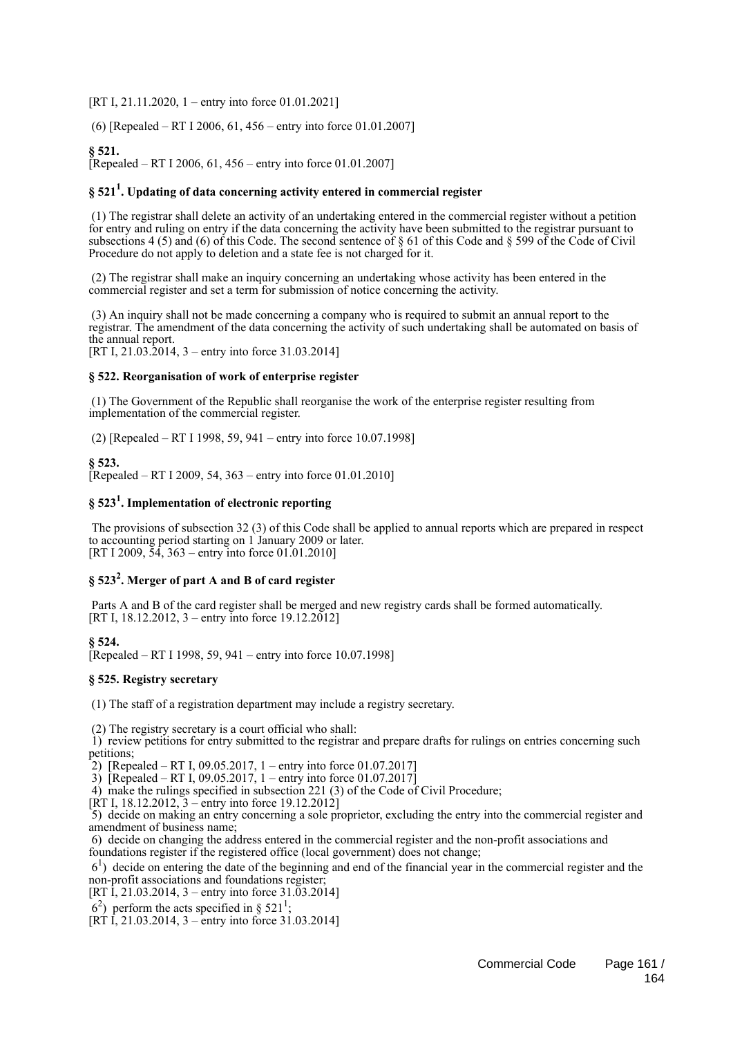[RT I, 21.11.2020, 1 – entry into force 01.01.2021]

(6) [Repealed – RT I 2006, 61, 456 – entry into force 01.01.2007]

# **§ 521.**

 $\text{Renealed} - \text{RT}$  I 2006, 61, 456 – entry into force 01.01.2007]

# **§ 521<sup>1</sup> . Updating of data concerning activity entered in commercial register**

 (1) The registrar shall delete an activity of an undertaking entered in the commercial register without a petition for entry and ruling on entry if the data concerning the activity have been submitted to the registrar pursuant to subsections 4 (5) and (6) of this Code. The second sentence of § 61 of this Code and § 599 of the Code of Civil Procedure do not apply to deletion and a state fee is not charged for it.

 (2) The registrar shall make an inquiry concerning an undertaking whose activity has been entered in the commercial register and set a term for submission of notice concerning the activity.

 (3) An inquiry shall not be made concerning a company who is required to submit an annual report to the registrar. The amendment of the data concerning the activity of such undertaking shall be automated on basis of the annual report.

[RT I, 21.03.2014, 3 – entry into force 31.03.2014]

## **§ 522. Reorganisation of work of enterprise register**

 (1) The Government of the Republic shall reorganise the work of the enterprise register resulting from implementation of the commercial register.

(2) [Repealed – RT I 1998, 59, 941 – entry into force 10.07.1998]

# **§ 523.**

[Repealed – RT I 2009, 54, 363 – entry into force  $01.01.2010$ ]

# **§ 523<sup>1</sup> . Implementation of electronic reporting**

 The provisions of subsection 32 (3) of this Code shall be applied to annual reports which are prepared in respect to accounting period starting on 1 January 2009 or later. [RT I 2009, 54, 363 – entry into force 01.01.2010]

# **§ 523<sup>2</sup> . Merger of part A and B of card register**

 Parts A and B of the card register shall be merged and new registry cards shall be formed automatically. [RT I, 18.12.2012, 3 – entry into force 19.12.2012]

## **§ 524.**

 $[Repeated - RT I 1998, 59, 941 - entry into force 10.07.1998]$ 

### **§ 525. Registry secretary**

(1) The staff of a registration department may include a registry secretary.

(2) The registry secretary is a court official who shall:

 1) review petitions for entry submitted to the registrar and prepare drafts for rulings on entries concerning such petitions;

2) [Repealed – RT I, 09.05.2017, 1 – entry into force 01.07.2017]

3) [Repealed – RT I, 09.05.2017, 1 – entry into force 01.07.2017]

4) make the rulings specified in subsection 221 (3) of the Code of Civil Procedure;

 $[RT I, 18.12.2012, 3 - entry into force 19.12.2012]$ 

 5) decide on making an entry concerning a sole proprietor, excluding the entry into the commercial register and amendment of business name;

 6) decide on changing the address entered in the commercial register and the non-profit associations and foundations register if the registered office (local government) does not change;

 61 ) decide on entering the date of the beginning and end of the financial year in the commercial register and the non-profit associations and foundations register;

[RT I, 21.03.2014, 3 – entry into force  $31.03.2014$ ]

 $6<sup>2</sup>$ ) perform the acts specified in § 521<sup>1</sup>;

[RT I, 21.03.2014, 3 – entry into force 31.03.2014]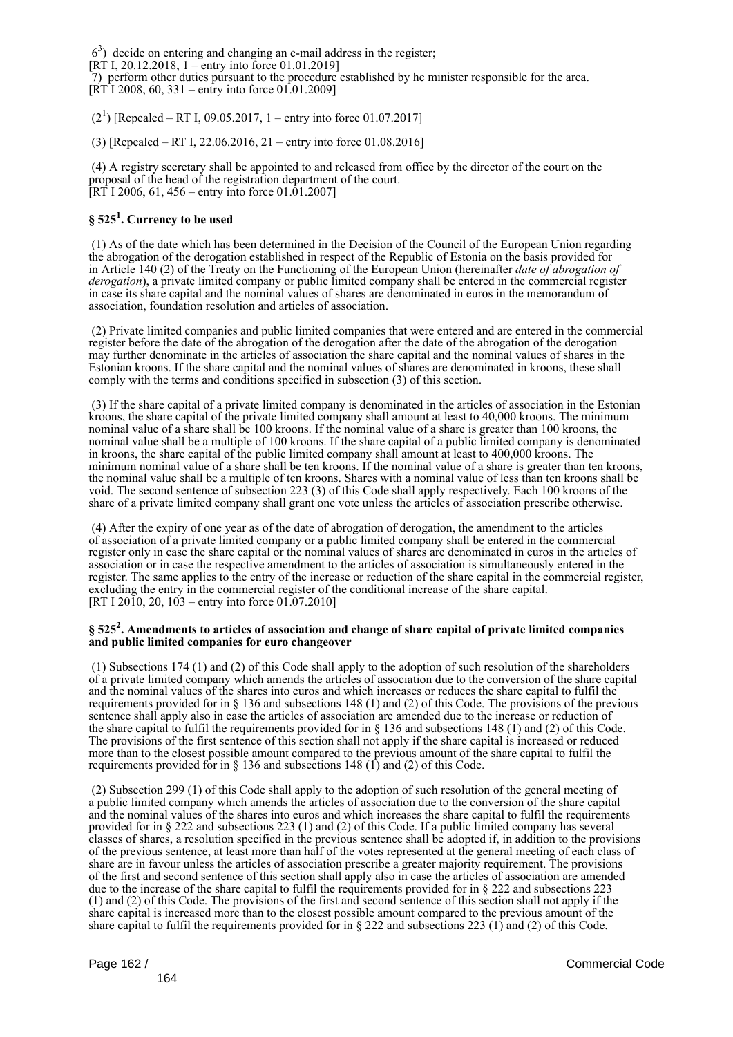63 ) decide on entering and changing an e-mail address in the register;

[RT I, 20.12.2018, 1 – entry into force 01.01.2019]

 7) perform other duties pursuant to the procedure established by he minister responsible for the area.  $[RT]$  2008, 60, 331 – entry into force 01.01.2009]

 $(2^1)$  [Repealed – RT I, 09.05.2017, 1 – entry into force 01.07.2017]

(3) [Repealed – RT I, 22.06.2016, 21 – entry into force 01.08.2016]

 (4) A registry secretary shall be appointed to and released from office by the director of the court on the proposal of the head of the registration department of the court. [RT I 2006, 61, 456 – entry into force 01.01.2007]

# **§ 525<sup>1</sup> . Currency to be used**

 (1) As of the date which has been determined in the Decision of the Council of the European Union regarding the abrogation of the derogation established in respect of the Republic of Estonia on the basis provided for in Article 140 (2) of the Treaty on the Functioning of the European Union (hereinafter *date of abrogation of derogation*), a private limited company or public limited company shall be entered in the commercial register in case its share capital and the nominal values of shares are denominated in euros in the memorandum of association, foundation resolution and articles of association.

 (2) Private limited companies and public limited companies that were entered and are entered in the commercial register before the date of the abrogation of the derogation after the date of the abrogation of the derogation may further denominate in the articles of association the share capital and the nominal values of shares in the Estonian kroons. If the share capital and the nominal values of shares are denominated in kroons, these shall comply with the terms and conditions specified in subsection (3) of this section.

 (3) If the share capital of a private limited company is denominated in the articles of association in the Estonian kroons, the share capital of the private limited company shall amount at least to 40,000 kroons. The minimum nominal value of a share shall be 100 kroons. If the nominal value of a share is greater than 100 kroons, the nominal value shall be a multiple of 100 kroons. If the share capital of a public limited company is denominated in kroons, the share capital of the public limited company shall amount at least to 400,000 kroons. The minimum nominal value of a share shall be ten kroons. If the nominal value of a share is greater than ten kroons, the nominal value shall be a multiple of ten kroons. Shares with a nominal value of less than ten kroons shall be void. The second sentence of subsection 223 (3) of this Code shall apply respectively. Each 100 kroons of the share of a private limited company shall grant one vote unless the articles of association prescribe otherwise.

 (4) After the expiry of one year as of the date of abrogation of derogation, the amendment to the articles of association of a private limited company or a public limited company shall be entered in the commercial register only in case the share capital or the nominal values of shares are denominated in euros in the articles of association or in case the respective amendment to the articles of association is simultaneously entered in the register. The same applies to the entry of the increase or reduction of the share capital in the commercial register, excluding the entry in the commercial register of the conditional increase of the share capital. [RT I 2010, 20,  $103$  – entry into force 01.07.2010]

## **§ 525<sup>2</sup> . Amendments to articles of association and change of share capital of private limited companies and public limited companies for euro changeover**

 (1) Subsections 174 (1) and (2) of this Code shall apply to the adoption of such resolution of the shareholders of a private limited company which amends the articles of association due to the conversion of the share capital and the nominal values of the shares into euros and which increases or reduces the share capital to fulfil the requirements provided for in § 136 and subsections 148 (1) and (2) of this Code. The provisions of the previous sentence shall apply also in case the articles of association are amended due to the increase or reduction of the share capital to fulfil the requirements provided for in  $\S$  136 and subsections 148 (1) and (2) of this Code. The provisions of the first sentence of this section shall not apply if the share capital is increased or reduced more than to the closest possible amount compared to the previous amount of the share capital to fulfil the requirements provided for in  $\S$  136 and subsections 148 (1) and (2) of this Code.

 (2) Subsection 299 (1) of this Code shall apply to the adoption of such resolution of the general meeting of a public limited company which amends the articles of association due to the conversion of the share capital and the nominal values of the shares into euros and which increases the share capital to fulfil the requirements provided for in § 222 and subsections 223 (1) and (2) of this Code. If a public limited company has several classes of shares, a resolution specified in the previous sentence shall be adopted if, in addition to the provisions of the previous sentence, at least more than half of the votes represented at the general meeting of each class of share are in favour unless the articles of association prescribe a greater majority requirement. The provisions of the first and second sentence of this section shall apply also in case the articles of association are amended due to the increase of the share capital to fulfil the requirements provided for in § 222 and subsections 223 (1) and (2) of this Code. The provisions of the first and second sentence of this section shall not apply if the share capital is increased more than to the closest possible amount compared to the previous amount of the share capital to fulfil the requirements provided for in § 222 and subsections 223 (1) and (2) of this Code.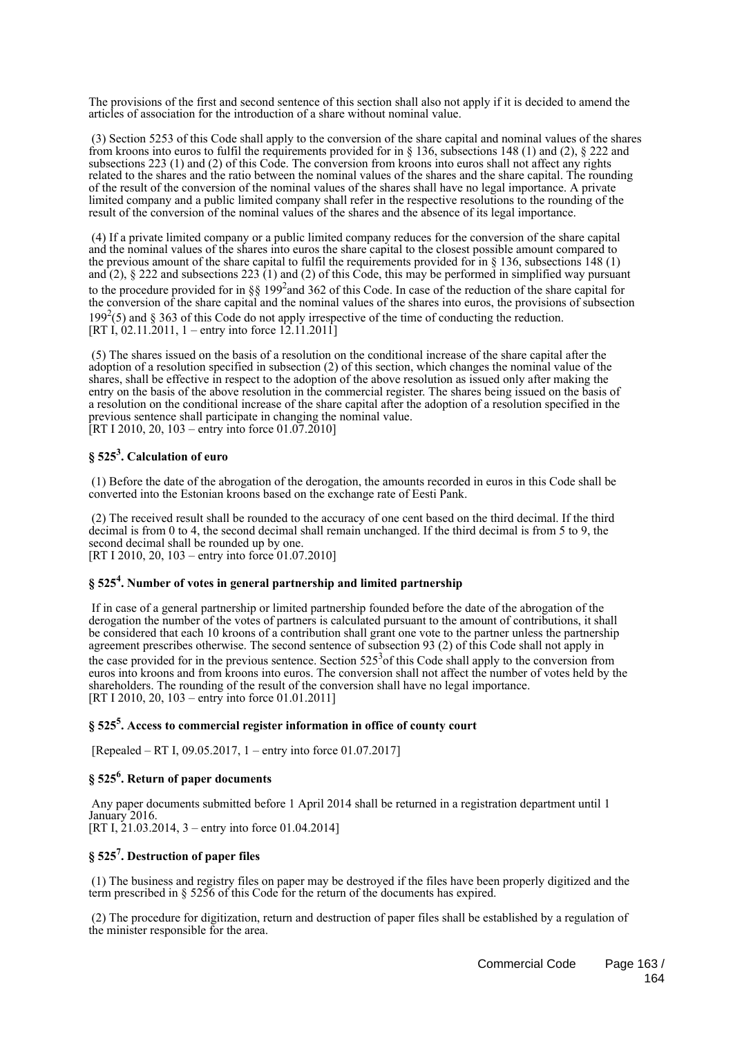The provisions of the first and second sentence of this section shall also not apply if it is decided to amend the articles of association for the introduction of a share without nominal value.

 (3) Section 5253 of this Code shall apply to the conversion of the share capital and nominal values of the shares from kroons into euros to fulfil the requirements provided for in § 136, subsections 148 (1) and (2), § 222 and subsections 223 (1) and (2) of this Code. The conversion from kroons into euros shall not affect any rights related to the shares and the ratio between the nominal values of the shares and the share capital. The rounding of the result of the conversion of the nominal values of the shares shall have no legal importance. A private limited company and a public limited company shall refer in the respective resolutions to the rounding of the result of the conversion of the nominal values of the shares and the absence of its legal importance.

 (4) If a private limited company or a public limited company reduces for the conversion of the share capital and the nominal values of the shares into euros the share capital to the closest possible amount compared to the previous amount of the share capital to fulfil the requirements provided for in  $\S$  136, subsections 148 (1) and  $(2)$ ,  $\S$  222 and subsections 223  $(1)$  and  $(2)$  of this Code, this may be performed in simplified way pursuant to the procedure provided for in §§ 199<sup>2</sup> and 362 of this Code. In case of the reduction of the share capital for the conversion of the share capital and the nominal values of the shares into euros, the provisions of subsection 199<sup>2</sup>(5) and § 363 of this Code do not apply irrespective of the time of conducting the reduction. [RT I, 02.11.2011, 1 – entry into force 12.11.2011]

 (5) The shares issued on the basis of a resolution on the conditional increase of the share capital after the adoption of a resolution specified in subsection (2) of this section, which changes the nominal value of the shares, shall be effective in respect to the adoption of the above resolution as issued only after making the entry on the basis of the above resolution in the commercial register. The shares being issued on the basis of a resolution on the conditional increase of the share capital after the adoption of a resolution specified in the previous sentence shall participate in changing the nominal value. [RT I 2010, 20, 103 – entry into force 01.07.2010]

# **§ 525<sup>3</sup> . Calculation of euro**

 (1) Before the date of the abrogation of the derogation, the amounts recorded in euros in this Code shall be converted into the Estonian kroons based on the exchange rate of Eesti Pank.

 (2) The received result shall be rounded to the accuracy of one cent based on the third decimal. If the third decimal is from 0 to 4, the second decimal shall remain unchanged. If the third decimal is from 5 to 9, the second decimal shall be rounded up by one. [RT I 2010, 20, 103 – entry into force 01.07.2010]

# **§ 525<sup>4</sup> . Number of votes in general partnership and limited partnership**

 If in case of a general partnership or limited partnership founded before the date of the abrogation of the derogation the number of the votes of partners is calculated pursuant to the amount of contributions, it shall be considered that each 10 kroons of a contribution shall grant one vote to the partner unless the partnership agreement prescribes otherwise. The second sentence of subsection 93 (2) of this Code shall not apply in the case provided for in the previous sentence. Section  $525<sup>3</sup>$  of this Code shall apply to the conversion from euros into kroons and from kroons into euros. The conversion shall not affect the number of votes held by the shareholders. The rounding of the result of the conversion shall have no legal importance. [RT I 2010, 20, 103 – entry into force 01.01.2011]

# **§ 525<sup>5</sup> . Access to commercial register information in office of county court**

[Repealed – RT I, 09.05.2017, 1 – entry into force 01.07.2017]

# **§ 525<sup>6</sup> . Return of paper documents**

 Any paper documents submitted before 1 April 2014 shall be returned in a registration department until 1 January 2016. [RT I, 21.03.2014, 3 – entry into force 01.04.2014]

# **§ 525<sup>7</sup> . Destruction of paper files**

 (1) The business and registry files on paper may be destroyed if the files have been properly digitized and the term prescribed in § 5256 of this Code for the return of the documents has expired.

 (2) The procedure for digitization, return and destruction of paper files shall be established by a regulation of the minister responsible for the area.